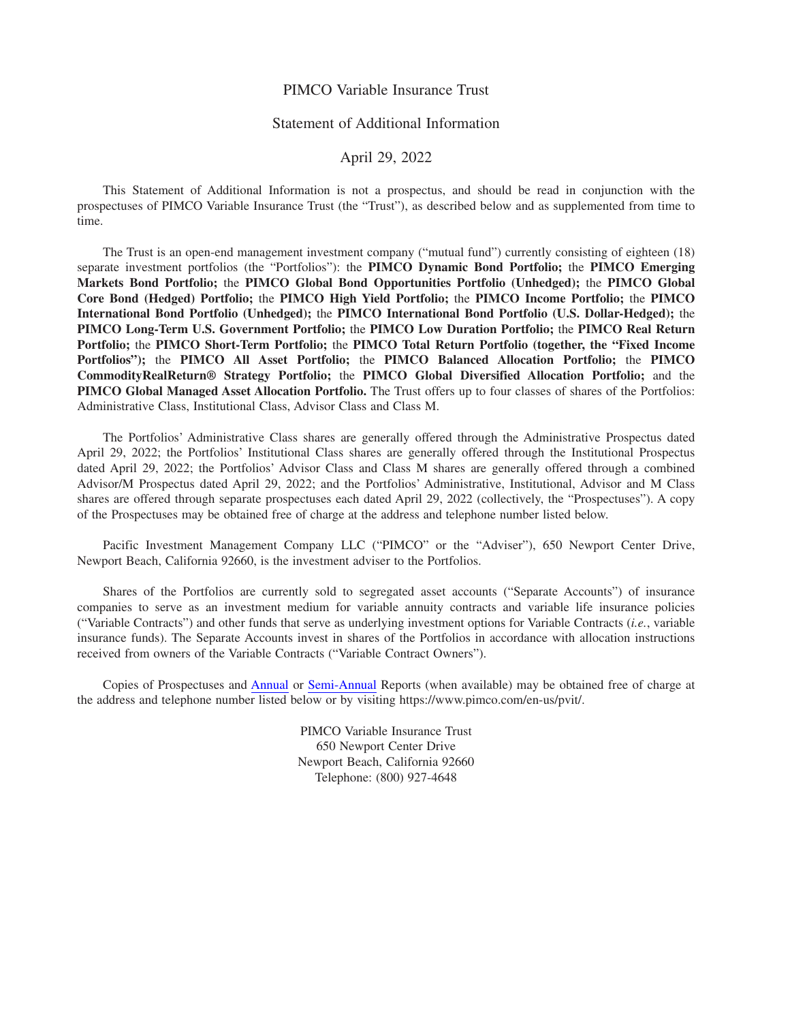## PIMCO Variable Insurance Trust

# Statement of Additional Information

## April 29, 2022

This Statement of Additional Information is not a prospectus, and should be read in conjunction with the prospectuses of PIMCO Variable Insurance Trust (the "Trust"), as described below and as supplemented from time to time.

The Trust is an open-end management investment company ("mutual fund") currently consisting of eighteen (18) separate investment portfolios (the "Portfolios"): the **PIMCO Dynamic Bond Portfolio;** the **PIMCO Emerging Markets Bond Portfolio;** the **PIMCO Global Bond Opportunities Portfolio (Unhedged);** the **PIMCO Global Core Bond (Hedged) Portfolio;** the **PIMCO High Yield Portfolio;** the **PIMCO Income Portfolio;** the **PIMCO International Bond Portfolio (Unhedged);** the **PIMCO International Bond Portfolio (U.S. Dollar-Hedged);** the **PIMCO Long-Term U.S. Government Portfolio;** the **PIMCO Low Duration Portfolio;** the **PIMCO Real Return Portfolio;** the **PIMCO Short-Term Portfolio;** the **PIMCO Total Return Portfolio (together, the "Fixed Income Portfolios");** the **PIMCO All Asset Portfolio;** the **PIMCO Balanced Allocation Portfolio;** the **PIMCO CommodityRealReturn® Strategy Portfolio;** the **PIMCO Global Diversified Allocation Portfolio;** and the **PIMCO Global Managed Asset Allocation Portfolio.** The Trust offers up to four classes of shares of the Portfolios: Administrative Class, Institutional Class, Advisor Class and Class M.

The Portfolios' Administrative Class shares are generally offered through the Administrative Prospectus dated April 29, 2022; the Portfolios' Institutional Class shares are generally offered through the Institutional Prospectus dated April 29, 2022; the Portfolios' Advisor Class and Class M shares are generally offered through a combined Advisor/M Prospectus dated April 29, 2022; and the Portfolios' Administrative, Institutional, Advisor and M Class shares are offered through separate prospectuses each dated April 29, 2022 (collectively, the "Prospectuses"). A copy of the Prospectuses may be obtained free of charge at the address and telephone number listed below.

Pacific Investment Management Company LLC ("PIMCO" or the "Adviser"), 650 Newport Center Drive, Newport Beach, California 92660, is the investment adviser to the Portfolios.

Shares of the Portfolios are currently sold to segregated asset accounts ("Separate Accounts") of insurance companies to serve as an investment medium for variable annuity contracts and variable life insurance policies ("Variable Contracts") and other funds that serve as underlying investment options for Variable Contracts (*i.e.*, variable insurance funds). The Separate Accounts invest in shares of the Portfolios in accordance with allocation instructions received from owners of the Variable Contracts ("Variable Contract Owners").

Copies of Prospectuses and [Annual](https://www.sec.gov/Archives/edgar/data/0001047304/000119312522054811/d208143dncsr.htm) or [Semi-Annual](https://www.sec.gov/Archives/edgar/data/0001047304/000119312521264287/d125879dncsrs.htm) Reports (when available) may be obtained free of charge at the address and telephone number listed below or by visiting https://www.pimco.com/en-us/pvit/.

> PIMCO Variable Insurance Trust 650 Newport Center Drive Newport Beach, California 92660 Telephone: (800) 927-4648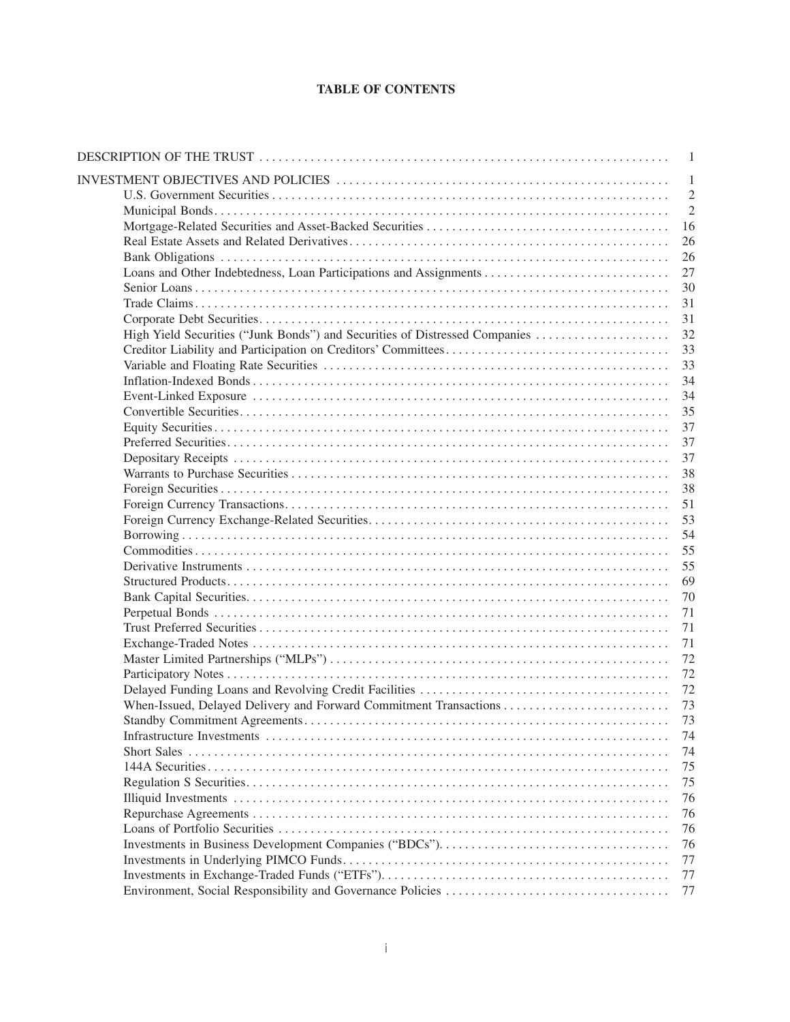# **TABLE OF CONTENTS**

|                                                                             | 1              |
|-----------------------------------------------------------------------------|----------------|
|                                                                             | 1              |
|                                                                             | $\overline{2}$ |
|                                                                             | $\overline{2}$ |
|                                                                             | 16             |
|                                                                             | 26             |
|                                                                             | 26             |
|                                                                             | 27             |
|                                                                             | 30             |
|                                                                             | 31             |
|                                                                             | 31             |
| High Yield Securities ("Junk Bonds") and Securities of Distressed Companies | 32             |
|                                                                             | 33             |
|                                                                             | 33             |
|                                                                             | 34             |
|                                                                             | 34             |
|                                                                             | 35             |
|                                                                             | 37             |
|                                                                             | 37             |
|                                                                             | 37             |
|                                                                             | 38             |
|                                                                             | 38             |
|                                                                             | 51             |
|                                                                             | 53             |
|                                                                             | 54             |
|                                                                             | 55             |
|                                                                             | 55             |
|                                                                             | 69             |
|                                                                             | 70             |
|                                                                             | 71             |
|                                                                             | 71             |
|                                                                             | 71             |
|                                                                             | 72             |
|                                                                             | 72             |
|                                                                             | 72             |
|                                                                             | 73             |
|                                                                             | 73             |
|                                                                             | 74             |
|                                                                             | 74             |
|                                                                             | 75             |
|                                                                             | 75             |
|                                                                             | 76             |
|                                                                             | 76             |
|                                                                             | 76             |
|                                                                             | 76             |
|                                                                             | 77             |
|                                                                             | 77             |
|                                                                             | 77             |
|                                                                             |                |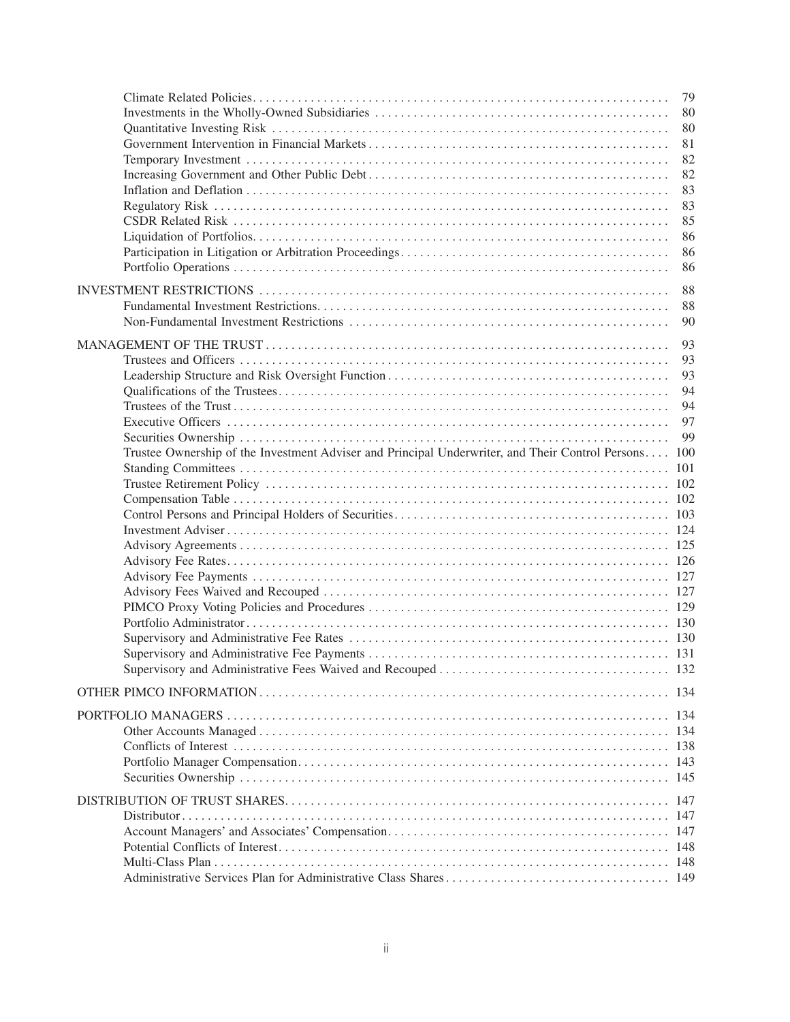|                                                                                                  | 79  |
|--------------------------------------------------------------------------------------------------|-----|
|                                                                                                  | 80  |
|                                                                                                  | 80  |
|                                                                                                  | 81  |
|                                                                                                  | 82  |
|                                                                                                  | 82  |
|                                                                                                  | 83  |
|                                                                                                  | 83  |
|                                                                                                  | 85  |
|                                                                                                  | 86  |
|                                                                                                  | 86  |
|                                                                                                  | 86  |
|                                                                                                  |     |
|                                                                                                  | 88  |
|                                                                                                  | 88  |
|                                                                                                  | 90  |
|                                                                                                  | 93  |
|                                                                                                  | 93  |
|                                                                                                  | 93  |
|                                                                                                  | 94  |
|                                                                                                  | 94  |
|                                                                                                  | 97  |
|                                                                                                  | 99  |
|                                                                                                  |     |
| Trustee Ownership of the Investment Adviser and Principal Underwriter, and Their Control Persons | 100 |
|                                                                                                  | 101 |
|                                                                                                  |     |
|                                                                                                  |     |
|                                                                                                  |     |
|                                                                                                  |     |
|                                                                                                  |     |
|                                                                                                  |     |
|                                                                                                  |     |
|                                                                                                  |     |
|                                                                                                  |     |
|                                                                                                  |     |
|                                                                                                  |     |
|                                                                                                  |     |
|                                                                                                  |     |
|                                                                                                  |     |
|                                                                                                  |     |
|                                                                                                  |     |
|                                                                                                  |     |
|                                                                                                  |     |
|                                                                                                  |     |
|                                                                                                  |     |
|                                                                                                  |     |
|                                                                                                  | 147 |
|                                                                                                  |     |
|                                                                                                  |     |
|                                                                                                  |     |
|                                                                                                  |     |
|                                                                                                  |     |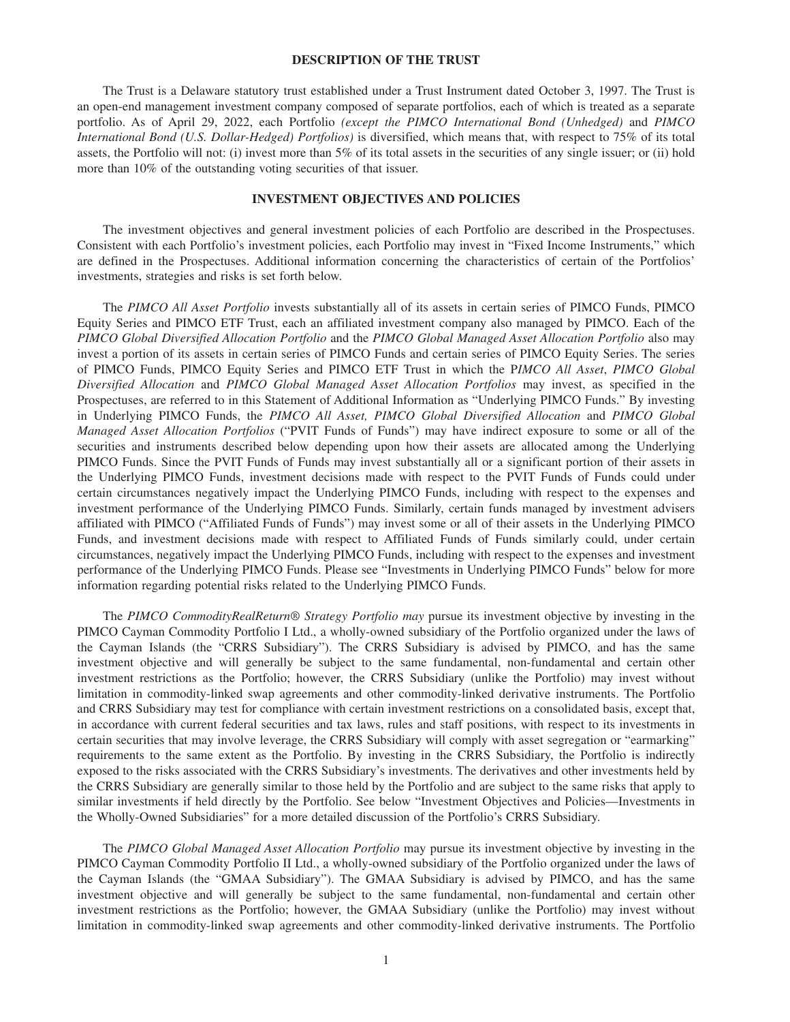### **DESCRIPTION OF THE TRUST**

<span id="page-4-0"></span>The Trust is a Delaware statutory trust established under a Trust Instrument dated October 3, 1997. The Trust is an open-end management investment company composed of separate portfolios, each of which is treated as a separate portfolio. As of April 29, 2022, each Portfolio *(except the PIMCO International Bond (Unhedged)* and *PIMCO International Bond (U.S. Dollar-Hedged) Portfolios)* is diversified, which means that, with respect to 75% of its total assets, the Portfolio will not: (i) invest more than 5% of its total assets in the securities of any single issuer; or (ii) hold more than 10% of the outstanding voting securities of that issuer.

## **INVESTMENT OBJECTIVES AND POLICIES**

The investment objectives and general investment policies of each Portfolio are described in the Prospectuses. Consistent with each Portfolio's investment policies, each Portfolio may invest in "Fixed Income Instruments," which are defined in the Prospectuses. Additional information concerning the characteristics of certain of the Portfolios' investments, strategies and risks is set forth below.

The *PIMCO All Asset Portfolio* invests substantially all of its assets in certain series of PIMCO Funds, PIMCO Equity Series and PIMCO ETF Trust, each an affiliated investment company also managed by PIMCO. Each of the *PIMCO Global Diversified Allocation Portfolio* and the *PIMCO Global Managed Asset Allocation Portfolio* also may invest a portion of its assets in certain series of PIMCO Funds and certain series of PIMCO Equity Series. The series of PIMCO Funds, PIMCO Equity Series and PIMCO ETF Trust in which the P*IMCO All Asset*, *PIMCO Global Diversified Allocation* and *PIMCO Global Managed Asset Allocation Portfolios* may invest, as specified in the Prospectuses, are referred to in this Statement of Additional Information as "Underlying PIMCO Funds." By investing in Underlying PIMCO Funds, the *PIMCO All Asset, PIMCO Global Diversified Allocation* and *PIMCO Global Managed Asset Allocation Portfolios* ("PVIT Funds of Funds") may have indirect exposure to some or all of the securities and instruments described below depending upon how their assets are allocated among the Underlying PIMCO Funds. Since the PVIT Funds of Funds may invest substantially all or a significant portion of their assets in the Underlying PIMCO Funds, investment decisions made with respect to the PVIT Funds of Funds could under certain circumstances negatively impact the Underlying PIMCO Funds, including with respect to the expenses and investment performance of the Underlying PIMCO Funds. Similarly, certain funds managed by investment advisers affiliated with PIMCO ("Affiliated Funds of Funds") may invest some or all of their assets in the Underlying PIMCO Funds, and investment decisions made with respect to Affiliated Funds of Funds similarly could, under certain circumstances, negatively impact the Underlying PIMCO Funds, including with respect to the expenses and investment performance of the Underlying PIMCO Funds. Please see "Investments in Underlying PIMCO Funds" below for more information regarding potential risks related to the Underlying PIMCO Funds.

The PIMCO CommodityRealReturn<sup>®</sup> Strategy Portfolio may pursue its investment objective by investing in the PIMCO Cayman Commodity Portfolio I Ltd., a wholly-owned subsidiary of the Portfolio organized under the laws of the Cayman Islands (the "CRRS Subsidiary"). The CRRS Subsidiary is advised by PIMCO, and has the same investment objective and will generally be subject to the same fundamental, non-fundamental and certain other investment restrictions as the Portfolio; however, the CRRS Subsidiary (unlike the Portfolio) may invest without limitation in commodity-linked swap agreements and other commodity-linked derivative instruments. The Portfolio and CRRS Subsidiary may test for compliance with certain investment restrictions on a consolidated basis, except that, in accordance with current federal securities and tax laws, rules and staff positions, with respect to its investments in certain securities that may involve leverage, the CRRS Subsidiary will comply with asset segregation or "earmarking" requirements to the same extent as the Portfolio. By investing in the CRRS Subsidiary, the Portfolio is indirectly exposed to the risks associated with the CRRS Subsidiary's investments. The derivatives and other investments held by the CRRS Subsidiary are generally similar to those held by the Portfolio and are subject to the same risks that apply to similar investments if held directly by the Portfolio. See below "Investment Objectives and Policies—Investments in the Wholly-Owned Subsidiaries" for a more detailed discussion of the Portfolio's CRRS Subsidiary.

The *PIMCO Global Managed Asset Allocation Portfolio* may pursue its investment objective by investing in the PIMCO Cayman Commodity Portfolio II Ltd., a wholly-owned subsidiary of the Portfolio organized under the laws of the Cayman Islands (the "GMAA Subsidiary"). The GMAA Subsidiary is advised by PIMCO, and has the same investment objective and will generally be subject to the same fundamental, non-fundamental and certain other investment restrictions as the Portfolio; however, the GMAA Subsidiary (unlike the Portfolio) may invest without limitation in commodity-linked swap agreements and other commodity-linked derivative instruments. The Portfolio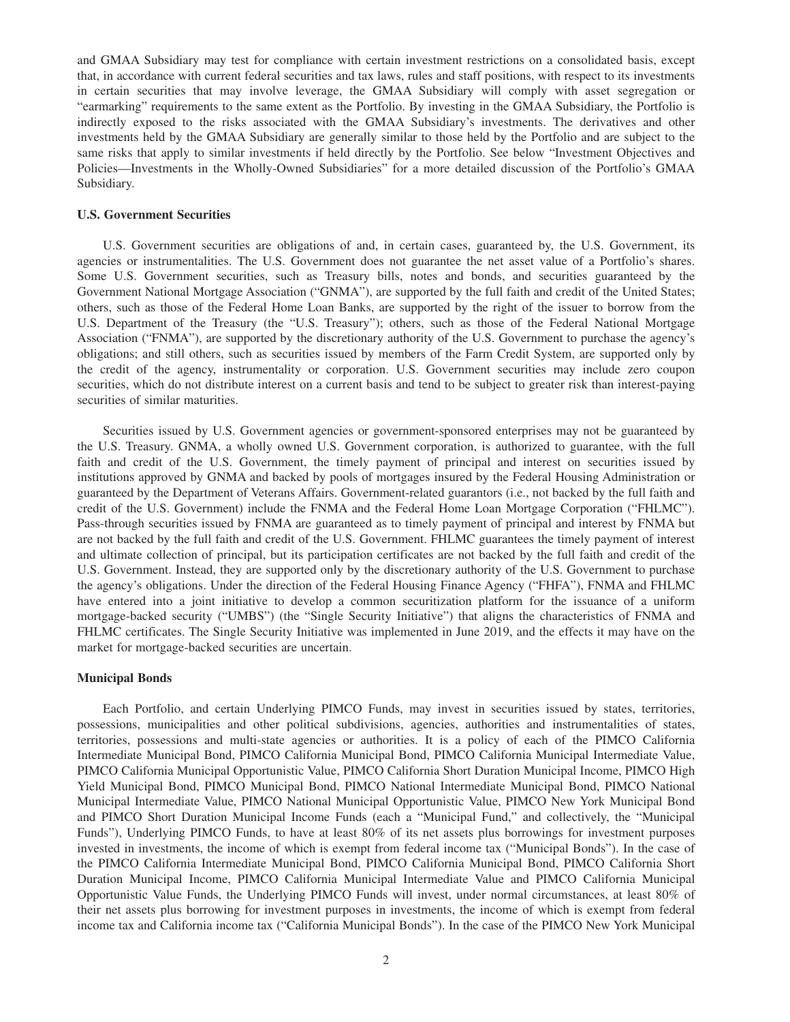<span id="page-5-0"></span>and GMAA Subsidiary may test for compliance with certain investment restrictions on a consolidated basis, except that, in accordance with current federal securities and tax laws, rules and staff positions, with respect to its investments in certain securities that may involve leverage, the GMAA Subsidiary will comply with asset segregation or "earmarking" requirements to the same extent as the Portfolio. By investing in the GMAA Subsidiary, the Portfolio is indirectly exposed to the risks associated with the GMAA Subsidiary's investments. The derivatives and other investments held by the GMAA Subsidiary are generally similar to those held by the Portfolio and are subject to the same risks that apply to similar investments if held directly by the Portfolio. See below "Investment Objectives and Policies—Investments in the Wholly-Owned Subsidiaries" for a more detailed discussion of the Portfolio's GMAA Subsidiary.

### **U.S. Government Securities**

U.S. Government securities are obligations of and, in certain cases, guaranteed by, the U.S. Government, its agencies or instrumentalities. The U.S. Government does not guarantee the net asset value of a Portfolio's shares. Some U.S. Government securities, such as Treasury bills, notes and bonds, and securities guaranteed by the Government National Mortgage Association ("GNMA"), are supported by the full faith and credit of the United States; others, such as those of the Federal Home Loan Banks, are supported by the right of the issuer to borrow from the U.S. Department of the Treasury (the "U.S. Treasury"); others, such as those of the Federal National Mortgage Association ("FNMA"), are supported by the discretionary authority of the U.S. Government to purchase the agency's obligations; and still others, such as securities issued by members of the Farm Credit System, are supported only by the credit of the agency, instrumentality or corporation. U.S. Government securities may include zero coupon securities, which do not distribute interest on a current basis and tend to be subject to greater risk than interest-paying securities of similar maturities.

Securities issued by U.S. Government agencies or government-sponsored enterprises may not be guaranteed by the U.S. Treasury. GNMA, a wholly owned U.S. Government corporation, is authorized to guarantee, with the full faith and credit of the U.S. Government, the timely payment of principal and interest on securities issued by institutions approved by GNMA and backed by pools of mortgages insured by the Federal Housing Administration or guaranteed by the Department of Veterans Affairs. Government-related guarantors (i.e., not backed by the full faith and credit of the U.S. Government) include the FNMA and the Federal Home Loan Mortgage Corporation ("FHLMC"). Pass-through securities issued by FNMA are guaranteed as to timely payment of principal and interest by FNMA but are not backed by the full faith and credit of the U.S. Government. FHLMC guarantees the timely payment of interest and ultimate collection of principal, but its participation certificates are not backed by the full faith and credit of the U.S. Government. Instead, they are supported only by the discretionary authority of the U.S. Government to purchase the agency's obligations. Under the direction of the Federal Housing Finance Agency ("FHFA"), FNMA and FHLMC have entered into a joint initiative to develop a common securitization platform for the issuance of a uniform mortgage-backed security ("UMBS") (the "Single Security Initiative") that aligns the characteristics of FNMA and FHLMC certificates. The Single Security Initiative was implemented in June 2019, and the effects it may have on the market for mortgage-backed securities are uncertain.

#### **Municipal Bonds**

Each Portfolio, and certain Underlying PIMCO Funds, may invest in securities issued by states, territories, possessions, municipalities and other political subdivisions, agencies, authorities and instrumentalities of states, territories, possessions and multi-state agencies or authorities. It is a policy of each of the PIMCO California Intermediate Municipal Bond, PIMCO California Municipal Bond, PIMCO California Municipal Intermediate Value, PIMCO California Municipal Opportunistic Value, PIMCO California Short Duration Municipal Income, PIMCO High Yield Municipal Bond, PIMCO Municipal Bond, PIMCO National Intermediate Municipal Bond, PIMCO National Municipal Intermediate Value, PIMCO National Municipal Opportunistic Value, PIMCO New York Municipal Bond and PIMCO Short Duration Municipal Income Funds (each a "Municipal Fund," and collectively, the "Municipal Funds"), Underlying PIMCO Funds, to have at least 80% of its net assets plus borrowings for investment purposes invested in investments, the income of which is exempt from federal income tax ("Municipal Bonds"). In the case of the PIMCO California Intermediate Municipal Bond, PIMCO California Municipal Bond, PIMCO California Short Duration Municipal Income, PIMCO California Municipal Intermediate Value and PIMCO California Municipal Opportunistic Value Funds, the Underlying PIMCO Funds will invest, under normal circumstances, at least 80% of their net assets plus borrowing for investment purposes in investments, the income of which is exempt from federal income tax and California income tax ("California Municipal Bonds"). In the case of the PIMCO New York Municipal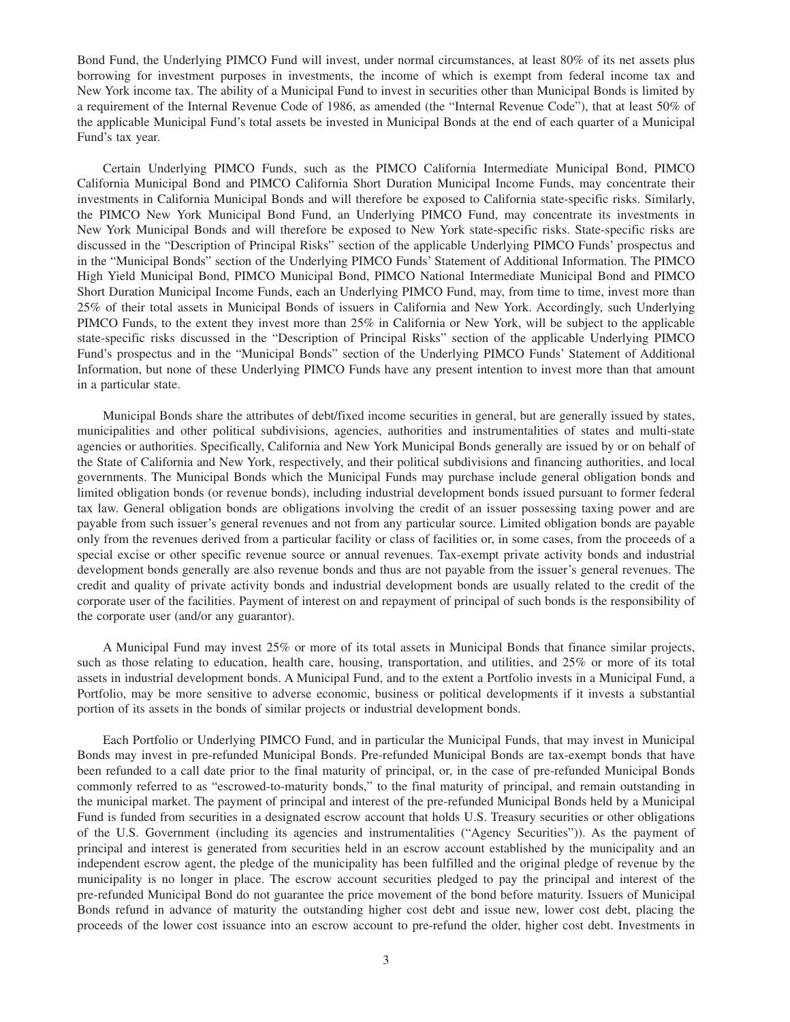Bond Fund, the Underlying PIMCO Fund will invest, under normal circumstances, at least 80% of its net assets plus borrowing for investment purposes in investments, the income of which is exempt from federal income tax and New York income tax. The ability of a Municipal Fund to invest in securities other than Municipal Bonds is limited by a requirement of the Internal Revenue Code of 1986, as amended (the "Internal Revenue Code"), that at least 50% of the applicable Municipal Fund's total assets be invested in Municipal Bonds at the end of each quarter of a Municipal Fund's tax year.

Certain Underlying PIMCO Funds, such as the PIMCO California Intermediate Municipal Bond, PIMCO California Municipal Bond and PIMCO California Short Duration Municipal Income Funds, may concentrate their investments in California Municipal Bonds and will therefore be exposed to California state-specific risks. Similarly, the PIMCO New York Municipal Bond Fund, an Underlying PIMCO Fund, may concentrate its investments in New York Municipal Bonds and will therefore be exposed to New York state-specific risks. State-specific risks are discussed in the "Description of Principal Risks" section of the applicable Underlying PIMCO Funds' prospectus and in the "Municipal Bonds" section of the Underlying PIMCO Funds' Statement of Additional Information. The PIMCO High Yield Municipal Bond, PIMCO Municipal Bond, PIMCO National Intermediate Municipal Bond and PIMCO Short Duration Municipal Income Funds, each an Underlying PIMCO Fund, may, from time to time, invest more than 25% of their total assets in Municipal Bonds of issuers in California and New York. Accordingly, such Underlying PIMCO Funds, to the extent they invest more than 25% in California or New York, will be subject to the applicable state-specific risks discussed in the "Description of Principal Risks" section of the applicable Underlying PIMCO Fund's prospectus and in the "Municipal Bonds" section of the Underlying PIMCO Funds' Statement of Additional Information, but none of these Underlying PIMCO Funds have any present intention to invest more than that amount in a particular state.

Municipal Bonds share the attributes of debt/fixed income securities in general, but are generally issued by states, municipalities and other political subdivisions, agencies, authorities and instrumentalities of states and multi-state agencies or authorities. Specifically, California and New York Municipal Bonds generally are issued by or on behalf of the State of California and New York, respectively, and their political subdivisions and financing authorities, and local governments. The Municipal Bonds which the Municipal Funds may purchase include general obligation bonds and limited obligation bonds (or revenue bonds), including industrial development bonds issued pursuant to former federal tax law. General obligation bonds are obligations involving the credit of an issuer possessing taxing power and are payable from such issuer's general revenues and not from any particular source. Limited obligation bonds are payable only from the revenues derived from a particular facility or class of facilities or, in some cases, from the proceeds of a special excise or other specific revenue source or annual revenues. Tax-exempt private activity bonds and industrial development bonds generally are also revenue bonds and thus are not payable from the issuer's general revenues. The credit and quality of private activity bonds and industrial development bonds are usually related to the credit of the corporate user of the facilities. Payment of interest on and repayment of principal of such bonds is the responsibility of the corporate user (and/or any guarantor).

A Municipal Fund may invest 25% or more of its total assets in Municipal Bonds that finance similar projects, such as those relating to education, health care, housing, transportation, and utilities, and 25% or more of its total assets in industrial development bonds. A Municipal Fund, and to the extent a Portfolio invests in a Municipal Fund, a Portfolio, may be more sensitive to adverse economic, business or political developments if it invests a substantial portion of its assets in the bonds of similar projects or industrial development bonds.

Each Portfolio or Underlying PIMCO Fund, and in particular the Municipal Funds, that may invest in Municipal Bonds may invest in pre-refunded Municipal Bonds. Pre-refunded Municipal Bonds are tax-exempt bonds that have been refunded to a call date prior to the final maturity of principal, or, in the case of pre-refunded Municipal Bonds commonly referred to as "escrowed-to-maturity bonds," to the final maturity of principal, and remain outstanding in the municipal market. The payment of principal and interest of the pre-refunded Municipal Bonds held by a Municipal Fund is funded from securities in a designated escrow account that holds U.S. Treasury securities or other obligations of the U.S. Government (including its agencies and instrumentalities ("Agency Securities")). As the payment of principal and interest is generated from securities held in an escrow account established by the municipality and an independent escrow agent, the pledge of the municipality has been fulfilled and the original pledge of revenue by the municipality is no longer in place. The escrow account securities pledged to pay the principal and interest of the pre-refunded Municipal Bond do not guarantee the price movement of the bond before maturity. Issuers of Municipal Bonds refund in advance of maturity the outstanding higher cost debt and issue new, lower cost debt, placing the proceeds of the lower cost issuance into an escrow account to pre-refund the older, higher cost debt. Investments in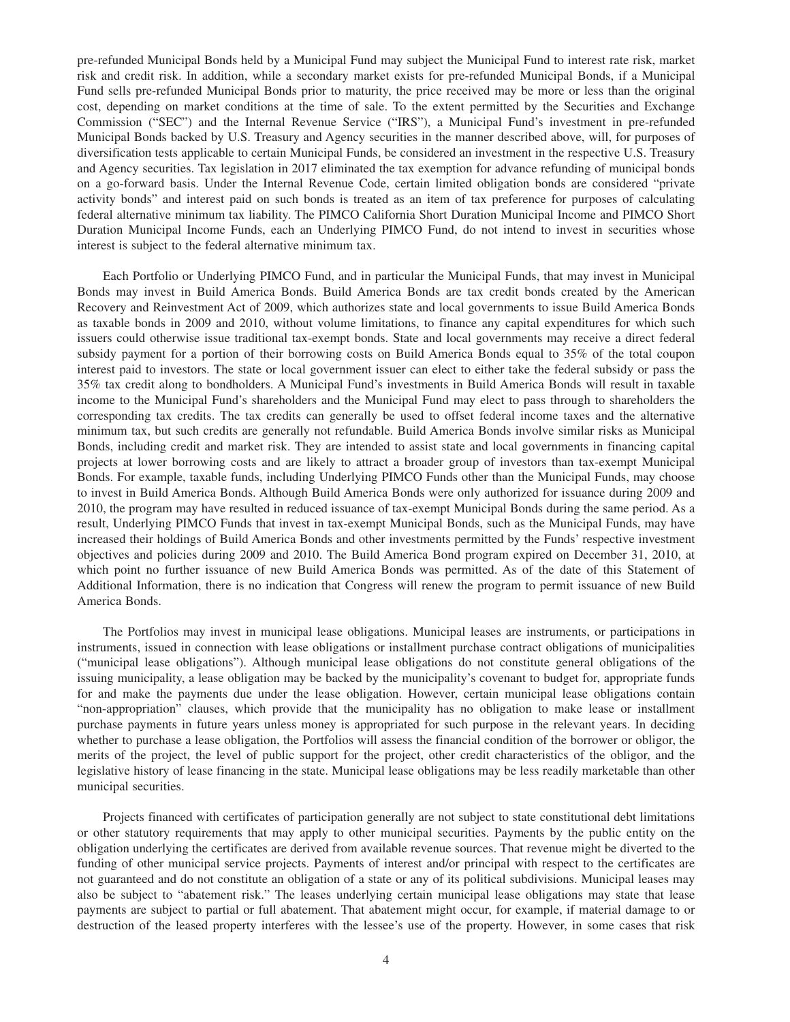pre-refunded Municipal Bonds held by a Municipal Fund may subject the Municipal Fund to interest rate risk, market risk and credit risk. In addition, while a secondary market exists for pre-refunded Municipal Bonds, if a Municipal Fund sells pre-refunded Municipal Bonds prior to maturity, the price received may be more or less than the original cost, depending on market conditions at the time of sale. To the extent permitted by the Securities and Exchange Commission ("SEC") and the Internal Revenue Service ("IRS"), a Municipal Fund's investment in pre-refunded Municipal Bonds backed by U.S. Treasury and Agency securities in the manner described above, will, for purposes of diversification tests applicable to certain Municipal Funds, be considered an investment in the respective U.S. Treasury and Agency securities. Tax legislation in 2017 eliminated the tax exemption for advance refunding of municipal bonds on a go-forward basis. Under the Internal Revenue Code, certain limited obligation bonds are considered "private activity bonds" and interest paid on such bonds is treated as an item of tax preference for purposes of calculating federal alternative minimum tax liability. The PIMCO California Short Duration Municipal Income and PIMCO Short Duration Municipal Income Funds, each an Underlying PIMCO Fund, do not intend to invest in securities whose interest is subject to the federal alternative minimum tax.

Each Portfolio or Underlying PIMCO Fund, and in particular the Municipal Funds, that may invest in Municipal Bonds may invest in Build America Bonds. Build America Bonds are tax credit bonds created by the American Recovery and Reinvestment Act of 2009, which authorizes state and local governments to issue Build America Bonds as taxable bonds in 2009 and 2010, without volume limitations, to finance any capital expenditures for which such issuers could otherwise issue traditional tax-exempt bonds. State and local governments may receive a direct federal subsidy payment for a portion of their borrowing costs on Build America Bonds equal to 35% of the total coupon interest paid to investors. The state or local government issuer can elect to either take the federal subsidy or pass the 35% tax credit along to bondholders. A Municipal Fund's investments in Build America Bonds will result in taxable income to the Municipal Fund's shareholders and the Municipal Fund may elect to pass through to shareholders the corresponding tax credits. The tax credits can generally be used to offset federal income taxes and the alternative minimum tax, but such credits are generally not refundable. Build America Bonds involve similar risks as Municipal Bonds, including credit and market risk. They are intended to assist state and local governments in financing capital projects at lower borrowing costs and are likely to attract a broader group of investors than tax-exempt Municipal Bonds. For example, taxable funds, including Underlying PIMCO Funds other than the Municipal Funds, may choose to invest in Build America Bonds. Although Build America Bonds were only authorized for issuance during 2009 and 2010, the program may have resulted in reduced issuance of tax-exempt Municipal Bonds during the same period. As a result, Underlying PIMCO Funds that invest in tax-exempt Municipal Bonds, such as the Municipal Funds, may have increased their holdings of Build America Bonds and other investments permitted by the Funds' respective investment objectives and policies during 2009 and 2010. The Build America Bond program expired on December 31, 2010, at which point no further issuance of new Build America Bonds was permitted. As of the date of this Statement of Additional Information, there is no indication that Congress will renew the program to permit issuance of new Build America Bonds.

The Portfolios may invest in municipal lease obligations. Municipal leases are instruments, or participations in instruments, issued in connection with lease obligations or installment purchase contract obligations of municipalities ("municipal lease obligations"). Although municipal lease obligations do not constitute general obligations of the issuing municipality, a lease obligation may be backed by the municipality's covenant to budget for, appropriate funds for and make the payments due under the lease obligation. However, certain municipal lease obligations contain "non-appropriation" clauses, which provide that the municipality has no obligation to make lease or installment purchase payments in future years unless money is appropriated for such purpose in the relevant years. In deciding whether to purchase a lease obligation, the Portfolios will assess the financial condition of the borrower or obligor, the merits of the project, the level of public support for the project, other credit characteristics of the obligor, and the legislative history of lease financing in the state. Municipal lease obligations may be less readily marketable than other municipal securities.

Projects financed with certificates of participation generally are not subject to state constitutional debt limitations or other statutory requirements that may apply to other municipal securities. Payments by the public entity on the obligation underlying the certificates are derived from available revenue sources. That revenue might be diverted to the funding of other municipal service projects. Payments of interest and/or principal with respect to the certificates are not guaranteed and do not constitute an obligation of a state or any of its political subdivisions. Municipal leases may also be subject to "abatement risk." The leases underlying certain municipal lease obligations may state that lease payments are subject to partial or full abatement. That abatement might occur, for example, if material damage to or destruction of the leased property interferes with the lessee's use of the property. However, in some cases that risk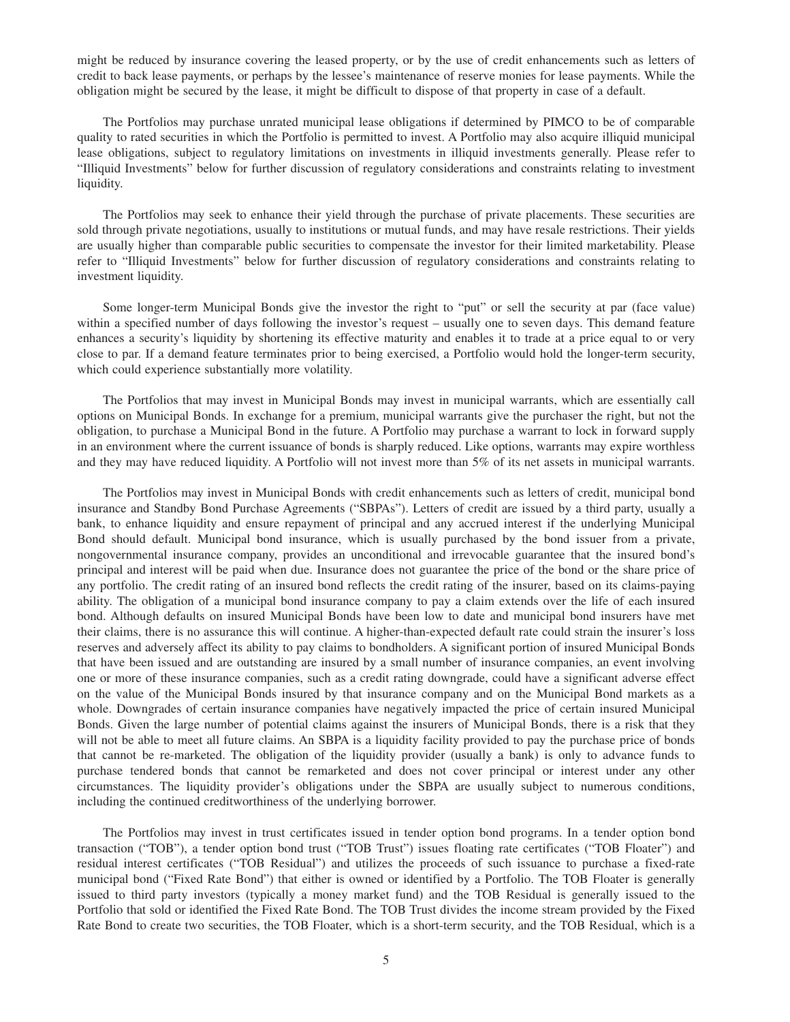might be reduced by insurance covering the leased property, or by the use of credit enhancements such as letters of credit to back lease payments, or perhaps by the lessee's maintenance of reserve monies for lease payments. While the obligation might be secured by the lease, it might be difficult to dispose of that property in case of a default.

The Portfolios may purchase unrated municipal lease obligations if determined by PIMCO to be of comparable quality to rated securities in which the Portfolio is permitted to invest. A Portfolio may also acquire illiquid municipal lease obligations, subject to regulatory limitations on investments in illiquid investments generally. Please refer to "Illiquid Investments" below for further discussion of regulatory considerations and constraints relating to investment liquidity.

The Portfolios may seek to enhance their yield through the purchase of private placements. These securities are sold through private negotiations, usually to institutions or mutual funds, and may have resale restrictions. Their yields are usually higher than comparable public securities to compensate the investor for their limited marketability. Please refer to "Illiquid Investments" below for further discussion of regulatory considerations and constraints relating to investment liquidity.

Some longer-term Municipal Bonds give the investor the right to "put" or sell the security at par (face value) within a specified number of days following the investor's request – usually one to seven days. This demand feature enhances a security's liquidity by shortening its effective maturity and enables it to trade at a price equal to or very close to par. If a demand feature terminates prior to being exercised, a Portfolio would hold the longer-term security, which could experience substantially more volatility.

The Portfolios that may invest in Municipal Bonds may invest in municipal warrants, which are essentially call options on Municipal Bonds. In exchange for a premium, municipal warrants give the purchaser the right, but not the obligation, to purchase a Municipal Bond in the future. A Portfolio may purchase a warrant to lock in forward supply in an environment where the current issuance of bonds is sharply reduced. Like options, warrants may expire worthless and they may have reduced liquidity. A Portfolio will not invest more than 5% of its net assets in municipal warrants.

The Portfolios may invest in Municipal Bonds with credit enhancements such as letters of credit, municipal bond insurance and Standby Bond Purchase Agreements ("SBPAs"). Letters of credit are issued by a third party, usually a bank, to enhance liquidity and ensure repayment of principal and any accrued interest if the underlying Municipal Bond should default. Municipal bond insurance, which is usually purchased by the bond issuer from a private, nongovernmental insurance company, provides an unconditional and irrevocable guarantee that the insured bond's principal and interest will be paid when due. Insurance does not guarantee the price of the bond or the share price of any portfolio. The credit rating of an insured bond reflects the credit rating of the insurer, based on its claims-paying ability. The obligation of a municipal bond insurance company to pay a claim extends over the life of each insured bond. Although defaults on insured Municipal Bonds have been low to date and municipal bond insurers have met their claims, there is no assurance this will continue. A higher-than-expected default rate could strain the insurer's loss reserves and adversely affect its ability to pay claims to bondholders. A significant portion of insured Municipal Bonds that have been issued and are outstanding are insured by a small number of insurance companies, an event involving one or more of these insurance companies, such as a credit rating downgrade, could have a significant adverse effect on the value of the Municipal Bonds insured by that insurance company and on the Municipal Bond markets as a whole. Downgrades of certain insurance companies have negatively impacted the price of certain insured Municipal Bonds. Given the large number of potential claims against the insurers of Municipal Bonds, there is a risk that they will not be able to meet all future claims. An SBPA is a liquidity facility provided to pay the purchase price of bonds that cannot be re-marketed. The obligation of the liquidity provider (usually a bank) is only to advance funds to purchase tendered bonds that cannot be remarketed and does not cover principal or interest under any other circumstances. The liquidity provider's obligations under the SBPA are usually subject to numerous conditions, including the continued creditworthiness of the underlying borrower.

The Portfolios may invest in trust certificates issued in tender option bond programs. In a tender option bond transaction ("TOB"), a tender option bond trust ("TOB Trust") issues floating rate certificates ("TOB Floater") and residual interest certificates ("TOB Residual") and utilizes the proceeds of such issuance to purchase a fixed-rate municipal bond ("Fixed Rate Bond") that either is owned or identified by a Portfolio. The TOB Floater is generally issued to third party investors (typically a money market fund) and the TOB Residual is generally issued to the Portfolio that sold or identified the Fixed Rate Bond. The TOB Trust divides the income stream provided by the Fixed Rate Bond to create two securities, the TOB Floater, which is a short-term security, and the TOB Residual, which is a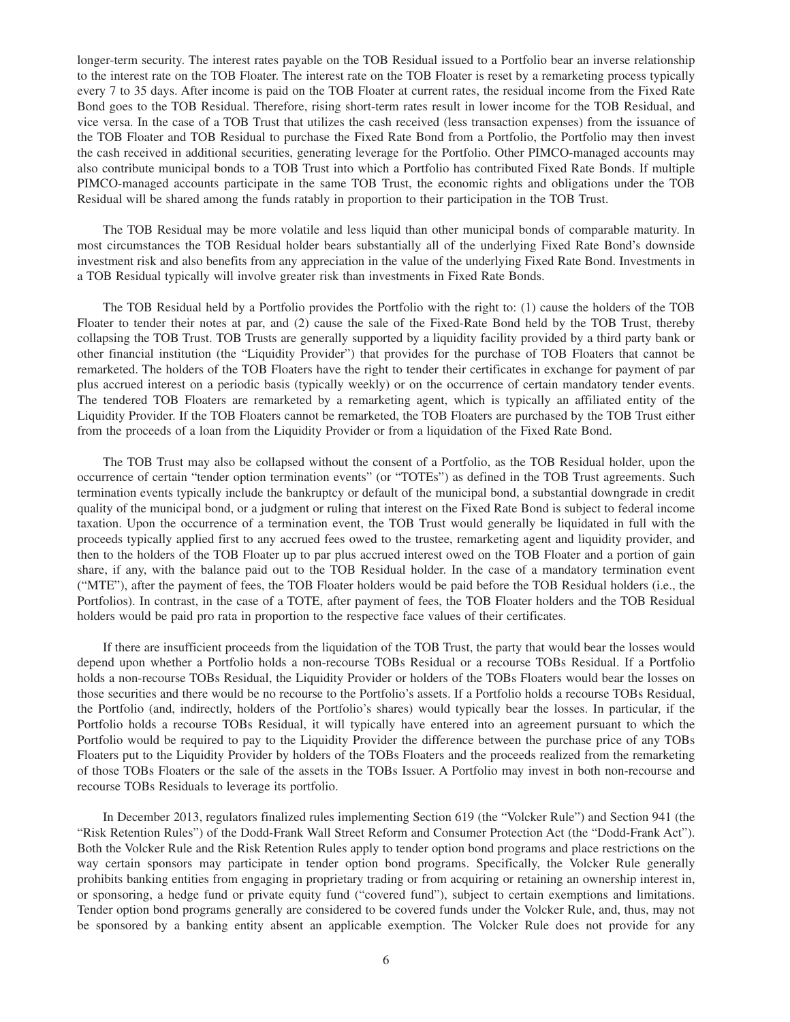longer-term security. The interest rates payable on the TOB Residual issued to a Portfolio bear an inverse relationship to the interest rate on the TOB Floater. The interest rate on the TOB Floater is reset by a remarketing process typically every 7 to 35 days. After income is paid on the TOB Floater at current rates, the residual income from the Fixed Rate Bond goes to the TOB Residual. Therefore, rising short-term rates result in lower income for the TOB Residual, and vice versa. In the case of a TOB Trust that utilizes the cash received (less transaction expenses) from the issuance of the TOB Floater and TOB Residual to purchase the Fixed Rate Bond from a Portfolio, the Portfolio may then invest the cash received in additional securities, generating leverage for the Portfolio. Other PIMCO-managed accounts may also contribute municipal bonds to a TOB Trust into which a Portfolio has contributed Fixed Rate Bonds. If multiple PIMCO-managed accounts participate in the same TOB Trust, the economic rights and obligations under the TOB Residual will be shared among the funds ratably in proportion to their participation in the TOB Trust.

The TOB Residual may be more volatile and less liquid than other municipal bonds of comparable maturity. In most circumstances the TOB Residual holder bears substantially all of the underlying Fixed Rate Bond's downside investment risk and also benefits from any appreciation in the value of the underlying Fixed Rate Bond. Investments in a TOB Residual typically will involve greater risk than investments in Fixed Rate Bonds.

The TOB Residual held by a Portfolio provides the Portfolio with the right to: (1) cause the holders of the TOB Floater to tender their notes at par, and (2) cause the sale of the Fixed-Rate Bond held by the TOB Trust, thereby collapsing the TOB Trust. TOB Trusts are generally supported by a liquidity facility provided by a third party bank or other financial institution (the "Liquidity Provider") that provides for the purchase of TOB Floaters that cannot be remarketed. The holders of the TOB Floaters have the right to tender their certificates in exchange for payment of par plus accrued interest on a periodic basis (typically weekly) or on the occurrence of certain mandatory tender events. The tendered TOB Floaters are remarketed by a remarketing agent, which is typically an affiliated entity of the Liquidity Provider. If the TOB Floaters cannot be remarketed, the TOB Floaters are purchased by the TOB Trust either from the proceeds of a loan from the Liquidity Provider or from a liquidation of the Fixed Rate Bond.

The TOB Trust may also be collapsed without the consent of a Portfolio, as the TOB Residual holder, upon the occurrence of certain "tender option termination events" (or "TOTEs") as defined in the TOB Trust agreements. Such termination events typically include the bankruptcy or default of the municipal bond, a substantial downgrade in credit quality of the municipal bond, or a judgment or ruling that interest on the Fixed Rate Bond is subject to federal income taxation. Upon the occurrence of a termination event, the TOB Trust would generally be liquidated in full with the proceeds typically applied first to any accrued fees owed to the trustee, remarketing agent and liquidity provider, and then to the holders of the TOB Floater up to par plus accrued interest owed on the TOB Floater and a portion of gain share, if any, with the balance paid out to the TOB Residual holder. In the case of a mandatory termination event ("MTE"), after the payment of fees, the TOB Floater holders would be paid before the TOB Residual holders (i.e., the Portfolios). In contrast, in the case of a TOTE, after payment of fees, the TOB Floater holders and the TOB Residual holders would be paid pro rata in proportion to the respective face values of their certificates.

If there are insufficient proceeds from the liquidation of the TOB Trust, the party that would bear the losses would depend upon whether a Portfolio holds a non-recourse TOBs Residual or a recourse TOBs Residual. If a Portfolio holds a non-recourse TOBs Residual, the Liquidity Provider or holders of the TOBs Floaters would bear the losses on those securities and there would be no recourse to the Portfolio's assets. If a Portfolio holds a recourse TOBs Residual, the Portfolio (and, indirectly, holders of the Portfolio's shares) would typically bear the losses. In particular, if the Portfolio holds a recourse TOBs Residual, it will typically have entered into an agreement pursuant to which the Portfolio would be required to pay to the Liquidity Provider the difference between the purchase price of any TOBs Floaters put to the Liquidity Provider by holders of the TOBs Floaters and the proceeds realized from the remarketing of those TOBs Floaters or the sale of the assets in the TOBs Issuer. A Portfolio may invest in both non-recourse and recourse TOBs Residuals to leverage its portfolio.

In December 2013, regulators finalized rules implementing Section 619 (the "Volcker Rule") and Section 941 (the "Risk Retention Rules") of the Dodd-Frank Wall Street Reform and Consumer Protection Act (the "Dodd-Frank Act"). Both the Volcker Rule and the Risk Retention Rules apply to tender option bond programs and place restrictions on the way certain sponsors may participate in tender option bond programs. Specifically, the Volcker Rule generally prohibits banking entities from engaging in proprietary trading or from acquiring or retaining an ownership interest in, or sponsoring, a hedge fund or private equity fund ("covered fund"), subject to certain exemptions and limitations. Tender option bond programs generally are considered to be covered funds under the Volcker Rule, and, thus, may not be sponsored by a banking entity absent an applicable exemption. The Volcker Rule does not provide for any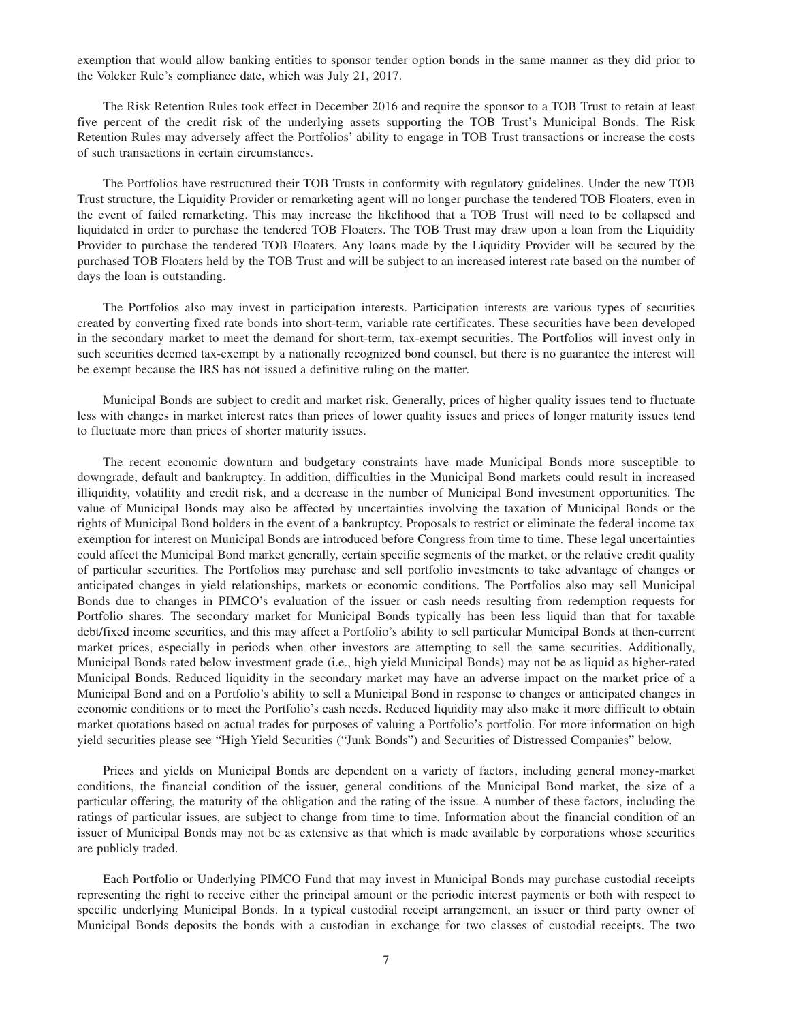exemption that would allow banking entities to sponsor tender option bonds in the same manner as they did prior to the Volcker Rule's compliance date, which was July 21, 2017.

The Risk Retention Rules took effect in December 2016 and require the sponsor to a TOB Trust to retain at least five percent of the credit risk of the underlying assets supporting the TOB Trust's Municipal Bonds. The Risk Retention Rules may adversely affect the Portfolios' ability to engage in TOB Trust transactions or increase the costs of such transactions in certain circumstances.

The Portfolios have restructured their TOB Trusts in conformity with regulatory guidelines. Under the new TOB Trust structure, the Liquidity Provider or remarketing agent will no longer purchase the tendered TOB Floaters, even in the event of failed remarketing. This may increase the likelihood that a TOB Trust will need to be collapsed and liquidated in order to purchase the tendered TOB Floaters. The TOB Trust may draw upon a loan from the Liquidity Provider to purchase the tendered TOB Floaters. Any loans made by the Liquidity Provider will be secured by the purchased TOB Floaters held by the TOB Trust and will be subject to an increased interest rate based on the number of days the loan is outstanding.

The Portfolios also may invest in participation interests. Participation interests are various types of securities created by converting fixed rate bonds into short-term, variable rate certificates. These securities have been developed in the secondary market to meet the demand for short-term, tax-exempt securities. The Portfolios will invest only in such securities deemed tax-exempt by a nationally recognized bond counsel, but there is no guarantee the interest will be exempt because the IRS has not issued a definitive ruling on the matter.

Municipal Bonds are subject to credit and market risk. Generally, prices of higher quality issues tend to fluctuate less with changes in market interest rates than prices of lower quality issues and prices of longer maturity issues tend to fluctuate more than prices of shorter maturity issues.

The recent economic downturn and budgetary constraints have made Municipal Bonds more susceptible to downgrade, default and bankruptcy. In addition, difficulties in the Municipal Bond markets could result in increased illiquidity, volatility and credit risk, and a decrease in the number of Municipal Bond investment opportunities. The value of Municipal Bonds may also be affected by uncertainties involving the taxation of Municipal Bonds or the rights of Municipal Bond holders in the event of a bankruptcy. Proposals to restrict or eliminate the federal income tax exemption for interest on Municipal Bonds are introduced before Congress from time to time. These legal uncertainties could affect the Municipal Bond market generally, certain specific segments of the market, or the relative credit quality of particular securities. The Portfolios may purchase and sell portfolio investments to take advantage of changes or anticipated changes in yield relationships, markets or economic conditions. The Portfolios also may sell Municipal Bonds due to changes in PIMCO's evaluation of the issuer or cash needs resulting from redemption requests for Portfolio shares. The secondary market for Municipal Bonds typically has been less liquid than that for taxable debt/fixed income securities, and this may affect a Portfolio's ability to sell particular Municipal Bonds at then-current market prices, especially in periods when other investors are attempting to sell the same securities. Additionally, Municipal Bonds rated below investment grade (i.e., high yield Municipal Bonds) may not be as liquid as higher-rated Municipal Bonds. Reduced liquidity in the secondary market may have an adverse impact on the market price of a Municipal Bond and on a Portfolio's ability to sell a Municipal Bond in response to changes or anticipated changes in economic conditions or to meet the Portfolio's cash needs. Reduced liquidity may also make it more difficult to obtain market quotations based on actual trades for purposes of valuing a Portfolio's portfolio. For more information on high yield securities please see "High Yield Securities ("Junk Bonds") and Securities of Distressed Companies" below.

Prices and yields on Municipal Bonds are dependent on a variety of factors, including general money-market conditions, the financial condition of the issuer, general conditions of the Municipal Bond market, the size of a particular offering, the maturity of the obligation and the rating of the issue. A number of these factors, including the ratings of particular issues, are subject to change from time to time. Information about the financial condition of an issuer of Municipal Bonds may not be as extensive as that which is made available by corporations whose securities are publicly traded.

Each Portfolio or Underlying PIMCO Fund that may invest in Municipal Bonds may purchase custodial receipts representing the right to receive either the principal amount or the periodic interest payments or both with respect to specific underlying Municipal Bonds. In a typical custodial receipt arrangement, an issuer or third party owner of Municipal Bonds deposits the bonds with a custodian in exchange for two classes of custodial receipts. The two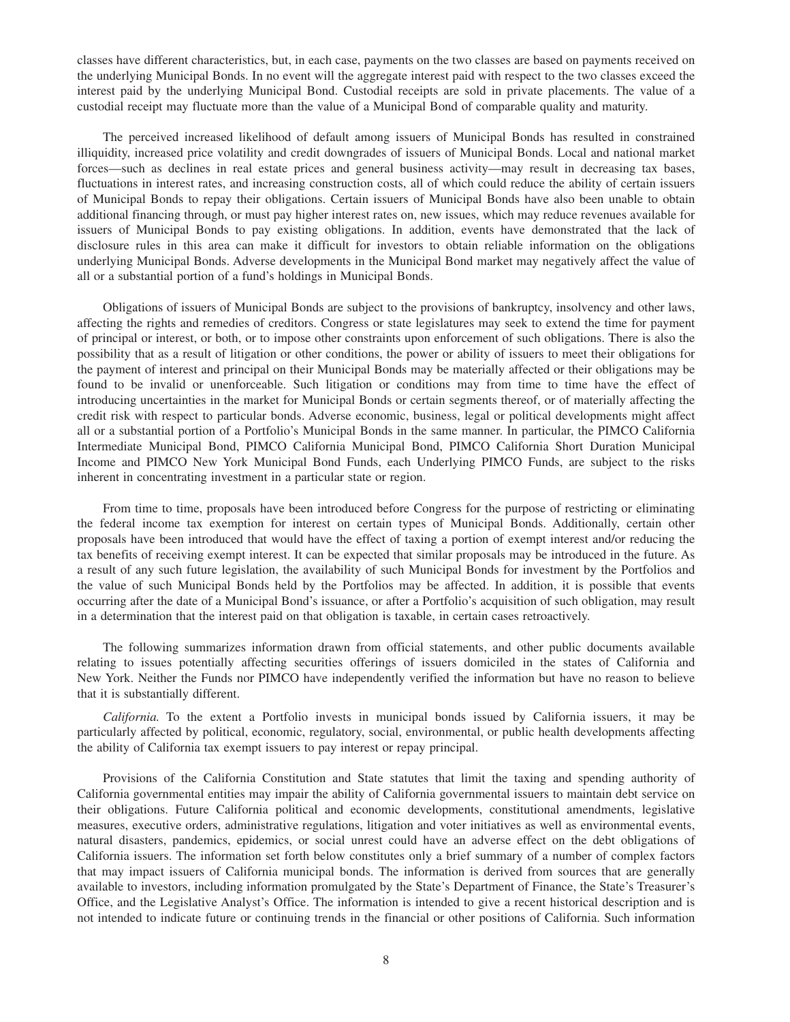classes have different characteristics, but, in each case, payments on the two classes are based on payments received on the underlying Municipal Bonds. In no event will the aggregate interest paid with respect to the two classes exceed the interest paid by the underlying Municipal Bond. Custodial receipts are sold in private placements. The value of a custodial receipt may fluctuate more than the value of a Municipal Bond of comparable quality and maturity.

The perceived increased likelihood of default among issuers of Municipal Bonds has resulted in constrained illiquidity, increased price volatility and credit downgrades of issuers of Municipal Bonds. Local and national market forces—such as declines in real estate prices and general business activity—may result in decreasing tax bases, fluctuations in interest rates, and increasing construction costs, all of which could reduce the ability of certain issuers of Municipal Bonds to repay their obligations. Certain issuers of Municipal Bonds have also been unable to obtain additional financing through, or must pay higher interest rates on, new issues, which may reduce revenues available for issuers of Municipal Bonds to pay existing obligations. In addition, events have demonstrated that the lack of disclosure rules in this area can make it difficult for investors to obtain reliable information on the obligations underlying Municipal Bonds. Adverse developments in the Municipal Bond market may negatively affect the value of all or a substantial portion of a fund's holdings in Municipal Bonds.

Obligations of issuers of Municipal Bonds are subject to the provisions of bankruptcy, insolvency and other laws, affecting the rights and remedies of creditors. Congress or state legislatures may seek to extend the time for payment of principal or interest, or both, or to impose other constraints upon enforcement of such obligations. There is also the possibility that as a result of litigation or other conditions, the power or ability of issuers to meet their obligations for the payment of interest and principal on their Municipal Bonds may be materially affected or their obligations may be found to be invalid or unenforceable. Such litigation or conditions may from time to time have the effect of introducing uncertainties in the market for Municipal Bonds or certain segments thereof, or of materially affecting the credit risk with respect to particular bonds. Adverse economic, business, legal or political developments might affect all or a substantial portion of a Portfolio's Municipal Bonds in the same manner. In particular, the PIMCO California Intermediate Municipal Bond, PIMCO California Municipal Bond, PIMCO California Short Duration Municipal Income and PIMCO New York Municipal Bond Funds, each Underlying PIMCO Funds, are subject to the risks inherent in concentrating investment in a particular state or region.

From time to time, proposals have been introduced before Congress for the purpose of restricting or eliminating the federal income tax exemption for interest on certain types of Municipal Bonds. Additionally, certain other proposals have been introduced that would have the effect of taxing a portion of exempt interest and/or reducing the tax benefits of receiving exempt interest. It can be expected that similar proposals may be introduced in the future. As a result of any such future legislation, the availability of such Municipal Bonds for investment by the Portfolios and the value of such Municipal Bonds held by the Portfolios may be affected. In addition, it is possible that events occurring after the date of a Municipal Bond's issuance, or after a Portfolio's acquisition of such obligation, may result in a determination that the interest paid on that obligation is taxable, in certain cases retroactively.

The following summarizes information drawn from official statements, and other public documents available relating to issues potentially affecting securities offerings of issuers domiciled in the states of California and New York. Neither the Funds nor PIMCO have independently verified the information but have no reason to believe that it is substantially different.

*California.* To the extent a Portfolio invests in municipal bonds issued by California issuers, it may be particularly affected by political, economic, regulatory, social, environmental, or public health developments affecting the ability of California tax exempt issuers to pay interest or repay principal.

Provisions of the California Constitution and State statutes that limit the taxing and spending authority of California governmental entities may impair the ability of California governmental issuers to maintain debt service on their obligations. Future California political and economic developments, constitutional amendments, legislative measures, executive orders, administrative regulations, litigation and voter initiatives as well as environmental events, natural disasters, pandemics, epidemics, or social unrest could have an adverse effect on the debt obligations of California issuers. The information set forth below constitutes only a brief summary of a number of complex factors that may impact issuers of California municipal bonds. The information is derived from sources that are generally available to investors, including information promulgated by the State's Department of Finance, the State's Treasurer's Office, and the Legislative Analyst's Office. The information is intended to give a recent historical description and is not intended to indicate future or continuing trends in the financial or other positions of California. Such information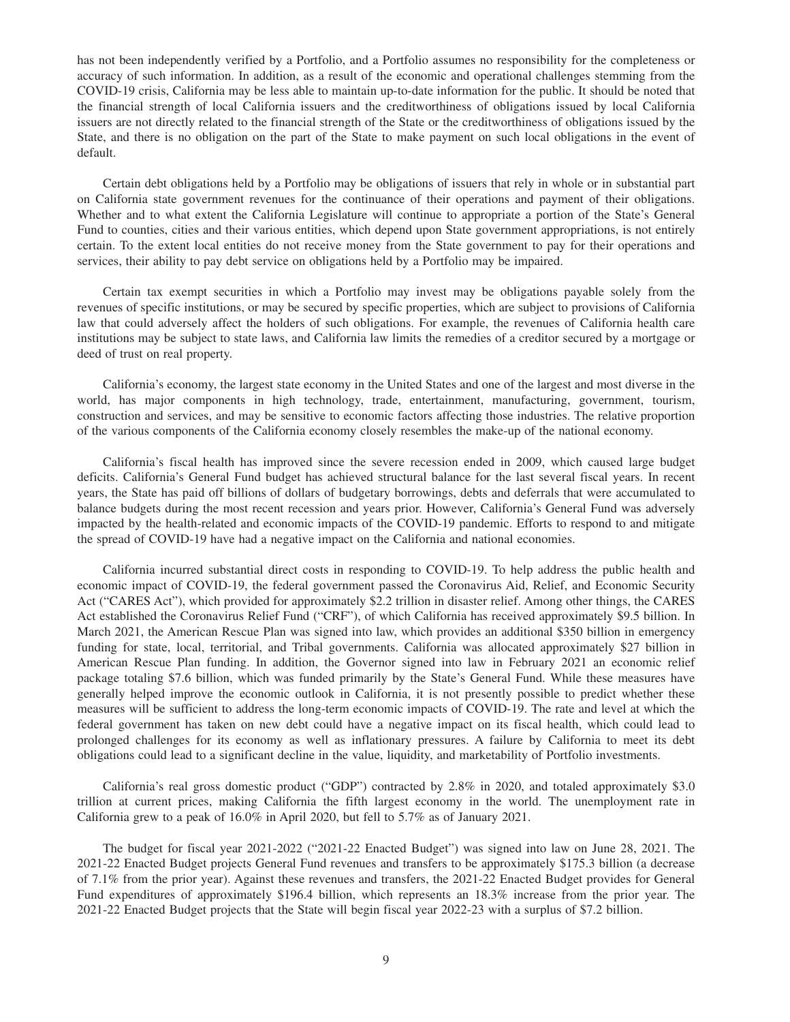has not been independently verified by a Portfolio, and a Portfolio assumes no responsibility for the completeness or accuracy of such information. In addition, as a result of the economic and operational challenges stemming from the COVID-19 crisis, California may be less able to maintain up-to-date information for the public. It should be noted that the financial strength of local California issuers and the creditworthiness of obligations issued by local California issuers are not directly related to the financial strength of the State or the creditworthiness of obligations issued by the State, and there is no obligation on the part of the State to make payment on such local obligations in the event of default.

Certain debt obligations held by a Portfolio may be obligations of issuers that rely in whole or in substantial part on California state government revenues for the continuance of their operations and payment of their obligations. Whether and to what extent the California Legislature will continue to appropriate a portion of the State's General Fund to counties, cities and their various entities, which depend upon State government appropriations, is not entirely certain. To the extent local entities do not receive money from the State government to pay for their operations and services, their ability to pay debt service on obligations held by a Portfolio may be impaired.

Certain tax exempt securities in which a Portfolio may invest may be obligations payable solely from the revenues of specific institutions, or may be secured by specific properties, which are subject to provisions of California law that could adversely affect the holders of such obligations. For example, the revenues of California health care institutions may be subject to state laws, and California law limits the remedies of a creditor secured by a mortgage or deed of trust on real property.

California's economy, the largest state economy in the United States and one of the largest and most diverse in the world, has major components in high technology, trade, entertainment, manufacturing, government, tourism, construction and services, and may be sensitive to economic factors affecting those industries. The relative proportion of the various components of the California economy closely resembles the make-up of the national economy.

California's fiscal health has improved since the severe recession ended in 2009, which caused large budget deficits. California's General Fund budget has achieved structural balance for the last several fiscal years. In recent years, the State has paid off billions of dollars of budgetary borrowings, debts and deferrals that were accumulated to balance budgets during the most recent recession and years prior. However, California's General Fund was adversely impacted by the health-related and economic impacts of the COVID-19 pandemic. Efforts to respond to and mitigate the spread of COVID-19 have had a negative impact on the California and national economies.

California incurred substantial direct costs in responding to COVID-19. To help address the public health and economic impact of COVID-19, the federal government passed the Coronavirus Aid, Relief, and Economic Security Act ("CARES Act"), which provided for approximately \$2.2 trillion in disaster relief. Among other things, the CARES Act established the Coronavirus Relief Fund ("CRF"), of which California has received approximately \$9.5 billion. In March 2021, the American Rescue Plan was signed into law, which provides an additional \$350 billion in emergency funding for state, local, territorial, and Tribal governments. California was allocated approximately \$27 billion in American Rescue Plan funding. In addition, the Governor signed into law in February 2021 an economic relief package totaling \$7.6 billion, which was funded primarily by the State's General Fund. While these measures have generally helped improve the economic outlook in California, it is not presently possible to predict whether these measures will be sufficient to address the long-term economic impacts of COVID-19. The rate and level at which the federal government has taken on new debt could have a negative impact on its fiscal health, which could lead to prolonged challenges for its economy as well as inflationary pressures. A failure by California to meet its debt obligations could lead to a significant decline in the value, liquidity, and marketability of Portfolio investments.

California's real gross domestic product ("GDP") contracted by 2.8% in 2020, and totaled approximately \$3.0 trillion at current prices, making California the fifth largest economy in the world. The unemployment rate in California grew to a peak of 16.0% in April 2020, but fell to 5.7% as of January 2021.

The budget for fiscal year 2021-2022 ("2021-22 Enacted Budget") was signed into law on June 28, 2021. The 2021-22 Enacted Budget projects General Fund revenues and transfers to be approximately \$175.3 billion (a decrease of 7.1% from the prior year). Against these revenues and transfers, the 2021-22 Enacted Budget provides for General Fund expenditures of approximately \$196.4 billion, which represents an 18.3% increase from the prior year. The 2021-22 Enacted Budget projects that the State will begin fiscal year 2022-23 with a surplus of \$7.2 billion.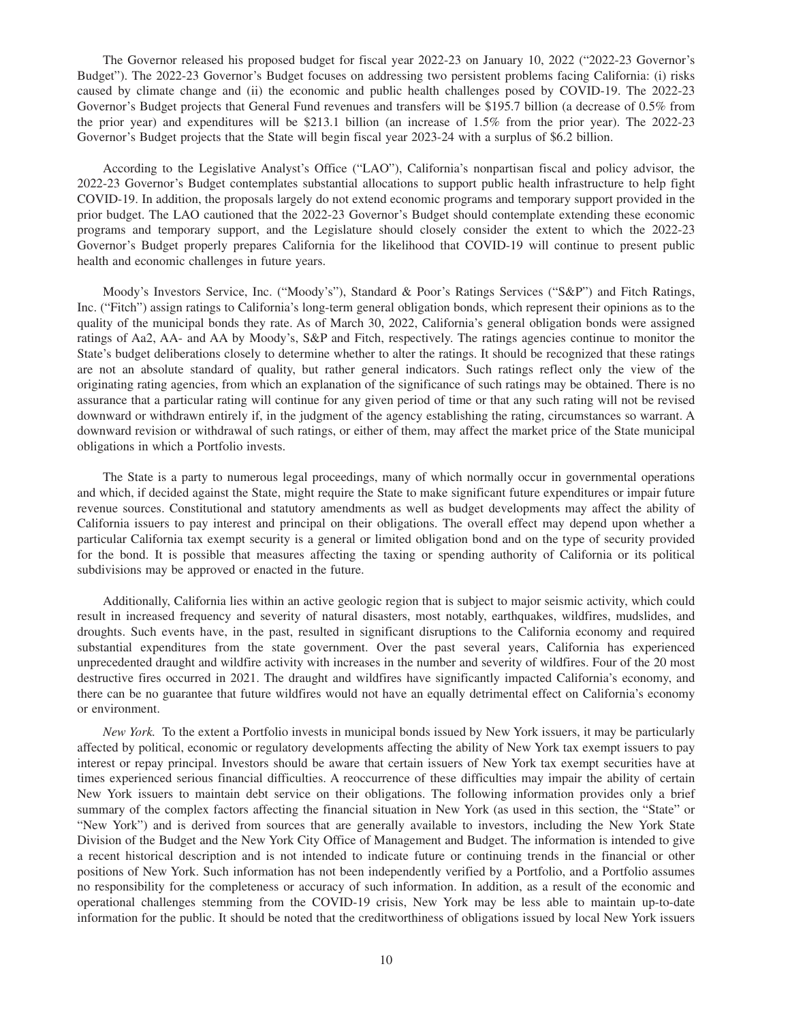The Governor released his proposed budget for fiscal year 2022-23 on January 10, 2022 ("2022-23 Governor's Budget"). The 2022-23 Governor's Budget focuses on addressing two persistent problems facing California: (i) risks caused by climate change and (ii) the economic and public health challenges posed by COVID-19. The 2022-23 Governor's Budget projects that General Fund revenues and transfers will be \$195.7 billion (a decrease of 0.5% from the prior year) and expenditures will be \$213.1 billion (an increase of 1.5% from the prior year). The 2022-23 Governor's Budget projects that the State will begin fiscal year 2023-24 with a surplus of \$6.2 billion.

According to the Legislative Analyst's Office ("LAO"), California's nonpartisan fiscal and policy advisor, the 2022-23 Governor's Budget contemplates substantial allocations to support public health infrastructure to help fight COVID-19. In addition, the proposals largely do not extend economic programs and temporary support provided in the prior budget. The LAO cautioned that the 2022-23 Governor's Budget should contemplate extending these economic programs and temporary support, and the Legislature should closely consider the extent to which the 2022-23 Governor's Budget properly prepares California for the likelihood that COVID-19 will continue to present public health and economic challenges in future years.

Moody's Investors Service, Inc. ("Moody's"), Standard & Poor's Ratings Services ("S&P") and Fitch Ratings, Inc. ("Fitch") assign ratings to California's long-term general obligation bonds, which represent their opinions as to the quality of the municipal bonds they rate. As of March 30, 2022, California's general obligation bonds were assigned ratings of Aa2, AA- and AA by Moody's, S&P and Fitch, respectively. The ratings agencies continue to monitor the State's budget deliberations closely to determine whether to alter the ratings. It should be recognized that these ratings are not an absolute standard of quality, but rather general indicators. Such ratings reflect only the view of the originating rating agencies, from which an explanation of the significance of such ratings may be obtained. There is no assurance that a particular rating will continue for any given period of time or that any such rating will not be revised downward or withdrawn entirely if, in the judgment of the agency establishing the rating, circumstances so warrant. A downward revision or withdrawal of such ratings, or either of them, may affect the market price of the State municipal obligations in which a Portfolio invests.

The State is a party to numerous legal proceedings, many of which normally occur in governmental operations and which, if decided against the State, might require the State to make significant future expenditures or impair future revenue sources. Constitutional and statutory amendments as well as budget developments may affect the ability of California issuers to pay interest and principal on their obligations. The overall effect may depend upon whether a particular California tax exempt security is a general or limited obligation bond and on the type of security provided for the bond. It is possible that measures affecting the taxing or spending authority of California or its political subdivisions may be approved or enacted in the future.

Additionally, California lies within an active geologic region that is subject to major seismic activity, which could result in increased frequency and severity of natural disasters, most notably, earthquakes, wildfires, mudslides, and droughts. Such events have, in the past, resulted in significant disruptions to the California economy and required substantial expenditures from the state government. Over the past several years, California has experienced unprecedented draught and wildfire activity with increases in the number and severity of wildfires. Four of the 20 most destructive fires occurred in 2021. The draught and wildfires have significantly impacted California's economy, and there can be no guarantee that future wildfires would not have an equally detrimental effect on California's economy or environment.

*New York.* To the extent a Portfolio invests in municipal bonds issued by New York issuers, it may be particularly affected by political, economic or regulatory developments affecting the ability of New York tax exempt issuers to pay interest or repay principal. Investors should be aware that certain issuers of New York tax exempt securities have at times experienced serious financial difficulties. A reoccurrence of these difficulties may impair the ability of certain New York issuers to maintain debt service on their obligations. The following information provides only a brief summary of the complex factors affecting the financial situation in New York (as used in this section, the "State" or "New York") and is derived from sources that are generally available to investors, including the New York State Division of the Budget and the New York City Office of Management and Budget. The information is intended to give a recent historical description and is not intended to indicate future or continuing trends in the financial or other positions of New York. Such information has not been independently verified by a Portfolio, and a Portfolio assumes no responsibility for the completeness or accuracy of such information. In addition, as a result of the economic and operational challenges stemming from the COVID-19 crisis, New York may be less able to maintain up-to-date information for the public. It should be noted that the creditworthiness of obligations issued by local New York issuers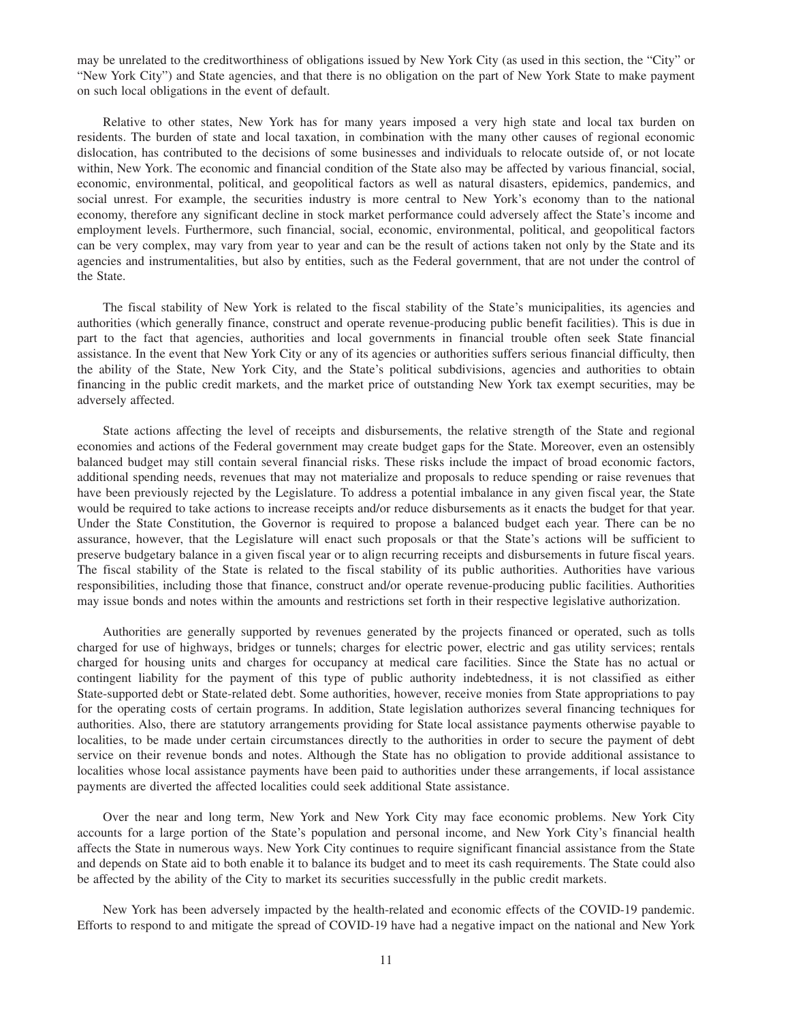may be unrelated to the creditworthiness of obligations issued by New York City (as used in this section, the "City" or "New York City") and State agencies, and that there is no obligation on the part of New York State to make payment on such local obligations in the event of default.

Relative to other states, New York has for many years imposed a very high state and local tax burden on residents. The burden of state and local taxation, in combination with the many other causes of regional economic dislocation, has contributed to the decisions of some businesses and individuals to relocate outside of, or not locate within, New York. The economic and financial condition of the State also may be affected by various financial, social, economic, environmental, political, and geopolitical factors as well as natural disasters, epidemics, pandemics, and social unrest. For example, the securities industry is more central to New York's economy than to the national economy, therefore any significant decline in stock market performance could adversely affect the State's income and employment levels. Furthermore, such financial, social, economic, environmental, political, and geopolitical factors can be very complex, may vary from year to year and can be the result of actions taken not only by the State and its agencies and instrumentalities, but also by entities, such as the Federal government, that are not under the control of the State.

The fiscal stability of New York is related to the fiscal stability of the State's municipalities, its agencies and authorities (which generally finance, construct and operate revenue-producing public benefit facilities). This is due in part to the fact that agencies, authorities and local governments in financial trouble often seek State financial assistance. In the event that New York City or any of its agencies or authorities suffers serious financial difficulty, then the ability of the State, New York City, and the State's political subdivisions, agencies and authorities to obtain financing in the public credit markets, and the market price of outstanding New York tax exempt securities, may be adversely affected.

State actions affecting the level of receipts and disbursements, the relative strength of the State and regional economies and actions of the Federal government may create budget gaps for the State. Moreover, even an ostensibly balanced budget may still contain several financial risks. These risks include the impact of broad economic factors, additional spending needs, revenues that may not materialize and proposals to reduce spending or raise revenues that have been previously rejected by the Legislature. To address a potential imbalance in any given fiscal year, the State would be required to take actions to increase receipts and/or reduce disbursements as it enacts the budget for that year. Under the State Constitution, the Governor is required to propose a balanced budget each year. There can be no assurance, however, that the Legislature will enact such proposals or that the State's actions will be sufficient to preserve budgetary balance in a given fiscal year or to align recurring receipts and disbursements in future fiscal years. The fiscal stability of the State is related to the fiscal stability of its public authorities. Authorities have various responsibilities, including those that finance, construct and/or operate revenue-producing public facilities. Authorities may issue bonds and notes within the amounts and restrictions set forth in their respective legislative authorization.

Authorities are generally supported by revenues generated by the projects financed or operated, such as tolls charged for use of highways, bridges or tunnels; charges for electric power, electric and gas utility services; rentals charged for housing units and charges for occupancy at medical care facilities. Since the State has no actual or contingent liability for the payment of this type of public authority indebtedness, it is not classified as either State-supported debt or State-related debt. Some authorities, however, receive monies from State appropriations to pay for the operating costs of certain programs. In addition, State legislation authorizes several financing techniques for authorities. Also, there are statutory arrangements providing for State local assistance payments otherwise payable to localities, to be made under certain circumstances directly to the authorities in order to secure the payment of debt service on their revenue bonds and notes. Although the State has no obligation to provide additional assistance to localities whose local assistance payments have been paid to authorities under these arrangements, if local assistance payments are diverted the affected localities could seek additional State assistance.

Over the near and long term, New York and New York City may face economic problems. New York City accounts for a large portion of the State's population and personal income, and New York City's financial health affects the State in numerous ways. New York City continues to require significant financial assistance from the State and depends on State aid to both enable it to balance its budget and to meet its cash requirements. The State could also be affected by the ability of the City to market its securities successfully in the public credit markets.

New York has been adversely impacted by the health-related and economic effects of the COVID-19 pandemic. Efforts to respond to and mitigate the spread of COVID-19 have had a negative impact on the national and New York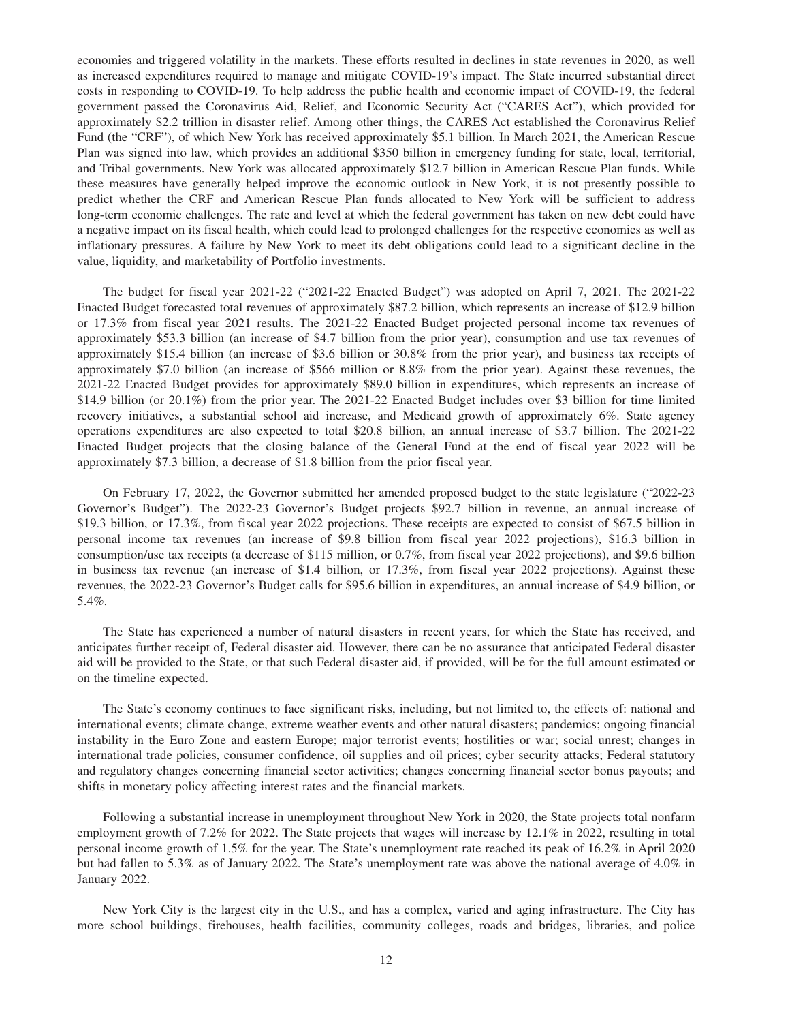economies and triggered volatility in the markets. These efforts resulted in declines in state revenues in 2020, as well as increased expenditures required to manage and mitigate COVID-19's impact. The State incurred substantial direct costs in responding to COVID-19. To help address the public health and economic impact of COVID-19, the federal government passed the Coronavirus Aid, Relief, and Economic Security Act ("CARES Act"), which provided for approximately \$2.2 trillion in disaster relief. Among other things, the CARES Act established the Coronavirus Relief Fund (the "CRF"), of which New York has received approximately \$5.1 billion. In March 2021, the American Rescue Plan was signed into law, which provides an additional \$350 billion in emergency funding for state, local, territorial, and Tribal governments. New York was allocated approximately \$12.7 billion in American Rescue Plan funds. While these measures have generally helped improve the economic outlook in New York, it is not presently possible to predict whether the CRF and American Rescue Plan funds allocated to New York will be sufficient to address long-term economic challenges. The rate and level at which the federal government has taken on new debt could have a negative impact on its fiscal health, which could lead to prolonged challenges for the respective economies as well as inflationary pressures. A failure by New York to meet its debt obligations could lead to a significant decline in the value, liquidity, and marketability of Portfolio investments.

The budget for fiscal year 2021-22 ("2021-22 Enacted Budget") was adopted on April 7, 2021. The 2021-22 Enacted Budget forecasted total revenues of approximately \$87.2 billion, which represents an increase of \$12.9 billion or 17.3% from fiscal year 2021 results. The 2021-22 Enacted Budget projected personal income tax revenues of approximately \$53.3 billion (an increase of \$4.7 billion from the prior year), consumption and use tax revenues of approximately \$15.4 billion (an increase of \$3.6 billion or 30.8% from the prior year), and business tax receipts of approximately \$7.0 billion (an increase of \$566 million or 8.8% from the prior year). Against these revenues, the 2021-22 Enacted Budget provides for approximately \$89.0 billion in expenditures, which represents an increase of \$14.9 billion (or 20.1%) from the prior year. The 2021-22 Enacted Budget includes over \$3 billion for time limited recovery initiatives, a substantial school aid increase, and Medicaid growth of approximately 6%. State agency operations expenditures are also expected to total \$20.8 billion, an annual increase of \$3.7 billion. The 2021-22 Enacted Budget projects that the closing balance of the General Fund at the end of fiscal year 2022 will be approximately \$7.3 billion, a decrease of \$1.8 billion from the prior fiscal year.

On February 17, 2022, the Governor submitted her amended proposed budget to the state legislature ("2022-23 Governor's Budget"). The 2022-23 Governor's Budget projects \$92.7 billion in revenue, an annual increase of \$19.3 billion, or 17.3%, from fiscal year 2022 projections. These receipts are expected to consist of \$67.5 billion in personal income tax revenues (an increase of \$9.8 billion from fiscal year 2022 projections), \$16.3 billion in consumption/use tax receipts (a decrease of \$115 million, or 0.7%, from fiscal year 2022 projections), and \$9.6 billion in business tax revenue (an increase of \$1.4 billion, or 17.3%, from fiscal year 2022 projections). Against these revenues, the 2022-23 Governor's Budget calls for \$95.6 billion in expenditures, an annual increase of \$4.9 billion, or 5.4%.

The State has experienced a number of natural disasters in recent years, for which the State has received, and anticipates further receipt of, Federal disaster aid. However, there can be no assurance that anticipated Federal disaster aid will be provided to the State, or that such Federal disaster aid, if provided, will be for the full amount estimated or on the timeline expected.

The State's economy continues to face significant risks, including, but not limited to, the effects of: national and international events; climate change, extreme weather events and other natural disasters; pandemics; ongoing financial instability in the Euro Zone and eastern Europe; major terrorist events; hostilities or war; social unrest; changes in international trade policies, consumer confidence, oil supplies and oil prices; cyber security attacks; Federal statutory and regulatory changes concerning financial sector activities; changes concerning financial sector bonus payouts; and shifts in monetary policy affecting interest rates and the financial markets.

Following a substantial increase in unemployment throughout New York in 2020, the State projects total nonfarm employment growth of 7.2% for 2022. The State projects that wages will increase by 12.1% in 2022, resulting in total personal income growth of 1.5% for the year. The State's unemployment rate reached its peak of 16.2% in April 2020 but had fallen to 5.3% as of January 2022. The State's unemployment rate was above the national average of 4.0% in January 2022.

New York City is the largest city in the U.S., and has a complex, varied and aging infrastructure. The City has more school buildings, firehouses, health facilities, community colleges, roads and bridges, libraries, and police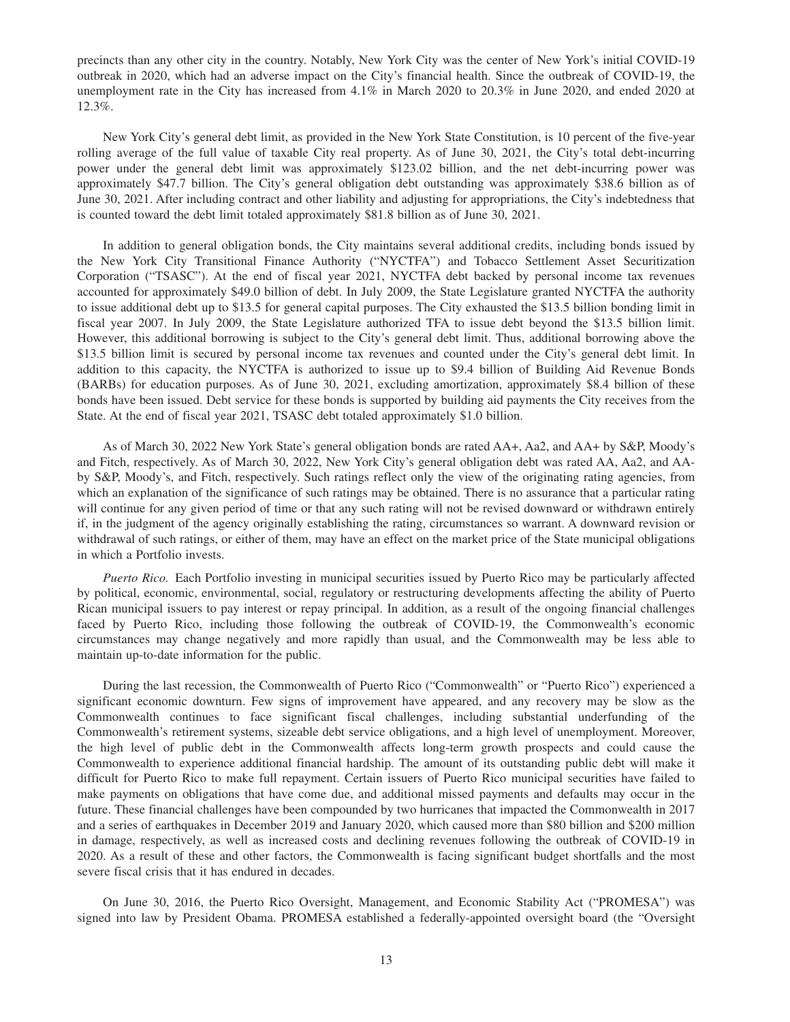precincts than any other city in the country. Notably, New York City was the center of New York's initial COVID-19 outbreak in 2020, which had an adverse impact on the City's financial health. Since the outbreak of COVID-19, the unemployment rate in the City has increased from 4.1% in March 2020 to 20.3% in June 2020, and ended 2020 at 12.3%.

New York City's general debt limit, as provided in the New York State Constitution, is 10 percent of the five-year rolling average of the full value of taxable City real property. As of June 30, 2021, the City's total debt-incurring power under the general debt limit was approximately \$123.02 billion, and the net debt-incurring power was approximately \$47.7 billion. The City's general obligation debt outstanding was approximately \$38.6 billion as of June 30, 2021. After including contract and other liability and adjusting for appropriations, the City's indebtedness that is counted toward the debt limit totaled approximately \$81.8 billion as of June 30, 2021.

In addition to general obligation bonds, the City maintains several additional credits, including bonds issued by the New York City Transitional Finance Authority ("NYCTFA") and Tobacco Settlement Asset Securitization Corporation ("TSASC"). At the end of fiscal year 2021, NYCTFA debt backed by personal income tax revenues accounted for approximately \$49.0 billion of debt. In July 2009, the State Legislature granted NYCTFA the authority to issue additional debt up to \$13.5 for general capital purposes. The City exhausted the \$13.5 billion bonding limit in fiscal year 2007. In July 2009, the State Legislature authorized TFA to issue debt beyond the \$13.5 billion limit. However, this additional borrowing is subject to the City's general debt limit. Thus, additional borrowing above the \$13.5 billion limit is secured by personal income tax revenues and counted under the City's general debt limit. In addition to this capacity, the NYCTFA is authorized to issue up to \$9.4 billion of Building Aid Revenue Bonds (BARBs) for education purposes. As of June 30, 2021, excluding amortization, approximately \$8.4 billion of these bonds have been issued. Debt service for these bonds is supported by building aid payments the City receives from the State. At the end of fiscal year 2021, TSASC debt totaled approximately \$1.0 billion.

As of March 30, 2022 New York State's general obligation bonds are rated AA+, Aa2, and AA+ by S&P, Moody's and Fitch, respectively. As of March 30, 2022, New York City's general obligation debt was rated AA, Aa2, and AAby S&P, Moody's, and Fitch, respectively. Such ratings reflect only the view of the originating rating agencies, from which an explanation of the significance of such ratings may be obtained. There is no assurance that a particular rating will continue for any given period of time or that any such rating will not be revised downward or withdrawn entirely if, in the judgment of the agency originally establishing the rating, circumstances so warrant. A downward revision or withdrawal of such ratings, or either of them, may have an effect on the market price of the State municipal obligations in which a Portfolio invests.

*Puerto Rico.* Each Portfolio investing in municipal securities issued by Puerto Rico may be particularly affected by political, economic, environmental, social, regulatory or restructuring developments affecting the ability of Puerto Rican municipal issuers to pay interest or repay principal. In addition, as a result of the ongoing financial challenges faced by Puerto Rico, including those following the outbreak of COVID-19, the Commonwealth's economic circumstances may change negatively and more rapidly than usual, and the Commonwealth may be less able to maintain up-to-date information for the public.

During the last recession, the Commonwealth of Puerto Rico ("Commonwealth" or "Puerto Rico") experienced a significant economic downturn. Few signs of improvement have appeared, and any recovery may be slow as the Commonwealth continues to face significant fiscal challenges, including substantial underfunding of the Commonwealth's retirement systems, sizeable debt service obligations, and a high level of unemployment. Moreover, the high level of public debt in the Commonwealth affects long-term growth prospects and could cause the Commonwealth to experience additional financial hardship. The amount of its outstanding public debt will make it difficult for Puerto Rico to make full repayment. Certain issuers of Puerto Rico municipal securities have failed to make payments on obligations that have come due, and additional missed payments and defaults may occur in the future. These financial challenges have been compounded by two hurricanes that impacted the Commonwealth in 2017 and a series of earthquakes in December 2019 and January 2020, which caused more than \$80 billion and \$200 million in damage, respectively, as well as increased costs and declining revenues following the outbreak of COVID-19 in 2020. As a result of these and other factors, the Commonwealth is facing significant budget shortfalls and the most severe fiscal crisis that it has endured in decades.

On June 30, 2016, the Puerto Rico Oversight, Management, and Economic Stability Act ("PROMESA") was signed into law by President Obama. PROMESA established a federally-appointed oversight board (the "Oversight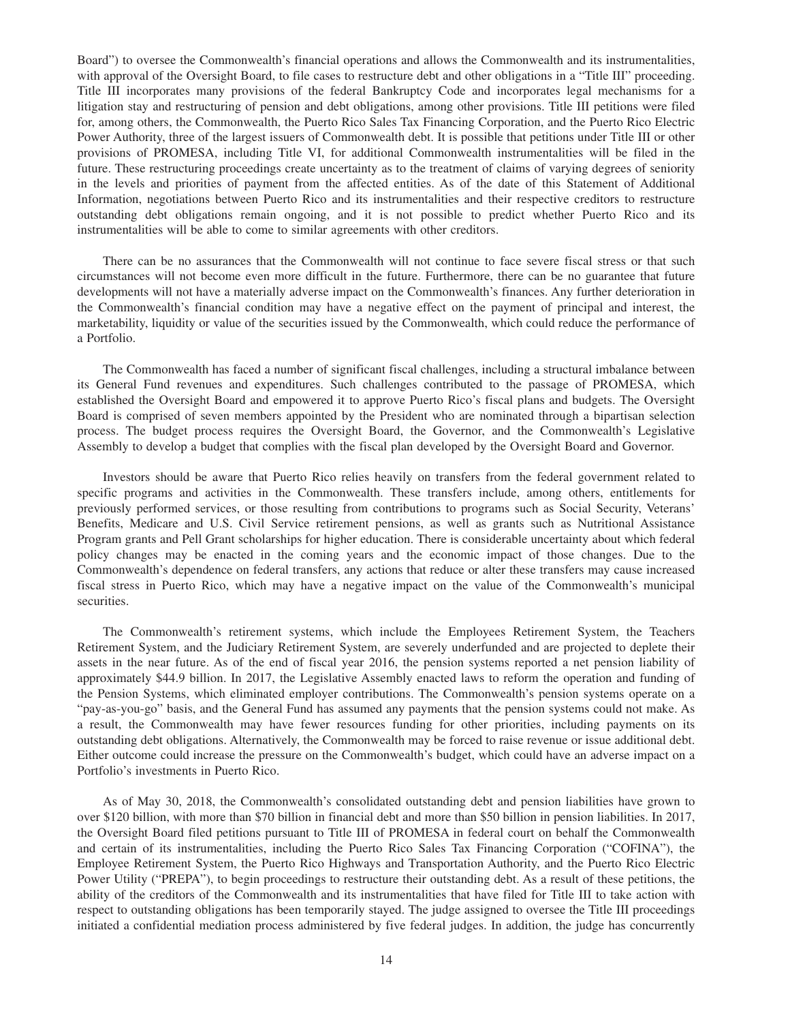Board") to oversee the Commonwealth's financial operations and allows the Commonwealth and its instrumentalities, with approval of the Oversight Board, to file cases to restructure debt and other obligations in a "Title III" proceeding. Title III incorporates many provisions of the federal Bankruptcy Code and incorporates legal mechanisms for a litigation stay and restructuring of pension and debt obligations, among other provisions. Title III petitions were filed for, among others, the Commonwealth, the Puerto Rico Sales Tax Financing Corporation, and the Puerto Rico Electric Power Authority, three of the largest issuers of Commonwealth debt. It is possible that petitions under Title III or other provisions of PROMESA, including Title VI, for additional Commonwealth instrumentalities will be filed in the future. These restructuring proceedings create uncertainty as to the treatment of claims of varying degrees of seniority in the levels and priorities of payment from the affected entities. As of the date of this Statement of Additional Information, negotiations between Puerto Rico and its instrumentalities and their respective creditors to restructure outstanding debt obligations remain ongoing, and it is not possible to predict whether Puerto Rico and its instrumentalities will be able to come to similar agreements with other creditors.

There can be no assurances that the Commonwealth will not continue to face severe fiscal stress or that such circumstances will not become even more difficult in the future. Furthermore, there can be no guarantee that future developments will not have a materially adverse impact on the Commonwealth's finances. Any further deterioration in the Commonwealth's financial condition may have a negative effect on the payment of principal and interest, the marketability, liquidity or value of the securities issued by the Commonwealth, which could reduce the performance of a Portfolio.

The Commonwealth has faced a number of significant fiscal challenges, including a structural imbalance between its General Fund revenues and expenditures. Such challenges contributed to the passage of PROMESA, which established the Oversight Board and empowered it to approve Puerto Rico's fiscal plans and budgets. The Oversight Board is comprised of seven members appointed by the President who are nominated through a bipartisan selection process. The budget process requires the Oversight Board, the Governor, and the Commonwealth's Legislative Assembly to develop a budget that complies with the fiscal plan developed by the Oversight Board and Governor.

Investors should be aware that Puerto Rico relies heavily on transfers from the federal government related to specific programs and activities in the Commonwealth. These transfers include, among others, entitlements for previously performed services, or those resulting from contributions to programs such as Social Security, Veterans' Benefits, Medicare and U.S. Civil Service retirement pensions, as well as grants such as Nutritional Assistance Program grants and Pell Grant scholarships for higher education. There is considerable uncertainty about which federal policy changes may be enacted in the coming years and the economic impact of those changes. Due to the Commonwealth's dependence on federal transfers, any actions that reduce or alter these transfers may cause increased fiscal stress in Puerto Rico, which may have a negative impact on the value of the Commonwealth's municipal securities.

The Commonwealth's retirement systems, which include the Employees Retirement System, the Teachers Retirement System, and the Judiciary Retirement System, are severely underfunded and are projected to deplete their assets in the near future. As of the end of fiscal year 2016, the pension systems reported a net pension liability of approximately \$44.9 billion. In 2017, the Legislative Assembly enacted laws to reform the operation and funding of the Pension Systems, which eliminated employer contributions. The Commonwealth's pension systems operate on a "pay-as-you-go" basis, and the General Fund has assumed any payments that the pension systems could not make. As a result, the Commonwealth may have fewer resources funding for other priorities, including payments on its outstanding debt obligations. Alternatively, the Commonwealth may be forced to raise revenue or issue additional debt. Either outcome could increase the pressure on the Commonwealth's budget, which could have an adverse impact on a Portfolio's investments in Puerto Rico.

As of May 30, 2018, the Commonwealth's consolidated outstanding debt and pension liabilities have grown to over \$120 billion, with more than \$70 billion in financial debt and more than \$50 billion in pension liabilities. In 2017, the Oversight Board filed petitions pursuant to Title III of PROMESA in federal court on behalf the Commonwealth and certain of its instrumentalities, including the Puerto Rico Sales Tax Financing Corporation ("COFINA"), the Employee Retirement System, the Puerto Rico Highways and Transportation Authority, and the Puerto Rico Electric Power Utility ("PREPA"), to begin proceedings to restructure their outstanding debt. As a result of these petitions, the ability of the creditors of the Commonwealth and its instrumentalities that have filed for Title III to take action with respect to outstanding obligations has been temporarily stayed. The judge assigned to oversee the Title III proceedings initiated a confidential mediation process administered by five federal judges. In addition, the judge has concurrently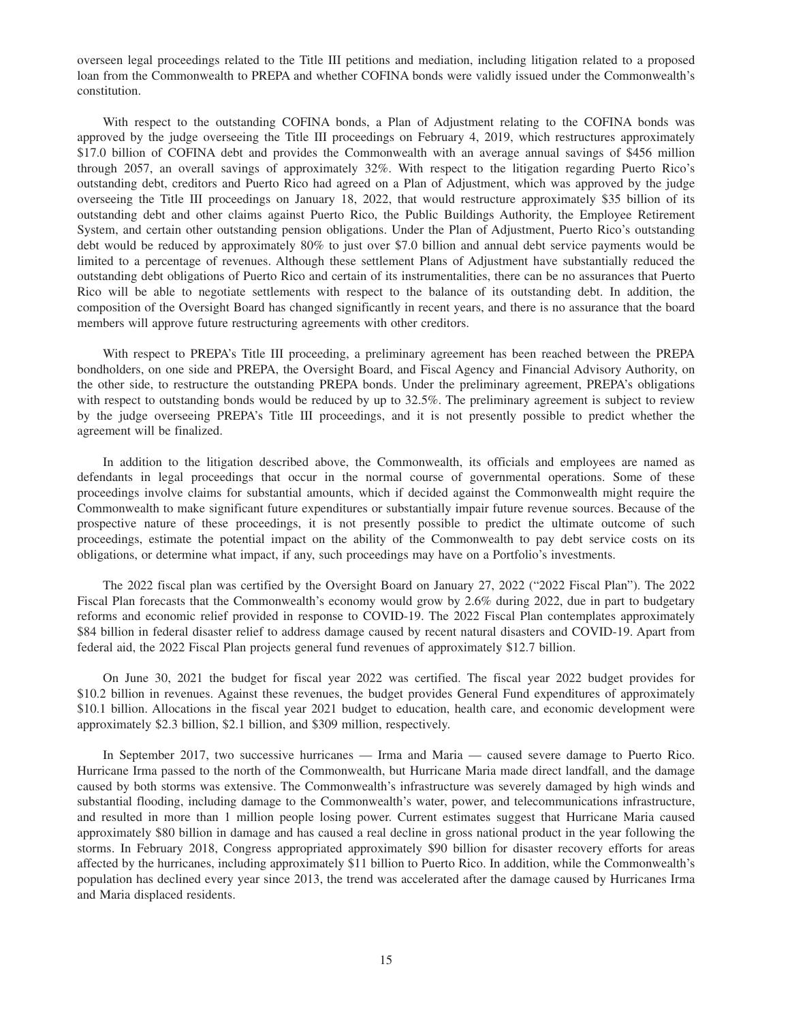overseen legal proceedings related to the Title III petitions and mediation, including litigation related to a proposed loan from the Commonwealth to PREPA and whether COFINA bonds were validly issued under the Commonwealth's constitution.

With respect to the outstanding COFINA bonds, a Plan of Adjustment relating to the COFINA bonds was approved by the judge overseeing the Title III proceedings on February 4, 2019, which restructures approximately \$17.0 billion of COFINA debt and provides the Commonwealth with an average annual savings of \$456 million through 2057, an overall savings of approximately 32%. With respect to the litigation regarding Puerto Rico's outstanding debt, creditors and Puerto Rico had agreed on a Plan of Adjustment, which was approved by the judge overseeing the Title III proceedings on January 18, 2022, that would restructure approximately \$35 billion of its outstanding debt and other claims against Puerto Rico, the Public Buildings Authority, the Employee Retirement System, and certain other outstanding pension obligations. Under the Plan of Adjustment, Puerto Rico's outstanding debt would be reduced by approximately 80% to just over \$7.0 billion and annual debt service payments would be limited to a percentage of revenues. Although these settlement Plans of Adjustment have substantially reduced the outstanding debt obligations of Puerto Rico and certain of its instrumentalities, there can be no assurances that Puerto Rico will be able to negotiate settlements with respect to the balance of its outstanding debt. In addition, the composition of the Oversight Board has changed significantly in recent years, and there is no assurance that the board members will approve future restructuring agreements with other creditors.

With respect to PREPA's Title III proceeding, a preliminary agreement has been reached between the PREPA bondholders, on one side and PREPA, the Oversight Board, and Fiscal Agency and Financial Advisory Authority, on the other side, to restructure the outstanding PREPA bonds. Under the preliminary agreement, PREPA's obligations with respect to outstanding bonds would be reduced by up to 32.5%. The preliminary agreement is subject to review by the judge overseeing PREPA's Title III proceedings, and it is not presently possible to predict whether the agreement will be finalized.

In addition to the litigation described above, the Commonwealth, its officials and employees are named as defendants in legal proceedings that occur in the normal course of governmental operations. Some of these proceedings involve claims for substantial amounts, which if decided against the Commonwealth might require the Commonwealth to make significant future expenditures or substantially impair future revenue sources. Because of the prospective nature of these proceedings, it is not presently possible to predict the ultimate outcome of such proceedings, estimate the potential impact on the ability of the Commonwealth to pay debt service costs on its obligations, or determine what impact, if any, such proceedings may have on a Portfolio's investments.

The 2022 fiscal plan was certified by the Oversight Board on January 27, 2022 ("2022 Fiscal Plan"). The 2022 Fiscal Plan forecasts that the Commonwealth's economy would grow by 2.6% during 2022, due in part to budgetary reforms and economic relief provided in response to COVID-19. The 2022 Fiscal Plan contemplates approximately \$84 billion in federal disaster relief to address damage caused by recent natural disasters and COVID-19. Apart from federal aid, the 2022 Fiscal Plan projects general fund revenues of approximately \$12.7 billion.

On June 30, 2021 the budget for fiscal year 2022 was certified. The fiscal year 2022 budget provides for \$10.2 billion in revenues. Against these revenues, the budget provides General Fund expenditures of approximately \$10.1 billion. Allocations in the fiscal year 2021 budget to education, health care, and economic development were approximately \$2.3 billion, \$2.1 billion, and \$309 million, respectively.

In September 2017, two successive hurricanes — Irma and Maria — caused severe damage to Puerto Rico. Hurricane Irma passed to the north of the Commonwealth, but Hurricane Maria made direct landfall, and the damage caused by both storms was extensive. The Commonwealth's infrastructure was severely damaged by high winds and substantial flooding, including damage to the Commonwealth's water, power, and telecommunications infrastructure, and resulted in more than 1 million people losing power. Current estimates suggest that Hurricane Maria caused approximately \$80 billion in damage and has caused a real decline in gross national product in the year following the storms. In February 2018, Congress appropriated approximately \$90 billion for disaster recovery efforts for areas affected by the hurricanes, including approximately \$11 billion to Puerto Rico. In addition, while the Commonwealth's population has declined every year since 2013, the trend was accelerated after the damage caused by Hurricanes Irma and Maria displaced residents.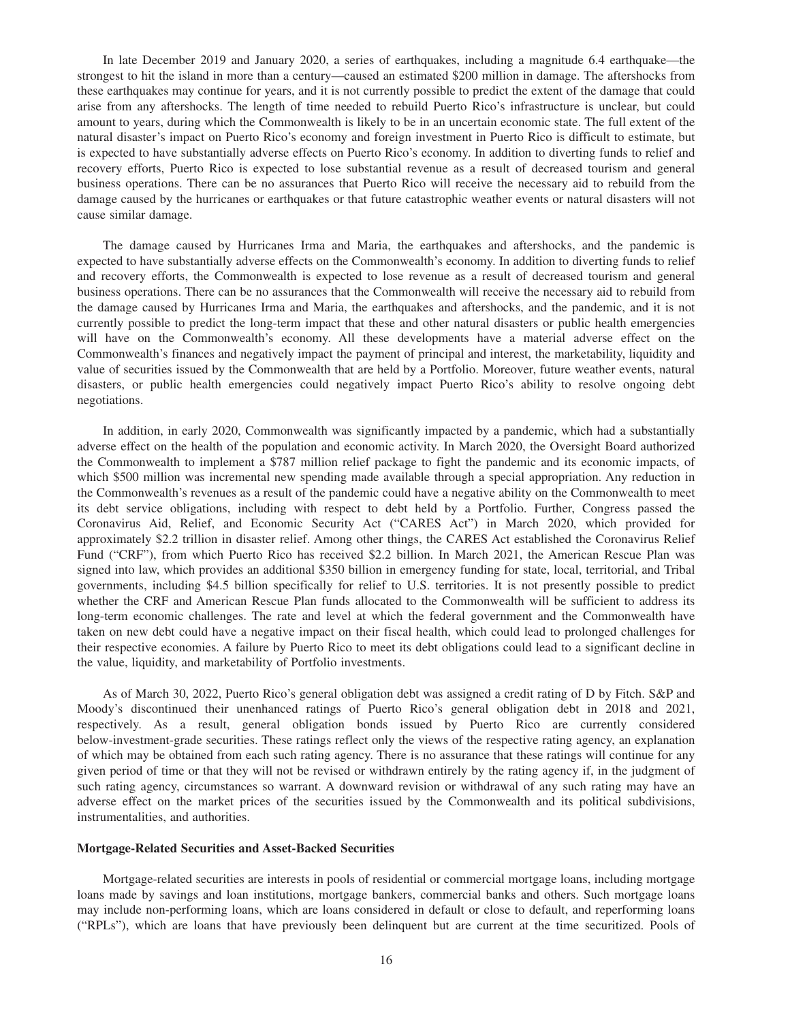<span id="page-19-0"></span>In late December 2019 and January 2020, a series of earthquakes, including a magnitude 6.4 earthquake—the strongest to hit the island in more than a century—caused an estimated \$200 million in damage. The aftershocks from these earthquakes may continue for years, and it is not currently possible to predict the extent of the damage that could arise from any aftershocks. The length of time needed to rebuild Puerto Rico's infrastructure is unclear, but could amount to years, during which the Commonwealth is likely to be in an uncertain economic state. The full extent of the natural disaster's impact on Puerto Rico's economy and foreign investment in Puerto Rico is difficult to estimate, but is expected to have substantially adverse effects on Puerto Rico's economy. In addition to diverting funds to relief and recovery efforts, Puerto Rico is expected to lose substantial revenue as a result of decreased tourism and general business operations. There can be no assurances that Puerto Rico will receive the necessary aid to rebuild from the damage caused by the hurricanes or earthquakes or that future catastrophic weather events or natural disasters will not cause similar damage.

The damage caused by Hurricanes Irma and Maria, the earthquakes and aftershocks, and the pandemic is expected to have substantially adverse effects on the Commonwealth's economy. In addition to diverting funds to relief and recovery efforts, the Commonwealth is expected to lose revenue as a result of decreased tourism and general business operations. There can be no assurances that the Commonwealth will receive the necessary aid to rebuild from the damage caused by Hurricanes Irma and Maria, the earthquakes and aftershocks, and the pandemic, and it is not currently possible to predict the long-term impact that these and other natural disasters or public health emergencies will have on the Commonwealth's economy. All these developments have a material adverse effect on the Commonwealth's finances and negatively impact the payment of principal and interest, the marketability, liquidity and value of securities issued by the Commonwealth that are held by a Portfolio. Moreover, future weather events, natural disasters, or public health emergencies could negatively impact Puerto Rico's ability to resolve ongoing debt negotiations.

In addition, in early 2020, Commonwealth was significantly impacted by a pandemic, which had a substantially adverse effect on the health of the population and economic activity. In March 2020, the Oversight Board authorized the Commonwealth to implement a \$787 million relief package to fight the pandemic and its economic impacts, of which \$500 million was incremental new spending made available through a special appropriation. Any reduction in the Commonwealth's revenues as a result of the pandemic could have a negative ability on the Commonwealth to meet its debt service obligations, including with respect to debt held by a Portfolio. Further, Congress passed the Coronavirus Aid, Relief, and Economic Security Act ("CARES Act") in March 2020, which provided for approximately \$2.2 trillion in disaster relief. Among other things, the CARES Act established the Coronavirus Relief Fund ("CRF"), from which Puerto Rico has received \$2.2 billion. In March 2021, the American Rescue Plan was signed into law, which provides an additional \$350 billion in emergency funding for state, local, territorial, and Tribal governments, including \$4.5 billion specifically for relief to U.S. territories. It is not presently possible to predict whether the CRF and American Rescue Plan funds allocated to the Commonwealth will be sufficient to address its long-term economic challenges. The rate and level at which the federal government and the Commonwealth have taken on new debt could have a negative impact on their fiscal health, which could lead to prolonged challenges for their respective economies. A failure by Puerto Rico to meet its debt obligations could lead to a significant decline in the value, liquidity, and marketability of Portfolio investments.

As of March 30, 2022, Puerto Rico's general obligation debt was assigned a credit rating of D by Fitch. S&P and Moody's discontinued their unenhanced ratings of Puerto Rico's general obligation debt in 2018 and 2021, respectively. As a result, general obligation bonds issued by Puerto Rico are currently considered below-investment-grade securities. These ratings reflect only the views of the respective rating agency, an explanation of which may be obtained from each such rating agency. There is no assurance that these ratings will continue for any given period of time or that they will not be revised or withdrawn entirely by the rating agency if, in the judgment of such rating agency, circumstances so warrant. A downward revision or withdrawal of any such rating may have an adverse effect on the market prices of the securities issued by the Commonwealth and its political subdivisions, instrumentalities, and authorities.

## **Mortgage-Related Securities and Asset-Backed Securities**

Mortgage-related securities are interests in pools of residential or commercial mortgage loans, including mortgage loans made by savings and loan institutions, mortgage bankers, commercial banks and others. Such mortgage loans may include non-performing loans, which are loans considered in default or close to default, and reperforming loans ("RPLs"), which are loans that have previously been delinquent but are current at the time securitized. Pools of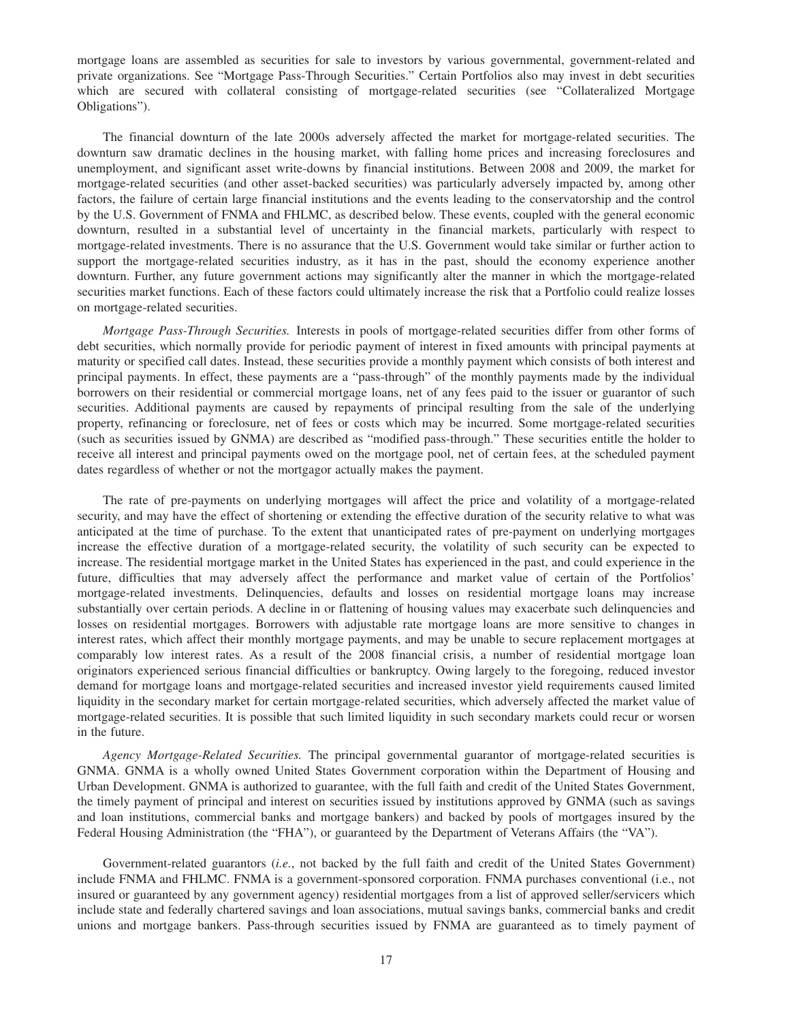mortgage loans are assembled as securities for sale to investors by various governmental, government-related and private organizations. See "Mortgage Pass-Through Securities." Certain Portfolios also may invest in debt securities which are secured with collateral consisting of mortgage-related securities (see "Collateralized Mortgage Obligations").

The financial downturn of the late 2000s adversely affected the market for mortgage-related securities. The downturn saw dramatic declines in the housing market, with falling home prices and increasing foreclosures and unemployment, and significant asset write-downs by financial institutions. Between 2008 and 2009, the market for mortgage-related securities (and other asset-backed securities) was particularly adversely impacted by, among other factors, the failure of certain large financial institutions and the events leading to the conservatorship and the control by the U.S. Government of FNMA and FHLMC, as described below. These events, coupled with the general economic downturn, resulted in a substantial level of uncertainty in the financial markets, particularly with respect to mortgage-related investments. There is no assurance that the U.S. Government would take similar or further action to support the mortgage-related securities industry, as it has in the past, should the economy experience another downturn. Further, any future government actions may significantly alter the manner in which the mortgage-related securities market functions. Each of these factors could ultimately increase the risk that a Portfolio could realize losses on mortgage-related securities.

*Mortgage Pass-Through Securities.* Interests in pools of mortgage-related securities differ from other forms of debt securities, which normally provide for periodic payment of interest in fixed amounts with principal payments at maturity or specified call dates. Instead, these securities provide a monthly payment which consists of both interest and principal payments. In effect, these payments are a "pass-through" of the monthly payments made by the individual borrowers on their residential or commercial mortgage loans, net of any fees paid to the issuer or guarantor of such securities. Additional payments are caused by repayments of principal resulting from the sale of the underlying property, refinancing or foreclosure, net of fees or costs which may be incurred. Some mortgage-related securities (such as securities issued by GNMA) are described as "modified pass-through." These securities entitle the holder to receive all interest and principal payments owed on the mortgage pool, net of certain fees, at the scheduled payment dates regardless of whether or not the mortgagor actually makes the payment.

The rate of pre-payments on underlying mortgages will affect the price and volatility of a mortgage-related security, and may have the effect of shortening or extending the effective duration of the security relative to what was anticipated at the time of purchase. To the extent that unanticipated rates of pre-payment on underlying mortgages increase the effective duration of a mortgage-related security, the volatility of such security can be expected to increase. The residential mortgage market in the United States has experienced in the past, and could experience in the future, difficulties that may adversely affect the performance and market value of certain of the Portfolios' mortgage-related investments. Delinquencies, defaults and losses on residential mortgage loans may increase substantially over certain periods. A decline in or flattening of housing values may exacerbate such delinquencies and losses on residential mortgages. Borrowers with adjustable rate mortgage loans are more sensitive to changes in interest rates, which affect their monthly mortgage payments, and may be unable to secure replacement mortgages at comparably low interest rates. As a result of the 2008 financial crisis, a number of residential mortgage loan originators experienced serious financial difficulties or bankruptcy. Owing largely to the foregoing, reduced investor demand for mortgage loans and mortgage-related securities and increased investor yield requirements caused limited liquidity in the secondary market for certain mortgage-related securities, which adversely affected the market value of mortgage-related securities. It is possible that such limited liquidity in such secondary markets could recur or worsen in the future.

*Agency Mortgage-Related Securities.* The principal governmental guarantor of mortgage-related securities is GNMA. GNMA is a wholly owned United States Government corporation within the Department of Housing and Urban Development. GNMA is authorized to guarantee, with the full faith and credit of the United States Government, the timely payment of principal and interest on securities issued by institutions approved by GNMA (such as savings and loan institutions, commercial banks and mortgage bankers) and backed by pools of mortgages insured by the Federal Housing Administration (the "FHA"), or guaranteed by the Department of Veterans Affairs (the "VA").

Government-related guarantors (*i.e.*, not backed by the full faith and credit of the United States Government) include FNMA and FHLMC. FNMA is a government-sponsored corporation. FNMA purchases conventional (i.e., not insured or guaranteed by any government agency) residential mortgages from a list of approved seller/servicers which include state and federally chartered savings and loan associations, mutual savings banks, commercial banks and credit unions and mortgage bankers. Pass-through securities issued by FNMA are guaranteed as to timely payment of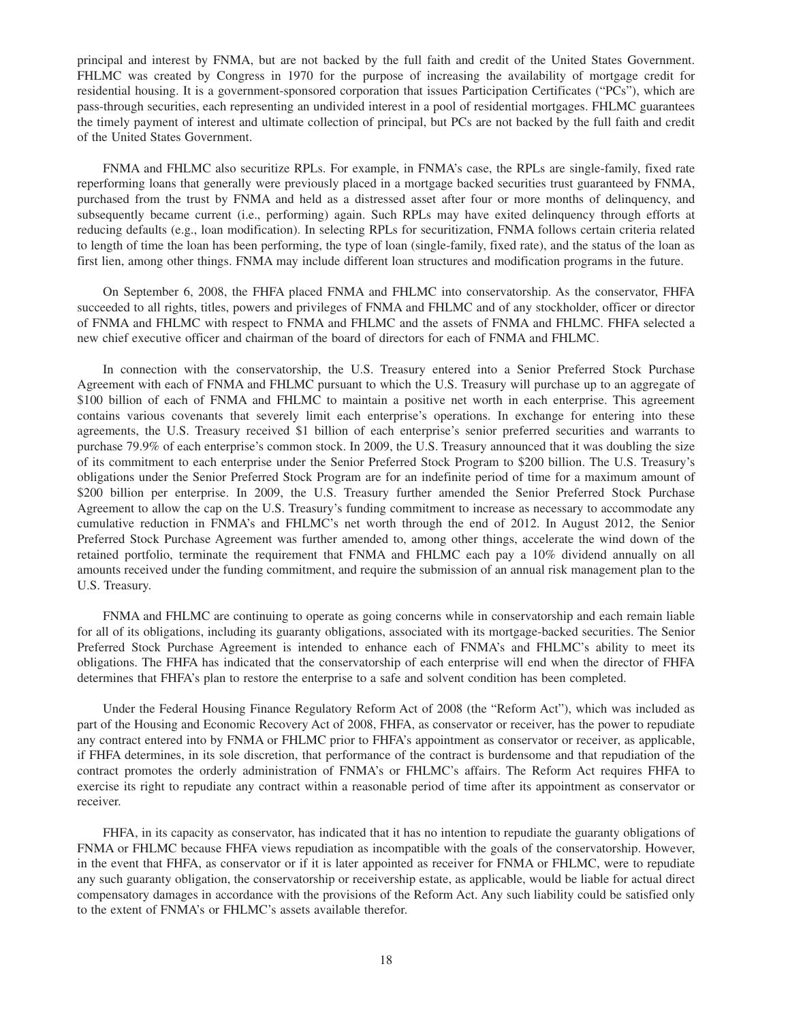principal and interest by FNMA, but are not backed by the full faith and credit of the United States Government. FHLMC was created by Congress in 1970 for the purpose of increasing the availability of mortgage credit for residential housing. It is a government-sponsored corporation that issues Participation Certificates ("PCs"), which are pass-through securities, each representing an undivided interest in a pool of residential mortgages. FHLMC guarantees the timely payment of interest and ultimate collection of principal, but PCs are not backed by the full faith and credit of the United States Government.

FNMA and FHLMC also securitize RPLs. For example, in FNMA's case, the RPLs are single-family, fixed rate reperforming loans that generally were previously placed in a mortgage backed securities trust guaranteed by FNMA, purchased from the trust by FNMA and held as a distressed asset after four or more months of delinquency, and subsequently became current (i.e., performing) again. Such RPLs may have exited delinquency through efforts at reducing defaults (e.g., loan modification). In selecting RPLs for securitization, FNMA follows certain criteria related to length of time the loan has been performing, the type of loan (single-family, fixed rate), and the status of the loan as first lien, among other things. FNMA may include different loan structures and modification programs in the future.

On September 6, 2008, the FHFA placed FNMA and FHLMC into conservatorship. As the conservator, FHFA succeeded to all rights, titles, powers and privileges of FNMA and FHLMC and of any stockholder, officer or director of FNMA and FHLMC with respect to FNMA and FHLMC and the assets of FNMA and FHLMC. FHFA selected a new chief executive officer and chairman of the board of directors for each of FNMA and FHLMC.

In connection with the conservatorship, the U.S. Treasury entered into a Senior Preferred Stock Purchase Agreement with each of FNMA and FHLMC pursuant to which the U.S. Treasury will purchase up to an aggregate of \$100 billion of each of FNMA and FHLMC to maintain a positive net worth in each enterprise. This agreement contains various covenants that severely limit each enterprise's operations. In exchange for entering into these agreements, the U.S. Treasury received \$1 billion of each enterprise's senior preferred securities and warrants to purchase 79.9% of each enterprise's common stock. In 2009, the U.S. Treasury announced that it was doubling the size of its commitment to each enterprise under the Senior Preferred Stock Program to \$200 billion. The U.S. Treasury's obligations under the Senior Preferred Stock Program are for an indefinite period of time for a maximum amount of \$200 billion per enterprise. In 2009, the U.S. Treasury further amended the Senior Preferred Stock Purchase Agreement to allow the cap on the U.S. Treasury's funding commitment to increase as necessary to accommodate any cumulative reduction in FNMA's and FHLMC's net worth through the end of 2012. In August 2012, the Senior Preferred Stock Purchase Agreement was further amended to, among other things, accelerate the wind down of the retained portfolio, terminate the requirement that FNMA and FHLMC each pay a 10% dividend annually on all amounts received under the funding commitment, and require the submission of an annual risk management plan to the U.S. Treasury.

FNMA and FHLMC are continuing to operate as going concerns while in conservatorship and each remain liable for all of its obligations, including its guaranty obligations, associated with its mortgage-backed securities. The Senior Preferred Stock Purchase Agreement is intended to enhance each of FNMA's and FHLMC's ability to meet its obligations. The FHFA has indicated that the conservatorship of each enterprise will end when the director of FHFA determines that FHFA's plan to restore the enterprise to a safe and solvent condition has been completed.

Under the Federal Housing Finance Regulatory Reform Act of 2008 (the "Reform Act"), which was included as part of the Housing and Economic Recovery Act of 2008, FHFA, as conservator or receiver, has the power to repudiate any contract entered into by FNMA or FHLMC prior to FHFA's appointment as conservator or receiver, as applicable, if FHFA determines, in its sole discretion, that performance of the contract is burdensome and that repudiation of the contract promotes the orderly administration of FNMA's or FHLMC's affairs. The Reform Act requires FHFA to exercise its right to repudiate any contract within a reasonable period of time after its appointment as conservator or receiver.

FHFA, in its capacity as conservator, has indicated that it has no intention to repudiate the guaranty obligations of FNMA or FHLMC because FHFA views repudiation as incompatible with the goals of the conservatorship. However, in the event that FHFA, as conservator or if it is later appointed as receiver for FNMA or FHLMC, were to repudiate any such guaranty obligation, the conservatorship or receivership estate, as applicable, would be liable for actual direct compensatory damages in accordance with the provisions of the Reform Act. Any such liability could be satisfied only to the extent of FNMA's or FHLMC's assets available therefor.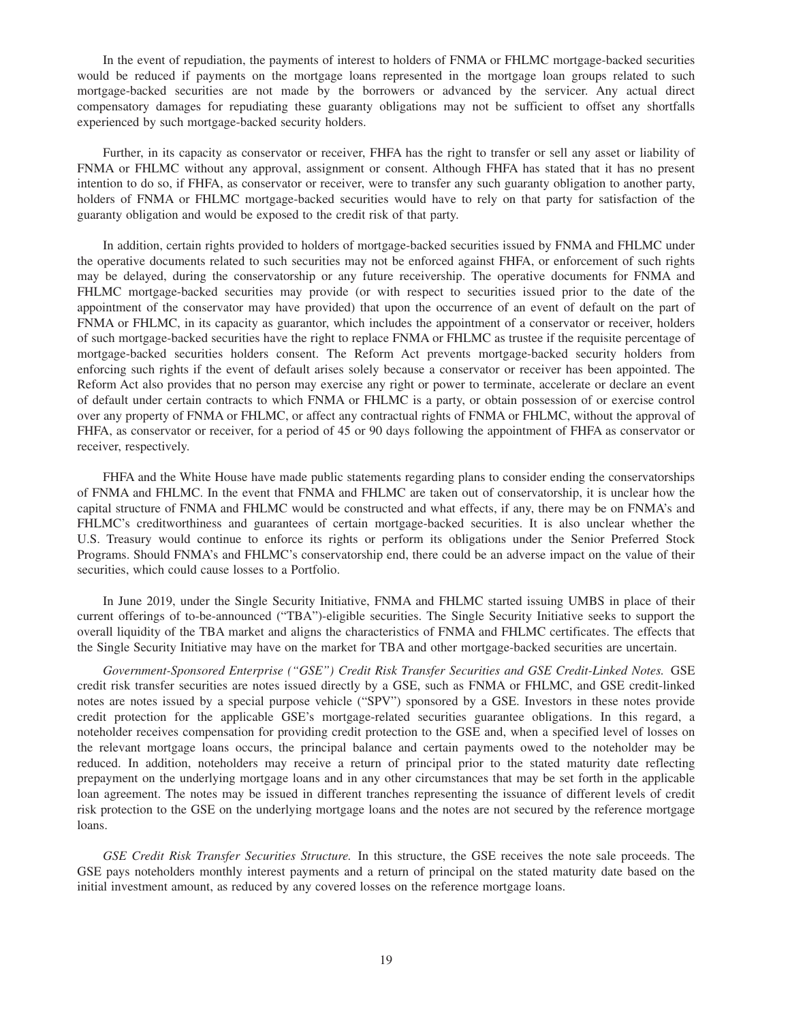In the event of repudiation, the payments of interest to holders of FNMA or FHLMC mortgage-backed securities would be reduced if payments on the mortgage loans represented in the mortgage loan groups related to such mortgage-backed securities are not made by the borrowers or advanced by the servicer. Any actual direct compensatory damages for repudiating these guaranty obligations may not be sufficient to offset any shortfalls experienced by such mortgage-backed security holders.

Further, in its capacity as conservator or receiver, FHFA has the right to transfer or sell any asset or liability of FNMA or FHLMC without any approval, assignment or consent. Although FHFA has stated that it has no present intention to do so, if FHFA, as conservator or receiver, were to transfer any such guaranty obligation to another party, holders of FNMA or FHLMC mortgage-backed securities would have to rely on that party for satisfaction of the guaranty obligation and would be exposed to the credit risk of that party.

In addition, certain rights provided to holders of mortgage-backed securities issued by FNMA and FHLMC under the operative documents related to such securities may not be enforced against FHFA, or enforcement of such rights may be delayed, during the conservatorship or any future receivership. The operative documents for FNMA and FHLMC mortgage-backed securities may provide (or with respect to securities issued prior to the date of the appointment of the conservator may have provided) that upon the occurrence of an event of default on the part of FNMA or FHLMC, in its capacity as guarantor, which includes the appointment of a conservator or receiver, holders of such mortgage-backed securities have the right to replace FNMA or FHLMC as trustee if the requisite percentage of mortgage-backed securities holders consent. The Reform Act prevents mortgage-backed security holders from enforcing such rights if the event of default arises solely because a conservator or receiver has been appointed. The Reform Act also provides that no person may exercise any right or power to terminate, accelerate or declare an event of default under certain contracts to which FNMA or FHLMC is a party, or obtain possession of or exercise control over any property of FNMA or FHLMC, or affect any contractual rights of FNMA or FHLMC, without the approval of FHFA, as conservator or receiver, for a period of 45 or 90 days following the appointment of FHFA as conservator or receiver, respectively.

FHFA and the White House have made public statements regarding plans to consider ending the conservatorships of FNMA and FHLMC. In the event that FNMA and FHLMC are taken out of conservatorship, it is unclear how the capital structure of FNMA and FHLMC would be constructed and what effects, if any, there may be on FNMA's and FHLMC's creditworthiness and guarantees of certain mortgage-backed securities. It is also unclear whether the U.S. Treasury would continue to enforce its rights or perform its obligations under the Senior Preferred Stock Programs. Should FNMA's and FHLMC's conservatorship end, there could be an adverse impact on the value of their securities, which could cause losses to a Portfolio.

In June 2019, under the Single Security Initiative, FNMA and FHLMC started issuing UMBS in place of their current offerings of to-be-announced ("TBA")-eligible securities. The Single Security Initiative seeks to support the overall liquidity of the TBA market and aligns the characteristics of FNMA and FHLMC certificates. The effects that the Single Security Initiative may have on the market for TBA and other mortgage-backed securities are uncertain.

*Government-Sponsored Enterprise ("GSE") Credit Risk Transfer Securities and GSE Credit-Linked Notes.* GSE credit risk transfer securities are notes issued directly by a GSE, such as FNMA or FHLMC, and GSE credit-linked notes are notes issued by a special purpose vehicle ("SPV") sponsored by a GSE. Investors in these notes provide credit protection for the applicable GSE's mortgage-related securities guarantee obligations. In this regard, a noteholder receives compensation for providing credit protection to the GSE and, when a specified level of losses on the relevant mortgage loans occurs, the principal balance and certain payments owed to the noteholder may be reduced. In addition, noteholders may receive a return of principal prior to the stated maturity date reflecting prepayment on the underlying mortgage loans and in any other circumstances that may be set forth in the applicable loan agreement. The notes may be issued in different tranches representing the issuance of different levels of credit risk protection to the GSE on the underlying mortgage loans and the notes are not secured by the reference mortgage loans.

*GSE Credit Risk Transfer Securities Structure.* In this structure, the GSE receives the note sale proceeds. The GSE pays noteholders monthly interest payments and a return of principal on the stated maturity date based on the initial investment amount, as reduced by any covered losses on the reference mortgage loans.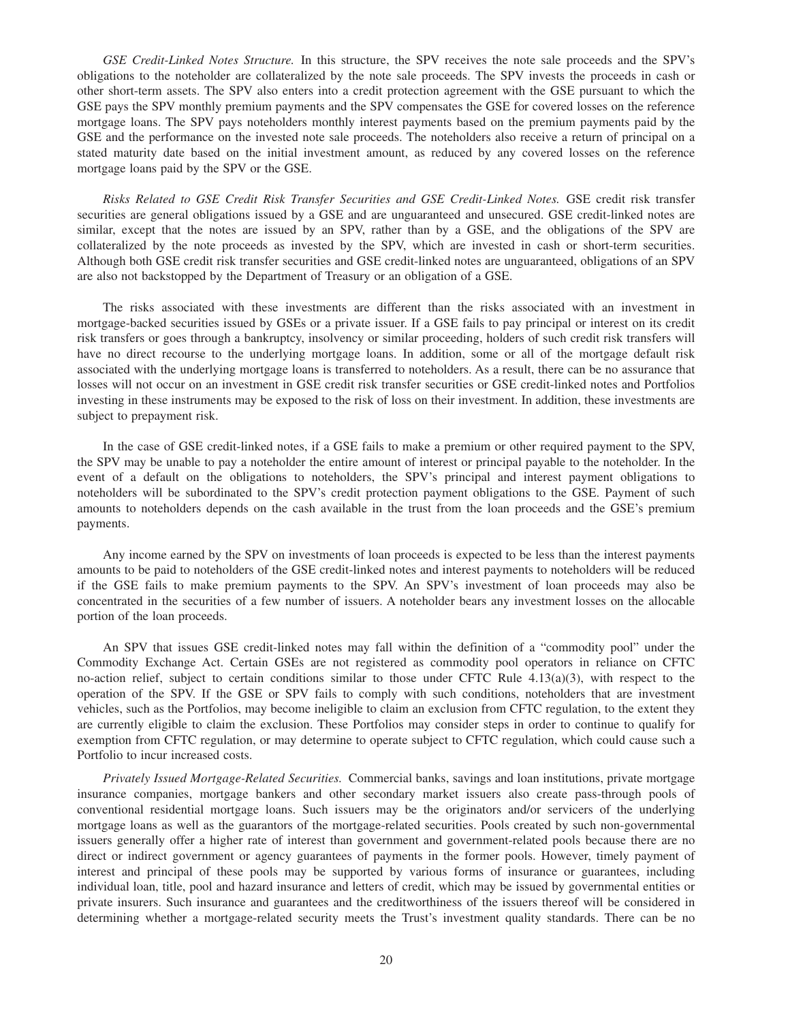*GSE Credit-Linked Notes Structure.* In this structure, the SPV receives the note sale proceeds and the SPV's obligations to the noteholder are collateralized by the note sale proceeds. The SPV invests the proceeds in cash or other short-term assets. The SPV also enters into a credit protection agreement with the GSE pursuant to which the GSE pays the SPV monthly premium payments and the SPV compensates the GSE for covered losses on the reference mortgage loans. The SPV pays noteholders monthly interest payments based on the premium payments paid by the GSE and the performance on the invested note sale proceeds. The noteholders also receive a return of principal on a stated maturity date based on the initial investment amount, as reduced by any covered losses on the reference mortgage loans paid by the SPV or the GSE.

*Risks Related to GSE Credit Risk Transfer Securities and GSE Credit-Linked Notes.* GSE credit risk transfer securities are general obligations issued by a GSE and are unguaranteed and unsecured. GSE credit-linked notes are similar, except that the notes are issued by an SPV, rather than by a GSE, and the obligations of the SPV are collateralized by the note proceeds as invested by the SPV, which are invested in cash or short-term securities. Although both GSE credit risk transfer securities and GSE credit-linked notes are unguaranteed, obligations of an SPV are also not backstopped by the Department of Treasury or an obligation of a GSE.

The risks associated with these investments are different than the risks associated with an investment in mortgage-backed securities issued by GSEs or a private issuer. If a GSE fails to pay principal or interest on its credit risk transfers or goes through a bankruptcy, insolvency or similar proceeding, holders of such credit risk transfers will have no direct recourse to the underlying mortgage loans. In addition, some or all of the mortgage default risk associated with the underlying mortgage loans is transferred to noteholders. As a result, there can be no assurance that losses will not occur on an investment in GSE credit risk transfer securities or GSE credit-linked notes and Portfolios investing in these instruments may be exposed to the risk of loss on their investment. In addition, these investments are subject to prepayment risk.

In the case of GSE credit-linked notes, if a GSE fails to make a premium or other required payment to the SPV, the SPV may be unable to pay a noteholder the entire amount of interest or principal payable to the noteholder. In the event of a default on the obligations to noteholders, the SPV's principal and interest payment obligations to noteholders will be subordinated to the SPV's credit protection payment obligations to the GSE. Payment of such amounts to noteholders depends on the cash available in the trust from the loan proceeds and the GSE's premium payments.

Any income earned by the SPV on investments of loan proceeds is expected to be less than the interest payments amounts to be paid to noteholders of the GSE credit-linked notes and interest payments to noteholders will be reduced if the GSE fails to make premium payments to the SPV. An SPV's investment of loan proceeds may also be concentrated in the securities of a few number of issuers. A noteholder bears any investment losses on the allocable portion of the loan proceeds.

An SPV that issues GSE credit-linked notes may fall within the definition of a "commodity pool" under the Commodity Exchange Act. Certain GSEs are not registered as commodity pool operators in reliance on CFTC no-action relief, subject to certain conditions similar to those under CFTC Rule  $4.13(a)(3)$ , with respect to the operation of the SPV. If the GSE or SPV fails to comply with such conditions, noteholders that are investment vehicles, such as the Portfolios, may become ineligible to claim an exclusion from CFTC regulation, to the extent they are currently eligible to claim the exclusion. These Portfolios may consider steps in order to continue to qualify for exemption from CFTC regulation, or may determine to operate subject to CFTC regulation, which could cause such a Portfolio to incur increased costs.

*Privately Issued Mortgage-Related Securities.* Commercial banks, savings and loan institutions, private mortgage insurance companies, mortgage bankers and other secondary market issuers also create pass-through pools of conventional residential mortgage loans. Such issuers may be the originators and/or servicers of the underlying mortgage loans as well as the guarantors of the mortgage-related securities. Pools created by such non-governmental issuers generally offer a higher rate of interest than government and government-related pools because there are no direct or indirect government or agency guarantees of payments in the former pools. However, timely payment of interest and principal of these pools may be supported by various forms of insurance or guarantees, including individual loan, title, pool and hazard insurance and letters of credit, which may be issued by governmental entities or private insurers. Such insurance and guarantees and the creditworthiness of the issuers thereof will be considered in determining whether a mortgage-related security meets the Trust's investment quality standards. There can be no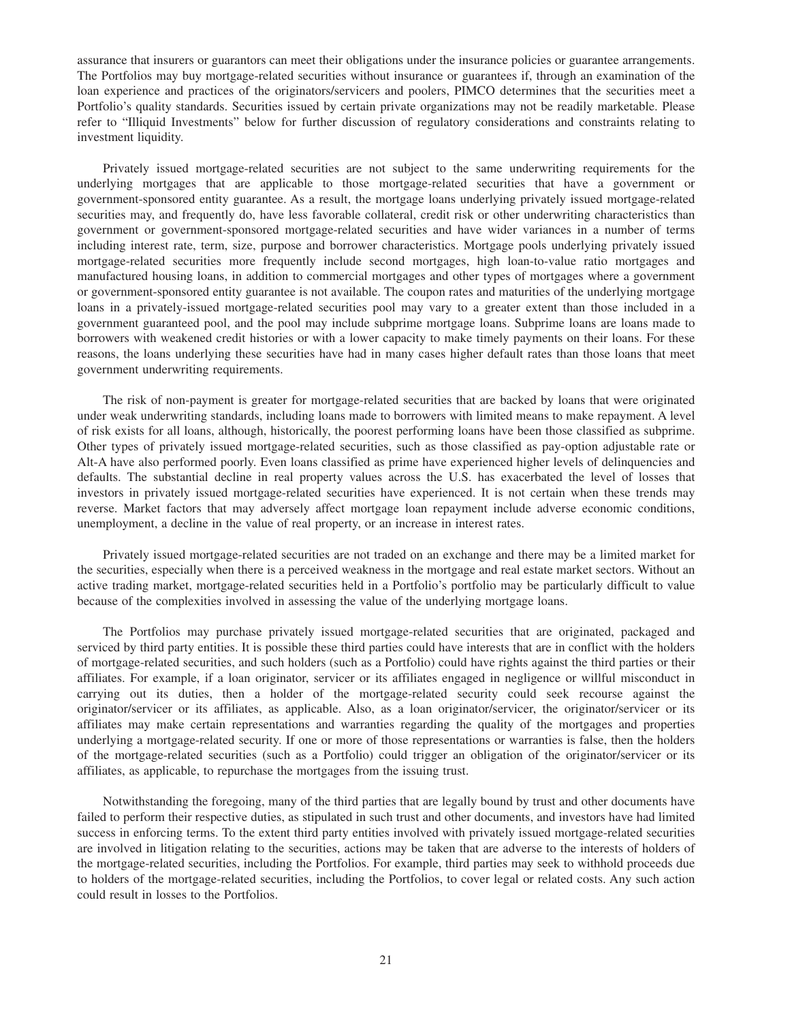assurance that insurers or guarantors can meet their obligations under the insurance policies or guarantee arrangements. The Portfolios may buy mortgage-related securities without insurance or guarantees if, through an examination of the loan experience and practices of the originators/servicers and poolers, PIMCO determines that the securities meet a Portfolio's quality standards. Securities issued by certain private organizations may not be readily marketable. Please refer to "Illiquid Investments" below for further discussion of regulatory considerations and constraints relating to investment liquidity.

Privately issued mortgage-related securities are not subject to the same underwriting requirements for the underlying mortgages that are applicable to those mortgage-related securities that have a government or government-sponsored entity guarantee. As a result, the mortgage loans underlying privately issued mortgage-related securities may, and frequently do, have less favorable collateral, credit risk or other underwriting characteristics than government or government-sponsored mortgage-related securities and have wider variances in a number of terms including interest rate, term, size, purpose and borrower characteristics. Mortgage pools underlying privately issued mortgage-related securities more frequently include second mortgages, high loan-to-value ratio mortgages and manufactured housing loans, in addition to commercial mortgages and other types of mortgages where a government or government-sponsored entity guarantee is not available. The coupon rates and maturities of the underlying mortgage loans in a privately-issued mortgage-related securities pool may vary to a greater extent than those included in a government guaranteed pool, and the pool may include subprime mortgage loans. Subprime loans are loans made to borrowers with weakened credit histories or with a lower capacity to make timely payments on their loans. For these reasons, the loans underlying these securities have had in many cases higher default rates than those loans that meet government underwriting requirements.

The risk of non-payment is greater for mortgage-related securities that are backed by loans that were originated under weak underwriting standards, including loans made to borrowers with limited means to make repayment. A level of risk exists for all loans, although, historically, the poorest performing loans have been those classified as subprime. Other types of privately issued mortgage-related securities, such as those classified as pay-option adjustable rate or Alt-A have also performed poorly. Even loans classified as prime have experienced higher levels of delinquencies and defaults. The substantial decline in real property values across the U.S. has exacerbated the level of losses that investors in privately issued mortgage-related securities have experienced. It is not certain when these trends may reverse. Market factors that may adversely affect mortgage loan repayment include adverse economic conditions, unemployment, a decline in the value of real property, or an increase in interest rates.

Privately issued mortgage-related securities are not traded on an exchange and there may be a limited market for the securities, especially when there is a perceived weakness in the mortgage and real estate market sectors. Without an active trading market, mortgage-related securities held in a Portfolio's portfolio may be particularly difficult to value because of the complexities involved in assessing the value of the underlying mortgage loans.

The Portfolios may purchase privately issued mortgage-related securities that are originated, packaged and serviced by third party entities. It is possible these third parties could have interests that are in conflict with the holders of mortgage-related securities, and such holders (such as a Portfolio) could have rights against the third parties or their affiliates. For example, if a loan originator, servicer or its affiliates engaged in negligence or willful misconduct in carrying out its duties, then a holder of the mortgage-related security could seek recourse against the originator/servicer or its affiliates, as applicable. Also, as a loan originator/servicer, the originator/servicer or its affiliates may make certain representations and warranties regarding the quality of the mortgages and properties underlying a mortgage-related security. If one or more of those representations or warranties is false, then the holders of the mortgage-related securities (such as a Portfolio) could trigger an obligation of the originator/servicer or its affiliates, as applicable, to repurchase the mortgages from the issuing trust.

Notwithstanding the foregoing, many of the third parties that are legally bound by trust and other documents have failed to perform their respective duties, as stipulated in such trust and other documents, and investors have had limited success in enforcing terms. To the extent third party entities involved with privately issued mortgage-related securities are involved in litigation relating to the securities, actions may be taken that are adverse to the interests of holders of the mortgage-related securities, including the Portfolios. For example, third parties may seek to withhold proceeds due to holders of the mortgage-related securities, including the Portfolios, to cover legal or related costs. Any such action could result in losses to the Portfolios.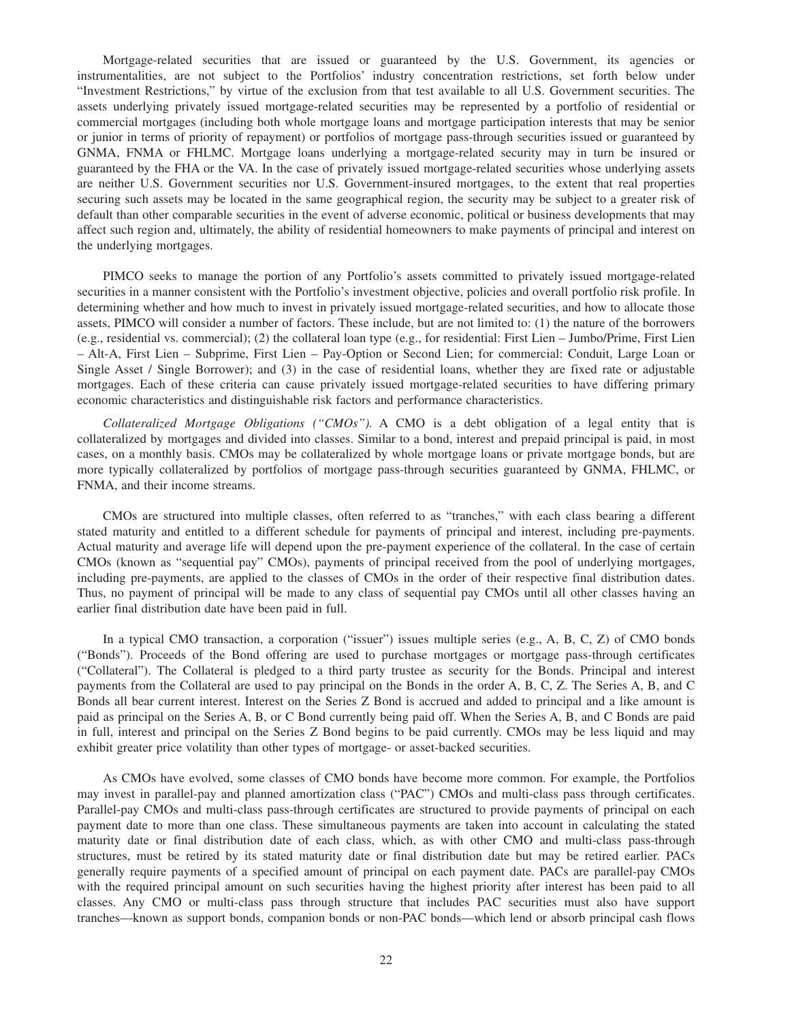Mortgage-related securities that are issued or guaranteed by the U.S. Government, its agencies or instrumentalities, are not subject to the Portfolios' industry concentration restrictions, set forth below under "Investment Restrictions," by virtue of the exclusion from that test available to all U.S. Government securities. The assets underlying privately issued mortgage-related securities may be represented by a portfolio of residential or commercial mortgages (including both whole mortgage loans and mortgage participation interests that may be senior or junior in terms of priority of repayment) or portfolios of mortgage pass-through securities issued or guaranteed by GNMA, FNMA or FHLMC. Mortgage loans underlying a mortgage-related security may in turn be insured or guaranteed by the FHA or the VA. In the case of privately issued mortgage-related securities whose underlying assets are neither U.S. Government securities nor U.S. Government-insured mortgages, to the extent that real properties securing such assets may be located in the same geographical region, the security may be subject to a greater risk of default than other comparable securities in the event of adverse economic, political or business developments that may affect such region and, ultimately, the ability of residential homeowners to make payments of principal and interest on the underlying mortgages.

PIMCO seeks to manage the portion of any Portfolio's assets committed to privately issued mortgage-related securities in a manner consistent with the Portfolio's investment objective, policies and overall portfolio risk profile. In determining whether and how much to invest in privately issued mortgage-related securities, and how to allocate those assets, PIMCO will consider a number of factors. These include, but are not limited to: (1) the nature of the borrowers (e.g., residential vs. commercial); (2) the collateral loan type (e.g., for residential: First Lien – Jumbo/Prime, First Lien – Alt-A, First Lien – Subprime, First Lien – Pay-Option or Second Lien; for commercial: Conduit, Large Loan or Single Asset / Single Borrower); and (3) in the case of residential loans, whether they are fixed rate or adjustable mortgages. Each of these criteria can cause privately issued mortgage-related securities to have differing primary economic characteristics and distinguishable risk factors and performance characteristics.

*Collateralized Mortgage Obligations ("CMOs").* A CMO is a debt obligation of a legal entity that is collateralized by mortgages and divided into classes. Similar to a bond, interest and prepaid principal is paid, in most cases, on a monthly basis. CMOs may be collateralized by whole mortgage loans or private mortgage bonds, but are more typically collateralized by portfolios of mortgage pass-through securities guaranteed by GNMA, FHLMC, or FNMA, and their income streams.

CMOs are structured into multiple classes, often referred to as "tranches," with each class bearing a different stated maturity and entitled to a different schedule for payments of principal and interest, including pre-payments. Actual maturity and average life will depend upon the pre-payment experience of the collateral. In the case of certain CMOs (known as "sequential pay" CMOs), payments of principal received from the pool of underlying mortgages, including pre-payments, are applied to the classes of CMOs in the order of their respective final distribution dates. Thus, no payment of principal will be made to any class of sequential pay CMOs until all other classes having an earlier final distribution date have been paid in full.

In a typical CMO transaction, a corporation ("issuer") issues multiple series (e.g., A, B, C, Z) of CMO bonds ("Bonds"). Proceeds of the Bond offering are used to purchase mortgages or mortgage pass-through certificates ("Collateral"). The Collateral is pledged to a third party trustee as security for the Bonds. Principal and interest payments from the Collateral are used to pay principal on the Bonds in the order A, B, C, Z. The Series A, B, and C Bonds all bear current interest. Interest on the Series Z Bond is accrued and added to principal and a like amount is paid as principal on the Series A, B, or C Bond currently being paid off. When the Series A, B, and C Bonds are paid in full, interest and principal on the Series Z Bond begins to be paid currently. CMOs may be less liquid and may exhibit greater price volatility than other types of mortgage- or asset-backed securities.

As CMOs have evolved, some classes of CMO bonds have become more common. For example, the Portfolios may invest in parallel-pay and planned amortization class ("PAC") CMOs and multi-class pass through certificates. Parallel-pay CMOs and multi-class pass-through certificates are structured to provide payments of principal on each payment date to more than one class. These simultaneous payments are taken into account in calculating the stated maturity date or final distribution date of each class, which, as with other CMO and multi-class pass-through structures, must be retired by its stated maturity date or final distribution date but may be retired earlier. PACs generally require payments of a specified amount of principal on each payment date. PACs are parallel-pay CMOs with the required principal amount on such securities having the highest priority after interest has been paid to all classes. Any CMO or multi-class pass through structure that includes PAC securities must also have support tranches—known as support bonds, companion bonds or non-PAC bonds—which lend or absorb principal cash flows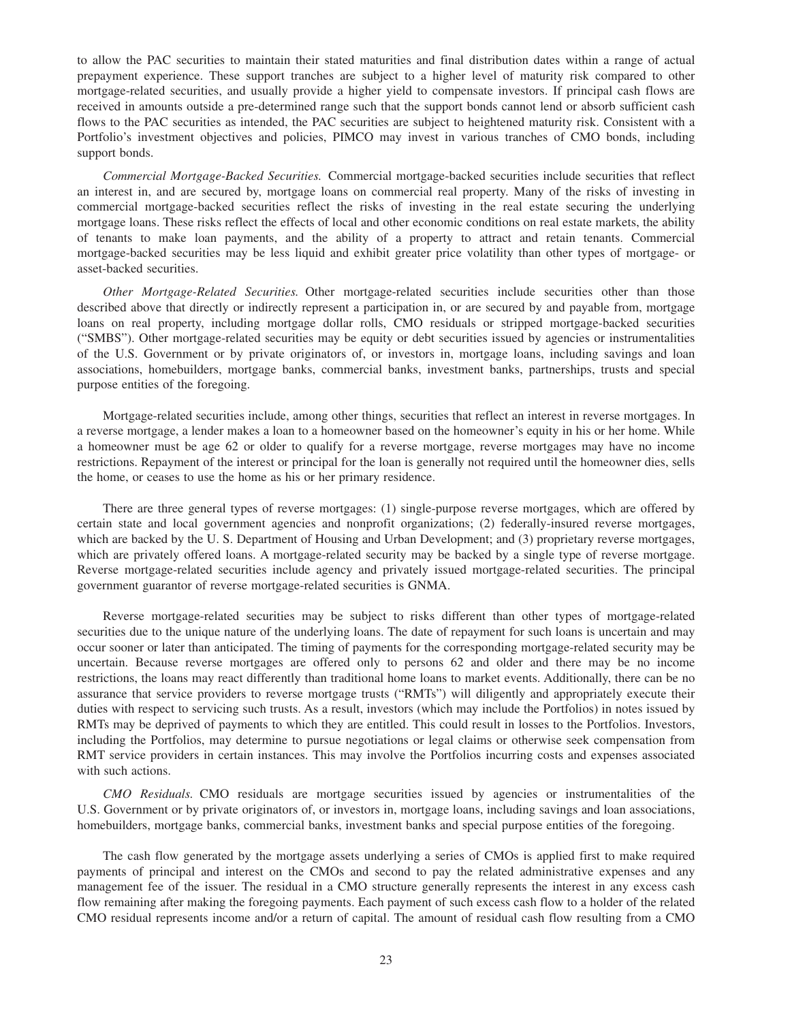to allow the PAC securities to maintain their stated maturities and final distribution dates within a range of actual prepayment experience. These support tranches are subject to a higher level of maturity risk compared to other mortgage-related securities, and usually provide a higher yield to compensate investors. If principal cash flows are received in amounts outside a pre-determined range such that the support bonds cannot lend or absorb sufficient cash flows to the PAC securities as intended, the PAC securities are subject to heightened maturity risk. Consistent with a Portfolio's investment objectives and policies, PIMCO may invest in various tranches of CMO bonds, including support bonds.

*Commercial Mortgage-Backed Securities.* Commercial mortgage-backed securities include securities that reflect an interest in, and are secured by, mortgage loans on commercial real property. Many of the risks of investing in commercial mortgage-backed securities reflect the risks of investing in the real estate securing the underlying mortgage loans. These risks reflect the effects of local and other economic conditions on real estate markets, the ability of tenants to make loan payments, and the ability of a property to attract and retain tenants. Commercial mortgage-backed securities may be less liquid and exhibit greater price volatility than other types of mortgage- or asset-backed securities.

*Other Mortgage-Related Securities.* Other mortgage-related securities include securities other than those described above that directly or indirectly represent a participation in, or are secured by and payable from, mortgage loans on real property, including mortgage dollar rolls, CMO residuals or stripped mortgage-backed securities ("SMBS"). Other mortgage-related securities may be equity or debt securities issued by agencies or instrumentalities of the U.S. Government or by private originators of, or investors in, mortgage loans, including savings and loan associations, homebuilders, mortgage banks, commercial banks, investment banks, partnerships, trusts and special purpose entities of the foregoing.

Mortgage-related securities include, among other things, securities that reflect an interest in reverse mortgages. In a reverse mortgage, a lender makes a loan to a homeowner based on the homeowner's equity in his or her home. While a homeowner must be age 62 or older to qualify for a reverse mortgage, reverse mortgages may have no income restrictions. Repayment of the interest or principal for the loan is generally not required until the homeowner dies, sells the home, or ceases to use the home as his or her primary residence.

There are three general types of reverse mortgages: (1) single-purpose reverse mortgages, which are offered by certain state and local government agencies and nonprofit organizations; (2) federally-insured reverse mortgages, which are backed by the U.S. Department of Housing and Urban Development; and (3) proprietary reverse mortgages, which are privately offered loans. A mortgage-related security may be backed by a single type of reverse mortgage. Reverse mortgage-related securities include agency and privately issued mortgage-related securities. The principal government guarantor of reverse mortgage-related securities is GNMA.

Reverse mortgage-related securities may be subject to risks different than other types of mortgage-related securities due to the unique nature of the underlying loans. The date of repayment for such loans is uncertain and may occur sooner or later than anticipated. The timing of payments for the corresponding mortgage-related security may be uncertain. Because reverse mortgages are offered only to persons 62 and older and there may be no income restrictions, the loans may react differently than traditional home loans to market events. Additionally, there can be no assurance that service providers to reverse mortgage trusts ("RMTs") will diligently and appropriately execute their duties with respect to servicing such trusts. As a result, investors (which may include the Portfolios) in notes issued by RMTs may be deprived of payments to which they are entitled. This could result in losses to the Portfolios. Investors, including the Portfolios, may determine to pursue negotiations or legal claims or otherwise seek compensation from RMT service providers in certain instances. This may involve the Portfolios incurring costs and expenses associated with such actions.

*CMO Residuals.* CMO residuals are mortgage securities issued by agencies or instrumentalities of the U.S. Government or by private originators of, or investors in, mortgage loans, including savings and loan associations, homebuilders, mortgage banks, commercial banks, investment banks and special purpose entities of the foregoing.

The cash flow generated by the mortgage assets underlying a series of CMOs is applied first to make required payments of principal and interest on the CMOs and second to pay the related administrative expenses and any management fee of the issuer. The residual in a CMO structure generally represents the interest in any excess cash flow remaining after making the foregoing payments. Each payment of such excess cash flow to a holder of the related CMO residual represents income and/or a return of capital. The amount of residual cash flow resulting from a CMO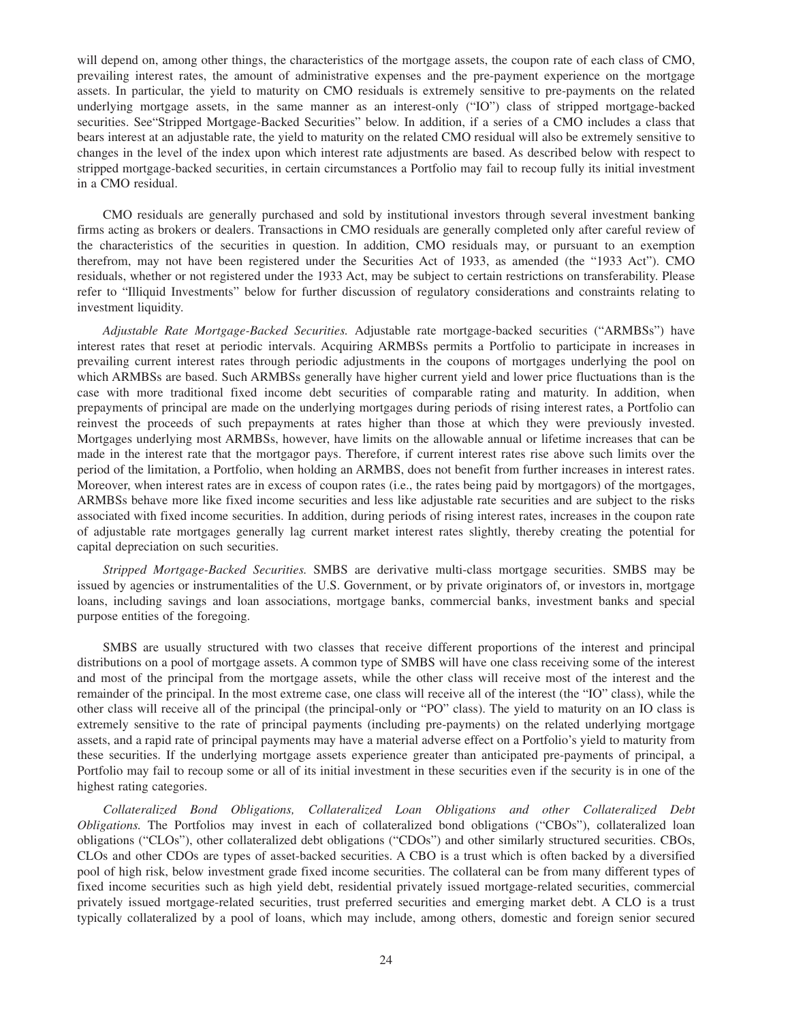will depend on, among other things, the characteristics of the mortgage assets, the coupon rate of each class of CMO, prevailing interest rates, the amount of administrative expenses and the pre-payment experience on the mortgage assets. In particular, the yield to maturity on CMO residuals is extremely sensitive to pre-payments on the related underlying mortgage assets, in the same manner as an interest-only ("IO") class of stripped mortgage-backed securities. See"Stripped Mortgage-Backed Securities" below. In addition, if a series of a CMO includes a class that bears interest at an adjustable rate, the yield to maturity on the related CMO residual will also be extremely sensitive to changes in the level of the index upon which interest rate adjustments are based. As described below with respect to stripped mortgage-backed securities, in certain circumstances a Portfolio may fail to recoup fully its initial investment in a CMO residual.

CMO residuals are generally purchased and sold by institutional investors through several investment banking firms acting as brokers or dealers. Transactions in CMO residuals are generally completed only after careful review of the characteristics of the securities in question. In addition, CMO residuals may, or pursuant to an exemption therefrom, may not have been registered under the Securities Act of 1933, as amended (the "1933 Act"). CMO residuals, whether or not registered under the 1933 Act, may be subject to certain restrictions on transferability. Please refer to "Illiquid Investments" below for further discussion of regulatory considerations and constraints relating to investment liquidity.

*Adjustable Rate Mortgage-Backed Securities.* Adjustable rate mortgage-backed securities ("ARMBSs") have interest rates that reset at periodic intervals. Acquiring ARMBSs permits a Portfolio to participate in increases in prevailing current interest rates through periodic adjustments in the coupons of mortgages underlying the pool on which ARMBSs are based. Such ARMBSs generally have higher current yield and lower price fluctuations than is the case with more traditional fixed income debt securities of comparable rating and maturity. In addition, when prepayments of principal are made on the underlying mortgages during periods of rising interest rates, a Portfolio can reinvest the proceeds of such prepayments at rates higher than those at which they were previously invested. Mortgages underlying most ARMBSs, however, have limits on the allowable annual or lifetime increases that can be made in the interest rate that the mortgagor pays. Therefore, if current interest rates rise above such limits over the period of the limitation, a Portfolio, when holding an ARMBS, does not benefit from further increases in interest rates. Moreover, when interest rates are in excess of coupon rates (i.e., the rates being paid by mortgagors) of the mortgages, ARMBSs behave more like fixed income securities and less like adjustable rate securities and are subject to the risks associated with fixed income securities. In addition, during periods of rising interest rates, increases in the coupon rate of adjustable rate mortgages generally lag current market interest rates slightly, thereby creating the potential for capital depreciation on such securities.

*Stripped Mortgage-Backed Securities.* SMBS are derivative multi-class mortgage securities. SMBS may be issued by agencies or instrumentalities of the U.S. Government, or by private originators of, or investors in, mortgage loans, including savings and loan associations, mortgage banks, commercial banks, investment banks and special purpose entities of the foregoing.

SMBS are usually structured with two classes that receive different proportions of the interest and principal distributions on a pool of mortgage assets. A common type of SMBS will have one class receiving some of the interest and most of the principal from the mortgage assets, while the other class will receive most of the interest and the remainder of the principal. In the most extreme case, one class will receive all of the interest (the "IO" class), while the other class will receive all of the principal (the principal-only or "PO" class). The yield to maturity on an IO class is extremely sensitive to the rate of principal payments (including pre-payments) on the related underlying mortgage assets, and a rapid rate of principal payments may have a material adverse effect on a Portfolio's yield to maturity from these securities. If the underlying mortgage assets experience greater than anticipated pre-payments of principal, a Portfolio may fail to recoup some or all of its initial investment in these securities even if the security is in one of the highest rating categories.

*Collateralized Bond Obligations, Collateralized Loan Obligations and other Collateralized Debt Obligations.* The Portfolios may invest in each of collateralized bond obligations ("CBOs"), collateralized loan obligations ("CLOs"), other collateralized debt obligations ("CDOs") and other similarly structured securities. CBOs, CLOs and other CDOs are types of asset-backed securities. A CBO is a trust which is often backed by a diversified pool of high risk, below investment grade fixed income securities. The collateral can be from many different types of fixed income securities such as high yield debt, residential privately issued mortgage-related securities, commercial privately issued mortgage-related securities, trust preferred securities and emerging market debt. A CLO is a trust typically collateralized by a pool of loans, which may include, among others, domestic and foreign senior secured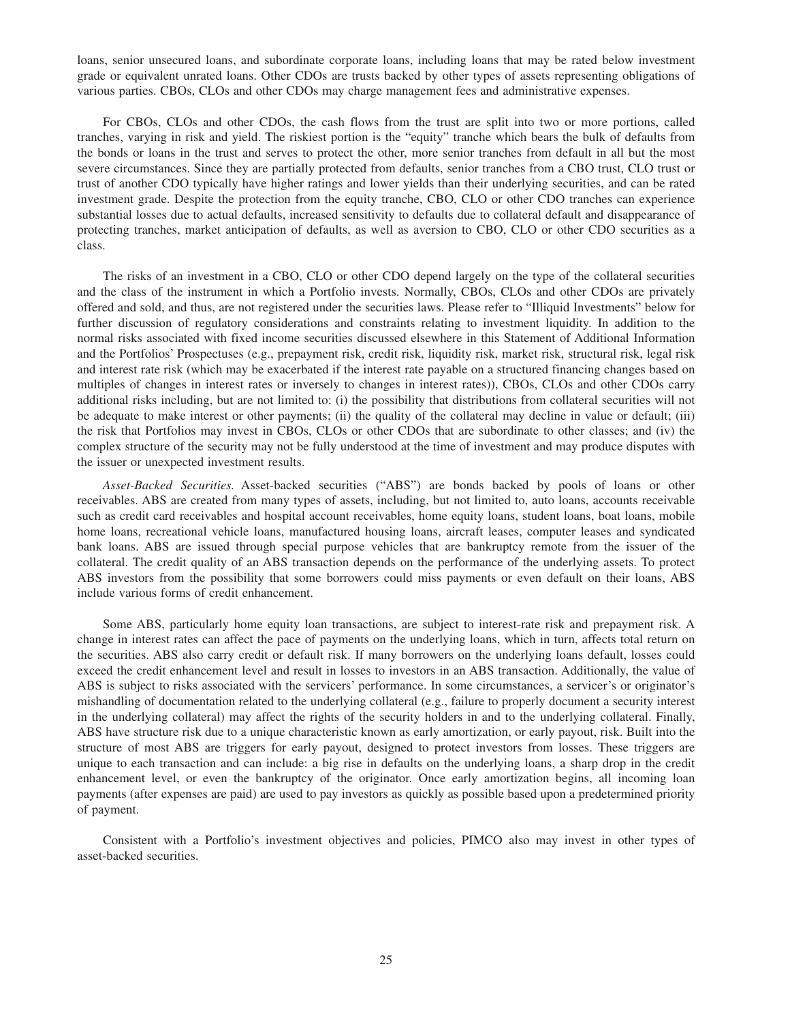loans, senior unsecured loans, and subordinate corporate loans, including loans that may be rated below investment grade or equivalent unrated loans. Other CDOs are trusts backed by other types of assets representing obligations of various parties. CBOs, CLOs and other CDOs may charge management fees and administrative expenses.

For CBOs, CLOs and other CDOs, the cash flows from the trust are split into two or more portions, called tranches, varying in risk and yield. The riskiest portion is the "equity" tranche which bears the bulk of defaults from the bonds or loans in the trust and serves to protect the other, more senior tranches from default in all but the most severe circumstances. Since they are partially protected from defaults, senior tranches from a CBO trust, CLO trust or trust of another CDO typically have higher ratings and lower yields than their underlying securities, and can be rated investment grade. Despite the protection from the equity tranche, CBO, CLO or other CDO tranches can experience substantial losses due to actual defaults, increased sensitivity to defaults due to collateral default and disappearance of protecting tranches, market anticipation of defaults, as well as aversion to CBO, CLO or other CDO securities as a class.

The risks of an investment in a CBO, CLO or other CDO depend largely on the type of the collateral securities and the class of the instrument in which a Portfolio invests. Normally, CBOs, CLOs and other CDOs are privately offered and sold, and thus, are not registered under the securities laws. Please refer to "Illiquid Investments" below for further discussion of regulatory considerations and constraints relating to investment liquidity. In addition to the normal risks associated with fixed income securities discussed elsewhere in this Statement of Additional Information and the Portfolios' Prospectuses (e.g., prepayment risk, credit risk, liquidity risk, market risk, structural risk, legal risk and interest rate risk (which may be exacerbated if the interest rate payable on a structured financing changes based on multiples of changes in interest rates or inversely to changes in interest rates)), CBOs, CLOs and other CDOs carry additional risks including, but are not limited to: (i) the possibility that distributions from collateral securities will not be adequate to make interest or other payments; (ii) the quality of the collateral may decline in value or default; (iii) the risk that Portfolios may invest in CBOs, CLOs or other CDOs that are subordinate to other classes; and (iv) the complex structure of the security may not be fully understood at the time of investment and may produce disputes with the issuer or unexpected investment results.

*Asset-Backed Securities.* Asset-backed securities ("ABS") are bonds backed by pools of loans or other receivables. ABS are created from many types of assets, including, but not limited to, auto loans, accounts receivable such as credit card receivables and hospital account receivables, home equity loans, student loans, boat loans, mobile home loans, recreational vehicle loans, manufactured housing loans, aircraft leases, computer leases and syndicated bank loans. ABS are issued through special purpose vehicles that are bankruptcy remote from the issuer of the collateral. The credit quality of an ABS transaction depends on the performance of the underlying assets. To protect ABS investors from the possibility that some borrowers could miss payments or even default on their loans, ABS include various forms of credit enhancement.

Some ABS, particularly home equity loan transactions, are subject to interest-rate risk and prepayment risk. A change in interest rates can affect the pace of payments on the underlying loans, which in turn, affects total return on the securities. ABS also carry credit or default risk. If many borrowers on the underlying loans default, losses could exceed the credit enhancement level and result in losses to investors in an ABS transaction. Additionally, the value of ABS is subject to risks associated with the servicers' performance. In some circumstances, a servicer's or originator's mishandling of documentation related to the underlying collateral (e.g., failure to properly document a security interest in the underlying collateral) may affect the rights of the security holders in and to the underlying collateral. Finally, ABS have structure risk due to a unique characteristic known as early amortization, or early payout, risk. Built into the structure of most ABS are triggers for early payout, designed to protect investors from losses. These triggers are unique to each transaction and can include: a big rise in defaults on the underlying loans, a sharp drop in the credit enhancement level, or even the bankruptcy of the originator. Once early amortization begins, all incoming loan payments (after expenses are paid) are used to pay investors as quickly as possible based upon a predetermined priority of payment.

Consistent with a Portfolio's investment objectives and policies, PIMCO also may invest in other types of asset-backed securities.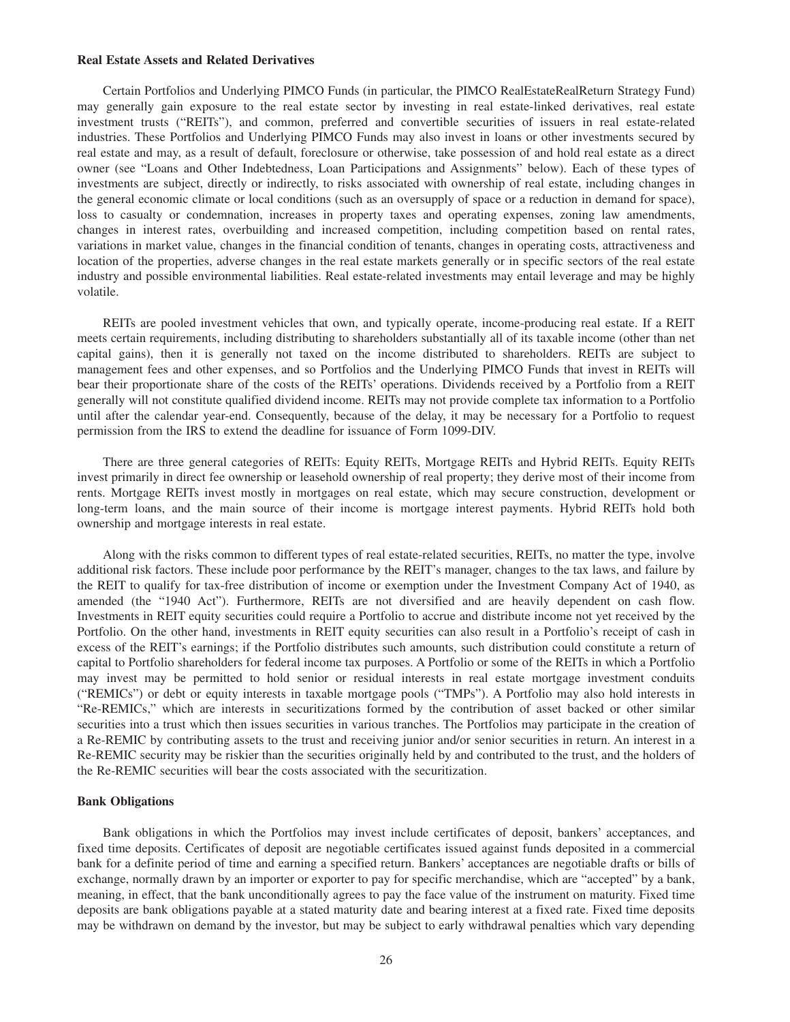#### <span id="page-29-0"></span>**Real Estate Assets and Related Derivatives**

Certain Portfolios and Underlying PIMCO Funds (in particular, the PIMCO RealEstateRealReturn Strategy Fund) may generally gain exposure to the real estate sector by investing in real estate-linked derivatives, real estate investment trusts ("REITs"), and common, preferred and convertible securities of issuers in real estate-related industries. These Portfolios and Underlying PIMCO Funds may also invest in loans or other investments secured by real estate and may, as a result of default, foreclosure or otherwise, take possession of and hold real estate as a direct owner (see "Loans and Other Indebtedness, Loan Participations and Assignments" below). Each of these types of investments are subject, directly or indirectly, to risks associated with ownership of real estate, including changes in the general economic climate or local conditions (such as an oversupply of space or a reduction in demand for space), loss to casualty or condemnation, increases in property taxes and operating expenses, zoning law amendments, changes in interest rates, overbuilding and increased competition, including competition based on rental rates, variations in market value, changes in the financial condition of tenants, changes in operating costs, attractiveness and location of the properties, adverse changes in the real estate markets generally or in specific sectors of the real estate industry and possible environmental liabilities. Real estate-related investments may entail leverage and may be highly volatile.

REITs are pooled investment vehicles that own, and typically operate, income-producing real estate. If a REIT meets certain requirements, including distributing to shareholders substantially all of its taxable income (other than net capital gains), then it is generally not taxed on the income distributed to shareholders. REITs are subject to management fees and other expenses, and so Portfolios and the Underlying PIMCO Funds that invest in REITs will bear their proportionate share of the costs of the REITs' operations. Dividends received by a Portfolio from a REIT generally will not constitute qualified dividend income. REITs may not provide complete tax information to a Portfolio until after the calendar year-end. Consequently, because of the delay, it may be necessary for a Portfolio to request permission from the IRS to extend the deadline for issuance of Form 1099-DIV.

There are three general categories of REITs: Equity REITs, Mortgage REITs and Hybrid REITs. Equity REITs invest primarily in direct fee ownership or leasehold ownership of real property; they derive most of their income from rents. Mortgage REITs invest mostly in mortgages on real estate, which may secure construction, development or long-term loans, and the main source of their income is mortgage interest payments. Hybrid REITs hold both ownership and mortgage interests in real estate.

Along with the risks common to different types of real estate-related securities, REITs, no matter the type, involve additional risk factors. These include poor performance by the REIT's manager, changes to the tax laws, and failure by the REIT to qualify for tax-free distribution of income or exemption under the Investment Company Act of 1940, as amended (the "1940 Act"). Furthermore, REITs are not diversified and are heavily dependent on cash flow. Investments in REIT equity securities could require a Portfolio to accrue and distribute income not yet received by the Portfolio. On the other hand, investments in REIT equity securities can also result in a Portfolio's receipt of cash in excess of the REIT's earnings; if the Portfolio distributes such amounts, such distribution could constitute a return of capital to Portfolio shareholders for federal income tax purposes. A Portfolio or some of the REITs in which a Portfolio may invest may be permitted to hold senior or residual interests in real estate mortgage investment conduits ("REMICs") or debt or equity interests in taxable mortgage pools ("TMPs"). A Portfolio may also hold interests in "Re-REMICs," which are interests in securitizations formed by the contribution of asset backed or other similar securities into a trust which then issues securities in various tranches. The Portfolios may participate in the creation of a Re-REMIC by contributing assets to the trust and receiving junior and/or senior securities in return. An interest in a Re-REMIC security may be riskier than the securities originally held by and contributed to the trust, and the holders of the Re-REMIC securities will bear the costs associated with the securitization.

### **Bank Obligations**

Bank obligations in which the Portfolios may invest include certificates of deposit, bankers' acceptances, and fixed time deposits. Certificates of deposit are negotiable certificates issued against funds deposited in a commercial bank for a definite period of time and earning a specified return. Bankers' acceptances are negotiable drafts or bills of exchange, normally drawn by an importer or exporter to pay for specific merchandise, which are "accepted" by a bank, meaning, in effect, that the bank unconditionally agrees to pay the face value of the instrument on maturity. Fixed time deposits are bank obligations payable at a stated maturity date and bearing interest at a fixed rate. Fixed time deposits may be withdrawn on demand by the investor, but may be subject to early withdrawal penalties which vary depending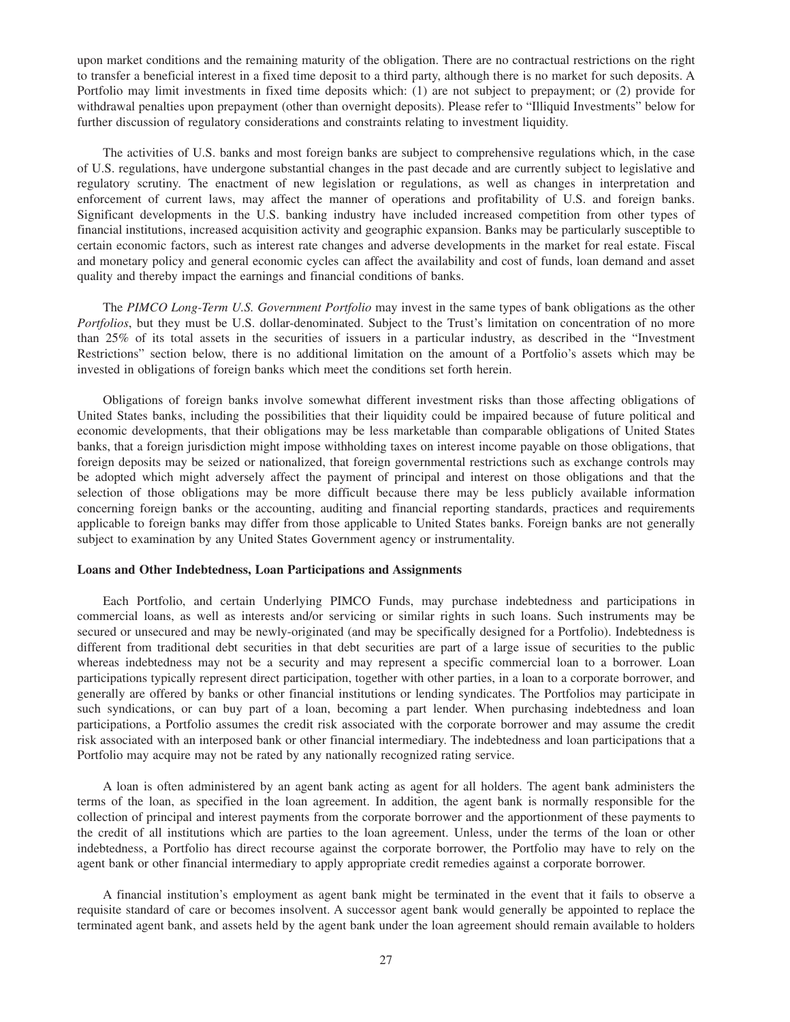<span id="page-30-0"></span>upon market conditions and the remaining maturity of the obligation. There are no contractual restrictions on the right to transfer a beneficial interest in a fixed time deposit to a third party, although there is no market for such deposits. A Portfolio may limit investments in fixed time deposits which: (1) are not subject to prepayment; or (2) provide for withdrawal penalties upon prepayment (other than overnight deposits). Please refer to "Illiquid Investments" below for further discussion of regulatory considerations and constraints relating to investment liquidity.

The activities of U.S. banks and most foreign banks are subject to comprehensive regulations which, in the case of U.S. regulations, have undergone substantial changes in the past decade and are currently subject to legislative and regulatory scrutiny. The enactment of new legislation or regulations, as well as changes in interpretation and enforcement of current laws, may affect the manner of operations and profitability of U.S. and foreign banks. Significant developments in the U.S. banking industry have included increased competition from other types of financial institutions, increased acquisition activity and geographic expansion. Banks may be particularly susceptible to certain economic factors, such as interest rate changes and adverse developments in the market for real estate. Fiscal and monetary policy and general economic cycles can affect the availability and cost of funds, loan demand and asset quality and thereby impact the earnings and financial conditions of banks.

The *PIMCO Long-Term U.S. Government Portfolio* may invest in the same types of bank obligations as the other *Portfolios*, but they must be U.S. dollar-denominated. Subject to the Trust's limitation on concentration of no more than 25% of its total assets in the securities of issuers in a particular industry, as described in the "Investment Restrictions" section below, there is no additional limitation on the amount of a Portfolio's assets which may be invested in obligations of foreign banks which meet the conditions set forth herein.

Obligations of foreign banks involve somewhat different investment risks than those affecting obligations of United States banks, including the possibilities that their liquidity could be impaired because of future political and economic developments, that their obligations may be less marketable than comparable obligations of United States banks, that a foreign jurisdiction might impose withholding taxes on interest income payable on those obligations, that foreign deposits may be seized or nationalized, that foreign governmental restrictions such as exchange controls may be adopted which might adversely affect the payment of principal and interest on those obligations and that the selection of those obligations may be more difficult because there may be less publicly available information concerning foreign banks or the accounting, auditing and financial reporting standards, practices and requirements applicable to foreign banks may differ from those applicable to United States banks. Foreign banks are not generally subject to examination by any United States Government agency or instrumentality.

### **Loans and Other Indebtedness, Loan Participations and Assignments**

Each Portfolio, and certain Underlying PIMCO Funds, may purchase indebtedness and participations in commercial loans, as well as interests and/or servicing or similar rights in such loans. Such instruments may be secured or unsecured and may be newly-originated (and may be specifically designed for a Portfolio). Indebtedness is different from traditional debt securities in that debt securities are part of a large issue of securities to the public whereas indebtedness may not be a security and may represent a specific commercial loan to a borrower. Loan participations typically represent direct participation, together with other parties, in a loan to a corporate borrower, and generally are offered by banks or other financial institutions or lending syndicates. The Portfolios may participate in such syndications, or can buy part of a loan, becoming a part lender. When purchasing indebtedness and loan participations, a Portfolio assumes the credit risk associated with the corporate borrower and may assume the credit risk associated with an interposed bank or other financial intermediary. The indebtedness and loan participations that a Portfolio may acquire may not be rated by any nationally recognized rating service.

A loan is often administered by an agent bank acting as agent for all holders. The agent bank administers the terms of the loan, as specified in the loan agreement. In addition, the agent bank is normally responsible for the collection of principal and interest payments from the corporate borrower and the apportionment of these payments to the credit of all institutions which are parties to the loan agreement. Unless, under the terms of the loan or other indebtedness, a Portfolio has direct recourse against the corporate borrower, the Portfolio may have to rely on the agent bank or other financial intermediary to apply appropriate credit remedies against a corporate borrower.

A financial institution's employment as agent bank might be terminated in the event that it fails to observe a requisite standard of care or becomes insolvent. A successor agent bank would generally be appointed to replace the terminated agent bank, and assets held by the agent bank under the loan agreement should remain available to holders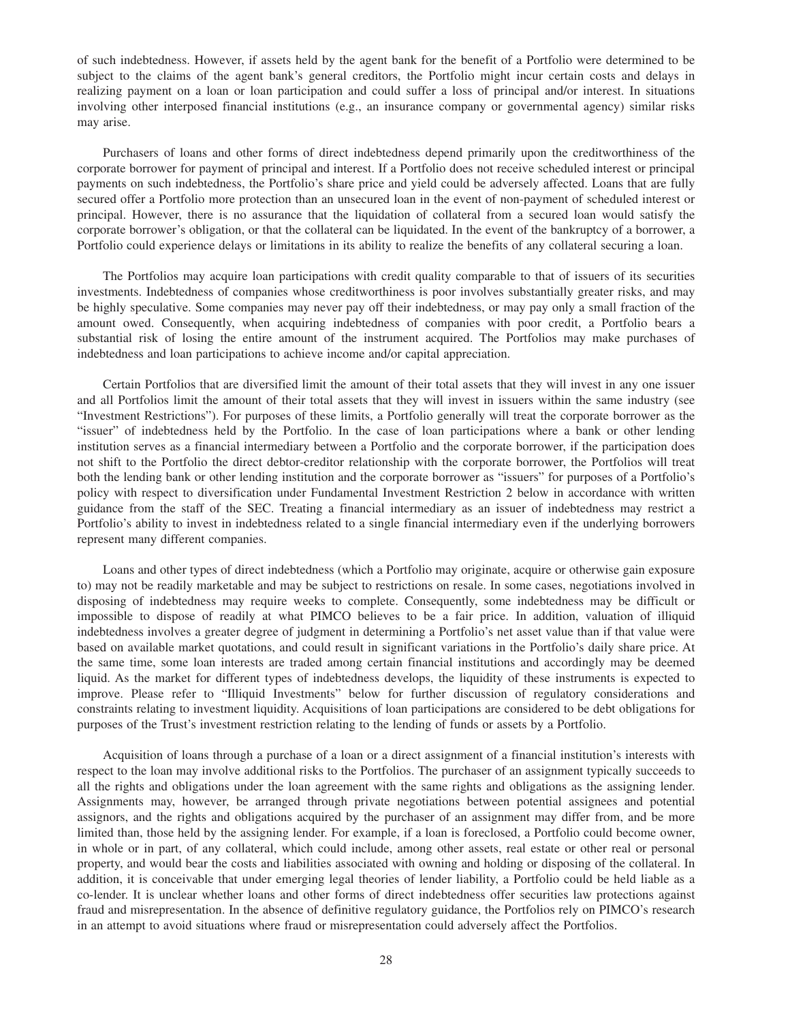of such indebtedness. However, if assets held by the agent bank for the benefit of a Portfolio were determined to be subject to the claims of the agent bank's general creditors, the Portfolio might incur certain costs and delays in realizing payment on a loan or loan participation and could suffer a loss of principal and/or interest. In situations involving other interposed financial institutions (e.g., an insurance company or governmental agency) similar risks may arise.

Purchasers of loans and other forms of direct indebtedness depend primarily upon the creditworthiness of the corporate borrower for payment of principal and interest. If a Portfolio does not receive scheduled interest or principal payments on such indebtedness, the Portfolio's share price and yield could be adversely affected. Loans that are fully secured offer a Portfolio more protection than an unsecured loan in the event of non-payment of scheduled interest or principal. However, there is no assurance that the liquidation of collateral from a secured loan would satisfy the corporate borrower's obligation, or that the collateral can be liquidated. In the event of the bankruptcy of a borrower, a Portfolio could experience delays or limitations in its ability to realize the benefits of any collateral securing a loan.

The Portfolios may acquire loan participations with credit quality comparable to that of issuers of its securities investments. Indebtedness of companies whose creditworthiness is poor involves substantially greater risks, and may be highly speculative. Some companies may never pay off their indebtedness, or may pay only a small fraction of the amount owed. Consequently, when acquiring indebtedness of companies with poor credit, a Portfolio bears a substantial risk of losing the entire amount of the instrument acquired. The Portfolios may make purchases of indebtedness and loan participations to achieve income and/or capital appreciation.

Certain Portfolios that are diversified limit the amount of their total assets that they will invest in any one issuer and all Portfolios limit the amount of their total assets that they will invest in issuers within the same industry (see "Investment Restrictions"). For purposes of these limits, a Portfolio generally will treat the corporate borrower as the "issuer" of indebtedness held by the Portfolio. In the case of loan participations where a bank or other lending institution serves as a financial intermediary between a Portfolio and the corporate borrower, if the participation does not shift to the Portfolio the direct debtor-creditor relationship with the corporate borrower, the Portfolios will treat both the lending bank or other lending institution and the corporate borrower as "issuers" for purposes of a Portfolio's policy with respect to diversification under Fundamental Investment Restriction 2 below in accordance with written guidance from the staff of the SEC. Treating a financial intermediary as an issuer of indebtedness may restrict a Portfolio's ability to invest in indebtedness related to a single financial intermediary even if the underlying borrowers represent many different companies.

Loans and other types of direct indebtedness (which a Portfolio may originate, acquire or otherwise gain exposure to) may not be readily marketable and may be subject to restrictions on resale. In some cases, negotiations involved in disposing of indebtedness may require weeks to complete. Consequently, some indebtedness may be difficult or impossible to dispose of readily at what PIMCO believes to be a fair price. In addition, valuation of illiquid indebtedness involves a greater degree of judgment in determining a Portfolio's net asset value than if that value were based on available market quotations, and could result in significant variations in the Portfolio's daily share price. At the same time, some loan interests are traded among certain financial institutions and accordingly may be deemed liquid. As the market for different types of indebtedness develops, the liquidity of these instruments is expected to improve. Please refer to "Illiquid Investments" below for further discussion of regulatory considerations and constraints relating to investment liquidity. Acquisitions of loan participations are considered to be debt obligations for purposes of the Trust's investment restriction relating to the lending of funds or assets by a Portfolio.

Acquisition of loans through a purchase of a loan or a direct assignment of a financial institution's interests with respect to the loan may involve additional risks to the Portfolios. The purchaser of an assignment typically succeeds to all the rights and obligations under the loan agreement with the same rights and obligations as the assigning lender. Assignments may, however, be arranged through private negotiations between potential assignees and potential assignors, and the rights and obligations acquired by the purchaser of an assignment may differ from, and be more limited than, those held by the assigning lender. For example, if a loan is foreclosed, a Portfolio could become owner, in whole or in part, of any collateral, which could include, among other assets, real estate or other real or personal property, and would bear the costs and liabilities associated with owning and holding or disposing of the collateral. In addition, it is conceivable that under emerging legal theories of lender liability, a Portfolio could be held liable as a co-lender. It is unclear whether loans and other forms of direct indebtedness offer securities law protections against fraud and misrepresentation. In the absence of definitive regulatory guidance, the Portfolios rely on PIMCO's research in an attempt to avoid situations where fraud or misrepresentation could adversely affect the Portfolios.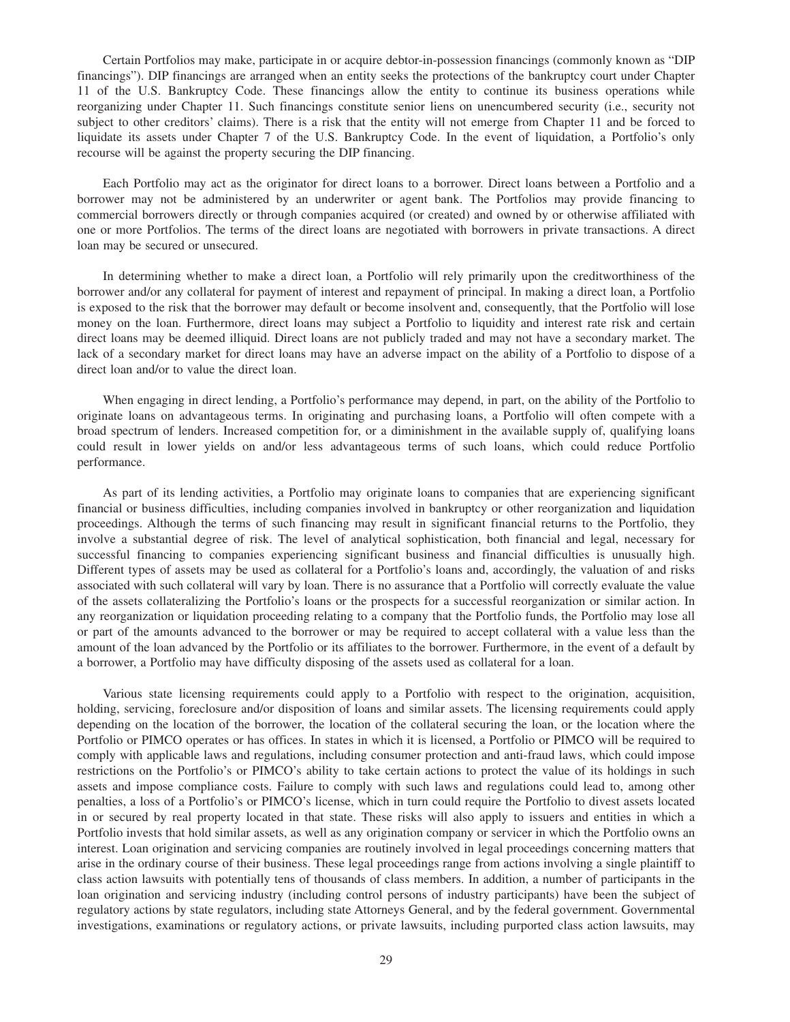Certain Portfolios may make, participate in or acquire debtor-in-possession financings (commonly known as "DIP financings"). DIP financings are arranged when an entity seeks the protections of the bankruptcy court under Chapter 11 of the U.S. Bankruptcy Code. These financings allow the entity to continue its business operations while reorganizing under Chapter 11. Such financings constitute senior liens on unencumbered security (i.e., security not subject to other creditors' claims). There is a risk that the entity will not emerge from Chapter 11 and be forced to liquidate its assets under Chapter 7 of the U.S. Bankruptcy Code. In the event of liquidation, a Portfolio's only recourse will be against the property securing the DIP financing.

Each Portfolio may act as the originator for direct loans to a borrower. Direct loans between a Portfolio and a borrower may not be administered by an underwriter or agent bank. The Portfolios may provide financing to commercial borrowers directly or through companies acquired (or created) and owned by or otherwise affiliated with one or more Portfolios. The terms of the direct loans are negotiated with borrowers in private transactions. A direct loan may be secured or unsecured.

In determining whether to make a direct loan, a Portfolio will rely primarily upon the creditworthiness of the borrower and/or any collateral for payment of interest and repayment of principal. In making a direct loan, a Portfolio is exposed to the risk that the borrower may default or become insolvent and, consequently, that the Portfolio will lose money on the loan. Furthermore, direct loans may subject a Portfolio to liquidity and interest rate risk and certain direct loans may be deemed illiquid. Direct loans are not publicly traded and may not have a secondary market. The lack of a secondary market for direct loans may have an adverse impact on the ability of a Portfolio to dispose of a direct loan and/or to value the direct loan.

When engaging in direct lending, a Portfolio's performance may depend, in part, on the ability of the Portfolio to originate loans on advantageous terms. In originating and purchasing loans, a Portfolio will often compete with a broad spectrum of lenders. Increased competition for, or a diminishment in the available supply of, qualifying loans could result in lower yields on and/or less advantageous terms of such loans, which could reduce Portfolio performance.

As part of its lending activities, a Portfolio may originate loans to companies that are experiencing significant financial or business difficulties, including companies involved in bankruptcy or other reorganization and liquidation proceedings. Although the terms of such financing may result in significant financial returns to the Portfolio, they involve a substantial degree of risk. The level of analytical sophistication, both financial and legal, necessary for successful financing to companies experiencing significant business and financial difficulties is unusually high. Different types of assets may be used as collateral for a Portfolio's loans and, accordingly, the valuation of and risks associated with such collateral will vary by loan. There is no assurance that a Portfolio will correctly evaluate the value of the assets collateralizing the Portfolio's loans or the prospects for a successful reorganization or similar action. In any reorganization or liquidation proceeding relating to a company that the Portfolio funds, the Portfolio may lose all or part of the amounts advanced to the borrower or may be required to accept collateral with a value less than the amount of the loan advanced by the Portfolio or its affiliates to the borrower. Furthermore, in the event of a default by a borrower, a Portfolio may have difficulty disposing of the assets used as collateral for a loan.

Various state licensing requirements could apply to a Portfolio with respect to the origination, acquisition, holding, servicing, foreclosure and/or disposition of loans and similar assets. The licensing requirements could apply depending on the location of the borrower, the location of the collateral securing the loan, or the location where the Portfolio or PIMCO operates or has offices. In states in which it is licensed, a Portfolio or PIMCO will be required to comply with applicable laws and regulations, including consumer protection and anti-fraud laws, which could impose restrictions on the Portfolio's or PIMCO's ability to take certain actions to protect the value of its holdings in such assets and impose compliance costs. Failure to comply with such laws and regulations could lead to, among other penalties, a loss of a Portfolio's or PIMCO's license, which in turn could require the Portfolio to divest assets located in or secured by real property located in that state. These risks will also apply to issuers and entities in which a Portfolio invests that hold similar assets, as well as any origination company or servicer in which the Portfolio owns an interest. Loan origination and servicing companies are routinely involved in legal proceedings concerning matters that arise in the ordinary course of their business. These legal proceedings range from actions involving a single plaintiff to class action lawsuits with potentially tens of thousands of class members. In addition, a number of participants in the loan origination and servicing industry (including control persons of industry participants) have been the subject of regulatory actions by state regulators, including state Attorneys General, and by the federal government. Governmental investigations, examinations or regulatory actions, or private lawsuits, including purported class action lawsuits, may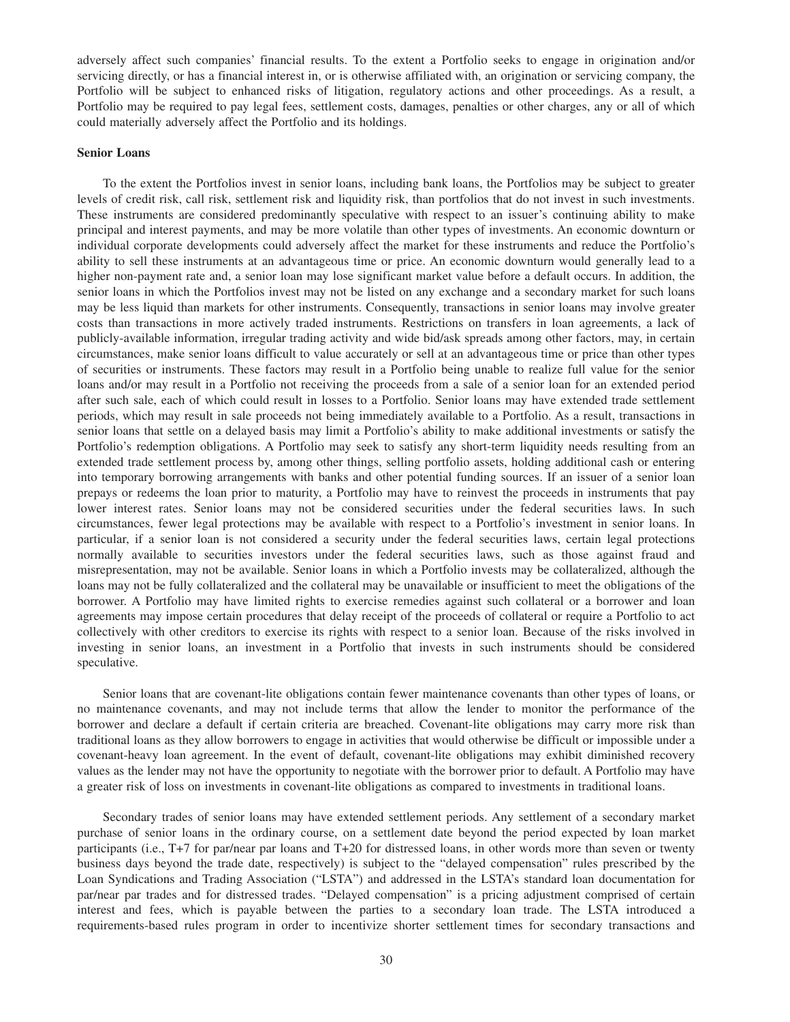<span id="page-33-0"></span>adversely affect such companies' financial results. To the extent a Portfolio seeks to engage in origination and/or servicing directly, or has a financial interest in, or is otherwise affiliated with, an origination or servicing company, the Portfolio will be subject to enhanced risks of litigation, regulatory actions and other proceedings. As a result, a Portfolio may be required to pay legal fees, settlement costs, damages, penalties or other charges, any or all of which could materially adversely affect the Portfolio and its holdings.

### **Senior Loans**

To the extent the Portfolios invest in senior loans, including bank loans, the Portfolios may be subject to greater levels of credit risk, call risk, settlement risk and liquidity risk, than portfolios that do not invest in such investments. These instruments are considered predominantly speculative with respect to an issuer's continuing ability to make principal and interest payments, and may be more volatile than other types of investments. An economic downturn or individual corporate developments could adversely affect the market for these instruments and reduce the Portfolio's ability to sell these instruments at an advantageous time or price. An economic downturn would generally lead to a higher non-payment rate and, a senior loan may lose significant market value before a default occurs. In addition, the senior loans in which the Portfolios invest may not be listed on any exchange and a secondary market for such loans may be less liquid than markets for other instruments. Consequently, transactions in senior loans may involve greater costs than transactions in more actively traded instruments. Restrictions on transfers in loan agreements, a lack of publicly-available information, irregular trading activity and wide bid/ask spreads among other factors, may, in certain circumstances, make senior loans difficult to value accurately or sell at an advantageous time or price than other types of securities or instruments. These factors may result in a Portfolio being unable to realize full value for the senior loans and/or may result in a Portfolio not receiving the proceeds from a sale of a senior loan for an extended period after such sale, each of which could result in losses to a Portfolio. Senior loans may have extended trade settlement periods, which may result in sale proceeds not being immediately available to a Portfolio. As a result, transactions in senior loans that settle on a delayed basis may limit a Portfolio's ability to make additional investments or satisfy the Portfolio's redemption obligations. A Portfolio may seek to satisfy any short-term liquidity needs resulting from an extended trade settlement process by, among other things, selling portfolio assets, holding additional cash or entering into temporary borrowing arrangements with banks and other potential funding sources. If an issuer of a senior loan prepays or redeems the loan prior to maturity, a Portfolio may have to reinvest the proceeds in instruments that pay lower interest rates. Senior loans may not be considered securities under the federal securities laws. In such circumstances, fewer legal protections may be available with respect to a Portfolio's investment in senior loans. In particular, if a senior loan is not considered a security under the federal securities laws, certain legal protections normally available to securities investors under the federal securities laws, such as those against fraud and misrepresentation, may not be available. Senior loans in which a Portfolio invests may be collateralized, although the loans may not be fully collateralized and the collateral may be unavailable or insufficient to meet the obligations of the borrower. A Portfolio may have limited rights to exercise remedies against such collateral or a borrower and loan agreements may impose certain procedures that delay receipt of the proceeds of collateral or require a Portfolio to act collectively with other creditors to exercise its rights with respect to a senior loan. Because of the risks involved in investing in senior loans, an investment in a Portfolio that invests in such instruments should be considered speculative.

Senior loans that are covenant-lite obligations contain fewer maintenance covenants than other types of loans, or no maintenance covenants, and may not include terms that allow the lender to monitor the performance of the borrower and declare a default if certain criteria are breached. Covenant-lite obligations may carry more risk than traditional loans as they allow borrowers to engage in activities that would otherwise be difficult or impossible under a covenant-heavy loan agreement. In the event of default, covenant-lite obligations may exhibit diminished recovery values as the lender may not have the opportunity to negotiate with the borrower prior to default. A Portfolio may have a greater risk of loss on investments in covenant-lite obligations as compared to investments in traditional loans.

Secondary trades of senior loans may have extended settlement periods. Any settlement of a secondary market purchase of senior loans in the ordinary course, on a settlement date beyond the period expected by loan market participants (i.e., T+7 for par/near par loans and T+20 for distressed loans, in other words more than seven or twenty business days beyond the trade date, respectively) is subject to the "delayed compensation" rules prescribed by the Loan Syndications and Trading Association ("LSTA") and addressed in the LSTA's standard loan documentation for par/near par trades and for distressed trades. "Delayed compensation" is a pricing adjustment comprised of certain interest and fees, which is payable between the parties to a secondary loan trade. The LSTA introduced a requirements-based rules program in order to incentivize shorter settlement times for secondary transactions and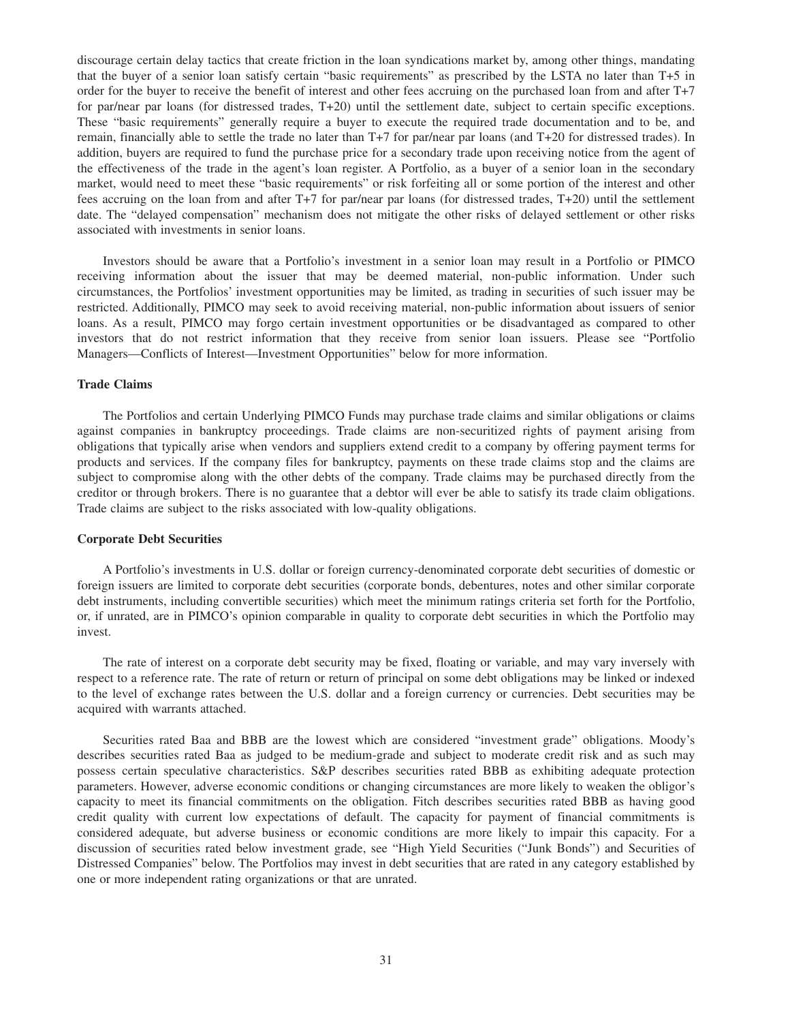<span id="page-34-0"></span>discourage certain delay tactics that create friction in the loan syndications market by, among other things, mandating that the buyer of a senior loan satisfy certain "basic requirements" as prescribed by the LSTA no later than T+5 in order for the buyer to receive the benefit of interest and other fees accruing on the purchased loan from and after T+7 for par/near par loans (for distressed trades, T+20) until the settlement date, subject to certain specific exceptions. These "basic requirements" generally require a buyer to execute the required trade documentation and to be, and remain, financially able to settle the trade no later than T+7 for par/near par loans (and T+20 for distressed trades). In addition, buyers are required to fund the purchase price for a secondary trade upon receiving notice from the agent of the effectiveness of the trade in the agent's loan register. A Portfolio, as a buyer of a senior loan in the secondary market, would need to meet these "basic requirements" or risk forfeiting all or some portion of the interest and other fees accruing on the loan from and after T+7 for par/near par loans (for distressed trades, T+20) until the settlement date. The "delayed compensation" mechanism does not mitigate the other risks of delayed settlement or other risks associated with investments in senior loans.

Investors should be aware that a Portfolio's investment in a senior loan may result in a Portfolio or PIMCO receiving information about the issuer that may be deemed material, non-public information. Under such circumstances, the Portfolios' investment opportunities may be limited, as trading in securities of such issuer may be restricted. Additionally, PIMCO may seek to avoid receiving material, non-public information about issuers of senior loans. As a result, PIMCO may forgo certain investment opportunities or be disadvantaged as compared to other investors that do not restrict information that they receive from senior loan issuers. Please see "Portfolio Managers—Conflicts of Interest—Investment Opportunities" below for more information.

### **Trade Claims**

The Portfolios and certain Underlying PIMCO Funds may purchase trade claims and similar obligations or claims against companies in bankruptcy proceedings. Trade claims are non-securitized rights of payment arising from obligations that typically arise when vendors and suppliers extend credit to a company by offering payment terms for products and services. If the company files for bankruptcy, payments on these trade claims stop and the claims are subject to compromise along with the other debts of the company. Trade claims may be purchased directly from the creditor or through brokers. There is no guarantee that a debtor will ever be able to satisfy its trade claim obligations. Trade claims are subject to the risks associated with low-quality obligations.

#### **Corporate Debt Securities**

A Portfolio's investments in U.S. dollar or foreign currency-denominated corporate debt securities of domestic or foreign issuers are limited to corporate debt securities (corporate bonds, debentures, notes and other similar corporate debt instruments, including convertible securities) which meet the minimum ratings criteria set forth for the Portfolio, or, if unrated, are in PIMCO's opinion comparable in quality to corporate debt securities in which the Portfolio may invest.

The rate of interest on a corporate debt security may be fixed, floating or variable, and may vary inversely with respect to a reference rate. The rate of return or return of principal on some debt obligations may be linked or indexed to the level of exchange rates between the U.S. dollar and a foreign currency or currencies. Debt securities may be acquired with warrants attached.

Securities rated Baa and BBB are the lowest which are considered "investment grade" obligations. Moody's describes securities rated Baa as judged to be medium-grade and subject to moderate credit risk and as such may possess certain speculative characteristics. S&P describes securities rated BBB as exhibiting adequate protection parameters. However, adverse economic conditions or changing circumstances are more likely to weaken the obligor's capacity to meet its financial commitments on the obligation. Fitch describes securities rated BBB as having good credit quality with current low expectations of default. The capacity for payment of financial commitments is considered adequate, but adverse business or economic conditions are more likely to impair this capacity. For a discussion of securities rated below investment grade, see "High Yield Securities ("Junk Bonds") and Securities of Distressed Companies" below. The Portfolios may invest in debt securities that are rated in any category established by one or more independent rating organizations or that are unrated.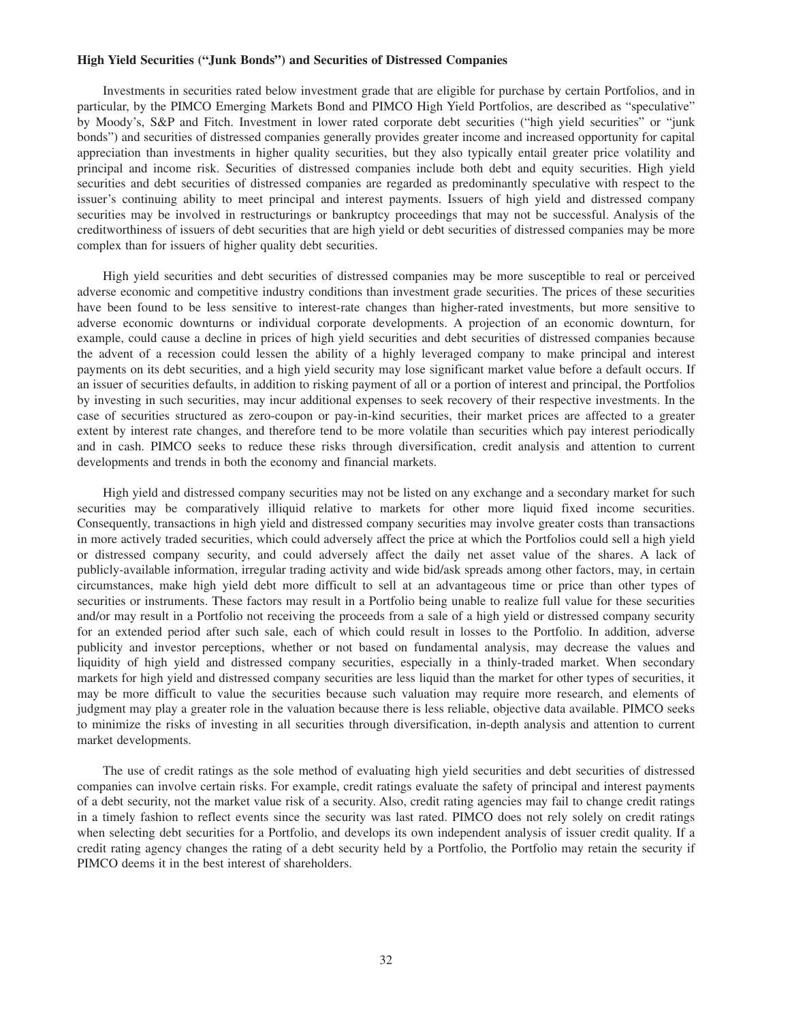#### <span id="page-35-0"></span>**High Yield Securities ("Junk Bonds") and Securities of Distressed Companies**

Investments in securities rated below investment grade that are eligible for purchase by certain Portfolios, and in particular, by the PIMCO Emerging Markets Bond and PIMCO High Yield Portfolios, are described as "speculative" by Moody's, S&P and Fitch. Investment in lower rated corporate debt securities ("high yield securities" or "junk bonds") and securities of distressed companies generally provides greater income and increased opportunity for capital appreciation than investments in higher quality securities, but they also typically entail greater price volatility and principal and income risk. Securities of distressed companies include both debt and equity securities. High yield securities and debt securities of distressed companies are regarded as predominantly speculative with respect to the issuer's continuing ability to meet principal and interest payments. Issuers of high yield and distressed company securities may be involved in restructurings or bankruptcy proceedings that may not be successful. Analysis of the creditworthiness of issuers of debt securities that are high yield or debt securities of distressed companies may be more complex than for issuers of higher quality debt securities.

High yield securities and debt securities of distressed companies may be more susceptible to real or perceived adverse economic and competitive industry conditions than investment grade securities. The prices of these securities have been found to be less sensitive to interest-rate changes than higher-rated investments, but more sensitive to adverse economic downturns or individual corporate developments. A projection of an economic downturn, for example, could cause a decline in prices of high yield securities and debt securities of distressed companies because the advent of a recession could lessen the ability of a highly leveraged company to make principal and interest payments on its debt securities, and a high yield security may lose significant market value before a default occurs. If an issuer of securities defaults, in addition to risking payment of all or a portion of interest and principal, the Portfolios by investing in such securities, may incur additional expenses to seek recovery of their respective investments. In the case of securities structured as zero-coupon or pay-in-kind securities, their market prices are affected to a greater extent by interest rate changes, and therefore tend to be more volatile than securities which pay interest periodically and in cash. PIMCO seeks to reduce these risks through diversification, credit analysis and attention to current developments and trends in both the economy and financial markets.

High yield and distressed company securities may not be listed on any exchange and a secondary market for such securities may be comparatively illiquid relative to markets for other more liquid fixed income securities. Consequently, transactions in high yield and distressed company securities may involve greater costs than transactions in more actively traded securities, which could adversely affect the price at which the Portfolios could sell a high yield or distressed company security, and could adversely affect the daily net asset value of the shares. A lack of publicly-available information, irregular trading activity and wide bid/ask spreads among other factors, may, in certain circumstances, make high yield debt more difficult to sell at an advantageous time or price than other types of securities or instruments. These factors may result in a Portfolio being unable to realize full value for these securities and/or may result in a Portfolio not receiving the proceeds from a sale of a high yield or distressed company security for an extended period after such sale, each of which could result in losses to the Portfolio. In addition, adverse publicity and investor perceptions, whether or not based on fundamental analysis, may decrease the values and liquidity of high yield and distressed company securities, especially in a thinly-traded market. When secondary markets for high yield and distressed company securities are less liquid than the market for other types of securities, it may be more difficult to value the securities because such valuation may require more research, and elements of judgment may play a greater role in the valuation because there is less reliable, objective data available. PIMCO seeks to minimize the risks of investing in all securities through diversification, in-depth analysis and attention to current market developments.

The use of credit ratings as the sole method of evaluating high yield securities and debt securities of distressed companies can involve certain risks. For example, credit ratings evaluate the safety of principal and interest payments of a debt security, not the market value risk of a security. Also, credit rating agencies may fail to change credit ratings in a timely fashion to reflect events since the security was last rated. PIMCO does not rely solely on credit ratings when selecting debt securities for a Portfolio, and develops its own independent analysis of issuer credit quality. If a credit rating agency changes the rating of a debt security held by a Portfolio, the Portfolio may retain the security if PIMCO deems it in the best interest of shareholders.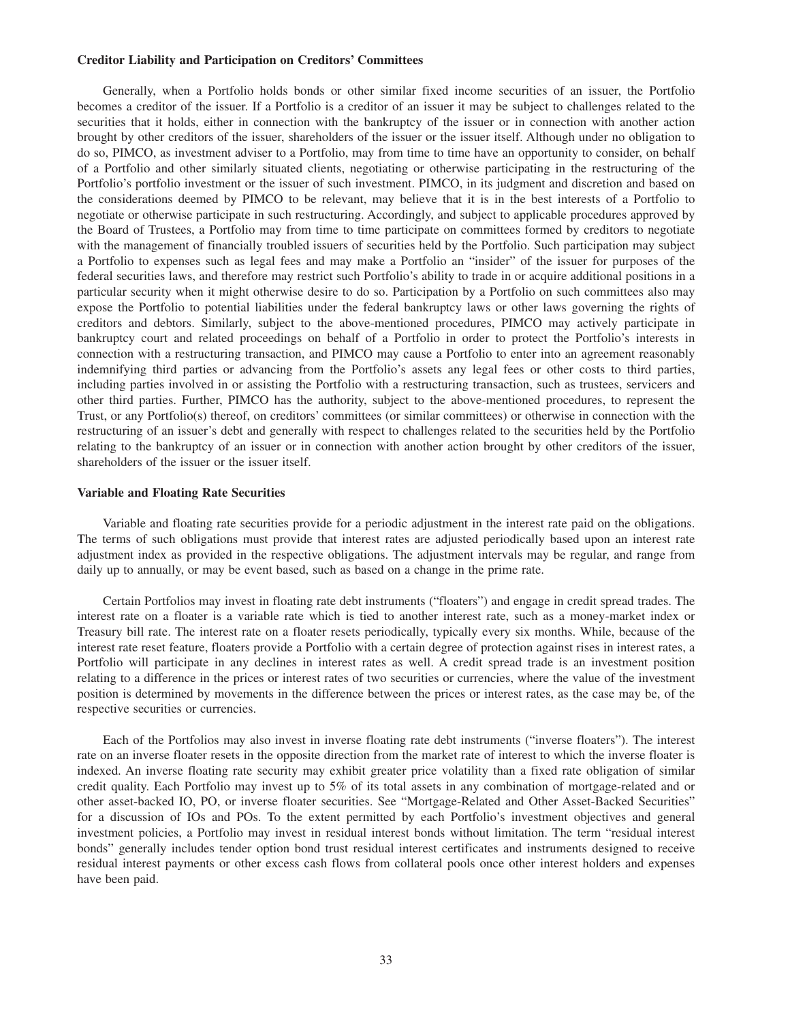### **Creditor Liability and Participation on Creditors' Committees**

Generally, when a Portfolio holds bonds or other similar fixed income securities of an issuer, the Portfolio becomes a creditor of the issuer. If a Portfolio is a creditor of an issuer it may be subject to challenges related to the securities that it holds, either in connection with the bankruptcy of the issuer or in connection with another action brought by other creditors of the issuer, shareholders of the issuer or the issuer itself. Although under no obligation to do so, PIMCO, as investment adviser to a Portfolio, may from time to time have an opportunity to consider, on behalf of a Portfolio and other similarly situated clients, negotiating or otherwise participating in the restructuring of the Portfolio's portfolio investment or the issuer of such investment. PIMCO, in its judgment and discretion and based on the considerations deemed by PIMCO to be relevant, may believe that it is in the best interests of a Portfolio to negotiate or otherwise participate in such restructuring. Accordingly, and subject to applicable procedures approved by the Board of Trustees, a Portfolio may from time to time participate on committees formed by creditors to negotiate with the management of financially troubled issuers of securities held by the Portfolio. Such participation may subject a Portfolio to expenses such as legal fees and may make a Portfolio an "insider" of the issuer for purposes of the federal securities laws, and therefore may restrict such Portfolio's ability to trade in or acquire additional positions in a particular security when it might otherwise desire to do so. Participation by a Portfolio on such committees also may expose the Portfolio to potential liabilities under the federal bankruptcy laws or other laws governing the rights of creditors and debtors. Similarly, subject to the above-mentioned procedures, PIMCO may actively participate in bankruptcy court and related proceedings on behalf of a Portfolio in order to protect the Portfolio's interests in connection with a restructuring transaction, and PIMCO may cause a Portfolio to enter into an agreement reasonably indemnifying third parties or advancing from the Portfolio's assets any legal fees or other costs to third parties, including parties involved in or assisting the Portfolio with a restructuring transaction, such as trustees, servicers and other third parties. Further, PIMCO has the authority, subject to the above-mentioned procedures, to represent the Trust, or any Portfolio(s) thereof, on creditors' committees (or similar committees) or otherwise in connection with the restructuring of an issuer's debt and generally with respect to challenges related to the securities held by the Portfolio relating to the bankruptcy of an issuer or in connection with another action brought by other creditors of the issuer, shareholders of the issuer or the issuer itself.

#### **Variable and Floating Rate Securities**

Variable and floating rate securities provide for a periodic adjustment in the interest rate paid on the obligations. The terms of such obligations must provide that interest rates are adjusted periodically based upon an interest rate adjustment index as provided in the respective obligations. The adjustment intervals may be regular, and range from daily up to annually, or may be event based, such as based on a change in the prime rate.

Certain Portfolios may invest in floating rate debt instruments ("floaters") and engage in credit spread trades. The interest rate on a floater is a variable rate which is tied to another interest rate, such as a money-market index or Treasury bill rate. The interest rate on a floater resets periodically, typically every six months. While, because of the interest rate reset feature, floaters provide a Portfolio with a certain degree of protection against rises in interest rates, a Portfolio will participate in any declines in interest rates as well. A credit spread trade is an investment position relating to a difference in the prices or interest rates of two securities or currencies, where the value of the investment position is determined by movements in the difference between the prices or interest rates, as the case may be, of the respective securities or currencies.

Each of the Portfolios may also invest in inverse floating rate debt instruments ("inverse floaters"). The interest rate on an inverse floater resets in the opposite direction from the market rate of interest to which the inverse floater is indexed. An inverse floating rate security may exhibit greater price volatility than a fixed rate obligation of similar credit quality. Each Portfolio may invest up to 5% of its total assets in any combination of mortgage-related and or other asset-backed IO, PO, or inverse floater securities. See "Mortgage-Related and Other Asset-Backed Securities" for a discussion of IOs and POs. To the extent permitted by each Portfolio's investment objectives and general investment policies, a Portfolio may invest in residual interest bonds without limitation. The term "residual interest bonds" generally includes tender option bond trust residual interest certificates and instruments designed to receive residual interest payments or other excess cash flows from collateral pools once other interest holders and expenses have been paid.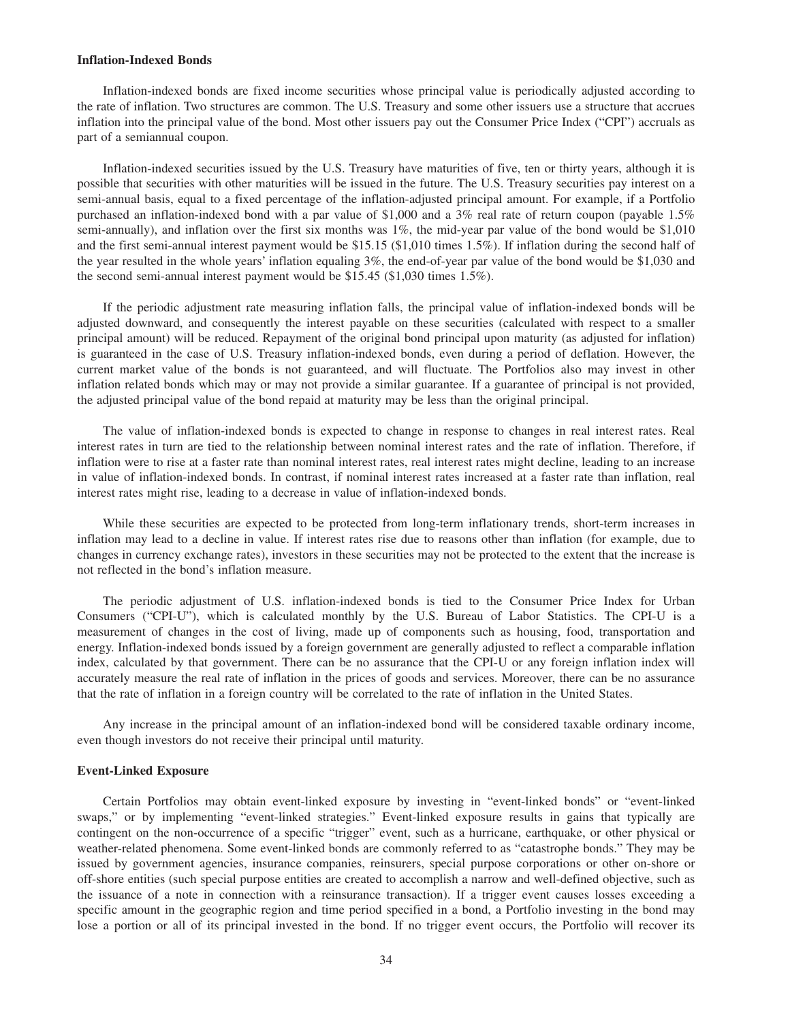#### **Inflation-Indexed Bonds**

Inflation-indexed bonds are fixed income securities whose principal value is periodically adjusted according to the rate of inflation. Two structures are common. The U.S. Treasury and some other issuers use a structure that accrues inflation into the principal value of the bond. Most other issuers pay out the Consumer Price Index ("CPI") accruals as part of a semiannual coupon.

Inflation-indexed securities issued by the U.S. Treasury have maturities of five, ten or thirty years, although it is possible that securities with other maturities will be issued in the future. The U.S. Treasury securities pay interest on a semi-annual basis, equal to a fixed percentage of the inflation-adjusted principal amount. For example, if a Portfolio purchased an inflation-indexed bond with a par value of \$1,000 and a 3% real rate of return coupon (payable 1.5% semi-annually), and inflation over the first six months was 1%, the mid-year par value of the bond would be \$1,010 and the first semi-annual interest payment would be \$15.15 (\$1,010 times 1.5%). If inflation during the second half of the year resulted in the whole years' inflation equaling 3%, the end-of-year par value of the bond would be \$1,030 and the second semi-annual interest payment would be \$15.45 (\$1,030 times 1.5%).

If the periodic adjustment rate measuring inflation falls, the principal value of inflation-indexed bonds will be adjusted downward, and consequently the interest payable on these securities (calculated with respect to a smaller principal amount) will be reduced. Repayment of the original bond principal upon maturity (as adjusted for inflation) is guaranteed in the case of U.S. Treasury inflation-indexed bonds, even during a period of deflation. However, the current market value of the bonds is not guaranteed, and will fluctuate. The Portfolios also may invest in other inflation related bonds which may or may not provide a similar guarantee. If a guarantee of principal is not provided, the adjusted principal value of the bond repaid at maturity may be less than the original principal.

The value of inflation-indexed bonds is expected to change in response to changes in real interest rates. Real interest rates in turn are tied to the relationship between nominal interest rates and the rate of inflation. Therefore, if inflation were to rise at a faster rate than nominal interest rates, real interest rates might decline, leading to an increase in value of inflation-indexed bonds. In contrast, if nominal interest rates increased at a faster rate than inflation, real interest rates might rise, leading to a decrease in value of inflation-indexed bonds.

While these securities are expected to be protected from long-term inflationary trends, short-term increases in inflation may lead to a decline in value. If interest rates rise due to reasons other than inflation (for example, due to changes in currency exchange rates), investors in these securities may not be protected to the extent that the increase is not reflected in the bond's inflation measure.

The periodic adjustment of U.S. inflation-indexed bonds is tied to the Consumer Price Index for Urban Consumers ("CPI-U"), which is calculated monthly by the U.S. Bureau of Labor Statistics. The CPI-U is a measurement of changes in the cost of living, made up of components such as housing, food, transportation and energy. Inflation-indexed bonds issued by a foreign government are generally adjusted to reflect a comparable inflation index, calculated by that government. There can be no assurance that the CPI-U or any foreign inflation index will accurately measure the real rate of inflation in the prices of goods and services. Moreover, there can be no assurance that the rate of inflation in a foreign country will be correlated to the rate of inflation in the United States.

Any increase in the principal amount of an inflation-indexed bond will be considered taxable ordinary income, even though investors do not receive their principal until maturity.

### **Event-Linked Exposure**

Certain Portfolios may obtain event-linked exposure by investing in "event-linked bonds" or "event-linked swaps," or by implementing "event-linked strategies." Event-linked exposure results in gains that typically are contingent on the non-occurrence of a specific "trigger" event, such as a hurricane, earthquake, or other physical or weather-related phenomena. Some event-linked bonds are commonly referred to as "catastrophe bonds." They may be issued by government agencies, insurance companies, reinsurers, special purpose corporations or other on-shore or off-shore entities (such special purpose entities are created to accomplish a narrow and well-defined objective, such as the issuance of a note in connection with a reinsurance transaction). If a trigger event causes losses exceeding a specific amount in the geographic region and time period specified in a bond, a Portfolio investing in the bond may lose a portion or all of its principal invested in the bond. If no trigger event occurs, the Portfolio will recover its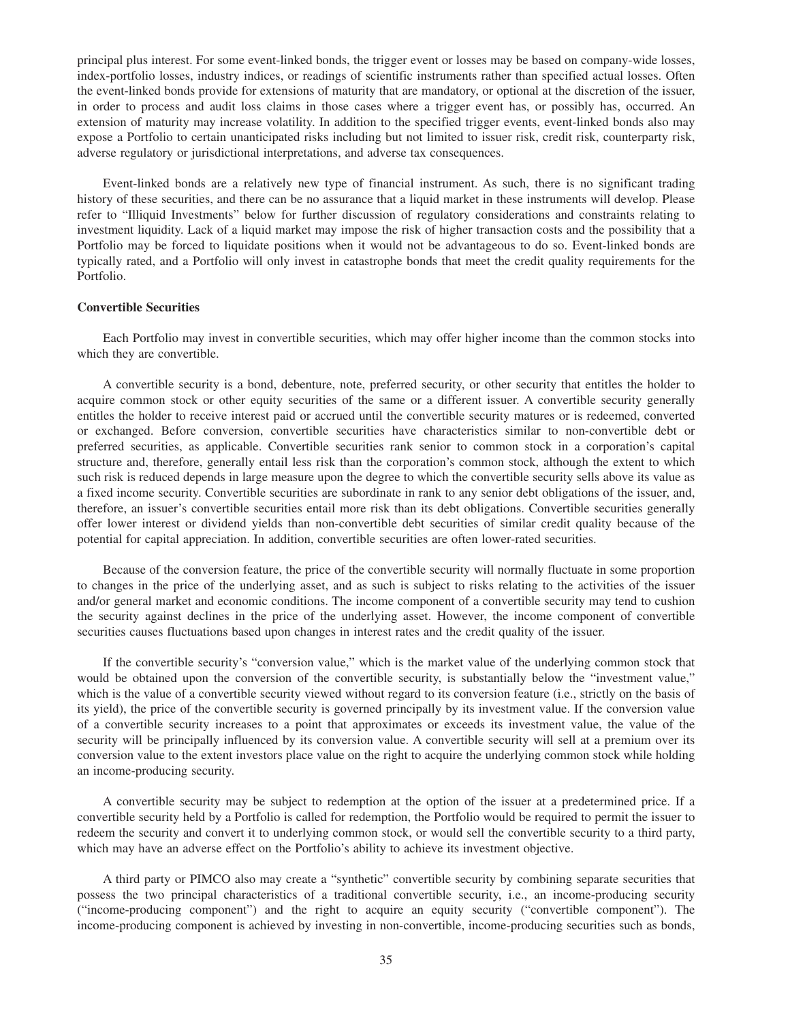principal plus interest. For some event-linked bonds, the trigger event or losses may be based on company-wide losses, index-portfolio losses, industry indices, or readings of scientific instruments rather than specified actual losses. Often the event-linked bonds provide for extensions of maturity that are mandatory, or optional at the discretion of the issuer, in order to process and audit loss claims in those cases where a trigger event has, or possibly has, occurred. An extension of maturity may increase volatility. In addition to the specified trigger events, event-linked bonds also may expose a Portfolio to certain unanticipated risks including but not limited to issuer risk, credit risk, counterparty risk, adverse regulatory or jurisdictional interpretations, and adverse tax consequences.

Event-linked bonds are a relatively new type of financial instrument. As such, there is no significant trading history of these securities, and there can be no assurance that a liquid market in these instruments will develop. Please refer to "Illiquid Investments" below for further discussion of regulatory considerations and constraints relating to investment liquidity. Lack of a liquid market may impose the risk of higher transaction costs and the possibility that a Portfolio may be forced to liquidate positions when it would not be advantageous to do so. Event-linked bonds are typically rated, and a Portfolio will only invest in catastrophe bonds that meet the credit quality requirements for the Portfolio.

# **Convertible Securities**

Each Portfolio may invest in convertible securities, which may offer higher income than the common stocks into which they are convertible.

A convertible security is a bond, debenture, note, preferred security, or other security that entitles the holder to acquire common stock or other equity securities of the same or a different issuer. A convertible security generally entitles the holder to receive interest paid or accrued until the convertible security matures or is redeemed, converted or exchanged. Before conversion, convertible securities have characteristics similar to non-convertible debt or preferred securities, as applicable. Convertible securities rank senior to common stock in a corporation's capital structure and, therefore, generally entail less risk than the corporation's common stock, although the extent to which such risk is reduced depends in large measure upon the degree to which the convertible security sells above its value as a fixed income security. Convertible securities are subordinate in rank to any senior debt obligations of the issuer, and, therefore, an issuer's convertible securities entail more risk than its debt obligations. Convertible securities generally offer lower interest or dividend yields than non-convertible debt securities of similar credit quality because of the potential for capital appreciation. In addition, convertible securities are often lower-rated securities.

Because of the conversion feature, the price of the convertible security will normally fluctuate in some proportion to changes in the price of the underlying asset, and as such is subject to risks relating to the activities of the issuer and/or general market and economic conditions. The income component of a convertible security may tend to cushion the security against declines in the price of the underlying asset. However, the income component of convertible securities causes fluctuations based upon changes in interest rates and the credit quality of the issuer.

If the convertible security's "conversion value," which is the market value of the underlying common stock that would be obtained upon the conversion of the convertible security, is substantially below the "investment value," which is the value of a convertible security viewed without regard to its conversion feature (i.e., strictly on the basis of its yield), the price of the convertible security is governed principally by its investment value. If the conversion value of a convertible security increases to a point that approximates or exceeds its investment value, the value of the security will be principally influenced by its conversion value. A convertible security will sell at a premium over its conversion value to the extent investors place value on the right to acquire the underlying common stock while holding an income-producing security.

A convertible security may be subject to redemption at the option of the issuer at a predetermined price. If a convertible security held by a Portfolio is called for redemption, the Portfolio would be required to permit the issuer to redeem the security and convert it to underlying common stock, or would sell the convertible security to a third party, which may have an adverse effect on the Portfolio's ability to achieve its investment objective.

A third party or PIMCO also may create a "synthetic" convertible security by combining separate securities that possess the two principal characteristics of a traditional convertible security, i.e., an income-producing security ("income-producing component") and the right to acquire an equity security ("convertible component"). The income-producing component is achieved by investing in non-convertible, income-producing securities such as bonds,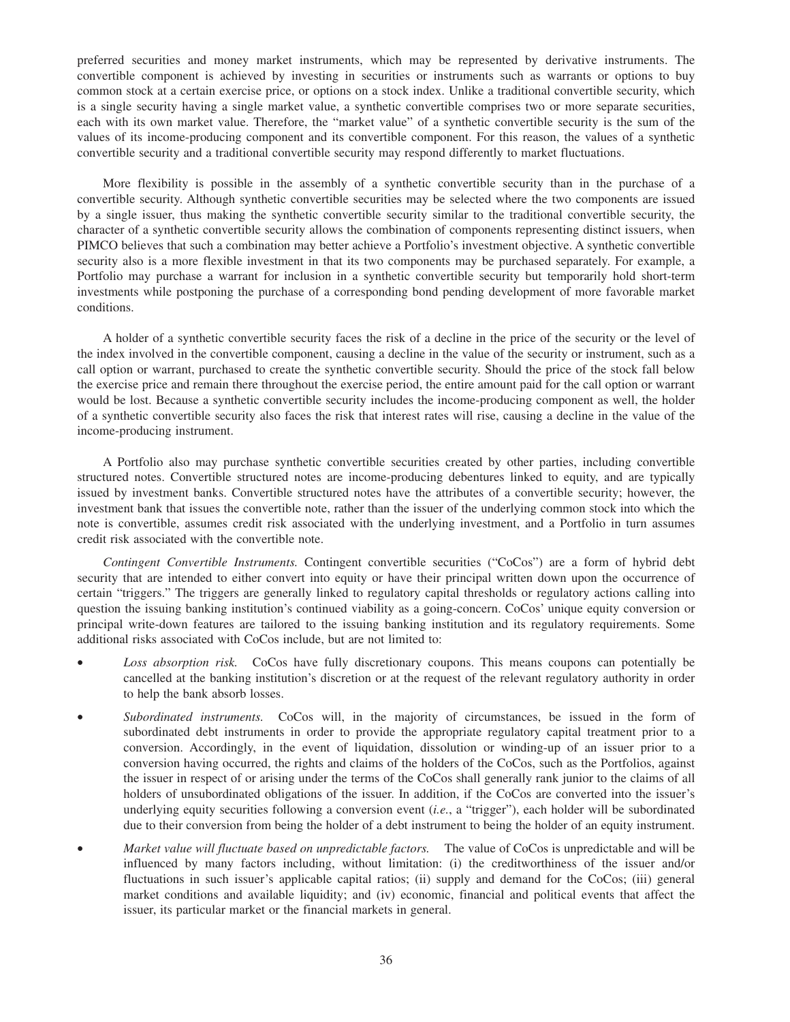preferred securities and money market instruments, which may be represented by derivative instruments. The convertible component is achieved by investing in securities or instruments such as warrants or options to buy common stock at a certain exercise price, or options on a stock index. Unlike a traditional convertible security, which is a single security having a single market value, a synthetic convertible comprises two or more separate securities, each with its own market value. Therefore, the "market value" of a synthetic convertible security is the sum of the values of its income-producing component and its convertible component. For this reason, the values of a synthetic convertible security and a traditional convertible security may respond differently to market fluctuations.

More flexibility is possible in the assembly of a synthetic convertible security than in the purchase of a convertible security. Although synthetic convertible securities may be selected where the two components are issued by a single issuer, thus making the synthetic convertible security similar to the traditional convertible security, the character of a synthetic convertible security allows the combination of components representing distinct issuers, when PIMCO believes that such a combination may better achieve a Portfolio's investment objective. A synthetic convertible security also is a more flexible investment in that its two components may be purchased separately. For example, a Portfolio may purchase a warrant for inclusion in a synthetic convertible security but temporarily hold short-term investments while postponing the purchase of a corresponding bond pending development of more favorable market conditions.

A holder of a synthetic convertible security faces the risk of a decline in the price of the security or the level of the index involved in the convertible component, causing a decline in the value of the security or instrument, such as a call option or warrant, purchased to create the synthetic convertible security. Should the price of the stock fall below the exercise price and remain there throughout the exercise period, the entire amount paid for the call option or warrant would be lost. Because a synthetic convertible security includes the income-producing component as well, the holder of a synthetic convertible security also faces the risk that interest rates will rise, causing a decline in the value of the income-producing instrument.

A Portfolio also may purchase synthetic convertible securities created by other parties, including convertible structured notes. Convertible structured notes are income-producing debentures linked to equity, and are typically issued by investment banks. Convertible structured notes have the attributes of a convertible security; however, the investment bank that issues the convertible note, rather than the issuer of the underlying common stock into which the note is convertible, assumes credit risk associated with the underlying investment, and a Portfolio in turn assumes credit risk associated with the convertible note.

*Contingent Convertible Instruments.* Contingent convertible securities ("CoCos") are a form of hybrid debt security that are intended to either convert into equity or have their principal written down upon the occurrence of certain "triggers." The triggers are generally linked to regulatory capital thresholds or regulatory actions calling into question the issuing banking institution's continued viability as a going-concern. CoCos' unique equity conversion or principal write-down features are tailored to the issuing banking institution and its regulatory requirements. Some additional risks associated with CoCos include, but are not limited to:

- *Loss absorption risk.* CoCos have fully discretionary coupons. This means coupons can potentially be cancelled at the banking institution's discretion or at the request of the relevant regulatory authority in order to help the bank absorb losses.
- *Subordinated instruments.* CoCos will, in the majority of circumstances, be issued in the form of subordinated debt instruments in order to provide the appropriate regulatory capital treatment prior to a conversion. Accordingly, in the event of liquidation, dissolution or winding-up of an issuer prior to a conversion having occurred, the rights and claims of the holders of the CoCos, such as the Portfolios, against the issuer in respect of or arising under the terms of the CoCos shall generally rank junior to the claims of all holders of unsubordinated obligations of the issuer. In addition, if the CoCos are converted into the issuer's underlying equity securities following a conversion event (*i.e.*, a "trigger"), each holder will be subordinated due to their conversion from being the holder of a debt instrument to being the holder of an equity instrument.
- *Market value will fluctuate based on unpredictable factors.* The value of CoCos is unpredictable and will be influenced by many factors including, without limitation: (i) the creditworthiness of the issuer and/or fluctuations in such issuer's applicable capital ratios; (ii) supply and demand for the CoCos; (iii) general market conditions and available liquidity; and (iv) economic, financial and political events that affect the issuer, its particular market or the financial markets in general.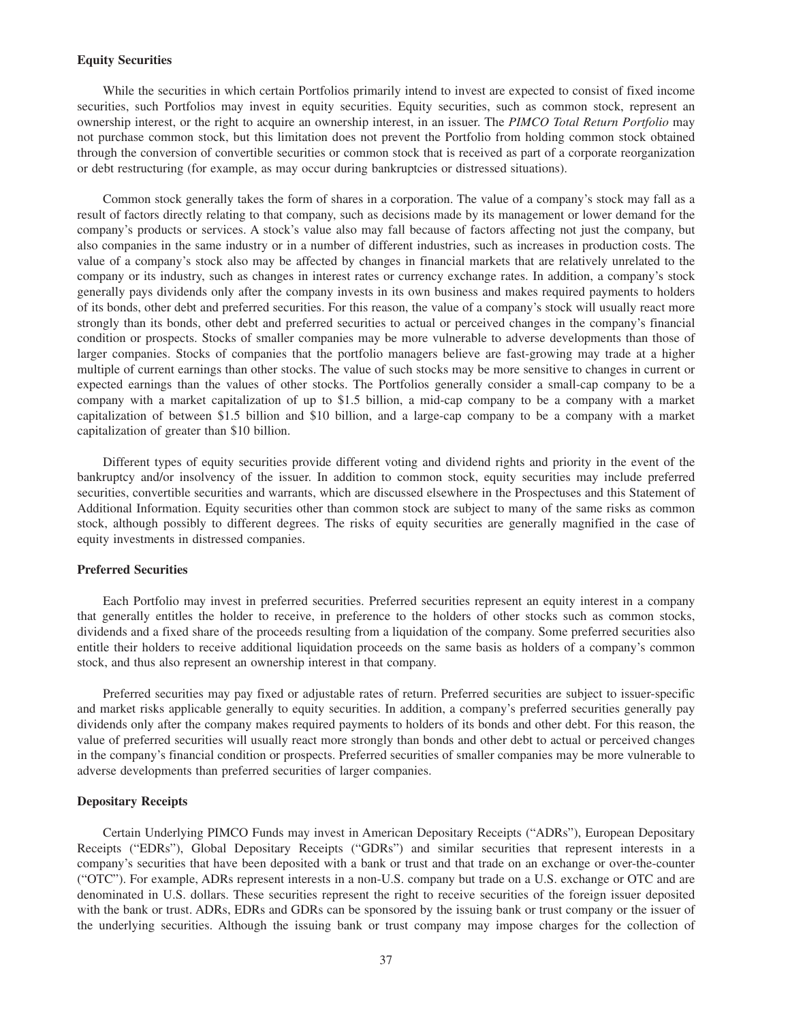# **Equity Securities**

While the securities in which certain Portfolios primarily intend to invest are expected to consist of fixed income securities, such Portfolios may invest in equity securities. Equity securities, such as common stock, represent an ownership interest, or the right to acquire an ownership interest, in an issuer. The *PIMCO Total Return Portfolio* may not purchase common stock, but this limitation does not prevent the Portfolio from holding common stock obtained through the conversion of convertible securities or common stock that is received as part of a corporate reorganization or debt restructuring (for example, as may occur during bankruptcies or distressed situations).

Common stock generally takes the form of shares in a corporation. The value of a company's stock may fall as a result of factors directly relating to that company, such as decisions made by its management or lower demand for the company's products or services. A stock's value also may fall because of factors affecting not just the company, but also companies in the same industry or in a number of different industries, such as increases in production costs. The value of a company's stock also may be affected by changes in financial markets that are relatively unrelated to the company or its industry, such as changes in interest rates or currency exchange rates. In addition, a company's stock generally pays dividends only after the company invests in its own business and makes required payments to holders of its bonds, other debt and preferred securities. For this reason, the value of a company's stock will usually react more strongly than its bonds, other debt and preferred securities to actual or perceived changes in the company's financial condition or prospects. Stocks of smaller companies may be more vulnerable to adverse developments than those of larger companies. Stocks of companies that the portfolio managers believe are fast-growing may trade at a higher multiple of current earnings than other stocks. The value of such stocks may be more sensitive to changes in current or expected earnings than the values of other stocks. The Portfolios generally consider a small-cap company to be a company with a market capitalization of up to \$1.5 billion, a mid-cap company to be a company with a market capitalization of between \$1.5 billion and \$10 billion, and a large-cap company to be a company with a market capitalization of greater than \$10 billion.

Different types of equity securities provide different voting and dividend rights and priority in the event of the bankruptcy and/or insolvency of the issuer. In addition to common stock, equity securities may include preferred securities, convertible securities and warrants, which are discussed elsewhere in the Prospectuses and this Statement of Additional Information. Equity securities other than common stock are subject to many of the same risks as common stock, although possibly to different degrees. The risks of equity securities are generally magnified in the case of equity investments in distressed companies.

### **Preferred Securities**

Each Portfolio may invest in preferred securities. Preferred securities represent an equity interest in a company that generally entitles the holder to receive, in preference to the holders of other stocks such as common stocks, dividends and a fixed share of the proceeds resulting from a liquidation of the company. Some preferred securities also entitle their holders to receive additional liquidation proceeds on the same basis as holders of a company's common stock, and thus also represent an ownership interest in that company.

Preferred securities may pay fixed or adjustable rates of return. Preferred securities are subject to issuer-specific and market risks applicable generally to equity securities. In addition, a company's preferred securities generally pay dividends only after the company makes required payments to holders of its bonds and other debt. For this reason, the value of preferred securities will usually react more strongly than bonds and other debt to actual or perceived changes in the company's financial condition or prospects. Preferred securities of smaller companies may be more vulnerable to adverse developments than preferred securities of larger companies.

# **Depositary Receipts**

Certain Underlying PIMCO Funds may invest in American Depositary Receipts ("ADRs"), European Depositary Receipts ("EDRs"), Global Depositary Receipts ("GDRs") and similar securities that represent interests in a company's securities that have been deposited with a bank or trust and that trade on an exchange or over-the-counter ("OTC"). For example, ADRs represent interests in a non-U.S. company but trade on a U.S. exchange or OTC and are denominated in U.S. dollars. These securities represent the right to receive securities of the foreign issuer deposited with the bank or trust. ADRs, EDRs and GDRs can be sponsored by the issuing bank or trust company or the issuer of the underlying securities. Although the issuing bank or trust company may impose charges for the collection of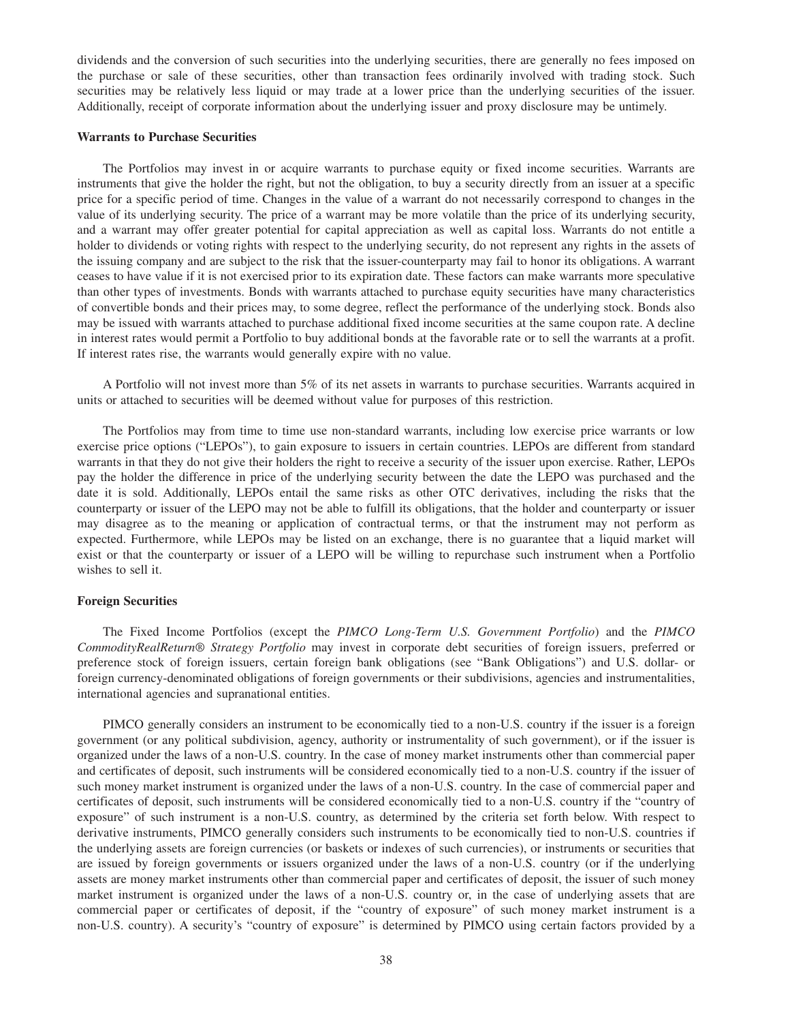dividends and the conversion of such securities into the underlying securities, there are generally no fees imposed on the purchase or sale of these securities, other than transaction fees ordinarily involved with trading stock. Such securities may be relatively less liquid or may trade at a lower price than the underlying securities of the issuer. Additionally, receipt of corporate information about the underlying issuer and proxy disclosure may be untimely.

### **Warrants to Purchase Securities**

The Portfolios may invest in or acquire warrants to purchase equity or fixed income securities. Warrants are instruments that give the holder the right, but not the obligation, to buy a security directly from an issuer at a specific price for a specific period of time. Changes in the value of a warrant do not necessarily correspond to changes in the value of its underlying security. The price of a warrant may be more volatile than the price of its underlying security, and a warrant may offer greater potential for capital appreciation as well as capital loss. Warrants do not entitle a holder to dividends or voting rights with respect to the underlying security, do not represent any rights in the assets of the issuing company and are subject to the risk that the issuer-counterparty may fail to honor its obligations. A warrant ceases to have value if it is not exercised prior to its expiration date. These factors can make warrants more speculative than other types of investments. Bonds with warrants attached to purchase equity securities have many characteristics of convertible bonds and their prices may, to some degree, reflect the performance of the underlying stock. Bonds also may be issued with warrants attached to purchase additional fixed income securities at the same coupon rate. A decline in interest rates would permit a Portfolio to buy additional bonds at the favorable rate or to sell the warrants at a profit. If interest rates rise, the warrants would generally expire with no value.

A Portfolio will not invest more than 5% of its net assets in warrants to purchase securities. Warrants acquired in units or attached to securities will be deemed without value for purposes of this restriction.

The Portfolios may from time to time use non-standard warrants, including low exercise price warrants or low exercise price options ("LEPOs"), to gain exposure to issuers in certain countries. LEPOs are different from standard warrants in that they do not give their holders the right to receive a security of the issuer upon exercise. Rather, LEPOs pay the holder the difference in price of the underlying security between the date the LEPO was purchased and the date it is sold. Additionally, LEPOs entail the same risks as other OTC derivatives, including the risks that the counterparty or issuer of the LEPO may not be able to fulfill its obligations, that the holder and counterparty or issuer may disagree as to the meaning or application of contractual terms, or that the instrument may not perform as expected. Furthermore, while LEPOs may be listed on an exchange, there is no guarantee that a liquid market will exist or that the counterparty or issuer of a LEPO will be willing to repurchase such instrument when a Portfolio wishes to sell it.

### **Foreign Securities**

The Fixed Income Portfolios (except the *PIMCO Long-Term U.S. Government Portfolio*) and the *PIMCO CommodityRealReturn® Strategy Portfolio* may invest in corporate debt securities of foreign issuers, preferred or preference stock of foreign issuers, certain foreign bank obligations (see "Bank Obligations") and U.S. dollar- or foreign currency-denominated obligations of foreign governments or their subdivisions, agencies and instrumentalities, international agencies and supranational entities.

PIMCO generally considers an instrument to be economically tied to a non-U.S. country if the issuer is a foreign government (or any political subdivision, agency, authority or instrumentality of such government), or if the issuer is organized under the laws of a non-U.S. country. In the case of money market instruments other than commercial paper and certificates of deposit, such instruments will be considered economically tied to a non-U.S. country if the issuer of such money market instrument is organized under the laws of a non-U.S. country. In the case of commercial paper and certificates of deposit, such instruments will be considered economically tied to a non-U.S. country if the "country of exposure" of such instrument is a non-U.S. country, as determined by the criteria set forth below. With respect to derivative instruments, PIMCO generally considers such instruments to be economically tied to non-U.S. countries if the underlying assets are foreign currencies (or baskets or indexes of such currencies), or instruments or securities that are issued by foreign governments or issuers organized under the laws of a non-U.S. country (or if the underlying assets are money market instruments other than commercial paper and certificates of deposit, the issuer of such money market instrument is organized under the laws of a non-U.S. country or, in the case of underlying assets that are commercial paper or certificates of deposit, if the "country of exposure" of such money market instrument is a non-U.S. country). A security's "country of exposure" is determined by PIMCO using certain factors provided by a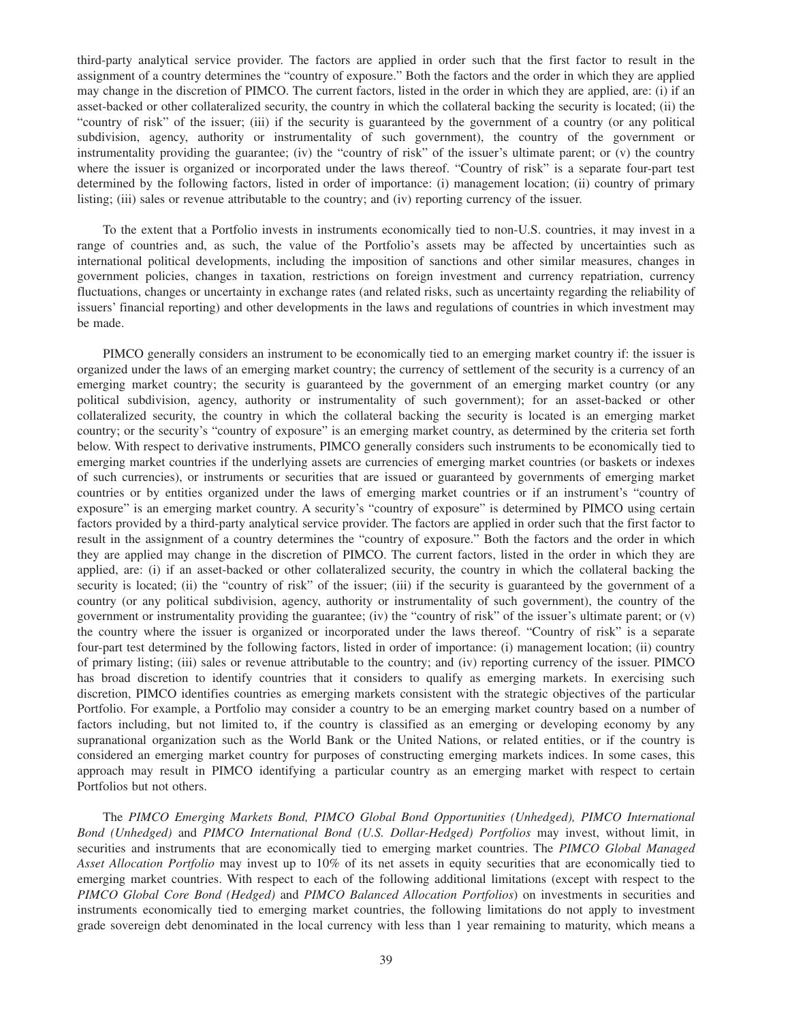third-party analytical service provider. The factors are applied in order such that the first factor to result in the assignment of a country determines the "country of exposure." Both the factors and the order in which they are applied may change in the discretion of PIMCO. The current factors, listed in the order in which they are applied, are: (i) if an asset-backed or other collateralized security, the country in which the collateral backing the security is located; (ii) the "country of risk" of the issuer; (iii) if the security is guaranteed by the government of a country (or any political subdivision, agency, authority or instrumentality of such government), the country of the government or instrumentality providing the guarantee; (iv) the "country of risk" of the issuer's ultimate parent; or  $(v)$  the country where the issuer is organized or incorporated under the laws thereof. "Country of risk" is a separate four-part test determined by the following factors, listed in order of importance: (i) management location; (ii) country of primary listing; (iii) sales or revenue attributable to the country; and (iv) reporting currency of the issuer.

To the extent that a Portfolio invests in instruments economically tied to non-U.S. countries, it may invest in a range of countries and, as such, the value of the Portfolio's assets may be affected by uncertainties such as international political developments, including the imposition of sanctions and other similar measures, changes in government policies, changes in taxation, restrictions on foreign investment and currency repatriation, currency fluctuations, changes or uncertainty in exchange rates (and related risks, such as uncertainty regarding the reliability of issuers' financial reporting) and other developments in the laws and regulations of countries in which investment may be made.

PIMCO generally considers an instrument to be economically tied to an emerging market country if: the issuer is organized under the laws of an emerging market country; the currency of settlement of the security is a currency of an emerging market country; the security is guaranteed by the government of an emerging market country (or any political subdivision, agency, authority or instrumentality of such government); for an asset-backed or other collateralized security, the country in which the collateral backing the security is located is an emerging market country; or the security's "country of exposure" is an emerging market country, as determined by the criteria set forth below. With respect to derivative instruments, PIMCO generally considers such instruments to be economically tied to emerging market countries if the underlying assets are currencies of emerging market countries (or baskets or indexes of such currencies), or instruments or securities that are issued or guaranteed by governments of emerging market countries or by entities organized under the laws of emerging market countries or if an instrument's "country of exposure" is an emerging market country. A security's "country of exposure" is determined by PIMCO using certain factors provided by a third-party analytical service provider. The factors are applied in order such that the first factor to result in the assignment of a country determines the "country of exposure." Both the factors and the order in which they are applied may change in the discretion of PIMCO. The current factors, listed in the order in which they are applied, are: (i) if an asset-backed or other collateralized security, the country in which the collateral backing the security is located; (ii) the "country of risk" of the issuer; (iii) if the security is guaranteed by the government of a country (or any political subdivision, agency, authority or instrumentality of such government), the country of the government or instrumentality providing the guarantee; (iv) the "country of risk" of the issuer's ultimate parent; or (v) the country where the issuer is organized or incorporated under the laws thereof. "Country of risk" is a separate four-part test determined by the following factors, listed in order of importance: (i) management location; (ii) country of primary listing; (iii) sales or revenue attributable to the country; and (iv) reporting currency of the issuer. PIMCO has broad discretion to identify countries that it considers to qualify as emerging markets. In exercising such discretion, PIMCO identifies countries as emerging markets consistent with the strategic objectives of the particular Portfolio. For example, a Portfolio may consider a country to be an emerging market country based on a number of factors including, but not limited to, if the country is classified as an emerging or developing economy by any supranational organization such as the World Bank or the United Nations, or related entities, or if the country is considered an emerging market country for purposes of constructing emerging markets indices. In some cases, this approach may result in PIMCO identifying a particular country as an emerging market with respect to certain Portfolios but not others.

The *PIMCO Emerging Markets Bond, PIMCO Global Bond Opportunities (Unhedged), PIMCO International Bond (Unhedged)* and *PIMCO International Bond (U.S. Dollar-Hedged) Portfolios* may invest, without limit, in securities and instruments that are economically tied to emerging market countries. The *PIMCO Global Managed Asset Allocation Portfolio* may invest up to 10% of its net assets in equity securities that are economically tied to emerging market countries. With respect to each of the following additional limitations (except with respect to the *PIMCO Global Core Bond (Hedged)* and *PIMCO Balanced Allocation Portfolios*) on investments in securities and instruments economically tied to emerging market countries, the following limitations do not apply to investment grade sovereign debt denominated in the local currency with less than 1 year remaining to maturity, which means a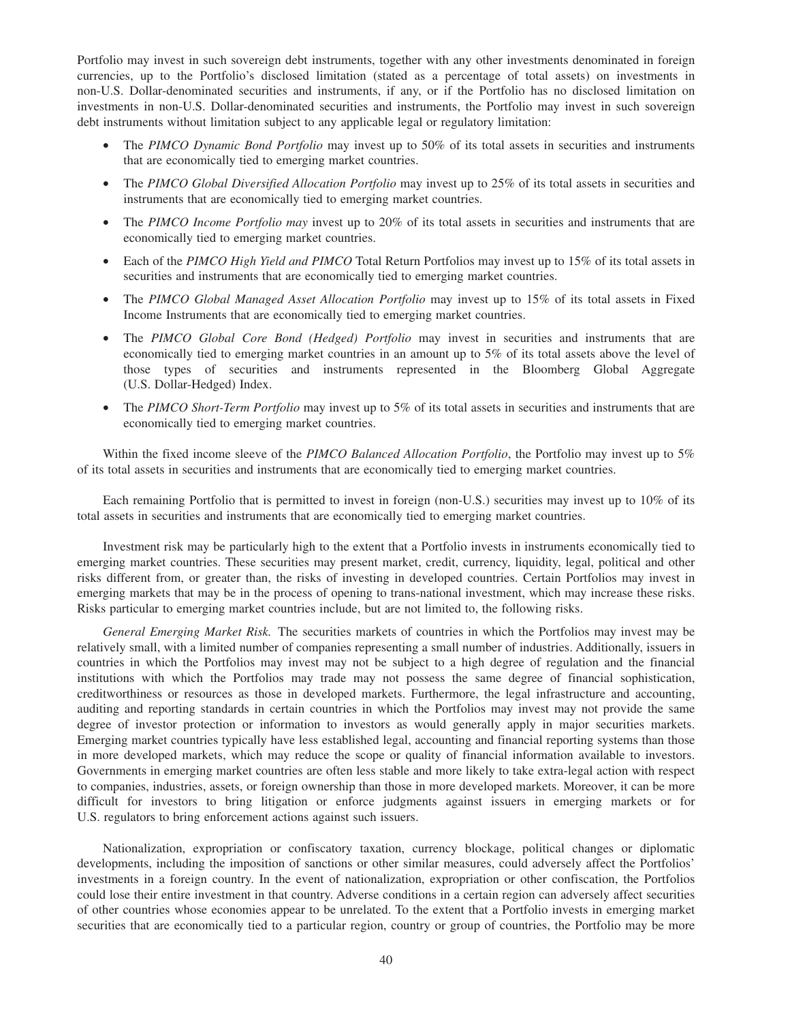Portfolio may invest in such sovereign debt instruments, together with any other investments denominated in foreign currencies, up to the Portfolio's disclosed limitation (stated as a percentage of total assets) on investments in non-U.S. Dollar-denominated securities and instruments, if any, or if the Portfolio has no disclosed limitation on investments in non-U.S. Dollar-denominated securities and instruments, the Portfolio may invest in such sovereign debt instruments without limitation subject to any applicable legal or regulatory limitation:

- The *PIMCO Dynamic Bond Portfolio* may invest up to 50% of its total assets in securities and instruments that are economically tied to emerging market countries.
- The *PIMCO Global Diversified Allocation Portfolio* may invest up to 25% of its total assets in securities and instruments that are economically tied to emerging market countries.
- The *PIMCO Income Portfolio may* invest up to 20% of its total assets in securities and instruments that are economically tied to emerging market countries.
- Each of the *PIMCO High Yield and PIMCO* Total Return Portfolios may invest up to 15% of its total assets in securities and instruments that are economically tied to emerging market countries.
- The *PIMCO Global Managed Asset Allocation Portfolio* may invest up to 15% of its total assets in Fixed Income Instruments that are economically tied to emerging market countries.
- The *PIMCO Global Core Bond (Hedged) Portfolio* may invest in securities and instruments that are economically tied to emerging market countries in an amount up to 5% of its total assets above the level of those types of securities and instruments represented in the Bloomberg Global Aggregate (U.S. Dollar-Hedged) Index.
- The *PIMCO Short-Term Portfolio* may invest up to 5% of its total assets in securities and instruments that are economically tied to emerging market countries.

Within the fixed income sleeve of the *PIMCO Balanced Allocation Portfolio*, the Portfolio may invest up to 5% of its total assets in securities and instruments that are economically tied to emerging market countries.

Each remaining Portfolio that is permitted to invest in foreign (non-U.S.) securities may invest up to 10% of its total assets in securities and instruments that are economically tied to emerging market countries.

Investment risk may be particularly high to the extent that a Portfolio invests in instruments economically tied to emerging market countries. These securities may present market, credit, currency, liquidity, legal, political and other risks different from, or greater than, the risks of investing in developed countries. Certain Portfolios may invest in emerging markets that may be in the process of opening to trans-national investment, which may increase these risks. Risks particular to emerging market countries include, but are not limited to, the following risks.

*General Emerging Market Risk.* The securities markets of countries in which the Portfolios may invest may be relatively small, with a limited number of companies representing a small number of industries. Additionally, issuers in countries in which the Portfolios may invest may not be subject to a high degree of regulation and the financial institutions with which the Portfolios may trade may not possess the same degree of financial sophistication, creditworthiness or resources as those in developed markets. Furthermore, the legal infrastructure and accounting, auditing and reporting standards in certain countries in which the Portfolios may invest may not provide the same degree of investor protection or information to investors as would generally apply in major securities markets. Emerging market countries typically have less established legal, accounting and financial reporting systems than those in more developed markets, which may reduce the scope or quality of financial information available to investors. Governments in emerging market countries are often less stable and more likely to take extra-legal action with respect to companies, industries, assets, or foreign ownership than those in more developed markets. Moreover, it can be more difficult for investors to bring litigation or enforce judgments against issuers in emerging markets or for U.S. regulators to bring enforcement actions against such issuers.

Nationalization, expropriation or confiscatory taxation, currency blockage, political changes or diplomatic developments, including the imposition of sanctions or other similar measures, could adversely affect the Portfolios' investments in a foreign country. In the event of nationalization, expropriation or other confiscation, the Portfolios could lose their entire investment in that country. Adverse conditions in a certain region can adversely affect securities of other countries whose economies appear to be unrelated. To the extent that a Portfolio invests in emerging market securities that are economically tied to a particular region, country or group of countries, the Portfolio may be more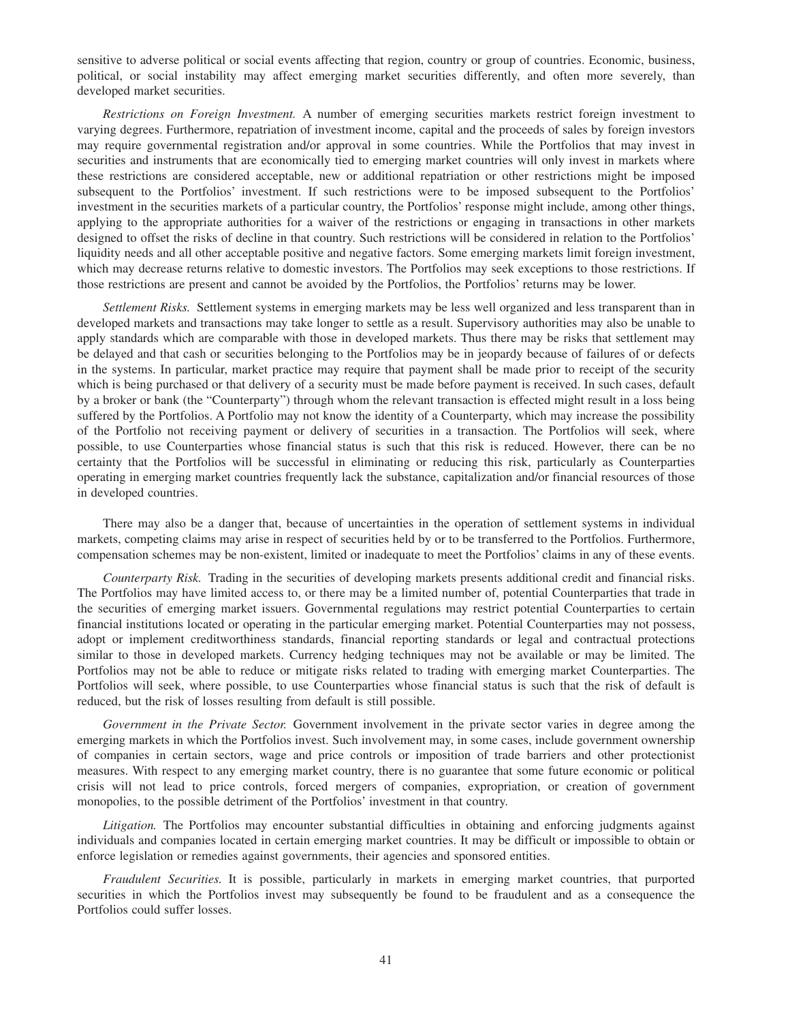sensitive to adverse political or social events affecting that region, country or group of countries. Economic, business, political, or social instability may affect emerging market securities differently, and often more severely, than developed market securities.

*Restrictions on Foreign Investment.* A number of emerging securities markets restrict foreign investment to varying degrees. Furthermore, repatriation of investment income, capital and the proceeds of sales by foreign investors may require governmental registration and/or approval in some countries. While the Portfolios that may invest in securities and instruments that are economically tied to emerging market countries will only invest in markets where these restrictions are considered acceptable, new or additional repatriation or other restrictions might be imposed subsequent to the Portfolios' investment. If such restrictions were to be imposed subsequent to the Portfolios' investment in the securities markets of a particular country, the Portfolios' response might include, among other things, applying to the appropriate authorities for a waiver of the restrictions or engaging in transactions in other markets designed to offset the risks of decline in that country. Such restrictions will be considered in relation to the Portfolios' liquidity needs and all other acceptable positive and negative factors. Some emerging markets limit foreign investment, which may decrease returns relative to domestic investors. The Portfolios may seek exceptions to those restrictions. If those restrictions are present and cannot be avoided by the Portfolios, the Portfolios' returns may be lower.

*Settlement Risks.* Settlement systems in emerging markets may be less well organized and less transparent than in developed markets and transactions may take longer to settle as a result. Supervisory authorities may also be unable to apply standards which are comparable with those in developed markets. Thus there may be risks that settlement may be delayed and that cash or securities belonging to the Portfolios may be in jeopardy because of failures of or defects in the systems. In particular, market practice may require that payment shall be made prior to receipt of the security which is being purchased or that delivery of a security must be made before payment is received. In such cases, default by a broker or bank (the "Counterparty") through whom the relevant transaction is effected might result in a loss being suffered by the Portfolios. A Portfolio may not know the identity of a Counterparty, which may increase the possibility of the Portfolio not receiving payment or delivery of securities in a transaction. The Portfolios will seek, where possible, to use Counterparties whose financial status is such that this risk is reduced. However, there can be no certainty that the Portfolios will be successful in eliminating or reducing this risk, particularly as Counterparties operating in emerging market countries frequently lack the substance, capitalization and/or financial resources of those in developed countries.

There may also be a danger that, because of uncertainties in the operation of settlement systems in individual markets, competing claims may arise in respect of securities held by or to be transferred to the Portfolios. Furthermore, compensation schemes may be non-existent, limited or inadequate to meet the Portfolios' claims in any of these events.

*Counterparty Risk.* Trading in the securities of developing markets presents additional credit and financial risks. The Portfolios may have limited access to, or there may be a limited number of, potential Counterparties that trade in the securities of emerging market issuers. Governmental regulations may restrict potential Counterparties to certain financial institutions located or operating in the particular emerging market. Potential Counterparties may not possess, adopt or implement creditworthiness standards, financial reporting standards or legal and contractual protections similar to those in developed markets. Currency hedging techniques may not be available or may be limited. The Portfolios may not be able to reduce or mitigate risks related to trading with emerging market Counterparties. The Portfolios will seek, where possible, to use Counterparties whose financial status is such that the risk of default is reduced, but the risk of losses resulting from default is still possible.

*Government in the Private Sector.* Government involvement in the private sector varies in degree among the emerging markets in which the Portfolios invest. Such involvement may, in some cases, include government ownership of companies in certain sectors, wage and price controls or imposition of trade barriers and other protectionist measures. With respect to any emerging market country, there is no guarantee that some future economic or political crisis will not lead to price controls, forced mergers of companies, expropriation, or creation of government monopolies, to the possible detriment of the Portfolios' investment in that country.

*Litigation.* The Portfolios may encounter substantial difficulties in obtaining and enforcing judgments against individuals and companies located in certain emerging market countries. It may be difficult or impossible to obtain or enforce legislation or remedies against governments, their agencies and sponsored entities.

*Fraudulent Securities.* It is possible, particularly in markets in emerging market countries, that purported securities in which the Portfolios invest may subsequently be found to be fraudulent and as a consequence the Portfolios could suffer losses.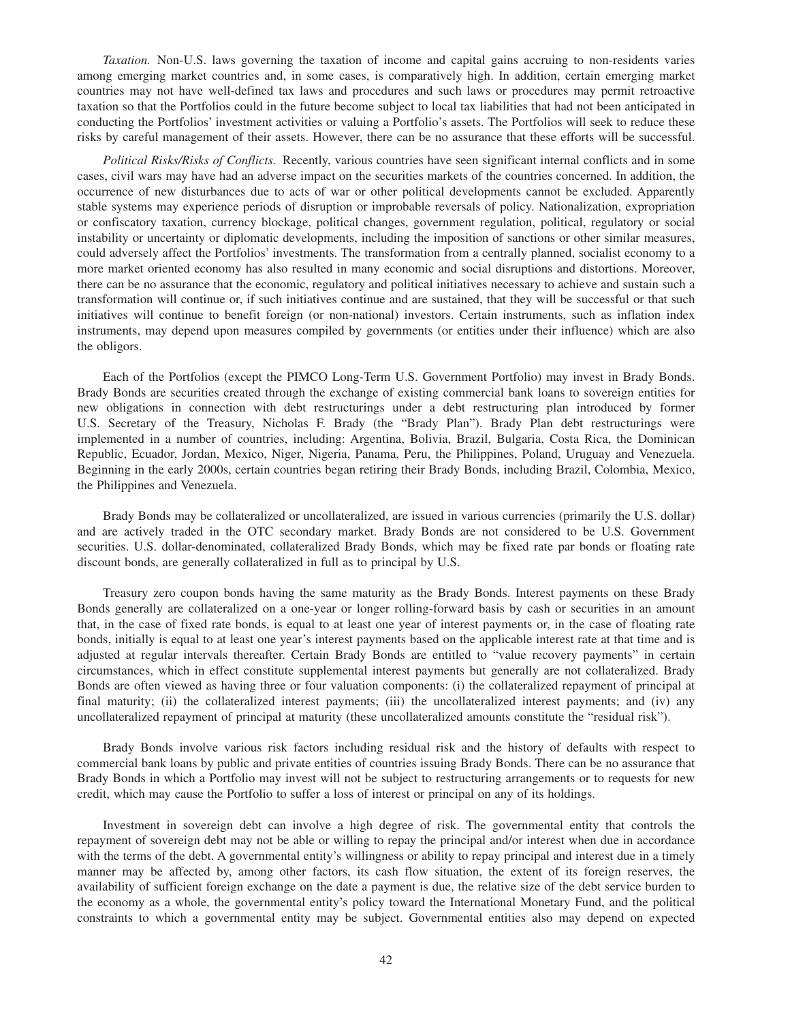*Taxation.* Non-U.S. laws governing the taxation of income and capital gains accruing to non-residents varies among emerging market countries and, in some cases, is comparatively high. In addition, certain emerging market countries may not have well-defined tax laws and procedures and such laws or procedures may permit retroactive taxation so that the Portfolios could in the future become subject to local tax liabilities that had not been anticipated in conducting the Portfolios' investment activities or valuing a Portfolio's assets. The Portfolios will seek to reduce these risks by careful management of their assets. However, there can be no assurance that these efforts will be successful.

*Political Risks/Risks of Conflicts.* Recently, various countries have seen significant internal conflicts and in some cases, civil wars may have had an adverse impact on the securities markets of the countries concerned. In addition, the occurrence of new disturbances due to acts of war or other political developments cannot be excluded. Apparently stable systems may experience periods of disruption or improbable reversals of policy. Nationalization, expropriation or confiscatory taxation, currency blockage, political changes, government regulation, political, regulatory or social instability or uncertainty or diplomatic developments, including the imposition of sanctions or other similar measures, could adversely affect the Portfolios' investments. The transformation from a centrally planned, socialist economy to a more market oriented economy has also resulted in many economic and social disruptions and distortions. Moreover, there can be no assurance that the economic, regulatory and political initiatives necessary to achieve and sustain such a transformation will continue or, if such initiatives continue and are sustained, that they will be successful or that such initiatives will continue to benefit foreign (or non-national) investors. Certain instruments, such as inflation index instruments, may depend upon measures compiled by governments (or entities under their influence) which are also the obligors.

Each of the Portfolios (except the PIMCO Long-Term U.S. Government Portfolio) may invest in Brady Bonds. Brady Bonds are securities created through the exchange of existing commercial bank loans to sovereign entities for new obligations in connection with debt restructurings under a debt restructuring plan introduced by former U.S. Secretary of the Treasury, Nicholas F. Brady (the "Brady Plan"). Brady Plan debt restructurings were implemented in a number of countries, including: Argentina, Bolivia, Brazil, Bulgaria, Costa Rica, the Dominican Republic, Ecuador, Jordan, Mexico, Niger, Nigeria, Panama, Peru, the Philippines, Poland, Uruguay and Venezuela. Beginning in the early 2000s, certain countries began retiring their Brady Bonds, including Brazil, Colombia, Mexico, the Philippines and Venezuela.

Brady Bonds may be collateralized or uncollateralized, are issued in various currencies (primarily the U.S. dollar) and are actively traded in the OTC secondary market. Brady Bonds are not considered to be U.S. Government securities. U.S. dollar-denominated, collateralized Brady Bonds, which may be fixed rate par bonds or floating rate discount bonds, are generally collateralized in full as to principal by U.S.

Treasury zero coupon bonds having the same maturity as the Brady Bonds. Interest payments on these Brady Bonds generally are collateralized on a one-year or longer rolling-forward basis by cash or securities in an amount that, in the case of fixed rate bonds, is equal to at least one year of interest payments or, in the case of floating rate bonds, initially is equal to at least one year's interest payments based on the applicable interest rate at that time and is adjusted at regular intervals thereafter. Certain Brady Bonds are entitled to "value recovery payments" in certain circumstances, which in effect constitute supplemental interest payments but generally are not collateralized. Brady Bonds are often viewed as having three or four valuation components: (i) the collateralized repayment of principal at final maturity; (ii) the collateralized interest payments; (iii) the uncollateralized interest payments; and (iv) any uncollateralized repayment of principal at maturity (these uncollateralized amounts constitute the "residual risk").

Brady Bonds involve various risk factors including residual risk and the history of defaults with respect to commercial bank loans by public and private entities of countries issuing Brady Bonds. There can be no assurance that Brady Bonds in which a Portfolio may invest will not be subject to restructuring arrangements or to requests for new credit, which may cause the Portfolio to suffer a loss of interest or principal on any of its holdings.

Investment in sovereign debt can involve a high degree of risk. The governmental entity that controls the repayment of sovereign debt may not be able or willing to repay the principal and/or interest when due in accordance with the terms of the debt. A governmental entity's willingness or ability to repay principal and interest due in a timely manner may be affected by, among other factors, its cash flow situation, the extent of its foreign reserves, the availability of sufficient foreign exchange on the date a payment is due, the relative size of the debt service burden to the economy as a whole, the governmental entity's policy toward the International Monetary Fund, and the political constraints to which a governmental entity may be subject. Governmental entities also may depend on expected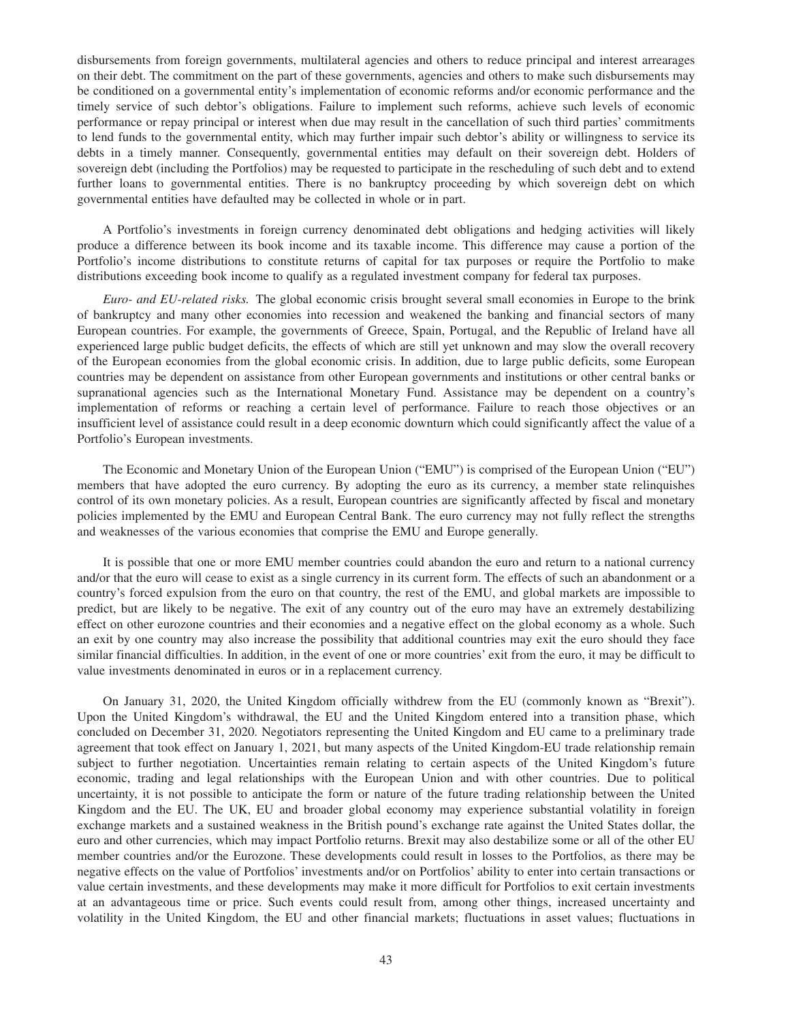disbursements from foreign governments, multilateral agencies and others to reduce principal and interest arrearages on their debt. The commitment on the part of these governments, agencies and others to make such disbursements may be conditioned on a governmental entity's implementation of economic reforms and/or economic performance and the timely service of such debtor's obligations. Failure to implement such reforms, achieve such levels of economic performance or repay principal or interest when due may result in the cancellation of such third parties' commitments to lend funds to the governmental entity, which may further impair such debtor's ability or willingness to service its debts in a timely manner. Consequently, governmental entities may default on their sovereign debt. Holders of sovereign debt (including the Portfolios) may be requested to participate in the rescheduling of such debt and to extend further loans to governmental entities. There is no bankruptcy proceeding by which sovereign debt on which governmental entities have defaulted may be collected in whole or in part.

A Portfolio's investments in foreign currency denominated debt obligations and hedging activities will likely produce a difference between its book income and its taxable income. This difference may cause a portion of the Portfolio's income distributions to constitute returns of capital for tax purposes or require the Portfolio to make distributions exceeding book income to qualify as a regulated investment company for federal tax purposes.

*Euro- and EU-related risks.* The global economic crisis brought several small economies in Europe to the brink of bankruptcy and many other economies into recession and weakened the banking and financial sectors of many European countries. For example, the governments of Greece, Spain, Portugal, and the Republic of Ireland have all experienced large public budget deficits, the effects of which are still yet unknown and may slow the overall recovery of the European economies from the global economic crisis. In addition, due to large public deficits, some European countries may be dependent on assistance from other European governments and institutions or other central banks or supranational agencies such as the International Monetary Fund. Assistance may be dependent on a country's implementation of reforms or reaching a certain level of performance. Failure to reach those objectives or an insufficient level of assistance could result in a deep economic downturn which could significantly affect the value of a Portfolio's European investments.

The Economic and Monetary Union of the European Union ("EMU") is comprised of the European Union ("EU") members that have adopted the euro currency. By adopting the euro as its currency, a member state relinquishes control of its own monetary policies. As a result, European countries are significantly affected by fiscal and monetary policies implemented by the EMU and European Central Bank. The euro currency may not fully reflect the strengths and weaknesses of the various economies that comprise the EMU and Europe generally.

It is possible that one or more EMU member countries could abandon the euro and return to a national currency and/or that the euro will cease to exist as a single currency in its current form. The effects of such an abandonment or a country's forced expulsion from the euro on that country, the rest of the EMU, and global markets are impossible to predict, but are likely to be negative. The exit of any country out of the euro may have an extremely destabilizing effect on other eurozone countries and their economies and a negative effect on the global economy as a whole. Such an exit by one country may also increase the possibility that additional countries may exit the euro should they face similar financial difficulties. In addition, in the event of one or more countries' exit from the euro, it may be difficult to value investments denominated in euros or in a replacement currency.

On January 31, 2020, the United Kingdom officially withdrew from the EU (commonly known as "Brexit"). Upon the United Kingdom's withdrawal, the EU and the United Kingdom entered into a transition phase, which concluded on December 31, 2020. Negotiators representing the United Kingdom and EU came to a preliminary trade agreement that took effect on January 1, 2021, but many aspects of the United Kingdom-EU trade relationship remain subject to further negotiation. Uncertainties remain relating to certain aspects of the United Kingdom's future economic, trading and legal relationships with the European Union and with other countries. Due to political uncertainty, it is not possible to anticipate the form or nature of the future trading relationship between the United Kingdom and the EU. The UK, EU and broader global economy may experience substantial volatility in foreign exchange markets and a sustained weakness in the British pound's exchange rate against the United States dollar, the euro and other currencies, which may impact Portfolio returns. Brexit may also destabilize some or all of the other EU member countries and/or the Eurozone. These developments could result in losses to the Portfolios, as there may be negative effects on the value of Portfolios' investments and/or on Portfolios' ability to enter into certain transactions or value certain investments, and these developments may make it more difficult for Portfolios to exit certain investments at an advantageous time or price. Such events could result from, among other things, increased uncertainty and volatility in the United Kingdom, the EU and other financial markets; fluctuations in asset values; fluctuations in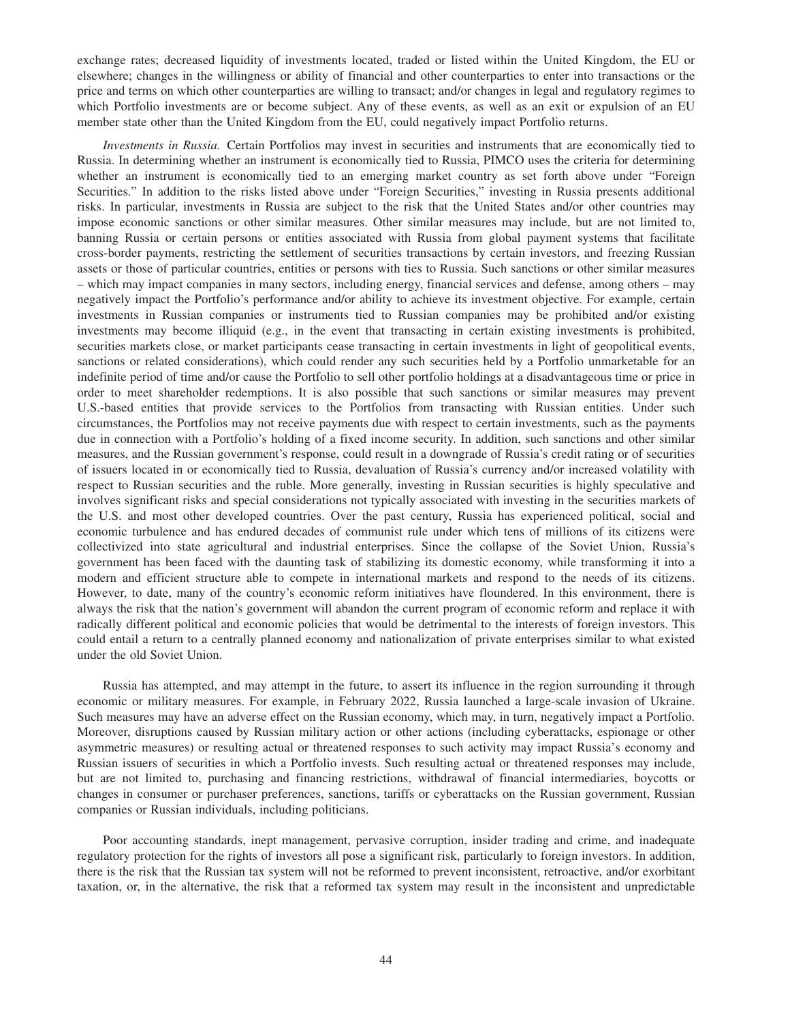exchange rates; decreased liquidity of investments located, traded or listed within the United Kingdom, the EU or elsewhere; changes in the willingness or ability of financial and other counterparties to enter into transactions or the price and terms on which other counterparties are willing to transact; and/or changes in legal and regulatory regimes to which Portfolio investments are or become subject. Any of these events, as well as an exit or expulsion of an EU member state other than the United Kingdom from the EU, could negatively impact Portfolio returns.

*Investments in Russia.* Certain Portfolios may invest in securities and instruments that are economically tied to Russia. In determining whether an instrument is economically tied to Russia, PIMCO uses the criteria for determining whether an instrument is economically tied to an emerging market country as set forth above under "Foreign Securities." In addition to the risks listed above under "Foreign Securities," investing in Russia presents additional risks. In particular, investments in Russia are subject to the risk that the United States and/or other countries may impose economic sanctions or other similar measures. Other similar measures may include, but are not limited to, banning Russia or certain persons or entities associated with Russia from global payment systems that facilitate cross-border payments, restricting the settlement of securities transactions by certain investors, and freezing Russian assets or those of particular countries, entities or persons with ties to Russia. Such sanctions or other similar measures – which may impact companies in many sectors, including energy, financial services and defense, among others – may negatively impact the Portfolio's performance and/or ability to achieve its investment objective. For example, certain investments in Russian companies or instruments tied to Russian companies may be prohibited and/or existing investments may become illiquid (e.g., in the event that transacting in certain existing investments is prohibited, securities markets close, or market participants cease transacting in certain investments in light of geopolitical events, sanctions or related considerations), which could render any such securities held by a Portfolio unmarketable for an indefinite period of time and/or cause the Portfolio to sell other portfolio holdings at a disadvantageous time or price in order to meet shareholder redemptions. It is also possible that such sanctions or similar measures may prevent U.S.-based entities that provide services to the Portfolios from transacting with Russian entities. Under such circumstances, the Portfolios may not receive payments due with respect to certain investments, such as the payments due in connection with a Portfolio's holding of a fixed income security. In addition, such sanctions and other similar measures, and the Russian government's response, could result in a downgrade of Russia's credit rating or of securities of issuers located in or economically tied to Russia, devaluation of Russia's currency and/or increased volatility with respect to Russian securities and the ruble. More generally, investing in Russian securities is highly speculative and involves significant risks and special considerations not typically associated with investing in the securities markets of the U.S. and most other developed countries. Over the past century, Russia has experienced political, social and economic turbulence and has endured decades of communist rule under which tens of millions of its citizens were collectivized into state agricultural and industrial enterprises. Since the collapse of the Soviet Union, Russia's government has been faced with the daunting task of stabilizing its domestic economy, while transforming it into a modern and efficient structure able to compete in international markets and respond to the needs of its citizens. However, to date, many of the country's economic reform initiatives have floundered. In this environment, there is always the risk that the nation's government will abandon the current program of economic reform and replace it with radically different political and economic policies that would be detrimental to the interests of foreign investors. This could entail a return to a centrally planned economy and nationalization of private enterprises similar to what existed under the old Soviet Union.

Russia has attempted, and may attempt in the future, to assert its influence in the region surrounding it through economic or military measures. For example, in February 2022, Russia launched a large-scale invasion of Ukraine. Such measures may have an adverse effect on the Russian economy, which may, in turn, negatively impact a Portfolio. Moreover, disruptions caused by Russian military action or other actions (including cyberattacks, espionage or other asymmetric measures) or resulting actual or threatened responses to such activity may impact Russia's economy and Russian issuers of securities in which a Portfolio invests. Such resulting actual or threatened responses may include, but are not limited to, purchasing and financing restrictions, withdrawal of financial intermediaries, boycotts or changes in consumer or purchaser preferences, sanctions, tariffs or cyberattacks on the Russian government, Russian companies or Russian individuals, including politicians.

Poor accounting standards, inept management, pervasive corruption, insider trading and crime, and inadequate regulatory protection for the rights of investors all pose a significant risk, particularly to foreign investors. In addition, there is the risk that the Russian tax system will not be reformed to prevent inconsistent, retroactive, and/or exorbitant taxation, or, in the alternative, the risk that a reformed tax system may result in the inconsistent and unpredictable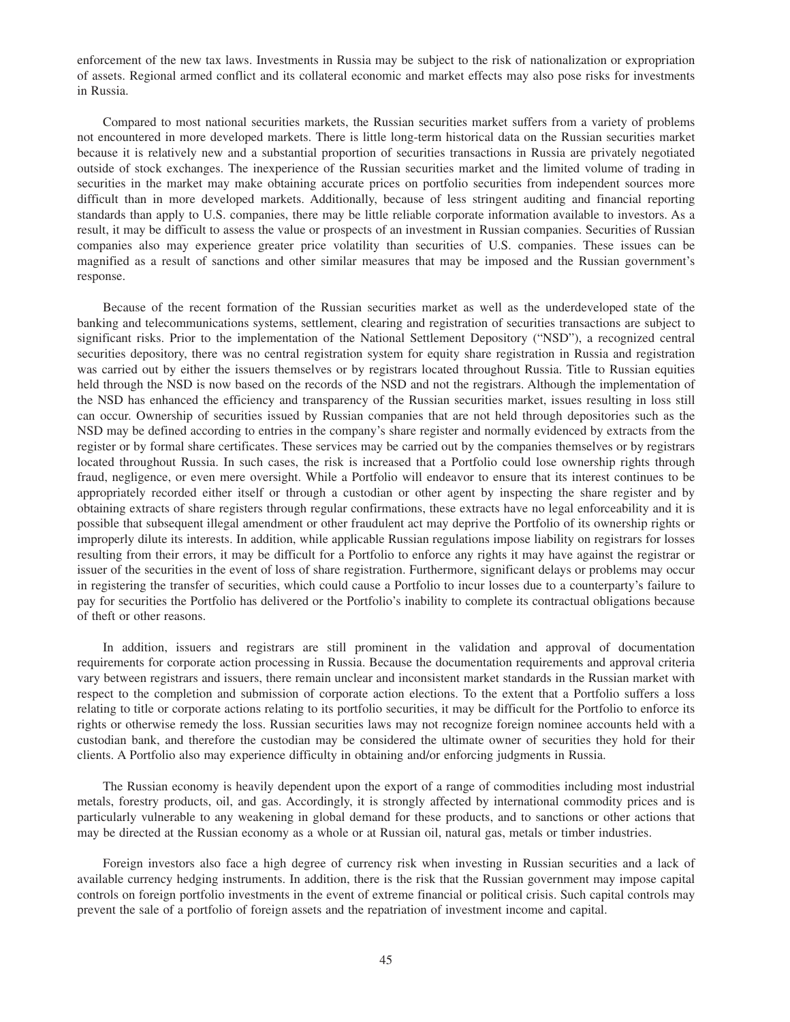enforcement of the new tax laws. Investments in Russia may be subject to the risk of nationalization or expropriation of assets. Regional armed conflict and its collateral economic and market effects may also pose risks for investments in Russia.

Compared to most national securities markets, the Russian securities market suffers from a variety of problems not encountered in more developed markets. There is little long-term historical data on the Russian securities market because it is relatively new and a substantial proportion of securities transactions in Russia are privately negotiated outside of stock exchanges. The inexperience of the Russian securities market and the limited volume of trading in securities in the market may make obtaining accurate prices on portfolio securities from independent sources more difficult than in more developed markets. Additionally, because of less stringent auditing and financial reporting standards than apply to U.S. companies, there may be little reliable corporate information available to investors. As a result, it may be difficult to assess the value or prospects of an investment in Russian companies. Securities of Russian companies also may experience greater price volatility than securities of U.S. companies. These issues can be magnified as a result of sanctions and other similar measures that may be imposed and the Russian government's response.

Because of the recent formation of the Russian securities market as well as the underdeveloped state of the banking and telecommunications systems, settlement, clearing and registration of securities transactions are subject to significant risks. Prior to the implementation of the National Settlement Depository ("NSD"), a recognized central securities depository, there was no central registration system for equity share registration in Russia and registration was carried out by either the issuers themselves or by registrars located throughout Russia. Title to Russian equities held through the NSD is now based on the records of the NSD and not the registrars. Although the implementation of the NSD has enhanced the efficiency and transparency of the Russian securities market, issues resulting in loss still can occur. Ownership of securities issued by Russian companies that are not held through depositories such as the NSD may be defined according to entries in the company's share register and normally evidenced by extracts from the register or by formal share certificates. These services may be carried out by the companies themselves or by registrars located throughout Russia. In such cases, the risk is increased that a Portfolio could lose ownership rights through fraud, negligence, or even mere oversight. While a Portfolio will endeavor to ensure that its interest continues to be appropriately recorded either itself or through a custodian or other agent by inspecting the share register and by obtaining extracts of share registers through regular confirmations, these extracts have no legal enforceability and it is possible that subsequent illegal amendment or other fraudulent act may deprive the Portfolio of its ownership rights or improperly dilute its interests. In addition, while applicable Russian regulations impose liability on registrars for losses resulting from their errors, it may be difficult for a Portfolio to enforce any rights it may have against the registrar or issuer of the securities in the event of loss of share registration. Furthermore, significant delays or problems may occur in registering the transfer of securities, which could cause a Portfolio to incur losses due to a counterparty's failure to pay for securities the Portfolio has delivered or the Portfolio's inability to complete its contractual obligations because of theft or other reasons.

In addition, issuers and registrars are still prominent in the validation and approval of documentation requirements for corporate action processing in Russia. Because the documentation requirements and approval criteria vary between registrars and issuers, there remain unclear and inconsistent market standards in the Russian market with respect to the completion and submission of corporate action elections. To the extent that a Portfolio suffers a loss relating to title or corporate actions relating to its portfolio securities, it may be difficult for the Portfolio to enforce its rights or otherwise remedy the loss. Russian securities laws may not recognize foreign nominee accounts held with a custodian bank, and therefore the custodian may be considered the ultimate owner of securities they hold for their clients. A Portfolio also may experience difficulty in obtaining and/or enforcing judgments in Russia.

The Russian economy is heavily dependent upon the export of a range of commodities including most industrial metals, forestry products, oil, and gas. Accordingly, it is strongly affected by international commodity prices and is particularly vulnerable to any weakening in global demand for these products, and to sanctions or other actions that may be directed at the Russian economy as a whole or at Russian oil, natural gas, metals or timber industries.

Foreign investors also face a high degree of currency risk when investing in Russian securities and a lack of available currency hedging instruments. In addition, there is the risk that the Russian government may impose capital controls on foreign portfolio investments in the event of extreme financial or political crisis. Such capital controls may prevent the sale of a portfolio of foreign assets and the repatriation of investment income and capital.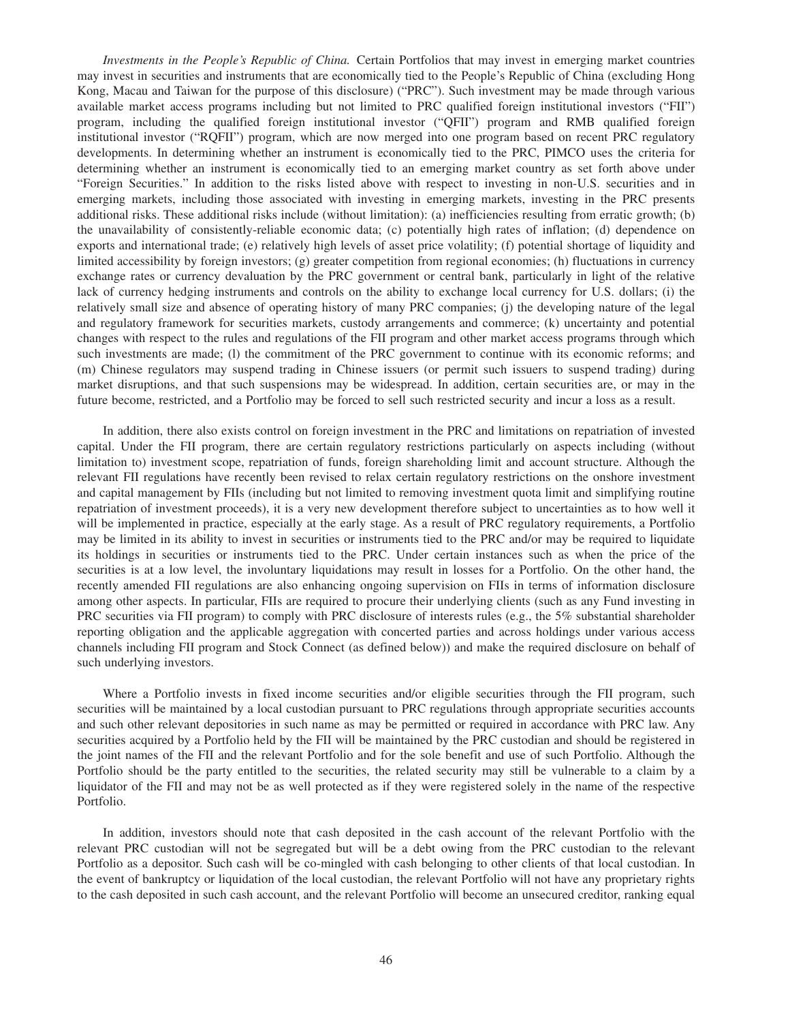*Investments in the People's Republic of China.* Certain Portfolios that may invest in emerging market countries may invest in securities and instruments that are economically tied to the People's Republic of China (excluding Hong Kong, Macau and Taiwan for the purpose of this disclosure) ("PRC"). Such investment may be made through various available market access programs including but not limited to PRC qualified foreign institutional investors ("FII") program, including the qualified foreign institutional investor ("QFII") program and RMB qualified foreign institutional investor ("RQFII") program, which are now merged into one program based on recent PRC regulatory developments. In determining whether an instrument is economically tied to the PRC, PIMCO uses the criteria for determining whether an instrument is economically tied to an emerging market country as set forth above under "Foreign Securities." In addition to the risks listed above with respect to investing in non-U.S. securities and in emerging markets, including those associated with investing in emerging markets, investing in the PRC presents additional risks. These additional risks include (without limitation): (a) inefficiencies resulting from erratic growth; (b) the unavailability of consistently-reliable economic data; (c) potentially high rates of inflation; (d) dependence on exports and international trade; (e) relatively high levels of asset price volatility; (f) potential shortage of liquidity and limited accessibility by foreign investors; (g) greater competition from regional economies; (h) fluctuations in currency exchange rates or currency devaluation by the PRC government or central bank, particularly in light of the relative lack of currency hedging instruments and controls on the ability to exchange local currency for U.S. dollars; (i) the relatively small size and absence of operating history of many PRC companies; (j) the developing nature of the legal and regulatory framework for securities markets, custody arrangements and commerce; (k) uncertainty and potential changes with respect to the rules and regulations of the FII program and other market access programs through which such investments are made; (1) the commitment of the PRC government to continue with its economic reforms; and (m) Chinese regulators may suspend trading in Chinese issuers (or permit such issuers to suspend trading) during market disruptions, and that such suspensions may be widespread. In addition, certain securities are, or may in the future become, restricted, and a Portfolio may be forced to sell such restricted security and incur a loss as a result.

In addition, there also exists control on foreign investment in the PRC and limitations on repatriation of invested capital. Under the FII program, there are certain regulatory restrictions particularly on aspects including (without limitation to) investment scope, repatriation of funds, foreign shareholding limit and account structure. Although the relevant FII regulations have recently been revised to relax certain regulatory restrictions on the onshore investment and capital management by FIIs (including but not limited to removing investment quota limit and simplifying routine repatriation of investment proceeds), it is a very new development therefore subject to uncertainties as to how well it will be implemented in practice, especially at the early stage. As a result of PRC regulatory requirements, a Portfolio may be limited in its ability to invest in securities or instruments tied to the PRC and/or may be required to liquidate its holdings in securities or instruments tied to the PRC. Under certain instances such as when the price of the securities is at a low level, the involuntary liquidations may result in losses for a Portfolio. On the other hand, the recently amended FII regulations are also enhancing ongoing supervision on FIIs in terms of information disclosure among other aspects. In particular, FIIs are required to procure their underlying clients (such as any Fund investing in PRC securities via FII program) to comply with PRC disclosure of interests rules (e.g., the 5% substantial shareholder reporting obligation and the applicable aggregation with concerted parties and across holdings under various access channels including FII program and Stock Connect (as defined below)) and make the required disclosure on behalf of such underlying investors.

Where a Portfolio invests in fixed income securities and/or eligible securities through the FII program, such securities will be maintained by a local custodian pursuant to PRC regulations through appropriate securities accounts and such other relevant depositories in such name as may be permitted or required in accordance with PRC law. Any securities acquired by a Portfolio held by the FII will be maintained by the PRC custodian and should be registered in the joint names of the FII and the relevant Portfolio and for the sole benefit and use of such Portfolio. Although the Portfolio should be the party entitled to the securities, the related security may still be vulnerable to a claim by a liquidator of the FII and may not be as well protected as if they were registered solely in the name of the respective Portfolio.

In addition, investors should note that cash deposited in the cash account of the relevant Portfolio with the relevant PRC custodian will not be segregated but will be a debt owing from the PRC custodian to the relevant Portfolio as a depositor. Such cash will be co-mingled with cash belonging to other clients of that local custodian. In the event of bankruptcy or liquidation of the local custodian, the relevant Portfolio will not have any proprietary rights to the cash deposited in such cash account, and the relevant Portfolio will become an unsecured creditor, ranking equal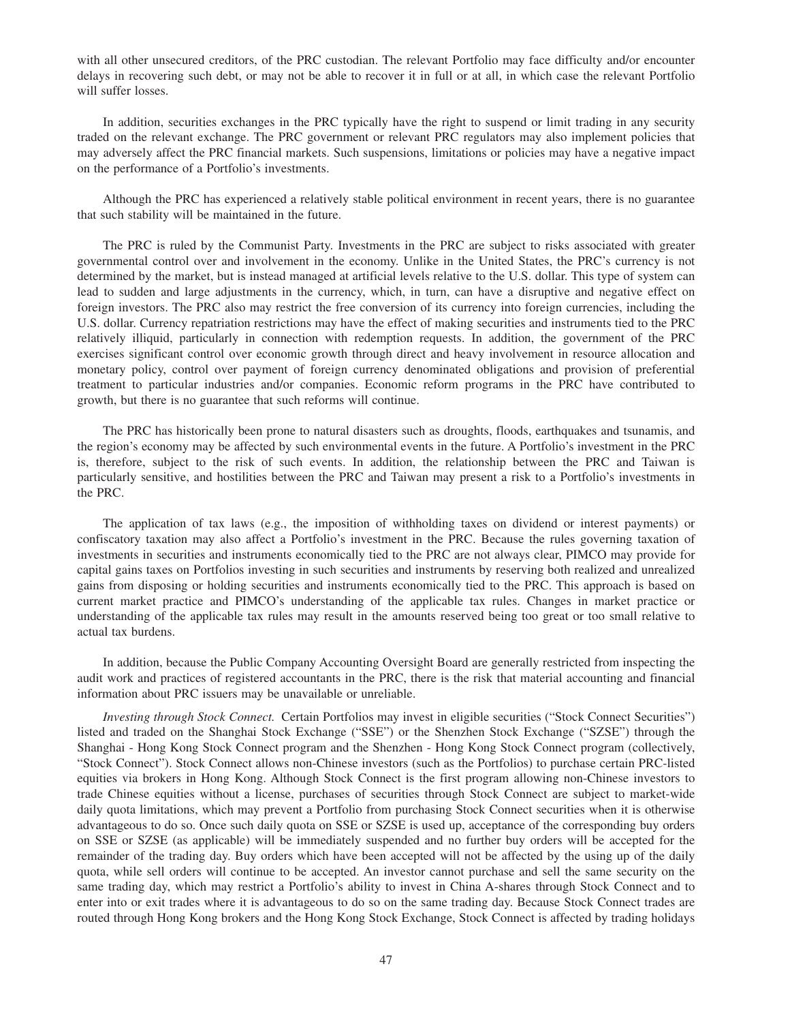with all other unsecured creditors, of the PRC custodian. The relevant Portfolio may face difficulty and/or encounter delays in recovering such debt, or may not be able to recover it in full or at all, in which case the relevant Portfolio will suffer losses.

In addition, securities exchanges in the PRC typically have the right to suspend or limit trading in any security traded on the relevant exchange. The PRC government or relevant PRC regulators may also implement policies that may adversely affect the PRC financial markets. Such suspensions, limitations or policies may have a negative impact on the performance of a Portfolio's investments.

Although the PRC has experienced a relatively stable political environment in recent years, there is no guarantee that such stability will be maintained in the future.

The PRC is ruled by the Communist Party. Investments in the PRC are subject to risks associated with greater governmental control over and involvement in the economy. Unlike in the United States, the PRC's currency is not determined by the market, but is instead managed at artificial levels relative to the U.S. dollar. This type of system can lead to sudden and large adjustments in the currency, which, in turn, can have a disruptive and negative effect on foreign investors. The PRC also may restrict the free conversion of its currency into foreign currencies, including the U.S. dollar. Currency repatriation restrictions may have the effect of making securities and instruments tied to the PRC relatively illiquid, particularly in connection with redemption requests. In addition, the government of the PRC exercises significant control over economic growth through direct and heavy involvement in resource allocation and monetary policy, control over payment of foreign currency denominated obligations and provision of preferential treatment to particular industries and/or companies. Economic reform programs in the PRC have contributed to growth, but there is no guarantee that such reforms will continue.

The PRC has historically been prone to natural disasters such as droughts, floods, earthquakes and tsunamis, and the region's economy may be affected by such environmental events in the future. A Portfolio's investment in the PRC is, therefore, subject to the risk of such events. In addition, the relationship between the PRC and Taiwan is particularly sensitive, and hostilities between the PRC and Taiwan may present a risk to a Portfolio's investments in the PRC.

The application of tax laws (e.g., the imposition of withholding taxes on dividend or interest payments) or confiscatory taxation may also affect a Portfolio's investment in the PRC. Because the rules governing taxation of investments in securities and instruments economically tied to the PRC are not always clear, PIMCO may provide for capital gains taxes on Portfolios investing in such securities and instruments by reserving both realized and unrealized gains from disposing or holding securities and instruments economically tied to the PRC. This approach is based on current market practice and PIMCO's understanding of the applicable tax rules. Changes in market practice or understanding of the applicable tax rules may result in the amounts reserved being too great or too small relative to actual tax burdens.

In addition, because the Public Company Accounting Oversight Board are generally restricted from inspecting the audit work and practices of registered accountants in the PRC, there is the risk that material accounting and financial information about PRC issuers may be unavailable or unreliable.

*Investing through Stock Connect.* Certain Portfolios may invest in eligible securities ("Stock Connect Securities") listed and traded on the Shanghai Stock Exchange ("SSE") or the Shenzhen Stock Exchange ("SZSE") through the Shanghai - Hong Kong Stock Connect program and the Shenzhen - Hong Kong Stock Connect program (collectively, "Stock Connect"). Stock Connect allows non-Chinese investors (such as the Portfolios) to purchase certain PRC-listed equities via brokers in Hong Kong. Although Stock Connect is the first program allowing non-Chinese investors to trade Chinese equities without a license, purchases of securities through Stock Connect are subject to market-wide daily quota limitations, which may prevent a Portfolio from purchasing Stock Connect securities when it is otherwise advantageous to do so. Once such daily quota on SSE or SZSE is used up, acceptance of the corresponding buy orders on SSE or SZSE (as applicable) will be immediately suspended and no further buy orders will be accepted for the remainder of the trading day. Buy orders which have been accepted will not be affected by the using up of the daily quota, while sell orders will continue to be accepted. An investor cannot purchase and sell the same security on the same trading day, which may restrict a Portfolio's ability to invest in China A-shares through Stock Connect and to enter into or exit trades where it is advantageous to do so on the same trading day. Because Stock Connect trades are routed through Hong Kong brokers and the Hong Kong Stock Exchange, Stock Connect is affected by trading holidays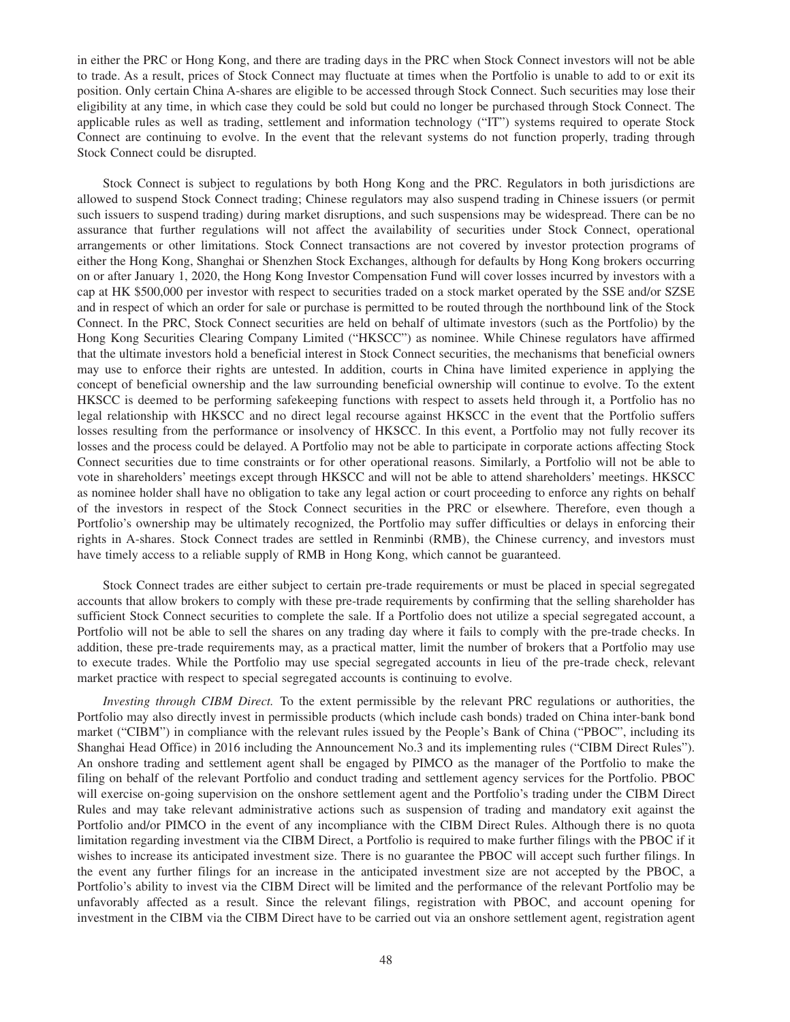in either the PRC or Hong Kong, and there are trading days in the PRC when Stock Connect investors will not be able to trade. As a result, prices of Stock Connect may fluctuate at times when the Portfolio is unable to add to or exit its position. Only certain China A-shares are eligible to be accessed through Stock Connect. Such securities may lose their eligibility at any time, in which case they could be sold but could no longer be purchased through Stock Connect. The applicable rules as well as trading, settlement and information technology ("IT") systems required to operate Stock Connect are continuing to evolve. In the event that the relevant systems do not function properly, trading through Stock Connect could be disrupted.

Stock Connect is subject to regulations by both Hong Kong and the PRC. Regulators in both jurisdictions are allowed to suspend Stock Connect trading; Chinese regulators may also suspend trading in Chinese issuers (or permit such issuers to suspend trading) during market disruptions, and such suspensions may be widespread. There can be no assurance that further regulations will not affect the availability of securities under Stock Connect, operational arrangements or other limitations. Stock Connect transactions are not covered by investor protection programs of either the Hong Kong, Shanghai or Shenzhen Stock Exchanges, although for defaults by Hong Kong brokers occurring on or after January 1, 2020, the Hong Kong Investor Compensation Fund will cover losses incurred by investors with a cap at HK \$500,000 per investor with respect to securities traded on a stock market operated by the SSE and/or SZSE and in respect of which an order for sale or purchase is permitted to be routed through the northbound link of the Stock Connect. In the PRC, Stock Connect securities are held on behalf of ultimate investors (such as the Portfolio) by the Hong Kong Securities Clearing Company Limited ("HKSCC") as nominee. While Chinese regulators have affirmed that the ultimate investors hold a beneficial interest in Stock Connect securities, the mechanisms that beneficial owners may use to enforce their rights are untested. In addition, courts in China have limited experience in applying the concept of beneficial ownership and the law surrounding beneficial ownership will continue to evolve. To the extent HKSCC is deemed to be performing safekeeping functions with respect to assets held through it, a Portfolio has no legal relationship with HKSCC and no direct legal recourse against HKSCC in the event that the Portfolio suffers losses resulting from the performance or insolvency of HKSCC. In this event, a Portfolio may not fully recover its losses and the process could be delayed. A Portfolio may not be able to participate in corporate actions affecting Stock Connect securities due to time constraints or for other operational reasons. Similarly, a Portfolio will not be able to vote in shareholders' meetings except through HKSCC and will not be able to attend shareholders' meetings. HKSCC as nominee holder shall have no obligation to take any legal action or court proceeding to enforce any rights on behalf of the investors in respect of the Stock Connect securities in the PRC or elsewhere. Therefore, even though a Portfolio's ownership may be ultimately recognized, the Portfolio may suffer difficulties or delays in enforcing their rights in A-shares. Stock Connect trades are settled in Renminbi (RMB), the Chinese currency, and investors must have timely access to a reliable supply of RMB in Hong Kong, which cannot be guaranteed.

Stock Connect trades are either subject to certain pre-trade requirements or must be placed in special segregated accounts that allow brokers to comply with these pre-trade requirements by confirming that the selling shareholder has sufficient Stock Connect securities to complete the sale. If a Portfolio does not utilize a special segregated account, a Portfolio will not be able to sell the shares on any trading day where it fails to comply with the pre-trade checks. In addition, these pre-trade requirements may, as a practical matter, limit the number of brokers that a Portfolio may use to execute trades. While the Portfolio may use special segregated accounts in lieu of the pre-trade check, relevant market practice with respect to special segregated accounts is continuing to evolve.

*Investing through CIBM Direct.* To the extent permissible by the relevant PRC regulations or authorities, the Portfolio may also directly invest in permissible products (which include cash bonds) traded on China inter-bank bond market ("CIBM") in compliance with the relevant rules issued by the People's Bank of China ("PBOC", including its Shanghai Head Office) in 2016 including the Announcement No.3 and its implementing rules ("CIBM Direct Rules"). An onshore trading and settlement agent shall be engaged by PIMCO as the manager of the Portfolio to make the filing on behalf of the relevant Portfolio and conduct trading and settlement agency services for the Portfolio. PBOC will exercise on-going supervision on the onshore settlement agent and the Portfolio's trading under the CIBM Direct Rules and may take relevant administrative actions such as suspension of trading and mandatory exit against the Portfolio and/or PIMCO in the event of any incompliance with the CIBM Direct Rules. Although there is no quota limitation regarding investment via the CIBM Direct, a Portfolio is required to make further filings with the PBOC if it wishes to increase its anticipated investment size. There is no guarantee the PBOC will accept such further filings. In the event any further filings for an increase in the anticipated investment size are not accepted by the PBOC, a Portfolio's ability to invest via the CIBM Direct will be limited and the performance of the relevant Portfolio may be unfavorably affected as a result. Since the relevant filings, registration with PBOC, and account opening for investment in the CIBM via the CIBM Direct have to be carried out via an onshore settlement agent, registration agent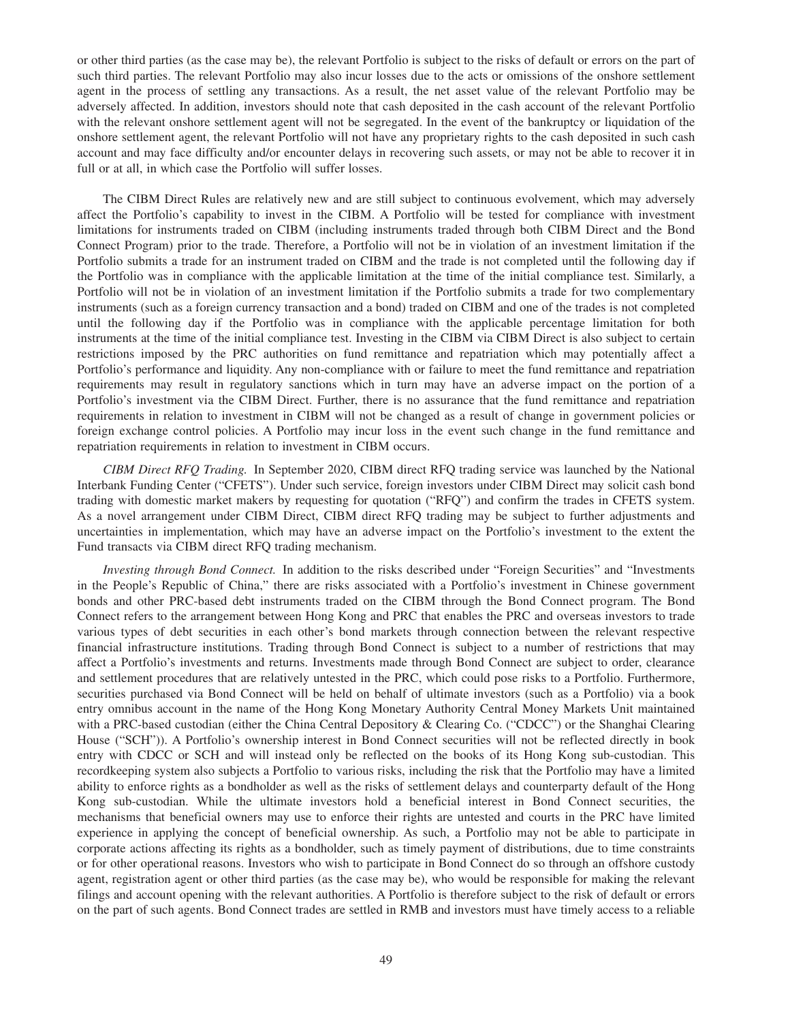or other third parties (as the case may be), the relevant Portfolio is subject to the risks of default or errors on the part of such third parties. The relevant Portfolio may also incur losses due to the acts or omissions of the onshore settlement agent in the process of settling any transactions. As a result, the net asset value of the relevant Portfolio may be adversely affected. In addition, investors should note that cash deposited in the cash account of the relevant Portfolio with the relevant onshore settlement agent will not be segregated. In the event of the bankruptcy or liquidation of the onshore settlement agent, the relevant Portfolio will not have any proprietary rights to the cash deposited in such cash account and may face difficulty and/or encounter delays in recovering such assets, or may not be able to recover it in full or at all, in which case the Portfolio will suffer losses.

The CIBM Direct Rules are relatively new and are still subject to continuous evolvement, which may adversely affect the Portfolio's capability to invest in the CIBM. A Portfolio will be tested for compliance with investment limitations for instruments traded on CIBM (including instruments traded through both CIBM Direct and the Bond Connect Program) prior to the trade. Therefore, a Portfolio will not be in violation of an investment limitation if the Portfolio submits a trade for an instrument traded on CIBM and the trade is not completed until the following day if the Portfolio was in compliance with the applicable limitation at the time of the initial compliance test. Similarly, a Portfolio will not be in violation of an investment limitation if the Portfolio submits a trade for two complementary instruments (such as a foreign currency transaction and a bond) traded on CIBM and one of the trades is not completed until the following day if the Portfolio was in compliance with the applicable percentage limitation for both instruments at the time of the initial compliance test. Investing in the CIBM via CIBM Direct is also subject to certain restrictions imposed by the PRC authorities on fund remittance and repatriation which may potentially affect a Portfolio's performance and liquidity. Any non-compliance with or failure to meet the fund remittance and repatriation requirements may result in regulatory sanctions which in turn may have an adverse impact on the portion of a Portfolio's investment via the CIBM Direct. Further, there is no assurance that the fund remittance and repatriation requirements in relation to investment in CIBM will not be changed as a result of change in government policies or foreign exchange control policies. A Portfolio may incur loss in the event such change in the fund remittance and repatriation requirements in relation to investment in CIBM occurs.

*CIBM Direct RFQ Trading.* In September 2020, CIBM direct RFQ trading service was launched by the National Interbank Funding Center ("CFETS"). Under such service, foreign investors under CIBM Direct may solicit cash bond trading with domestic market makers by requesting for quotation ("RFQ") and confirm the trades in CFETS system. As a novel arrangement under CIBM Direct, CIBM direct RFQ trading may be subject to further adjustments and uncertainties in implementation, which may have an adverse impact on the Portfolio's investment to the extent the Fund transacts via CIBM direct RFQ trading mechanism.

*Investing through Bond Connect.* In addition to the risks described under "Foreign Securities" and "Investments in the People's Republic of China," there are risks associated with a Portfolio's investment in Chinese government bonds and other PRC-based debt instruments traded on the CIBM through the Bond Connect program. The Bond Connect refers to the arrangement between Hong Kong and PRC that enables the PRC and overseas investors to trade various types of debt securities in each other's bond markets through connection between the relevant respective financial infrastructure institutions. Trading through Bond Connect is subject to a number of restrictions that may affect a Portfolio's investments and returns. Investments made through Bond Connect are subject to order, clearance and settlement procedures that are relatively untested in the PRC, which could pose risks to a Portfolio. Furthermore, securities purchased via Bond Connect will be held on behalf of ultimate investors (such as a Portfolio) via a book entry omnibus account in the name of the Hong Kong Monetary Authority Central Money Markets Unit maintained with a PRC-based custodian (either the China Central Depository & Clearing Co. ("CDCC") or the Shanghai Clearing House ("SCH")). A Portfolio's ownership interest in Bond Connect securities will not be reflected directly in book entry with CDCC or SCH and will instead only be reflected on the books of its Hong Kong sub-custodian. This recordkeeping system also subjects a Portfolio to various risks, including the risk that the Portfolio may have a limited ability to enforce rights as a bondholder as well as the risks of settlement delays and counterparty default of the Hong Kong sub-custodian. While the ultimate investors hold a beneficial interest in Bond Connect securities, the mechanisms that beneficial owners may use to enforce their rights are untested and courts in the PRC have limited experience in applying the concept of beneficial ownership. As such, a Portfolio may not be able to participate in corporate actions affecting its rights as a bondholder, such as timely payment of distributions, due to time constraints or for other operational reasons. Investors who wish to participate in Bond Connect do so through an offshore custody agent, registration agent or other third parties (as the case may be), who would be responsible for making the relevant filings and account opening with the relevant authorities. A Portfolio is therefore subject to the risk of default or errors on the part of such agents. Bond Connect trades are settled in RMB and investors must have timely access to a reliable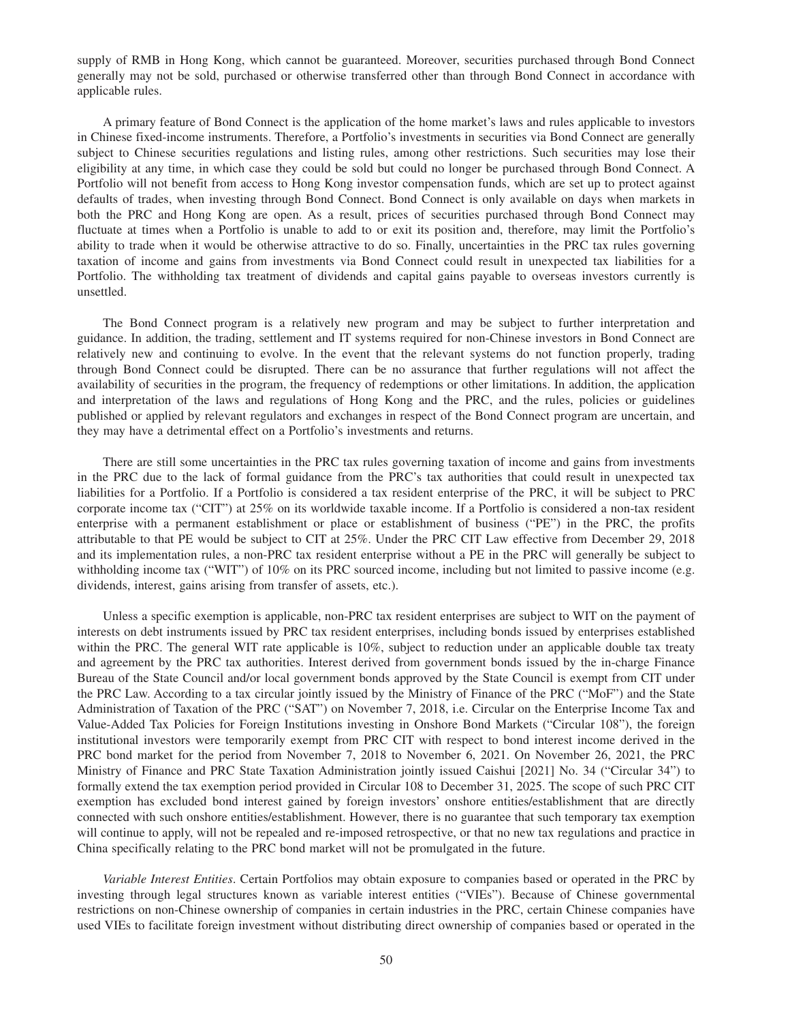supply of RMB in Hong Kong, which cannot be guaranteed. Moreover, securities purchased through Bond Connect generally may not be sold, purchased or otherwise transferred other than through Bond Connect in accordance with applicable rules.

A primary feature of Bond Connect is the application of the home market's laws and rules applicable to investors in Chinese fixed-income instruments. Therefore, a Portfolio's investments in securities via Bond Connect are generally subject to Chinese securities regulations and listing rules, among other restrictions. Such securities may lose their eligibility at any time, in which case they could be sold but could no longer be purchased through Bond Connect. A Portfolio will not benefit from access to Hong Kong investor compensation funds, which are set up to protect against defaults of trades, when investing through Bond Connect. Bond Connect is only available on days when markets in both the PRC and Hong Kong are open. As a result, prices of securities purchased through Bond Connect may fluctuate at times when a Portfolio is unable to add to or exit its position and, therefore, may limit the Portfolio's ability to trade when it would be otherwise attractive to do so. Finally, uncertainties in the PRC tax rules governing taxation of income and gains from investments via Bond Connect could result in unexpected tax liabilities for a Portfolio. The withholding tax treatment of dividends and capital gains payable to overseas investors currently is unsettled.

The Bond Connect program is a relatively new program and may be subject to further interpretation and guidance. In addition, the trading, settlement and IT systems required for non-Chinese investors in Bond Connect are relatively new and continuing to evolve. In the event that the relevant systems do not function properly, trading through Bond Connect could be disrupted. There can be no assurance that further regulations will not affect the availability of securities in the program, the frequency of redemptions or other limitations. In addition, the application and interpretation of the laws and regulations of Hong Kong and the PRC, and the rules, policies or guidelines published or applied by relevant regulators and exchanges in respect of the Bond Connect program are uncertain, and they may have a detrimental effect on a Portfolio's investments and returns.

There are still some uncertainties in the PRC tax rules governing taxation of income and gains from investments in the PRC due to the lack of formal guidance from the PRC's tax authorities that could result in unexpected tax liabilities for a Portfolio. If a Portfolio is considered a tax resident enterprise of the PRC, it will be subject to PRC corporate income tax ("CIT") at 25% on its worldwide taxable income. If a Portfolio is considered a non-tax resident enterprise with a permanent establishment or place or establishment of business ("PE") in the PRC, the profits attributable to that PE would be subject to CIT at 25%. Under the PRC CIT Law effective from December 29, 2018 and its implementation rules, a non-PRC tax resident enterprise without a PE in the PRC will generally be subject to withholding income tax ("WIT") of 10% on its PRC sourced income, including but not limited to passive income (e.g. dividends, interest, gains arising from transfer of assets, etc.).

Unless a specific exemption is applicable, non-PRC tax resident enterprises are subject to WIT on the payment of interests on debt instruments issued by PRC tax resident enterprises, including bonds issued by enterprises established within the PRC. The general WIT rate applicable is 10%, subject to reduction under an applicable double tax treaty and agreement by the PRC tax authorities. Interest derived from government bonds issued by the in-charge Finance Bureau of the State Council and/or local government bonds approved by the State Council is exempt from CIT under the PRC Law. According to a tax circular jointly issued by the Ministry of Finance of the PRC ("MoF") and the State Administration of Taxation of the PRC ("SAT") on November 7, 2018, i.e. Circular on the Enterprise Income Tax and Value-Added Tax Policies for Foreign Institutions investing in Onshore Bond Markets ("Circular 108"), the foreign institutional investors were temporarily exempt from PRC CIT with respect to bond interest income derived in the PRC bond market for the period from November 7, 2018 to November 6, 2021. On November 26, 2021, the PRC Ministry of Finance and PRC State Taxation Administration jointly issued Caishui [2021] No. 34 ("Circular 34") to formally extend the tax exemption period provided in Circular 108 to December 31, 2025. The scope of such PRC CIT exemption has excluded bond interest gained by foreign investors' onshore entities/establishment that are directly connected with such onshore entities/establishment. However, there is no guarantee that such temporary tax exemption will continue to apply, will not be repealed and re-imposed retrospective, or that no new tax regulations and practice in China specifically relating to the PRC bond market will not be promulgated in the future.

*Variable Interest Entities*. Certain Portfolios may obtain exposure to companies based or operated in the PRC by investing through legal structures known as variable interest entities ("VIEs"). Because of Chinese governmental restrictions on non-Chinese ownership of companies in certain industries in the PRC, certain Chinese companies have used VIEs to facilitate foreign investment without distributing direct ownership of companies based or operated in the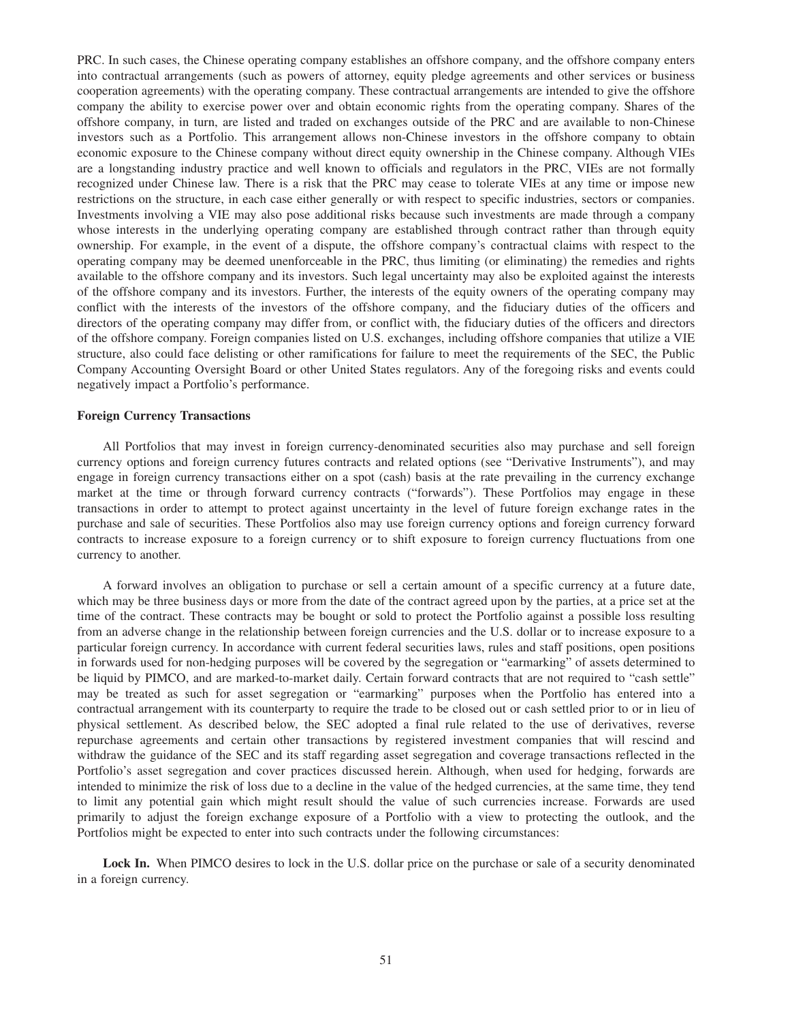PRC. In such cases, the Chinese operating company establishes an offshore company, and the offshore company enters into contractual arrangements (such as powers of attorney, equity pledge agreements and other services or business cooperation agreements) with the operating company. These contractual arrangements are intended to give the offshore company the ability to exercise power over and obtain economic rights from the operating company. Shares of the offshore company, in turn, are listed and traded on exchanges outside of the PRC and are available to non-Chinese investors such as a Portfolio. This arrangement allows non-Chinese investors in the offshore company to obtain economic exposure to the Chinese company without direct equity ownership in the Chinese company. Although VIEs are a longstanding industry practice and well known to officials and regulators in the PRC, VIEs are not formally recognized under Chinese law. There is a risk that the PRC may cease to tolerate VIEs at any time or impose new restrictions on the structure, in each case either generally or with respect to specific industries, sectors or companies. Investments involving a VIE may also pose additional risks because such investments are made through a company whose interests in the underlying operating company are established through contract rather than through equity ownership. For example, in the event of a dispute, the offshore company's contractual claims with respect to the operating company may be deemed unenforceable in the PRC, thus limiting (or eliminating) the remedies and rights available to the offshore company and its investors. Such legal uncertainty may also be exploited against the interests of the offshore company and its investors. Further, the interests of the equity owners of the operating company may conflict with the interests of the investors of the offshore company, and the fiduciary duties of the officers and directors of the operating company may differ from, or conflict with, the fiduciary duties of the officers and directors of the offshore company. Foreign companies listed on U.S. exchanges, including offshore companies that utilize a VIE structure, also could face delisting or other ramifications for failure to meet the requirements of the SEC, the Public Company Accounting Oversight Board or other United States regulators. Any of the foregoing risks and events could negatively impact a Portfolio's performance.

### **Foreign Currency Transactions**

All Portfolios that may invest in foreign currency-denominated securities also may purchase and sell foreign currency options and foreign currency futures contracts and related options (see "Derivative Instruments"), and may engage in foreign currency transactions either on a spot (cash) basis at the rate prevailing in the currency exchange market at the time or through forward currency contracts ("forwards"). These Portfolios may engage in these transactions in order to attempt to protect against uncertainty in the level of future foreign exchange rates in the purchase and sale of securities. These Portfolios also may use foreign currency options and foreign currency forward contracts to increase exposure to a foreign currency or to shift exposure to foreign currency fluctuations from one currency to another.

A forward involves an obligation to purchase or sell a certain amount of a specific currency at a future date, which may be three business days or more from the date of the contract agreed upon by the parties, at a price set at the time of the contract. These contracts may be bought or sold to protect the Portfolio against a possible loss resulting from an adverse change in the relationship between foreign currencies and the U.S. dollar or to increase exposure to a particular foreign currency. In accordance with current federal securities laws, rules and staff positions, open positions in forwards used for non-hedging purposes will be covered by the segregation or "earmarking" of assets determined to be liquid by PIMCO, and are marked-to-market daily. Certain forward contracts that are not required to "cash settle" may be treated as such for asset segregation or "earmarking" purposes when the Portfolio has entered into a contractual arrangement with its counterparty to require the trade to be closed out or cash settled prior to or in lieu of physical settlement. As described below, the SEC adopted a final rule related to the use of derivatives, reverse repurchase agreements and certain other transactions by registered investment companies that will rescind and withdraw the guidance of the SEC and its staff regarding asset segregation and coverage transactions reflected in the Portfolio's asset segregation and cover practices discussed herein. Although, when used for hedging, forwards are intended to minimize the risk of loss due to a decline in the value of the hedged currencies, at the same time, they tend to limit any potential gain which might result should the value of such currencies increase. Forwards are used primarily to adjust the foreign exchange exposure of a Portfolio with a view to protecting the outlook, and the Portfolios might be expected to enter into such contracts under the following circumstances:

Lock In. When PIMCO desires to lock in the U.S. dollar price on the purchase or sale of a security denominated in a foreign currency.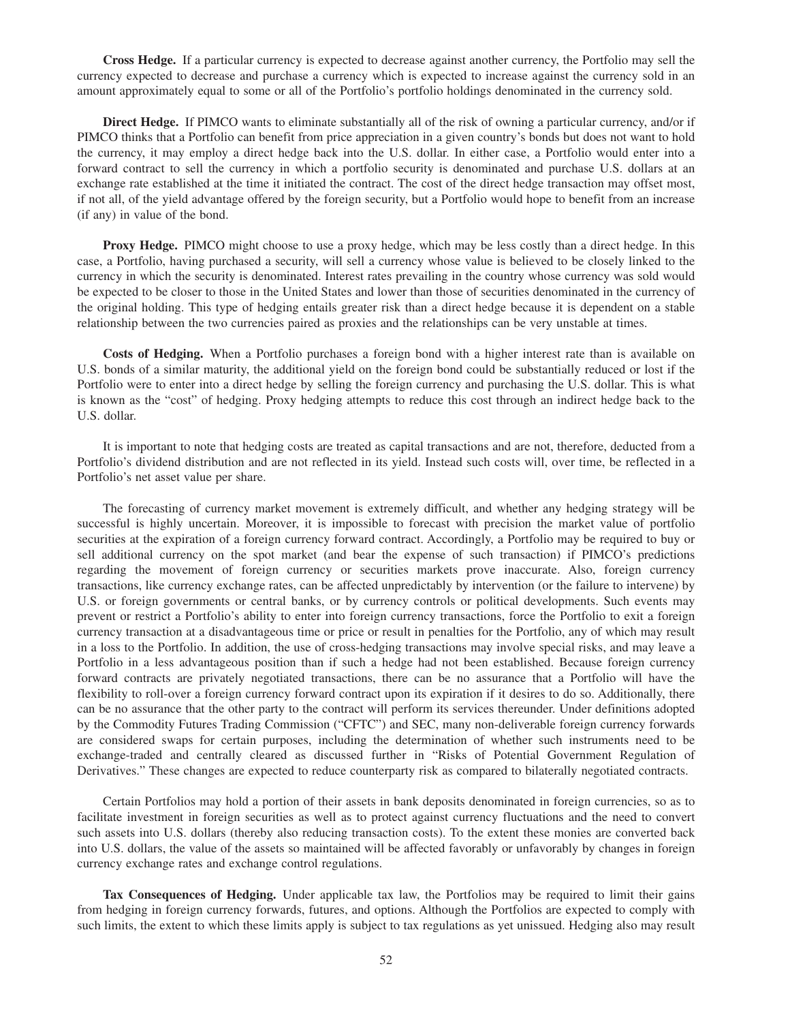**Cross Hedge.** If a particular currency is expected to decrease against another currency, the Portfolio may sell the currency expected to decrease and purchase a currency which is expected to increase against the currency sold in an amount approximately equal to some or all of the Portfolio's portfolio holdings denominated in the currency sold.

**Direct Hedge.** If PIMCO wants to eliminate substantially all of the risk of owning a particular currency, and/or if PIMCO thinks that a Portfolio can benefit from price appreciation in a given country's bonds but does not want to hold the currency, it may employ a direct hedge back into the U.S. dollar. In either case, a Portfolio would enter into a forward contract to sell the currency in which a portfolio security is denominated and purchase U.S. dollars at an exchange rate established at the time it initiated the contract. The cost of the direct hedge transaction may offset most, if not all, of the yield advantage offered by the foreign security, but a Portfolio would hope to benefit from an increase (if any) in value of the bond.

**Proxy Hedge.** PIMCO might choose to use a proxy hedge, which may be less costly than a direct hedge. In this case, a Portfolio, having purchased a security, will sell a currency whose value is believed to be closely linked to the currency in which the security is denominated. Interest rates prevailing in the country whose currency was sold would be expected to be closer to those in the United States and lower than those of securities denominated in the currency of the original holding. This type of hedging entails greater risk than a direct hedge because it is dependent on a stable relationship between the two currencies paired as proxies and the relationships can be very unstable at times.

**Costs of Hedging.** When a Portfolio purchases a foreign bond with a higher interest rate than is available on U.S. bonds of a similar maturity, the additional yield on the foreign bond could be substantially reduced or lost if the Portfolio were to enter into a direct hedge by selling the foreign currency and purchasing the U.S. dollar. This is what is known as the "cost" of hedging. Proxy hedging attempts to reduce this cost through an indirect hedge back to the U.S. dollar.

It is important to note that hedging costs are treated as capital transactions and are not, therefore, deducted from a Portfolio's dividend distribution and are not reflected in its yield. Instead such costs will, over time, be reflected in a Portfolio's net asset value per share.

The forecasting of currency market movement is extremely difficult, and whether any hedging strategy will be successful is highly uncertain. Moreover, it is impossible to forecast with precision the market value of portfolio securities at the expiration of a foreign currency forward contract. Accordingly, a Portfolio may be required to buy or sell additional currency on the spot market (and bear the expense of such transaction) if PIMCO's predictions regarding the movement of foreign currency or securities markets prove inaccurate. Also, foreign currency transactions, like currency exchange rates, can be affected unpredictably by intervention (or the failure to intervene) by U.S. or foreign governments or central banks, or by currency controls or political developments. Such events may prevent or restrict a Portfolio's ability to enter into foreign currency transactions, force the Portfolio to exit a foreign currency transaction at a disadvantageous time or price or result in penalties for the Portfolio, any of which may result in a loss to the Portfolio. In addition, the use of cross-hedging transactions may involve special risks, and may leave a Portfolio in a less advantageous position than if such a hedge had not been established. Because foreign currency forward contracts are privately negotiated transactions, there can be no assurance that a Portfolio will have the flexibility to roll-over a foreign currency forward contract upon its expiration if it desires to do so. Additionally, there can be no assurance that the other party to the contract will perform its services thereunder. Under definitions adopted by the Commodity Futures Trading Commission ("CFTC") and SEC, many non-deliverable foreign currency forwards are considered swaps for certain purposes, including the determination of whether such instruments need to be exchange-traded and centrally cleared as discussed further in "Risks of Potential Government Regulation of Derivatives." These changes are expected to reduce counterparty risk as compared to bilaterally negotiated contracts.

Certain Portfolios may hold a portion of their assets in bank deposits denominated in foreign currencies, so as to facilitate investment in foreign securities as well as to protect against currency fluctuations and the need to convert such assets into U.S. dollars (thereby also reducing transaction costs). To the extent these monies are converted back into U.S. dollars, the value of the assets so maintained will be affected favorably or unfavorably by changes in foreign currency exchange rates and exchange control regulations.

**Tax Consequences of Hedging.** Under applicable tax law, the Portfolios may be required to limit their gains from hedging in foreign currency forwards, futures, and options. Although the Portfolios are expected to comply with such limits, the extent to which these limits apply is subject to tax regulations as yet unissued. Hedging also may result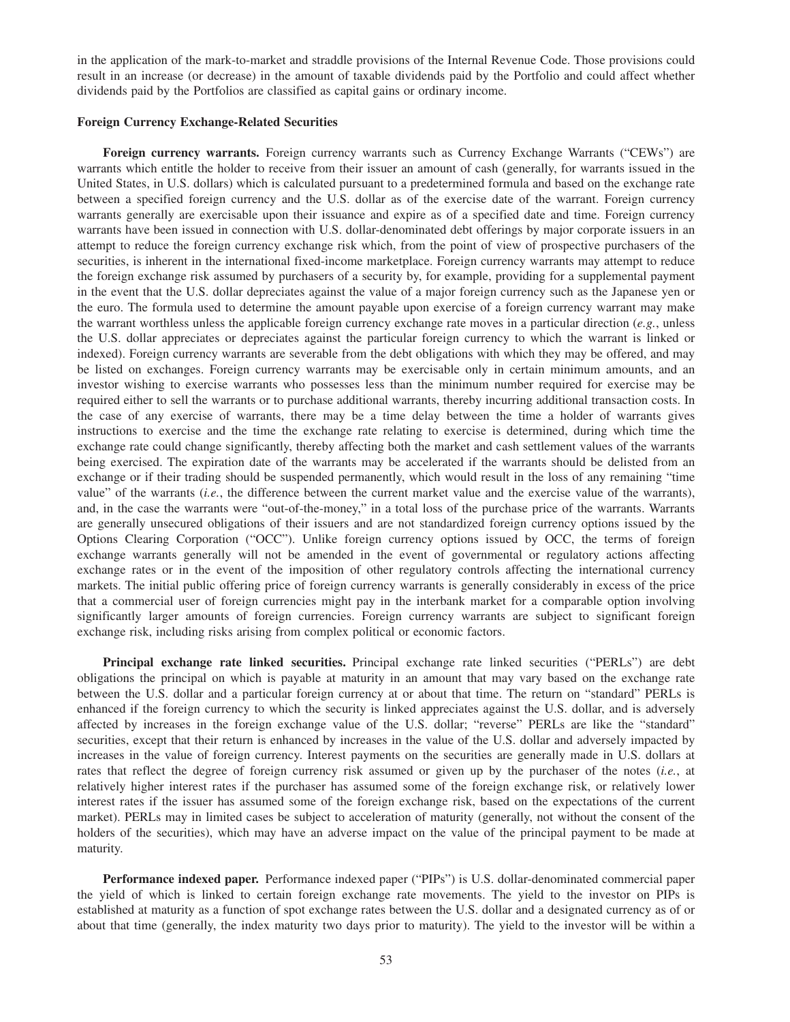in the application of the mark-to-market and straddle provisions of the Internal Revenue Code. Those provisions could result in an increase (or decrease) in the amount of taxable dividends paid by the Portfolio and could affect whether dividends paid by the Portfolios are classified as capital gains or ordinary income.

# **Foreign Currency Exchange-Related Securities**

**Foreign currency warrants.** Foreign currency warrants such as Currency Exchange Warrants ("CEWs") are warrants which entitle the holder to receive from their issuer an amount of cash (generally, for warrants issued in the United States, in U.S. dollars) which is calculated pursuant to a predetermined formula and based on the exchange rate between a specified foreign currency and the U.S. dollar as of the exercise date of the warrant. Foreign currency warrants generally are exercisable upon their issuance and expire as of a specified date and time. Foreign currency warrants have been issued in connection with U.S. dollar-denominated debt offerings by major corporate issuers in an attempt to reduce the foreign currency exchange risk which, from the point of view of prospective purchasers of the securities, is inherent in the international fixed-income marketplace. Foreign currency warrants may attempt to reduce the foreign exchange risk assumed by purchasers of a security by, for example, providing for a supplemental payment in the event that the U.S. dollar depreciates against the value of a major foreign currency such as the Japanese yen or the euro. The formula used to determine the amount payable upon exercise of a foreign currency warrant may make the warrant worthless unless the applicable foreign currency exchange rate moves in a particular direction (*e.g.*, unless the U.S. dollar appreciates or depreciates against the particular foreign currency to which the warrant is linked or indexed). Foreign currency warrants are severable from the debt obligations with which they may be offered, and may be listed on exchanges. Foreign currency warrants may be exercisable only in certain minimum amounts, and an investor wishing to exercise warrants who possesses less than the minimum number required for exercise may be required either to sell the warrants or to purchase additional warrants, thereby incurring additional transaction costs. In the case of any exercise of warrants, there may be a time delay between the time a holder of warrants gives instructions to exercise and the time the exchange rate relating to exercise is determined, during which time the exchange rate could change significantly, thereby affecting both the market and cash settlement values of the warrants being exercised. The expiration date of the warrants may be accelerated if the warrants should be delisted from an exchange or if their trading should be suspended permanently, which would result in the loss of any remaining "time value" of the warrants (*i.e.*, the difference between the current market value and the exercise value of the warrants), and, in the case the warrants were "out-of-the-money," in a total loss of the purchase price of the warrants. Warrants are generally unsecured obligations of their issuers and are not standardized foreign currency options issued by the Options Clearing Corporation ("OCC"). Unlike foreign currency options issued by OCC, the terms of foreign exchange warrants generally will not be amended in the event of governmental or regulatory actions affecting exchange rates or in the event of the imposition of other regulatory controls affecting the international currency markets. The initial public offering price of foreign currency warrants is generally considerably in excess of the price that a commercial user of foreign currencies might pay in the interbank market for a comparable option involving significantly larger amounts of foreign currencies. Foreign currency warrants are subject to significant foreign exchange risk, including risks arising from complex political or economic factors.

**Principal exchange rate linked securities.** Principal exchange rate linked securities ("PERLs") are debt obligations the principal on which is payable at maturity in an amount that may vary based on the exchange rate between the U.S. dollar and a particular foreign currency at or about that time. The return on "standard" PERLs is enhanced if the foreign currency to which the security is linked appreciates against the U.S. dollar, and is adversely affected by increases in the foreign exchange value of the U.S. dollar; "reverse" PERLs are like the "standard" securities, except that their return is enhanced by increases in the value of the U.S. dollar and adversely impacted by increases in the value of foreign currency. Interest payments on the securities are generally made in U.S. dollars at rates that reflect the degree of foreign currency risk assumed or given up by the purchaser of the notes (*i.e.*, at relatively higher interest rates if the purchaser has assumed some of the foreign exchange risk, or relatively lower interest rates if the issuer has assumed some of the foreign exchange risk, based on the expectations of the current market). PERLs may in limited cases be subject to acceleration of maturity (generally, not without the consent of the holders of the securities), which may have an adverse impact on the value of the principal payment to be made at maturity.

**Performance indexed paper.** Performance indexed paper ("PIPs") is U.S. dollar-denominated commercial paper the yield of which is linked to certain foreign exchange rate movements. The yield to the investor on PIPs is established at maturity as a function of spot exchange rates between the U.S. dollar and a designated currency as of or about that time (generally, the index maturity two days prior to maturity). The yield to the investor will be within a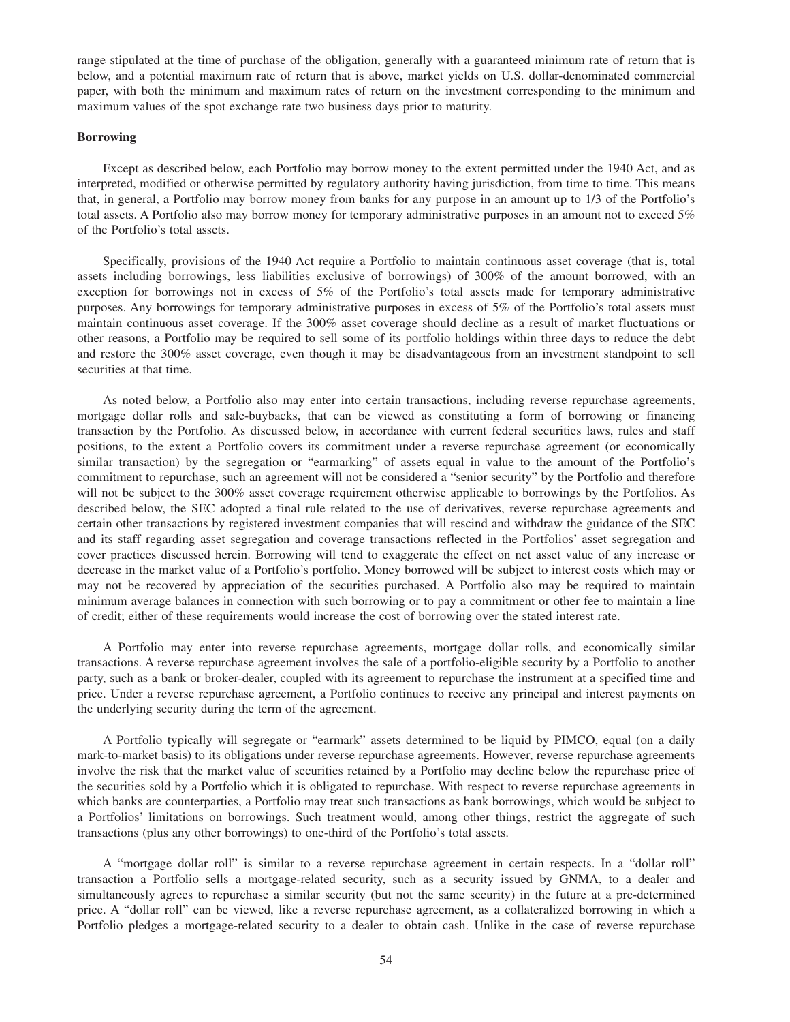range stipulated at the time of purchase of the obligation, generally with a guaranteed minimum rate of return that is below, and a potential maximum rate of return that is above, market yields on U.S. dollar-denominated commercial paper, with both the minimum and maximum rates of return on the investment corresponding to the minimum and maximum values of the spot exchange rate two business days prior to maturity.

# **Borrowing**

Except as described below, each Portfolio may borrow money to the extent permitted under the 1940 Act, and as interpreted, modified or otherwise permitted by regulatory authority having jurisdiction, from time to time. This means that, in general, a Portfolio may borrow money from banks for any purpose in an amount up to 1/3 of the Portfolio's total assets. A Portfolio also may borrow money for temporary administrative purposes in an amount not to exceed 5% of the Portfolio's total assets.

Specifically, provisions of the 1940 Act require a Portfolio to maintain continuous asset coverage (that is, total assets including borrowings, less liabilities exclusive of borrowings) of 300% of the amount borrowed, with an exception for borrowings not in excess of 5% of the Portfolio's total assets made for temporary administrative purposes. Any borrowings for temporary administrative purposes in excess of 5% of the Portfolio's total assets must maintain continuous asset coverage. If the 300% asset coverage should decline as a result of market fluctuations or other reasons, a Portfolio may be required to sell some of its portfolio holdings within three days to reduce the debt and restore the 300% asset coverage, even though it may be disadvantageous from an investment standpoint to sell securities at that time.

As noted below, a Portfolio also may enter into certain transactions, including reverse repurchase agreements, mortgage dollar rolls and sale-buybacks, that can be viewed as constituting a form of borrowing or financing transaction by the Portfolio. As discussed below, in accordance with current federal securities laws, rules and staff positions, to the extent a Portfolio covers its commitment under a reverse repurchase agreement (or economically similar transaction) by the segregation or "earmarking" of assets equal in value to the amount of the Portfolio's commitment to repurchase, such an agreement will not be considered a "senior security" by the Portfolio and therefore will not be subject to the 300% asset coverage requirement otherwise applicable to borrowings by the Portfolios. As described below, the SEC adopted a final rule related to the use of derivatives, reverse repurchase agreements and certain other transactions by registered investment companies that will rescind and withdraw the guidance of the SEC and its staff regarding asset segregation and coverage transactions reflected in the Portfolios' asset segregation and cover practices discussed herein. Borrowing will tend to exaggerate the effect on net asset value of any increase or decrease in the market value of a Portfolio's portfolio. Money borrowed will be subject to interest costs which may or may not be recovered by appreciation of the securities purchased. A Portfolio also may be required to maintain minimum average balances in connection with such borrowing or to pay a commitment or other fee to maintain a line of credit; either of these requirements would increase the cost of borrowing over the stated interest rate.

A Portfolio may enter into reverse repurchase agreements, mortgage dollar rolls, and economically similar transactions. A reverse repurchase agreement involves the sale of a portfolio-eligible security by a Portfolio to another party, such as a bank or broker-dealer, coupled with its agreement to repurchase the instrument at a specified time and price. Under a reverse repurchase agreement, a Portfolio continues to receive any principal and interest payments on the underlying security during the term of the agreement.

A Portfolio typically will segregate or "earmark" assets determined to be liquid by PIMCO, equal (on a daily mark-to-market basis) to its obligations under reverse repurchase agreements. However, reverse repurchase agreements involve the risk that the market value of securities retained by a Portfolio may decline below the repurchase price of the securities sold by a Portfolio which it is obligated to repurchase. With respect to reverse repurchase agreements in which banks are counterparties, a Portfolio may treat such transactions as bank borrowings, which would be subject to a Portfolios' limitations on borrowings. Such treatment would, among other things, restrict the aggregate of such transactions (plus any other borrowings) to one-third of the Portfolio's total assets.

A "mortgage dollar roll" is similar to a reverse repurchase agreement in certain respects. In a "dollar roll" transaction a Portfolio sells a mortgage-related security, such as a security issued by GNMA, to a dealer and simultaneously agrees to repurchase a similar security (but not the same security) in the future at a pre-determined price. A "dollar roll" can be viewed, like a reverse repurchase agreement, as a collateralized borrowing in which a Portfolio pledges a mortgage-related security to a dealer to obtain cash. Unlike in the case of reverse repurchase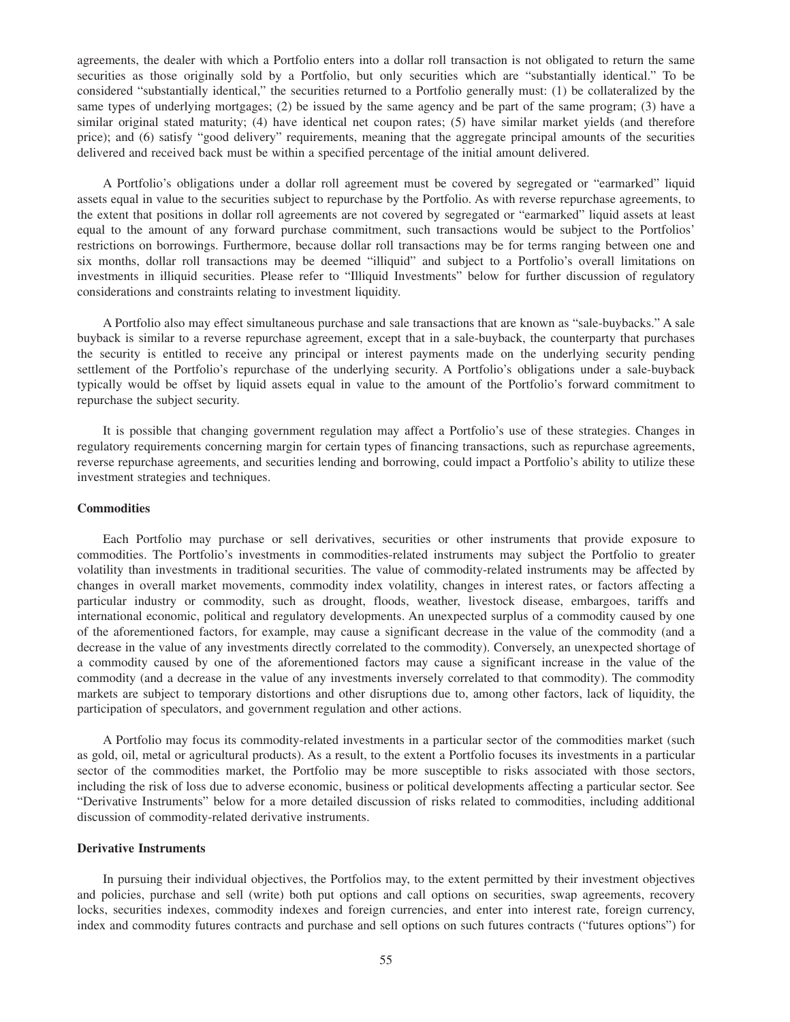agreements, the dealer with which a Portfolio enters into a dollar roll transaction is not obligated to return the same securities as those originally sold by a Portfolio, but only securities which are "substantially identical." To be considered "substantially identical," the securities returned to a Portfolio generally must: (1) be collateralized by the same types of underlying mortgages; (2) be issued by the same agency and be part of the same program; (3) have a similar original stated maturity; (4) have identical net coupon rates; (5) have similar market yields (and therefore price); and (6) satisfy "good delivery" requirements, meaning that the aggregate principal amounts of the securities delivered and received back must be within a specified percentage of the initial amount delivered.

A Portfolio's obligations under a dollar roll agreement must be covered by segregated or "earmarked" liquid assets equal in value to the securities subject to repurchase by the Portfolio. As with reverse repurchase agreements, to the extent that positions in dollar roll agreements are not covered by segregated or "earmarked" liquid assets at least equal to the amount of any forward purchase commitment, such transactions would be subject to the Portfolios' restrictions on borrowings. Furthermore, because dollar roll transactions may be for terms ranging between one and six months, dollar roll transactions may be deemed "illiquid" and subject to a Portfolio's overall limitations on investments in illiquid securities. Please refer to "Illiquid Investments" below for further discussion of regulatory considerations and constraints relating to investment liquidity.

A Portfolio also may effect simultaneous purchase and sale transactions that are known as "sale-buybacks." A sale buyback is similar to a reverse repurchase agreement, except that in a sale-buyback, the counterparty that purchases the security is entitled to receive any principal or interest payments made on the underlying security pending settlement of the Portfolio's repurchase of the underlying security. A Portfolio's obligations under a sale-buyback typically would be offset by liquid assets equal in value to the amount of the Portfolio's forward commitment to repurchase the subject security.

It is possible that changing government regulation may affect a Portfolio's use of these strategies. Changes in regulatory requirements concerning margin for certain types of financing transactions, such as repurchase agreements, reverse repurchase agreements, and securities lending and borrowing, could impact a Portfolio's ability to utilize these investment strategies and techniques.

### **Commodities**

Each Portfolio may purchase or sell derivatives, securities or other instruments that provide exposure to commodities. The Portfolio's investments in commodities-related instruments may subject the Portfolio to greater volatility than investments in traditional securities. The value of commodity-related instruments may be affected by changes in overall market movements, commodity index volatility, changes in interest rates, or factors affecting a particular industry or commodity, such as drought, floods, weather, livestock disease, embargoes, tariffs and international economic, political and regulatory developments. An unexpected surplus of a commodity caused by one of the aforementioned factors, for example, may cause a significant decrease in the value of the commodity (and a decrease in the value of any investments directly correlated to the commodity). Conversely, an unexpected shortage of a commodity caused by one of the aforementioned factors may cause a significant increase in the value of the commodity (and a decrease in the value of any investments inversely correlated to that commodity). The commodity markets are subject to temporary distortions and other disruptions due to, among other factors, lack of liquidity, the participation of speculators, and government regulation and other actions.

A Portfolio may focus its commodity-related investments in a particular sector of the commodities market (such as gold, oil, metal or agricultural products). As a result, to the extent a Portfolio focuses its investments in a particular sector of the commodities market, the Portfolio may be more susceptible to risks associated with those sectors, including the risk of loss due to adverse economic, business or political developments affecting a particular sector. See "Derivative Instruments" below for a more detailed discussion of risks related to commodities, including additional discussion of commodity-related derivative instruments.

# **Derivative Instruments**

In pursuing their individual objectives, the Portfolios may, to the extent permitted by their investment objectives and policies, purchase and sell (write) both put options and call options on securities, swap agreements, recovery locks, securities indexes, commodity indexes and foreign currencies, and enter into interest rate, foreign currency, index and commodity futures contracts and purchase and sell options on such futures contracts ("futures options") for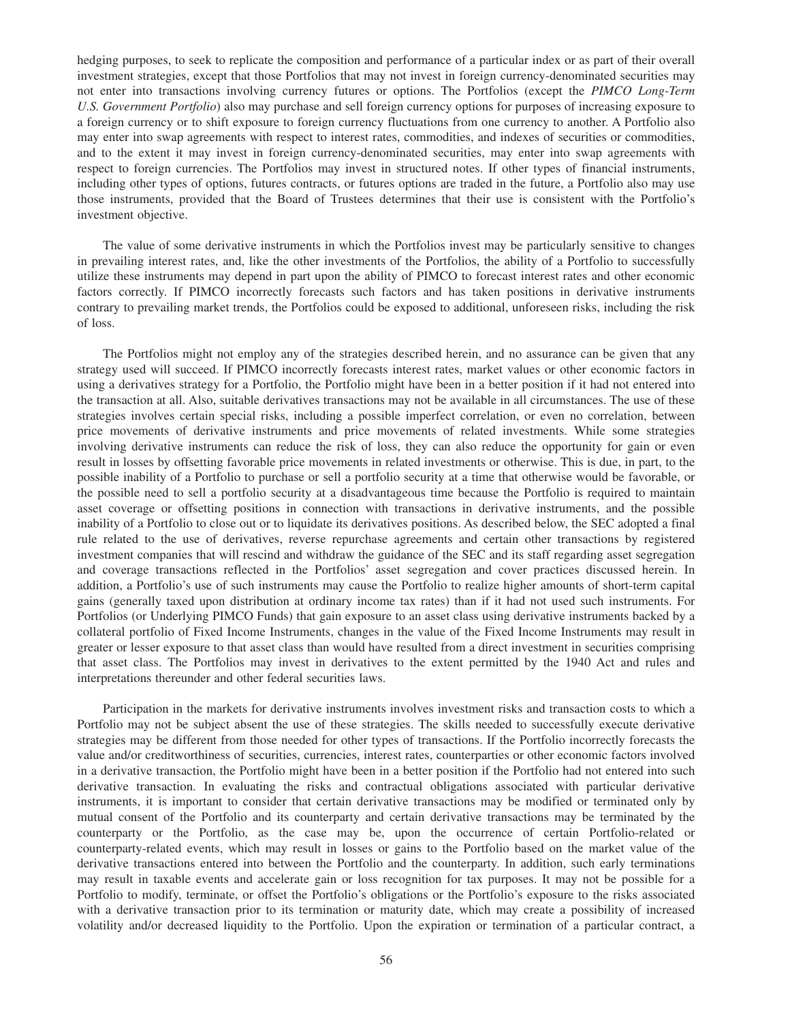hedging purposes, to seek to replicate the composition and performance of a particular index or as part of their overall investment strategies, except that those Portfolios that may not invest in foreign currency-denominated securities may not enter into transactions involving currency futures or options. The Portfolios (except the *PIMCO Long-Term U.S. Government Portfolio*) also may purchase and sell foreign currency options for purposes of increasing exposure to a foreign currency or to shift exposure to foreign currency fluctuations from one currency to another. A Portfolio also may enter into swap agreements with respect to interest rates, commodities, and indexes of securities or commodities, and to the extent it may invest in foreign currency-denominated securities, may enter into swap agreements with respect to foreign currencies. The Portfolios may invest in structured notes. If other types of financial instruments, including other types of options, futures contracts, or futures options are traded in the future, a Portfolio also may use those instruments, provided that the Board of Trustees determines that their use is consistent with the Portfolio's investment objective.

The value of some derivative instruments in which the Portfolios invest may be particularly sensitive to changes in prevailing interest rates, and, like the other investments of the Portfolios, the ability of a Portfolio to successfully utilize these instruments may depend in part upon the ability of PIMCO to forecast interest rates and other economic factors correctly. If PIMCO incorrectly forecasts such factors and has taken positions in derivative instruments contrary to prevailing market trends, the Portfolios could be exposed to additional, unforeseen risks, including the risk of loss.

The Portfolios might not employ any of the strategies described herein, and no assurance can be given that any strategy used will succeed. If PIMCO incorrectly forecasts interest rates, market values or other economic factors in using a derivatives strategy for a Portfolio, the Portfolio might have been in a better position if it had not entered into the transaction at all. Also, suitable derivatives transactions may not be available in all circumstances. The use of these strategies involves certain special risks, including a possible imperfect correlation, or even no correlation, between price movements of derivative instruments and price movements of related investments. While some strategies involving derivative instruments can reduce the risk of loss, they can also reduce the opportunity for gain or even result in losses by offsetting favorable price movements in related investments or otherwise. This is due, in part, to the possible inability of a Portfolio to purchase or sell a portfolio security at a time that otherwise would be favorable, or the possible need to sell a portfolio security at a disadvantageous time because the Portfolio is required to maintain asset coverage or offsetting positions in connection with transactions in derivative instruments, and the possible inability of a Portfolio to close out or to liquidate its derivatives positions. As described below, the SEC adopted a final rule related to the use of derivatives, reverse repurchase agreements and certain other transactions by registered investment companies that will rescind and withdraw the guidance of the SEC and its staff regarding asset segregation and coverage transactions reflected in the Portfolios' asset segregation and cover practices discussed herein. In addition, a Portfolio's use of such instruments may cause the Portfolio to realize higher amounts of short-term capital gains (generally taxed upon distribution at ordinary income tax rates) than if it had not used such instruments. For Portfolios (or Underlying PIMCO Funds) that gain exposure to an asset class using derivative instruments backed by a collateral portfolio of Fixed Income Instruments, changes in the value of the Fixed Income Instruments may result in greater or lesser exposure to that asset class than would have resulted from a direct investment in securities comprising that asset class. The Portfolios may invest in derivatives to the extent permitted by the 1940 Act and rules and interpretations thereunder and other federal securities laws.

Participation in the markets for derivative instruments involves investment risks and transaction costs to which a Portfolio may not be subject absent the use of these strategies. The skills needed to successfully execute derivative strategies may be different from those needed for other types of transactions. If the Portfolio incorrectly forecasts the value and/or creditworthiness of securities, currencies, interest rates, counterparties or other economic factors involved in a derivative transaction, the Portfolio might have been in a better position if the Portfolio had not entered into such derivative transaction. In evaluating the risks and contractual obligations associated with particular derivative instruments, it is important to consider that certain derivative transactions may be modified or terminated only by mutual consent of the Portfolio and its counterparty and certain derivative transactions may be terminated by the counterparty or the Portfolio, as the case may be, upon the occurrence of certain Portfolio-related or counterparty-related events, which may result in losses or gains to the Portfolio based on the market value of the derivative transactions entered into between the Portfolio and the counterparty. In addition, such early terminations may result in taxable events and accelerate gain or loss recognition for tax purposes. It may not be possible for a Portfolio to modify, terminate, or offset the Portfolio's obligations or the Portfolio's exposure to the risks associated with a derivative transaction prior to its termination or maturity date, which may create a possibility of increased volatility and/or decreased liquidity to the Portfolio. Upon the expiration or termination of a particular contract, a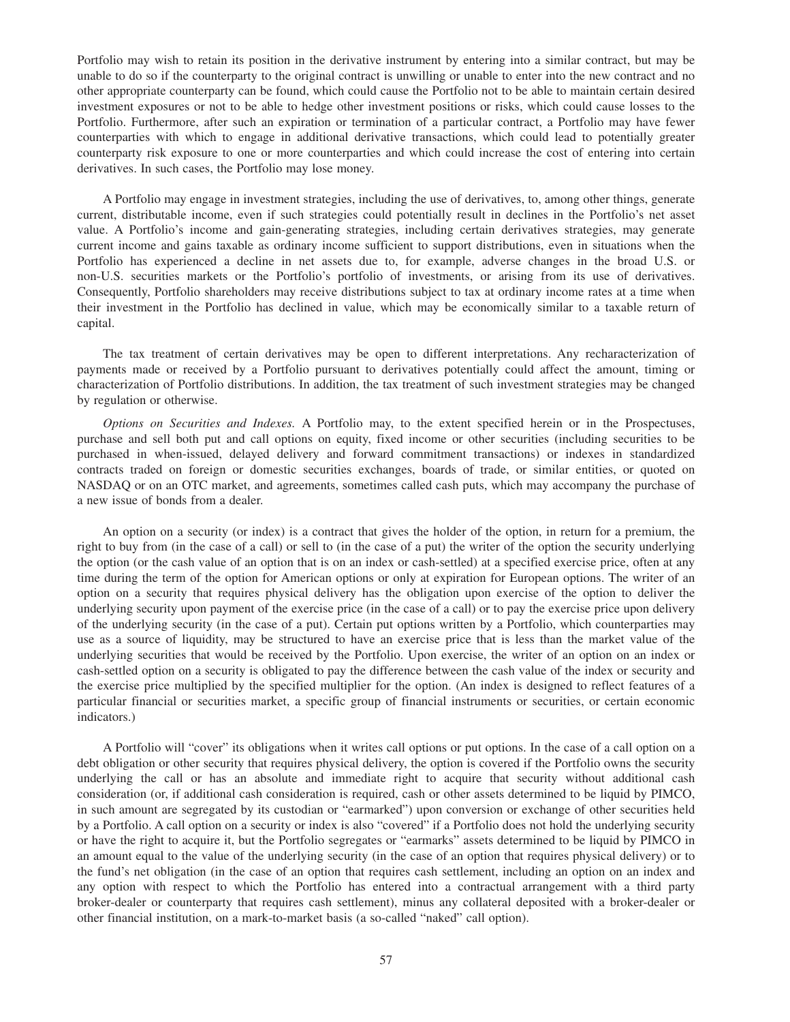Portfolio may wish to retain its position in the derivative instrument by entering into a similar contract, but may be unable to do so if the counterparty to the original contract is unwilling or unable to enter into the new contract and no other appropriate counterparty can be found, which could cause the Portfolio not to be able to maintain certain desired investment exposures or not to be able to hedge other investment positions or risks, which could cause losses to the Portfolio. Furthermore, after such an expiration or termination of a particular contract, a Portfolio may have fewer counterparties with which to engage in additional derivative transactions, which could lead to potentially greater counterparty risk exposure to one or more counterparties and which could increase the cost of entering into certain derivatives. In such cases, the Portfolio may lose money.

A Portfolio may engage in investment strategies, including the use of derivatives, to, among other things, generate current, distributable income, even if such strategies could potentially result in declines in the Portfolio's net asset value. A Portfolio's income and gain-generating strategies, including certain derivatives strategies, may generate current income and gains taxable as ordinary income sufficient to support distributions, even in situations when the Portfolio has experienced a decline in net assets due to, for example, adverse changes in the broad U.S. or non-U.S. securities markets or the Portfolio's portfolio of investments, or arising from its use of derivatives. Consequently, Portfolio shareholders may receive distributions subject to tax at ordinary income rates at a time when their investment in the Portfolio has declined in value, which may be economically similar to a taxable return of capital.

The tax treatment of certain derivatives may be open to different interpretations. Any recharacterization of payments made or received by a Portfolio pursuant to derivatives potentially could affect the amount, timing or characterization of Portfolio distributions. In addition, the tax treatment of such investment strategies may be changed by regulation or otherwise.

*Options on Securities and Indexes.* A Portfolio may, to the extent specified herein or in the Prospectuses, purchase and sell both put and call options on equity, fixed income or other securities (including securities to be purchased in when-issued, delayed delivery and forward commitment transactions) or indexes in standardized contracts traded on foreign or domestic securities exchanges, boards of trade, or similar entities, or quoted on NASDAQ or on an OTC market, and agreements, sometimes called cash puts, which may accompany the purchase of a new issue of bonds from a dealer.

An option on a security (or index) is a contract that gives the holder of the option, in return for a premium, the right to buy from (in the case of a call) or sell to (in the case of a put) the writer of the option the security underlying the option (or the cash value of an option that is on an index or cash-settled) at a specified exercise price, often at any time during the term of the option for American options or only at expiration for European options. The writer of an option on a security that requires physical delivery has the obligation upon exercise of the option to deliver the underlying security upon payment of the exercise price (in the case of a call) or to pay the exercise price upon delivery of the underlying security (in the case of a put). Certain put options written by a Portfolio, which counterparties may use as a source of liquidity, may be structured to have an exercise price that is less than the market value of the underlying securities that would be received by the Portfolio. Upon exercise, the writer of an option on an index or cash-settled option on a security is obligated to pay the difference between the cash value of the index or security and the exercise price multiplied by the specified multiplier for the option. (An index is designed to reflect features of a particular financial or securities market, a specific group of financial instruments or securities, or certain economic indicators.)

A Portfolio will "cover" its obligations when it writes call options or put options. In the case of a call option on a debt obligation or other security that requires physical delivery, the option is covered if the Portfolio owns the security underlying the call or has an absolute and immediate right to acquire that security without additional cash consideration (or, if additional cash consideration is required, cash or other assets determined to be liquid by PIMCO, in such amount are segregated by its custodian or "earmarked") upon conversion or exchange of other securities held by a Portfolio. A call option on a security or index is also "covered" if a Portfolio does not hold the underlying security or have the right to acquire it, but the Portfolio segregates or "earmarks" assets determined to be liquid by PIMCO in an amount equal to the value of the underlying security (in the case of an option that requires physical delivery) or to the fund's net obligation (in the case of an option that requires cash settlement, including an option on an index and any option with respect to which the Portfolio has entered into a contractual arrangement with a third party broker-dealer or counterparty that requires cash settlement), minus any collateral deposited with a broker-dealer or other financial institution, on a mark-to-market basis (a so-called "naked" call option).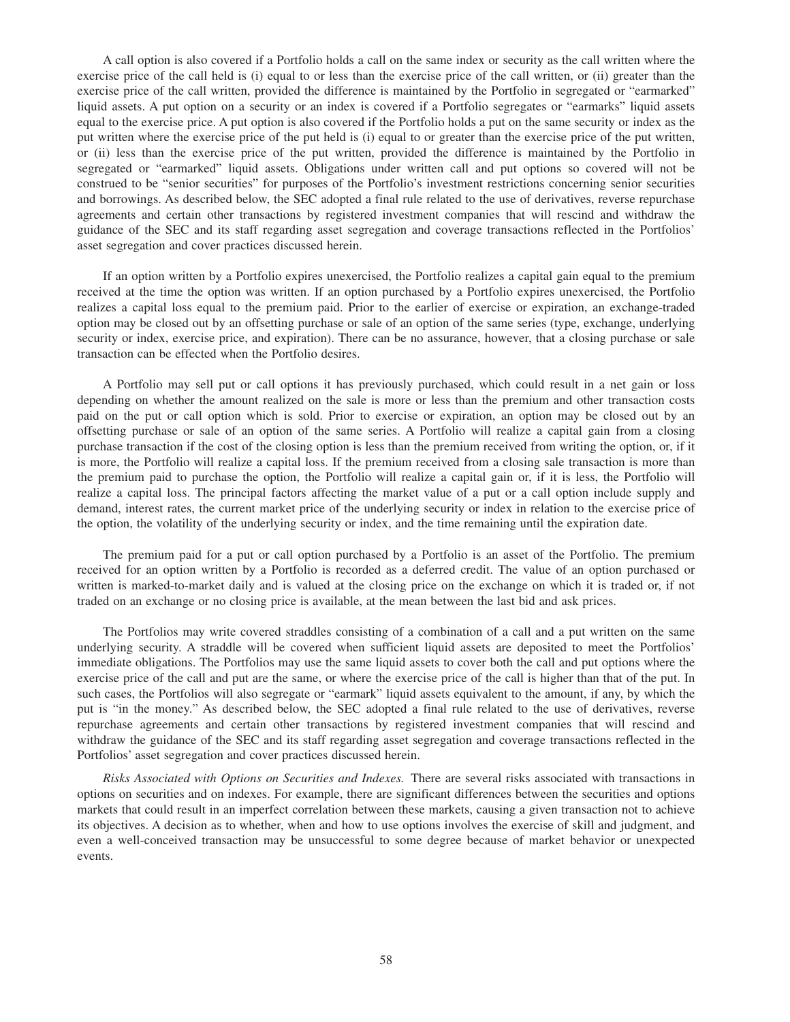A call option is also covered if a Portfolio holds a call on the same index or security as the call written where the exercise price of the call held is (i) equal to or less than the exercise price of the call written, or (ii) greater than the exercise price of the call written, provided the difference is maintained by the Portfolio in segregated or "earmarked" liquid assets. A put option on a security or an index is covered if a Portfolio segregates or "earmarks" liquid assets equal to the exercise price. A put option is also covered if the Portfolio holds a put on the same security or index as the put written where the exercise price of the put held is (i) equal to or greater than the exercise price of the put written, or (ii) less than the exercise price of the put written, provided the difference is maintained by the Portfolio in segregated or "earmarked" liquid assets. Obligations under written call and put options so covered will not be construed to be "senior securities" for purposes of the Portfolio's investment restrictions concerning senior securities and borrowings. As described below, the SEC adopted a final rule related to the use of derivatives, reverse repurchase agreements and certain other transactions by registered investment companies that will rescind and withdraw the guidance of the SEC and its staff regarding asset segregation and coverage transactions reflected in the Portfolios' asset segregation and cover practices discussed herein.

If an option written by a Portfolio expires unexercised, the Portfolio realizes a capital gain equal to the premium received at the time the option was written. If an option purchased by a Portfolio expires unexercised, the Portfolio realizes a capital loss equal to the premium paid. Prior to the earlier of exercise or expiration, an exchange-traded option may be closed out by an offsetting purchase or sale of an option of the same series (type, exchange, underlying security or index, exercise price, and expiration). There can be no assurance, however, that a closing purchase or sale transaction can be effected when the Portfolio desires.

A Portfolio may sell put or call options it has previously purchased, which could result in a net gain or loss depending on whether the amount realized on the sale is more or less than the premium and other transaction costs paid on the put or call option which is sold. Prior to exercise or expiration, an option may be closed out by an offsetting purchase or sale of an option of the same series. A Portfolio will realize a capital gain from a closing purchase transaction if the cost of the closing option is less than the premium received from writing the option, or, if it is more, the Portfolio will realize a capital loss. If the premium received from a closing sale transaction is more than the premium paid to purchase the option, the Portfolio will realize a capital gain or, if it is less, the Portfolio will realize a capital loss. The principal factors affecting the market value of a put or a call option include supply and demand, interest rates, the current market price of the underlying security or index in relation to the exercise price of the option, the volatility of the underlying security or index, and the time remaining until the expiration date.

The premium paid for a put or call option purchased by a Portfolio is an asset of the Portfolio. The premium received for an option written by a Portfolio is recorded as a deferred credit. The value of an option purchased or written is marked-to-market daily and is valued at the closing price on the exchange on which it is traded or, if not traded on an exchange or no closing price is available, at the mean between the last bid and ask prices.

The Portfolios may write covered straddles consisting of a combination of a call and a put written on the same underlying security. A straddle will be covered when sufficient liquid assets are deposited to meet the Portfolios' immediate obligations. The Portfolios may use the same liquid assets to cover both the call and put options where the exercise price of the call and put are the same, or where the exercise price of the call is higher than that of the put. In such cases, the Portfolios will also segregate or "earmark" liquid assets equivalent to the amount, if any, by which the put is "in the money." As described below, the SEC adopted a final rule related to the use of derivatives, reverse repurchase agreements and certain other transactions by registered investment companies that will rescind and withdraw the guidance of the SEC and its staff regarding asset segregation and coverage transactions reflected in the Portfolios' asset segregation and cover practices discussed herein.

*Risks Associated with Options on Securities and Indexes.* There are several risks associated with transactions in options on securities and on indexes. For example, there are significant differences between the securities and options markets that could result in an imperfect correlation between these markets, causing a given transaction not to achieve its objectives. A decision as to whether, when and how to use options involves the exercise of skill and judgment, and even a well-conceived transaction may be unsuccessful to some degree because of market behavior or unexpected events.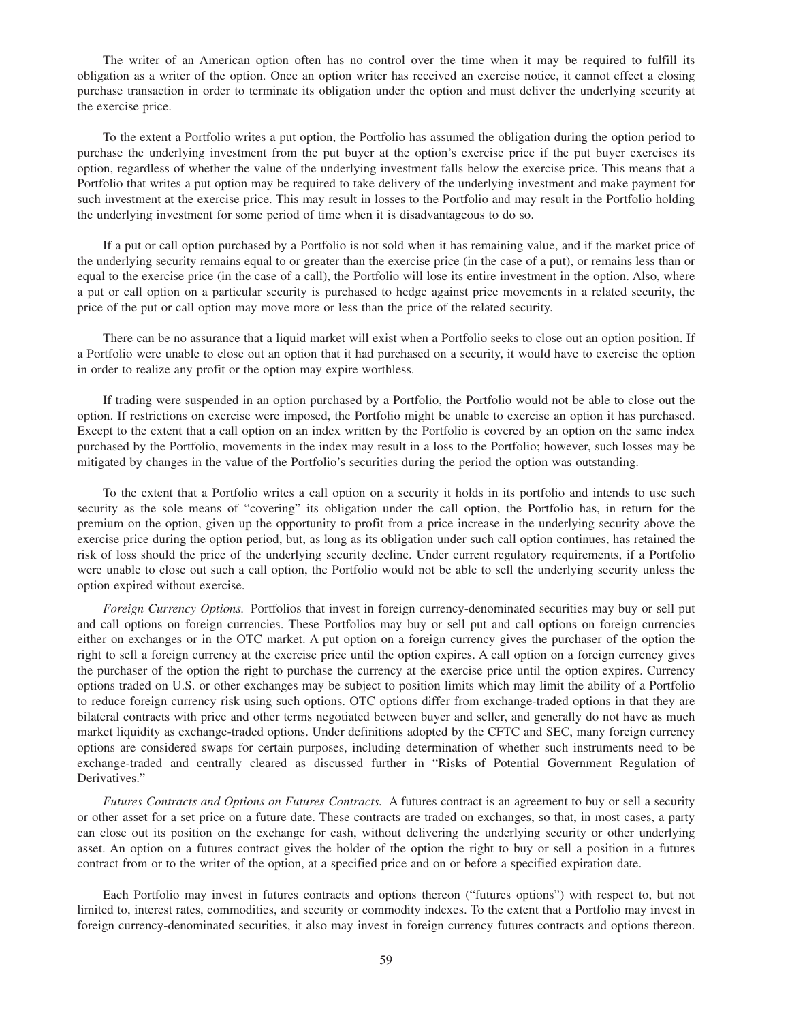The writer of an American option often has no control over the time when it may be required to fulfill its obligation as a writer of the option. Once an option writer has received an exercise notice, it cannot effect a closing purchase transaction in order to terminate its obligation under the option and must deliver the underlying security at the exercise price.

To the extent a Portfolio writes a put option, the Portfolio has assumed the obligation during the option period to purchase the underlying investment from the put buyer at the option's exercise price if the put buyer exercises its option, regardless of whether the value of the underlying investment falls below the exercise price. This means that a Portfolio that writes a put option may be required to take delivery of the underlying investment and make payment for such investment at the exercise price. This may result in losses to the Portfolio and may result in the Portfolio holding the underlying investment for some period of time when it is disadvantageous to do so.

If a put or call option purchased by a Portfolio is not sold when it has remaining value, and if the market price of the underlying security remains equal to or greater than the exercise price (in the case of a put), or remains less than or equal to the exercise price (in the case of a call), the Portfolio will lose its entire investment in the option. Also, where a put or call option on a particular security is purchased to hedge against price movements in a related security, the price of the put or call option may move more or less than the price of the related security.

There can be no assurance that a liquid market will exist when a Portfolio seeks to close out an option position. If a Portfolio were unable to close out an option that it had purchased on a security, it would have to exercise the option in order to realize any profit or the option may expire worthless.

If trading were suspended in an option purchased by a Portfolio, the Portfolio would not be able to close out the option. If restrictions on exercise were imposed, the Portfolio might be unable to exercise an option it has purchased. Except to the extent that a call option on an index written by the Portfolio is covered by an option on the same index purchased by the Portfolio, movements in the index may result in a loss to the Portfolio; however, such losses may be mitigated by changes in the value of the Portfolio's securities during the period the option was outstanding.

To the extent that a Portfolio writes a call option on a security it holds in its portfolio and intends to use such security as the sole means of "covering" its obligation under the call option, the Portfolio has, in return for the premium on the option, given up the opportunity to profit from a price increase in the underlying security above the exercise price during the option period, but, as long as its obligation under such call option continues, has retained the risk of loss should the price of the underlying security decline. Under current regulatory requirements, if a Portfolio were unable to close out such a call option, the Portfolio would not be able to sell the underlying security unless the option expired without exercise.

*Foreign Currency Options.* Portfolios that invest in foreign currency-denominated securities may buy or sell put and call options on foreign currencies. These Portfolios may buy or sell put and call options on foreign currencies either on exchanges or in the OTC market. A put option on a foreign currency gives the purchaser of the option the right to sell a foreign currency at the exercise price until the option expires. A call option on a foreign currency gives the purchaser of the option the right to purchase the currency at the exercise price until the option expires. Currency options traded on U.S. or other exchanges may be subject to position limits which may limit the ability of a Portfolio to reduce foreign currency risk using such options. OTC options differ from exchange-traded options in that they are bilateral contracts with price and other terms negotiated between buyer and seller, and generally do not have as much market liquidity as exchange-traded options. Under definitions adopted by the CFTC and SEC, many foreign currency options are considered swaps for certain purposes, including determination of whether such instruments need to be exchange-traded and centrally cleared as discussed further in "Risks of Potential Government Regulation of Derivatives."

*Futures Contracts and Options on Futures Contracts.* A futures contract is an agreement to buy or sell a security or other asset for a set price on a future date. These contracts are traded on exchanges, so that, in most cases, a party can close out its position on the exchange for cash, without delivering the underlying security or other underlying asset. An option on a futures contract gives the holder of the option the right to buy or sell a position in a futures contract from or to the writer of the option, at a specified price and on or before a specified expiration date.

Each Portfolio may invest in futures contracts and options thereon ("futures options") with respect to, but not limited to, interest rates, commodities, and security or commodity indexes. To the extent that a Portfolio may invest in foreign currency-denominated securities, it also may invest in foreign currency futures contracts and options thereon.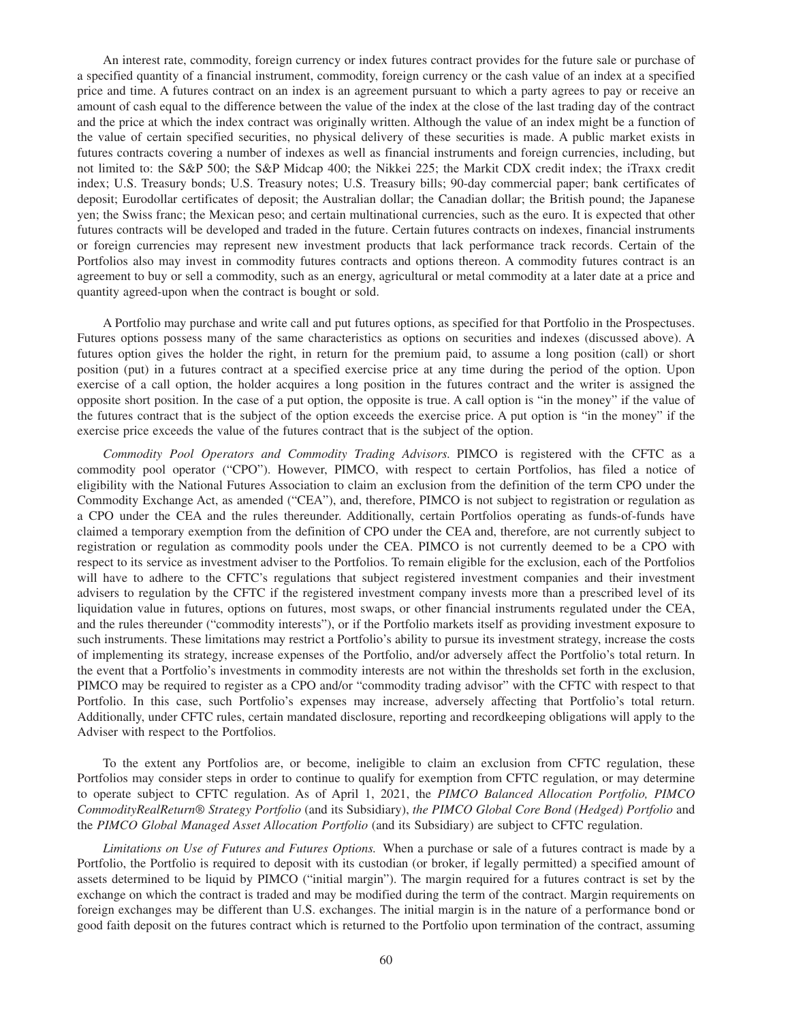An interest rate, commodity, foreign currency or index futures contract provides for the future sale or purchase of a specified quantity of a financial instrument, commodity, foreign currency or the cash value of an index at a specified price and time. A futures contract on an index is an agreement pursuant to which a party agrees to pay or receive an amount of cash equal to the difference between the value of the index at the close of the last trading day of the contract and the price at which the index contract was originally written. Although the value of an index might be a function of the value of certain specified securities, no physical delivery of these securities is made. A public market exists in futures contracts covering a number of indexes as well as financial instruments and foreign currencies, including, but not limited to: the S&P 500; the S&P Midcap 400; the Nikkei 225; the Markit CDX credit index; the iTraxx credit index; U.S. Treasury bonds; U.S. Treasury notes; U.S. Treasury bills; 90-day commercial paper; bank certificates of deposit; Eurodollar certificates of deposit; the Australian dollar; the Canadian dollar; the British pound; the Japanese yen; the Swiss franc; the Mexican peso; and certain multinational currencies, such as the euro. It is expected that other futures contracts will be developed and traded in the future. Certain futures contracts on indexes, financial instruments or foreign currencies may represent new investment products that lack performance track records. Certain of the Portfolios also may invest in commodity futures contracts and options thereon. A commodity futures contract is an agreement to buy or sell a commodity, such as an energy, agricultural or metal commodity at a later date at a price and quantity agreed-upon when the contract is bought or sold.

A Portfolio may purchase and write call and put futures options, as specified for that Portfolio in the Prospectuses. Futures options possess many of the same characteristics as options on securities and indexes (discussed above). A futures option gives the holder the right, in return for the premium paid, to assume a long position (call) or short position (put) in a futures contract at a specified exercise price at any time during the period of the option. Upon exercise of a call option, the holder acquires a long position in the futures contract and the writer is assigned the opposite short position. In the case of a put option, the opposite is true. A call option is "in the money" if the value of the futures contract that is the subject of the option exceeds the exercise price. A put option is "in the money" if the exercise price exceeds the value of the futures contract that is the subject of the option.

*Commodity Pool Operators and Commodity Trading Advisors.* PIMCO is registered with the CFTC as a commodity pool operator ("CPO"). However, PIMCO, with respect to certain Portfolios, has filed a notice of eligibility with the National Futures Association to claim an exclusion from the definition of the term CPO under the Commodity Exchange Act, as amended ("CEA"), and, therefore, PIMCO is not subject to registration or regulation as a CPO under the CEA and the rules thereunder. Additionally, certain Portfolios operating as funds-of-funds have claimed a temporary exemption from the definition of CPO under the CEA and, therefore, are not currently subject to registration or regulation as commodity pools under the CEA. PIMCO is not currently deemed to be a CPO with respect to its service as investment adviser to the Portfolios. To remain eligible for the exclusion, each of the Portfolios will have to adhere to the CFTC's regulations that subject registered investment companies and their investment advisers to regulation by the CFTC if the registered investment company invests more than a prescribed level of its liquidation value in futures, options on futures, most swaps, or other financial instruments regulated under the CEA, and the rules thereunder ("commodity interests"), or if the Portfolio markets itself as providing investment exposure to such instruments. These limitations may restrict a Portfolio's ability to pursue its investment strategy, increase the costs of implementing its strategy, increase expenses of the Portfolio, and/or adversely affect the Portfolio's total return. In the event that a Portfolio's investments in commodity interests are not within the thresholds set forth in the exclusion, PIMCO may be required to register as a CPO and/or "commodity trading advisor" with the CFTC with respect to that Portfolio. In this case, such Portfolio's expenses may increase, adversely affecting that Portfolio's total return. Additionally, under CFTC rules, certain mandated disclosure, reporting and recordkeeping obligations will apply to the Adviser with respect to the Portfolios.

To the extent any Portfolios are, or become, ineligible to claim an exclusion from CFTC regulation, these Portfolios may consider steps in order to continue to qualify for exemption from CFTC regulation, or may determine to operate subject to CFTC regulation. As of April 1, 2021, the *PIMCO Balanced Allocation Portfolio, PIMCO CommodityRealReturn® Strategy Portfolio* (and its Subsidiary), *the PIMCO Global Core Bond (Hedged) Portfolio* and the *PIMCO Global Managed Asset Allocation Portfolio* (and its Subsidiary) are subject to CFTC regulation.

*Limitations on Use of Futures and Futures Options.* When a purchase or sale of a futures contract is made by a Portfolio, the Portfolio is required to deposit with its custodian (or broker, if legally permitted) a specified amount of assets determined to be liquid by PIMCO ("initial margin"). The margin required for a futures contract is set by the exchange on which the contract is traded and may be modified during the term of the contract. Margin requirements on foreign exchanges may be different than U.S. exchanges. The initial margin is in the nature of a performance bond or good faith deposit on the futures contract which is returned to the Portfolio upon termination of the contract, assuming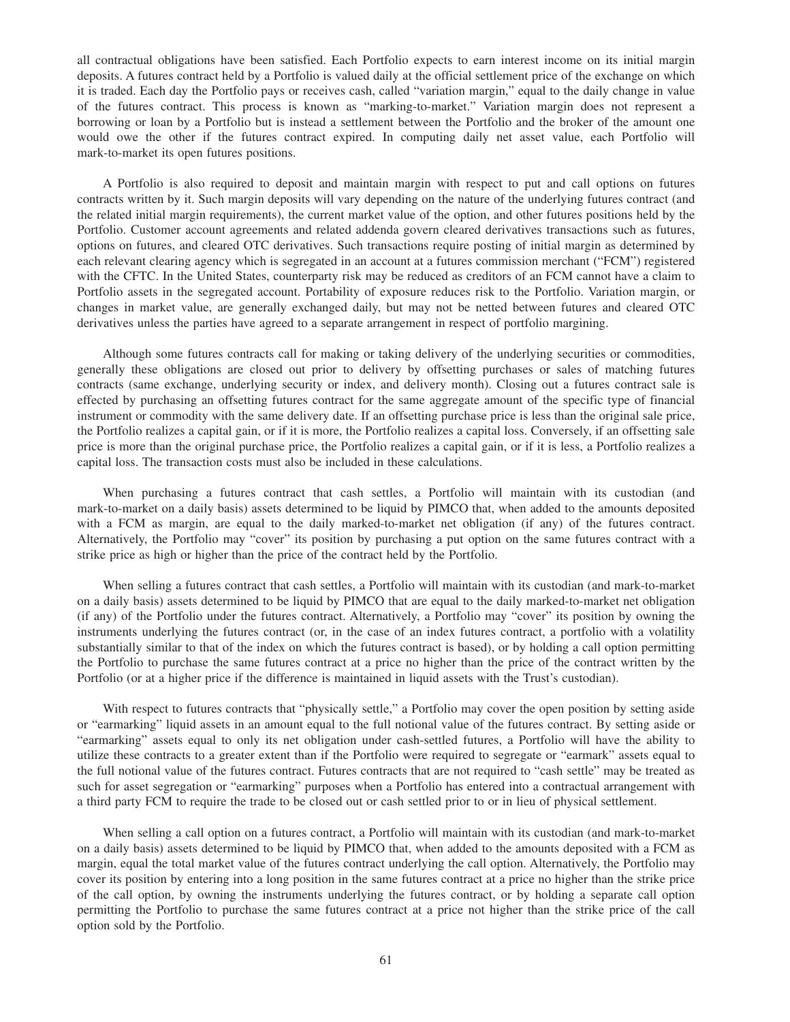all contractual obligations have been satisfied. Each Portfolio expects to earn interest income on its initial margin deposits. A futures contract held by a Portfolio is valued daily at the official settlement price of the exchange on which it is traded. Each day the Portfolio pays or receives cash, called "variation margin," equal to the daily change in value of the futures contract. This process is known as "marking-to-market." Variation margin does not represent a borrowing or loan by a Portfolio but is instead a settlement between the Portfolio and the broker of the amount one would owe the other if the futures contract expired. In computing daily net asset value, each Portfolio will mark-to-market its open futures positions.

A Portfolio is also required to deposit and maintain margin with respect to put and call options on futures contracts written by it. Such margin deposits will vary depending on the nature of the underlying futures contract (and the related initial margin requirements), the current market value of the option, and other futures positions held by the Portfolio. Customer account agreements and related addenda govern cleared derivatives transactions such as futures, options on futures, and cleared OTC derivatives. Such transactions require posting of initial margin as determined by each relevant clearing agency which is segregated in an account at a futures commission merchant ("FCM") registered with the CFTC. In the United States, counterparty risk may be reduced as creditors of an FCM cannot have a claim to Portfolio assets in the segregated account. Portability of exposure reduces risk to the Portfolio. Variation margin, or changes in market value, are generally exchanged daily, but may not be netted between futures and cleared OTC derivatives unless the parties have agreed to a separate arrangement in respect of portfolio margining.

Although some futures contracts call for making or taking delivery of the underlying securities or commodities, generally these obligations are closed out prior to delivery by offsetting purchases or sales of matching futures contracts (same exchange, underlying security or index, and delivery month). Closing out a futures contract sale is effected by purchasing an offsetting futures contract for the same aggregate amount of the specific type of financial instrument or commodity with the same delivery date. If an offsetting purchase price is less than the original sale price, the Portfolio realizes a capital gain, or if it is more, the Portfolio realizes a capital loss. Conversely, if an offsetting sale price is more than the original purchase price, the Portfolio realizes a capital gain, or if it is less, a Portfolio realizes a capital loss. The transaction costs must also be included in these calculations.

When purchasing a futures contract that cash settles, a Portfolio will maintain with its custodian (and mark-to-market on a daily basis) assets determined to be liquid by PIMCO that, when added to the amounts deposited with a FCM as margin, are equal to the daily marked-to-market net obligation (if any) of the futures contract. Alternatively, the Portfolio may "cover" its position by purchasing a put option on the same futures contract with a strike price as high or higher than the price of the contract held by the Portfolio.

When selling a futures contract that cash settles, a Portfolio will maintain with its custodian (and mark-to-market on a daily basis) assets determined to be liquid by PIMCO that are equal to the daily marked-to-market net obligation (if any) of the Portfolio under the futures contract. Alternatively, a Portfolio may "cover" its position by owning the instruments underlying the futures contract (or, in the case of an index futures contract, a portfolio with a volatility substantially similar to that of the index on which the futures contract is based), or by holding a call option permitting the Portfolio to purchase the same futures contract at a price no higher than the price of the contract written by the Portfolio (or at a higher price if the difference is maintained in liquid assets with the Trust's custodian).

With respect to futures contracts that "physically settle," a Portfolio may cover the open position by setting aside or "earmarking" liquid assets in an amount equal to the full notional value of the futures contract. By setting aside or "earmarking" assets equal to only its net obligation under cash-settled futures, a Portfolio will have the ability to utilize these contracts to a greater extent than if the Portfolio were required to segregate or "earmark" assets equal to the full notional value of the futures contract. Futures contracts that are not required to "cash settle" may be treated as such for asset segregation or "earmarking" purposes when a Portfolio has entered into a contractual arrangement with a third party FCM to require the trade to be closed out or cash settled prior to or in lieu of physical settlement.

When selling a call option on a futures contract, a Portfolio will maintain with its custodian (and mark-to-market on a daily basis) assets determined to be liquid by PIMCO that, when added to the amounts deposited with a FCM as margin, equal the total market value of the futures contract underlying the call option. Alternatively, the Portfolio may cover its position by entering into a long position in the same futures contract at a price no higher than the strike price of the call option, by owning the instruments underlying the futures contract, or by holding a separate call option permitting the Portfolio to purchase the same futures contract at a price not higher than the strike price of the call option sold by the Portfolio.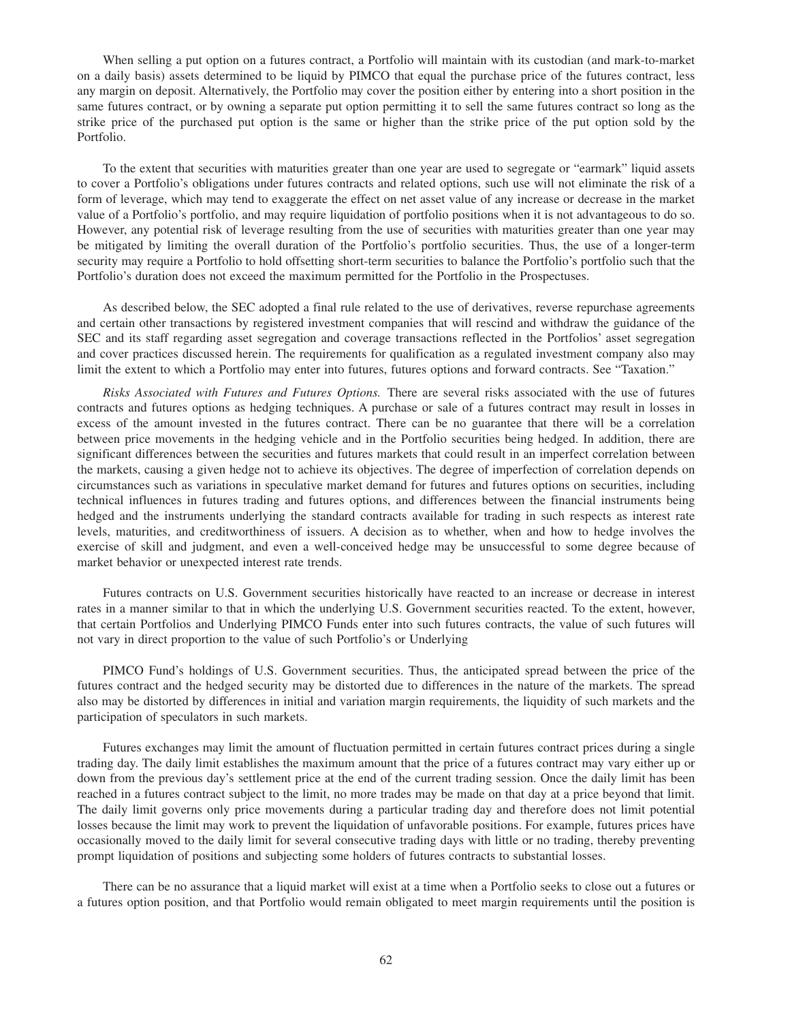When selling a put option on a futures contract, a Portfolio will maintain with its custodian (and mark-to-market on a daily basis) assets determined to be liquid by PIMCO that equal the purchase price of the futures contract, less any margin on deposit. Alternatively, the Portfolio may cover the position either by entering into a short position in the same futures contract, or by owning a separate put option permitting it to sell the same futures contract so long as the strike price of the purchased put option is the same or higher than the strike price of the put option sold by the Portfolio.

To the extent that securities with maturities greater than one year are used to segregate or "earmark" liquid assets to cover a Portfolio's obligations under futures contracts and related options, such use will not eliminate the risk of a form of leverage, which may tend to exaggerate the effect on net asset value of any increase or decrease in the market value of a Portfolio's portfolio, and may require liquidation of portfolio positions when it is not advantageous to do so. However, any potential risk of leverage resulting from the use of securities with maturities greater than one year may be mitigated by limiting the overall duration of the Portfolio's portfolio securities. Thus, the use of a longer-term security may require a Portfolio to hold offsetting short-term securities to balance the Portfolio's portfolio such that the Portfolio's duration does not exceed the maximum permitted for the Portfolio in the Prospectuses.

As described below, the SEC adopted a final rule related to the use of derivatives, reverse repurchase agreements and certain other transactions by registered investment companies that will rescind and withdraw the guidance of the SEC and its staff regarding asset segregation and coverage transactions reflected in the Portfolios' asset segregation and cover practices discussed herein. The requirements for qualification as a regulated investment company also may limit the extent to which a Portfolio may enter into futures, futures options and forward contracts. See "Taxation."

*Risks Associated with Futures and Futures Options.* There are several risks associated with the use of futures contracts and futures options as hedging techniques. A purchase or sale of a futures contract may result in losses in excess of the amount invested in the futures contract. There can be no guarantee that there will be a correlation between price movements in the hedging vehicle and in the Portfolio securities being hedged. In addition, there are significant differences between the securities and futures markets that could result in an imperfect correlation between the markets, causing a given hedge not to achieve its objectives. The degree of imperfection of correlation depends on circumstances such as variations in speculative market demand for futures and futures options on securities, including technical influences in futures trading and futures options, and differences between the financial instruments being hedged and the instruments underlying the standard contracts available for trading in such respects as interest rate levels, maturities, and creditworthiness of issuers. A decision as to whether, when and how to hedge involves the exercise of skill and judgment, and even a well-conceived hedge may be unsuccessful to some degree because of market behavior or unexpected interest rate trends.

Futures contracts on U.S. Government securities historically have reacted to an increase or decrease in interest rates in a manner similar to that in which the underlying U.S. Government securities reacted. To the extent, however, that certain Portfolios and Underlying PIMCO Funds enter into such futures contracts, the value of such futures will not vary in direct proportion to the value of such Portfolio's or Underlying

PIMCO Fund's holdings of U.S. Government securities. Thus, the anticipated spread between the price of the futures contract and the hedged security may be distorted due to differences in the nature of the markets. The spread also may be distorted by differences in initial and variation margin requirements, the liquidity of such markets and the participation of speculators in such markets.

Futures exchanges may limit the amount of fluctuation permitted in certain futures contract prices during a single trading day. The daily limit establishes the maximum amount that the price of a futures contract may vary either up or down from the previous day's settlement price at the end of the current trading session. Once the daily limit has been reached in a futures contract subject to the limit, no more trades may be made on that day at a price beyond that limit. The daily limit governs only price movements during a particular trading day and therefore does not limit potential losses because the limit may work to prevent the liquidation of unfavorable positions. For example, futures prices have occasionally moved to the daily limit for several consecutive trading days with little or no trading, thereby preventing prompt liquidation of positions and subjecting some holders of futures contracts to substantial losses.

There can be no assurance that a liquid market will exist at a time when a Portfolio seeks to close out a futures or a futures option position, and that Portfolio would remain obligated to meet margin requirements until the position is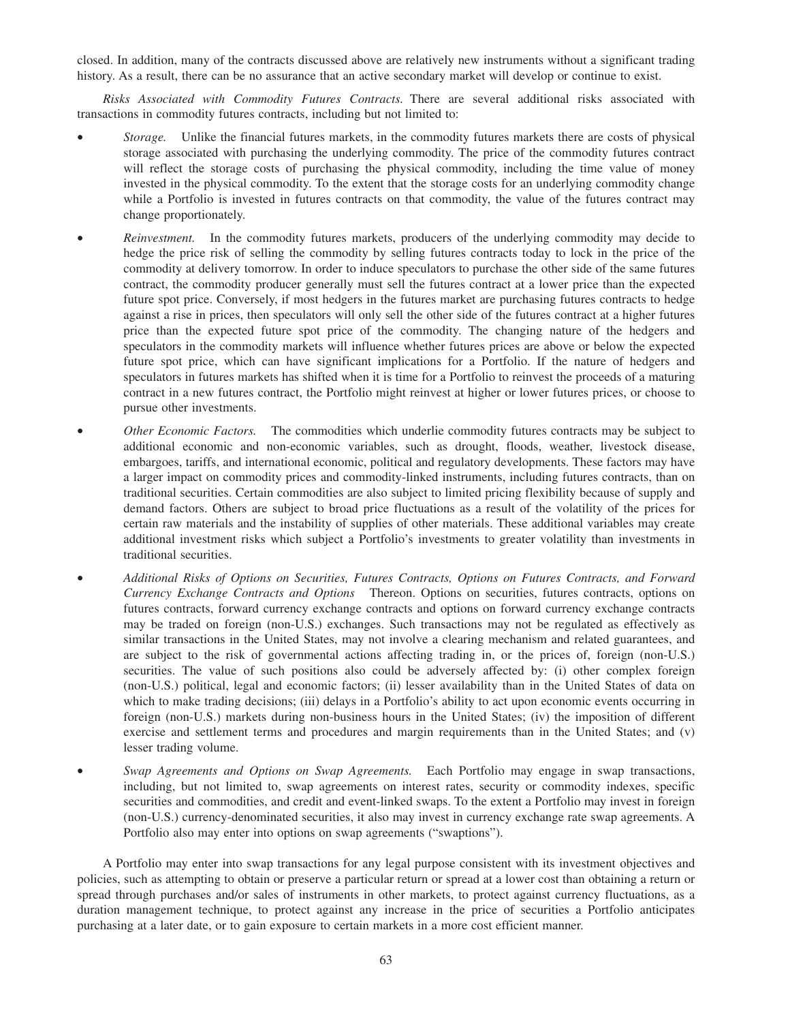closed. In addition, many of the contracts discussed above are relatively new instruments without a significant trading history. As a result, there can be no assurance that an active secondary market will develop or continue to exist.

*Risks Associated with Commodity Futures Contracts.* There are several additional risks associated with transactions in commodity futures contracts, including but not limited to:

- *Storage.* Unlike the financial futures markets, in the commodity futures markets there are costs of physical storage associated with purchasing the underlying commodity. The price of the commodity futures contract will reflect the storage costs of purchasing the physical commodity, including the time value of money invested in the physical commodity. To the extent that the storage costs for an underlying commodity change while a Portfolio is invested in futures contracts on that commodity, the value of the futures contract may change proportionately.
- *Reinvestment.* In the commodity futures markets, producers of the underlying commodity may decide to hedge the price risk of selling the commodity by selling futures contracts today to lock in the price of the commodity at delivery tomorrow. In order to induce speculators to purchase the other side of the same futures contract, the commodity producer generally must sell the futures contract at a lower price than the expected future spot price. Conversely, if most hedgers in the futures market are purchasing futures contracts to hedge against a rise in prices, then speculators will only sell the other side of the futures contract at a higher futures price than the expected future spot price of the commodity. The changing nature of the hedgers and speculators in the commodity markets will influence whether futures prices are above or below the expected future spot price, which can have significant implications for a Portfolio. If the nature of hedgers and speculators in futures markets has shifted when it is time for a Portfolio to reinvest the proceeds of a maturing contract in a new futures contract, the Portfolio might reinvest at higher or lower futures prices, or choose to pursue other investments.
- *Other Economic Factors.* The commodities which underlie commodity futures contracts may be subject to additional economic and non-economic variables, such as drought, floods, weather, livestock disease, embargoes, tariffs, and international economic, political and regulatory developments. These factors may have a larger impact on commodity prices and commodity-linked instruments, including futures contracts, than on traditional securities. Certain commodities are also subject to limited pricing flexibility because of supply and demand factors. Others are subject to broad price fluctuations as a result of the volatility of the prices for certain raw materials and the instability of supplies of other materials. These additional variables may create additional investment risks which subject a Portfolio's investments to greater volatility than investments in traditional securities.
- *Additional Risks of Options on Securities, Futures Contracts, Options on Futures Contracts, and Forward Currency Exchange Contracts and Options* Thereon. Options on securities, futures contracts, options on futures contracts, forward currency exchange contracts and options on forward currency exchange contracts may be traded on foreign (non-U.S.) exchanges. Such transactions may not be regulated as effectively as similar transactions in the United States, may not involve a clearing mechanism and related guarantees, and are subject to the risk of governmental actions affecting trading in, or the prices of, foreign (non-U.S.) securities. The value of such positions also could be adversely affected by: (i) other complex foreign (non-U.S.) political, legal and economic factors; (ii) lesser availability than in the United States of data on which to make trading decisions; (iii) delays in a Portfolio's ability to act upon economic events occurring in foreign (non-U.S.) markets during non-business hours in the United States; (iv) the imposition of different exercise and settlement terms and procedures and margin requirements than in the United States; and (v) lesser trading volume.
- *Swap Agreements and Options on Swap Agreements.* Each Portfolio may engage in swap transactions, including, but not limited to, swap agreements on interest rates, security or commodity indexes, specific securities and commodities, and credit and event-linked swaps. To the extent a Portfolio may invest in foreign (non-U.S.) currency-denominated securities, it also may invest in currency exchange rate swap agreements. A Portfolio also may enter into options on swap agreements ("swaptions").

A Portfolio may enter into swap transactions for any legal purpose consistent with its investment objectives and policies, such as attempting to obtain or preserve a particular return or spread at a lower cost than obtaining a return or spread through purchases and/or sales of instruments in other markets, to protect against currency fluctuations, as a duration management technique, to protect against any increase in the price of securities a Portfolio anticipates purchasing at a later date, or to gain exposure to certain markets in a more cost efficient manner.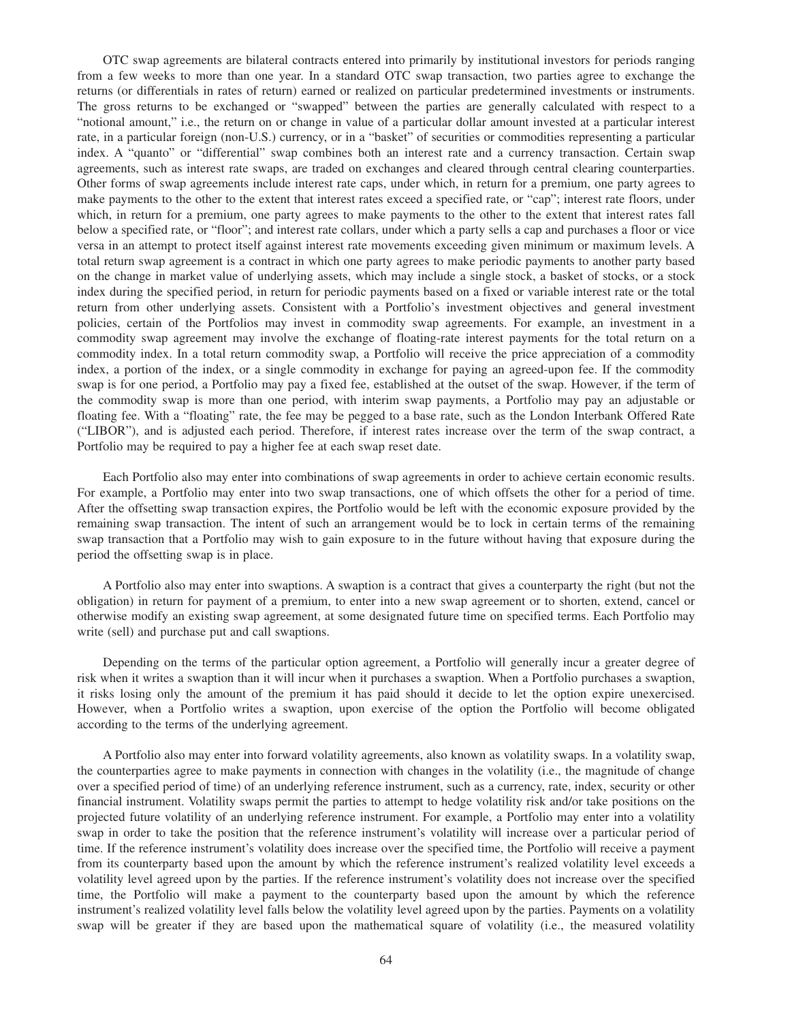OTC swap agreements are bilateral contracts entered into primarily by institutional investors for periods ranging from a few weeks to more than one year. In a standard OTC swap transaction, two parties agree to exchange the returns (or differentials in rates of return) earned or realized on particular predetermined investments or instruments. The gross returns to be exchanged or "swapped" between the parties are generally calculated with respect to a "notional amount," i.e., the return on or change in value of a particular dollar amount invested at a particular interest rate, in a particular foreign (non-U.S.) currency, or in a "basket" of securities or commodities representing a particular index. A "quanto" or "differential" swap combines both an interest rate and a currency transaction. Certain swap agreements, such as interest rate swaps, are traded on exchanges and cleared through central clearing counterparties. Other forms of swap agreements include interest rate caps, under which, in return for a premium, one party agrees to make payments to the other to the extent that interest rates exceed a specified rate, or "cap"; interest rate floors, under which, in return for a premium, one party agrees to make payments to the other to the extent that interest rates fall below a specified rate, or "floor"; and interest rate collars, under which a party sells a cap and purchases a floor or vice versa in an attempt to protect itself against interest rate movements exceeding given minimum or maximum levels. A total return swap agreement is a contract in which one party agrees to make periodic payments to another party based on the change in market value of underlying assets, which may include a single stock, a basket of stocks, or a stock index during the specified period, in return for periodic payments based on a fixed or variable interest rate or the total return from other underlying assets. Consistent with a Portfolio's investment objectives and general investment policies, certain of the Portfolios may invest in commodity swap agreements. For example, an investment in a commodity swap agreement may involve the exchange of floating-rate interest payments for the total return on a commodity index. In a total return commodity swap, a Portfolio will receive the price appreciation of a commodity index, a portion of the index, or a single commodity in exchange for paying an agreed-upon fee. If the commodity swap is for one period, a Portfolio may pay a fixed fee, established at the outset of the swap. However, if the term of the commodity swap is more than one period, with interim swap payments, a Portfolio may pay an adjustable or floating fee. With a "floating" rate, the fee may be pegged to a base rate, such as the London Interbank Offered Rate ("LIBOR"), and is adjusted each period. Therefore, if interest rates increase over the term of the swap contract, a Portfolio may be required to pay a higher fee at each swap reset date.

Each Portfolio also may enter into combinations of swap agreements in order to achieve certain economic results. For example, a Portfolio may enter into two swap transactions, one of which offsets the other for a period of time. After the offsetting swap transaction expires, the Portfolio would be left with the economic exposure provided by the remaining swap transaction. The intent of such an arrangement would be to lock in certain terms of the remaining swap transaction that a Portfolio may wish to gain exposure to in the future without having that exposure during the period the offsetting swap is in place.

A Portfolio also may enter into swaptions. A swaption is a contract that gives a counterparty the right (but not the obligation) in return for payment of a premium, to enter into a new swap agreement or to shorten, extend, cancel or otherwise modify an existing swap agreement, at some designated future time on specified terms. Each Portfolio may write (sell) and purchase put and call swaptions.

Depending on the terms of the particular option agreement, a Portfolio will generally incur a greater degree of risk when it writes a swaption than it will incur when it purchases a swaption. When a Portfolio purchases a swaption, it risks losing only the amount of the premium it has paid should it decide to let the option expire unexercised. However, when a Portfolio writes a swaption, upon exercise of the option the Portfolio will become obligated according to the terms of the underlying agreement.

A Portfolio also may enter into forward volatility agreements, also known as volatility swaps. In a volatility swap, the counterparties agree to make payments in connection with changes in the volatility (i.e., the magnitude of change over a specified period of time) of an underlying reference instrument, such as a currency, rate, index, security or other financial instrument. Volatility swaps permit the parties to attempt to hedge volatility risk and/or take positions on the projected future volatility of an underlying reference instrument. For example, a Portfolio may enter into a volatility swap in order to take the position that the reference instrument's volatility will increase over a particular period of time. If the reference instrument's volatility does increase over the specified time, the Portfolio will receive a payment from its counterparty based upon the amount by which the reference instrument's realized volatility level exceeds a volatility level agreed upon by the parties. If the reference instrument's volatility does not increase over the specified time, the Portfolio will make a payment to the counterparty based upon the amount by which the reference instrument's realized volatility level falls below the volatility level agreed upon by the parties. Payments on a volatility swap will be greater if they are based upon the mathematical square of volatility (i.e., the measured volatility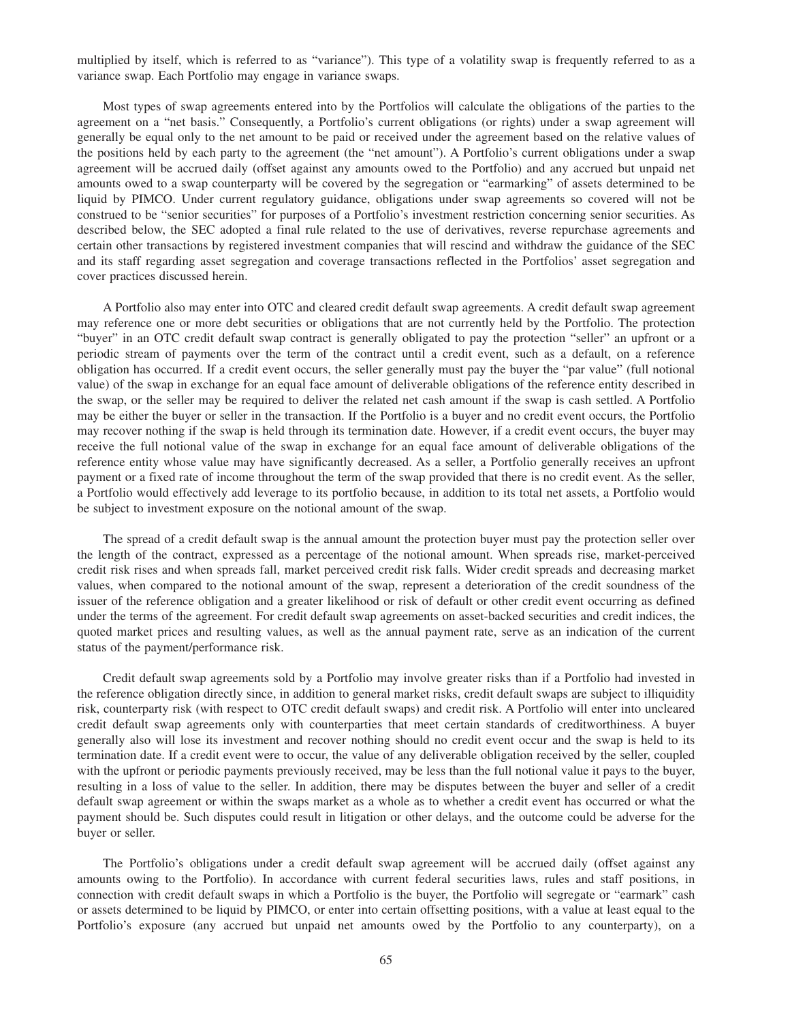multiplied by itself, which is referred to as "variance"). This type of a volatility swap is frequently referred to as a variance swap. Each Portfolio may engage in variance swaps.

Most types of swap agreements entered into by the Portfolios will calculate the obligations of the parties to the agreement on a "net basis." Consequently, a Portfolio's current obligations (or rights) under a swap agreement will generally be equal only to the net amount to be paid or received under the agreement based on the relative values of the positions held by each party to the agreement (the "net amount"). A Portfolio's current obligations under a swap agreement will be accrued daily (offset against any amounts owed to the Portfolio) and any accrued but unpaid net amounts owed to a swap counterparty will be covered by the segregation or "earmarking" of assets determined to be liquid by PIMCO. Under current regulatory guidance, obligations under swap agreements so covered will not be construed to be "senior securities" for purposes of a Portfolio's investment restriction concerning senior securities. As described below, the SEC adopted a final rule related to the use of derivatives, reverse repurchase agreements and certain other transactions by registered investment companies that will rescind and withdraw the guidance of the SEC and its staff regarding asset segregation and coverage transactions reflected in the Portfolios' asset segregation and cover practices discussed herein.

A Portfolio also may enter into OTC and cleared credit default swap agreements. A credit default swap agreement may reference one or more debt securities or obligations that are not currently held by the Portfolio. The protection "buyer" in an OTC credit default swap contract is generally obligated to pay the protection "seller" an upfront or a periodic stream of payments over the term of the contract until a credit event, such as a default, on a reference obligation has occurred. If a credit event occurs, the seller generally must pay the buyer the "par value" (full notional value) of the swap in exchange for an equal face amount of deliverable obligations of the reference entity described in the swap, or the seller may be required to deliver the related net cash amount if the swap is cash settled. A Portfolio may be either the buyer or seller in the transaction. If the Portfolio is a buyer and no credit event occurs, the Portfolio may recover nothing if the swap is held through its termination date. However, if a credit event occurs, the buyer may receive the full notional value of the swap in exchange for an equal face amount of deliverable obligations of the reference entity whose value may have significantly decreased. As a seller, a Portfolio generally receives an upfront payment or a fixed rate of income throughout the term of the swap provided that there is no credit event. As the seller, a Portfolio would effectively add leverage to its portfolio because, in addition to its total net assets, a Portfolio would be subject to investment exposure on the notional amount of the swap.

The spread of a credit default swap is the annual amount the protection buyer must pay the protection seller over the length of the contract, expressed as a percentage of the notional amount. When spreads rise, market-perceived credit risk rises and when spreads fall, market perceived credit risk falls. Wider credit spreads and decreasing market values, when compared to the notional amount of the swap, represent a deterioration of the credit soundness of the issuer of the reference obligation and a greater likelihood or risk of default or other credit event occurring as defined under the terms of the agreement. For credit default swap agreements on asset-backed securities and credit indices, the quoted market prices and resulting values, as well as the annual payment rate, serve as an indication of the current status of the payment/performance risk.

Credit default swap agreements sold by a Portfolio may involve greater risks than if a Portfolio had invested in the reference obligation directly since, in addition to general market risks, credit default swaps are subject to illiquidity risk, counterparty risk (with respect to OTC credit default swaps) and credit risk. A Portfolio will enter into uncleared credit default swap agreements only with counterparties that meet certain standards of creditworthiness. A buyer generally also will lose its investment and recover nothing should no credit event occur and the swap is held to its termination date. If a credit event were to occur, the value of any deliverable obligation received by the seller, coupled with the upfront or periodic payments previously received, may be less than the full notional value it pays to the buyer, resulting in a loss of value to the seller. In addition, there may be disputes between the buyer and seller of a credit default swap agreement or within the swaps market as a whole as to whether a credit event has occurred or what the payment should be. Such disputes could result in litigation or other delays, and the outcome could be adverse for the buyer or seller.

The Portfolio's obligations under a credit default swap agreement will be accrued daily (offset against any amounts owing to the Portfolio). In accordance with current federal securities laws, rules and staff positions, in connection with credit default swaps in which a Portfolio is the buyer, the Portfolio will segregate or "earmark" cash or assets determined to be liquid by PIMCO, or enter into certain offsetting positions, with a value at least equal to the Portfolio's exposure (any accrued but unpaid net amounts owed by the Portfolio to any counterparty), on a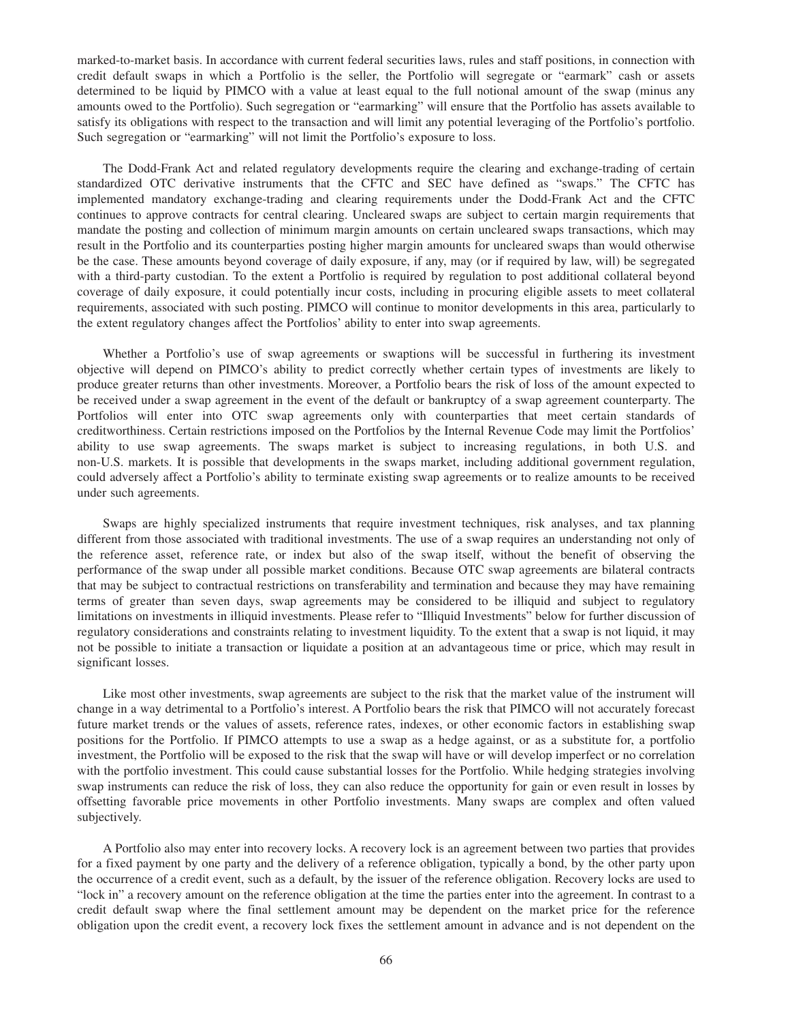marked-to-market basis. In accordance with current federal securities laws, rules and staff positions, in connection with credit default swaps in which a Portfolio is the seller, the Portfolio will segregate or "earmark" cash or assets determined to be liquid by PIMCO with a value at least equal to the full notional amount of the swap (minus any amounts owed to the Portfolio). Such segregation or "earmarking" will ensure that the Portfolio has assets available to satisfy its obligations with respect to the transaction and will limit any potential leveraging of the Portfolio's portfolio. Such segregation or "earmarking" will not limit the Portfolio's exposure to loss.

The Dodd-Frank Act and related regulatory developments require the clearing and exchange-trading of certain standardized OTC derivative instruments that the CFTC and SEC have defined as "swaps." The CFTC has implemented mandatory exchange-trading and clearing requirements under the Dodd-Frank Act and the CFTC continues to approve contracts for central clearing. Uncleared swaps are subject to certain margin requirements that mandate the posting and collection of minimum margin amounts on certain uncleared swaps transactions, which may result in the Portfolio and its counterparties posting higher margin amounts for uncleared swaps than would otherwise be the case. These amounts beyond coverage of daily exposure, if any, may (or if required by law, will) be segregated with a third-party custodian. To the extent a Portfolio is required by regulation to post additional collateral beyond coverage of daily exposure, it could potentially incur costs, including in procuring eligible assets to meet collateral requirements, associated with such posting. PIMCO will continue to monitor developments in this area, particularly to the extent regulatory changes affect the Portfolios' ability to enter into swap agreements.

Whether a Portfolio's use of swap agreements or swaptions will be successful in furthering its investment objective will depend on PIMCO's ability to predict correctly whether certain types of investments are likely to produce greater returns than other investments. Moreover, a Portfolio bears the risk of loss of the amount expected to be received under a swap agreement in the event of the default or bankruptcy of a swap agreement counterparty. The Portfolios will enter into OTC swap agreements only with counterparties that meet certain standards of creditworthiness. Certain restrictions imposed on the Portfolios by the Internal Revenue Code may limit the Portfolios' ability to use swap agreements. The swaps market is subject to increasing regulations, in both U.S. and non-U.S. markets. It is possible that developments in the swaps market, including additional government regulation, could adversely affect a Portfolio's ability to terminate existing swap agreements or to realize amounts to be received under such agreements.

Swaps are highly specialized instruments that require investment techniques, risk analyses, and tax planning different from those associated with traditional investments. The use of a swap requires an understanding not only of the reference asset, reference rate, or index but also of the swap itself, without the benefit of observing the performance of the swap under all possible market conditions. Because OTC swap agreements are bilateral contracts that may be subject to contractual restrictions on transferability and termination and because they may have remaining terms of greater than seven days, swap agreements may be considered to be illiquid and subject to regulatory limitations on investments in illiquid investments. Please refer to "Illiquid Investments" below for further discussion of regulatory considerations and constraints relating to investment liquidity. To the extent that a swap is not liquid, it may not be possible to initiate a transaction or liquidate a position at an advantageous time or price, which may result in significant losses.

Like most other investments, swap agreements are subject to the risk that the market value of the instrument will change in a way detrimental to a Portfolio's interest. A Portfolio bears the risk that PIMCO will not accurately forecast future market trends or the values of assets, reference rates, indexes, or other economic factors in establishing swap positions for the Portfolio. If PIMCO attempts to use a swap as a hedge against, or as a substitute for, a portfolio investment, the Portfolio will be exposed to the risk that the swap will have or will develop imperfect or no correlation with the portfolio investment. This could cause substantial losses for the Portfolio. While hedging strategies involving swap instruments can reduce the risk of loss, they can also reduce the opportunity for gain or even result in losses by offsetting favorable price movements in other Portfolio investments. Many swaps are complex and often valued subjectively.

A Portfolio also may enter into recovery locks. A recovery lock is an agreement between two parties that provides for a fixed payment by one party and the delivery of a reference obligation, typically a bond, by the other party upon the occurrence of a credit event, such as a default, by the issuer of the reference obligation. Recovery locks are used to "lock in" a recovery amount on the reference obligation at the time the parties enter into the agreement. In contrast to a credit default swap where the final settlement amount may be dependent on the market price for the reference obligation upon the credit event, a recovery lock fixes the settlement amount in advance and is not dependent on the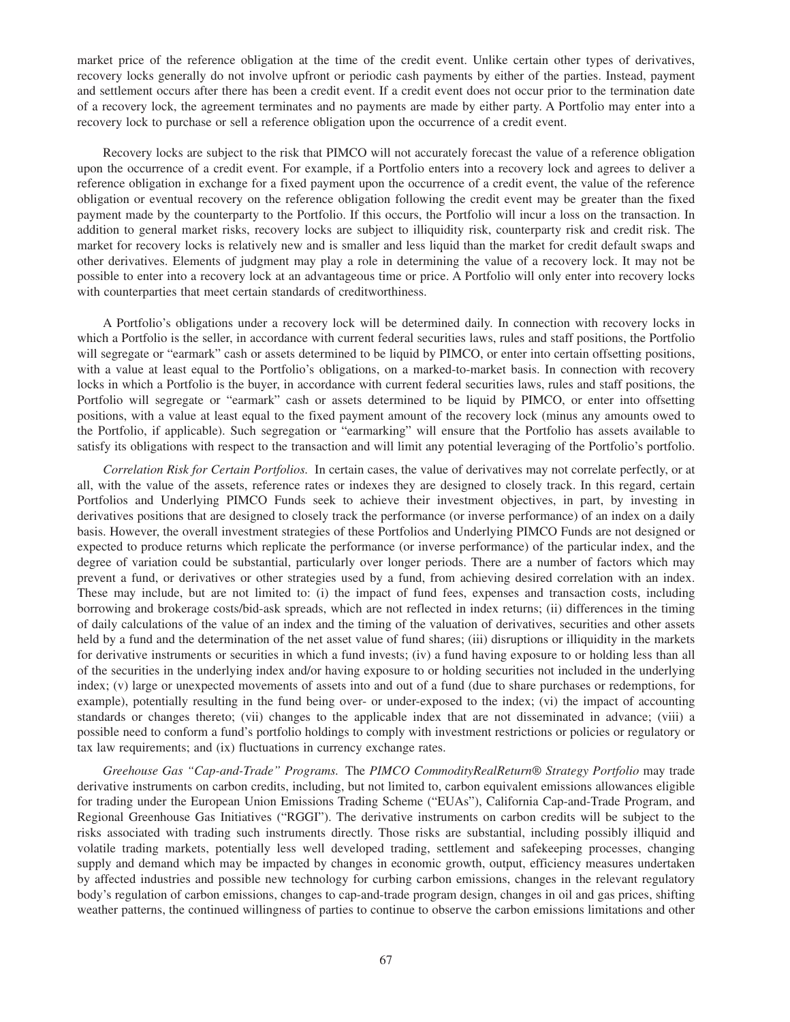market price of the reference obligation at the time of the credit event. Unlike certain other types of derivatives, recovery locks generally do not involve upfront or periodic cash payments by either of the parties. Instead, payment and settlement occurs after there has been a credit event. If a credit event does not occur prior to the termination date of a recovery lock, the agreement terminates and no payments are made by either party. A Portfolio may enter into a recovery lock to purchase or sell a reference obligation upon the occurrence of a credit event.

Recovery locks are subject to the risk that PIMCO will not accurately forecast the value of a reference obligation upon the occurrence of a credit event. For example, if a Portfolio enters into a recovery lock and agrees to deliver a reference obligation in exchange for a fixed payment upon the occurrence of a credit event, the value of the reference obligation or eventual recovery on the reference obligation following the credit event may be greater than the fixed payment made by the counterparty to the Portfolio. If this occurs, the Portfolio will incur a loss on the transaction. In addition to general market risks, recovery locks are subject to illiquidity risk, counterparty risk and credit risk. The market for recovery locks is relatively new and is smaller and less liquid than the market for credit default swaps and other derivatives. Elements of judgment may play a role in determining the value of a recovery lock. It may not be possible to enter into a recovery lock at an advantageous time or price. A Portfolio will only enter into recovery locks with counterparties that meet certain standards of creditworthiness.

A Portfolio's obligations under a recovery lock will be determined daily. In connection with recovery locks in which a Portfolio is the seller, in accordance with current federal securities laws, rules and staff positions, the Portfolio will segregate or "earmark" cash or assets determined to be liquid by PIMCO, or enter into certain offsetting positions, with a value at least equal to the Portfolio's obligations, on a marked-to-market basis. In connection with recovery locks in which a Portfolio is the buyer, in accordance with current federal securities laws, rules and staff positions, the Portfolio will segregate or "earmark" cash or assets determined to be liquid by PIMCO, or enter into offsetting positions, with a value at least equal to the fixed payment amount of the recovery lock (minus any amounts owed to the Portfolio, if applicable). Such segregation or "earmarking" will ensure that the Portfolio has assets available to satisfy its obligations with respect to the transaction and will limit any potential leveraging of the Portfolio's portfolio.

*Correlation Risk for Certain Portfolios.* In certain cases, the value of derivatives may not correlate perfectly, or at all, with the value of the assets, reference rates or indexes they are designed to closely track. In this regard, certain Portfolios and Underlying PIMCO Funds seek to achieve their investment objectives, in part, by investing in derivatives positions that are designed to closely track the performance (or inverse performance) of an index on a daily basis. However, the overall investment strategies of these Portfolios and Underlying PIMCO Funds are not designed or expected to produce returns which replicate the performance (or inverse performance) of the particular index, and the degree of variation could be substantial, particularly over longer periods. There are a number of factors which may prevent a fund, or derivatives or other strategies used by a fund, from achieving desired correlation with an index. These may include, but are not limited to: (i) the impact of fund fees, expenses and transaction costs, including borrowing and brokerage costs/bid-ask spreads, which are not reflected in index returns; (ii) differences in the timing of daily calculations of the value of an index and the timing of the valuation of derivatives, securities and other assets held by a fund and the determination of the net asset value of fund shares; (iii) disruptions or illiquidity in the markets for derivative instruments or securities in which a fund invests; (iv) a fund having exposure to or holding less than all of the securities in the underlying index and/or having exposure to or holding securities not included in the underlying index; (v) large or unexpected movements of assets into and out of a fund (due to share purchases or redemptions, for example), potentially resulting in the fund being over- or under-exposed to the index; (vi) the impact of accounting standards or changes thereto; (vii) changes to the applicable index that are not disseminated in advance; (viii) a possible need to conform a fund's portfolio holdings to comply with investment restrictions or policies or regulatory or tax law requirements; and (ix) fluctuations in currency exchange rates.

*Greehouse Gas "Cap-and-Trade" Programs.* The *PIMCO CommodityRealReturn® Strategy Portfolio* may trade derivative instruments on carbon credits, including, but not limited to, carbon equivalent emissions allowances eligible for trading under the European Union Emissions Trading Scheme ("EUAs"), California Cap-and-Trade Program, and Regional Greenhouse Gas Initiatives ("RGGI"). The derivative instruments on carbon credits will be subject to the risks associated with trading such instruments directly. Those risks are substantial, including possibly illiquid and volatile trading markets, potentially less well developed trading, settlement and safekeeping processes, changing supply and demand which may be impacted by changes in economic growth, output, efficiency measures undertaken by affected industries and possible new technology for curbing carbon emissions, changes in the relevant regulatory body's regulation of carbon emissions, changes to cap-and-trade program design, changes in oil and gas prices, shifting weather patterns, the continued willingness of parties to continue to observe the carbon emissions limitations and other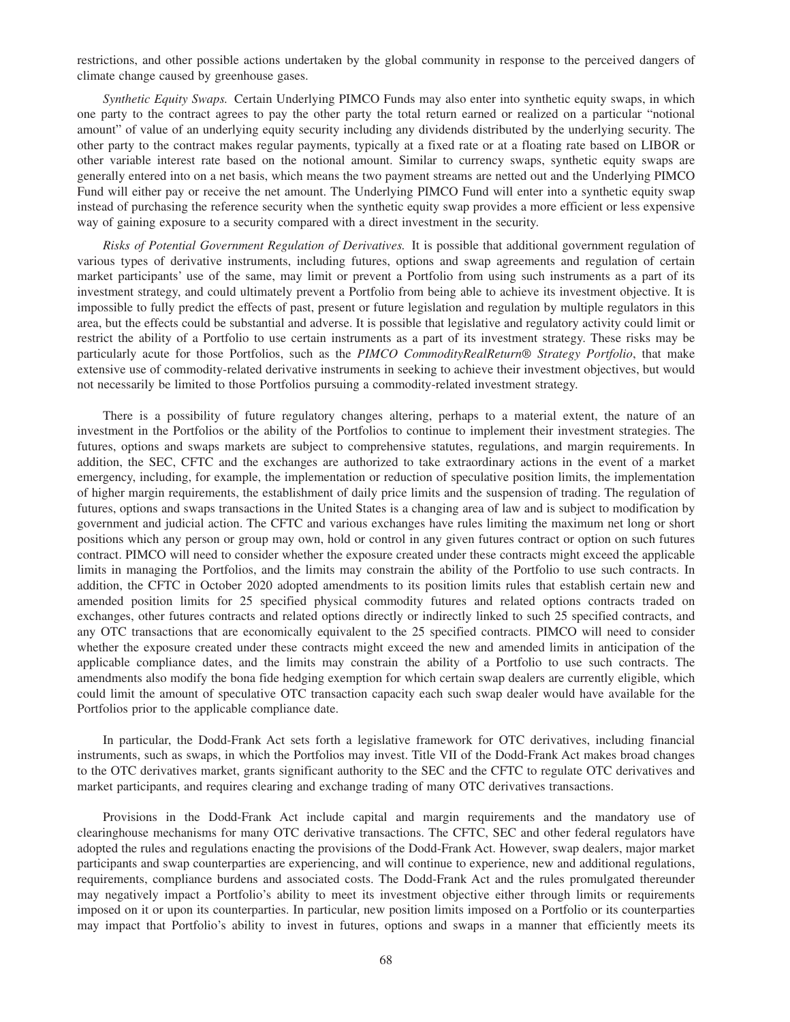restrictions, and other possible actions undertaken by the global community in response to the perceived dangers of climate change caused by greenhouse gases.

*Synthetic Equity Swaps.* Certain Underlying PIMCO Funds may also enter into synthetic equity swaps, in which one party to the contract agrees to pay the other party the total return earned or realized on a particular "notional amount" of value of an underlying equity security including any dividends distributed by the underlying security. The other party to the contract makes regular payments, typically at a fixed rate or at a floating rate based on LIBOR or other variable interest rate based on the notional amount. Similar to currency swaps, synthetic equity swaps are generally entered into on a net basis, which means the two payment streams are netted out and the Underlying PIMCO Fund will either pay or receive the net amount. The Underlying PIMCO Fund will enter into a synthetic equity swap instead of purchasing the reference security when the synthetic equity swap provides a more efficient or less expensive way of gaining exposure to a security compared with a direct investment in the security.

*Risks of Potential Government Regulation of Derivatives.* It is possible that additional government regulation of various types of derivative instruments, including futures, options and swap agreements and regulation of certain market participants' use of the same, may limit or prevent a Portfolio from using such instruments as a part of its investment strategy, and could ultimately prevent a Portfolio from being able to achieve its investment objective. It is impossible to fully predict the effects of past, present or future legislation and regulation by multiple regulators in this area, but the effects could be substantial and adverse. It is possible that legislative and regulatory activity could limit or restrict the ability of a Portfolio to use certain instruments as a part of its investment strategy. These risks may be particularly acute for those Portfolios, such as the *PIMCO CommodityRealReturn® Strategy Portfolio*, that make extensive use of commodity-related derivative instruments in seeking to achieve their investment objectives, but would not necessarily be limited to those Portfolios pursuing a commodity-related investment strategy.

There is a possibility of future regulatory changes altering, perhaps to a material extent, the nature of an investment in the Portfolios or the ability of the Portfolios to continue to implement their investment strategies. The futures, options and swaps markets are subject to comprehensive statutes, regulations, and margin requirements. In addition, the SEC, CFTC and the exchanges are authorized to take extraordinary actions in the event of a market emergency, including, for example, the implementation or reduction of speculative position limits, the implementation of higher margin requirements, the establishment of daily price limits and the suspension of trading. The regulation of futures, options and swaps transactions in the United States is a changing area of law and is subject to modification by government and judicial action. The CFTC and various exchanges have rules limiting the maximum net long or short positions which any person or group may own, hold or control in any given futures contract or option on such futures contract. PIMCO will need to consider whether the exposure created under these contracts might exceed the applicable limits in managing the Portfolios, and the limits may constrain the ability of the Portfolio to use such contracts. In addition, the CFTC in October 2020 adopted amendments to its position limits rules that establish certain new and amended position limits for 25 specified physical commodity futures and related options contracts traded on exchanges, other futures contracts and related options directly or indirectly linked to such 25 specified contracts, and any OTC transactions that are economically equivalent to the 25 specified contracts. PIMCO will need to consider whether the exposure created under these contracts might exceed the new and amended limits in anticipation of the applicable compliance dates, and the limits may constrain the ability of a Portfolio to use such contracts. The amendments also modify the bona fide hedging exemption for which certain swap dealers are currently eligible, which could limit the amount of speculative OTC transaction capacity each such swap dealer would have available for the Portfolios prior to the applicable compliance date.

In particular, the Dodd-Frank Act sets forth a legislative framework for OTC derivatives, including financial instruments, such as swaps, in which the Portfolios may invest. Title VII of the Dodd-Frank Act makes broad changes to the OTC derivatives market, grants significant authority to the SEC and the CFTC to regulate OTC derivatives and market participants, and requires clearing and exchange trading of many OTC derivatives transactions.

Provisions in the Dodd-Frank Act include capital and margin requirements and the mandatory use of clearinghouse mechanisms for many OTC derivative transactions. The CFTC, SEC and other federal regulators have adopted the rules and regulations enacting the provisions of the Dodd-Frank Act. However, swap dealers, major market participants and swap counterparties are experiencing, and will continue to experience, new and additional regulations, requirements, compliance burdens and associated costs. The Dodd-Frank Act and the rules promulgated thereunder may negatively impact a Portfolio's ability to meet its investment objective either through limits or requirements imposed on it or upon its counterparties. In particular, new position limits imposed on a Portfolio or its counterparties may impact that Portfolio's ability to invest in futures, options and swaps in a manner that efficiently meets its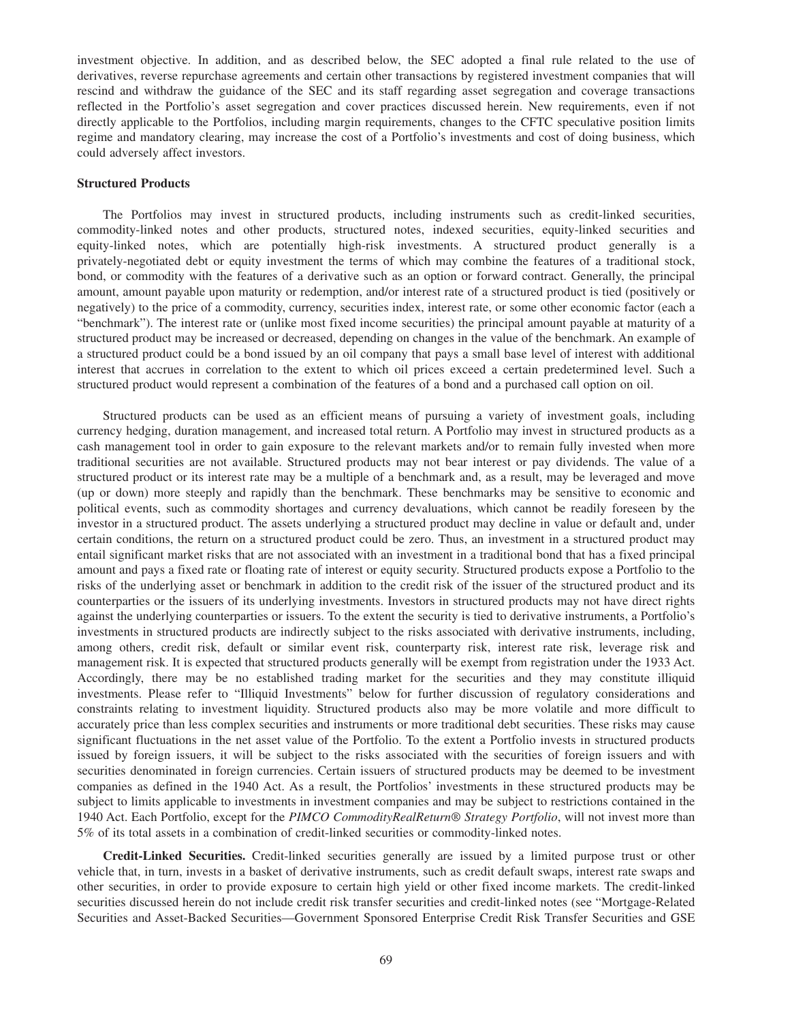investment objective. In addition, and as described below, the SEC adopted a final rule related to the use of derivatives, reverse repurchase agreements and certain other transactions by registered investment companies that will rescind and withdraw the guidance of the SEC and its staff regarding asset segregation and coverage transactions reflected in the Portfolio's asset segregation and cover practices discussed herein. New requirements, even if not directly applicable to the Portfolios, including margin requirements, changes to the CFTC speculative position limits regime and mandatory clearing, may increase the cost of a Portfolio's investments and cost of doing business, which could adversely affect investors.

# **Structured Products**

The Portfolios may invest in structured products, including instruments such as credit-linked securities, commodity-linked notes and other products, structured notes, indexed securities, equity-linked securities and equity-linked notes, which are potentially high-risk investments. A structured product generally is a privately-negotiated debt or equity investment the terms of which may combine the features of a traditional stock, bond, or commodity with the features of a derivative such as an option or forward contract. Generally, the principal amount, amount payable upon maturity or redemption, and/or interest rate of a structured product is tied (positively or negatively) to the price of a commodity, currency, securities index, interest rate, or some other economic factor (each a "benchmark"). The interest rate or (unlike most fixed income securities) the principal amount payable at maturity of a structured product may be increased or decreased, depending on changes in the value of the benchmark. An example of a structured product could be a bond issued by an oil company that pays a small base level of interest with additional interest that accrues in correlation to the extent to which oil prices exceed a certain predetermined level. Such a structured product would represent a combination of the features of a bond and a purchased call option on oil.

Structured products can be used as an efficient means of pursuing a variety of investment goals, including currency hedging, duration management, and increased total return. A Portfolio may invest in structured products as a cash management tool in order to gain exposure to the relevant markets and/or to remain fully invested when more traditional securities are not available. Structured products may not bear interest or pay dividends. The value of a structured product or its interest rate may be a multiple of a benchmark and, as a result, may be leveraged and move (up or down) more steeply and rapidly than the benchmark. These benchmarks may be sensitive to economic and political events, such as commodity shortages and currency devaluations, which cannot be readily foreseen by the investor in a structured product. The assets underlying a structured product may decline in value or default and, under certain conditions, the return on a structured product could be zero. Thus, an investment in a structured product may entail significant market risks that are not associated with an investment in a traditional bond that has a fixed principal amount and pays a fixed rate or floating rate of interest or equity security. Structured products expose a Portfolio to the risks of the underlying asset or benchmark in addition to the credit risk of the issuer of the structured product and its counterparties or the issuers of its underlying investments. Investors in structured products may not have direct rights against the underlying counterparties or issuers. To the extent the security is tied to derivative instruments, a Portfolio's investments in structured products are indirectly subject to the risks associated with derivative instruments, including, among others, credit risk, default or similar event risk, counterparty risk, interest rate risk, leverage risk and management risk. It is expected that structured products generally will be exempt from registration under the 1933 Act. Accordingly, there may be no established trading market for the securities and they may constitute illiquid investments. Please refer to "Illiquid Investments" below for further discussion of regulatory considerations and constraints relating to investment liquidity. Structured products also may be more volatile and more difficult to accurately price than less complex securities and instruments or more traditional debt securities. These risks may cause significant fluctuations in the net asset value of the Portfolio. To the extent a Portfolio invests in structured products issued by foreign issuers, it will be subject to the risks associated with the securities of foreign issuers and with securities denominated in foreign currencies. Certain issuers of structured products may be deemed to be investment companies as defined in the 1940 Act. As a result, the Portfolios' investments in these structured products may be subject to limits applicable to investments in investment companies and may be subject to restrictions contained in the 1940 Act. Each Portfolio, except for the *PIMCO CommodityRealReturn® Strategy Portfolio*, will not invest more than 5% of its total assets in a combination of credit-linked securities or commodity-linked notes.

**Credit-Linked Securities.** Credit-linked securities generally are issued by a limited purpose trust or other vehicle that, in turn, invests in a basket of derivative instruments, such as credit default swaps, interest rate swaps and other securities, in order to provide exposure to certain high yield or other fixed income markets. The credit-linked securities discussed herein do not include credit risk transfer securities and credit-linked notes (see "Mortgage-Related Securities and Asset-Backed Securities—Government Sponsored Enterprise Credit Risk Transfer Securities and GSE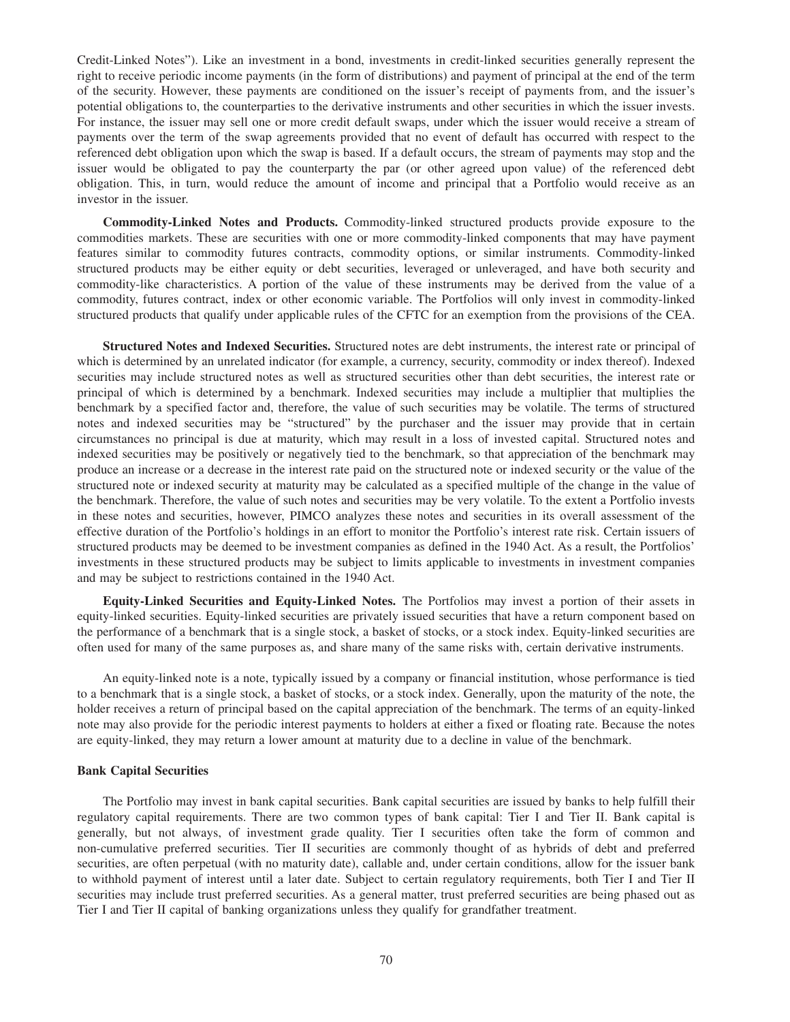Credit-Linked Notes"). Like an investment in a bond, investments in credit-linked securities generally represent the right to receive periodic income payments (in the form of distributions) and payment of principal at the end of the term of the security. However, these payments are conditioned on the issuer's receipt of payments from, and the issuer's potential obligations to, the counterparties to the derivative instruments and other securities in which the issuer invests. For instance, the issuer may sell one or more credit default swaps, under which the issuer would receive a stream of payments over the term of the swap agreements provided that no event of default has occurred with respect to the referenced debt obligation upon which the swap is based. If a default occurs, the stream of payments may stop and the issuer would be obligated to pay the counterparty the par (or other agreed upon value) of the referenced debt obligation. This, in turn, would reduce the amount of income and principal that a Portfolio would receive as an investor in the issuer.

**Commodity-Linked Notes and Products.** Commodity-linked structured products provide exposure to the commodities markets. These are securities with one or more commodity-linked components that may have payment features similar to commodity futures contracts, commodity options, or similar instruments. Commodity-linked structured products may be either equity or debt securities, leveraged or unleveraged, and have both security and commodity-like characteristics. A portion of the value of these instruments may be derived from the value of a commodity, futures contract, index or other economic variable. The Portfolios will only invest in commodity-linked structured products that qualify under applicable rules of the CFTC for an exemption from the provisions of the CEA.

**Structured Notes and Indexed Securities.** Structured notes are debt instruments, the interest rate or principal of which is determined by an unrelated indicator (for example, a currency, security, commodity or index thereof). Indexed securities may include structured notes as well as structured securities other than debt securities, the interest rate or principal of which is determined by a benchmark. Indexed securities may include a multiplier that multiplies the benchmark by a specified factor and, therefore, the value of such securities may be volatile. The terms of structured notes and indexed securities may be "structured" by the purchaser and the issuer may provide that in certain circumstances no principal is due at maturity, which may result in a loss of invested capital. Structured notes and indexed securities may be positively or negatively tied to the benchmark, so that appreciation of the benchmark may produce an increase or a decrease in the interest rate paid on the structured note or indexed security or the value of the structured note or indexed security at maturity may be calculated as a specified multiple of the change in the value of the benchmark. Therefore, the value of such notes and securities may be very volatile. To the extent a Portfolio invests in these notes and securities, however, PIMCO analyzes these notes and securities in its overall assessment of the effective duration of the Portfolio's holdings in an effort to monitor the Portfolio's interest rate risk. Certain issuers of structured products may be deemed to be investment companies as defined in the 1940 Act. As a result, the Portfolios' investments in these structured products may be subject to limits applicable to investments in investment companies and may be subject to restrictions contained in the 1940 Act.

**Equity-Linked Securities and Equity-Linked Notes.** The Portfolios may invest a portion of their assets in equity-linked securities. Equity-linked securities are privately issued securities that have a return component based on the performance of a benchmark that is a single stock, a basket of stocks, or a stock index. Equity-linked securities are often used for many of the same purposes as, and share many of the same risks with, certain derivative instruments.

An equity-linked note is a note, typically issued by a company or financial institution, whose performance is tied to a benchmark that is a single stock, a basket of stocks, or a stock index. Generally, upon the maturity of the note, the holder receives a return of principal based on the capital appreciation of the benchmark. The terms of an equity-linked note may also provide for the periodic interest payments to holders at either a fixed or floating rate. Because the notes are equity-linked, they may return a lower amount at maturity due to a decline in value of the benchmark.

## **Bank Capital Securities**

The Portfolio may invest in bank capital securities. Bank capital securities are issued by banks to help fulfill their regulatory capital requirements. There are two common types of bank capital: Tier I and Tier II. Bank capital is generally, but not always, of investment grade quality. Tier I securities often take the form of common and non-cumulative preferred securities. Tier II securities are commonly thought of as hybrids of debt and preferred securities, are often perpetual (with no maturity date), callable and, under certain conditions, allow for the issuer bank to withhold payment of interest until a later date. Subject to certain regulatory requirements, both Tier I and Tier II securities may include trust preferred securities. As a general matter, trust preferred securities are being phased out as Tier I and Tier II capital of banking organizations unless they qualify for grandfather treatment.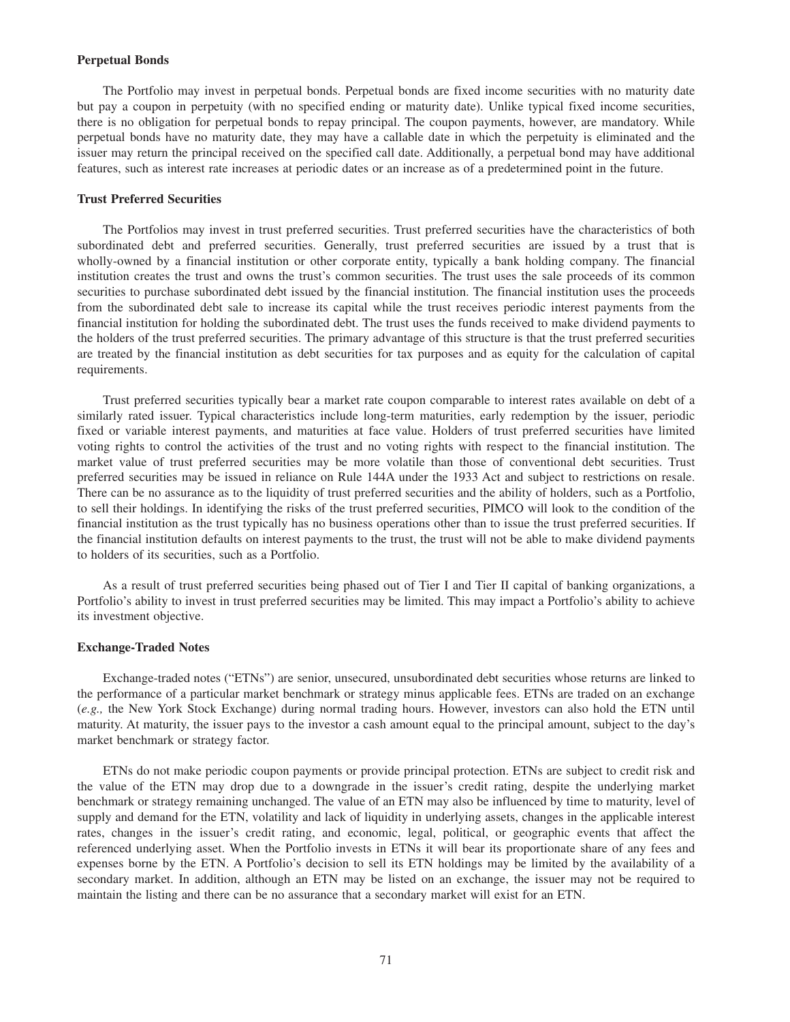#### **Perpetual Bonds**

The Portfolio may invest in perpetual bonds. Perpetual bonds are fixed income securities with no maturity date but pay a coupon in perpetuity (with no specified ending or maturity date). Unlike typical fixed income securities, there is no obligation for perpetual bonds to repay principal. The coupon payments, however, are mandatory. While perpetual bonds have no maturity date, they may have a callable date in which the perpetuity is eliminated and the issuer may return the principal received on the specified call date. Additionally, a perpetual bond may have additional features, such as interest rate increases at periodic dates or an increase as of a predetermined point in the future.

# **Trust Preferred Securities**

The Portfolios may invest in trust preferred securities. Trust preferred securities have the characteristics of both subordinated debt and preferred securities. Generally, trust preferred securities are issued by a trust that is wholly-owned by a financial institution or other corporate entity, typically a bank holding company. The financial institution creates the trust and owns the trust's common securities. The trust uses the sale proceeds of its common securities to purchase subordinated debt issued by the financial institution. The financial institution uses the proceeds from the subordinated debt sale to increase its capital while the trust receives periodic interest payments from the financial institution for holding the subordinated debt. The trust uses the funds received to make dividend payments to the holders of the trust preferred securities. The primary advantage of this structure is that the trust preferred securities are treated by the financial institution as debt securities for tax purposes and as equity for the calculation of capital requirements.

Trust preferred securities typically bear a market rate coupon comparable to interest rates available on debt of a similarly rated issuer. Typical characteristics include long-term maturities, early redemption by the issuer, periodic fixed or variable interest payments, and maturities at face value. Holders of trust preferred securities have limited voting rights to control the activities of the trust and no voting rights with respect to the financial institution. The market value of trust preferred securities may be more volatile than those of conventional debt securities. Trust preferred securities may be issued in reliance on Rule 144A under the 1933 Act and subject to restrictions on resale. There can be no assurance as to the liquidity of trust preferred securities and the ability of holders, such as a Portfolio, to sell their holdings. In identifying the risks of the trust preferred securities, PIMCO will look to the condition of the financial institution as the trust typically has no business operations other than to issue the trust preferred securities. If the financial institution defaults on interest payments to the trust, the trust will not be able to make dividend payments to holders of its securities, such as a Portfolio.

As a result of trust preferred securities being phased out of Tier I and Tier II capital of banking organizations, a Portfolio's ability to invest in trust preferred securities may be limited. This may impact a Portfolio's ability to achieve its investment objective.

# **Exchange-Traded Notes**

Exchange-traded notes ("ETNs") are senior, unsecured, unsubordinated debt securities whose returns are linked to the performance of a particular market benchmark or strategy minus applicable fees. ETNs are traded on an exchange (*e.g.,* the New York Stock Exchange) during normal trading hours. However, investors can also hold the ETN until maturity. At maturity, the issuer pays to the investor a cash amount equal to the principal amount, subject to the day's market benchmark or strategy factor.

ETNs do not make periodic coupon payments or provide principal protection. ETNs are subject to credit risk and the value of the ETN may drop due to a downgrade in the issuer's credit rating, despite the underlying market benchmark or strategy remaining unchanged. The value of an ETN may also be influenced by time to maturity, level of supply and demand for the ETN, volatility and lack of liquidity in underlying assets, changes in the applicable interest rates, changes in the issuer's credit rating, and economic, legal, political, or geographic events that affect the referenced underlying asset. When the Portfolio invests in ETNs it will bear its proportionate share of any fees and expenses borne by the ETN. A Portfolio's decision to sell its ETN holdings may be limited by the availability of a secondary market. In addition, although an ETN may be listed on an exchange, the issuer may not be required to maintain the listing and there can be no assurance that a secondary market will exist for an ETN.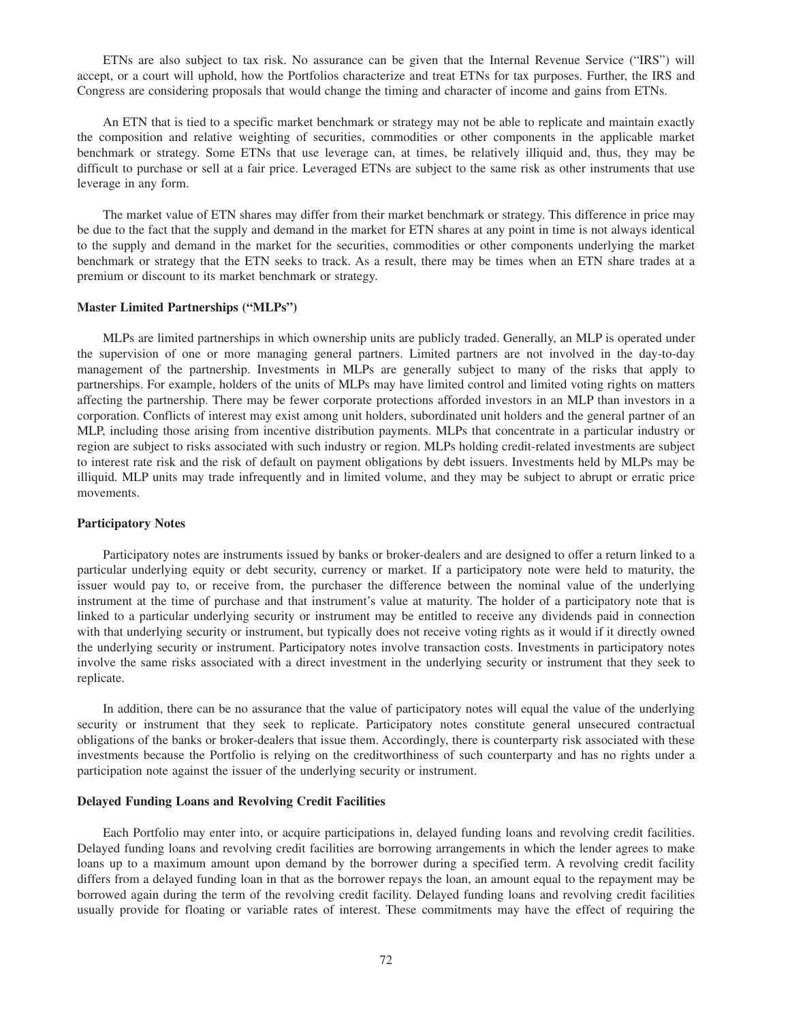ETNs are also subject to tax risk. No assurance can be given that the Internal Revenue Service ("IRS") will accept, or a court will uphold, how the Portfolios characterize and treat ETNs for tax purposes. Further, the IRS and Congress are considering proposals that would change the timing and character of income and gains from ETNs.

An ETN that is tied to a specific market benchmark or strategy may not be able to replicate and maintain exactly the composition and relative weighting of securities, commodities or other components in the applicable market benchmark or strategy. Some ETNs that use leverage can, at times, be relatively illiquid and, thus, they may be difficult to purchase or sell at a fair price. Leveraged ETNs are subject to the same risk as other instruments that use leverage in any form.

The market value of ETN shares may differ from their market benchmark or strategy. This difference in price may be due to the fact that the supply and demand in the market for ETN shares at any point in time is not always identical to the supply and demand in the market for the securities, commodities or other components underlying the market benchmark or strategy that the ETN seeks to track. As a result, there may be times when an ETN share trades at a premium or discount to its market benchmark or strategy.

#### **Master Limited Partnerships ("MLPs")**

MLPs are limited partnerships in which ownership units are publicly traded. Generally, an MLP is operated under the supervision of one or more managing general partners. Limited partners are not involved in the day-to-day management of the partnership. Investments in MLPs are generally subject to many of the risks that apply to partnerships. For example, holders of the units of MLPs may have limited control and limited voting rights on matters affecting the partnership. There may be fewer corporate protections afforded investors in an MLP than investors in a corporation. Conflicts of interest may exist among unit holders, subordinated unit holders and the general partner of an MLP, including those arising from incentive distribution payments. MLPs that concentrate in a particular industry or region are subject to risks associated with such industry or region. MLPs holding credit-related investments are subject to interest rate risk and the risk of default on payment obligations by debt issuers. Investments held by MLPs may be illiquid. MLP units may trade infrequently and in limited volume, and they may be subject to abrupt or erratic price movements.

# **Participatory Notes**

Participatory notes are instruments issued by banks or broker-dealers and are designed to offer a return linked to a particular underlying equity or debt security, currency or market. If a participatory note were held to maturity, the issuer would pay to, or receive from, the purchaser the difference between the nominal value of the underlying instrument at the time of purchase and that instrument's value at maturity. The holder of a participatory note that is linked to a particular underlying security or instrument may be entitled to receive any dividends paid in connection with that underlying security or instrument, but typically does not receive voting rights as it would if it directly owned the underlying security or instrument. Participatory notes involve transaction costs. Investments in participatory notes involve the same risks associated with a direct investment in the underlying security or instrument that they seek to replicate.

In addition, there can be no assurance that the value of participatory notes will equal the value of the underlying security or instrument that they seek to replicate. Participatory notes constitute general unsecured contractual obligations of the banks or broker-dealers that issue them. Accordingly, there is counterparty risk associated with these investments because the Portfolio is relying on the creditworthiness of such counterparty and has no rights under a participation note against the issuer of the underlying security or instrument.

## **Delayed Funding Loans and Revolving Credit Facilities**

Each Portfolio may enter into, or acquire participations in, delayed funding loans and revolving credit facilities. Delayed funding loans and revolving credit facilities are borrowing arrangements in which the lender agrees to make loans up to a maximum amount upon demand by the borrower during a specified term. A revolving credit facility differs from a delayed funding loan in that as the borrower repays the loan, an amount equal to the repayment may be borrowed again during the term of the revolving credit facility. Delayed funding loans and revolving credit facilities usually provide for floating or variable rates of interest. These commitments may have the effect of requiring the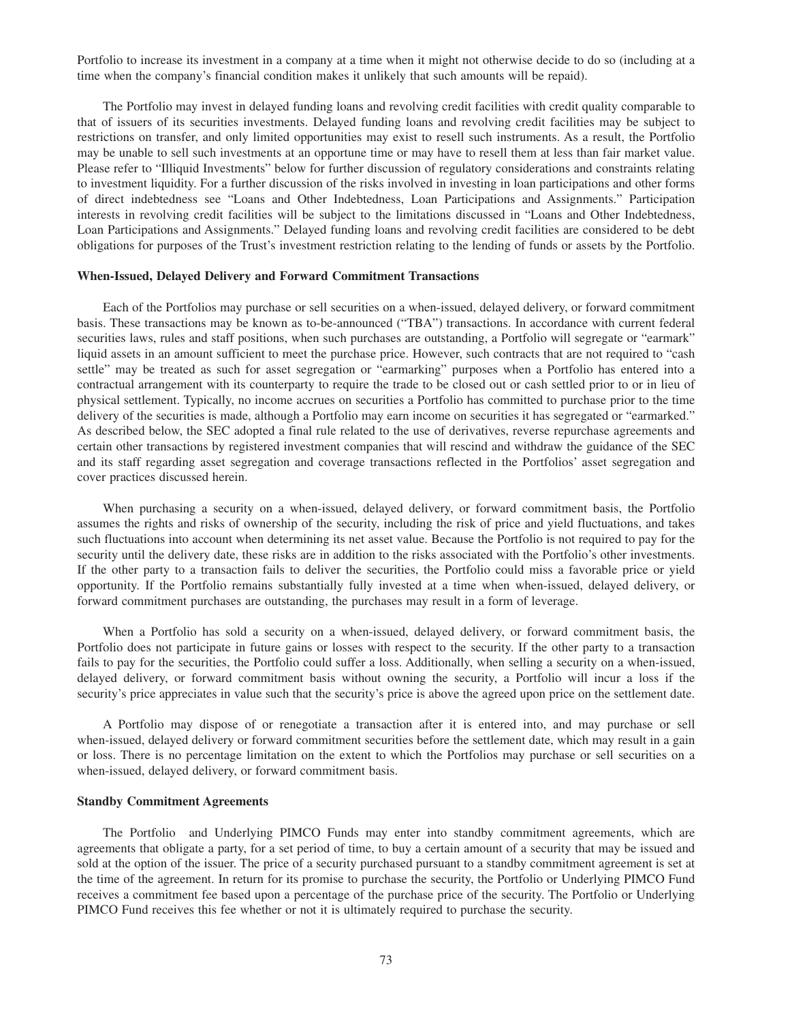Portfolio to increase its investment in a company at a time when it might not otherwise decide to do so (including at a time when the company's financial condition makes it unlikely that such amounts will be repaid).

The Portfolio may invest in delayed funding loans and revolving credit facilities with credit quality comparable to that of issuers of its securities investments. Delayed funding loans and revolving credit facilities may be subject to restrictions on transfer, and only limited opportunities may exist to resell such instruments. As a result, the Portfolio may be unable to sell such investments at an opportune time or may have to resell them at less than fair market value. Please refer to "Illiquid Investments" below for further discussion of regulatory considerations and constraints relating to investment liquidity. For a further discussion of the risks involved in investing in loan participations and other forms of direct indebtedness see "Loans and Other Indebtedness, Loan Participations and Assignments." Participation interests in revolving credit facilities will be subject to the limitations discussed in "Loans and Other Indebtedness, Loan Participations and Assignments." Delayed funding loans and revolving credit facilities are considered to be debt obligations for purposes of the Trust's investment restriction relating to the lending of funds or assets by the Portfolio.

# **When-Issued, Delayed Delivery and Forward Commitment Transactions**

Each of the Portfolios may purchase or sell securities on a when-issued, delayed delivery, or forward commitment basis. These transactions may be known as to-be-announced ("TBA") transactions. In accordance with current federal securities laws, rules and staff positions, when such purchases are outstanding, a Portfolio will segregate or "earmark" liquid assets in an amount sufficient to meet the purchase price. However, such contracts that are not required to "cash settle" may be treated as such for asset segregation or "earmarking" purposes when a Portfolio has entered into a contractual arrangement with its counterparty to require the trade to be closed out or cash settled prior to or in lieu of physical settlement. Typically, no income accrues on securities a Portfolio has committed to purchase prior to the time delivery of the securities is made, although a Portfolio may earn income on securities it has segregated or "earmarked." As described below, the SEC adopted a final rule related to the use of derivatives, reverse repurchase agreements and certain other transactions by registered investment companies that will rescind and withdraw the guidance of the SEC and its staff regarding asset segregation and coverage transactions reflected in the Portfolios' asset segregation and cover practices discussed herein.

When purchasing a security on a when-issued, delayed delivery, or forward commitment basis, the Portfolio assumes the rights and risks of ownership of the security, including the risk of price and yield fluctuations, and takes such fluctuations into account when determining its net asset value. Because the Portfolio is not required to pay for the security until the delivery date, these risks are in addition to the risks associated with the Portfolio's other investments. If the other party to a transaction fails to deliver the securities, the Portfolio could miss a favorable price or yield opportunity. If the Portfolio remains substantially fully invested at a time when when-issued, delayed delivery, or forward commitment purchases are outstanding, the purchases may result in a form of leverage.

When a Portfolio has sold a security on a when-issued, delayed delivery, or forward commitment basis, the Portfolio does not participate in future gains or losses with respect to the security. If the other party to a transaction fails to pay for the securities, the Portfolio could suffer a loss. Additionally, when selling a security on a when-issued, delayed delivery, or forward commitment basis without owning the security, a Portfolio will incur a loss if the security's price appreciates in value such that the security's price is above the agreed upon price on the settlement date.

A Portfolio may dispose of or renegotiate a transaction after it is entered into, and may purchase or sell when-issued, delayed delivery or forward commitment securities before the settlement date, which may result in a gain or loss. There is no percentage limitation on the extent to which the Portfolios may purchase or sell securities on a when-issued, delayed delivery, or forward commitment basis.

# **Standby Commitment Agreements**

The Portfolio and Underlying PIMCO Funds may enter into standby commitment agreements, which are agreements that obligate a party, for a set period of time, to buy a certain amount of a security that may be issued and sold at the option of the issuer. The price of a security purchased pursuant to a standby commitment agreement is set at the time of the agreement. In return for its promise to purchase the security, the Portfolio or Underlying PIMCO Fund receives a commitment fee based upon a percentage of the purchase price of the security. The Portfolio or Underlying PIMCO Fund receives this fee whether or not it is ultimately required to purchase the security.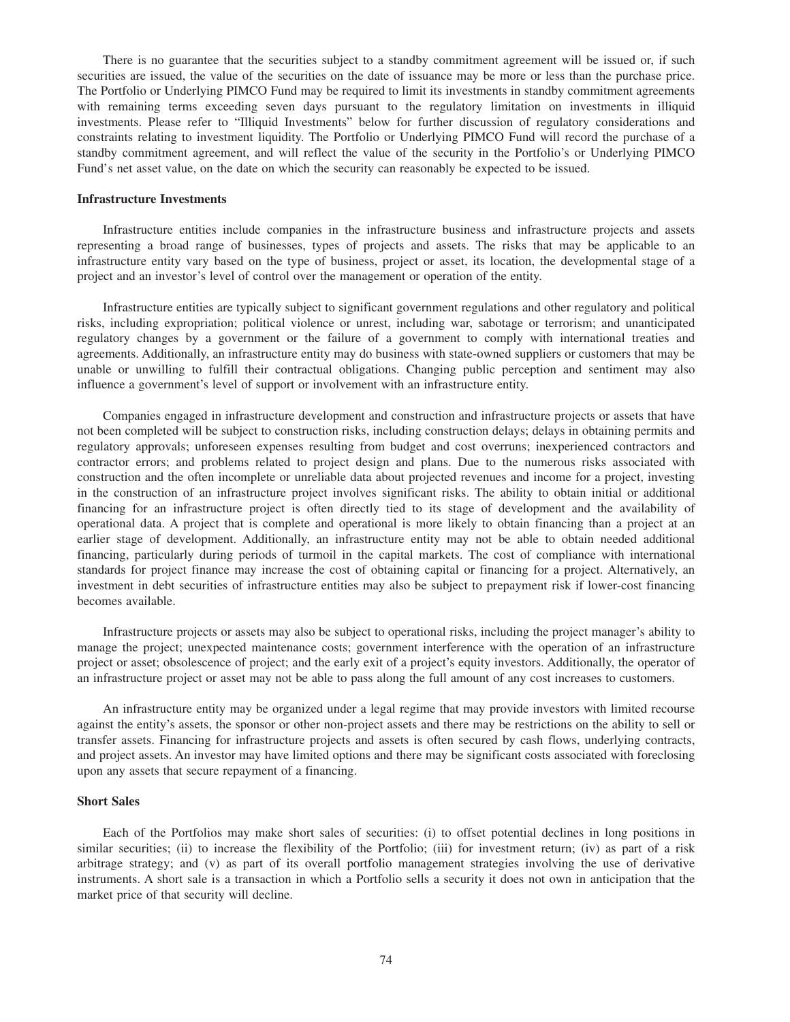There is no guarantee that the securities subject to a standby commitment agreement will be issued or, if such securities are issued, the value of the securities on the date of issuance may be more or less than the purchase price. The Portfolio or Underlying PIMCO Fund may be required to limit its investments in standby commitment agreements with remaining terms exceeding seven days pursuant to the regulatory limitation on investments in illiquid investments. Please refer to "Illiquid Investments" below for further discussion of regulatory considerations and constraints relating to investment liquidity. The Portfolio or Underlying PIMCO Fund will record the purchase of a standby commitment agreement, and will reflect the value of the security in the Portfolio's or Underlying PIMCO Fund's net asset value, on the date on which the security can reasonably be expected to be issued.

# **Infrastructure Investments**

Infrastructure entities include companies in the infrastructure business and infrastructure projects and assets representing a broad range of businesses, types of projects and assets. The risks that may be applicable to an infrastructure entity vary based on the type of business, project or asset, its location, the developmental stage of a project and an investor's level of control over the management or operation of the entity.

Infrastructure entities are typically subject to significant government regulations and other regulatory and political risks, including expropriation; political violence or unrest, including war, sabotage or terrorism; and unanticipated regulatory changes by a government or the failure of a government to comply with international treaties and agreements. Additionally, an infrastructure entity may do business with state-owned suppliers or customers that may be unable or unwilling to fulfill their contractual obligations. Changing public perception and sentiment may also influence a government's level of support or involvement with an infrastructure entity.

Companies engaged in infrastructure development and construction and infrastructure projects or assets that have not been completed will be subject to construction risks, including construction delays; delays in obtaining permits and regulatory approvals; unforeseen expenses resulting from budget and cost overruns; inexperienced contractors and contractor errors; and problems related to project design and plans. Due to the numerous risks associated with construction and the often incomplete or unreliable data about projected revenues and income for a project, investing in the construction of an infrastructure project involves significant risks. The ability to obtain initial or additional financing for an infrastructure project is often directly tied to its stage of development and the availability of operational data. A project that is complete and operational is more likely to obtain financing than a project at an earlier stage of development. Additionally, an infrastructure entity may not be able to obtain needed additional financing, particularly during periods of turmoil in the capital markets. The cost of compliance with international standards for project finance may increase the cost of obtaining capital or financing for a project. Alternatively, an investment in debt securities of infrastructure entities may also be subject to prepayment risk if lower-cost financing becomes available.

Infrastructure projects or assets may also be subject to operational risks, including the project manager's ability to manage the project; unexpected maintenance costs; government interference with the operation of an infrastructure project or asset; obsolescence of project; and the early exit of a project's equity investors. Additionally, the operator of an infrastructure project or asset may not be able to pass along the full amount of any cost increases to customers.

An infrastructure entity may be organized under a legal regime that may provide investors with limited recourse against the entity's assets, the sponsor or other non-project assets and there may be restrictions on the ability to sell or transfer assets. Financing for infrastructure projects and assets is often secured by cash flows, underlying contracts, and project assets. An investor may have limited options and there may be significant costs associated with foreclosing upon any assets that secure repayment of a financing.

# **Short Sales**

Each of the Portfolios may make short sales of securities: (i) to offset potential declines in long positions in similar securities; (ii) to increase the flexibility of the Portfolio; (iii) for investment return; (iv) as part of a risk arbitrage strategy; and (v) as part of its overall portfolio management strategies involving the use of derivative instruments. A short sale is a transaction in which a Portfolio sells a security it does not own in anticipation that the market price of that security will decline.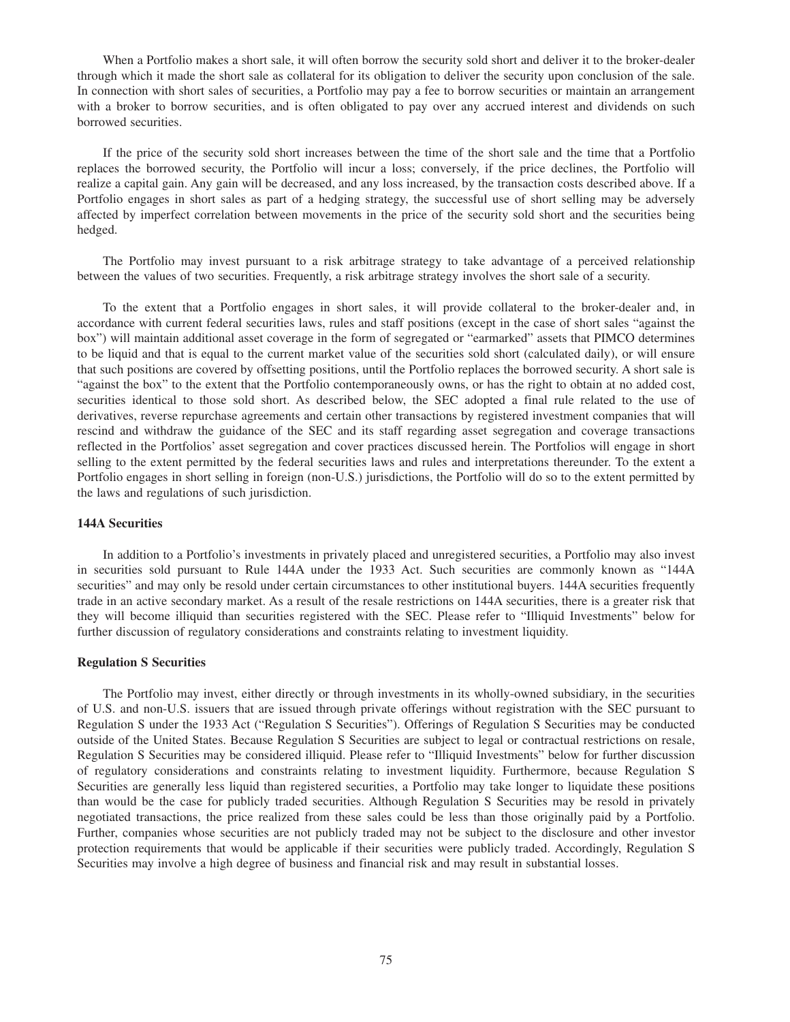When a Portfolio makes a short sale, it will often borrow the security sold short and deliver it to the broker-dealer through which it made the short sale as collateral for its obligation to deliver the security upon conclusion of the sale. In connection with short sales of securities, a Portfolio may pay a fee to borrow securities or maintain an arrangement with a broker to borrow securities, and is often obligated to pay over any accrued interest and dividends on such borrowed securities.

If the price of the security sold short increases between the time of the short sale and the time that a Portfolio replaces the borrowed security, the Portfolio will incur a loss; conversely, if the price declines, the Portfolio will realize a capital gain. Any gain will be decreased, and any loss increased, by the transaction costs described above. If a Portfolio engages in short sales as part of a hedging strategy, the successful use of short selling may be adversely affected by imperfect correlation between movements in the price of the security sold short and the securities being hedged.

The Portfolio may invest pursuant to a risk arbitrage strategy to take advantage of a perceived relationship between the values of two securities. Frequently, a risk arbitrage strategy involves the short sale of a security.

To the extent that a Portfolio engages in short sales, it will provide collateral to the broker-dealer and, in accordance with current federal securities laws, rules and staff positions (except in the case of short sales "against the box") will maintain additional asset coverage in the form of segregated or "earmarked" assets that PIMCO determines to be liquid and that is equal to the current market value of the securities sold short (calculated daily), or will ensure that such positions are covered by offsetting positions, until the Portfolio replaces the borrowed security. A short sale is "against the box" to the extent that the Portfolio contemporaneously owns, or has the right to obtain at no added cost, securities identical to those sold short. As described below, the SEC adopted a final rule related to the use of derivatives, reverse repurchase agreements and certain other transactions by registered investment companies that will rescind and withdraw the guidance of the SEC and its staff regarding asset segregation and coverage transactions reflected in the Portfolios' asset segregation and cover practices discussed herein. The Portfolios will engage in short selling to the extent permitted by the federal securities laws and rules and interpretations thereunder. To the extent a Portfolio engages in short selling in foreign (non-U.S.) jurisdictions, the Portfolio will do so to the extent permitted by the laws and regulations of such jurisdiction.

# **144A Securities**

In addition to a Portfolio's investments in privately placed and unregistered securities, a Portfolio may also invest in securities sold pursuant to Rule 144A under the 1933 Act. Such securities are commonly known as "144A securities" and may only be resold under certain circumstances to other institutional buyers. 144A securities frequently trade in an active secondary market. As a result of the resale restrictions on 144A securities, there is a greater risk that they will become illiquid than securities registered with the SEC. Please refer to "Illiquid Investments" below for further discussion of regulatory considerations and constraints relating to investment liquidity.

# **Regulation S Securities**

The Portfolio may invest, either directly or through investments in its wholly-owned subsidiary, in the securities of U.S. and non-U.S. issuers that are issued through private offerings without registration with the SEC pursuant to Regulation S under the 1933 Act ("Regulation S Securities"). Offerings of Regulation S Securities may be conducted outside of the United States. Because Regulation S Securities are subject to legal or contractual restrictions on resale, Regulation S Securities may be considered illiquid. Please refer to "Illiquid Investments" below for further discussion of regulatory considerations and constraints relating to investment liquidity. Furthermore, because Regulation S Securities are generally less liquid than registered securities, a Portfolio may take longer to liquidate these positions than would be the case for publicly traded securities. Although Regulation S Securities may be resold in privately negotiated transactions, the price realized from these sales could be less than those originally paid by a Portfolio. Further, companies whose securities are not publicly traded may not be subject to the disclosure and other investor protection requirements that would be applicable if their securities were publicly traded. Accordingly, Regulation S Securities may involve a high degree of business and financial risk and may result in substantial losses.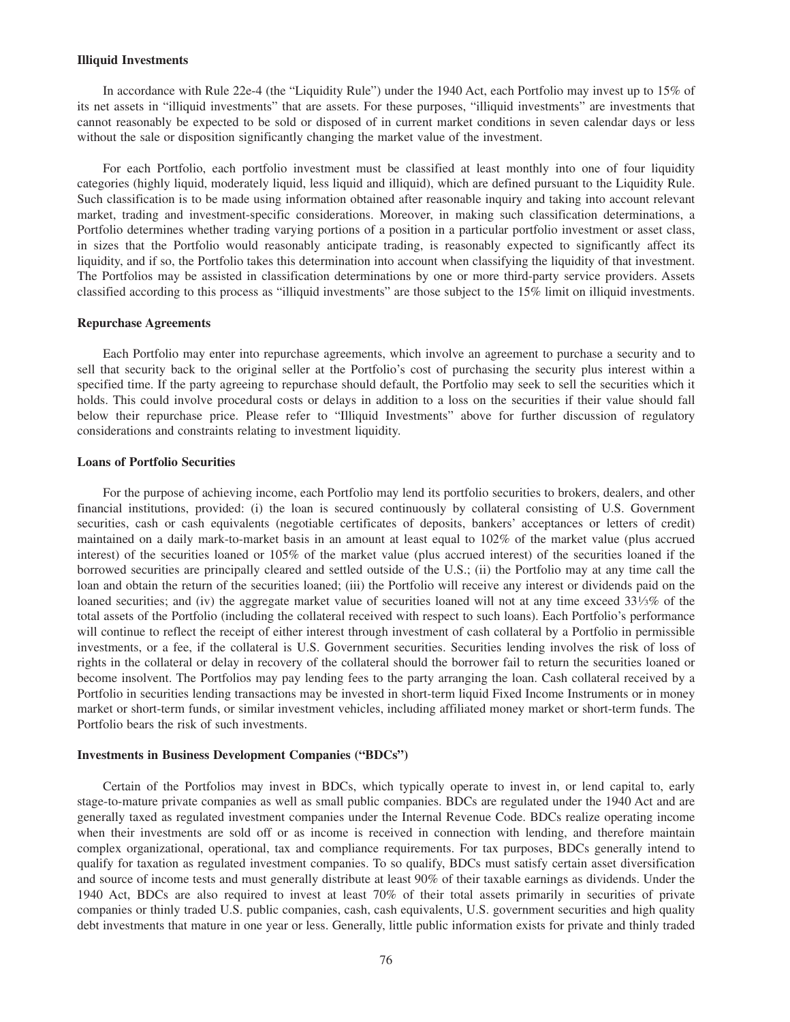#### **Illiquid Investments**

In accordance with Rule 22e-4 (the "Liquidity Rule") under the 1940 Act, each Portfolio may invest up to 15% of its net assets in "illiquid investments" that are assets. For these purposes, "illiquid investments" are investments that cannot reasonably be expected to be sold or disposed of in current market conditions in seven calendar days or less without the sale or disposition significantly changing the market value of the investment.

For each Portfolio, each portfolio investment must be classified at least monthly into one of four liquidity categories (highly liquid, moderately liquid, less liquid and illiquid), which are defined pursuant to the Liquidity Rule. Such classification is to be made using information obtained after reasonable inquiry and taking into account relevant market, trading and investment-specific considerations. Moreover, in making such classification determinations, a Portfolio determines whether trading varying portions of a position in a particular portfolio investment or asset class, in sizes that the Portfolio would reasonably anticipate trading, is reasonably expected to significantly affect its liquidity, and if so, the Portfolio takes this determination into account when classifying the liquidity of that investment. The Portfolios may be assisted in classification determinations by one or more third-party service providers. Assets classified according to this process as "illiquid investments" are those subject to the 15% limit on illiquid investments.

#### **Repurchase Agreements**

Each Portfolio may enter into repurchase agreements, which involve an agreement to purchase a security and to sell that security back to the original seller at the Portfolio's cost of purchasing the security plus interest within a specified time. If the party agreeing to repurchase should default, the Portfolio may seek to sell the securities which it holds. This could involve procedural costs or delays in addition to a loss on the securities if their value should fall below their repurchase price. Please refer to "Illiquid Investments" above for further discussion of regulatory considerations and constraints relating to investment liquidity.

#### **Loans of Portfolio Securities**

For the purpose of achieving income, each Portfolio may lend its portfolio securities to brokers, dealers, and other financial institutions, provided: (i) the loan is secured continuously by collateral consisting of U.S. Government securities, cash or cash equivalents (negotiable certificates of deposits, bankers' acceptances or letters of credit) maintained on a daily mark-to-market basis in an amount at least equal to 102% of the market value (plus accrued interest) of the securities loaned or 105% of the market value (plus accrued interest) of the securities loaned if the borrowed securities are principally cleared and settled outside of the U.S.; (ii) the Portfolio may at any time call the loan and obtain the return of the securities loaned; (iii) the Portfolio will receive any interest or dividends paid on the loaned securities; and (iv) the aggregate market value of securities loaned will not at any time exceed  $33\frac{1}{3}\%$  of the total assets of the Portfolio (including the collateral received with respect to such loans). Each Portfolio's performance will continue to reflect the receipt of either interest through investment of cash collateral by a Portfolio in permissible investments, or a fee, if the collateral is U.S. Government securities. Securities lending involves the risk of loss of rights in the collateral or delay in recovery of the collateral should the borrower fail to return the securities loaned or become insolvent. The Portfolios may pay lending fees to the party arranging the loan. Cash collateral received by a Portfolio in securities lending transactions may be invested in short-term liquid Fixed Income Instruments or in money market or short-term funds, or similar investment vehicles, including affiliated money market or short-term funds. The Portfolio bears the risk of such investments.

#### **Investments in Business Development Companies ("BDCs")**

Certain of the Portfolios may invest in BDCs, which typically operate to invest in, or lend capital to, early stage-to-mature private companies as well as small public companies. BDCs are regulated under the 1940 Act and are generally taxed as regulated investment companies under the Internal Revenue Code. BDCs realize operating income when their investments are sold off or as income is received in connection with lending, and therefore maintain complex organizational, operational, tax and compliance requirements. For tax purposes, BDCs generally intend to qualify for taxation as regulated investment companies. To so qualify, BDCs must satisfy certain asset diversification and source of income tests and must generally distribute at least 90% of their taxable earnings as dividends. Under the 1940 Act, BDCs are also required to invest at least 70% of their total assets primarily in securities of private companies or thinly traded U.S. public companies, cash, cash equivalents, U.S. government securities and high quality debt investments that mature in one year or less. Generally, little public information exists for private and thinly traded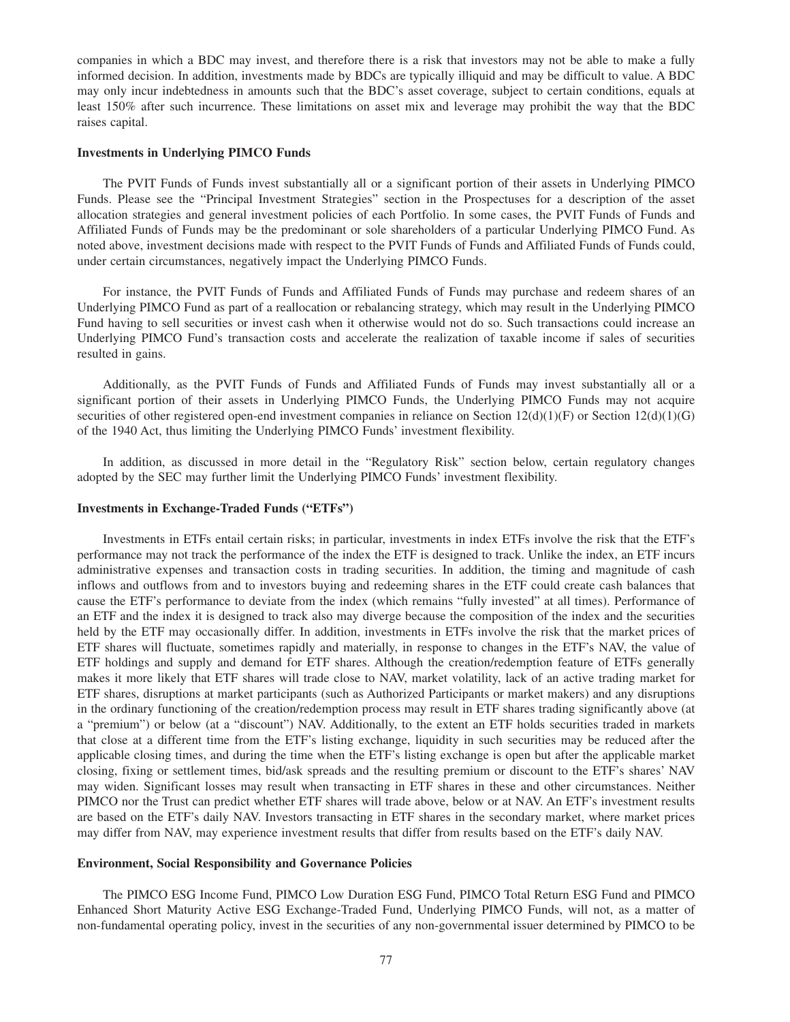companies in which a BDC may invest, and therefore there is a risk that investors may not be able to make a fully informed decision. In addition, investments made by BDCs are typically illiquid and may be difficult to value. A BDC may only incur indebtedness in amounts such that the BDC's asset coverage, subject to certain conditions, equals at least 150% after such incurrence. These limitations on asset mix and leverage may prohibit the way that the BDC raises capital.

#### **Investments in Underlying PIMCO Funds**

The PVIT Funds of Funds invest substantially all or a significant portion of their assets in Underlying PIMCO Funds. Please see the "Principal Investment Strategies" section in the Prospectuses for a description of the asset allocation strategies and general investment policies of each Portfolio. In some cases, the PVIT Funds of Funds and Affiliated Funds of Funds may be the predominant or sole shareholders of a particular Underlying PIMCO Fund. As noted above, investment decisions made with respect to the PVIT Funds of Funds and Affiliated Funds of Funds could, under certain circumstances, negatively impact the Underlying PIMCO Funds.

For instance, the PVIT Funds of Funds and Affiliated Funds of Funds may purchase and redeem shares of an Underlying PIMCO Fund as part of a reallocation or rebalancing strategy, which may result in the Underlying PIMCO Fund having to sell securities or invest cash when it otherwise would not do so. Such transactions could increase an Underlying PIMCO Fund's transaction costs and accelerate the realization of taxable income if sales of securities resulted in gains.

Additionally, as the PVIT Funds of Funds and Affiliated Funds of Funds may invest substantially all or a significant portion of their assets in Underlying PIMCO Funds, the Underlying PIMCO Funds may not acquire securities of other registered open-end investment companies in reliance on Section  $12(d)(1)(F)$  or Section  $12(d)(1)(G)$ of the 1940 Act, thus limiting the Underlying PIMCO Funds' investment flexibility.

In addition, as discussed in more detail in the "Regulatory Risk" section below, certain regulatory changes adopted by the SEC may further limit the Underlying PIMCO Funds' investment flexibility.

# **Investments in Exchange-Traded Funds ("ETFs")**

Investments in ETFs entail certain risks; in particular, investments in index ETFs involve the risk that the ETF's performance may not track the performance of the index the ETF is designed to track. Unlike the index, an ETF incurs administrative expenses and transaction costs in trading securities. In addition, the timing and magnitude of cash inflows and outflows from and to investors buying and redeeming shares in the ETF could create cash balances that cause the ETF's performance to deviate from the index (which remains "fully invested" at all times). Performance of an ETF and the index it is designed to track also may diverge because the composition of the index and the securities held by the ETF may occasionally differ. In addition, investments in ETFs involve the risk that the market prices of ETF shares will fluctuate, sometimes rapidly and materially, in response to changes in the ETF's NAV, the value of ETF holdings and supply and demand for ETF shares. Although the creation/redemption feature of ETFs generally makes it more likely that ETF shares will trade close to NAV, market volatility, lack of an active trading market for ETF shares, disruptions at market participants (such as Authorized Participants or market makers) and any disruptions in the ordinary functioning of the creation/redemption process may result in ETF shares trading significantly above (at a "premium") or below (at a "discount") NAV. Additionally, to the extent an ETF holds securities traded in markets that close at a different time from the ETF's listing exchange, liquidity in such securities may be reduced after the applicable closing times, and during the time when the ETF's listing exchange is open but after the applicable market closing, fixing or settlement times, bid/ask spreads and the resulting premium or discount to the ETF's shares' NAV may widen. Significant losses may result when transacting in ETF shares in these and other circumstances. Neither PIMCO nor the Trust can predict whether ETF shares will trade above, below or at NAV. An ETF's investment results are based on the ETF's daily NAV. Investors transacting in ETF shares in the secondary market, where market prices may differ from NAV, may experience investment results that differ from results based on the ETF's daily NAV.

## **Environment, Social Responsibility and Governance Policies**

The PIMCO ESG Income Fund, PIMCO Low Duration ESG Fund, PIMCO Total Return ESG Fund and PIMCO Enhanced Short Maturity Active ESG Exchange-Traded Fund, Underlying PIMCO Funds, will not, as a matter of non-fundamental operating policy, invest in the securities of any non-governmental issuer determined by PIMCO to be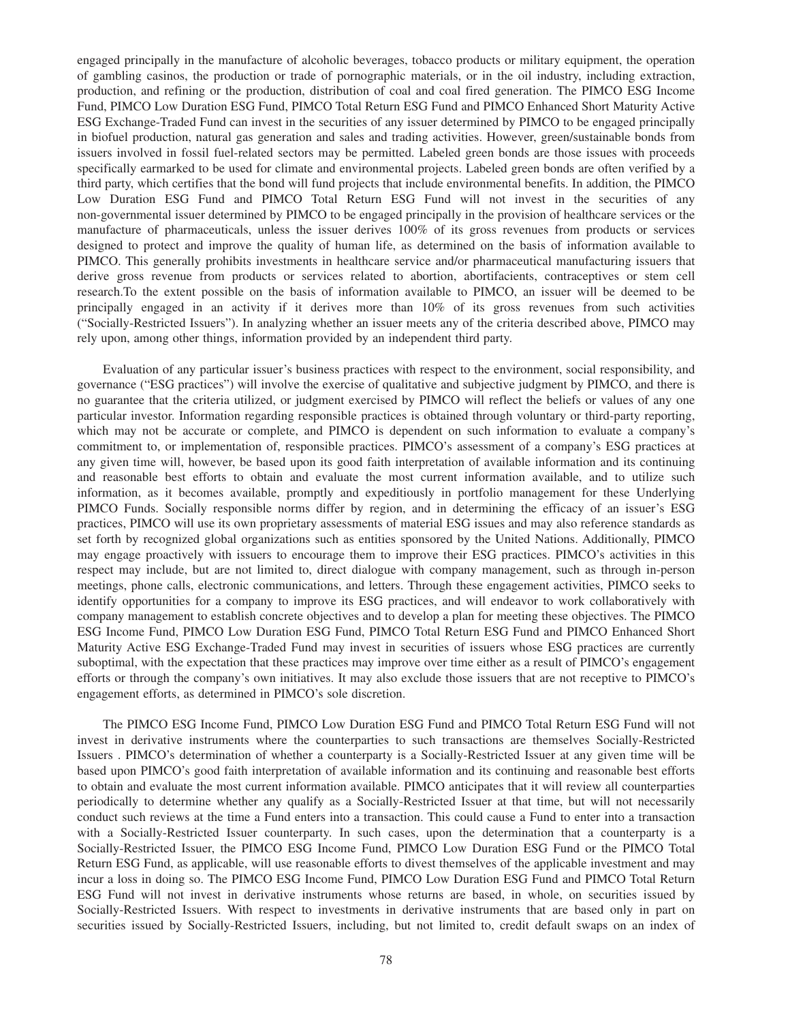engaged principally in the manufacture of alcoholic beverages, tobacco products or military equipment, the operation of gambling casinos, the production or trade of pornographic materials, or in the oil industry, including extraction, production, and refining or the production, distribution of coal and coal fired generation. The PIMCO ESG Income Fund, PIMCO Low Duration ESG Fund, PIMCO Total Return ESG Fund and PIMCO Enhanced Short Maturity Active ESG Exchange-Traded Fund can invest in the securities of any issuer determined by PIMCO to be engaged principally in biofuel production, natural gas generation and sales and trading activities. However, green/sustainable bonds from issuers involved in fossil fuel-related sectors may be permitted. Labeled green bonds are those issues with proceeds specifically earmarked to be used for climate and environmental projects. Labeled green bonds are often verified by a third party, which certifies that the bond will fund projects that include environmental benefits. In addition, the PIMCO Low Duration ESG Fund and PIMCO Total Return ESG Fund will not invest in the securities of any non-governmental issuer determined by PIMCO to be engaged principally in the provision of healthcare services or the manufacture of pharmaceuticals, unless the issuer derives 100% of its gross revenues from products or services designed to protect and improve the quality of human life, as determined on the basis of information available to PIMCO. This generally prohibits investments in healthcare service and/or pharmaceutical manufacturing issuers that derive gross revenue from products or services related to abortion, abortifacients, contraceptives or stem cell research.To the extent possible on the basis of information available to PIMCO, an issuer will be deemed to be principally engaged in an activity if it derives more than 10% of its gross revenues from such activities ("Socially-Restricted Issuers"). In analyzing whether an issuer meets any of the criteria described above, PIMCO may rely upon, among other things, information provided by an independent third party.

Evaluation of any particular issuer's business practices with respect to the environment, social responsibility, and governance ("ESG practices") will involve the exercise of qualitative and subjective judgment by PIMCO, and there is no guarantee that the criteria utilized, or judgment exercised by PIMCO will reflect the beliefs or values of any one particular investor. Information regarding responsible practices is obtained through voluntary or third-party reporting, which may not be accurate or complete, and PIMCO is dependent on such information to evaluate a company's commitment to, or implementation of, responsible practices. PIMCO's assessment of a company's ESG practices at any given time will, however, be based upon its good faith interpretation of available information and its continuing and reasonable best efforts to obtain and evaluate the most current information available, and to utilize such information, as it becomes available, promptly and expeditiously in portfolio management for these Underlying PIMCO Funds. Socially responsible norms differ by region, and in determining the efficacy of an issuer's ESG practices, PIMCO will use its own proprietary assessments of material ESG issues and may also reference standards as set forth by recognized global organizations such as entities sponsored by the United Nations. Additionally, PIMCO may engage proactively with issuers to encourage them to improve their ESG practices. PIMCO's activities in this respect may include, but are not limited to, direct dialogue with company management, such as through in-person meetings, phone calls, electronic communications, and letters. Through these engagement activities, PIMCO seeks to identify opportunities for a company to improve its ESG practices, and will endeavor to work collaboratively with company management to establish concrete objectives and to develop a plan for meeting these objectives. The PIMCO ESG Income Fund, PIMCO Low Duration ESG Fund, PIMCO Total Return ESG Fund and PIMCO Enhanced Short Maturity Active ESG Exchange-Traded Fund may invest in securities of issuers whose ESG practices are currently suboptimal, with the expectation that these practices may improve over time either as a result of PIMCO's engagement efforts or through the company's own initiatives. It may also exclude those issuers that are not receptive to PIMCO's engagement efforts, as determined in PIMCO's sole discretion.

The PIMCO ESG Income Fund, PIMCO Low Duration ESG Fund and PIMCO Total Return ESG Fund will not invest in derivative instruments where the counterparties to such transactions are themselves Socially-Restricted Issuers . PIMCO's determination of whether a counterparty is a Socially-Restricted Issuer at any given time will be based upon PIMCO's good faith interpretation of available information and its continuing and reasonable best efforts to obtain and evaluate the most current information available. PIMCO anticipates that it will review all counterparties periodically to determine whether any qualify as a Socially-Restricted Issuer at that time, but will not necessarily conduct such reviews at the time a Fund enters into a transaction. This could cause a Fund to enter into a transaction with a Socially-Restricted Issuer counterparty. In such cases, upon the determination that a counterparty is a Socially-Restricted Issuer, the PIMCO ESG Income Fund, PIMCO Low Duration ESG Fund or the PIMCO Total Return ESG Fund, as applicable, will use reasonable efforts to divest themselves of the applicable investment and may incur a loss in doing so. The PIMCO ESG Income Fund, PIMCO Low Duration ESG Fund and PIMCO Total Return ESG Fund will not invest in derivative instruments whose returns are based, in whole, on securities issued by Socially-Restricted Issuers. With respect to investments in derivative instruments that are based only in part on securities issued by Socially-Restricted Issuers, including, but not limited to, credit default swaps on an index of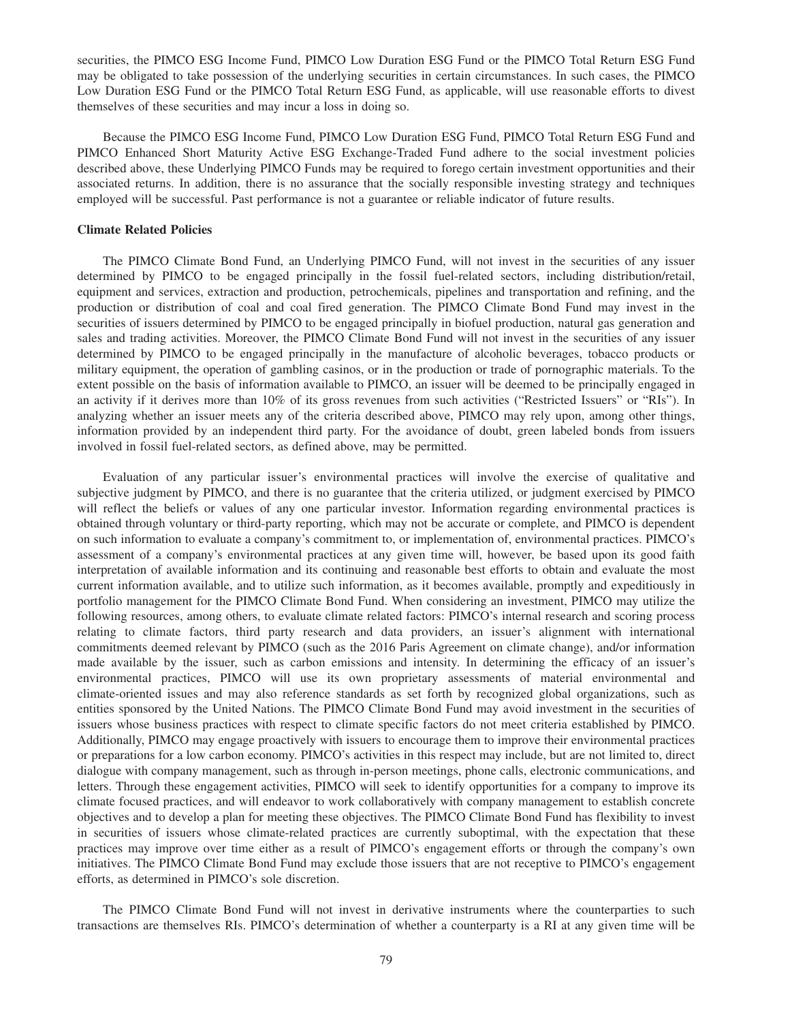securities, the PIMCO ESG Income Fund, PIMCO Low Duration ESG Fund or the PIMCO Total Return ESG Fund may be obligated to take possession of the underlying securities in certain circumstances. In such cases, the PIMCO Low Duration ESG Fund or the PIMCO Total Return ESG Fund, as applicable, will use reasonable efforts to divest themselves of these securities and may incur a loss in doing so.

Because the PIMCO ESG Income Fund, PIMCO Low Duration ESG Fund, PIMCO Total Return ESG Fund and PIMCO Enhanced Short Maturity Active ESG Exchange-Traded Fund adhere to the social investment policies described above, these Underlying PIMCO Funds may be required to forego certain investment opportunities and their associated returns. In addition, there is no assurance that the socially responsible investing strategy and techniques employed will be successful. Past performance is not a guarantee or reliable indicator of future results.

# **Climate Related Policies**

The PIMCO Climate Bond Fund, an Underlying PIMCO Fund, will not invest in the securities of any issuer determined by PIMCO to be engaged principally in the fossil fuel-related sectors, including distribution/retail, equipment and services, extraction and production, petrochemicals, pipelines and transportation and refining, and the production or distribution of coal and coal fired generation. The PIMCO Climate Bond Fund may invest in the securities of issuers determined by PIMCO to be engaged principally in biofuel production, natural gas generation and sales and trading activities. Moreover, the PIMCO Climate Bond Fund will not invest in the securities of any issuer determined by PIMCO to be engaged principally in the manufacture of alcoholic beverages, tobacco products or military equipment, the operation of gambling casinos, or in the production or trade of pornographic materials. To the extent possible on the basis of information available to PIMCO, an issuer will be deemed to be principally engaged in an activity if it derives more than 10% of its gross revenues from such activities ("Restricted Issuers" or "RIs"). In analyzing whether an issuer meets any of the criteria described above, PIMCO may rely upon, among other things, information provided by an independent third party. For the avoidance of doubt, green labeled bonds from issuers involved in fossil fuel-related sectors, as defined above, may be permitted.

Evaluation of any particular issuer's environmental practices will involve the exercise of qualitative and subjective judgment by PIMCO, and there is no guarantee that the criteria utilized, or judgment exercised by PIMCO will reflect the beliefs or values of any one particular investor. Information regarding environmental practices is obtained through voluntary or third-party reporting, which may not be accurate or complete, and PIMCO is dependent on such information to evaluate a company's commitment to, or implementation of, environmental practices. PIMCO's assessment of a company's environmental practices at any given time will, however, be based upon its good faith interpretation of available information and its continuing and reasonable best efforts to obtain and evaluate the most current information available, and to utilize such information, as it becomes available, promptly and expeditiously in portfolio management for the PIMCO Climate Bond Fund. When considering an investment, PIMCO may utilize the following resources, among others, to evaluate climate related factors: PIMCO's internal research and scoring process relating to climate factors, third party research and data providers, an issuer's alignment with international commitments deemed relevant by PIMCO (such as the 2016 Paris Agreement on climate change), and/or information made available by the issuer, such as carbon emissions and intensity. In determining the efficacy of an issuer's environmental practices, PIMCO will use its own proprietary assessments of material environmental and climate-oriented issues and may also reference standards as set forth by recognized global organizations, such as entities sponsored by the United Nations. The PIMCO Climate Bond Fund may avoid investment in the securities of issuers whose business practices with respect to climate specific factors do not meet criteria established by PIMCO. Additionally, PIMCO may engage proactively with issuers to encourage them to improve their environmental practices or preparations for a low carbon economy. PIMCO's activities in this respect may include, but are not limited to, direct dialogue with company management, such as through in-person meetings, phone calls, electronic communications, and letters. Through these engagement activities, PIMCO will seek to identify opportunities for a company to improve its climate focused practices, and will endeavor to work collaboratively with company management to establish concrete objectives and to develop a plan for meeting these objectives. The PIMCO Climate Bond Fund has flexibility to invest in securities of issuers whose climate-related practices are currently suboptimal, with the expectation that these practices may improve over time either as a result of PIMCO's engagement efforts or through the company's own initiatives. The PIMCO Climate Bond Fund may exclude those issuers that are not receptive to PIMCO's engagement efforts, as determined in PIMCO's sole discretion.

The PIMCO Climate Bond Fund will not invest in derivative instruments where the counterparties to such transactions are themselves RIs. PIMCO's determination of whether a counterparty is a RI at any given time will be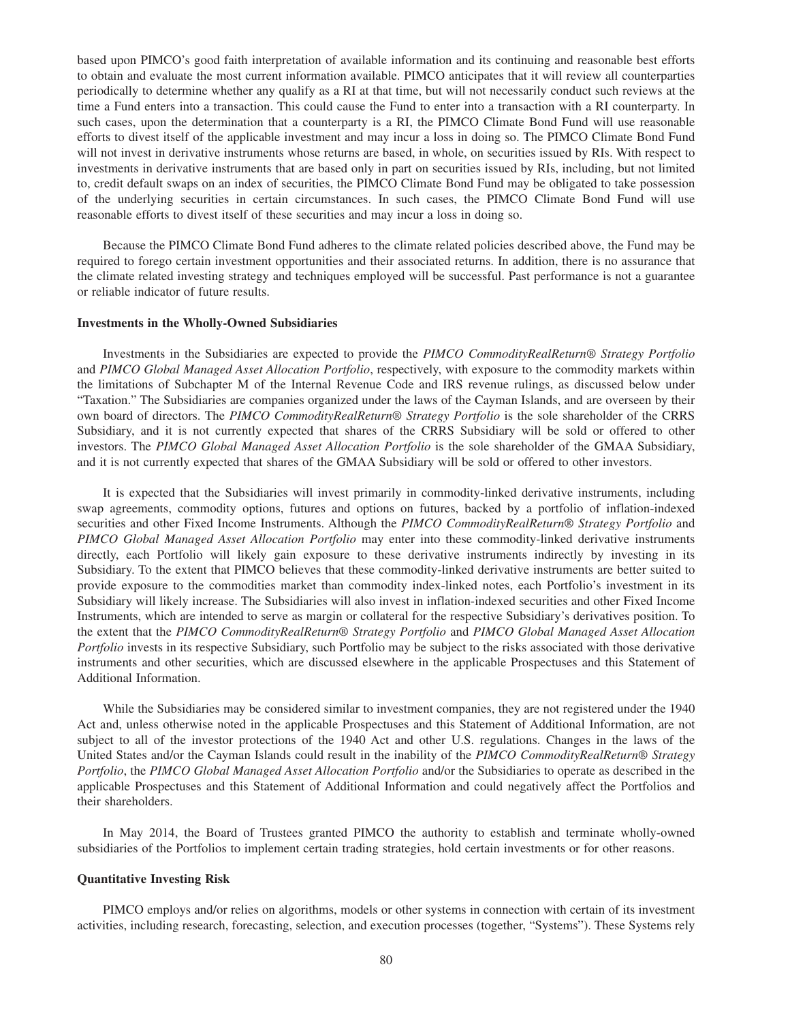based upon PIMCO's good faith interpretation of available information and its continuing and reasonable best efforts to obtain and evaluate the most current information available. PIMCO anticipates that it will review all counterparties periodically to determine whether any qualify as a RI at that time, but will not necessarily conduct such reviews at the time a Fund enters into a transaction. This could cause the Fund to enter into a transaction with a RI counterparty. In such cases, upon the determination that a counterparty is a RI, the PIMCO Climate Bond Fund will use reasonable efforts to divest itself of the applicable investment and may incur a loss in doing so. The PIMCO Climate Bond Fund will not invest in derivative instruments whose returns are based, in whole, on securities issued by RIs. With respect to investments in derivative instruments that are based only in part on securities issued by RIs, including, but not limited to, credit default swaps on an index of securities, the PIMCO Climate Bond Fund may be obligated to take possession of the underlying securities in certain circumstances. In such cases, the PIMCO Climate Bond Fund will use reasonable efforts to divest itself of these securities and may incur a loss in doing so.

Because the PIMCO Climate Bond Fund adheres to the climate related policies described above, the Fund may be required to forego certain investment opportunities and their associated returns. In addition, there is no assurance that the climate related investing strategy and techniques employed will be successful. Past performance is not a guarantee or reliable indicator of future results.

#### **Investments in the Wholly-Owned Subsidiaries**

Investments in the Subsidiaries are expected to provide the *PIMCO CommodityRealReturn® Strategy Portfolio* and *PIMCO Global Managed Asset Allocation Portfolio*, respectively, with exposure to the commodity markets within the limitations of Subchapter M of the Internal Revenue Code and IRS revenue rulings, as discussed below under "Taxation." The Subsidiaries are companies organized under the laws of the Cayman Islands, and are overseen by their own board of directors. The *PIMCO CommodityRealReturn® Strategy Portfolio* is the sole shareholder of the CRRS Subsidiary, and it is not currently expected that shares of the CRRS Subsidiary will be sold or offered to other investors. The *PIMCO Global Managed Asset Allocation Portfolio* is the sole shareholder of the GMAA Subsidiary, and it is not currently expected that shares of the GMAA Subsidiary will be sold or offered to other investors.

It is expected that the Subsidiaries will invest primarily in commodity-linked derivative instruments, including swap agreements, commodity options, futures and options on futures, backed by a portfolio of inflation-indexed securities and other Fixed Income Instruments. Although the *PIMCO CommodityRealReturn® Strategy Portfolio* and *PIMCO Global Managed Asset Allocation Portfolio* may enter into these commodity-linked derivative instruments directly, each Portfolio will likely gain exposure to these derivative instruments indirectly by investing in its Subsidiary. To the extent that PIMCO believes that these commodity-linked derivative instruments are better suited to provide exposure to the commodities market than commodity index-linked notes, each Portfolio's investment in its Subsidiary will likely increase. The Subsidiaries will also invest in inflation-indexed securities and other Fixed Income Instruments, which are intended to serve as margin or collateral for the respective Subsidiary's derivatives position. To the extent that the *PIMCO CommodityRealReturn® Strategy Portfolio* and *PIMCO Global Managed Asset Allocation Portfolio* invests in its respective Subsidiary, such Portfolio may be subject to the risks associated with those derivative instruments and other securities, which are discussed elsewhere in the applicable Prospectuses and this Statement of Additional Information.

While the Subsidiaries may be considered similar to investment companies, they are not registered under the 1940 Act and, unless otherwise noted in the applicable Prospectuses and this Statement of Additional Information, are not subject to all of the investor protections of the 1940 Act and other U.S. regulations. Changes in the laws of the United States and/or the Cayman Islands could result in the inability of the *PIMCO CommodityRealReturn® Strategy Portfolio*, the *PIMCO Global Managed Asset Allocation Portfolio* and/or the Subsidiaries to operate as described in the applicable Prospectuses and this Statement of Additional Information and could negatively affect the Portfolios and their shareholders.

In May 2014, the Board of Trustees granted PIMCO the authority to establish and terminate wholly-owned subsidiaries of the Portfolios to implement certain trading strategies, hold certain investments or for other reasons.

# **Quantitative Investing Risk**

PIMCO employs and/or relies on algorithms, models or other systems in connection with certain of its investment activities, including research, forecasting, selection, and execution processes (together, "Systems"). These Systems rely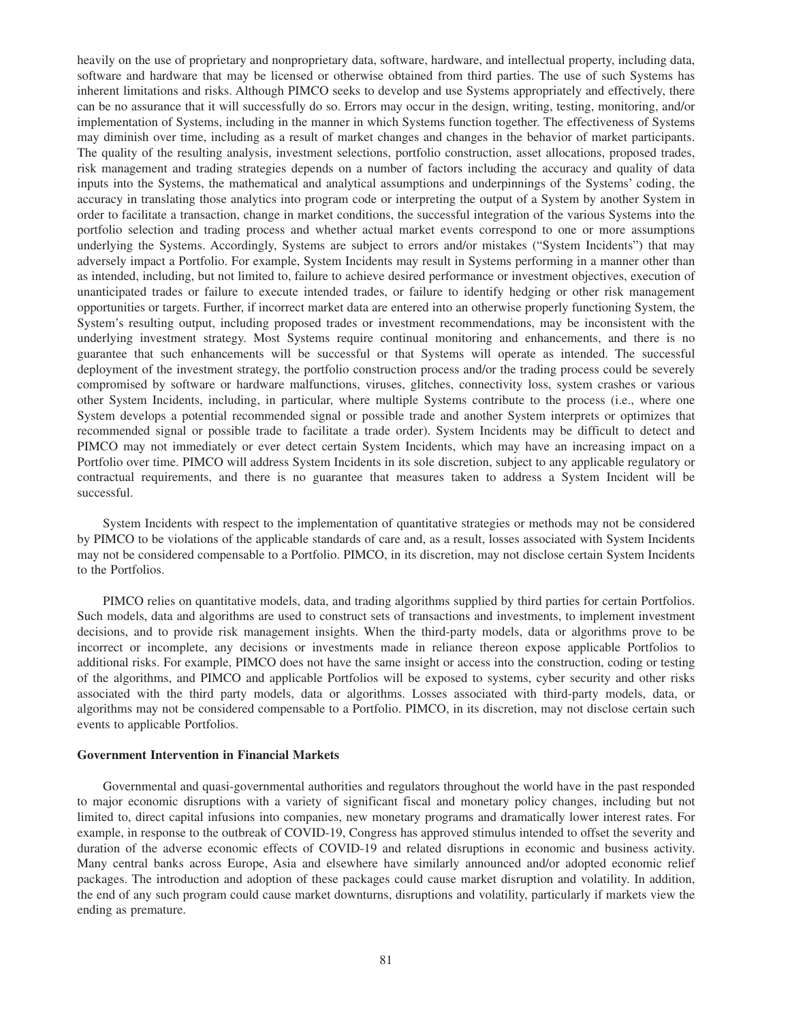heavily on the use of proprietary and nonproprietary data, software, hardware, and intellectual property, including data, software and hardware that may be licensed or otherwise obtained from third parties. The use of such Systems has inherent limitations and risks. Although PIMCO seeks to develop and use Systems appropriately and effectively, there can be no assurance that it will successfully do so. Errors may occur in the design, writing, testing, monitoring, and/or implementation of Systems, including in the manner in which Systems function together. The effectiveness of Systems may diminish over time, including as a result of market changes and changes in the behavior of market participants. The quality of the resulting analysis, investment selections, portfolio construction, asset allocations, proposed trades, risk management and trading strategies depends on a number of factors including the accuracy and quality of data inputs into the Systems, the mathematical and analytical assumptions and underpinnings of the Systems' coding, the accuracy in translating those analytics into program code or interpreting the output of a System by another System in order to facilitate a transaction, change in market conditions, the successful integration of the various Systems into the portfolio selection and trading process and whether actual market events correspond to one or more assumptions underlying the Systems. Accordingly, Systems are subject to errors and/or mistakes ("System Incidents") that may adversely impact a Portfolio. For example, System Incidents may result in Systems performing in a manner other than as intended, including, but not limited to, failure to achieve desired performance or investment objectives, execution of unanticipated trades or failure to execute intended trades, or failure to identify hedging or other risk management opportunities or targets. Further, if incorrect market data are entered into an otherwise properly functioning System, the System's resulting output, including proposed trades or investment recommendations, may be inconsistent with the underlying investment strategy. Most Systems require continual monitoring and enhancements, and there is no guarantee that such enhancements will be successful or that Systems will operate as intended. The successful deployment of the investment strategy, the portfolio construction process and/or the trading process could be severely compromised by software or hardware malfunctions, viruses, glitches, connectivity loss, system crashes or various other System Incidents, including, in particular, where multiple Systems contribute to the process (i.e., where one System develops a potential recommended signal or possible trade and another System interprets or optimizes that recommended signal or possible trade to facilitate a trade order). System Incidents may be difficult to detect and PIMCO may not immediately or ever detect certain System Incidents, which may have an increasing impact on a Portfolio over time. PIMCO will address System Incidents in its sole discretion, subject to any applicable regulatory or contractual requirements, and there is no guarantee that measures taken to address a System Incident will be successful.

System Incidents with respect to the implementation of quantitative strategies or methods may not be considered by PIMCO to be violations of the applicable standards of care and, as a result, losses associated with System Incidents may not be considered compensable to a Portfolio. PIMCO, in its discretion, may not disclose certain System Incidents to the Portfolios.

PIMCO relies on quantitative models, data, and trading algorithms supplied by third parties for certain Portfolios. Such models, data and algorithms are used to construct sets of transactions and investments, to implement investment decisions, and to provide risk management insights. When the third-party models, data or algorithms prove to be incorrect or incomplete, any decisions or investments made in reliance thereon expose applicable Portfolios to additional risks. For example, PIMCO does not have the same insight or access into the construction, coding or testing of the algorithms, and PIMCO and applicable Portfolios will be exposed to systems, cyber security and other risks associated with the third party models, data or algorithms. Losses associated with third-party models, data, or algorithms may not be considered compensable to a Portfolio. PIMCO, in its discretion, may not disclose certain such events to applicable Portfolios.

#### **Government Intervention in Financial Markets**

Governmental and quasi-governmental authorities and regulators throughout the world have in the past responded to major economic disruptions with a variety of significant fiscal and monetary policy changes, including but not limited to, direct capital infusions into companies, new monetary programs and dramatically lower interest rates. For example, in response to the outbreak of COVID-19, Congress has approved stimulus intended to offset the severity and duration of the adverse economic effects of COVID-19 and related disruptions in economic and business activity. Many central banks across Europe, Asia and elsewhere have similarly announced and/or adopted economic relief packages. The introduction and adoption of these packages could cause market disruption and volatility. In addition, the end of any such program could cause market downturns, disruptions and volatility, particularly if markets view the ending as premature.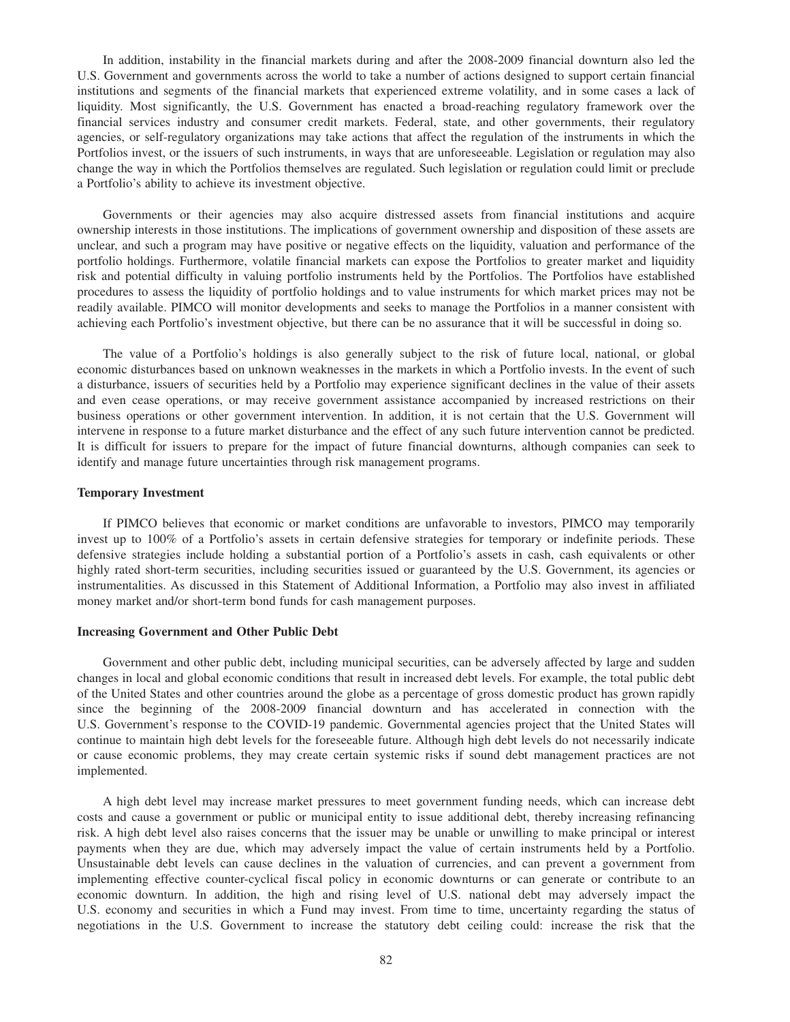In addition, instability in the financial markets during and after the 2008-2009 financial downturn also led the U.S. Government and governments across the world to take a number of actions designed to support certain financial institutions and segments of the financial markets that experienced extreme volatility, and in some cases a lack of liquidity. Most significantly, the U.S. Government has enacted a broad-reaching regulatory framework over the financial services industry and consumer credit markets. Federal, state, and other governments, their regulatory agencies, or self-regulatory organizations may take actions that affect the regulation of the instruments in which the Portfolios invest, or the issuers of such instruments, in ways that are unforeseeable. Legislation or regulation may also change the way in which the Portfolios themselves are regulated. Such legislation or regulation could limit or preclude a Portfolio's ability to achieve its investment objective.

Governments or their agencies may also acquire distressed assets from financial institutions and acquire ownership interests in those institutions. The implications of government ownership and disposition of these assets are unclear, and such a program may have positive or negative effects on the liquidity, valuation and performance of the portfolio holdings. Furthermore, volatile financial markets can expose the Portfolios to greater market and liquidity risk and potential difficulty in valuing portfolio instruments held by the Portfolios. The Portfolios have established procedures to assess the liquidity of portfolio holdings and to value instruments for which market prices may not be readily available. PIMCO will monitor developments and seeks to manage the Portfolios in a manner consistent with achieving each Portfolio's investment objective, but there can be no assurance that it will be successful in doing so.

The value of a Portfolio's holdings is also generally subject to the risk of future local, national, or global economic disturbances based on unknown weaknesses in the markets in which a Portfolio invests. In the event of such a disturbance, issuers of securities held by a Portfolio may experience significant declines in the value of their assets and even cease operations, or may receive government assistance accompanied by increased restrictions on their business operations or other government intervention. In addition, it is not certain that the U.S. Government will intervene in response to a future market disturbance and the effect of any such future intervention cannot be predicted. It is difficult for issuers to prepare for the impact of future financial downturns, although companies can seek to identify and manage future uncertainties through risk management programs.

#### **Temporary Investment**

If PIMCO believes that economic or market conditions are unfavorable to investors, PIMCO may temporarily invest up to 100% of a Portfolio's assets in certain defensive strategies for temporary or indefinite periods. These defensive strategies include holding a substantial portion of a Portfolio's assets in cash, cash equivalents or other highly rated short-term securities, including securities issued or guaranteed by the U.S. Government, its agencies or instrumentalities. As discussed in this Statement of Additional Information, a Portfolio may also invest in affiliated money market and/or short-term bond funds for cash management purposes.

#### **Increasing Government and Other Public Debt**

Government and other public debt, including municipal securities, can be adversely affected by large and sudden changes in local and global economic conditions that result in increased debt levels. For example, the total public debt of the United States and other countries around the globe as a percentage of gross domestic product has grown rapidly since the beginning of the 2008-2009 financial downturn and has accelerated in connection with the U.S. Government's response to the COVID-19 pandemic. Governmental agencies project that the United States will continue to maintain high debt levels for the foreseeable future. Although high debt levels do not necessarily indicate or cause economic problems, they may create certain systemic risks if sound debt management practices are not implemented.

A high debt level may increase market pressures to meet government funding needs, which can increase debt costs and cause a government or public or municipal entity to issue additional debt, thereby increasing refinancing risk. A high debt level also raises concerns that the issuer may be unable or unwilling to make principal or interest payments when they are due, which may adversely impact the value of certain instruments held by a Portfolio. Unsustainable debt levels can cause declines in the valuation of currencies, and can prevent a government from implementing effective counter-cyclical fiscal policy in economic downturns or can generate or contribute to an economic downturn. In addition, the high and rising level of U.S. national debt may adversely impact the U.S. economy and securities in which a Fund may invest. From time to time, uncertainty regarding the status of negotiations in the U.S. Government to increase the statutory debt ceiling could: increase the risk that the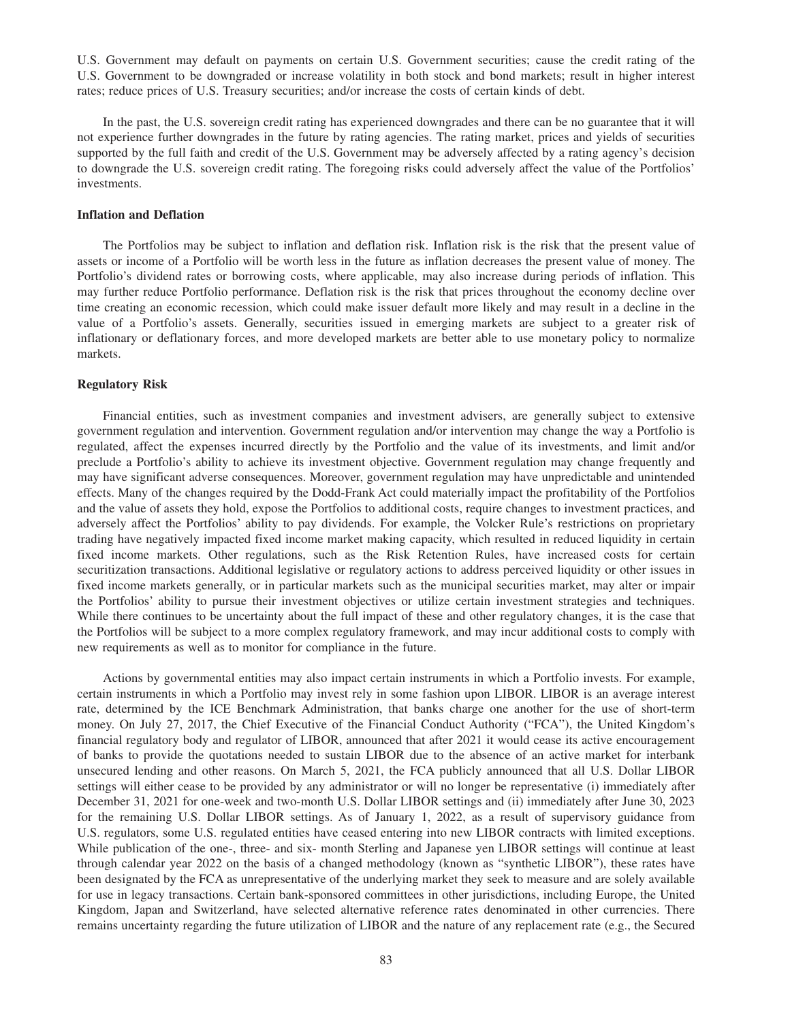U.S. Government may default on payments on certain U.S. Government securities; cause the credit rating of the U.S. Government to be downgraded or increase volatility in both stock and bond markets; result in higher interest rates; reduce prices of U.S. Treasury securities; and/or increase the costs of certain kinds of debt.

In the past, the U.S. sovereign credit rating has experienced downgrades and there can be no guarantee that it will not experience further downgrades in the future by rating agencies. The rating market, prices and yields of securities supported by the full faith and credit of the U.S. Government may be adversely affected by a rating agency's decision to downgrade the U.S. sovereign credit rating. The foregoing risks could adversely affect the value of the Portfolios' investments.

# **Inflation and Deflation**

The Portfolios may be subject to inflation and deflation risk. Inflation risk is the risk that the present value of assets or income of a Portfolio will be worth less in the future as inflation decreases the present value of money. The Portfolio's dividend rates or borrowing costs, where applicable, may also increase during periods of inflation. This may further reduce Portfolio performance. Deflation risk is the risk that prices throughout the economy decline over time creating an economic recession, which could make issuer default more likely and may result in a decline in the value of a Portfolio's assets. Generally, securities issued in emerging markets are subject to a greater risk of inflationary or deflationary forces, and more developed markets are better able to use monetary policy to normalize markets.

## **Regulatory Risk**

Financial entities, such as investment companies and investment advisers, are generally subject to extensive government regulation and intervention. Government regulation and/or intervention may change the way a Portfolio is regulated, affect the expenses incurred directly by the Portfolio and the value of its investments, and limit and/or preclude a Portfolio's ability to achieve its investment objective. Government regulation may change frequently and may have significant adverse consequences. Moreover, government regulation may have unpredictable and unintended effects. Many of the changes required by the Dodd-Frank Act could materially impact the profitability of the Portfolios and the value of assets they hold, expose the Portfolios to additional costs, require changes to investment practices, and adversely affect the Portfolios' ability to pay dividends. For example, the Volcker Rule's restrictions on proprietary trading have negatively impacted fixed income market making capacity, which resulted in reduced liquidity in certain fixed income markets. Other regulations, such as the Risk Retention Rules, have increased costs for certain securitization transactions. Additional legislative or regulatory actions to address perceived liquidity or other issues in fixed income markets generally, or in particular markets such as the municipal securities market, may alter or impair the Portfolios' ability to pursue their investment objectives or utilize certain investment strategies and techniques. While there continues to be uncertainty about the full impact of these and other regulatory changes, it is the case that the Portfolios will be subject to a more complex regulatory framework, and may incur additional costs to comply with new requirements as well as to monitor for compliance in the future.

Actions by governmental entities may also impact certain instruments in which a Portfolio invests. For example, certain instruments in which a Portfolio may invest rely in some fashion upon LIBOR. LIBOR is an average interest rate, determined by the ICE Benchmark Administration, that banks charge one another for the use of short-term money. On July 27, 2017, the Chief Executive of the Financial Conduct Authority ("FCA"), the United Kingdom's financial regulatory body and regulator of LIBOR, announced that after 2021 it would cease its active encouragement of banks to provide the quotations needed to sustain LIBOR due to the absence of an active market for interbank unsecured lending and other reasons. On March 5, 2021, the FCA publicly announced that all U.S. Dollar LIBOR settings will either cease to be provided by any administrator or will no longer be representative (i) immediately after December 31, 2021 for one-week and two-month U.S. Dollar LIBOR settings and (ii) immediately after June 30, 2023 for the remaining U.S. Dollar LIBOR settings. As of January 1, 2022, as a result of supervisory guidance from U.S. regulators, some U.S. regulated entities have ceased entering into new LIBOR contracts with limited exceptions. While publication of the one-, three- and six- month Sterling and Japanese yen LIBOR settings will continue at least through calendar year 2022 on the basis of a changed methodology (known as "synthetic LIBOR"), these rates have been designated by the FCA as unrepresentative of the underlying market they seek to measure and are solely available for use in legacy transactions. Certain bank-sponsored committees in other jurisdictions, including Europe, the United Kingdom, Japan and Switzerland, have selected alternative reference rates denominated in other currencies. There remains uncertainty regarding the future utilization of LIBOR and the nature of any replacement rate (e.g., the Secured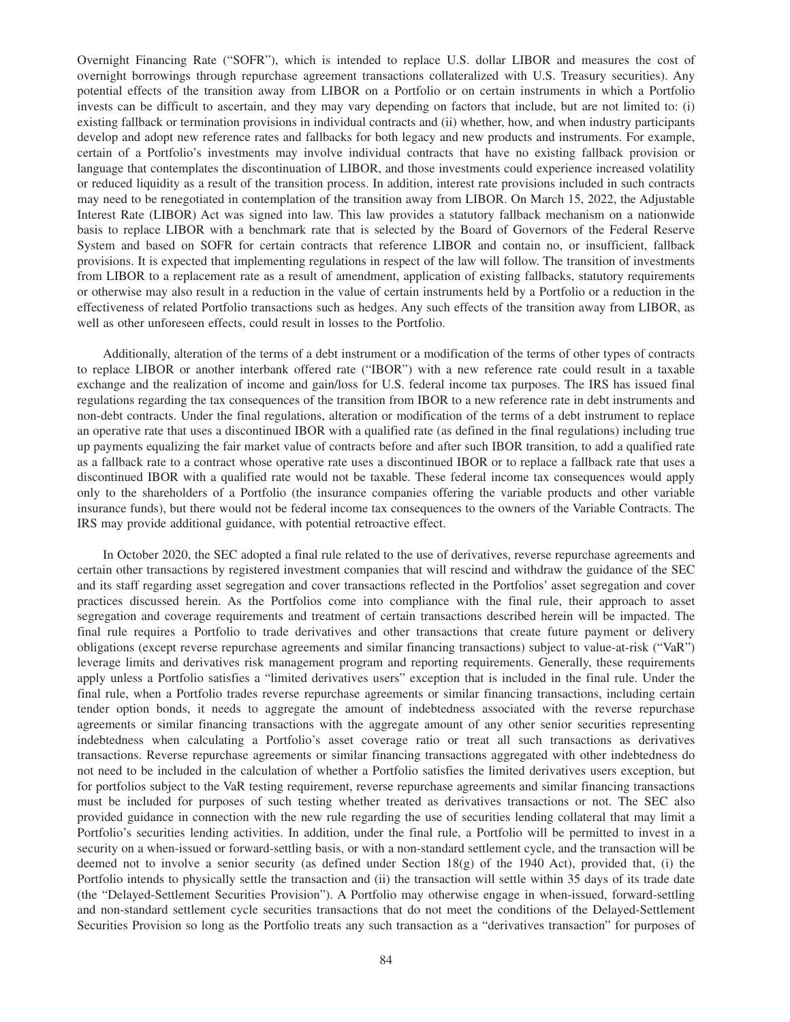Overnight Financing Rate ("SOFR"), which is intended to replace U.S. dollar LIBOR and measures the cost of overnight borrowings through repurchase agreement transactions collateralized with U.S. Treasury securities). Any potential effects of the transition away from LIBOR on a Portfolio or on certain instruments in which a Portfolio invests can be difficult to ascertain, and they may vary depending on factors that include, but are not limited to: (i) existing fallback or termination provisions in individual contracts and (ii) whether, how, and when industry participants develop and adopt new reference rates and fallbacks for both legacy and new products and instruments. For example, certain of a Portfolio's investments may involve individual contracts that have no existing fallback provision or language that contemplates the discontinuation of LIBOR, and those investments could experience increased volatility or reduced liquidity as a result of the transition process. In addition, interest rate provisions included in such contracts may need to be renegotiated in contemplation of the transition away from LIBOR. On March 15, 2022, the Adjustable Interest Rate (LIBOR) Act was signed into law. This law provides a statutory fallback mechanism on a nationwide basis to replace LIBOR with a benchmark rate that is selected by the Board of Governors of the Federal Reserve System and based on SOFR for certain contracts that reference LIBOR and contain no, or insufficient, fallback provisions. It is expected that implementing regulations in respect of the law will follow. The transition of investments from LIBOR to a replacement rate as a result of amendment, application of existing fallbacks, statutory requirements or otherwise may also result in a reduction in the value of certain instruments held by a Portfolio or a reduction in the effectiveness of related Portfolio transactions such as hedges. Any such effects of the transition away from LIBOR, as well as other unforeseen effects, could result in losses to the Portfolio.

Additionally, alteration of the terms of a debt instrument or a modification of the terms of other types of contracts to replace LIBOR or another interbank offered rate ("IBOR") with a new reference rate could result in a taxable exchange and the realization of income and gain/loss for U.S. federal income tax purposes. The IRS has issued final regulations regarding the tax consequences of the transition from IBOR to a new reference rate in debt instruments and non-debt contracts. Under the final regulations, alteration or modification of the terms of a debt instrument to replace an operative rate that uses a discontinued IBOR with a qualified rate (as defined in the final regulations) including true up payments equalizing the fair market value of contracts before and after such IBOR transition, to add a qualified rate as a fallback rate to a contract whose operative rate uses a discontinued IBOR or to replace a fallback rate that uses a discontinued IBOR with a qualified rate would not be taxable. These federal income tax consequences would apply only to the shareholders of a Portfolio (the insurance companies offering the variable products and other variable insurance funds), but there would not be federal income tax consequences to the owners of the Variable Contracts. The IRS may provide additional guidance, with potential retroactive effect.

In October 2020, the SEC adopted a final rule related to the use of derivatives, reverse repurchase agreements and certain other transactions by registered investment companies that will rescind and withdraw the guidance of the SEC and its staff regarding asset segregation and cover transactions reflected in the Portfolios' asset segregation and cover practices discussed herein. As the Portfolios come into compliance with the final rule, their approach to asset segregation and coverage requirements and treatment of certain transactions described herein will be impacted. The final rule requires a Portfolio to trade derivatives and other transactions that create future payment or delivery obligations (except reverse repurchase agreements and similar financing transactions) subject to value-at-risk ("VaR") leverage limits and derivatives risk management program and reporting requirements. Generally, these requirements apply unless a Portfolio satisfies a "limited derivatives users" exception that is included in the final rule. Under the final rule, when a Portfolio trades reverse repurchase agreements or similar financing transactions, including certain tender option bonds, it needs to aggregate the amount of indebtedness associated with the reverse repurchase agreements or similar financing transactions with the aggregate amount of any other senior securities representing indebtedness when calculating a Portfolio's asset coverage ratio or treat all such transactions as derivatives transactions. Reverse repurchase agreements or similar financing transactions aggregated with other indebtedness do not need to be included in the calculation of whether a Portfolio satisfies the limited derivatives users exception, but for portfolios subject to the VaR testing requirement, reverse repurchase agreements and similar financing transactions must be included for purposes of such testing whether treated as derivatives transactions or not. The SEC also provided guidance in connection with the new rule regarding the use of securities lending collateral that may limit a Portfolio's securities lending activities. In addition, under the final rule, a Portfolio will be permitted to invest in a security on a when-issued or forward-settling basis, or with a non-standard settlement cycle, and the transaction will be deemed not to involve a senior security (as defined under Section 18(g) of the 1940 Act), provided that, (i) the Portfolio intends to physically settle the transaction and (ii) the transaction will settle within 35 days of its trade date (the "Delayed-Settlement Securities Provision"). A Portfolio may otherwise engage in when-issued, forward-settling and non-standard settlement cycle securities transactions that do not meet the conditions of the Delayed-Settlement Securities Provision so long as the Portfolio treats any such transaction as a "derivatives transaction" for purposes of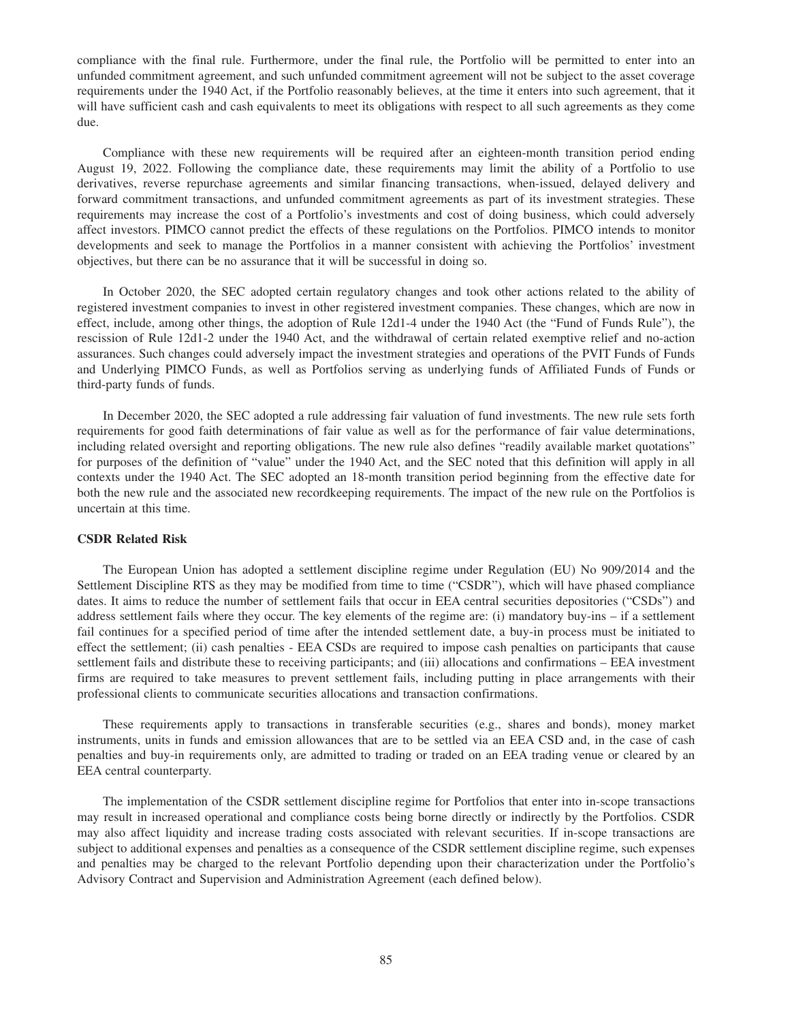compliance with the final rule. Furthermore, under the final rule, the Portfolio will be permitted to enter into an unfunded commitment agreement, and such unfunded commitment agreement will not be subject to the asset coverage requirements under the 1940 Act, if the Portfolio reasonably believes, at the time it enters into such agreement, that it will have sufficient cash and cash equivalents to meet its obligations with respect to all such agreements as they come due.

Compliance with these new requirements will be required after an eighteen-month transition period ending August 19, 2022. Following the compliance date, these requirements may limit the ability of a Portfolio to use derivatives, reverse repurchase agreements and similar financing transactions, when-issued, delayed delivery and forward commitment transactions, and unfunded commitment agreements as part of its investment strategies. These requirements may increase the cost of a Portfolio's investments and cost of doing business, which could adversely affect investors. PIMCO cannot predict the effects of these regulations on the Portfolios. PIMCO intends to monitor developments and seek to manage the Portfolios in a manner consistent with achieving the Portfolios' investment objectives, but there can be no assurance that it will be successful in doing so.

In October 2020, the SEC adopted certain regulatory changes and took other actions related to the ability of registered investment companies to invest in other registered investment companies. These changes, which are now in effect, include, among other things, the adoption of Rule 12d1-4 under the 1940 Act (the "Fund of Funds Rule"), the rescission of Rule 12d1-2 under the 1940 Act, and the withdrawal of certain related exemptive relief and no-action assurances. Such changes could adversely impact the investment strategies and operations of the PVIT Funds of Funds and Underlying PIMCO Funds, as well as Portfolios serving as underlying funds of Affiliated Funds of Funds or third-party funds of funds.

In December 2020, the SEC adopted a rule addressing fair valuation of fund investments. The new rule sets forth requirements for good faith determinations of fair value as well as for the performance of fair value determinations, including related oversight and reporting obligations. The new rule also defines "readily available market quotations" for purposes of the definition of "value" under the 1940 Act, and the SEC noted that this definition will apply in all contexts under the 1940 Act. The SEC adopted an 18-month transition period beginning from the effective date for both the new rule and the associated new recordkeeping requirements. The impact of the new rule on the Portfolios is uncertain at this time.

# **CSDR Related Risk**

The European Union has adopted a settlement discipline regime under Regulation (EU) No 909/2014 and the Settlement Discipline RTS as they may be modified from time to time ("CSDR"), which will have phased compliance dates. It aims to reduce the number of settlement fails that occur in EEA central securities depositories ("CSDs") and address settlement fails where they occur. The key elements of the regime are: (i) mandatory buy-ins – if a settlement fail continues for a specified period of time after the intended settlement date, a buy-in process must be initiated to effect the settlement; (ii) cash penalties - EEA CSDs are required to impose cash penalties on participants that cause settlement fails and distribute these to receiving participants; and (iii) allocations and confirmations – EEA investment firms are required to take measures to prevent settlement fails, including putting in place arrangements with their professional clients to communicate securities allocations and transaction confirmations.

These requirements apply to transactions in transferable securities (e.g., shares and bonds), money market instruments, units in funds and emission allowances that are to be settled via an EEA CSD and, in the case of cash penalties and buy-in requirements only, are admitted to trading or traded on an EEA trading venue or cleared by an EEA central counterparty.

The implementation of the CSDR settlement discipline regime for Portfolios that enter into in-scope transactions may result in increased operational and compliance costs being borne directly or indirectly by the Portfolios. CSDR may also affect liquidity and increase trading costs associated with relevant securities. If in-scope transactions are subject to additional expenses and penalties as a consequence of the CSDR settlement discipline regime, such expenses and penalties may be charged to the relevant Portfolio depending upon their characterization under the Portfolio's Advisory Contract and Supervision and Administration Agreement (each defined below).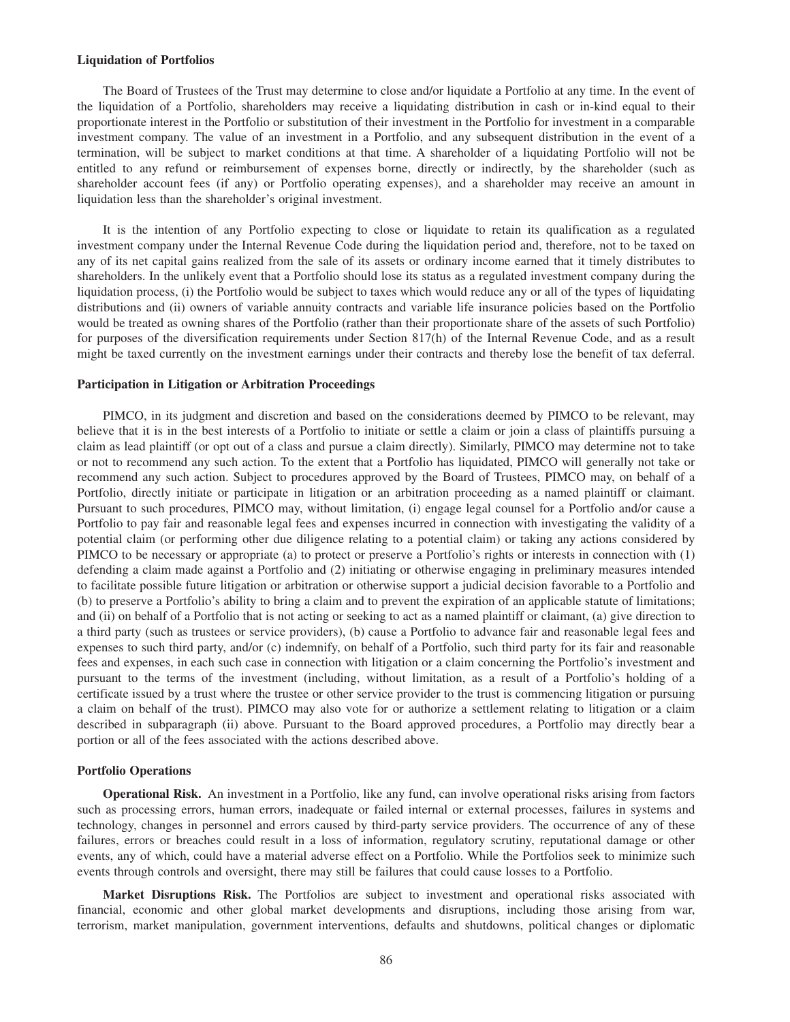#### **Liquidation of Portfolios**

The Board of Trustees of the Trust may determine to close and/or liquidate a Portfolio at any time. In the event of the liquidation of a Portfolio, shareholders may receive a liquidating distribution in cash or in-kind equal to their proportionate interest in the Portfolio or substitution of their investment in the Portfolio for investment in a comparable investment company. The value of an investment in a Portfolio, and any subsequent distribution in the event of a termination, will be subject to market conditions at that time. A shareholder of a liquidating Portfolio will not be entitled to any refund or reimbursement of expenses borne, directly or indirectly, by the shareholder (such as shareholder account fees (if any) or Portfolio operating expenses), and a shareholder may receive an amount in liquidation less than the shareholder's original investment.

It is the intention of any Portfolio expecting to close or liquidate to retain its qualification as a regulated investment company under the Internal Revenue Code during the liquidation period and, therefore, not to be taxed on any of its net capital gains realized from the sale of its assets or ordinary income earned that it timely distributes to shareholders. In the unlikely event that a Portfolio should lose its status as a regulated investment company during the liquidation process, (i) the Portfolio would be subject to taxes which would reduce any or all of the types of liquidating distributions and (ii) owners of variable annuity contracts and variable life insurance policies based on the Portfolio would be treated as owning shares of the Portfolio (rather than their proportionate share of the assets of such Portfolio) for purposes of the diversification requirements under Section 817(h) of the Internal Revenue Code, and as a result might be taxed currently on the investment earnings under their contracts and thereby lose the benefit of tax deferral.

#### **Participation in Litigation or Arbitration Proceedings**

PIMCO, in its judgment and discretion and based on the considerations deemed by PIMCO to be relevant, may believe that it is in the best interests of a Portfolio to initiate or settle a claim or join a class of plaintiffs pursuing a claim as lead plaintiff (or opt out of a class and pursue a claim directly). Similarly, PIMCO may determine not to take or not to recommend any such action. To the extent that a Portfolio has liquidated, PIMCO will generally not take or recommend any such action. Subject to procedures approved by the Board of Trustees, PIMCO may, on behalf of a Portfolio, directly initiate or participate in litigation or an arbitration proceeding as a named plaintiff or claimant. Pursuant to such procedures, PIMCO may, without limitation, (i) engage legal counsel for a Portfolio and/or cause a Portfolio to pay fair and reasonable legal fees and expenses incurred in connection with investigating the validity of a potential claim (or performing other due diligence relating to a potential claim) or taking any actions considered by PIMCO to be necessary or appropriate (a) to protect or preserve a Portfolio's rights or interests in connection with (1) defending a claim made against a Portfolio and (2) initiating or otherwise engaging in preliminary measures intended to facilitate possible future litigation or arbitration or otherwise support a judicial decision favorable to a Portfolio and (b) to preserve a Portfolio's ability to bring a claim and to prevent the expiration of an applicable statute of limitations; and (ii) on behalf of a Portfolio that is not acting or seeking to act as a named plaintiff or claimant, (a) give direction to a third party (such as trustees or service providers), (b) cause a Portfolio to advance fair and reasonable legal fees and expenses to such third party, and/or (c) indemnify, on behalf of a Portfolio, such third party for its fair and reasonable fees and expenses, in each such case in connection with litigation or a claim concerning the Portfolio's investment and pursuant to the terms of the investment (including, without limitation, as a result of a Portfolio's holding of a certificate issued by a trust where the trustee or other service provider to the trust is commencing litigation or pursuing a claim on behalf of the trust). PIMCO may also vote for or authorize a settlement relating to litigation or a claim described in subparagraph (ii) above. Pursuant to the Board approved procedures, a Portfolio may directly bear a portion or all of the fees associated with the actions described above.

## **Portfolio Operations**

**Operational Risk.** An investment in a Portfolio, like any fund, can involve operational risks arising from factors such as processing errors, human errors, inadequate or failed internal or external processes, failures in systems and technology, changes in personnel and errors caused by third-party service providers. The occurrence of any of these failures, errors or breaches could result in a loss of information, regulatory scrutiny, reputational damage or other events, any of which, could have a material adverse effect on a Portfolio. While the Portfolios seek to minimize such events through controls and oversight, there may still be failures that could cause losses to a Portfolio.

**Market Disruptions Risk.** The Portfolios are subject to investment and operational risks associated with financial, economic and other global market developments and disruptions, including those arising from war, terrorism, market manipulation, government interventions, defaults and shutdowns, political changes or diplomatic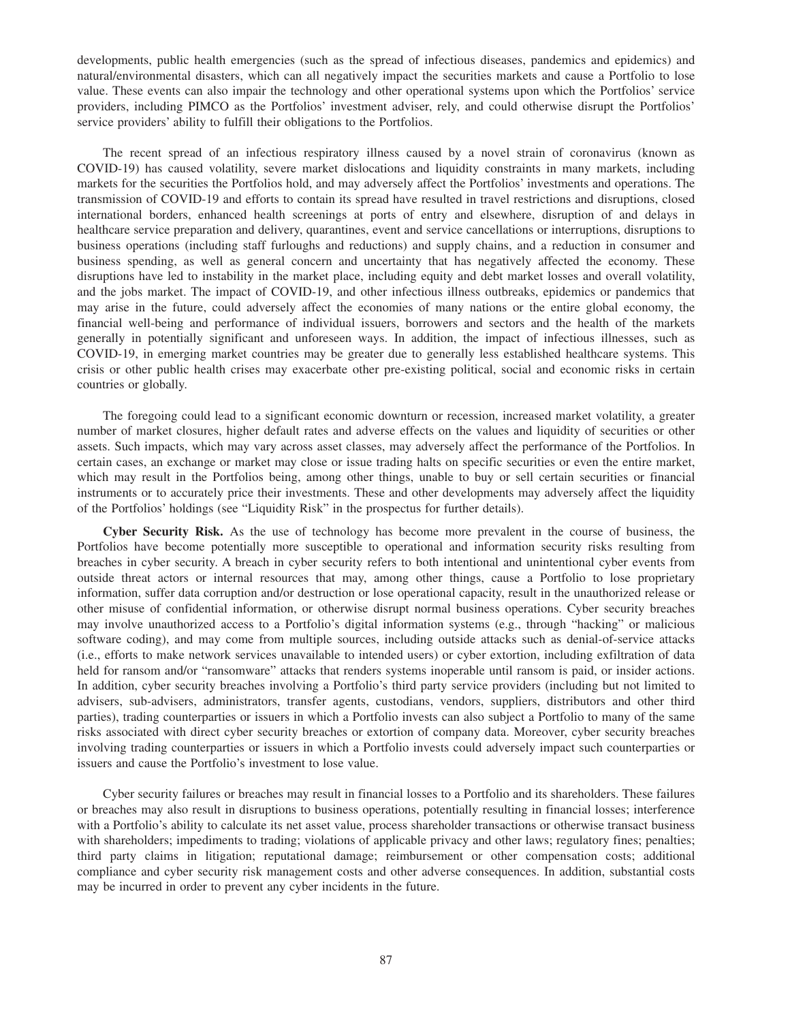developments, public health emergencies (such as the spread of infectious diseases, pandemics and epidemics) and natural/environmental disasters, which can all negatively impact the securities markets and cause a Portfolio to lose value. These events can also impair the technology and other operational systems upon which the Portfolios' service providers, including PIMCO as the Portfolios' investment adviser, rely, and could otherwise disrupt the Portfolios' service providers' ability to fulfill their obligations to the Portfolios.

The recent spread of an infectious respiratory illness caused by a novel strain of coronavirus (known as COVID-19) has caused volatility, severe market dislocations and liquidity constraints in many markets, including markets for the securities the Portfolios hold, and may adversely affect the Portfolios' investments and operations. The transmission of COVID-19 and efforts to contain its spread have resulted in travel restrictions and disruptions, closed international borders, enhanced health screenings at ports of entry and elsewhere, disruption of and delays in healthcare service preparation and delivery, quarantines, event and service cancellations or interruptions, disruptions to business operations (including staff furloughs and reductions) and supply chains, and a reduction in consumer and business spending, as well as general concern and uncertainty that has negatively affected the economy. These disruptions have led to instability in the market place, including equity and debt market losses and overall volatility, and the jobs market. The impact of COVID-19, and other infectious illness outbreaks, epidemics or pandemics that may arise in the future, could adversely affect the economies of many nations or the entire global economy, the financial well-being and performance of individual issuers, borrowers and sectors and the health of the markets generally in potentially significant and unforeseen ways. In addition, the impact of infectious illnesses, such as COVID-19, in emerging market countries may be greater due to generally less established healthcare systems. This crisis or other public health crises may exacerbate other pre-existing political, social and economic risks in certain countries or globally.

The foregoing could lead to a significant economic downturn or recession, increased market volatility, a greater number of market closures, higher default rates and adverse effects on the values and liquidity of securities or other assets. Such impacts, which may vary across asset classes, may adversely affect the performance of the Portfolios. In certain cases, an exchange or market may close or issue trading halts on specific securities or even the entire market, which may result in the Portfolios being, among other things, unable to buy or sell certain securities or financial instruments or to accurately price their investments. These and other developments may adversely affect the liquidity of the Portfolios' holdings (see "Liquidity Risk" in the prospectus for further details).

**Cyber Security Risk.** As the use of technology has become more prevalent in the course of business, the Portfolios have become potentially more susceptible to operational and information security risks resulting from breaches in cyber security. A breach in cyber security refers to both intentional and unintentional cyber events from outside threat actors or internal resources that may, among other things, cause a Portfolio to lose proprietary information, suffer data corruption and/or destruction or lose operational capacity, result in the unauthorized release or other misuse of confidential information, or otherwise disrupt normal business operations. Cyber security breaches may involve unauthorized access to a Portfolio's digital information systems (e.g., through "hacking" or malicious software coding), and may come from multiple sources, including outside attacks such as denial-of-service attacks (i.e., efforts to make network services unavailable to intended users) or cyber extortion, including exfiltration of data held for ransom and/or "ransomware" attacks that renders systems inoperable until ransom is paid, or insider actions. In addition, cyber security breaches involving a Portfolio's third party service providers (including but not limited to advisers, sub-advisers, administrators, transfer agents, custodians, vendors, suppliers, distributors and other third parties), trading counterparties or issuers in which a Portfolio invests can also subject a Portfolio to many of the same risks associated with direct cyber security breaches or extortion of company data. Moreover, cyber security breaches involving trading counterparties or issuers in which a Portfolio invests could adversely impact such counterparties or issuers and cause the Portfolio's investment to lose value.

Cyber security failures or breaches may result in financial losses to a Portfolio and its shareholders. These failures or breaches may also result in disruptions to business operations, potentially resulting in financial losses; interference with a Portfolio's ability to calculate its net asset value, process shareholder transactions or otherwise transact business with shareholders; impediments to trading; violations of applicable privacy and other laws; regulatory fines; penalties; third party claims in litigation; reputational damage; reimbursement or other compensation costs; additional compliance and cyber security risk management costs and other adverse consequences. In addition, substantial costs may be incurred in order to prevent any cyber incidents in the future.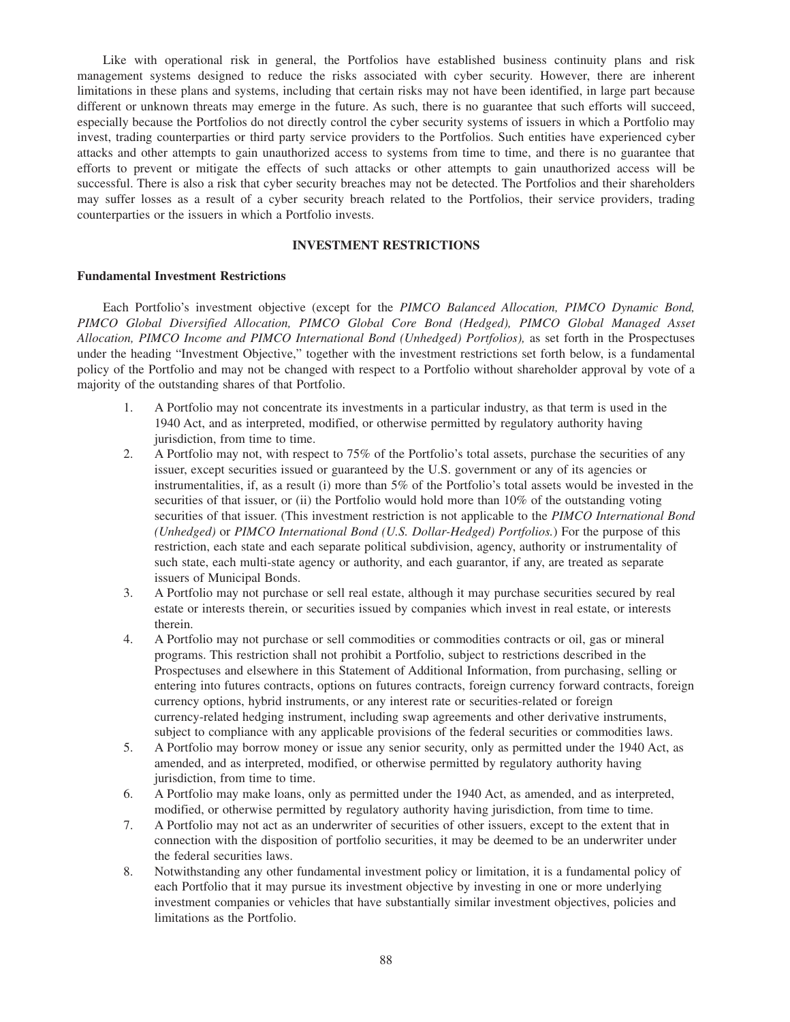Like with operational risk in general, the Portfolios have established business continuity plans and risk management systems designed to reduce the risks associated with cyber security. However, there are inherent limitations in these plans and systems, including that certain risks may not have been identified, in large part because different or unknown threats may emerge in the future. As such, there is no guarantee that such efforts will succeed, especially because the Portfolios do not directly control the cyber security systems of issuers in which a Portfolio may invest, trading counterparties or third party service providers to the Portfolios. Such entities have experienced cyber attacks and other attempts to gain unauthorized access to systems from time to time, and there is no guarantee that efforts to prevent or mitigate the effects of such attacks or other attempts to gain unauthorized access will be successful. There is also a risk that cyber security breaches may not be detected. The Portfolios and their shareholders may suffer losses as a result of a cyber security breach related to the Portfolios, their service providers, trading counterparties or the issuers in which a Portfolio invests.

# **INVESTMENT RESTRICTIONS**

# **Fundamental Investment Restrictions**

Each Portfolio's investment objective (except for the *PIMCO Balanced Allocation, PIMCO Dynamic Bond, PIMCO Global Diversified Allocation, PIMCO Global Core Bond (Hedged), PIMCO Global Managed Asset Allocation, PIMCO Income and PIMCO International Bond (Unhedged) Portfolios),* as set forth in the Prospectuses under the heading "Investment Objective," together with the investment restrictions set forth below, is a fundamental policy of the Portfolio and may not be changed with respect to a Portfolio without shareholder approval by vote of a majority of the outstanding shares of that Portfolio.

- 1. A Portfolio may not concentrate its investments in a particular industry, as that term is used in the 1940 Act, and as interpreted, modified, or otherwise permitted by regulatory authority having jurisdiction, from time to time.
- 2. A Portfolio may not, with respect to 75% of the Portfolio's total assets, purchase the securities of any issuer, except securities issued or guaranteed by the U.S. government or any of its agencies or instrumentalities, if, as a result (i) more than 5% of the Portfolio's total assets would be invested in the securities of that issuer, or (ii) the Portfolio would hold more than 10% of the outstanding voting securities of that issuer. (This investment restriction is not applicable to the *PIMCO International Bond (Unhedged)* or *PIMCO International Bond (U.S. Dollar-Hedged) Portfolios.*) For the purpose of this restriction, each state and each separate political subdivision, agency, authority or instrumentality of such state, each multi-state agency or authority, and each guarantor, if any, are treated as separate issuers of Municipal Bonds.
- 3. A Portfolio may not purchase or sell real estate, although it may purchase securities secured by real estate or interests therein, or securities issued by companies which invest in real estate, or interests therein.
- 4. A Portfolio may not purchase or sell commodities or commodities contracts or oil, gas or mineral programs. This restriction shall not prohibit a Portfolio, subject to restrictions described in the Prospectuses and elsewhere in this Statement of Additional Information, from purchasing, selling or entering into futures contracts, options on futures contracts, foreign currency forward contracts, foreign currency options, hybrid instruments, or any interest rate or securities-related or foreign currency-related hedging instrument, including swap agreements and other derivative instruments, subject to compliance with any applicable provisions of the federal securities or commodities laws.
- 5. A Portfolio may borrow money or issue any senior security, only as permitted under the 1940 Act, as amended, and as interpreted, modified, or otherwise permitted by regulatory authority having jurisdiction, from time to time.
- 6. A Portfolio may make loans, only as permitted under the 1940 Act, as amended, and as interpreted, modified, or otherwise permitted by regulatory authority having jurisdiction, from time to time.
- 7. A Portfolio may not act as an underwriter of securities of other issuers, except to the extent that in connection with the disposition of portfolio securities, it may be deemed to be an underwriter under the federal securities laws.
- 8. Notwithstanding any other fundamental investment policy or limitation, it is a fundamental policy of each Portfolio that it may pursue its investment objective by investing in one or more underlying investment companies or vehicles that have substantially similar investment objectives, policies and limitations as the Portfolio.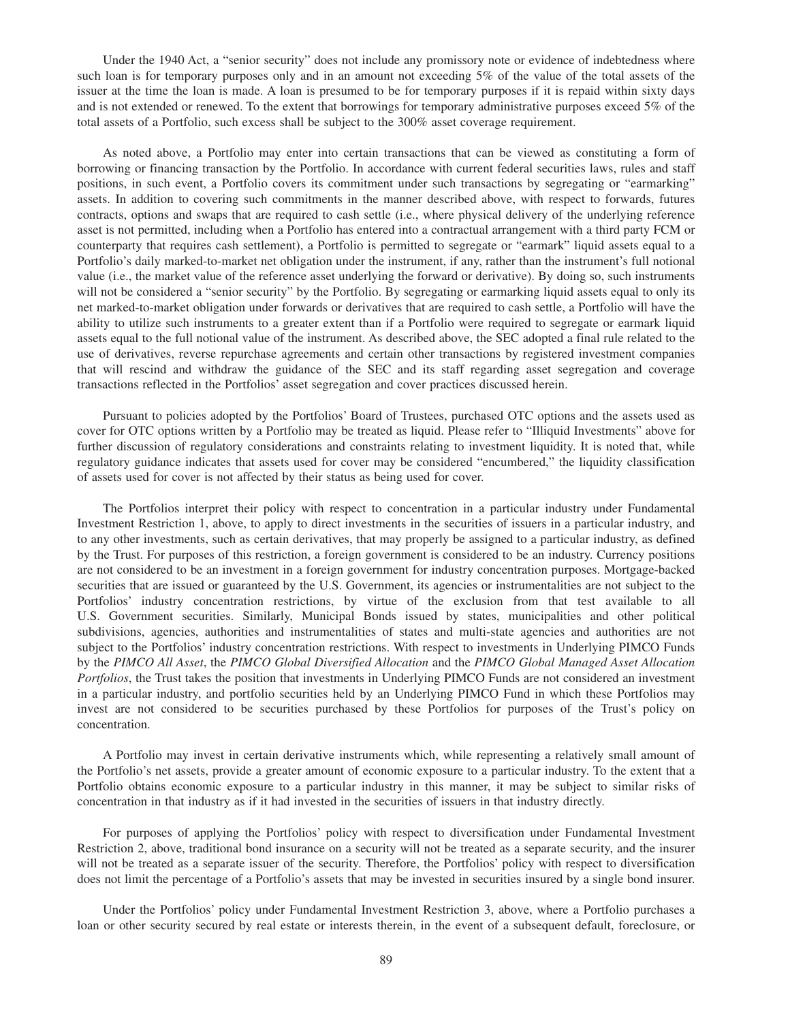Under the 1940 Act, a "senior security" does not include any promissory note or evidence of indebtedness where such loan is for temporary purposes only and in an amount not exceeding 5% of the value of the total assets of the issuer at the time the loan is made. A loan is presumed to be for temporary purposes if it is repaid within sixty days and is not extended or renewed. To the extent that borrowings for temporary administrative purposes exceed 5% of the total assets of a Portfolio, such excess shall be subject to the 300% asset coverage requirement.

As noted above, a Portfolio may enter into certain transactions that can be viewed as constituting a form of borrowing or financing transaction by the Portfolio. In accordance with current federal securities laws, rules and staff positions, in such event, a Portfolio covers its commitment under such transactions by segregating or "earmarking" assets. In addition to covering such commitments in the manner described above, with respect to forwards, futures contracts, options and swaps that are required to cash settle (i.e., where physical delivery of the underlying reference asset is not permitted, including when a Portfolio has entered into a contractual arrangement with a third party FCM or counterparty that requires cash settlement), a Portfolio is permitted to segregate or "earmark" liquid assets equal to a Portfolio's daily marked-to-market net obligation under the instrument, if any, rather than the instrument's full notional value (i.e., the market value of the reference asset underlying the forward or derivative). By doing so, such instruments will not be considered a "senior security" by the Portfolio. By segregating or earmarking liquid assets equal to only its net marked-to-market obligation under forwards or derivatives that are required to cash settle, a Portfolio will have the ability to utilize such instruments to a greater extent than if a Portfolio were required to segregate or earmark liquid assets equal to the full notional value of the instrument. As described above, the SEC adopted a final rule related to the use of derivatives, reverse repurchase agreements and certain other transactions by registered investment companies that will rescind and withdraw the guidance of the SEC and its staff regarding asset segregation and coverage transactions reflected in the Portfolios' asset segregation and cover practices discussed herein.

Pursuant to policies adopted by the Portfolios' Board of Trustees, purchased OTC options and the assets used as cover for OTC options written by a Portfolio may be treated as liquid. Please refer to "Illiquid Investments" above for further discussion of regulatory considerations and constraints relating to investment liquidity. It is noted that, while regulatory guidance indicates that assets used for cover may be considered "encumbered," the liquidity classification of assets used for cover is not affected by their status as being used for cover.

The Portfolios interpret their policy with respect to concentration in a particular industry under Fundamental Investment Restriction 1, above, to apply to direct investments in the securities of issuers in a particular industry, and to any other investments, such as certain derivatives, that may properly be assigned to a particular industry, as defined by the Trust. For purposes of this restriction, a foreign government is considered to be an industry. Currency positions are not considered to be an investment in a foreign government for industry concentration purposes. Mortgage-backed securities that are issued or guaranteed by the U.S. Government, its agencies or instrumentalities are not subject to the Portfolios' industry concentration restrictions, by virtue of the exclusion from that test available to all U.S. Government securities. Similarly, Municipal Bonds issued by states, municipalities and other political subdivisions, agencies, authorities and instrumentalities of states and multi-state agencies and authorities are not subject to the Portfolios' industry concentration restrictions. With respect to investments in Underlying PIMCO Funds by the *PIMCO All Asset*, the *PIMCO Global Diversified Allocation* and the *PIMCO Global Managed Asset Allocation Portfolios*, the Trust takes the position that investments in Underlying PIMCO Funds are not considered an investment in a particular industry, and portfolio securities held by an Underlying PIMCO Fund in which these Portfolios may invest are not considered to be securities purchased by these Portfolios for purposes of the Trust's policy on concentration.

A Portfolio may invest in certain derivative instruments which, while representing a relatively small amount of the Portfolio's net assets, provide a greater amount of economic exposure to a particular industry. To the extent that a Portfolio obtains economic exposure to a particular industry in this manner, it may be subject to similar risks of concentration in that industry as if it had invested in the securities of issuers in that industry directly.

For purposes of applying the Portfolios' policy with respect to diversification under Fundamental Investment Restriction 2, above, traditional bond insurance on a security will not be treated as a separate security, and the insurer will not be treated as a separate issuer of the security. Therefore, the Portfolios' policy with respect to diversification does not limit the percentage of a Portfolio's assets that may be invested in securities insured by a single bond insurer.

Under the Portfolios' policy under Fundamental Investment Restriction 3, above, where a Portfolio purchases a loan or other security secured by real estate or interests therein, in the event of a subsequent default, foreclosure, or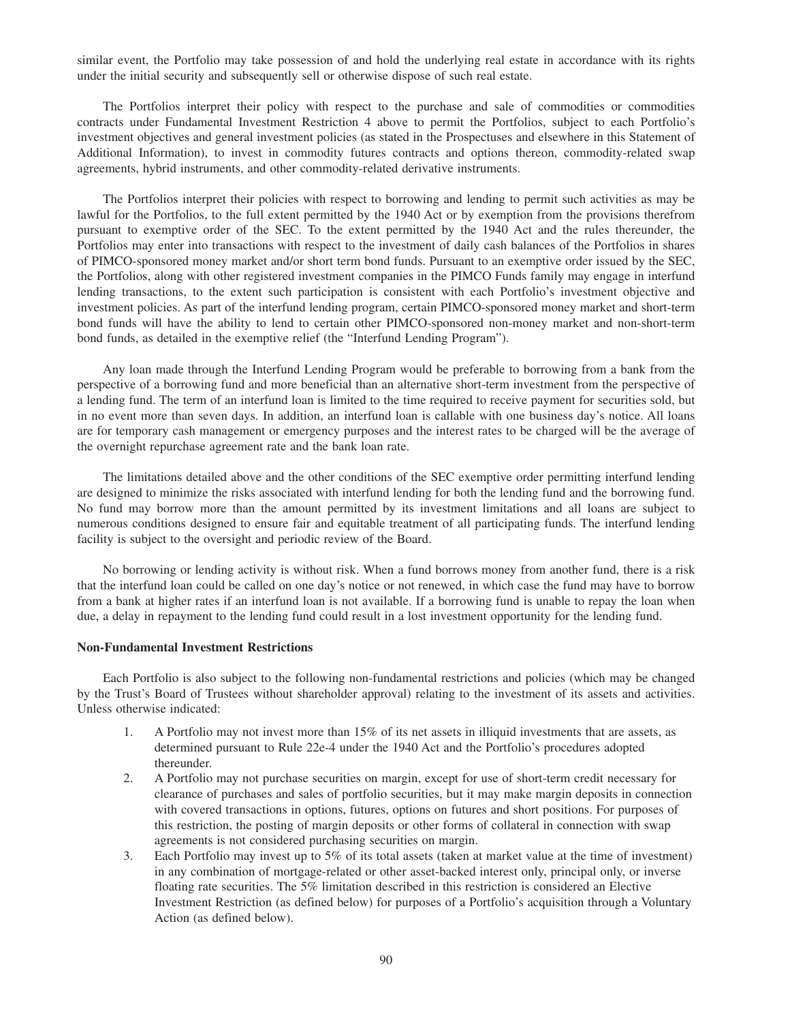similar event, the Portfolio may take possession of and hold the underlying real estate in accordance with its rights under the initial security and subsequently sell or otherwise dispose of such real estate.

The Portfolios interpret their policy with respect to the purchase and sale of commodities or commodities contracts under Fundamental Investment Restriction 4 above to permit the Portfolios, subject to each Portfolio's investment objectives and general investment policies (as stated in the Prospectuses and elsewhere in this Statement of Additional Information), to invest in commodity futures contracts and options thereon, commodity-related swap agreements, hybrid instruments, and other commodity-related derivative instruments.

The Portfolios interpret their policies with respect to borrowing and lending to permit such activities as may be lawful for the Portfolios, to the full extent permitted by the 1940 Act or by exemption from the provisions therefrom pursuant to exemptive order of the SEC. To the extent permitted by the 1940 Act and the rules thereunder, the Portfolios may enter into transactions with respect to the investment of daily cash balances of the Portfolios in shares of PIMCO-sponsored money market and/or short term bond funds. Pursuant to an exemptive order issued by the SEC, the Portfolios, along with other registered investment companies in the PIMCO Funds family may engage in interfund lending transactions, to the extent such participation is consistent with each Portfolio's investment objective and investment policies. As part of the interfund lending program, certain PIMCO-sponsored money market and short-term bond funds will have the ability to lend to certain other PIMCO-sponsored non-money market and non-short-term bond funds, as detailed in the exemptive relief (the "Interfund Lending Program").

Any loan made through the Interfund Lending Program would be preferable to borrowing from a bank from the perspective of a borrowing fund and more beneficial than an alternative short-term investment from the perspective of a lending fund. The term of an interfund loan is limited to the time required to receive payment for securities sold, but in no event more than seven days. In addition, an interfund loan is callable with one business day's notice. All loans are for temporary cash management or emergency purposes and the interest rates to be charged will be the average of the overnight repurchase agreement rate and the bank loan rate.

The limitations detailed above and the other conditions of the SEC exemptive order permitting interfund lending are designed to minimize the risks associated with interfund lending for both the lending fund and the borrowing fund. No fund may borrow more than the amount permitted by its investment limitations and all loans are subject to numerous conditions designed to ensure fair and equitable treatment of all participating funds. The interfund lending facility is subject to the oversight and periodic review of the Board.

No borrowing or lending activity is without risk. When a fund borrows money from another fund, there is a risk that the interfund loan could be called on one day's notice or not renewed, in which case the fund may have to borrow from a bank at higher rates if an interfund loan is not available. If a borrowing fund is unable to repay the loan when due, a delay in repayment to the lending fund could result in a lost investment opportunity for the lending fund.

# **Non-Fundamental Investment Restrictions**

Each Portfolio is also subject to the following non-fundamental restrictions and policies (which may be changed by the Trust's Board of Trustees without shareholder approval) relating to the investment of its assets and activities. Unless otherwise indicated:

- 1. A Portfolio may not invest more than 15% of its net assets in illiquid investments that are assets, as determined pursuant to Rule 22e-4 under the 1940 Act and the Portfolio's procedures adopted thereunder.
- 2. A Portfolio may not purchase securities on margin, except for use of short-term credit necessary for clearance of purchases and sales of portfolio securities, but it may make margin deposits in connection with covered transactions in options, futures, options on futures and short positions. For purposes of this restriction, the posting of margin deposits or other forms of collateral in connection with swap agreements is not considered purchasing securities on margin.
- 3. Each Portfolio may invest up to 5% of its total assets (taken at market value at the time of investment) in any combination of mortgage-related or other asset-backed interest only, principal only, or inverse floating rate securities. The 5% limitation described in this restriction is considered an Elective Investment Restriction (as defined below) for purposes of a Portfolio's acquisition through a Voluntary Action (as defined below).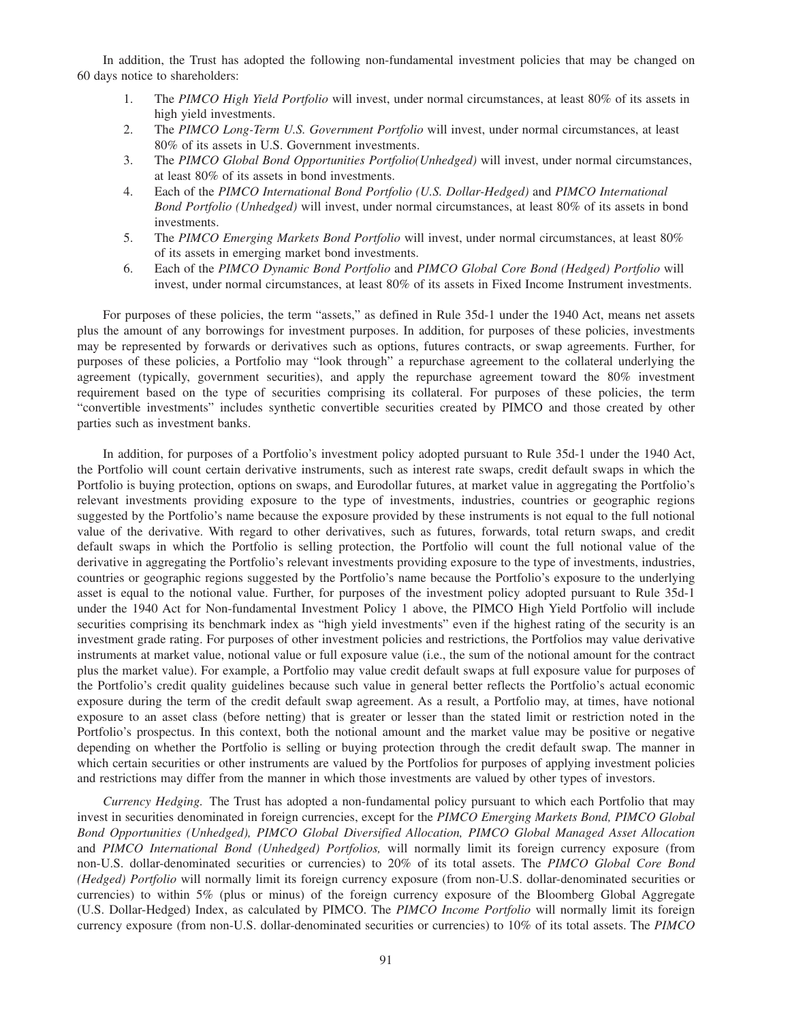In addition, the Trust has adopted the following non-fundamental investment policies that may be changed on 60 days notice to shareholders:

- 1. The *PIMCO High Yield Portfolio* will invest, under normal circumstances, at least 80% of its assets in high yield investments.
- 2. The *PIMCO Long-Term U.S. Government Portfolio* will invest, under normal circumstances, at least 80% of its assets in U.S. Government investments.
- 3. The *PIMCO Global Bond Opportunities Portfolio(Unhedged)* will invest, under normal circumstances, at least 80% of its assets in bond investments.
- 4. Each of the *PIMCO International Bond Portfolio (U.S. Dollar-Hedged)* and *PIMCO International Bond Portfolio (Unhedged)* will invest, under normal circumstances, at least 80% of its assets in bond investments.
- 5. The *PIMCO Emerging Markets Bond Portfolio* will invest, under normal circumstances, at least 80% of its assets in emerging market bond investments.
- 6. Each of the *PIMCO Dynamic Bond Portfolio* and *PIMCO Global Core Bond (Hedged) Portfolio* will invest, under normal circumstances, at least 80% of its assets in Fixed Income Instrument investments.

For purposes of these policies, the term "assets," as defined in Rule 35d-1 under the 1940 Act, means net assets plus the amount of any borrowings for investment purposes. In addition, for purposes of these policies, investments may be represented by forwards or derivatives such as options, futures contracts, or swap agreements. Further, for purposes of these policies, a Portfolio may "look through" a repurchase agreement to the collateral underlying the agreement (typically, government securities), and apply the repurchase agreement toward the 80% investment requirement based on the type of securities comprising its collateral. For purposes of these policies, the term "convertible investments" includes synthetic convertible securities created by PIMCO and those created by other parties such as investment banks.

In addition, for purposes of a Portfolio's investment policy adopted pursuant to Rule 35d-1 under the 1940 Act, the Portfolio will count certain derivative instruments, such as interest rate swaps, credit default swaps in which the Portfolio is buying protection, options on swaps, and Eurodollar futures, at market value in aggregating the Portfolio's relevant investments providing exposure to the type of investments, industries, countries or geographic regions suggested by the Portfolio's name because the exposure provided by these instruments is not equal to the full notional value of the derivative. With regard to other derivatives, such as futures, forwards, total return swaps, and credit default swaps in which the Portfolio is selling protection, the Portfolio will count the full notional value of the derivative in aggregating the Portfolio's relevant investments providing exposure to the type of investments, industries, countries or geographic regions suggested by the Portfolio's name because the Portfolio's exposure to the underlying asset is equal to the notional value. Further, for purposes of the investment policy adopted pursuant to Rule 35d-1 under the 1940 Act for Non-fundamental Investment Policy 1 above, the PIMCO High Yield Portfolio will include securities comprising its benchmark index as "high yield investments" even if the highest rating of the security is an investment grade rating. For purposes of other investment policies and restrictions, the Portfolios may value derivative instruments at market value, notional value or full exposure value (i.e., the sum of the notional amount for the contract plus the market value). For example, a Portfolio may value credit default swaps at full exposure value for purposes of the Portfolio's credit quality guidelines because such value in general better reflects the Portfolio's actual economic exposure during the term of the credit default swap agreement. As a result, a Portfolio may, at times, have notional exposure to an asset class (before netting) that is greater or lesser than the stated limit or restriction noted in the Portfolio's prospectus. In this context, both the notional amount and the market value may be positive or negative depending on whether the Portfolio is selling or buying protection through the credit default swap. The manner in which certain securities or other instruments are valued by the Portfolios for purposes of applying investment policies and restrictions may differ from the manner in which those investments are valued by other types of investors.

*Currency Hedging.* The Trust has adopted a non-fundamental policy pursuant to which each Portfolio that may invest in securities denominated in foreign currencies, except for the *PIMCO Emerging Markets Bond, PIMCO Global Bond Opportunities (Unhedged), PIMCO Global Diversified Allocation, PIMCO Global Managed Asset Allocation* and *PIMCO International Bond (Unhedged) Portfolios,* will normally limit its foreign currency exposure (from non-U.S. dollar-denominated securities or currencies) to 20% of its total assets. The *PIMCO Global Core Bond (Hedged) Portfolio* will normally limit its foreign currency exposure (from non-U.S. dollar-denominated securities or currencies) to within 5% (plus or minus) of the foreign currency exposure of the Bloomberg Global Aggregate (U.S. Dollar-Hedged) Index, as calculated by PIMCO. The *PIMCO Income Portfolio* will normally limit its foreign currency exposure (from non-U.S. dollar-denominated securities or currencies) to 10% of its total assets. The *PIMCO*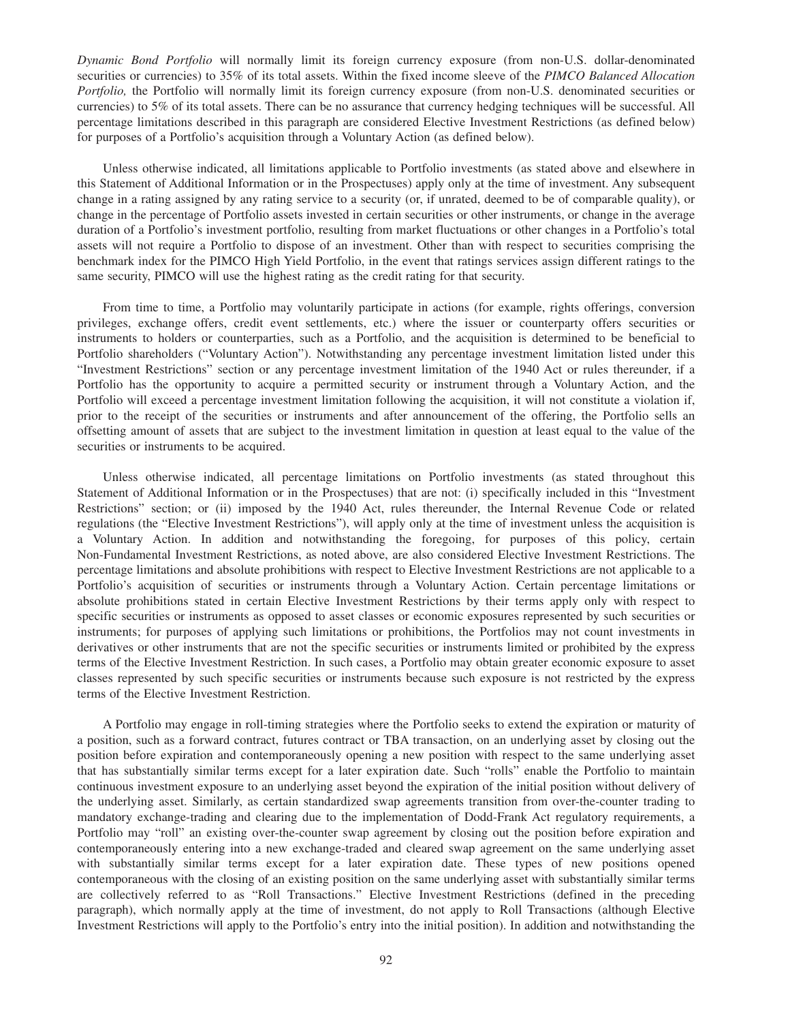*Dynamic Bond Portfolio* will normally limit its foreign currency exposure (from non-U.S. dollar-denominated securities or currencies) to 35% of its total assets. Within the fixed income sleeve of the *PIMCO Balanced Allocation Portfolio*, the Portfolio will normally limit its foreign currency exposure (from non-U.S. denominated securities or currencies) to 5% of its total assets. There can be no assurance that currency hedging techniques will be successful. All percentage limitations described in this paragraph are considered Elective Investment Restrictions (as defined below) for purposes of a Portfolio's acquisition through a Voluntary Action (as defined below).

Unless otherwise indicated, all limitations applicable to Portfolio investments (as stated above and elsewhere in this Statement of Additional Information or in the Prospectuses) apply only at the time of investment. Any subsequent change in a rating assigned by any rating service to a security (or, if unrated, deemed to be of comparable quality), or change in the percentage of Portfolio assets invested in certain securities or other instruments, or change in the average duration of a Portfolio's investment portfolio, resulting from market fluctuations or other changes in a Portfolio's total assets will not require a Portfolio to dispose of an investment. Other than with respect to securities comprising the benchmark index for the PIMCO High Yield Portfolio, in the event that ratings services assign different ratings to the same security, PIMCO will use the highest rating as the credit rating for that security.

From time to time, a Portfolio may voluntarily participate in actions (for example, rights offerings, conversion privileges, exchange offers, credit event settlements, etc.) where the issuer or counterparty offers securities or instruments to holders or counterparties, such as a Portfolio, and the acquisition is determined to be beneficial to Portfolio shareholders ("Voluntary Action"). Notwithstanding any percentage investment limitation listed under this "Investment Restrictions" section or any percentage investment limitation of the 1940 Act or rules thereunder, if a Portfolio has the opportunity to acquire a permitted security or instrument through a Voluntary Action, and the Portfolio will exceed a percentage investment limitation following the acquisition, it will not constitute a violation if, prior to the receipt of the securities or instruments and after announcement of the offering, the Portfolio sells an offsetting amount of assets that are subject to the investment limitation in question at least equal to the value of the securities or instruments to be acquired.

Unless otherwise indicated, all percentage limitations on Portfolio investments (as stated throughout this Statement of Additional Information or in the Prospectuses) that are not: (i) specifically included in this "Investment Restrictions" section; or (ii) imposed by the 1940 Act, rules thereunder, the Internal Revenue Code or related regulations (the "Elective Investment Restrictions"), will apply only at the time of investment unless the acquisition is a Voluntary Action. In addition and notwithstanding the foregoing, for purposes of this policy, certain Non-Fundamental Investment Restrictions, as noted above, are also considered Elective Investment Restrictions. The percentage limitations and absolute prohibitions with respect to Elective Investment Restrictions are not applicable to a Portfolio's acquisition of securities or instruments through a Voluntary Action. Certain percentage limitations or absolute prohibitions stated in certain Elective Investment Restrictions by their terms apply only with respect to specific securities or instruments as opposed to asset classes or economic exposures represented by such securities or instruments; for purposes of applying such limitations or prohibitions, the Portfolios may not count investments in derivatives or other instruments that are not the specific securities or instruments limited or prohibited by the express terms of the Elective Investment Restriction. In such cases, a Portfolio may obtain greater economic exposure to asset classes represented by such specific securities or instruments because such exposure is not restricted by the express terms of the Elective Investment Restriction.

A Portfolio may engage in roll-timing strategies where the Portfolio seeks to extend the expiration or maturity of a position, such as a forward contract, futures contract or TBA transaction, on an underlying asset by closing out the position before expiration and contemporaneously opening a new position with respect to the same underlying asset that has substantially similar terms except for a later expiration date. Such "rolls" enable the Portfolio to maintain continuous investment exposure to an underlying asset beyond the expiration of the initial position without delivery of the underlying asset. Similarly, as certain standardized swap agreements transition from over-the-counter trading to mandatory exchange-trading and clearing due to the implementation of Dodd-Frank Act regulatory requirements, a Portfolio may "roll" an existing over-the-counter swap agreement by closing out the position before expiration and contemporaneously entering into a new exchange-traded and cleared swap agreement on the same underlying asset with substantially similar terms except for a later expiration date. These types of new positions opened contemporaneous with the closing of an existing position on the same underlying asset with substantially similar terms are collectively referred to as "Roll Transactions." Elective Investment Restrictions (defined in the preceding paragraph), which normally apply at the time of investment, do not apply to Roll Transactions (although Elective Investment Restrictions will apply to the Portfolio's entry into the initial position). In addition and notwithstanding the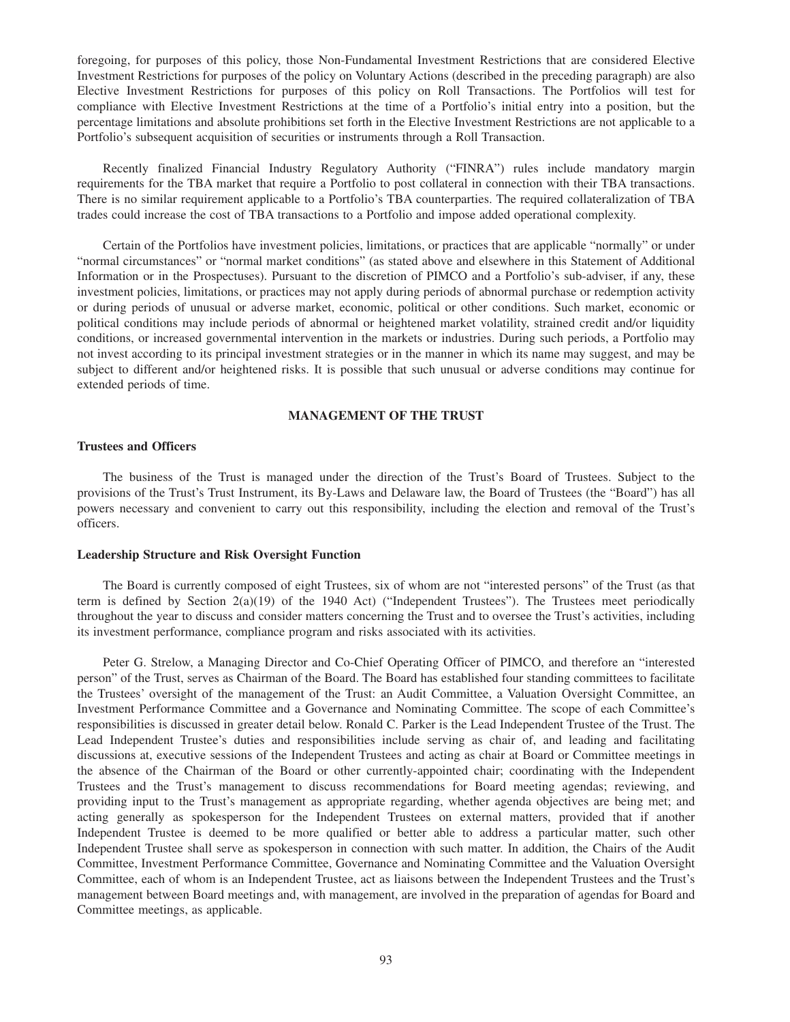foregoing, for purposes of this policy, those Non-Fundamental Investment Restrictions that are considered Elective Investment Restrictions for purposes of the policy on Voluntary Actions (described in the preceding paragraph) are also Elective Investment Restrictions for purposes of this policy on Roll Transactions. The Portfolios will test for compliance with Elective Investment Restrictions at the time of a Portfolio's initial entry into a position, but the percentage limitations and absolute prohibitions set forth in the Elective Investment Restrictions are not applicable to a Portfolio's subsequent acquisition of securities or instruments through a Roll Transaction.

Recently finalized Financial Industry Regulatory Authority ("FINRA") rules include mandatory margin requirements for the TBA market that require a Portfolio to post collateral in connection with their TBA transactions. There is no similar requirement applicable to a Portfolio's TBA counterparties. The required collateralization of TBA trades could increase the cost of TBA transactions to a Portfolio and impose added operational complexity.

Certain of the Portfolios have investment policies, limitations, or practices that are applicable "normally" or under "normal circumstances" or "normal market conditions" (as stated above and elsewhere in this Statement of Additional Information or in the Prospectuses). Pursuant to the discretion of PIMCO and a Portfolio's sub-adviser, if any, these investment policies, limitations, or practices may not apply during periods of abnormal purchase or redemption activity or during periods of unusual or adverse market, economic, political or other conditions. Such market, economic or political conditions may include periods of abnormal or heightened market volatility, strained credit and/or liquidity conditions, or increased governmental intervention in the markets or industries. During such periods, a Portfolio may not invest according to its principal investment strategies or in the manner in which its name may suggest, and may be subject to different and/or heightened risks. It is possible that such unusual or adverse conditions may continue for extended periods of time.

# **MANAGEMENT OF THE TRUST**

# **Trustees and Officers**

The business of the Trust is managed under the direction of the Trust's Board of Trustees. Subject to the provisions of the Trust's Trust Instrument, its By-Laws and Delaware law, the Board of Trustees (the "Board") has all powers necessary and convenient to carry out this responsibility, including the election and removal of the Trust's officers.

# **Leadership Structure and Risk Oversight Function**

The Board is currently composed of eight Trustees, six of whom are not "interested persons" of the Trust (as that term is defined by Section 2(a)(19) of the 1940 Act) ("Independent Trustees"). The Trustees meet periodically throughout the year to discuss and consider matters concerning the Trust and to oversee the Trust's activities, including its investment performance, compliance program and risks associated with its activities.

Peter G. Strelow, a Managing Director and Co-Chief Operating Officer of PIMCO, and therefore an "interested person" of the Trust, serves as Chairman of the Board. The Board has established four standing committees to facilitate the Trustees' oversight of the management of the Trust: an Audit Committee, a Valuation Oversight Committee, an Investment Performance Committee and a Governance and Nominating Committee. The scope of each Committee's responsibilities is discussed in greater detail below. Ronald C. Parker is the Lead Independent Trustee of the Trust. The Lead Independent Trustee's duties and responsibilities include serving as chair of, and leading and facilitating discussions at, executive sessions of the Independent Trustees and acting as chair at Board or Committee meetings in the absence of the Chairman of the Board or other currently-appointed chair; coordinating with the Independent Trustees and the Trust's management to discuss recommendations for Board meeting agendas; reviewing, and providing input to the Trust's management as appropriate regarding, whether agenda objectives are being met; and acting generally as spokesperson for the Independent Trustees on external matters, provided that if another Independent Trustee is deemed to be more qualified or better able to address a particular matter, such other Independent Trustee shall serve as spokesperson in connection with such matter. In addition, the Chairs of the Audit Committee, Investment Performance Committee, Governance and Nominating Committee and the Valuation Oversight Committee, each of whom is an Independent Trustee, act as liaisons between the Independent Trustees and the Trust's management between Board meetings and, with management, are involved in the preparation of agendas for Board and Committee meetings, as applicable.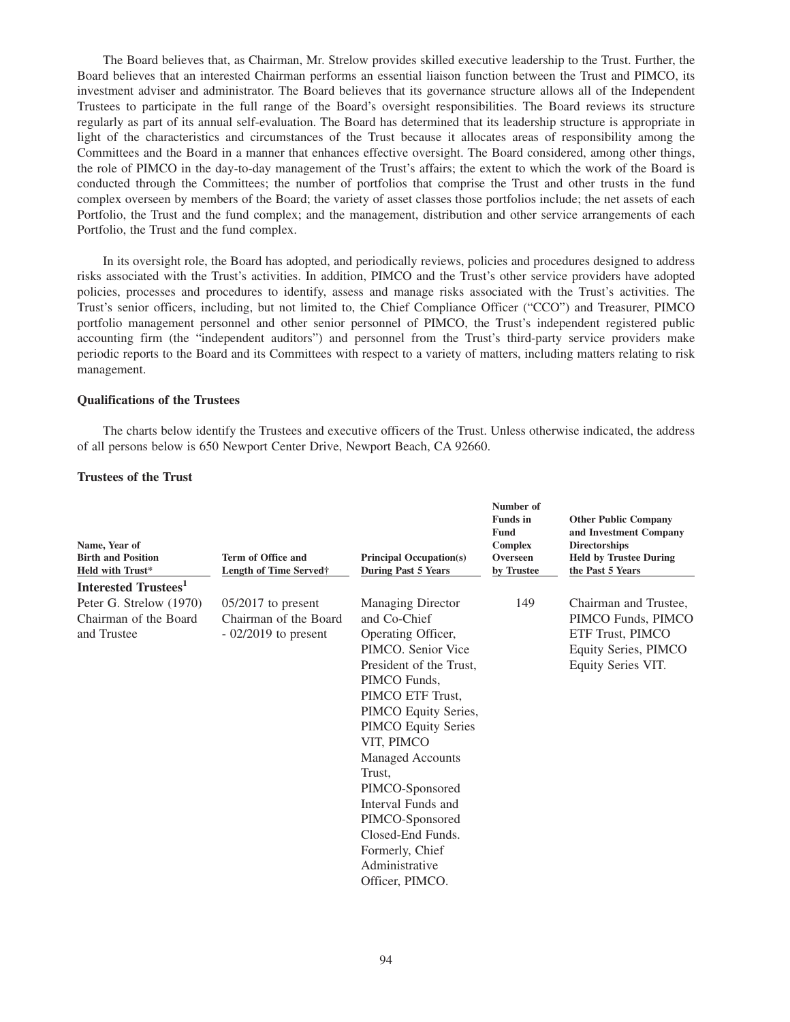The Board believes that, as Chairman, Mr. Strelow provides skilled executive leadership to the Trust. Further, the Board believes that an interested Chairman performs an essential liaison function between the Trust and PIMCO, its investment adviser and administrator. The Board believes that its governance structure allows all of the Independent Trustees to participate in the full range of the Board's oversight responsibilities. The Board reviews its structure regularly as part of its annual self-evaluation. The Board has determined that its leadership structure is appropriate in light of the characteristics and circumstances of the Trust because it allocates areas of responsibility among the Committees and the Board in a manner that enhances effective oversight. The Board considered, among other things, the role of PIMCO in the day-to-day management of the Trust's affairs; the extent to which the work of the Board is conducted through the Committees; the number of portfolios that comprise the Trust and other trusts in the fund complex overseen by members of the Board; the variety of asset classes those portfolios include; the net assets of each Portfolio, the Trust and the fund complex; and the management, distribution and other service arrangements of each Portfolio, the Trust and the fund complex.

In its oversight role, the Board has adopted, and periodically reviews, policies and procedures designed to address risks associated with the Trust's activities. In addition, PIMCO and the Trust's other service providers have adopted policies, processes and procedures to identify, assess and manage risks associated with the Trust's activities. The Trust's senior officers, including, but not limited to, the Chief Compliance Officer ("CCO") and Treasurer, PIMCO portfolio management personnel and other senior personnel of PIMCO, the Trust's independent registered public accounting firm (the "independent auditors") and personnel from the Trust's third-party service providers make periodic reports to the Board and its Committees with respect to a variety of matters, including matters relating to risk management.

# **Qualifications of the Trustees**

The charts below identify the Trustees and executive officers of the Trust. Unless otherwise indicated, the address of all persons below is 650 Newport Center Drive, Newport Beach, CA 92660.

# **Trustees of the Trust**

| Name, Year of<br><b>Birth and Position</b><br>Held with Trust*  | <b>Term of Office and</b><br>Length of Time Served†                    | <b>Principal Occupation(s)</b><br><b>During Past 5 Years</b>                                                                                                                                                                                                                                                                                                                                          | Number of<br><b>Funds</b> in<br><b>Fund</b><br><b>Complex</b><br>Overseen<br>by Trustee | <b>Other Public Company</b><br>and Investment Company<br><b>Directorships</b><br><b>Held by Trustee During</b><br>the Past 5 Years |
|-----------------------------------------------------------------|------------------------------------------------------------------------|-------------------------------------------------------------------------------------------------------------------------------------------------------------------------------------------------------------------------------------------------------------------------------------------------------------------------------------------------------------------------------------------------------|-----------------------------------------------------------------------------------------|------------------------------------------------------------------------------------------------------------------------------------|
| Interested Trustees <sup>1</sup>                                |                                                                        |                                                                                                                                                                                                                                                                                                                                                                                                       |                                                                                         |                                                                                                                                    |
| Peter G. Strelow (1970)<br>Chairman of the Board<br>and Trustee | $05/2017$ to present<br>Chairman of the Board<br>$-02/2019$ to present | <b>Managing Director</b><br>and Co-Chief<br>Operating Officer,<br>PIMCO. Senior Vice<br>President of the Trust,<br>PIMCO Funds,<br>PIMCO ETF Trust,<br>PIMCO Equity Series,<br><b>PIMCO Equity Series</b><br>VIT, PIMCO<br><b>Managed Accounts</b><br>Trust,<br>PIMCO-Sponsored<br>Interval Funds and<br>PIMCO-Sponsored<br>Closed-End Funds.<br>Formerly, Chief<br>Administrative<br>Officer, PIMCO. | 149                                                                                     | Chairman and Trustee,<br>PIMCO Funds, PIMCO<br>ETF Trust, PIMCO<br>Equity Series, PIMCO<br>Equity Series VIT.                      |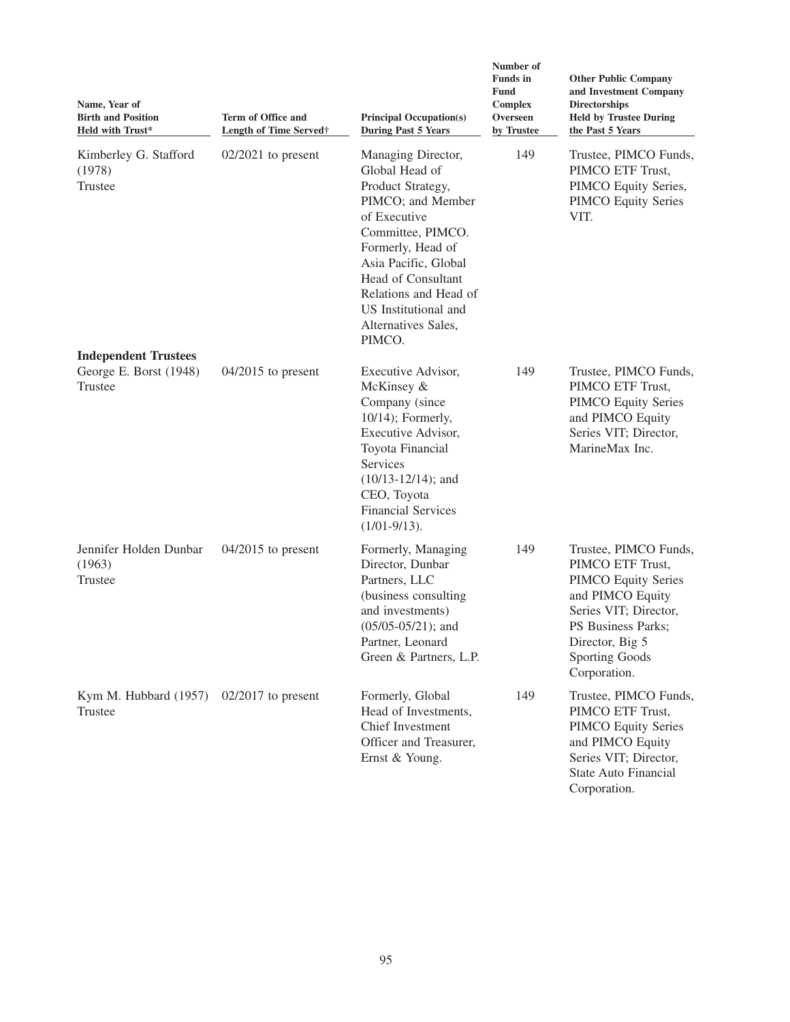| Name, Year of<br><b>Birth and Position</b><br><b>Held with Trust*</b> | <b>Term of Office and</b><br>Length of Time Served† | <b>Principal Occupation(s)</b><br><b>During Past 5 Years</b>                                                                                                                                                                                                             | Number of<br><b>Funds</b> in<br><b>Fund</b><br><b>Complex</b><br>Overseen<br>by Trustee | <b>Other Public Company</b><br>and Investment Company<br><b>Directorships</b><br><b>Held by Trustee During</b><br>the Past 5 Years                                                                     |  |
|-----------------------------------------------------------------------|-----------------------------------------------------|--------------------------------------------------------------------------------------------------------------------------------------------------------------------------------------------------------------------------------------------------------------------------|-----------------------------------------------------------------------------------------|--------------------------------------------------------------------------------------------------------------------------------------------------------------------------------------------------------|--|
| Kimberley G. Stafford<br>(1978)<br>Trustee                            | $02/2021$ to present                                | Managing Director,<br>Global Head of<br>Product Strategy,<br>PIMCO; and Member<br>of Executive<br>Committee, PIMCO.<br>Formerly, Head of<br>Asia Pacific, Global<br>Head of Consultant<br>Relations and Head of<br>US Institutional and<br>Alternatives Sales,<br>PIMCO. |                                                                                         | Trustee, PIMCO Funds,<br>PIMCO ETF Trust,<br>PIMCO Equity Series,<br><b>PIMCO Equity Series</b><br>VIT.                                                                                                |  |
| <b>Independent Trustees</b><br>George E. Borst (1948)<br>Trustee      | $04/2015$ to present                                | Executive Advisor,<br>McKinsey &<br>Company (since<br>10/14); Formerly,<br>Executive Advisor,<br>Toyota Financial<br><b>Services</b><br>$(10/13 - 12/14)$ ; and<br>CEO, Toyota<br><b>Financial Services</b><br>$(1/01-9/13)$ .                                           | 149                                                                                     | Trustee, PIMCO Funds,<br>PIMCO ETF Trust,<br><b>PIMCO</b> Equity Series<br>and PIMCO Equity<br>Series VIT; Director,<br>MarineMax Inc.                                                                 |  |
| Jennifer Holden Dunbar<br>(1963)<br>Trustee                           | $04/2015$ to present                                | Formerly, Managing<br>Director, Dunbar<br>Partners, LLC<br>(business consulting<br>and investments)<br>$(05/05-05/21)$ ; and<br>Partner, Leonard<br>Green & Partners, L.P.                                                                                               | 149                                                                                     | Trustee, PIMCO Funds,<br>PIMCO ETF Trust,<br><b>PIMCO Equity Series</b><br>and PIMCO Equity<br>Series VIT; Director,<br>PS Business Parks;<br>Director, Big 5<br><b>Sporting Goods</b><br>Corporation. |  |
| Kym M. Hubbard (1957)<br>Trustee                                      | $02/2017$ to present                                | Formerly, Global<br>Head of Investments,<br>Chief Investment<br>Officer and Treasurer,<br>Ernst & Young.                                                                                                                                                                 | 149                                                                                     | Trustee, PIMCO Funds,<br>PIMCO ETF Trust,<br><b>PIMCO Equity Series</b><br>and PIMCO Equity<br>Series VIT; Director,<br><b>State Auto Financial</b><br>Corporation.                                    |  |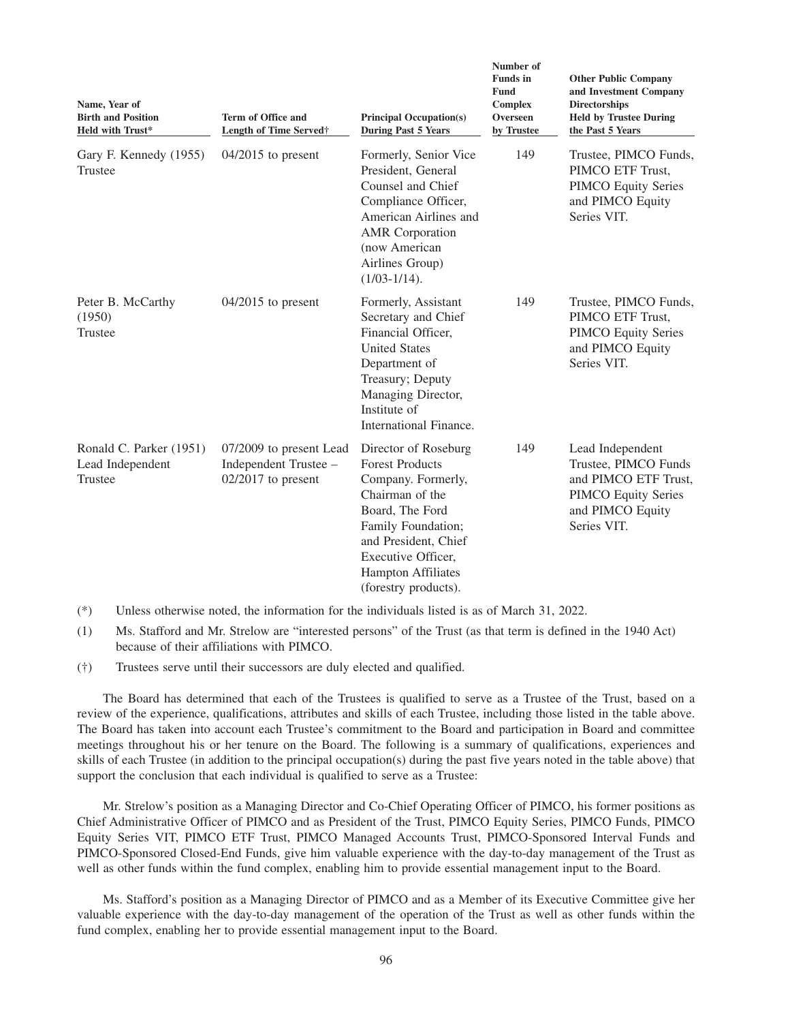| Name, Year of<br><b>Birth and Position</b><br><b>Held with Trust*</b> | Term of Office and<br><b>Length of Time Served</b> †                     | <b>Principal Occupation(s)</b><br><b>During Past 5 Years</b>                                                                                                                                                                        | гушшрег от<br><b>Funds</b> in<br>Fund<br><b>Complex</b><br>Overseen<br>by Trustee | <b>Other Public Company</b><br>and Investment Company<br><b>Directorships</b><br><b>Held by Trustee During</b><br>the Past 5 Years |  |  |
|-----------------------------------------------------------------------|--------------------------------------------------------------------------|-------------------------------------------------------------------------------------------------------------------------------------------------------------------------------------------------------------------------------------|-----------------------------------------------------------------------------------|------------------------------------------------------------------------------------------------------------------------------------|--|--|
| Gary F. Kennedy (1955)<br><b>Trustee</b>                              | $04/2015$ to present                                                     | Formerly, Senior Vice<br>President, General<br>Counsel and Chief<br>Compliance Officer,<br>American Airlines and<br><b>AMR</b> Corporation<br>(now American<br>Airlines Group)<br>$(1/03-1/14)$ .                                   | 149                                                                               | Trustee, PIMCO Funds,<br>PIMCO ETF Trust,<br><b>PIMCO Equity Series</b><br>and PIMCO Equity<br>Series VIT.                         |  |  |
| Peter B. McCarthy<br>(1950)<br>Trustee                                | $04/2015$ to present                                                     | Formerly, Assistant<br>Secretary and Chief<br>Financial Officer,<br><b>United States</b><br>Department of<br>Treasury; Deputy<br>Managing Director,<br>Institute of<br>International Finance.                                       | 149                                                                               | Trustee, PIMCO Funds,<br>PIMCO ETF Trust,<br><b>PIMCO Equity Series</b><br>and PIMCO Equity<br>Series VIT.                         |  |  |
| Ronald C. Parker (1951)<br>Lead Independent<br>Trustee                | 07/2009 to present Lead<br>Independent Trustee -<br>$02/2017$ to present | Director of Roseburg<br><b>Forest Products</b><br>Company. Formerly,<br>Chairman of the<br>Board, The Ford<br>Family Foundation;<br>and President, Chief<br>Executive Officer,<br><b>Hampton Affiliates</b><br>(forestry products). | 149                                                                               | Lead Independent<br>Trustee, PIMCO Funds<br>and PIMCO ETF Trust,<br><b>PIMCO Equity Series</b><br>and PIMCO Equity<br>Series VIT.  |  |  |

**Number of**

(\*) Unless otherwise noted, the information for the individuals listed is as of March 31, 2022.

- (1) Ms. Stafford and Mr. Strelow are "interested persons" of the Trust (as that term is defined in the 1940 Act) because of their affiliations with PIMCO.
- (†) Trustees serve until their successors are duly elected and qualified.

The Board has determined that each of the Trustees is qualified to serve as a Trustee of the Trust, based on a review of the experience, qualifications, attributes and skills of each Trustee, including those listed in the table above. The Board has taken into account each Trustee's commitment to the Board and participation in Board and committee meetings throughout his or her tenure on the Board. The following is a summary of qualifications, experiences and skills of each Trustee (in addition to the principal occupation(s) during the past five years noted in the table above) that support the conclusion that each individual is qualified to serve as a Trustee:

Mr. Strelow's position as a Managing Director and Co-Chief Operating Officer of PIMCO, his former positions as Chief Administrative Officer of PIMCO and as President of the Trust, PIMCO Equity Series, PIMCO Funds, PIMCO Equity Series VIT, PIMCO ETF Trust, PIMCO Managed Accounts Trust, PIMCO-Sponsored Interval Funds and PIMCO-Sponsored Closed-End Funds, give him valuable experience with the day-to-day management of the Trust as well as other funds within the fund complex, enabling him to provide essential management input to the Board.

Ms. Stafford's position as a Managing Director of PIMCO and as a Member of its Executive Committee give her valuable experience with the day-to-day management of the operation of the Trust as well as other funds within the fund complex, enabling her to provide essential management input to the Board.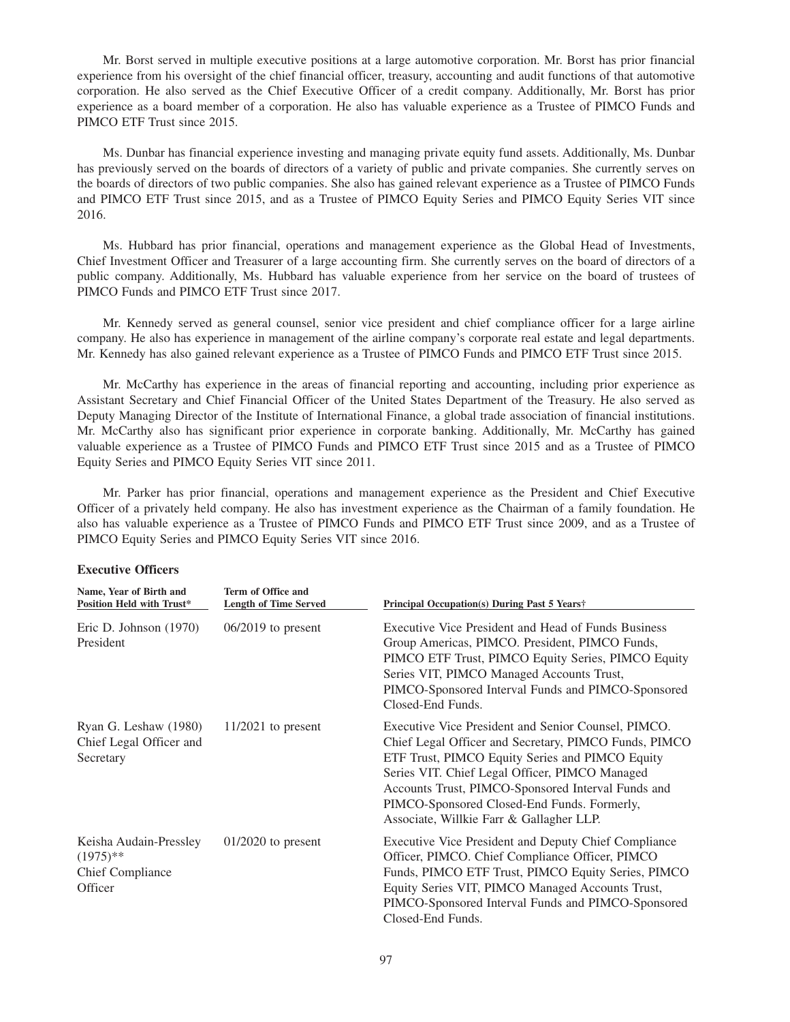Mr. Borst served in multiple executive positions at a large automotive corporation. Mr. Borst has prior financial experience from his oversight of the chief financial officer, treasury, accounting and audit functions of that automotive corporation. He also served as the Chief Executive Officer of a credit company. Additionally, Mr. Borst has prior experience as a board member of a corporation. He also has valuable experience as a Trustee of PIMCO Funds and PIMCO ETF Trust since 2015.

Ms. Dunbar has financial experience investing and managing private equity fund assets. Additionally, Ms. Dunbar has previously served on the boards of directors of a variety of public and private companies. She currently serves on the boards of directors of two public companies. She also has gained relevant experience as a Trustee of PIMCO Funds and PIMCO ETF Trust since 2015, and as a Trustee of PIMCO Equity Series and PIMCO Equity Series VIT since 2016.

Ms. Hubbard has prior financial, operations and management experience as the Global Head of Investments, Chief Investment Officer and Treasurer of a large accounting firm. She currently serves on the board of directors of a public company. Additionally, Ms. Hubbard has valuable experience from her service on the board of trustees of PIMCO Funds and PIMCO ETF Trust since 2017.

Mr. Kennedy served as general counsel, senior vice president and chief compliance officer for a large airline company. He also has experience in management of the airline company's corporate real estate and legal departments. Mr. Kennedy has also gained relevant experience as a Trustee of PIMCO Funds and PIMCO ETF Trust since 2015.

Mr. McCarthy has experience in the areas of financial reporting and accounting, including prior experience as Assistant Secretary and Chief Financial Officer of the United States Department of the Treasury. He also served as Deputy Managing Director of the Institute of International Finance, a global trade association of financial institutions. Mr. McCarthy also has significant prior experience in corporate banking. Additionally, Mr. McCarthy has gained valuable experience as a Trustee of PIMCO Funds and PIMCO ETF Trust since 2015 and as a Trustee of PIMCO Equity Series and PIMCO Equity Series VIT since 2011.

Mr. Parker has prior financial, operations and management experience as the President and Chief Executive Officer of a privately held company. He also has investment experience as the Chairman of a family foundation. He also has valuable experience as a Trustee of PIMCO Funds and PIMCO ETF Trust since 2009, and as a Trustee of PIMCO Equity Series and PIMCO Equity Series VIT since 2016.

| Name, Year of Birth and<br><b>Position Held with Trust*</b>                 | Term of Office and<br><b>Length of Time Served</b> | Principal Occupation(s) During Past 5 Years†                                                                                                                                                                                                                                                                                                                       |  |  |
|-----------------------------------------------------------------------------|----------------------------------------------------|--------------------------------------------------------------------------------------------------------------------------------------------------------------------------------------------------------------------------------------------------------------------------------------------------------------------------------------------------------------------|--|--|
| Eric D. Johnson $(1970)$<br>President                                       | $06/2019$ to present                               | Executive Vice President and Head of Funds Business<br>Group Americas, PIMCO. President, PIMCO Funds,<br>PIMCO ETF Trust, PIMCO Equity Series, PIMCO Equity<br>Series VIT, PIMCO Managed Accounts Trust,<br>PIMCO-Sponsored Interval Funds and PIMCO-Sponsored<br>Closed-End Funds.                                                                                |  |  |
| Ryan G. Leshaw (1980)<br>Chief Legal Officer and<br>Secretary               | $11/2021$ to present                               | Executive Vice President and Senior Counsel, PIMCO.<br>Chief Legal Officer and Secretary, PIMCO Funds, PIMCO<br>ETF Trust, PIMCO Equity Series and PIMCO Equity<br>Series VIT. Chief Legal Officer, PIMCO Managed<br>Accounts Trust, PIMCO-Sponsored Interval Funds and<br>PIMCO-Sponsored Closed-End Funds. Formerly,<br>Associate, Willkie Farr & Gallagher LLP. |  |  |
| Keisha Audain-Pressley<br>$(1975)$ **<br><b>Chief Compliance</b><br>Officer | $01/2020$ to present                               | Executive Vice President and Deputy Chief Compliance<br>Officer, PIMCO. Chief Compliance Officer, PIMCO<br>Funds, PIMCO ETF Trust, PIMCO Equity Series, PIMCO<br>Equity Series VIT, PIMCO Managed Accounts Trust,<br>PIMCO-Sponsored Interval Funds and PIMCO-Sponsored<br>Closed-End Funds.                                                                       |  |  |

# **Executive Officers**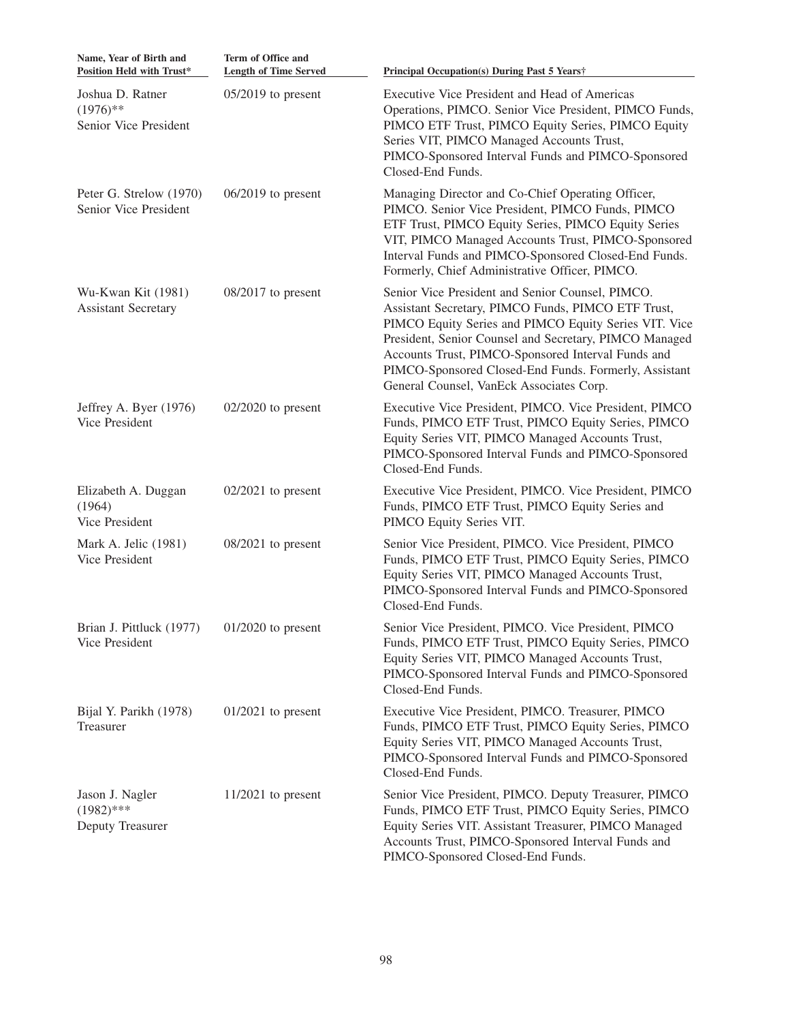| Name, Year of Birth and<br>Position Held with Trust*          | Term of Office and<br><b>Length of Time Served</b> | Principal Occupation(s) During Past 5 Years†                                                                                                                                                                                                                                                                                                                                         |
|---------------------------------------------------------------|----------------------------------------------------|--------------------------------------------------------------------------------------------------------------------------------------------------------------------------------------------------------------------------------------------------------------------------------------------------------------------------------------------------------------------------------------|
| Joshua D. Ratner<br>$(1976)$ **<br>Senior Vice President      | $05/2019$ to present                               | Executive Vice President and Head of Americas<br>Operations, PIMCO. Senior Vice President, PIMCO Funds,<br>PIMCO ETF Trust, PIMCO Equity Series, PIMCO Equity<br>Series VIT, PIMCO Managed Accounts Trust,<br>PIMCO-Sponsored Interval Funds and PIMCO-Sponsored<br>Closed-End Funds.                                                                                                |
| Peter G. Strelow (1970)<br>Senior Vice President              | $06/2019$ to present                               | Managing Director and Co-Chief Operating Officer,<br>PIMCO. Senior Vice President, PIMCO Funds, PIMCO<br>ETF Trust, PIMCO Equity Series, PIMCO Equity Series<br>VIT, PIMCO Managed Accounts Trust, PIMCO-Sponsored<br>Interval Funds and PIMCO-Sponsored Closed-End Funds.<br>Formerly, Chief Administrative Officer, PIMCO.                                                         |
| Wu-Kwan Kit (1981)<br><b>Assistant Secretary</b>              | $08/2017$ to present                               | Senior Vice President and Senior Counsel, PIMCO.<br>Assistant Secretary, PIMCO Funds, PIMCO ETF Trust,<br>PIMCO Equity Series and PIMCO Equity Series VIT. Vice<br>President, Senior Counsel and Secretary, PIMCO Managed<br>Accounts Trust, PIMCO-Sponsored Interval Funds and<br>PIMCO-Sponsored Closed-End Funds. Formerly, Assistant<br>General Counsel, VanEck Associates Corp. |
| Jeffrey A. Byer (1976)<br>Vice President                      | $02/2020$ to present                               | Executive Vice President, PIMCO. Vice President, PIMCO<br>Funds, PIMCO ETF Trust, PIMCO Equity Series, PIMCO<br>Equity Series VIT, PIMCO Managed Accounts Trust,<br>PIMCO-Sponsored Interval Funds and PIMCO-Sponsored<br>Closed-End Funds.                                                                                                                                          |
| Elizabeth A. Duggan<br>(1964)<br>Vice President               | $02/2021$ to present                               | Executive Vice President, PIMCO. Vice President, PIMCO<br>Funds, PIMCO ETF Trust, PIMCO Equity Series and<br>PIMCO Equity Series VIT.                                                                                                                                                                                                                                                |
| Mark A. Jelic (1981)<br><b>Vice President</b>                 | $08/2021$ to present                               | Senior Vice President, PIMCO. Vice President, PIMCO<br>Funds, PIMCO ETF Trust, PIMCO Equity Series, PIMCO<br>Equity Series VIT, PIMCO Managed Accounts Trust,<br>PIMCO-Sponsored Interval Funds and PIMCO-Sponsored<br>Closed-End Funds.                                                                                                                                             |
| Brian J. Pittluck (1977) 01/2020 to present<br>Vice President |                                                    | Senior Vice President, PIMCO. Vice President, PIMCO<br>Funds, PIMCO ETF Trust, PIMCO Equity Series, PIMCO<br>Equity Series VIT, PIMCO Managed Accounts Trust,<br>PIMCO-Sponsored Interval Funds and PIMCO-Sponsored<br>Closed-End Funds.                                                                                                                                             |
| Bijal Y. Parikh (1978)<br>Treasurer                           | $01/2021$ to present                               | Executive Vice President, PIMCO. Treasurer, PIMCO<br>Funds, PIMCO ETF Trust, PIMCO Equity Series, PIMCO<br>Equity Series VIT, PIMCO Managed Accounts Trust,<br>PIMCO-Sponsored Interval Funds and PIMCO-Sponsored<br>Closed-End Funds.                                                                                                                                               |
| Jason J. Nagler<br>$(1982)$ ***<br>Deputy Treasurer           | $11/2021$ to present                               | Senior Vice President, PIMCO. Deputy Treasurer, PIMCO<br>Funds, PIMCO ETF Trust, PIMCO Equity Series, PIMCO<br>Equity Series VIT. Assistant Treasurer, PIMCO Managed<br>Accounts Trust, PIMCO-Sponsored Interval Funds and<br>PIMCO-Sponsored Closed-End Funds.                                                                                                                      |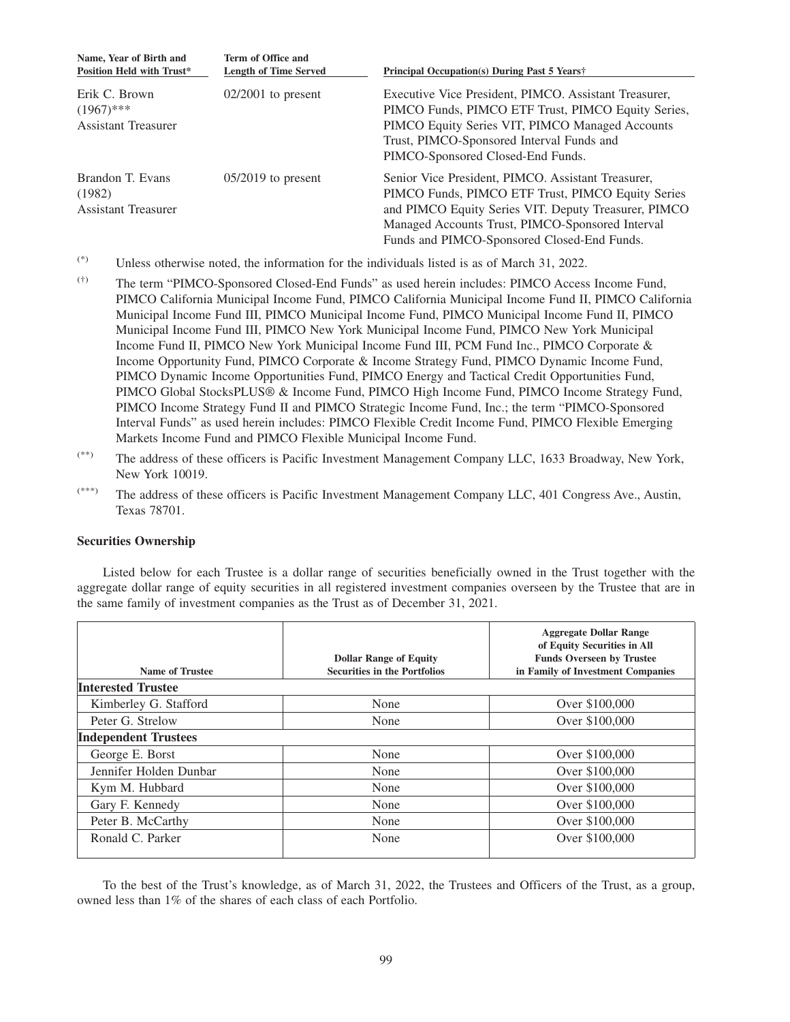| Name, Year of Birth and<br><b>Position Held with Trust*</b> | Term of Office and<br><b>Length of Time Served</b> | <b>Principal Occupation(s) During Past 5 Years</b> †                                                                                                                                                                                                               |
|-------------------------------------------------------------|----------------------------------------------------|--------------------------------------------------------------------------------------------------------------------------------------------------------------------------------------------------------------------------------------------------------------------|
| Erik C. Brown<br>$(1967)$ ***<br><b>Assistant Treasurer</b> | $02/2001$ to present                               | Executive Vice President, PIMCO. Assistant Treasurer,<br>PIMCO Funds, PIMCO ETF Trust, PIMCO Equity Series,<br>PIMCO Equity Series VIT, PIMCO Managed Accounts<br>Trust, PIMCO-Sponsored Interval Funds and<br>PIMCO-Sponsored Closed-End Funds.                   |
| Brandon T. Evans<br>(1982)<br><b>Assistant Treasurer</b>    | $05/2019$ to present                               | Senior Vice President, PIMCO. Assistant Treasurer,<br>PIMCO Funds, PIMCO ETF Trust, PIMCO Equity Series<br>and PIMCO Equity Series VIT. Deputy Treasurer, PIMCO<br>Managed Accounts Trust, PIMCO-Sponsored Interval<br>Funds and PIMCO-Sponsored Closed-End Funds. |

- $(*)$  Unless otherwise noted, the information for the individuals listed is as of March 31, 2022.
- (†) The term "PIMCO-Sponsored Closed-End Funds" as used herein includes: PIMCO Access Income Fund, PIMCO California Municipal Income Fund, PIMCO California Municipal Income Fund II, PIMCO California Municipal Income Fund III, PIMCO Municipal Income Fund, PIMCO Municipal Income Fund II, PIMCO Municipal Income Fund III, PIMCO New York Municipal Income Fund, PIMCO New York Municipal Income Fund II, PIMCO New York Municipal Income Fund III, PCM Fund Inc., PIMCO Corporate & Income Opportunity Fund, PIMCO Corporate & Income Strategy Fund, PIMCO Dynamic Income Fund, PIMCO Dynamic Income Opportunities Fund, PIMCO Energy and Tactical Credit Opportunities Fund, PIMCO Global StocksPLUS® & Income Fund, PIMCO High Income Fund, PIMCO Income Strategy Fund, PIMCO Income Strategy Fund II and PIMCO Strategic Income Fund, Inc.; the term "PIMCO-Sponsored Interval Funds" as used herein includes: PIMCO Flexible Credit Income Fund, PIMCO Flexible Emerging Markets Income Fund and PIMCO Flexible Municipal Income Fund.
- (\*\*) The address of these officers is Pacific Investment Management Company LLC, 1633 Broadway, New York, New York 10019.
- (\*\*\*) The address of these officers is Pacific Investment Management Company LLC, 401 Congress Ave., Austin, Texas 78701.

# **Securities Ownership**

Listed below for each Trustee is a dollar range of securities beneficially owned in the Trust together with the aggregate dollar range of equity securities in all registered investment companies overseen by the Trustee that are in the same family of investment companies as the Trust as of December 31, 2021.

|                             | <b>Dollar Range of Equity</b>       | <b>Aggregate Dollar Range</b><br>of Equity Securities in All<br><b>Funds Overseen by Trustee</b> |
|-----------------------------|-------------------------------------|--------------------------------------------------------------------------------------------------|
| <b>Name of Trustee</b>      | <b>Securities in the Portfolios</b> | in Family of Investment Companies                                                                |
| <b>Interested Trustee</b>   |                                     |                                                                                                  |
| Kimberley G. Stafford       | None                                | Over \$100,000                                                                                   |
| Peter G. Strelow            | None                                | Over \$100,000                                                                                   |
| <b>Independent Trustees</b> |                                     |                                                                                                  |
| George E. Borst             | None                                | Over \$100,000                                                                                   |
| Jennifer Holden Dunbar      | None                                | Over \$100,000                                                                                   |
| Kym M. Hubbard              | None                                | Over \$100,000                                                                                   |
| Gary F. Kennedy             | None                                | Over \$100,000                                                                                   |
| Peter B. McCarthy           | None                                | Over \$100,000                                                                                   |
| Ronald C. Parker            | None                                | Over \$100,000                                                                                   |

To the best of the Trust's knowledge, as of March 31, 2022, the Trustees and Officers of the Trust, as a group, owned less than 1% of the shares of each class of each Portfolio.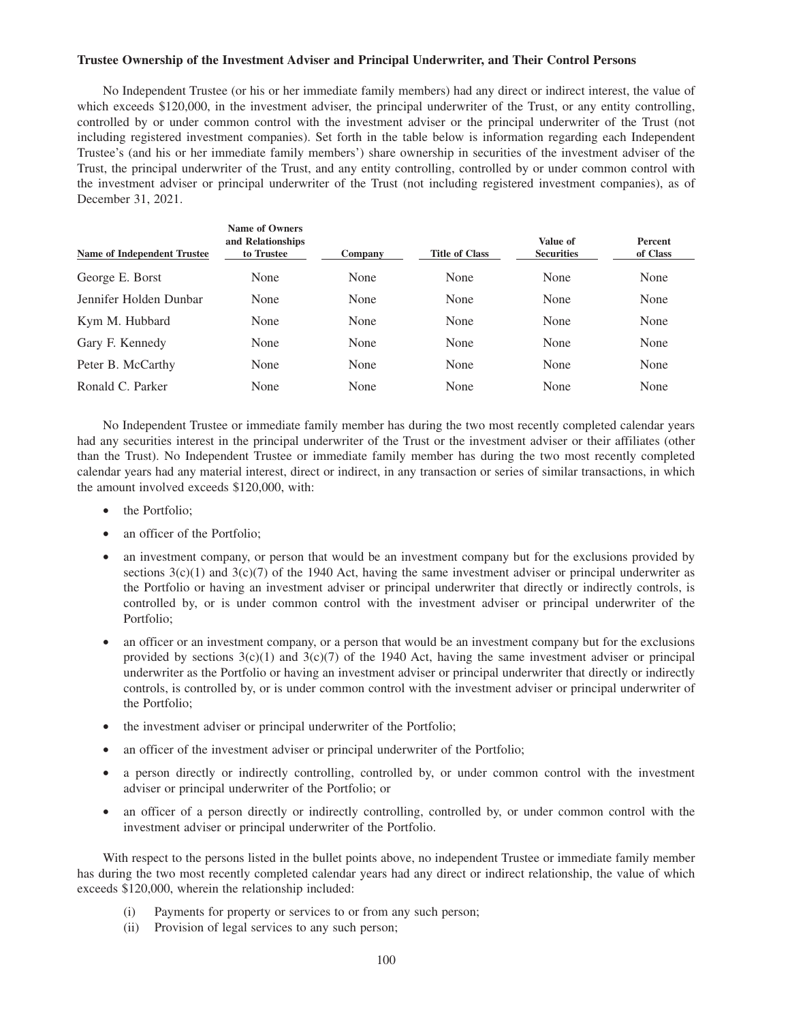# **Trustee Ownership of the Investment Adviser and Principal Underwriter, and Their Control Persons**

No Independent Trustee (or his or her immediate family members) had any direct or indirect interest, the value of which exceeds \$120,000, in the investment adviser, the principal underwriter of the Trust, or any entity controlling, controlled by or under common control with the investment adviser or the principal underwriter of the Trust (not including registered investment companies). Set forth in the table below is information regarding each Independent Trustee's (and his or her immediate family members') share ownership in securities of the investment adviser of the Trust, the principal underwriter of the Trust, and any entity controlling, controlled by or under common control with the investment adviser or principal underwriter of the Trust (not including registered investment companies), as of December 31, 2021.

| <b>Name of Independent Trustee</b> | <b>Name of Owners</b><br>and Relationships<br>to Trustee | Company | <b>Title of Class</b> | Value of<br><b>Securities</b> | <b>Percent</b><br>of Class |
|------------------------------------|----------------------------------------------------------|---------|-----------------------|-------------------------------|----------------------------|
| George E. Borst                    | None                                                     | None    | None                  | None                          | None                       |
| Jennifer Holden Dunbar             | None                                                     | None    | None                  | None                          | None                       |
| Kym M. Hubbard                     | None                                                     | None    | None                  | None                          | None                       |
| Gary F. Kennedy                    | None                                                     | None    | None                  | None                          | None                       |
| Peter B. McCarthy                  | None                                                     | None    | None                  | None                          | None                       |
| Ronald C. Parker                   | None                                                     | None    | None                  | None                          | None                       |

No Independent Trustee or immediate family member has during the two most recently completed calendar years had any securities interest in the principal underwriter of the Trust or the investment adviser or their affiliates (other than the Trust). No Independent Trustee or immediate family member has during the two most recently completed calendar years had any material interest, direct or indirect, in any transaction or series of similar transactions, in which the amount involved exceeds \$120,000, with:

- the Portfolio;
- an officer of the Portfolio;
- an investment company, or person that would be an investment company but for the exclusions provided by sections  $3(c)(1)$  and  $3(c)(7)$  of the 1940 Act, having the same investment adviser or principal underwriter as the Portfolio or having an investment adviser or principal underwriter that directly or indirectly controls, is controlled by, or is under common control with the investment adviser or principal underwriter of the Portfolio;
- an officer or an investment company, or a person that would be an investment company but for the exclusions provided by sections  $3(c)(1)$  and  $3(c)(7)$  of the 1940 Act, having the same investment adviser or principal underwriter as the Portfolio or having an investment adviser or principal underwriter that directly or indirectly controls, is controlled by, or is under common control with the investment adviser or principal underwriter of the Portfolio;
- the investment adviser or principal underwriter of the Portfolio;
- an officer of the investment adviser or principal underwriter of the Portfolio;
- a person directly or indirectly controlling, controlled by, or under common control with the investment adviser or principal underwriter of the Portfolio; or
- an officer of a person directly or indirectly controlling, controlled by, or under common control with the investment adviser or principal underwriter of the Portfolio.

With respect to the persons listed in the bullet points above, no independent Trustee or immediate family member has during the two most recently completed calendar years had any direct or indirect relationship, the value of which exceeds \$120,000, wherein the relationship included:

- (i) Payments for property or services to or from any such person;
- (ii) Provision of legal services to any such person;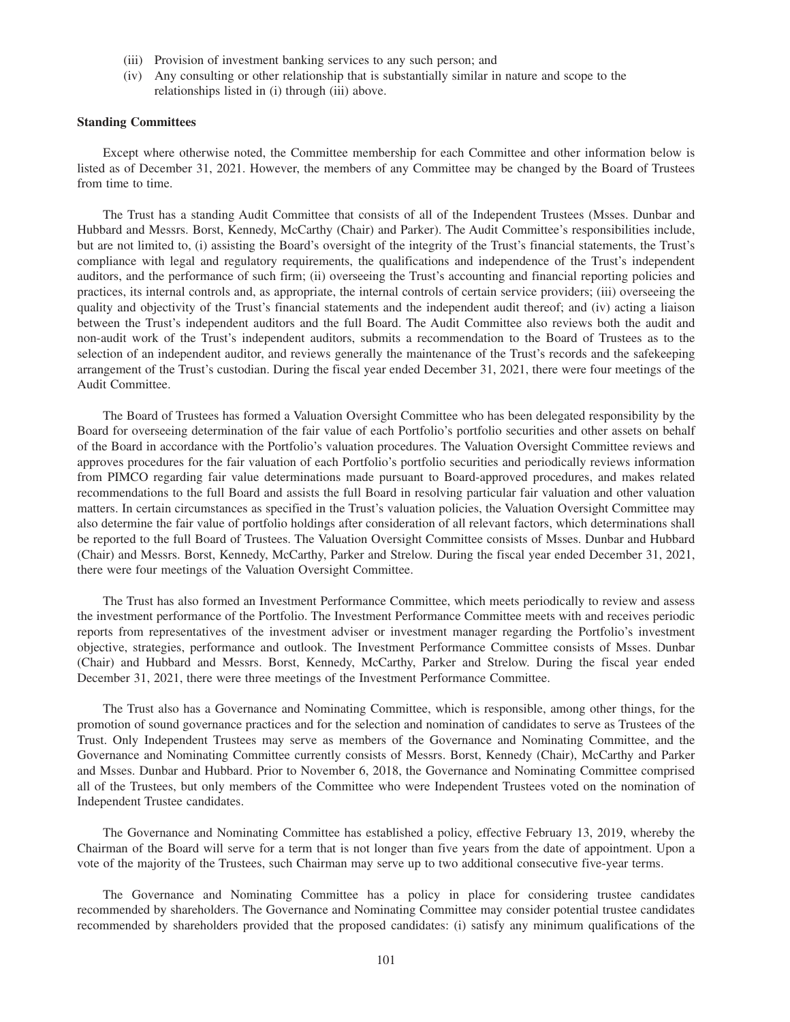- (iii) Provision of investment banking services to any such person; and
- (iv) Any consulting or other relationship that is substantially similar in nature and scope to the relationships listed in (i) through (iii) above.

#### **Standing Committees**

Except where otherwise noted, the Committee membership for each Committee and other information below is listed as of December 31, 2021. However, the members of any Committee may be changed by the Board of Trustees from time to time.

The Trust has a standing Audit Committee that consists of all of the Independent Trustees (Msses. Dunbar and Hubbard and Messrs. Borst, Kennedy, McCarthy (Chair) and Parker). The Audit Committee's responsibilities include, but are not limited to, (i) assisting the Board's oversight of the integrity of the Trust's financial statements, the Trust's compliance with legal and regulatory requirements, the qualifications and independence of the Trust's independent auditors, and the performance of such firm; (ii) overseeing the Trust's accounting and financial reporting policies and practices, its internal controls and, as appropriate, the internal controls of certain service providers; (iii) overseeing the quality and objectivity of the Trust's financial statements and the independent audit thereof; and (iv) acting a liaison between the Trust's independent auditors and the full Board. The Audit Committee also reviews both the audit and non-audit work of the Trust's independent auditors, submits a recommendation to the Board of Trustees as to the selection of an independent auditor, and reviews generally the maintenance of the Trust's records and the safekeeping arrangement of the Trust's custodian. During the fiscal year ended December 31, 2021, there were four meetings of the Audit Committee.

The Board of Trustees has formed a Valuation Oversight Committee who has been delegated responsibility by the Board for overseeing determination of the fair value of each Portfolio's portfolio securities and other assets on behalf of the Board in accordance with the Portfolio's valuation procedures. The Valuation Oversight Committee reviews and approves procedures for the fair valuation of each Portfolio's portfolio securities and periodically reviews information from PIMCO regarding fair value determinations made pursuant to Board-approved procedures, and makes related recommendations to the full Board and assists the full Board in resolving particular fair valuation and other valuation matters. In certain circumstances as specified in the Trust's valuation policies, the Valuation Oversight Committee may also determine the fair value of portfolio holdings after consideration of all relevant factors, which determinations shall be reported to the full Board of Trustees. The Valuation Oversight Committee consists of Msses. Dunbar and Hubbard (Chair) and Messrs. Borst, Kennedy, McCarthy, Parker and Strelow. During the fiscal year ended December 31, 2021, there were four meetings of the Valuation Oversight Committee.

The Trust has also formed an Investment Performance Committee, which meets periodically to review and assess the investment performance of the Portfolio. The Investment Performance Committee meets with and receives periodic reports from representatives of the investment adviser or investment manager regarding the Portfolio's investment objective, strategies, performance and outlook. The Investment Performance Committee consists of Msses. Dunbar (Chair) and Hubbard and Messrs. Borst, Kennedy, McCarthy, Parker and Strelow. During the fiscal year ended December 31, 2021, there were three meetings of the Investment Performance Committee.

The Trust also has a Governance and Nominating Committee, which is responsible, among other things, for the promotion of sound governance practices and for the selection and nomination of candidates to serve as Trustees of the Trust. Only Independent Trustees may serve as members of the Governance and Nominating Committee, and the Governance and Nominating Committee currently consists of Messrs. Borst, Kennedy (Chair), McCarthy and Parker and Msses. Dunbar and Hubbard. Prior to November 6, 2018, the Governance and Nominating Committee comprised all of the Trustees, but only members of the Committee who were Independent Trustees voted on the nomination of Independent Trustee candidates.

The Governance and Nominating Committee has established a policy, effective February 13, 2019, whereby the Chairman of the Board will serve for a term that is not longer than five years from the date of appointment. Upon a vote of the majority of the Trustees, such Chairman may serve up to two additional consecutive five-year terms.

The Governance and Nominating Committee has a policy in place for considering trustee candidates recommended by shareholders. The Governance and Nominating Committee may consider potential trustee candidates recommended by shareholders provided that the proposed candidates: (i) satisfy any minimum qualifications of the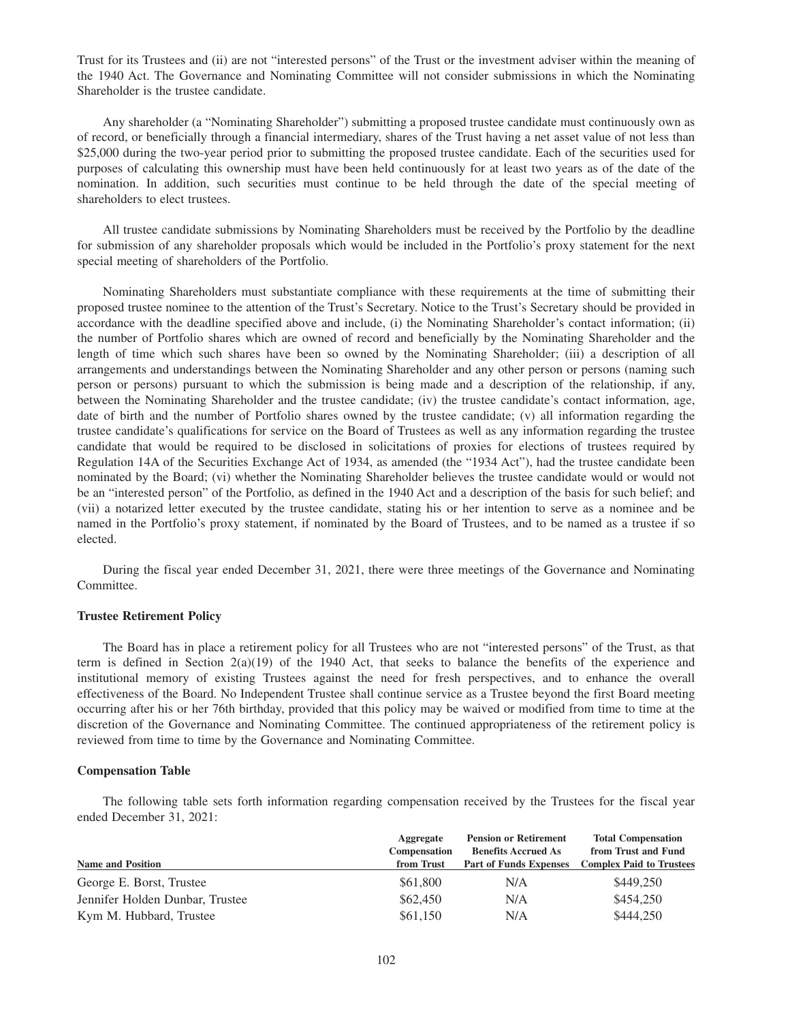Trust for its Trustees and (ii) are not "interested persons" of the Trust or the investment adviser within the meaning of the 1940 Act. The Governance and Nominating Committee will not consider submissions in which the Nominating Shareholder is the trustee candidate.

Any shareholder (a "Nominating Shareholder") submitting a proposed trustee candidate must continuously own as of record, or beneficially through a financial intermediary, shares of the Trust having a net asset value of not less than \$25,000 during the two-year period prior to submitting the proposed trustee candidate. Each of the securities used for purposes of calculating this ownership must have been held continuously for at least two years as of the date of the nomination. In addition, such securities must continue to be held through the date of the special meeting of shareholders to elect trustees.

All trustee candidate submissions by Nominating Shareholders must be received by the Portfolio by the deadline for submission of any shareholder proposals which would be included in the Portfolio's proxy statement for the next special meeting of shareholders of the Portfolio.

Nominating Shareholders must substantiate compliance with these requirements at the time of submitting their proposed trustee nominee to the attention of the Trust's Secretary. Notice to the Trust's Secretary should be provided in accordance with the deadline specified above and include, (i) the Nominating Shareholder's contact information; (ii) the number of Portfolio shares which are owned of record and beneficially by the Nominating Shareholder and the length of time which such shares have been so owned by the Nominating Shareholder; (iii) a description of all arrangements and understandings between the Nominating Shareholder and any other person or persons (naming such person or persons) pursuant to which the submission is being made and a description of the relationship, if any, between the Nominating Shareholder and the trustee candidate; (iv) the trustee candidate's contact information, age, date of birth and the number of Portfolio shares owned by the trustee candidate; (v) all information regarding the trustee candidate's qualifications for service on the Board of Trustees as well as any information regarding the trustee candidate that would be required to be disclosed in solicitations of proxies for elections of trustees required by Regulation 14A of the Securities Exchange Act of 1934, as amended (the "1934 Act"), had the trustee candidate been nominated by the Board; (vi) whether the Nominating Shareholder believes the trustee candidate would or would not be an "interested person" of the Portfolio, as defined in the 1940 Act and a description of the basis for such belief; and (vii) a notarized letter executed by the trustee candidate, stating his or her intention to serve as a nominee and be named in the Portfolio's proxy statement, if nominated by the Board of Trustees, and to be named as a trustee if so elected.

During the fiscal year ended December 31, 2021, there were three meetings of the Governance and Nominating Committee.

# **Trustee Retirement Policy**

The Board has in place a retirement policy for all Trustees who are not "interested persons" of the Trust, as that term is defined in Section 2(a)(19) of the 1940 Act, that seeks to balance the benefits of the experience and institutional memory of existing Trustees against the need for fresh perspectives, and to enhance the overall effectiveness of the Board. No Independent Trustee shall continue service as a Trustee beyond the first Board meeting occurring after his or her 76th birthday, provided that this policy may be waived or modified from time to time at the discretion of the Governance and Nominating Committee. The continued appropriateness of the retirement policy is reviewed from time to time by the Governance and Nominating Committee.

#### **Compensation Table**

The following table sets forth information regarding compensation received by the Trustees for the fiscal year ended December 31, 2021:

|                                 | Aggregate    | <b>Pension or Retirement</b>  | <b>Total Compensation</b>       |  |  |
|---------------------------------|--------------|-------------------------------|---------------------------------|--|--|
|                                 | Compensation | <b>Benefits Accrued As</b>    | from Trust and Fund             |  |  |
| <b>Name and Position</b>        | from Trust   | <b>Part of Funds Expenses</b> | <b>Complex Paid to Trustees</b> |  |  |
| George E. Borst, Trustee        | \$61,800     | N/A                           | \$449,250                       |  |  |
| Jennifer Holden Dunbar, Trustee | \$62,450     | N/A                           | \$454,250                       |  |  |
| Kym M. Hubbard, Trustee         | \$61,150     | N/A                           | \$444,250                       |  |  |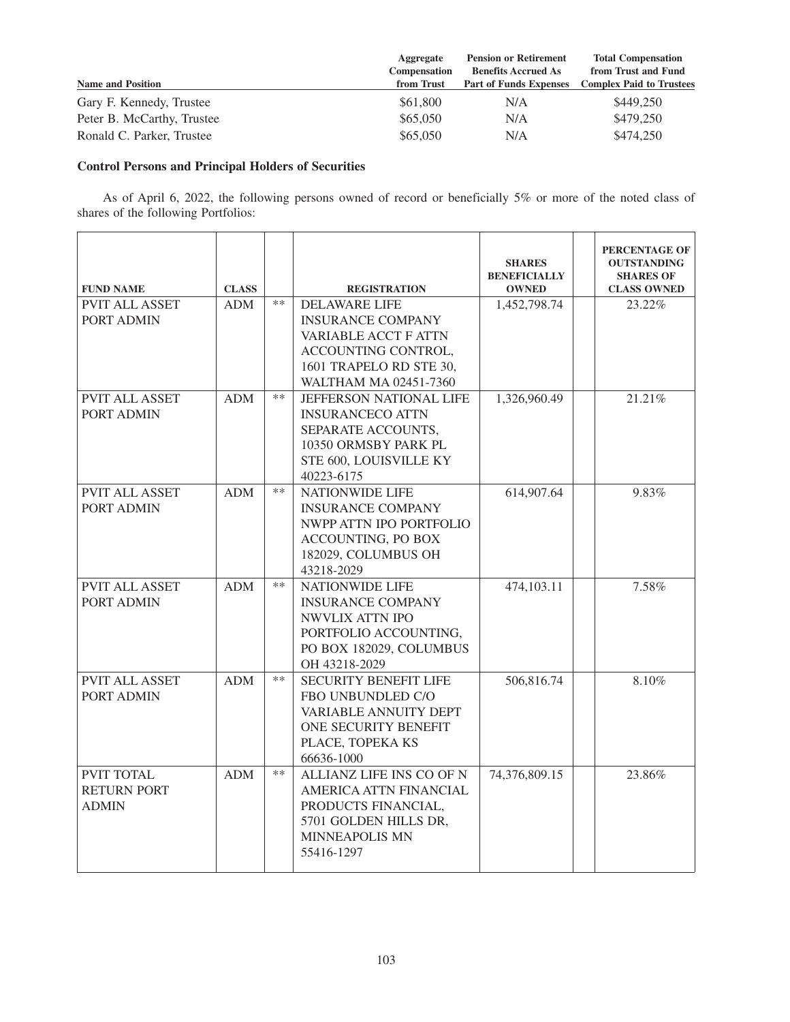| <b>Name and Position</b>   | Aggregate<br>Compensation<br>from Trust | <b>Pension or Retirement</b><br><b>Benefits Accrued As</b><br><b>Part of Funds Expenses</b> | <b>Total Compensation</b><br>from Trust and Fund<br><b>Complex Paid to Trustees</b> |
|----------------------------|-----------------------------------------|---------------------------------------------------------------------------------------------|-------------------------------------------------------------------------------------|
| Gary F. Kennedy, Trustee   | \$61,800                                | N/A                                                                                         | \$449,250                                                                           |
| Peter B. McCarthy, Trustee | \$65,050                                | N/A                                                                                         | \$479,250                                                                           |
| Ronald C. Parker, Trustee  | \$65,050                                | N/A                                                                                         | \$474,250                                                                           |

# **Control Persons and Principal Holders of Securities**

As of April 6, 2022, the following persons owned of record or beneficially 5% or more of the noted class of shares of the following Portfolios:

| <b>FUND NAME</b>      | <b>CLASS</b> |       | <b>REGISTRATION</b>               | <b>SHARES</b><br><b>BENEFICIALLY</b><br><b>OWNED</b> | PERCENTAGE OF<br><b>OUTSTANDING</b><br><b>SHARES OF</b><br><b>CLASS OWNED</b> |
|-----------------------|--------------|-------|-----------------------------------|------------------------------------------------------|-------------------------------------------------------------------------------|
| <b>PVIT ALL ASSET</b> | <b>ADM</b>   | $***$ | <b>DELAWARE LIFE</b>              | 1,452,798.74                                         | 23.22%                                                                        |
| <b>PORT ADMIN</b>     |              |       | <b>INSURANCE COMPANY</b>          |                                                      |                                                                               |
|                       |              |       | <b>VARIABLE ACCT F ATTN</b>       |                                                      |                                                                               |
|                       |              |       | ACCOUNTING CONTROL,               |                                                      |                                                                               |
|                       |              |       | 1601 TRAPELO RD STE 30,           |                                                      |                                                                               |
|                       |              |       | WALTHAM MA 02451-7360             |                                                      |                                                                               |
| PVIT ALL ASSET        | <b>ADM</b>   | $***$ | JEFFERSON NATIONAL LIFE           | 1,326,960.49                                         | 21.21%                                                                        |
| <b>PORT ADMIN</b>     |              |       | <b>INSURANCECO ATTN</b>           |                                                      |                                                                               |
|                       |              |       | SEPARATE ACCOUNTS,                |                                                      |                                                                               |
|                       |              |       | 10350 ORMSBY PARK PL              |                                                      |                                                                               |
|                       |              |       | STE 600, LOUISVILLE KY            |                                                      |                                                                               |
|                       |              |       | 40223-6175                        |                                                      |                                                                               |
| <b>PVIT ALL ASSET</b> | <b>ADM</b>   | $**$  | <b>NATIONWIDE LIFE</b>            | 614,907.64                                           | 9.83%                                                                         |
| PORT ADMIN            |              |       | <b>INSURANCE COMPANY</b>          |                                                      |                                                                               |
|                       |              |       | NWPP ATTN IPO PORTFOLIO           |                                                      |                                                                               |
|                       |              |       | <b>ACCOUNTING, PO BOX</b>         |                                                      |                                                                               |
|                       |              |       | 182029, COLUMBUS OH<br>43218-2029 |                                                      |                                                                               |
| <b>PVIT ALL ASSET</b> | <b>ADM</b>   | **    | NATIONWIDE LIFE                   | 474,103.11                                           | 7.58%                                                                         |
| <b>PORT ADMIN</b>     |              |       | <b>INSURANCE COMPANY</b>          |                                                      |                                                                               |
|                       |              |       | NWVLIX ATTN IPO                   |                                                      |                                                                               |
|                       |              |       | PORTFOLIO ACCOUNTING,             |                                                      |                                                                               |
|                       |              |       | PO BOX 182029, COLUMBUS           |                                                      |                                                                               |
|                       |              |       | OH 43218-2029                     |                                                      |                                                                               |
| <b>PVIT ALL ASSET</b> | <b>ADM</b>   | $**$  | SECURITY BENEFIT LIFE             | 506,816.74                                           | 8.10%                                                                         |
| PORT ADMIN            |              |       | FBO UNBUNDLED C/O                 |                                                      |                                                                               |
|                       |              |       | VARIABLE ANNUITY DEPT             |                                                      |                                                                               |
|                       |              |       | ONE SECURITY BENEFIT              |                                                      |                                                                               |
|                       |              |       | PLACE, TOPEKA KS                  |                                                      |                                                                               |
|                       |              |       | 66636-1000                        |                                                      |                                                                               |
| <b>PVIT TOTAL</b>     | <b>ADM</b>   | $***$ | ALLIANZ LIFE INS CO OF N          | 74,376,809.15                                        | 23.86%                                                                        |
| <b>RETURN PORT</b>    |              |       | AMERICA ATTN FINANCIAL            |                                                      |                                                                               |
| <b>ADMIN</b>          |              |       | PRODUCTS FINANCIAL,               |                                                      |                                                                               |
|                       |              |       | 5701 GOLDEN HILLS DR.             |                                                      |                                                                               |
|                       |              |       | <b>MINNEAPOLIS MN</b>             |                                                      |                                                                               |
|                       |              |       | 55416-1297                        |                                                      |                                                                               |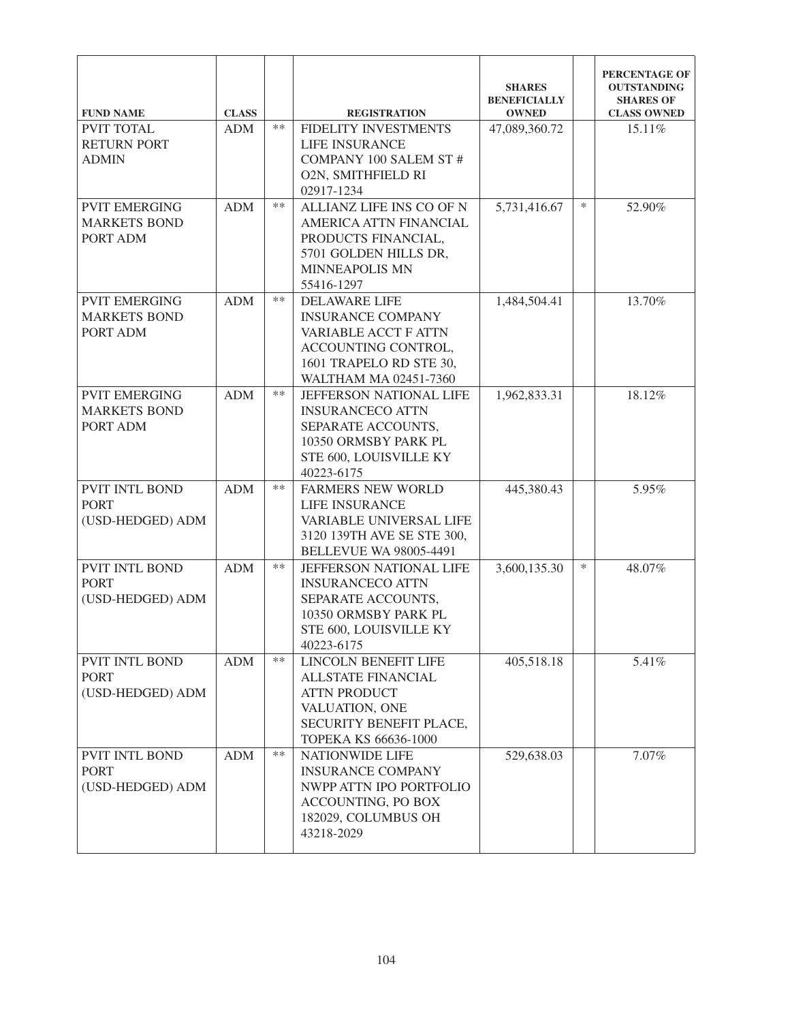| <b>FUND NAME</b>                                         | <b>CLASS</b> |       | <b>REGISTRATION</b>                                                                                                                                 | <b>SHARES</b><br><b>BENEFICIALLY</b><br><b>OWNED</b> |        | PERCENTAGE OF<br><b>OUTSTANDING</b><br><b>SHARES OF</b><br><b>CLASS OWNED</b> |
|----------------------------------------------------------|--------------|-------|-----------------------------------------------------------------------------------------------------------------------------------------------------|------------------------------------------------------|--------|-------------------------------------------------------------------------------|
| <b>PVIT TOTAL</b><br><b>RETURN PORT</b><br><b>ADMIN</b>  | <b>ADM</b>   | $**$  | FIDELITY INVESTMENTS<br><b>LIFE INSURANCE</b><br><b>COMPANY 100 SALEM ST#</b><br>O2N, SMITHFIELD RI<br>02917-1234                                   | 47,089,360.72                                        |        | 15.11%                                                                        |
| <b>PVIT EMERGING</b><br><b>MARKETS BOND</b><br>PORT ADM  | <b>ADM</b>   | $***$ | ALLIANZ LIFE INS CO OF N<br>AMERICA ATTN FINANCIAL<br>PRODUCTS FINANCIAL,<br>5701 GOLDEN HILLS DR,<br><b>MINNEAPOLIS MN</b><br>55416-1297           | 5,731,416.67                                         | $\ast$ | 52.90%                                                                        |
| <b>PVIT EMERGING</b><br><b>MARKETS BOND</b><br>PORT ADM  | <b>ADM</b>   | $**$  | <b>DELAWARE LIFE</b><br><b>INSURANCE COMPANY</b><br>VARIABLE ACCT F ATTN<br>ACCOUNTING CONTROL,<br>1601 TRAPELO RD STE 30,<br>WALTHAM MA 02451-7360 | 1,484,504.41                                         |        | 13.70%                                                                        |
| <b>PVIT EMERGING</b><br><b>MARKETS BOND</b><br>PORT ADM  | <b>ADM</b>   | $**$  | <b>JEFFERSON NATIONAL LIFE</b><br><b>INSURANCECO ATTN</b><br>SEPARATE ACCOUNTS,<br>10350 ORMSBY PARK PL<br>STE 600, LOUISVILLE KY<br>40223-6175     | 1,962,833.31                                         |        | 18.12%                                                                        |
| PVIT INTL BOND<br><b>PORT</b><br>(USD-HEDGED) ADM        | <b>ADM</b>   | $**$  | <b>FARMERS NEW WORLD</b><br>LIFE INSURANCE<br>VARIABLE UNIVERSAL LIFE<br>3120 139TH AVE SE STE 300,<br><b>BELLEVUE WA 98005-4491</b>                | 445,380.43                                           |        | 5.95%                                                                         |
| PVIT INTL BOND<br><b>PORT</b><br>(USD-HEDGED) ADM        | <b>ADM</b>   | $***$ | JEFFERSON NATIONAL LIFE<br><b>INSURANCECO ATTN</b><br>SEPARATE ACCOUNTS,<br>10350 ORMSBY PARK PL<br>STE 600, LOUISVILLE KY<br>40223-6175            | 3,600,135.30                                         | $\ast$ | 48.07%                                                                        |
| <b>PVIT INTL BOND</b><br><b>PORT</b><br>(USD-HEDGED) ADM | <b>ADM</b>   | $**$  | LINCOLN BENEFIT LIFE<br><b>ALLSTATE FINANCIAL</b><br><b>ATTN PRODUCT</b><br>VALUATION, ONE<br>SECURITY BENEFIT PLACE,<br>TOPEKA KS 66636-1000       | 405,518.18                                           |        | 5.41%                                                                         |
| <b>PVIT INTL BOND</b><br><b>PORT</b><br>(USD-HEDGED) ADM | <b>ADM</b>   | $***$ | <b>NATIONWIDE LIFE</b><br><b>INSURANCE COMPANY</b><br>NWPP ATTN IPO PORTFOLIO<br><b>ACCOUNTING, PO BOX</b><br>182029, COLUMBUS OH<br>43218-2029     | 529,638.03                                           |        | 7.07%                                                                         |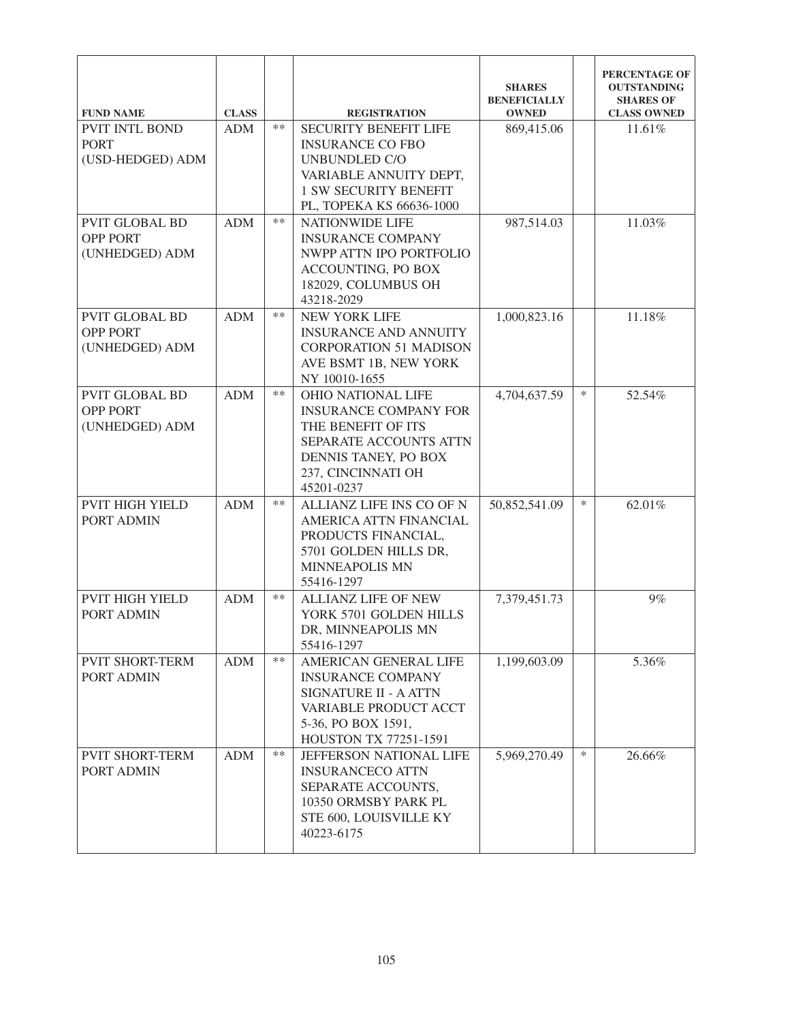| <b>FUND NAME</b>                                           | <b>CLASS</b> |      | <b>REGISTRATION</b>                                                                                                                                                   | <b>SHARES</b><br><b>BENEFICIALLY</b><br><b>OWNED</b> |        | PERCENTAGE OF<br><b>OUTSTANDING</b><br><b>SHARES OF</b><br><b>CLASS OWNED</b> |
|------------------------------------------------------------|--------------|------|-----------------------------------------------------------------------------------------------------------------------------------------------------------------------|------------------------------------------------------|--------|-------------------------------------------------------------------------------|
| PVIT INTL BOND<br><b>PORT</b><br>(USD-HEDGED) ADM          | <b>ADM</b>   | $**$ | <b>SECURITY BENEFIT LIFE</b><br><b>INSURANCE CO FBO</b><br><b>UNBUNDLED C/O</b><br>VARIABLE ANNUITY DEPT,<br><b>1 SW SECURITY BENEFIT</b><br>PL, TOPEKA KS 66636-1000 | 869,415.06                                           |        | 11.61%                                                                        |
| <b>PVIT GLOBAL BD</b><br><b>OPP PORT</b><br>(UNHEDGED) ADM | <b>ADM</b>   | $**$ | <b>NATIONWIDE LIFE</b><br><b>INSURANCE COMPANY</b><br>NWPP ATTN IPO PORTFOLIO<br>ACCOUNTING, PO BOX<br>182029, COLUMBUS OH<br>43218-2029                              | 987,514.03                                           |        | 11.03%                                                                        |
| PVIT GLOBAL BD<br><b>OPP PORT</b><br>(UNHEDGED) ADM        | <b>ADM</b>   | $**$ | <b>NEW YORK LIFE</b><br><b>INSURANCE AND ANNUITY</b><br><b>CORPORATION 51 MADISON</b><br>AVE BSMT 1B, NEW YORK<br>NY 10010-1655                                       | 1,000,823.16                                         |        | 11.18%                                                                        |
| <b>PVIT GLOBAL BD</b><br><b>OPP PORT</b><br>(UNHEDGED) ADM | <b>ADM</b>   | $**$ | <b>OHIO NATIONAL LIFE</b><br><b>INSURANCE COMPANY FOR</b><br>THE BENEFIT OF ITS<br>SEPARATE ACCOUNTS ATTN<br>DENNIS TANEY, PO BOX<br>237, CINCINNATI OH<br>45201-0237 | 4,704,637.59                                         | $\ast$ | 52.54%                                                                        |
| <b>PVIT HIGH YIELD</b><br>PORT ADMIN                       | <b>ADM</b>   | $**$ | ALLIANZ LIFE INS CO OF N<br>AMERICA ATTN FINANCIAL<br>PRODUCTS FINANCIAL,<br>5701 GOLDEN HILLS DR,<br><b>MINNEAPOLIS MN</b><br>55416-1297                             | 50,852,541.09                                        | $\ast$ | 62.01%                                                                        |
| <b>PVIT HIGH YIELD</b><br>PORT ADMIN                       | <b>ADM</b>   | $**$ | ALLIANZ LIFE OF NEW<br>YORK 5701 GOLDEN HILLS<br>DR, MINNEAPOLIS MN<br>55416-1297                                                                                     | 7,379,451.73                                         |        | 9%                                                                            |
| <b>PVIT SHORT-TERM</b><br>PORT ADMIN                       | <b>ADM</b>   | $**$ | AMERICAN GENERAL LIFE<br><b>INSURANCE COMPANY</b><br>SIGNATURE II - A ATTN<br>VARIABLE PRODUCT ACCT<br>5-36, PO BOX 1591,<br><b>HOUSTON TX 77251-1591</b>             | 1,199,603.09                                         |        | 5.36%                                                                         |
| <b>PVIT SHORT-TERM</b><br>PORT ADMIN                       | <b>ADM</b>   | **   | JEFFERSON NATIONAL LIFE<br><b>INSURANCECO ATTN</b><br>SEPARATE ACCOUNTS,<br>10350 ORMSBY PARK PL<br>STE 600, LOUISVILLE KY<br>40223-6175                              | 5,969,270.49                                         | $\ast$ | 26.66%                                                                        |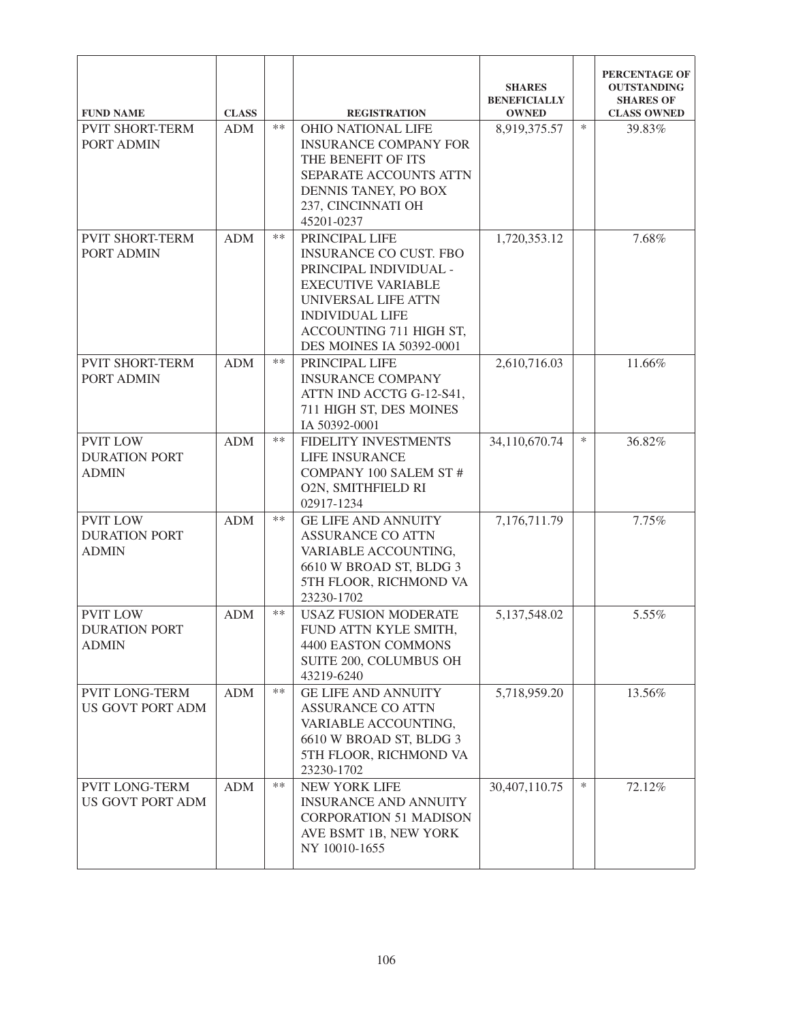| <b>FUND NAME</b>                                        | <b>CLASS</b> |       | <b>REGISTRATION</b>                                                                                                                                                                                            | <b>SHARES</b><br><b>BENEFICIALLY</b><br><b>OWNED</b> |        | PERCENTAGE OF<br><b>OUTSTANDING</b><br><b>SHARES OF</b><br><b>CLASS OWNED</b> |
|---------------------------------------------------------|--------------|-------|----------------------------------------------------------------------------------------------------------------------------------------------------------------------------------------------------------------|------------------------------------------------------|--------|-------------------------------------------------------------------------------|
| <b>PVIT SHORT-TERM</b><br>PORT ADMIN                    | <b>ADM</b>   | $**$  | <b>OHIO NATIONAL LIFE</b><br><b>INSURANCE COMPANY FOR</b><br>THE BENEFIT OF ITS<br>SEPARATE ACCOUNTS ATTN<br>DENNIS TANEY, PO BOX<br>237, CINCINNATI OH<br>45201-0237                                          | 8,919,375.57                                         | *      | 39.83%                                                                        |
| <b>PVIT SHORT-TERM</b><br>PORT ADMIN                    | <b>ADM</b>   | $**$  | PRINCIPAL LIFE<br><b>INSURANCE CO CUST. FBO</b><br>PRINCIPAL INDIVIDUAL -<br><b>EXECUTIVE VARIABLE</b><br>UNIVERSAL LIFE ATTN<br><b>INDIVIDUAL LIFE</b><br>ACCOUNTING 711 HIGH ST,<br>DES MOINES IA 50392-0001 | 1,720,353.12                                         |        | 7.68%                                                                         |
| <b>PVIT SHORT-TERM</b><br>PORT ADMIN                    | <b>ADM</b>   | $**$  | PRINCIPAL LIFE<br><b>INSURANCE COMPANY</b><br>ATTN IND ACCTG G-12-S41,<br>711 HIGH ST, DES MOINES<br>IA 50392-0001                                                                                             | 2,610,716.03                                         |        | 11.66%                                                                        |
| <b>PVIT LOW</b><br><b>DURATION PORT</b><br><b>ADMIN</b> | <b>ADM</b>   | $**$  | FIDELITY INVESTMENTS<br>LIFE INSURANCE<br><b>COMPANY 100 SALEM ST#</b><br>O2N, SMITHFIELD RI<br>02917-1234                                                                                                     | 34,110,670.74                                        | $\ast$ | 36.82%                                                                        |
| <b>PVIT LOW</b><br><b>DURATION PORT</b><br><b>ADMIN</b> | <b>ADM</b>   | $**$  | <b>GE LIFE AND ANNUITY</b><br><b>ASSURANCE CO ATTN</b><br>VARIABLE ACCOUNTING,<br>6610 W BROAD ST, BLDG 3<br>5TH FLOOR, RICHMOND VA<br>23230-1702                                                              | 7,176,711.79                                         |        | 7.75%                                                                         |
| <b>PVIT LOW</b><br><b>DURATION PORT</b><br><b>ADMIN</b> | <b>ADM</b>   | $***$ | <b>USAZ FUSION MODERATE</b><br>FUND ATTN KYLE SMITH,<br><b>4400 EASTON COMMONS</b><br>SUITE 200, COLUMBUS OH<br>43219-6240                                                                                     | 5,137,548.02                                         |        | 5.55%                                                                         |
| <b>PVIT LONG-TERM</b><br><b>US GOVT PORT ADM</b>        | <b>ADM</b>   | $**$  | <b>GE LIFE AND ANNUITY</b><br><b>ASSURANCE CO ATTN</b><br>VARIABLE ACCOUNTING,<br>6610 W BROAD ST, BLDG 3<br>5TH FLOOR, RICHMOND VA<br>23230-1702                                                              | 5,718,959.20                                         |        | 13.56%                                                                        |
| <b>PVIT LONG-TERM</b><br><b>US GOVT PORT ADM</b>        | <b>ADM</b>   | **    | NEW YORK LIFE<br><b>INSURANCE AND ANNUITY</b><br><b>CORPORATION 51 MADISON</b><br>AVE BSMT 1B, NEW YORK<br>NY 10010-1655                                                                                       | 30,407,110.75                                        | $\ast$ | 72.12%                                                                        |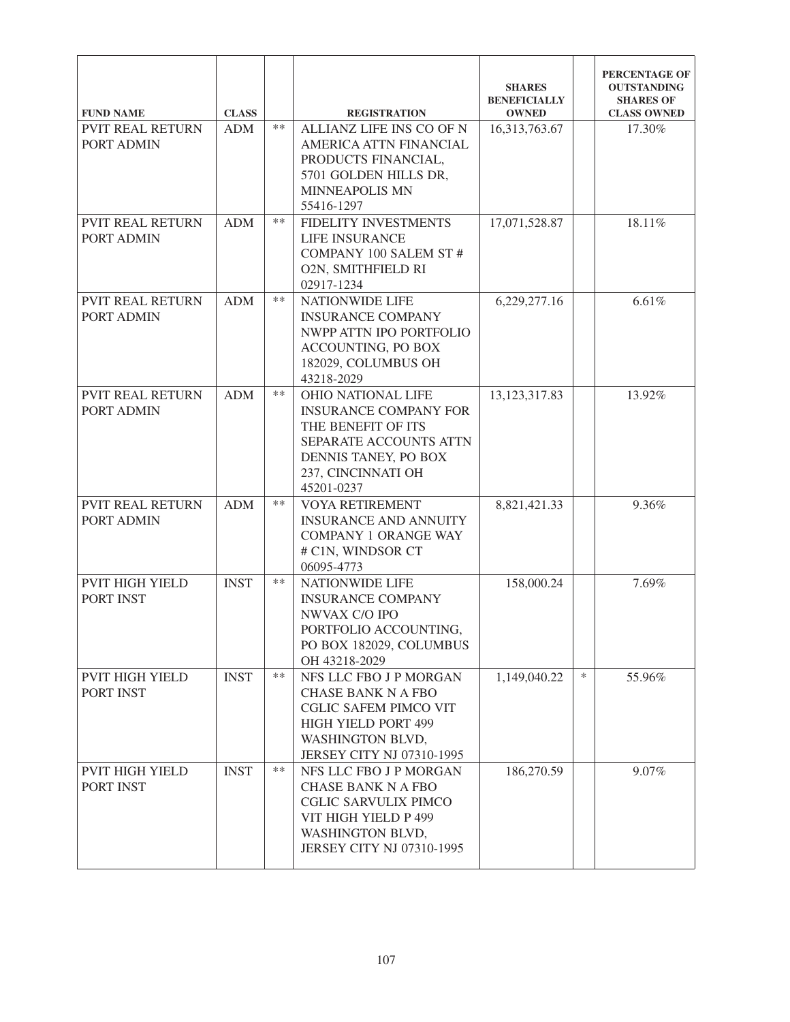| <b>FUND NAME</b>                           | <b>CLASS</b> |       | <b>REGISTRATION</b>                                                                                                                                            | <b>SHARES</b><br><b>BENEFICIALLY</b><br><b>OWNED</b> |        | PERCENTAGE OF<br><b>OUTSTANDING</b><br><b>SHARES OF</b><br><b>CLASS OWNED</b> |
|--------------------------------------------|--------------|-------|----------------------------------------------------------------------------------------------------------------------------------------------------------------|------------------------------------------------------|--------|-------------------------------------------------------------------------------|
| <b>PVIT REAL RETURN</b><br>PORT ADMIN      | <b>ADM</b>   | $***$ | <b>ALLIANZ LIFE INS CO OF N</b><br>AMERICA ATTN FINANCIAL<br>PRODUCTS FINANCIAL,<br>5701 GOLDEN HILLS DR,<br>MINNEAPOLIS MN<br>55416-1297                      | 16,313,763.67                                        |        | 17.30%                                                                        |
| <b>PVIT REAL RETURN</b><br>PORT ADMIN      | <b>ADM</b>   | **    | FIDELITY INVESTMENTS<br>LIFE INSURANCE<br><b>COMPANY 100 SALEM ST#</b><br><b>O2N, SMITHFIELD RI</b><br>02917-1234                                              | 17,071,528.87                                        |        | 18.11%                                                                        |
| <b>PVIT REAL RETURN</b><br>PORT ADMIN      | <b>ADM</b>   | $***$ | <b>NATIONWIDE LIFE</b><br><b>INSURANCE COMPANY</b><br>NWPP ATTN IPO PORTFOLIO<br>ACCOUNTING, PO BOX<br>182029, COLUMBUS OH<br>43218-2029                       | 6,229,277.16                                         |        | 6.61%                                                                         |
| <b>PVIT REAL RETURN</b><br>PORT ADMIN      | <b>ADM</b>   | $***$ | OHIO NATIONAL LIFE<br><b>INSURANCE COMPANY FOR</b><br>THE BENEFIT OF ITS<br>SEPARATE ACCOUNTS ATTN<br>DENNIS TANEY, PO BOX<br>237, CINCINNATI OH<br>45201-0237 | 13, 123, 317.83                                      |        | 13.92%                                                                        |
| <b>PVIT REAL RETURN</b><br>PORT ADMIN      | <b>ADM</b>   | **    | <b>VOYA RETIREMENT</b><br><b>INSURANCE AND ANNUITY</b><br><b>COMPANY 1 ORANGE WAY</b><br># C1N, WINDSOR CT<br>06095-4773                                       | 8,821,421.33                                         |        | 9.36%                                                                         |
| <b>PVIT HIGH YIELD</b><br><b>PORT INST</b> | <b>INST</b>  | $***$ | NATIONWIDE LIFE<br><b>INSURANCE COMPANY</b><br>NWVAX C/O IPO<br>PORTFOLIO ACCOUNTING,<br>PO BOX 182029, COLUMBUS<br>OH 43218-2029                              | 158,000.24                                           |        | 7.69%                                                                         |
| <b>PVIT HIGH YIELD</b><br>PORT INST        | <b>INST</b>  | $**$  | NFS LLC FBO J P MORGAN<br><b>CHASE BANK N A FBO</b><br><b>CGLIC SAFEM PIMCO VIT</b><br>HIGH YIELD PORT 499<br>WASHINGTON BLVD,<br>JERSEY CITY NJ 07310-1995    | 1,149,040.22                                         | $\ast$ | 55.96%                                                                        |
| <b>PVIT HIGH YIELD</b><br>PORT INST        | <b>INST</b>  | **    | NFS LLC FBO J P MORGAN<br><b>CHASE BANK N A FBO</b><br><b>CGLIC SARVULIX PIMCO</b><br>VIT HIGH YIELD P 499<br>WASHINGTON BLVD,<br>JERSEY CITY NJ 07310-1995    | 186,270.59                                           |        | 9.07%                                                                         |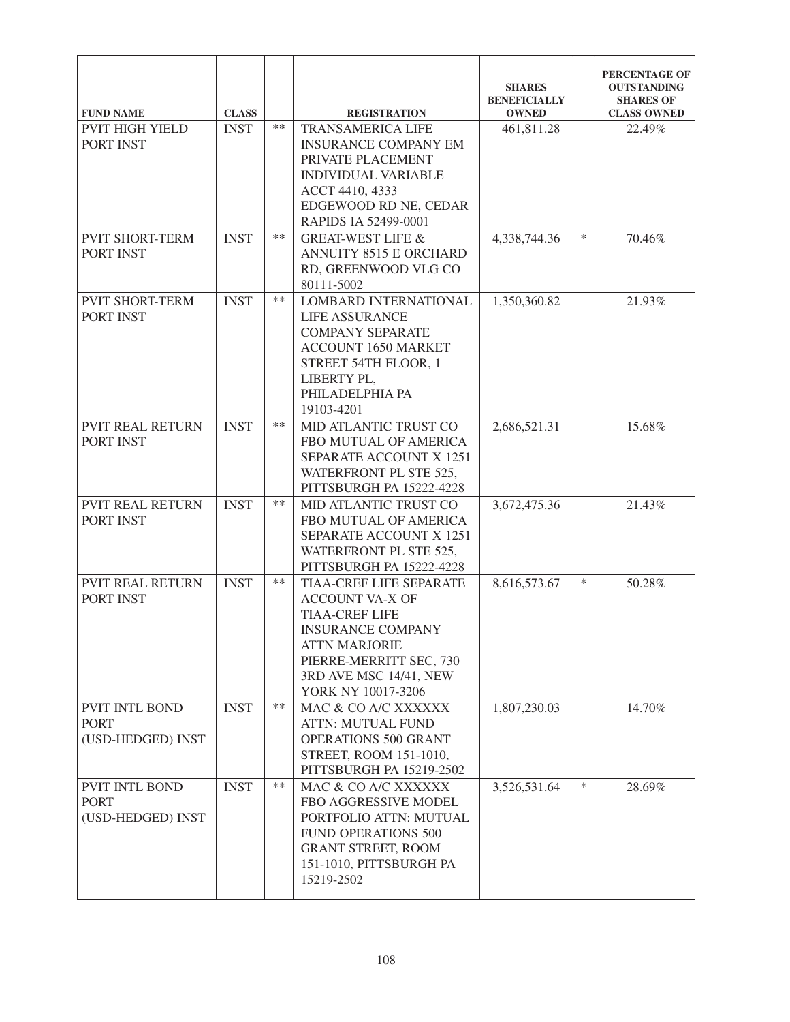| <b>FUND NAME</b>                     | <b>CLASS</b> |       | <b>REGISTRATION</b>                                      | <b>SHARES</b><br><b>BENEFICIALLY</b><br><b>OWNED</b> |        | PERCENTAGE OF<br><b>OUTSTANDING</b><br><b>SHARES OF</b><br><b>CLASS OWNED</b> |
|--------------------------------------|--------------|-------|----------------------------------------------------------|------------------------------------------------------|--------|-------------------------------------------------------------------------------|
|                                      |              | $**$  |                                                          |                                                      |        |                                                                               |
| <b>PVIT HIGH YIELD</b>               | <b>INST</b>  |       | <b>TRANSAMERICA LIFE</b>                                 | 461,811.28                                           |        | 22.49%                                                                        |
| PORT INST                            |              |       | <b>INSURANCE COMPANY EM</b>                              |                                                      |        |                                                                               |
|                                      |              |       | PRIVATE PLACEMENT                                        |                                                      |        |                                                                               |
|                                      |              |       | <b>INDIVIDUAL VARIABLE</b>                               |                                                      |        |                                                                               |
|                                      |              |       | ACCT 4410, 4333                                          |                                                      |        |                                                                               |
|                                      |              |       | EDGEWOOD RD NE, CEDAR                                    |                                                      |        |                                                                               |
|                                      |              | $**$  | RAPIDS IA 52499-0001                                     |                                                      | $\ast$ |                                                                               |
| <b>PVIT SHORT-TERM</b>               | <b>INST</b>  |       | <b>GREAT-WEST LIFE &amp;</b>                             | 4,338,744.36                                         |        | 70.46%                                                                        |
| PORT INST                            |              |       | <b>ANNUITY 8515 E ORCHARD</b>                            |                                                      |        |                                                                               |
|                                      |              |       | RD, GREENWOOD VLG CO                                     |                                                      |        |                                                                               |
|                                      |              | $**$  | 80111-5002                                               |                                                      |        |                                                                               |
| <b>PVIT SHORT-TERM</b>               | <b>INST</b>  |       | LOMBARD INTERNATIONAL                                    | 1,350,360.82                                         |        | 21.93%                                                                        |
| PORT INST                            |              |       | <b>LIFE ASSURANCE</b>                                    |                                                      |        |                                                                               |
|                                      |              |       | <b>COMPANY SEPARATE</b>                                  |                                                      |        |                                                                               |
|                                      |              |       | <b>ACCOUNT 1650 MARKET</b>                               |                                                      |        |                                                                               |
|                                      |              |       | STREET 54TH FLOOR, 1                                     |                                                      |        |                                                                               |
|                                      |              |       | LIBERTY PL,<br>PHILADELPHIA PA                           |                                                      |        |                                                                               |
|                                      |              |       | 19103-4201                                               |                                                      |        |                                                                               |
|                                      |              | $**$  |                                                          |                                                      |        |                                                                               |
| <b>PVIT REAL RETURN</b><br>PORT INST | <b>INST</b>  |       | MID ATLANTIC TRUST CO<br>FBO MUTUAL OF AMERICA           | 2,686,521.31                                         |        | 15.68%                                                                        |
|                                      |              |       |                                                          |                                                      |        |                                                                               |
|                                      |              |       | <b>SEPARATE ACCOUNT X 1251</b><br>WATERFRONT PL STE 525, |                                                      |        |                                                                               |
|                                      |              |       | PITTSBURGH PA 15222-4228                                 |                                                      |        |                                                                               |
| <b>PVIT REAL RETURN</b>              | <b>INST</b>  | $**$  | MID ATLANTIC TRUST CO                                    | 3,672,475.36                                         |        | 21.43%                                                                        |
| PORT INST                            |              |       | FBO MUTUAL OF AMERICA                                    |                                                      |        |                                                                               |
|                                      |              |       | <b>SEPARATE ACCOUNT X 1251</b>                           |                                                      |        |                                                                               |
|                                      |              |       | WATERFRONT PL STE 525,                                   |                                                      |        |                                                                               |
|                                      |              |       | PITTSBURGH PA 15222-4228                                 |                                                      |        |                                                                               |
| <b>PVIT REAL RETURN</b>              | <b>INST</b>  | $***$ | <b>TIAA-CREF LIFE SEPARATE</b>                           | 8,616,573.67                                         | $\ast$ | 50.28%                                                                        |
| PORT INST                            |              |       | <b>ACCOUNT VA-X OF</b>                                   |                                                      |        |                                                                               |
|                                      |              |       | <b>TIAA-CREF LIFE</b>                                    |                                                      |        |                                                                               |
|                                      |              |       | <b>INSURANCE COMPANY</b>                                 |                                                      |        |                                                                               |
|                                      |              |       | <b>ATTN MARJORIE</b>                                     |                                                      |        |                                                                               |
|                                      |              |       | PIERRE-MERRITT SEC, 730                                  |                                                      |        |                                                                               |
|                                      |              |       | 3RD AVE MSC 14/41, NEW                                   |                                                      |        |                                                                               |
|                                      |              |       | YORK NY 10017-3206                                       |                                                      |        |                                                                               |
| <b>PVIT INTL BOND</b>                | <b>INST</b>  | $***$ | MAC & CO A/C XXXXXX                                      | 1,807,230.03                                         |        | 14.70%                                                                        |
| <b>PORT</b>                          |              |       | <b>ATTN: MUTUAL FUND</b>                                 |                                                      |        |                                                                               |
| (USD-HEDGED) INST                    |              |       | OPERATIONS 500 GRANT                                     |                                                      |        |                                                                               |
|                                      |              |       | STREET, ROOM 151-1010,                                   |                                                      |        |                                                                               |
|                                      |              |       | PITTSBURGH PA 15219-2502                                 |                                                      |        |                                                                               |
| <b>PVIT INTL BOND</b>                | <b>INST</b>  | $**$  | MAC & CO A/C XXXXXX                                      | 3,526,531.64                                         | $\ast$ | 28.69%                                                                        |
| <b>PORT</b>                          |              |       | FBO AGGRESSIVE MODEL                                     |                                                      |        |                                                                               |
| (USD-HEDGED) INST                    |              |       | PORTFOLIO ATTN: MUTUAL                                   |                                                      |        |                                                                               |
|                                      |              |       | <b>FUND OPERATIONS 500</b>                               |                                                      |        |                                                                               |
|                                      |              |       | <b>GRANT STREET, ROOM</b>                                |                                                      |        |                                                                               |
|                                      |              |       | 151-1010, PITTSBURGH PA                                  |                                                      |        |                                                                               |
|                                      |              |       | 15219-2502                                               |                                                      |        |                                                                               |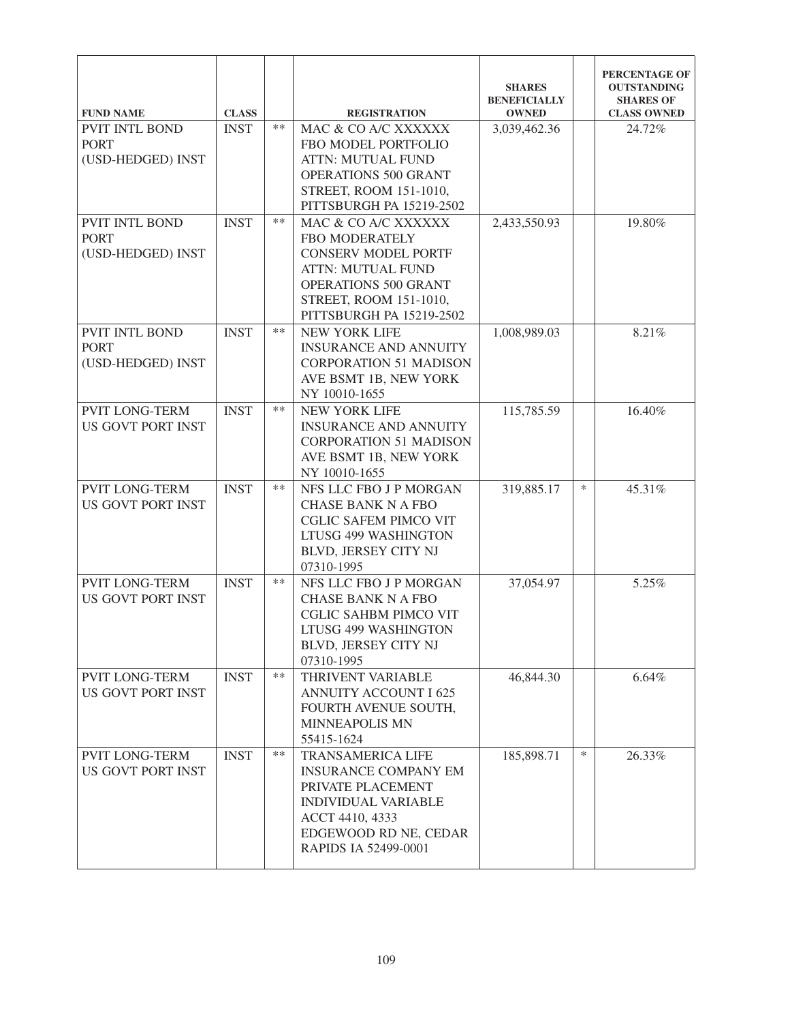| <b>FUND NAME</b>                                  | <b>CLASS</b> |      | <b>REGISTRATION</b>                                       | <b>SHARES</b><br><b>BENEFICIALLY</b><br><b>OWNED</b> |        | PERCENTAGE OF<br><b>OUTSTANDING</b><br><b>SHARES OF</b><br><b>CLASS OWNED</b> |
|---------------------------------------------------|--------------|------|-----------------------------------------------------------|------------------------------------------------------|--------|-------------------------------------------------------------------------------|
| PVIT INTL BOND<br><b>PORT</b>                     | <b>INST</b>  | $**$ | MAC & CO A/C XXXXXX<br>FBO MODEL PORTFOLIO                | 3,039,462.36                                         |        | 24.72%                                                                        |
| (USD-HEDGED) INST                                 |              |      | <b>ATTN: MUTUAL FUND</b>                                  |                                                      |        |                                                                               |
|                                                   |              |      | OPERATIONS 500 GRANT<br>STREET, ROOM 151-1010,            |                                                      |        |                                                                               |
|                                                   |              |      | PITTSBURGH PA 15219-2502                                  |                                                      |        |                                                                               |
| PVIT INTL BOND<br><b>PORT</b>                     | <b>INST</b>  | $**$ | MAC & CO A/C XXXXXX<br>FBO MODERATELY                     | 2,433,550.93                                         |        | 19.80%                                                                        |
| (USD-HEDGED) INST                                 |              |      | <b>CONSERV MODEL PORTF</b>                                |                                                      |        |                                                                               |
|                                                   |              |      | <b>ATTN: MUTUAL FUND</b><br>OPERATIONS 500 GRANT          |                                                      |        |                                                                               |
|                                                   |              |      | STREET, ROOM 151-1010,                                    |                                                      |        |                                                                               |
|                                                   |              |      | PITTSBURGH PA 15219-2502                                  |                                                      |        |                                                                               |
| PVIT INTL BOND<br><b>PORT</b>                     | <b>INST</b>  | $**$ | <b>NEW YORK LIFE</b><br><b>INSURANCE AND ANNUITY</b>      | 1,008,989.03                                         |        | 8.21%                                                                         |
| (USD-HEDGED) INST                                 |              |      | <b>CORPORATION 51 MADISON</b>                             |                                                      |        |                                                                               |
|                                                   |              |      | AVE BSMT 1B, NEW YORK<br>NY 10010-1655                    |                                                      |        |                                                                               |
| <b>PVIT LONG-TERM</b>                             | <b>INST</b>  | $**$ | <b>NEW YORK LIFE</b>                                      | 115,785.59                                           |        | 16.40%                                                                        |
| <b>US GOVT PORT INST</b>                          |              |      | <b>INSURANCE AND ANNUITY</b>                              |                                                      |        |                                                                               |
|                                                   |              |      | <b>CORPORATION 51 MADISON</b><br>AVE BSMT 1B, NEW YORK    |                                                      |        |                                                                               |
|                                                   |              |      | NY 10010-1655                                             |                                                      |        |                                                                               |
| <b>PVIT LONG-TERM</b><br><b>US GOVT PORT INST</b> | <b>INST</b>  | $**$ | NFS LLC FBO J P MORGAN<br><b>CHASE BANK N A FBO</b>       | 319,885.17                                           | $\ast$ | 45.31%                                                                        |
|                                                   |              |      | <b>CGLIC SAFEM PIMCO VIT</b>                              |                                                      |        |                                                                               |
|                                                   |              |      | LTUSG 499 WASHINGTON                                      |                                                      |        |                                                                               |
|                                                   |              |      | BLVD, JERSEY CITY NJ<br>07310-1995                        |                                                      |        |                                                                               |
| <b>PVIT LONG-TERM</b>                             | <b>INST</b>  | $**$ | NFS LLC FBO J P MORGAN                                    | 37,054.97                                            |        | 5.25%                                                                         |
| <b>US GOVT PORT INST</b>                          |              |      | <b>CHASE BANK N A FBO</b><br><b>CGLIC SAHBM PIMCO VIT</b> |                                                      |        |                                                                               |
|                                                   |              |      | LTUSG 499 WASHINGTON                                      |                                                      |        |                                                                               |
|                                                   |              |      | BLVD, JERSEY CITY NJ<br>07310-1995                        |                                                      |        |                                                                               |
| <b>PVIT LONG-TERM</b>                             | <b>INST</b>  | $**$ | THRIVENT VARIABLE                                         | 46,844.30                                            |        | 6.64%                                                                         |
| US GOVT PORT INST                                 |              |      | <b>ANNUITY ACCOUNT I 625</b><br>FOURTH AVENUE SOUTH,      |                                                      |        |                                                                               |
|                                                   |              |      | <b>MINNEAPOLIS MN</b>                                     |                                                      |        |                                                                               |
|                                                   |              |      | 55415-1624                                                |                                                      |        |                                                                               |
| PVIT LONG-TERM<br>US GOVT PORT INST               | <b>INST</b>  | **   | <b>TRANSAMERICA LIFE</b><br><b>INSURANCE COMPANY EM</b>   | 185,898.71                                           | $\ast$ | 26.33%                                                                        |
|                                                   |              |      | PRIVATE PLACEMENT                                         |                                                      |        |                                                                               |
|                                                   |              |      | <b>INDIVIDUAL VARIABLE</b><br>ACCT 4410, 4333             |                                                      |        |                                                                               |
|                                                   |              |      | EDGEWOOD RD NE, CEDAR                                     |                                                      |        |                                                                               |
|                                                   |              |      | RAPIDS IA 52499-0001                                      |                                                      |        |                                                                               |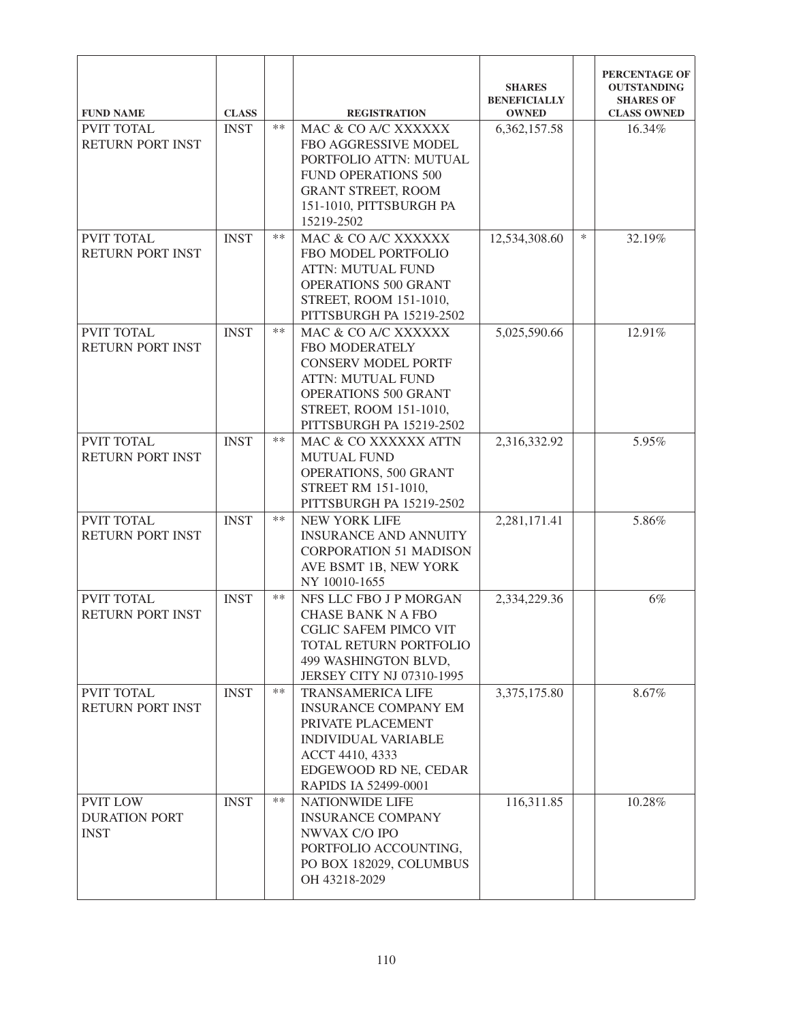| <b>FUND NAME</b>                                       | <b>CLASS</b> |       | <b>REGISTRATION</b>                                                                                                                                                            | <b>SHARES</b><br><b>BENEFICIALLY</b><br><b>OWNED</b> |        | PERCENTAGE OF<br><b>OUTSTANDING</b><br><b>SHARES OF</b><br><b>CLASS OWNED</b> |
|--------------------------------------------------------|--------------|-------|--------------------------------------------------------------------------------------------------------------------------------------------------------------------------------|------------------------------------------------------|--------|-------------------------------------------------------------------------------|
| <b>PVIT TOTAL</b><br>RETURN PORT INST                  | <b>INST</b>  | $**$  | MAC & CO A/C XXXXXX<br>FBO AGGRESSIVE MODEL<br>PORTFOLIO ATTN: MUTUAL<br><b>FUND OPERATIONS 500</b><br><b>GRANT STREET, ROOM</b><br>151-1010, PITTSBURGH PA<br>15219-2502      | 6,362,157.58                                         |        | 16.34%                                                                        |
| PVIT TOTAL<br>RETURN PORT INST                         | <b>INST</b>  | $**$  | MAC & CO A/C XXXXXX<br>FBO MODEL PORTFOLIO<br><b>ATTN: MUTUAL FUND</b><br>OPERATIONS 500 GRANT<br>STREET, ROOM 151-1010,<br>PITTSBURGH PA 15219-2502                           | 12,534,308.60                                        | $\ast$ | 32.19%                                                                        |
| PVIT TOTAL<br><b>RETURN PORT INST</b>                  | <b>INST</b>  | $**$  | MAC & CO A/C XXXXXX<br>FBO MODERATELY<br><b>CONSERV MODEL PORTF</b><br><b>ATTN: MUTUAL FUND</b><br>OPERATIONS 500 GRANT<br>STREET, ROOM 151-1010,<br>PITTSBURGH PA 15219-2502  | 5,025,590.66                                         |        | 12.91%                                                                        |
| PVIT TOTAL<br><b>RETURN PORT INST</b>                  | <b>INST</b>  | $**$  | MAC & CO XXXXXX ATTN<br><b>MUTUAL FUND</b><br>OPERATIONS, 500 GRANT<br>STREET RM 151-1010,<br>PITTSBURGH PA 15219-2502                                                         | 2,316,332.92                                         |        | 5.95%                                                                         |
| PVIT TOTAL<br><b>RETURN PORT INST</b>                  | <b>INST</b>  | $**$  | <b>NEW YORK LIFE</b><br><b>INSURANCE AND ANNUITY</b><br><b>CORPORATION 51 MADISON</b><br>AVE BSMT 1B, NEW YORK<br>NY 10010-1655                                                | 2,281,171.41                                         |        | 5.86%                                                                         |
| PVIT TOTAL<br>RETURN PORT INST                         | <b>INST</b>  | **    | NFS LLC FBO J P MORGAN<br><b>CHASE BANK N A FBO</b><br>CGLIC SAFEM PIMCO VIT<br>TOTAL RETURN PORTFOLIO<br>499 WASHINGTON BLVD,<br>JERSEY CITY NJ 07310-1995                    | 2,334,229.36                                         |        | 6%                                                                            |
| PVIT TOTAL<br>RETURN PORT INST                         | <b>INST</b>  | $***$ | <b>TRANSAMERICA LIFE</b><br><b>INSURANCE COMPANY EM</b><br>PRIVATE PLACEMENT<br><b>INDIVIDUAL VARIABLE</b><br>ACCT 4410, 4333<br>EDGEWOOD RD NE, CEDAR<br>RAPIDS IA 52499-0001 | 3,375,175.80                                         |        | 8.67%                                                                         |
| <b>PVIT LOW</b><br><b>DURATION PORT</b><br><b>INST</b> | <b>INST</b>  | $***$ | <b>NATIONWIDE LIFE</b><br><b>INSURANCE COMPANY</b><br>NWVAX C/O IPO<br>PORTFOLIO ACCOUNTING,<br>PO BOX 182029, COLUMBUS<br>OH 43218-2029                                       | 116,311.85                                           |        | 10.28%                                                                        |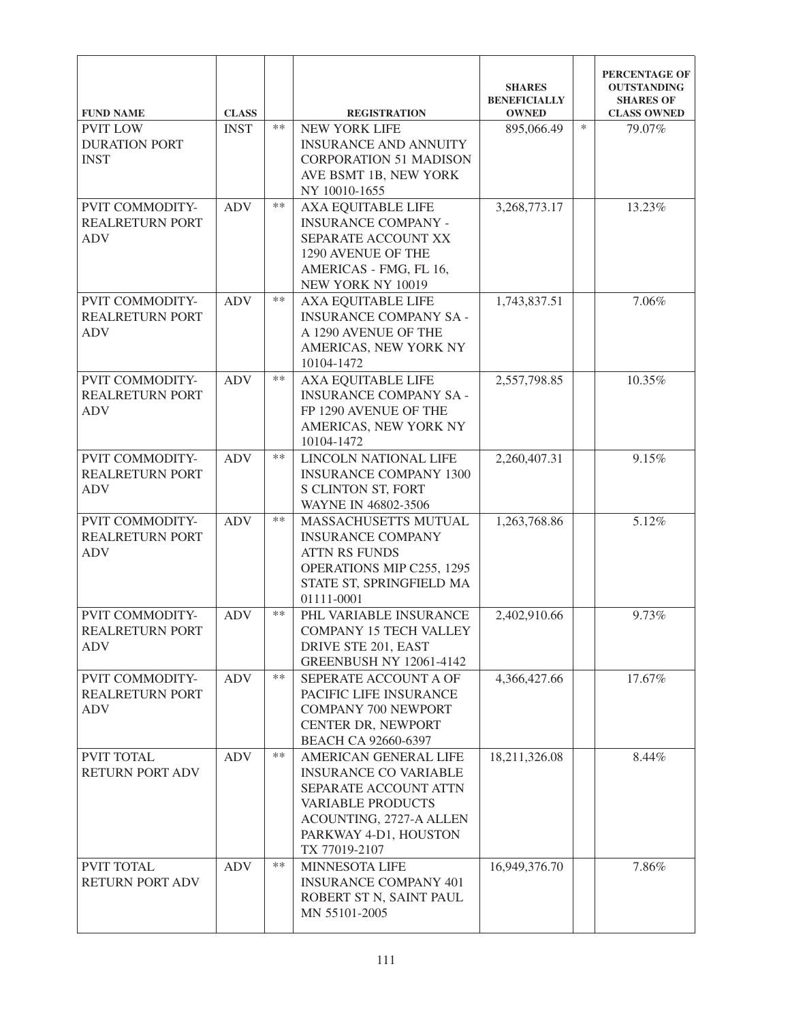|                                                                            |                             |       |                                                                                                                                                                                 | <b>SHARES</b><br><b>BENEFICIALLY</b> |        | PERCENTAGE OF<br><b>OUTSTANDING</b><br><b>SHARES OF</b> |
|----------------------------------------------------------------------------|-----------------------------|-------|---------------------------------------------------------------------------------------------------------------------------------------------------------------------------------|--------------------------------------|--------|---------------------------------------------------------|
| <b>FUND NAME</b><br><b>PVIT LOW</b><br><b>DURATION PORT</b><br><b>INST</b> | <b>CLASS</b><br><b>INST</b> | $***$ | <b>REGISTRATION</b><br><b>NEW YORK LIFE</b><br><b>INSURANCE AND ANNUITY</b><br><b>CORPORATION 51 MADISON</b><br>AVE BSMT 1B, NEW YORK<br>NY 10010-1655                          | <b>OWNED</b><br>895,066.49           | $\ast$ | <b>CLASS OWNED</b><br>79.07%                            |
| PVIT COMMODITY-<br><b>REALRETURN PORT</b><br><b>ADV</b>                    | <b>ADV</b>                  | $***$ | <b>AXA EQUITABLE LIFE</b><br><b>INSURANCE COMPANY -</b><br>SEPARATE ACCOUNT XX<br>1290 AVENUE OF THE<br>AMERICAS - FMG, FL 16,<br>NEW YORK NY 10019                             | 3,268,773.17                         |        | 13.23%                                                  |
| PVIT COMMODITY-<br><b>REALRETURN PORT</b><br><b>ADV</b>                    | <b>ADV</b>                  | $**$  | <b>AXA EQUITABLE LIFE</b><br><b>INSURANCE COMPANY SA -</b><br>A 1290 AVENUE OF THE<br>AMERICAS, NEW YORK NY<br>10104-1472                                                       | 1,743,837.51                         |        | 7.06%                                                   |
| PVIT COMMODITY-<br><b>REALRETURN PORT</b><br><b>ADV</b>                    | <b>ADV</b>                  | $***$ | <b>AXA EQUITABLE LIFE</b><br><b>INSURANCE COMPANY SA -</b><br>FP 1290 AVENUE OF THE<br>AMERICAS, NEW YORK NY<br>10104-1472                                                      | 2,557,798.85                         |        | 10.35%                                                  |
| PVIT COMMODITY-<br><b>REALRETURN PORT</b><br><b>ADV</b>                    | <b>ADV</b>                  | $***$ | LINCOLN NATIONAL LIFE<br><b>INSURANCE COMPANY 1300</b><br>S CLINTON ST, FORT<br>WAYNE IN 46802-3506                                                                             | 2,260,407.31                         |        | 9.15%                                                   |
| PVIT COMMODITY-<br><b>REALRETURN PORT</b><br><b>ADV</b>                    | <b>ADV</b>                  | $***$ | MASSACHUSETTS MUTUAL<br><b>INSURANCE COMPANY</b><br><b>ATTN RS FUNDS</b><br>OPERATIONS MIP C255, 1295<br>STATE ST, SPRINGFIELD MA<br>01111-0001                                 | 1,263,768.86                         |        | 5.12%                                                   |
| PVIT COMMODITY-<br><b>REALRETURN PORT</b><br><b>ADV</b>                    | <b>ADV</b>                  | $***$ | PHL VARIABLE INSURANCE<br><b>COMPANY 15 TECH VALLEY</b><br>DRIVE STE 201, EAST<br><b>GREENBUSH NY 12061-4142</b>                                                                | 2,402,910.66                         |        | 9.73%                                                   |
| PVIT COMMODITY-<br><b>REALRETURN PORT</b><br><b>ADV</b>                    | <b>ADV</b>                  | $**$  | SEPERATE ACCOUNT A OF<br>PACIFIC LIFE INSURANCE<br><b>COMPANY 700 NEWPORT</b><br>CENTER DR, NEWPORT<br>BEACH CA 92660-6397                                                      | 4,366,427.66                         |        | 17.67%                                                  |
| PVIT TOTAL<br>RETURN PORT ADV                                              | <b>ADV</b>                  | $***$ | AMERICAN GENERAL LIFE<br><b>INSURANCE CO VARIABLE</b><br>SEPARATE ACCOUNT ATTN<br><b>VARIABLE PRODUCTS</b><br>ACOUNTING, 2727-A ALLEN<br>PARKWAY 4-D1, HOUSTON<br>TX 77019-2107 | 18,211,326.08                        |        | 8.44%                                                   |
| PVIT TOTAL<br>RETURN PORT ADV                                              | <b>ADV</b>                  | $**$  | <b>MINNESOTA LIFE</b><br><b>INSURANCE COMPANY 401</b><br>ROBERT ST N, SAINT PAUL<br>MN 55101-2005                                                                               | 16,949,376.70                        |        | 7.86%                                                   |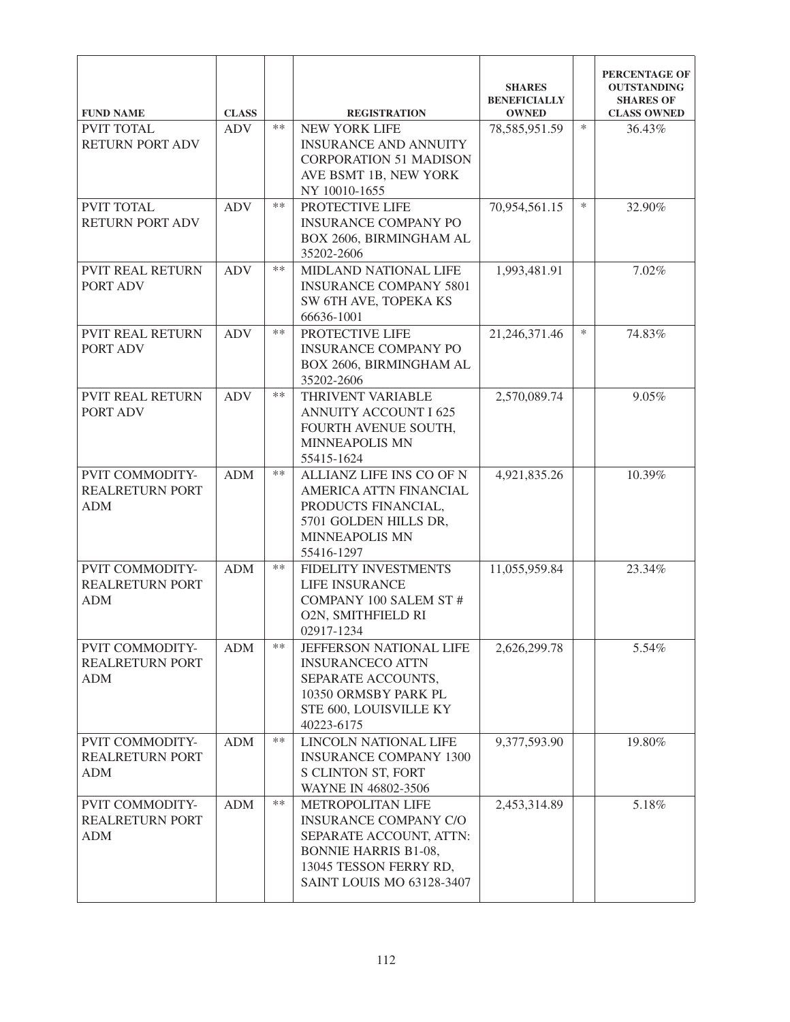| <b>FUND NAME</b>                                        | <b>CLASS</b> |       | <b>REGISTRATION</b>                                                                                                                                                | <b>SHARES</b><br><b>BENEFICIALLY</b><br><b>OWNED</b> |        | PERCENTAGE OF<br><b>OUTSTANDING</b><br><b>SHARES OF</b><br><b>CLASS OWNED</b> |
|---------------------------------------------------------|--------------|-------|--------------------------------------------------------------------------------------------------------------------------------------------------------------------|------------------------------------------------------|--------|-------------------------------------------------------------------------------|
| <b>PVIT TOTAL</b><br>RETURN PORT ADV                    | <b>ADV</b>   | $**$  | <b>NEW YORK LIFE</b><br><b>INSURANCE AND ANNUITY</b><br><b>CORPORATION 51 MADISON</b><br>AVE BSMT 1B, NEW YORK<br>NY 10010-1655                                    | 78,585,951.59                                        | $\ast$ | 36.43%                                                                        |
| PVIT TOTAL<br><b>RETURN PORT ADV</b>                    | <b>ADV</b>   | $**$  | PROTECTIVE LIFE<br><b>INSURANCE COMPANY PO</b><br>BOX 2606, BIRMINGHAM AL<br>35202-2606                                                                            | 70,954,561.15                                        | $\ast$ | 32.90%                                                                        |
| <b>PVIT REAL RETURN</b><br>PORT ADV                     | <b>ADV</b>   | $**$  | MIDLAND NATIONAL LIFE<br><b>INSURANCE COMPANY 5801</b><br>SW 6TH AVE, TOPEKA KS<br>66636-1001                                                                      | 1,993,481.91                                         |        | 7.02%                                                                         |
| <b>PVIT REAL RETURN</b><br>PORT ADV                     | <b>ADV</b>   | $***$ | PROTECTIVE LIFE<br><b>INSURANCE COMPANY PO</b><br>BOX 2606, BIRMINGHAM AL<br>35202-2606                                                                            | 21,246,371.46                                        | $\ast$ | 74.83%                                                                        |
| <b>PVIT REAL RETURN</b><br>PORT ADV                     | <b>ADV</b>   | $***$ | THRIVENT VARIABLE<br><b>ANNUITY ACCOUNT I 625</b><br>FOURTH AVENUE SOUTH,<br><b>MINNEAPOLIS MN</b><br>55415-1624                                                   | 2,570,089.74                                         |        | 9.05%                                                                         |
| PVIT COMMODITY-<br><b>REALRETURN PORT</b><br><b>ADM</b> | <b>ADM</b>   | $**$  | ALLIANZ LIFE INS CO OF N<br>AMERICA ATTN FINANCIAL<br>PRODUCTS FINANCIAL,<br>5701 GOLDEN HILLS DR,<br><b>MINNEAPOLIS MN</b><br>55416-1297                          | 4,921,835.26                                         |        | 10.39%                                                                        |
| PVIT COMMODITY-<br><b>REALRETURN PORT</b><br><b>ADM</b> | <b>ADM</b>   | $***$ | FIDELITY INVESTMENTS<br><b>LIFE INSURANCE</b><br><b>COMPANY 100 SALEM ST#</b><br><b>O2N, SMITHFIELD RI</b><br>02917-1234                                           | 11,055,959.84                                        |        | 23.34%                                                                        |
| PVIT COMMODITY-<br><b>REALRETURN PORT</b><br><b>ADM</b> | <b>ADM</b>   | $***$ | JEFFERSON NATIONAL LIFE<br><b>INSURANCECO ATTN</b><br>SEPARATE ACCOUNTS,<br>10350 ORMSBY PARK PL<br>STE 600, LOUISVILLE KY<br>40223-6175                           | 2,626,299.78                                         |        | 5.54%                                                                         |
| PVIT COMMODITY-<br><b>REALRETURN PORT</b><br><b>ADM</b> | <b>ADM</b>   | $***$ | LINCOLN NATIONAL LIFE<br><b>INSURANCE COMPANY 1300</b><br>S CLINTON ST, FORT<br>WAYNE IN 46802-3506                                                                | 9,377,593.90                                         |        | 19.80%                                                                        |
| PVIT COMMODITY-<br><b>REALRETURN PORT</b><br><b>ADM</b> | <b>ADM</b>   | $**$  | METROPOLITAN LIFE<br><b>INSURANCE COMPANY C/O</b><br>SEPARATE ACCOUNT, ATTN:<br><b>BONNIE HARRIS B1-08,</b><br>13045 TESSON FERRY RD,<br>SAINT LOUIS MO 63128-3407 | 2,453,314.89                                         |        | 5.18%                                                                         |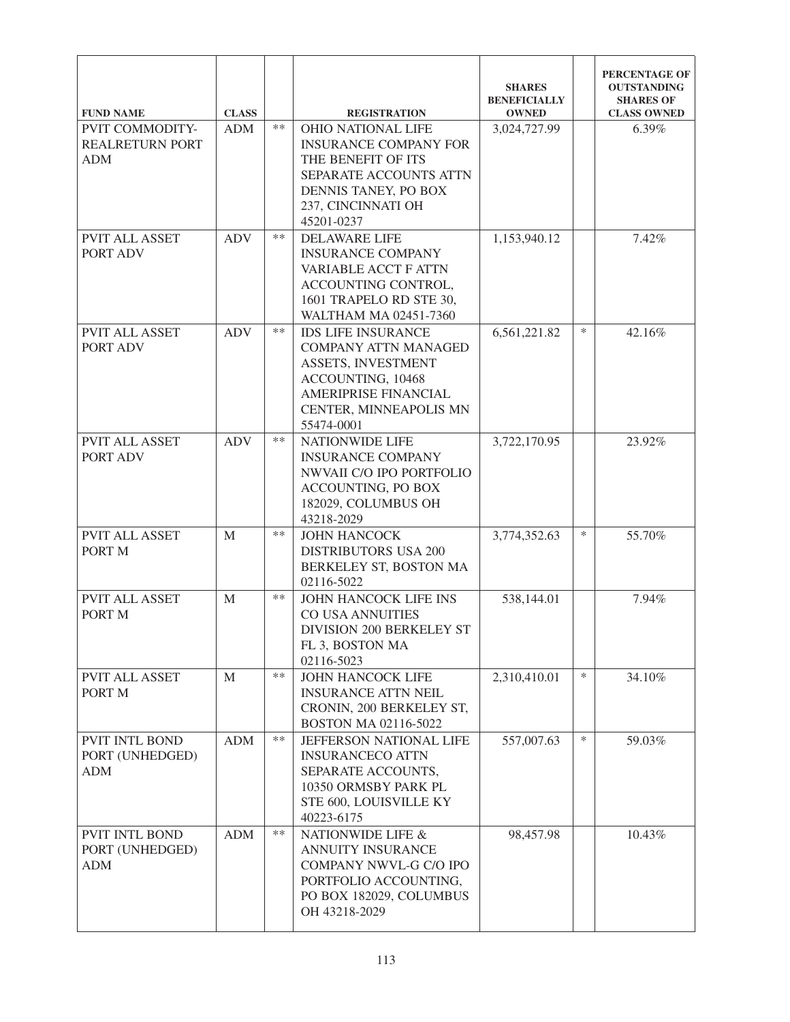| <b>FUND NAME</b>                                               | <b>CLASS</b> |       | <b>REGISTRATION</b>                                                                                                                                                        | <b>SHARES</b><br><b>BENEFICIALLY</b><br><b>OWNED</b> |        | PERCENTAGE OF<br><b>OUTSTANDING</b><br><b>SHARES OF</b><br><b>CLASS OWNED</b> |
|----------------------------------------------------------------|--------------|-------|----------------------------------------------------------------------------------------------------------------------------------------------------------------------------|------------------------------------------------------|--------|-------------------------------------------------------------------------------|
| <b>PVIT COMMODITY-</b><br><b>REALRETURN PORT</b><br><b>ADM</b> | <b>ADM</b>   | $***$ | <b>OHIO NATIONAL LIFE</b><br><b>INSURANCE COMPANY FOR</b><br>THE BENEFIT OF ITS<br>SEPARATE ACCOUNTS ATTN<br>DENNIS TANEY, PO BOX<br>237, CINCINNATI OH<br>45201-0237      | 3,024,727.99                                         |        | 6.39%                                                                         |
| PVIT ALL ASSET<br>PORT ADV                                     | <b>ADV</b>   | $***$ | <b>DELAWARE LIFE</b><br><b>INSURANCE COMPANY</b><br>VARIABLE ACCT F ATTN<br>ACCOUNTING CONTROL,<br>1601 TRAPELO RD STE 30,<br>WALTHAM MA 02451-7360                        | 1,153,940.12                                         |        | 7.42%                                                                         |
| <b>PVIT ALL ASSET</b><br>PORT ADV                              | <b>ADV</b>   | $**$  | <b>IDS LIFE INSURANCE</b><br><b>COMPANY ATTN MANAGED</b><br>ASSETS, INVESTMENT<br>ACCOUNTING, 10468<br><b>AMERIPRISE FINANCIAL</b><br>CENTER, MINNEAPOLIS MN<br>55474-0001 | 6,561,221.82                                         | $\ast$ | 42.16%                                                                        |
| <b>PVIT ALL ASSET</b><br>PORT ADV                              | <b>ADV</b>   | $**$  | <b>NATIONWIDE LIFE</b><br><b>INSURANCE COMPANY</b><br>NWVAII C/O IPO PORTFOLIO<br>ACCOUNTING, PO BOX<br>182029, COLUMBUS OH<br>43218-2029                                  | 3,722,170.95                                         |        | 23.92%                                                                        |
| <b>PVIT ALL ASSET</b><br>PORT M                                | M            | $**$  | <b>JOHN HANCOCK</b><br><b>DISTRIBUTORS USA 200</b><br>BERKELEY ST, BOSTON MA<br>02116-5022                                                                                 | 3,774,352.63                                         | $\ast$ | 55.70%                                                                        |
| <b>PVIT ALL ASSET</b><br>PORT M                                | M            | $***$ | JOHN HANCOCK LIFE INS<br><b>CO USA ANNUITIES</b><br>DIVISION 200 BERKELEY ST<br>FL 3, BOSTON MA<br>02116-5023                                                              | 538,144.01                                           |        | 7.94%                                                                         |
| PVIT ALL ASSET<br>PORT M                                       | $\mathbf{M}$ | $**$  | <b>JOHN HANCOCK LIFE</b><br><b>INSURANCE ATTN NEIL</b><br>CRONIN, 200 BERKELEY ST,<br>BOSTON MA 02116-5022                                                                 | 2,310,410.01                                         | $\ast$ | 34.10%                                                                        |
| PVIT INTL BOND<br>PORT (UNHEDGED)<br><b>ADM</b>                | <b>ADM</b>   | $***$ | JEFFERSON NATIONAL LIFE<br><b>INSURANCECO ATTN</b><br>SEPARATE ACCOUNTS,<br>10350 ORMSBY PARK PL<br>STE 600, LOUISVILLE KY<br>40223-6175                                   | 557,007.63                                           | ∗      | 59.03%                                                                        |
| PVIT INTL BOND<br>PORT (UNHEDGED)<br><b>ADM</b>                | ADM          | $***$ | NATIONWIDE LIFE &<br><b>ANNUITY INSURANCE</b><br>COMPANY NWVL-G C/O IPO<br>PORTFOLIO ACCOUNTING,<br>PO BOX 182029, COLUMBUS<br>OH 43218-2029                               | 98,457.98                                            |        | 10.43%                                                                        |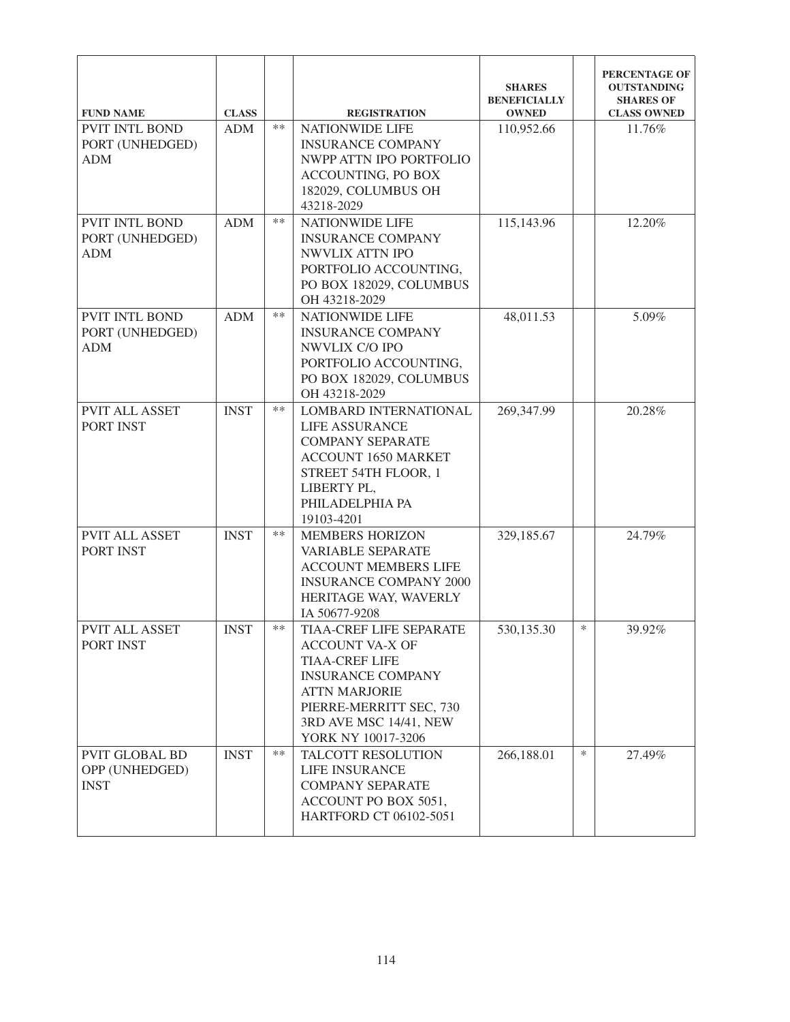| <b>FUND NAME</b>                                       | <b>CLASS</b> |       | <b>REGISTRATION</b>                                                                                                                                                                                       | <b>SHARES</b><br><b>BENEFICIALLY</b><br><b>OWNED</b> |        | PERCENTAGE OF<br><b>OUTSTANDING</b><br><b>SHARES OF</b><br><b>CLASS OWNED</b> |
|--------------------------------------------------------|--------------|-------|-----------------------------------------------------------------------------------------------------------------------------------------------------------------------------------------------------------|------------------------------------------------------|--------|-------------------------------------------------------------------------------|
| <b>PVIT INTL BOND</b><br>PORT (UNHEDGED)<br><b>ADM</b> | <b>ADM</b>   | $**$  | <b>NATIONWIDE LIFE</b><br><b>INSURANCE COMPANY</b><br>NWPP ATTN IPO PORTFOLIO<br><b>ACCOUNTING, PO BOX</b><br>182029, COLUMBUS OH<br>43218-2029                                                           | 110,952.66                                           |        | 11.76%                                                                        |
| PVIT INTL BOND<br>PORT (UNHEDGED)<br><b>ADM</b>        | <b>ADM</b>   | $**$  | <b>NATIONWIDE LIFE</b><br><b>INSURANCE COMPANY</b><br>NWVLIX ATTN IPO<br>PORTFOLIO ACCOUNTING,<br>PO BOX 182029, COLUMBUS<br>OH 43218-2029                                                                | 115,143.96                                           |        | 12.20%                                                                        |
| PVIT INTL BOND<br>PORT (UNHEDGED)<br><b>ADM</b>        | <b>ADM</b>   | $**$  | <b>NATIONWIDE LIFE</b><br><b>INSURANCE COMPANY</b><br>NWVLIX C/O IPO<br>PORTFOLIO ACCOUNTING,<br>PO BOX 182029, COLUMBUS<br>OH 43218-2029                                                                 | 48,011.53                                            |        | 5.09%                                                                         |
| <b>PVIT ALL ASSET</b><br>PORT INST                     | <b>INST</b>  | $**$  | LOMBARD INTERNATIONAL<br>LIFE ASSURANCE<br><b>COMPANY SEPARATE</b><br><b>ACCOUNT 1650 MARKET</b><br>STREET 54TH FLOOR, 1<br>LIBERTY PL,<br>PHILADELPHIA PA<br>19103-4201                                  | 269,347.99                                           |        | 20.28%                                                                        |
| <b>PVIT ALL ASSET</b><br>PORT INST                     | <b>INST</b>  | $***$ | <b>MEMBERS HORIZON</b><br><b>VARIABLE SEPARATE</b><br><b>ACCOUNT MEMBERS LIFE</b><br><b>INSURANCE COMPANY 2000</b><br>HERITAGE WAY, WAVERLY<br>IA 50677-9208                                              | 329,185.67                                           |        | 24.79%                                                                        |
| <b>PVIT ALL ASSET</b><br>PORT INST                     | <b>INST</b>  | $**$  | TIAA-CREF LIFE SEPARATE<br><b>ACCOUNT VA-X OF</b><br><b>TIAA-CREF LIFE</b><br><b>INSURANCE COMPANY</b><br><b>ATTN MARJORIE</b><br>PIERRE-MERRITT SEC, 730<br>3RD AVE MSC 14/41, NEW<br>YORK NY 10017-3206 | 530,135.30                                           | $\ast$ | 39.92%                                                                        |
| <b>PVIT GLOBAL BD</b><br>OPP (UNHEDGED)<br><b>INST</b> | <b>INST</b>  | $**$  | TALCOTT RESOLUTION<br><b>LIFE INSURANCE</b><br><b>COMPANY SEPARATE</b><br>ACCOUNT PO BOX 5051,<br>HARTFORD CT 06102-5051                                                                                  | 266,188.01                                           | $\ast$ | 27.49%                                                                        |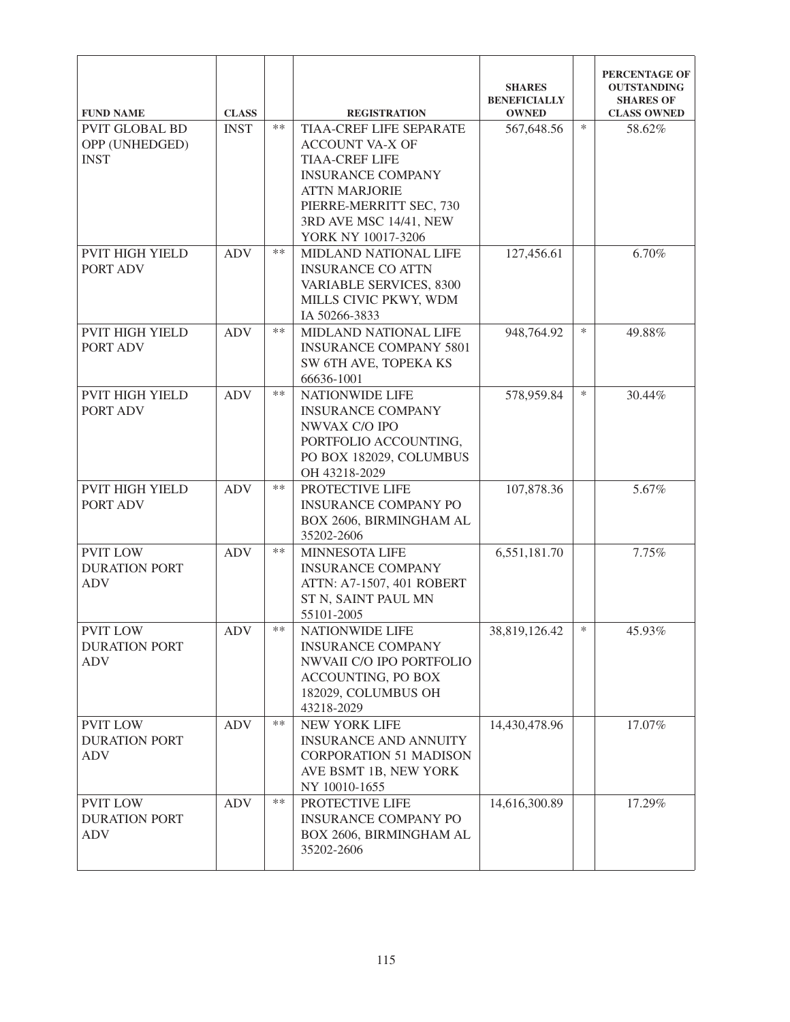| <b>FUND NAME</b>                                       | <b>CLASS</b> |       | <b>REGISTRATION</b>                                                                                                                                                                                              | <b>SHARES</b><br><b>BENEFICIALLY</b><br><b>OWNED</b> |        | PERCENTAGE OF<br><b>OUTSTANDING</b><br><b>SHARES OF</b><br><b>CLASS OWNED</b> |
|--------------------------------------------------------|--------------|-------|------------------------------------------------------------------------------------------------------------------------------------------------------------------------------------------------------------------|------------------------------------------------------|--------|-------------------------------------------------------------------------------|
| <b>PVIT GLOBAL BD</b><br>OPP (UNHEDGED)<br><b>INST</b> | <b>INST</b>  | $**$  | <b>TIAA-CREF LIFE SEPARATE</b><br><b>ACCOUNT VA-X OF</b><br><b>TIAA-CREF LIFE</b><br><b>INSURANCE COMPANY</b><br><b>ATTN MARJORIE</b><br>PIERRE-MERRITT SEC, 730<br>3RD AVE MSC 14/41, NEW<br>YORK NY 10017-3206 | 567,648.56                                           | *      | 58.62%                                                                        |
| <b>PVIT HIGH YIELD</b><br>PORT ADV                     | <b>ADV</b>   | $**$  | MIDLAND NATIONAL LIFE<br><b>INSURANCE CO ATTN</b><br>VARIABLE SERVICES, 8300<br>MILLS CIVIC PKWY, WDM<br>IA 50266-3833                                                                                           | 127,456.61                                           |        | 6.70%                                                                         |
| PVIT HIGH YIELD<br>PORT ADV                            | <b>ADV</b>   | $**$  | MIDLAND NATIONAL LIFE<br><b>INSURANCE COMPANY 5801</b><br>SW 6TH AVE, TOPEKA KS<br>66636-1001                                                                                                                    | 948,764.92                                           | *      | 49.88%                                                                        |
| <b>PVIT HIGH YIELD</b><br>PORT ADV                     | <b>ADV</b>   | $***$ | <b>NATIONWIDE LIFE</b><br><b>INSURANCE COMPANY</b><br>NWVAX C/O IPO<br>PORTFOLIO ACCOUNTING,<br>PO BOX 182029, COLUMBUS<br>OH 43218-2029                                                                         | 578,959.84                                           | $\ast$ | 30.44%                                                                        |
| <b>PVIT HIGH YIELD</b><br>PORT ADV                     | <b>ADV</b>   | $**$  | PROTECTIVE LIFE<br><b>INSURANCE COMPANY PO</b><br>BOX 2606, BIRMINGHAM AL<br>35202-2606                                                                                                                          | 107,878.36                                           |        | 5.67%                                                                         |
| <b>PVIT LOW</b><br><b>DURATION PORT</b><br><b>ADV</b>  | <b>ADV</b>   | $***$ | MINNESOTA LIFE<br><b>INSURANCE COMPANY</b><br>ATTN: A7-1507, 401 ROBERT<br>ST N, SAINT PAUL MN<br>55101-2005                                                                                                     | 6,551,181.70                                         |        | 7.75%                                                                         |
| <b>PVIT LOW</b><br><b>DURATION PORT</b><br><b>ADV</b>  | <b>ADV</b>   | $***$ | <b>NATIONWIDE LIFE</b><br><b>INSURANCE COMPANY</b><br>NWVAII C/O IPO PORTFOLIO<br>ACCOUNTING, PO BOX<br>182029, COLUMBUS OH<br>43218-2029                                                                        | 38,819,126.42                                        | $\ast$ | 45.93%                                                                        |
| <b>PVIT LOW</b><br><b>DURATION PORT</b><br><b>ADV</b>  | <b>ADV</b>   | $***$ | NEW YORK LIFE<br><b>INSURANCE AND ANNUITY</b><br><b>CORPORATION 51 MADISON</b><br>AVE BSMT 1B, NEW YORK<br>NY 10010-1655                                                                                         | 14,430,478.96                                        |        | 17.07%                                                                        |
| <b>PVIT LOW</b><br><b>DURATION PORT</b><br><b>ADV</b>  | <b>ADV</b>   | $***$ | PROTECTIVE LIFE<br><b>INSURANCE COMPANY PO</b><br>BOX 2606, BIRMINGHAM AL<br>35202-2606                                                                                                                          | 14,616,300.89                                        |        | 17.29%                                                                        |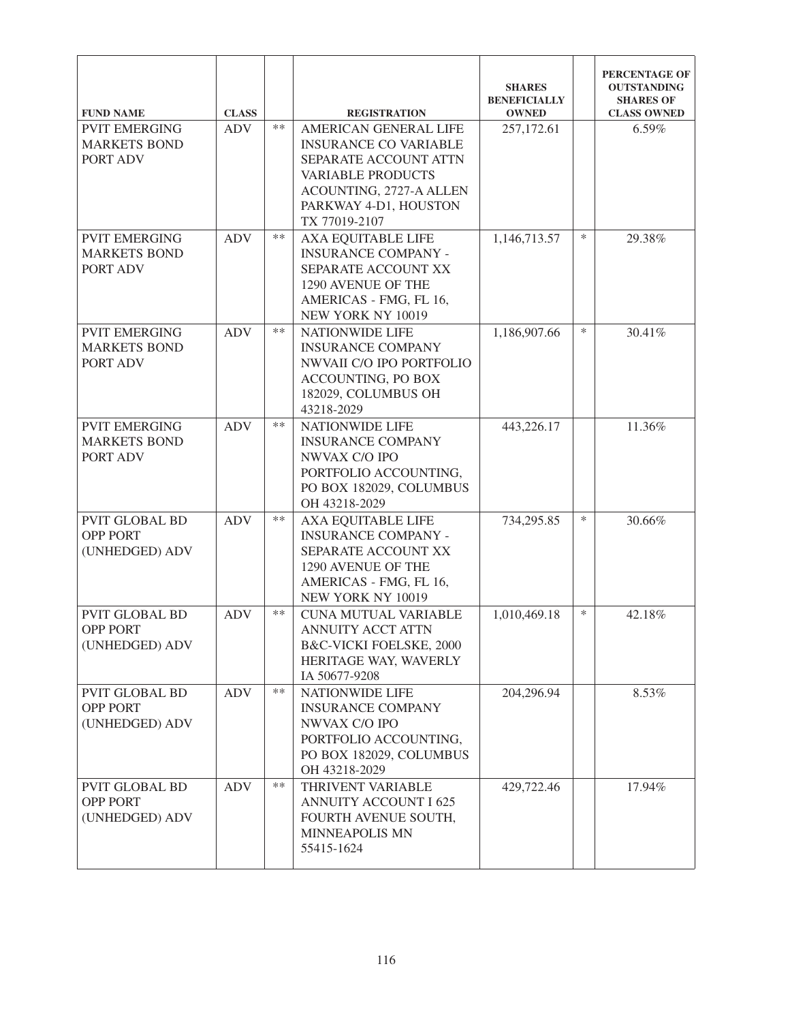| <b>FUND NAME</b>                                           | <b>CLASS</b> |       | <b>REGISTRATION</b>                                                                                                                                                             | <b>SHARES</b><br><b>BENEFICIALLY</b><br><b>OWNED</b> |        | PERCENTAGE OF<br><b>OUTSTANDING</b><br><b>SHARES OF</b><br><b>CLASS OWNED</b> |
|------------------------------------------------------------|--------------|-------|---------------------------------------------------------------------------------------------------------------------------------------------------------------------------------|------------------------------------------------------|--------|-------------------------------------------------------------------------------|
| <b>PVIT EMERGING</b><br><b>MARKETS BOND</b><br>PORT ADV    | <b>ADV</b>   | $**$  | AMERICAN GENERAL LIFE<br><b>INSURANCE CO VARIABLE</b><br>SEPARATE ACCOUNT ATTN<br><b>VARIABLE PRODUCTS</b><br>ACOUNTING, 2727-A ALLEN<br>PARKWAY 4-D1, HOUSTON<br>TX 77019-2107 | 257,172.61                                           |        | 6.59%                                                                         |
| <b>PVIT EMERGING</b><br><b>MARKETS BOND</b><br>PORT ADV    | <b>ADV</b>   | $**$  | <b>AXA EQUITABLE LIFE</b><br><b>INSURANCE COMPANY -</b><br>SEPARATE ACCOUNT XX<br>1290 AVENUE OF THE<br>AMERICAS - FMG, FL 16,<br>NEW YORK NY 10019                             | 1,146,713.57                                         | $\ast$ | 29.38%                                                                        |
| <b>PVIT EMERGING</b><br><b>MARKETS BOND</b><br>PORT ADV    | <b>ADV</b>   | $**$  | <b>NATIONWIDE LIFE</b><br><b>INSURANCE COMPANY</b><br>NWVAII C/O IPO PORTFOLIO<br>ACCOUNTING, PO BOX<br>182029, COLUMBUS OH<br>43218-2029                                       | 1,186,907.66                                         | $\ast$ | 30.41%                                                                        |
| <b>PVIT EMERGING</b><br><b>MARKETS BOND</b><br>PORT ADV    | <b>ADV</b>   | $**$  | <b>NATIONWIDE LIFE</b><br><b>INSURANCE COMPANY</b><br>NWVAX C/O IPO<br>PORTFOLIO ACCOUNTING,<br>PO BOX 182029, COLUMBUS<br>OH 43218-2029                                        | 443,226.17                                           |        | 11.36%                                                                        |
| <b>PVIT GLOBAL BD</b><br><b>OPP PORT</b><br>(UNHEDGED) ADV | <b>ADV</b>   | $**$  | AXA EQUITABLE LIFE<br><b>INSURANCE COMPANY -</b><br>SEPARATE ACCOUNT XX<br>1290 AVENUE OF THE<br>AMERICAS - FMG, FL 16,<br>NEW YORK NY 10019                                    | 734,295.85                                           | $\ast$ | 30.66%                                                                        |
| <b>PVIT GLOBAL BD</b><br><b>OPP PORT</b><br>(UNHEDGED) ADV | <b>ADV</b>   | $***$ | <b>CUNA MUTUAL VARIABLE</b><br>ANNUITY ACCT ATTN<br>B&C-VICKI FOELSKE, 2000<br>HERITAGE WAY, WAVERLY<br>IA 50677-9208                                                           | 1,010,469.18                                         | $\ast$ | 42.18%                                                                        |
| <b>PVIT GLOBAL BD</b><br><b>OPP PORT</b><br>(UNHEDGED) ADV | <b>ADV</b>   | $**$  | <b>NATIONWIDE LIFE</b><br><b>INSURANCE COMPANY</b><br>NWVAX C/O IPO<br>PORTFOLIO ACCOUNTING,<br>PO BOX 182029, COLUMBUS<br>OH 43218-2029                                        | 204,296.94                                           |        | 8.53%                                                                         |
| PVIT GLOBAL BD<br><b>OPP PORT</b><br>(UNHEDGED) ADV        | <b>ADV</b>   | $**$  | THRIVENT VARIABLE<br><b>ANNUITY ACCOUNT I 625</b><br>FOURTH AVENUE SOUTH,<br><b>MINNEAPOLIS MN</b><br>55415-1624                                                                | 429,722.46                                           |        | 17.94%                                                                        |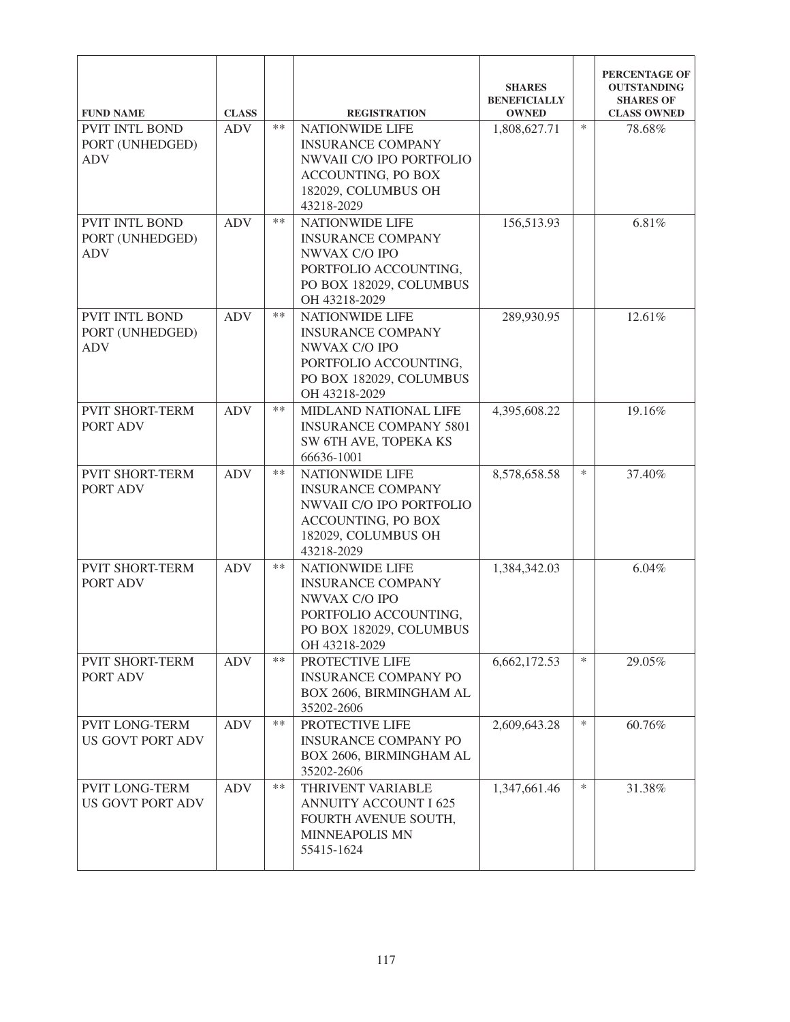| <b>FUND NAME</b>                                       | <b>CLASS</b> |       | <b>REGISTRATION</b>                                                                                                                              | <b>SHARES</b><br><b>BENEFICIALLY</b><br><b>OWNED</b> |        | PERCENTAGE OF<br><b>OUTSTANDING</b><br><b>SHARES OF</b><br><b>CLASS OWNED</b> |
|--------------------------------------------------------|--------------|-------|--------------------------------------------------------------------------------------------------------------------------------------------------|------------------------------------------------------|--------|-------------------------------------------------------------------------------|
| <b>PVIT INTL BOND</b><br>PORT (UNHEDGED)<br><b>ADV</b> | <b>ADV</b>   | $**$  | <b>NATIONWIDE LIFE</b><br><b>INSURANCE COMPANY</b><br>NWVAII C/O IPO PORTFOLIO<br><b>ACCOUNTING, PO BOX</b><br>182029, COLUMBUS OH<br>43218-2029 | 1,808,627.71                                         | $\ast$ | 78.68%                                                                        |
| <b>PVIT INTL BOND</b><br>PORT (UNHEDGED)<br><b>ADV</b> | <b>ADV</b>   | **    | NATIONWIDE LIFE<br><b>INSURANCE COMPANY</b><br>NWVAX C/O IPO<br>PORTFOLIO ACCOUNTING,<br>PO BOX 182029, COLUMBUS<br>OH 43218-2029                | 156,513.93                                           |        | 6.81%                                                                         |
| PVIT INTL BOND<br>PORT (UNHEDGED)<br><b>ADV</b>        | <b>ADV</b>   | $***$ | <b>NATIONWIDE LIFE</b><br><b>INSURANCE COMPANY</b><br>NWVAX C/O IPO<br>PORTFOLIO ACCOUNTING,<br>PO BOX 182029, COLUMBUS<br>OH 43218-2029         | 289,930.95                                           |        | 12.61%                                                                        |
| <b>PVIT SHORT-TERM</b><br>PORT ADV                     | <b>ADV</b>   | $**$  | <b>MIDLAND NATIONAL LIFE</b><br><b>INSURANCE COMPANY 5801</b><br>SW 6TH AVE, TOPEKA KS<br>66636-1001                                             | 4,395,608.22                                         |        | 19.16%                                                                        |
| <b>PVIT SHORT-TERM</b><br>PORT ADV                     | <b>ADV</b>   | $**$  | <b>NATIONWIDE LIFE</b><br><b>INSURANCE COMPANY</b><br>NWVAII C/O IPO PORTFOLIO<br>ACCOUNTING, PO BOX<br>182029, COLUMBUS OH<br>43218-2029        | 8,578,658.58                                         | $\ast$ | 37.40%                                                                        |
| <b>PVIT SHORT-TERM</b><br>PORT ADV                     | <b>ADV</b>   | $**$  | NATIONWIDE LIFE<br><b>INSURANCE COMPANY</b><br>NWVAX C/O IPO<br>PORTFOLIO ACCOUNTING,<br>PO BOX 182029, COLUMBUS<br>OH 43218-2029                | 1,384,342.03                                         |        | 6.04%                                                                         |
| <b>PVIT SHORT-TERM</b><br>PORT ADV                     | <b>ADV</b>   | $**$  | PROTECTIVE LIFE<br><b>INSURANCE COMPANY PO</b><br>BOX 2606, BIRMINGHAM AL<br>35202-2606                                                          | 6,662,172.53                                         | $\ast$ | 29.05%                                                                        |
| <b>PVIT LONG-TERM</b><br><b>US GOVT PORT ADV</b>       | <b>ADV</b>   | $***$ | PROTECTIVE LIFE<br><b>INSURANCE COMPANY PO</b><br>BOX 2606, BIRMINGHAM AL<br>35202-2606                                                          | 2,609,643.28                                         | ∗      | 60.76%                                                                        |
| <b>PVIT LONG-TERM</b><br><b>US GOVT PORT ADV</b>       | <b>ADV</b>   | $***$ | THRIVENT VARIABLE<br><b>ANNUITY ACCOUNT I 625</b><br>FOURTH AVENUE SOUTH,<br><b>MINNEAPOLIS MN</b><br>55415-1624                                 | 1,347,661.46                                         | $\ast$ | 31.38%                                                                        |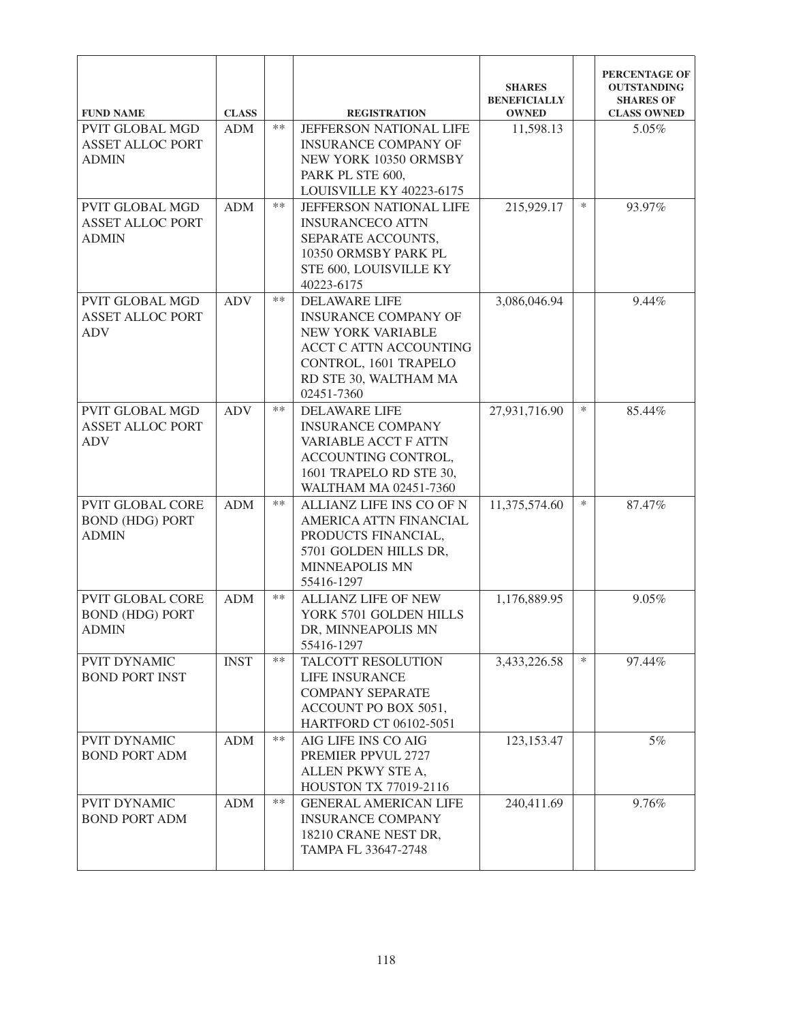| <b>FUND NAME</b>                                                  | <b>CLASS</b> |       | <b>REGISTRATION</b>                                                                                                                                                | <b>SHARES</b><br><b>BENEFICIALLY</b><br><b>OWNED</b> |        | PERCENTAGE OF<br><b>OUTSTANDING</b><br><b>SHARES OF</b><br><b>CLASS OWNED</b> |
|-------------------------------------------------------------------|--------------|-------|--------------------------------------------------------------------------------------------------------------------------------------------------------------------|------------------------------------------------------|--------|-------------------------------------------------------------------------------|
| <b>PVIT GLOBAL MGD</b><br><b>ASSET ALLOC PORT</b><br><b>ADMIN</b> | <b>ADM</b>   | $**$  | JEFFERSON NATIONAL LIFE<br><b>INSURANCE COMPANY OF</b><br>NEW YORK 10350 ORMSBY<br>PARK PL STE 600,<br>LOUISVILLE KY 40223-6175                                    | 11,598.13                                            |        | 5.05%                                                                         |
| <b>PVIT GLOBAL MGD</b><br><b>ASSET ALLOC PORT</b><br><b>ADMIN</b> | <b>ADM</b>   | $**$  | <b>JEFFERSON NATIONAL LIFE</b><br><b>INSURANCECO ATTN</b><br>SEPARATE ACCOUNTS,<br>10350 ORMSBY PARK PL<br>STE 600, LOUISVILLE KY<br>40223-6175                    | 215,929.17                                           | $\ast$ | 93.97%                                                                        |
| <b>PVIT GLOBAL MGD</b><br><b>ASSET ALLOC PORT</b><br><b>ADV</b>   | <b>ADV</b>   | $**$  | <b>DELAWARE LIFE</b><br><b>INSURANCE COMPANY OF</b><br>NEW YORK VARIABLE<br>ACCT C ATTN ACCOUNTING<br>CONTROL, 1601 TRAPELO<br>RD STE 30, WALTHAM MA<br>02451-7360 | 3,086,046.94                                         |        | 9.44%                                                                         |
| <b>PVIT GLOBAL MGD</b><br><b>ASSET ALLOC PORT</b><br><b>ADV</b>   | <b>ADV</b>   | $***$ | <b>DELAWARE LIFE</b><br><b>INSURANCE COMPANY</b><br>VARIABLE ACCT F ATTN<br>ACCOUNTING CONTROL,<br>1601 TRAPELO RD STE 30,<br>WALTHAM MA 02451-7360                | 27,931,716.90                                        | $\ast$ | 85.44%                                                                        |
| <b>PVIT GLOBAL CORE</b><br><b>BOND (HDG) PORT</b><br><b>ADMIN</b> | <b>ADM</b>   | $**$  | ALLIANZ LIFE INS CO OF N<br>AMERICA ATTN FINANCIAL<br>PRODUCTS FINANCIAL,<br>5701 GOLDEN HILLS DR,<br><b>MINNEAPOLIS MN</b><br>55416-1297                          | 11,375,574.60                                        | $\ast$ | 87.47%                                                                        |
| <b>PVIT GLOBAL CORE</b><br><b>BOND (HDG) PORT</b><br><b>ADMIN</b> | <b>ADM</b>   | **    | <b>ALLIANZ LIFE OF NEW</b><br>YORK 5701 GOLDEN HILLS<br>DR, MINNEAPOLIS MN<br>55416-1297                                                                           | 1,176,889.95                                         |        | 9.05%                                                                         |
| <b>PVIT DYNAMIC</b><br><b>BOND PORT INST</b>                      | <b>INST</b>  | $**$  | TALCOTT RESOLUTION<br>LIFE INSURANCE<br><b>COMPANY SEPARATE</b><br>ACCOUNT PO BOX 5051,<br>HARTFORD CT 06102-5051                                                  | 3,433,226.58                                         | $\ast$ | 97.44%                                                                        |
| <b>PVIT DYNAMIC</b><br><b>BOND PORT ADM</b>                       | <b>ADM</b>   | $***$ | AIG LIFE INS CO AIG<br>PREMIER PPVUL 2727<br>ALLEN PKWY STE A,<br>HOUSTON TX 77019-2116                                                                            | 123, 153. 47                                         |        | 5%                                                                            |
| PVIT DYNAMIC<br><b>BOND PORT ADM</b>                              | <b>ADM</b>   | $**$  | <b>GENERAL AMERICAN LIFE</b><br><b>INSURANCE COMPANY</b><br>18210 CRANE NEST DR,<br>TAMPA FL 33647-2748                                                            | 240,411.69                                           |        | 9.76%                                                                         |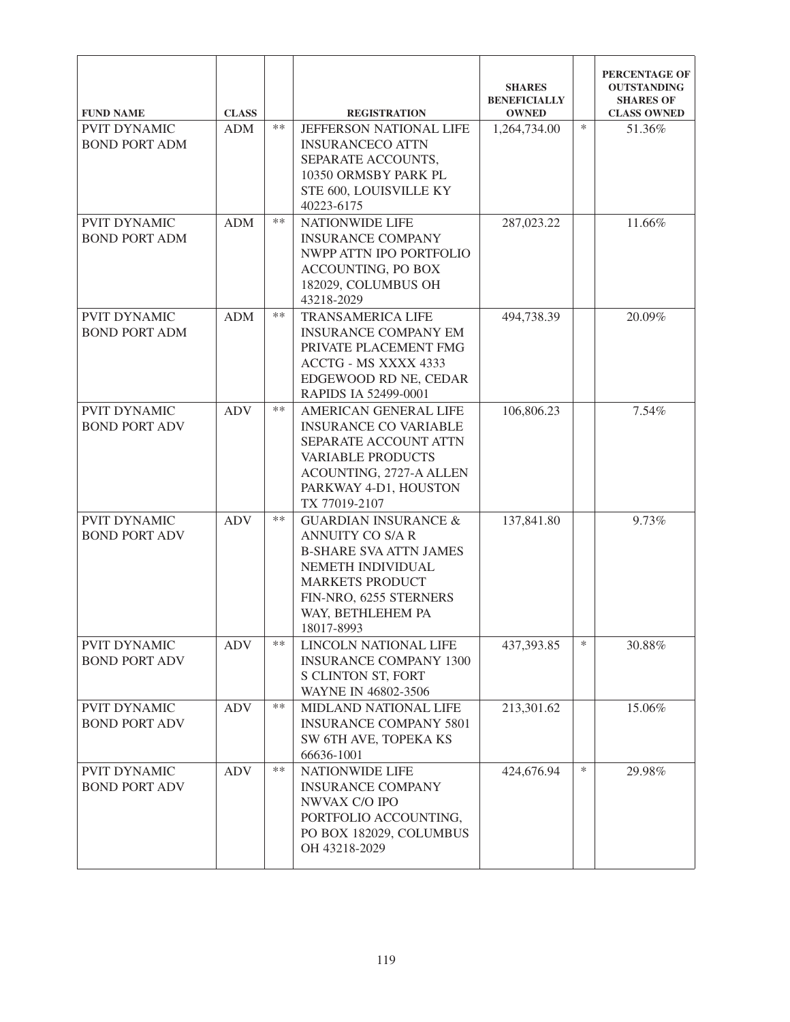| <b>FUND NAME</b>                            | <b>CLASS</b> |       | <b>REGISTRATION</b>                                                                                                                                                                              | <b>SHARES</b><br><b>BENEFICIALLY</b><br><b>OWNED</b> |        | PERCENTAGE OF<br><b>OUTSTANDING</b><br><b>SHARES OF</b><br><b>CLASS OWNED</b> |
|---------------------------------------------|--------------|-------|--------------------------------------------------------------------------------------------------------------------------------------------------------------------------------------------------|------------------------------------------------------|--------|-------------------------------------------------------------------------------|
| <b>PVIT DYNAMIC</b><br><b>BOND PORT ADM</b> | <b>ADM</b>   | $**$  | JEFFERSON NATIONAL LIFE<br><b>INSURANCECO ATTN</b><br>SEPARATE ACCOUNTS,<br>10350 ORMSBY PARK PL<br>STE 600, LOUISVILLE KY<br>40223-6175                                                         | 1,264,734.00                                         | $\ast$ | 51.36%                                                                        |
| PVIT DYNAMIC<br><b>BOND PORT ADM</b>        | <b>ADM</b>   | **    | NATIONWIDE LIFE<br><b>INSURANCE COMPANY</b><br>NWPP ATTN IPO PORTFOLIO<br><b>ACCOUNTING, PO BOX</b><br>182029, COLUMBUS OH<br>43218-2029                                                         | 287,023.22                                           |        | 11.66%                                                                        |
| <b>PVIT DYNAMIC</b><br><b>BOND PORT ADM</b> | <b>ADM</b>   | $***$ | <b>TRANSAMERICA LIFE</b><br><b>INSURANCE COMPANY EM</b><br>PRIVATE PLACEMENT FMG<br>ACCTG - MS XXXX 4333<br>EDGEWOOD RD NE, CEDAR<br>RAPIDS IA 52499-0001                                        | 494,738.39                                           |        | 20.09%                                                                        |
| PVIT DYNAMIC<br><b>BOND PORT ADV</b>        | <b>ADV</b>   | $***$ | AMERICAN GENERAL LIFE<br><b>INSURANCE CO VARIABLE</b><br>SEPARATE ACCOUNT ATTN<br><b>VARIABLE PRODUCTS</b><br>ACOUNTING, 2727-A ALLEN<br>PARKWAY 4-D1, HOUSTON<br>TX 77019-2107                  | 106,806.23                                           |        | 7.54%                                                                         |
| <b>PVIT DYNAMIC</b><br><b>BOND PORT ADV</b> | <b>ADV</b>   | $***$ | <b>GUARDIAN INSURANCE &amp;</b><br>ANNUITY CO S/A R<br><b>B-SHARE SVA ATTN JAMES</b><br>NEMETH INDIVIDUAL<br><b>MARKETS PRODUCT</b><br>FIN-NRO, 6255 STERNERS<br>WAY, BETHLEHEM PA<br>18017-8993 | 137,841.80                                           |        | 9.73%                                                                         |
| PVIT DYNAMIC<br><b>BOND PORT ADV</b>        | <b>ADV</b>   | **    | LINCOLN NATIONAL LIFE<br><b>INSURANCE COMPANY 1300</b><br>S CLINTON ST, FORT<br>WAYNE IN 46802-3506                                                                                              | 437,393.85                                           | $\ast$ | 30.88%                                                                        |
| PVIT DYNAMIC<br><b>BOND PORT ADV</b>        | <b>ADV</b>   | $**$  | MIDLAND NATIONAL LIFE<br><b>INSURANCE COMPANY 5801</b><br>SW 6TH AVE, TOPEKA KS<br>66636-1001                                                                                                    | 213,301.62                                           |        | 15.06%                                                                        |
| PVIT DYNAMIC<br><b>BOND PORT ADV</b>        | <b>ADV</b>   | $***$ | <b>NATIONWIDE LIFE</b><br><b>INSURANCE COMPANY</b><br>NWVAX C/O IPO<br>PORTFOLIO ACCOUNTING,<br>PO BOX 182029, COLUMBUS<br>OH 43218-2029                                                         | 424,676.94                                           | $\ast$ | 29.98%                                                                        |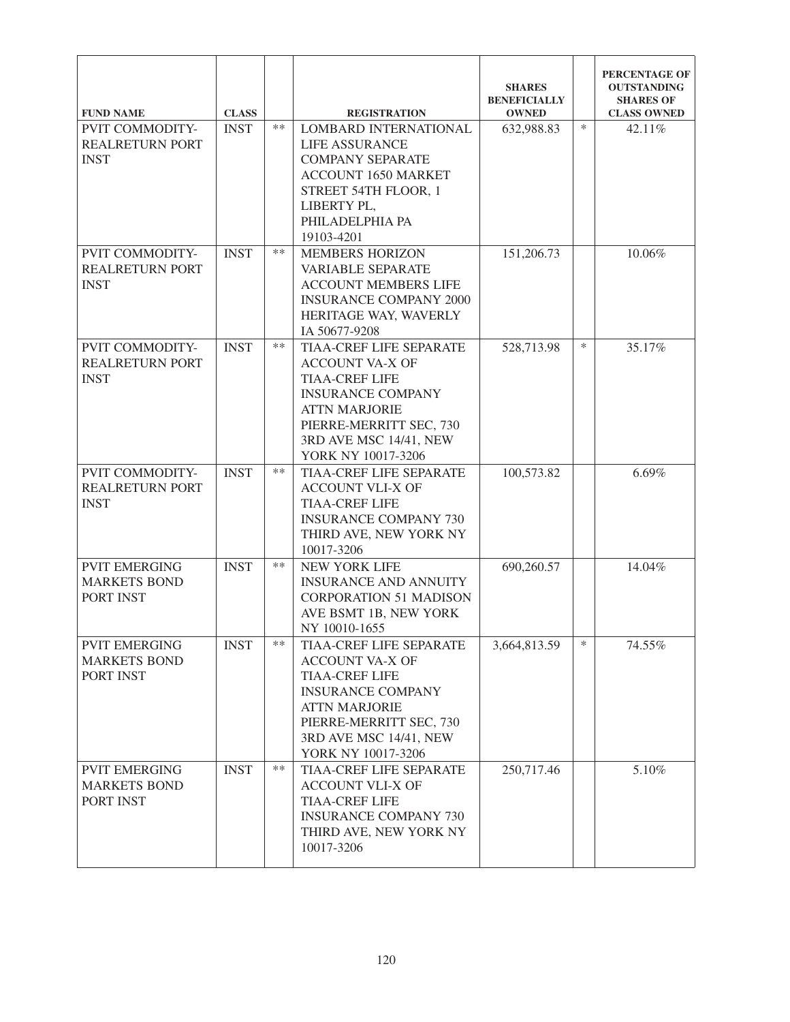|                                                                       | <b>CLASS</b> |       |                                                                                                                                                                                                               | <b>SHARES</b><br><b>BENEFICIALLY</b><br><b>OWNED</b> |        | PERCENTAGE OF<br><b>OUTSTANDING</b><br><b>SHARES OF</b><br><b>CLASS OWNED</b> |
|-----------------------------------------------------------------------|--------------|-------|---------------------------------------------------------------------------------------------------------------------------------------------------------------------------------------------------------------|------------------------------------------------------|--------|-------------------------------------------------------------------------------|
| <b>FUND NAME</b><br>PVIT COMMODITY-<br>REALRETURN PORT<br><b>INST</b> | <b>INST</b>  | $***$ | <b>REGISTRATION</b><br><b>LOMBARD INTERNATIONAL</b><br><b>LIFE ASSURANCE</b><br><b>COMPANY SEPARATE</b><br><b>ACCOUNT 1650 MARKET</b><br>STREET 54TH FLOOR, 1<br>LIBERTY PL,<br>PHILADELPHIA PA<br>19103-4201 | 632,988.83                                           | $\ast$ | 42.11%                                                                        |
| PVIT COMMODITY-<br><b>REALRETURN PORT</b><br><b>INST</b>              | <b>INST</b>  | $***$ | <b>MEMBERS HORIZON</b><br>VARIABLE SEPARATE<br><b>ACCOUNT MEMBERS LIFE</b><br><b>INSURANCE COMPANY 2000</b><br>HERITAGE WAY, WAVERLY<br>IA 50677-9208                                                         | 151,206.73                                           |        | 10.06%                                                                        |
| PVIT COMMODITY-<br><b>REALRETURN PORT</b><br><b>INST</b>              | <b>INST</b>  | $***$ | TIAA-CREF LIFE SEPARATE<br><b>ACCOUNT VA-X OF</b><br><b>TIAA-CREF LIFE</b><br><b>INSURANCE COMPANY</b><br><b>ATTN MARJORIE</b><br>PIERRE-MERRITT SEC, 730<br>3RD AVE MSC 14/41, NEW<br>YORK NY 10017-3206     | 528,713.98                                           | $\ast$ | 35.17%                                                                        |
| PVIT COMMODITY-<br><b>REALRETURN PORT</b><br><b>INST</b>              | <b>INST</b>  | $***$ | TIAA-CREF LIFE SEPARATE<br><b>ACCOUNT VLI-X OF</b><br><b>TIAA-CREF LIFE</b><br><b>INSURANCE COMPANY 730</b><br>THIRD AVE, NEW YORK NY<br>10017-3206                                                           | 100,573.82                                           |        | 6.69%                                                                         |
| <b>PVIT EMERGING</b><br><b>MARKETS BOND</b><br>PORT INST              | <b>INST</b>  | $***$ | <b>NEW YORK LIFE</b><br><b>INSURANCE AND ANNUITY</b><br><b>CORPORATION 51 MADISON</b><br>AVE BSMT 1B, NEW YORK<br>NY 10010-1655                                                                               | 690,260.57                                           |        | 14.04%                                                                        |
| <b>PVIT EMERGING</b><br><b>MARKETS BOND</b><br>PORT INST              | <b>INST</b>  | **    | TIAA-CREF LIFE SEPARATE<br><b>ACCOUNT VA-X OF</b><br><b>TIAA-CREF LIFE</b><br><b>INSURANCE COMPANY</b><br><b>ATTN MARJORIE</b><br>PIERRE-MERRITT SEC, 730<br>3RD AVE MSC 14/41, NEW<br>YORK NY 10017-3206     | 3,664,813.59                                         | $\ast$ | 74.55%                                                                        |
| <b>PVIT EMERGING</b><br><b>MARKETS BOND</b><br>PORT INST              | <b>INST</b>  | $***$ | TIAA-CREF LIFE SEPARATE<br><b>ACCOUNT VLI-X OF</b><br><b>TIAA-CREF LIFE</b><br><b>INSURANCE COMPANY 730</b><br>THIRD AVE, NEW YORK NY<br>10017-3206                                                           | 250,717.46                                           |        | 5.10%                                                                         |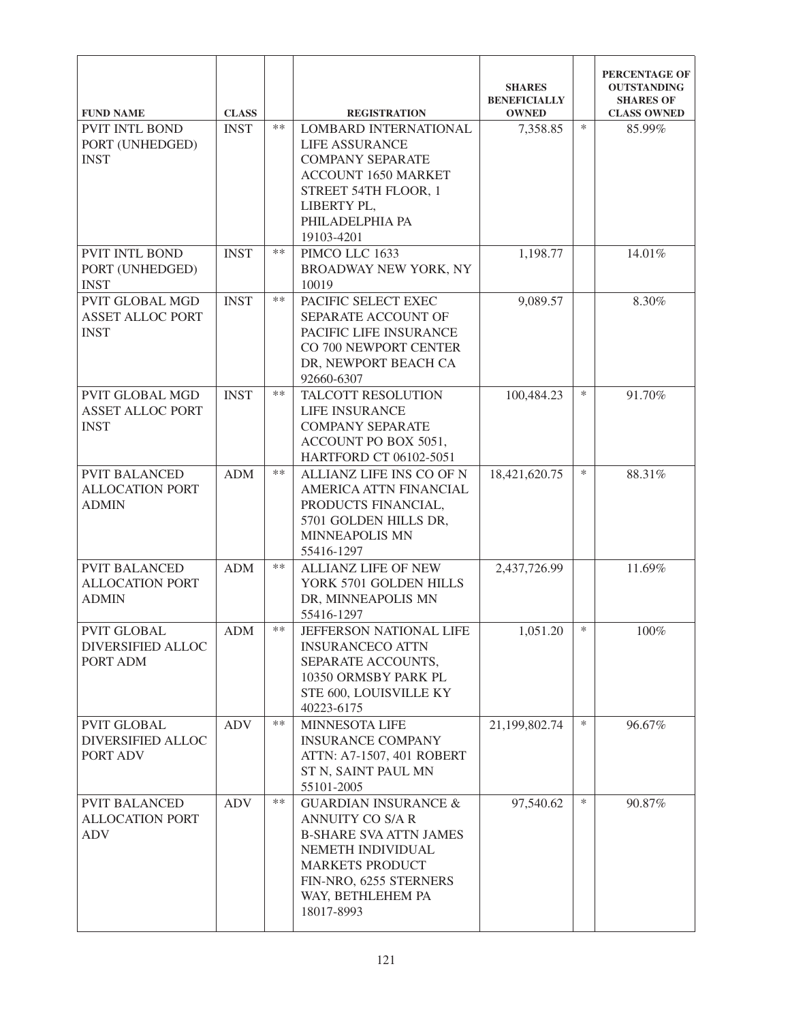| <b>FUND NAME</b>                                                 | <b>CLASS</b> |       | <b>REGISTRATION</b>                                                                                                                                                                                     | <b>SHARES</b><br><b>BENEFICIALLY</b><br><b>OWNED</b> |        | PERCENTAGE OF<br><b>OUTSTANDING</b><br><b>SHARES OF</b><br><b>CLASS OWNED</b> |
|------------------------------------------------------------------|--------------|-------|---------------------------------------------------------------------------------------------------------------------------------------------------------------------------------------------------------|------------------------------------------------------|--------|-------------------------------------------------------------------------------|
| <b>PVIT INTL BOND</b><br>PORT (UNHEDGED)<br><b>INST</b>          | <b>INST</b>  | $**$  | LOMBARD INTERNATIONAL<br><b>LIFE ASSURANCE</b><br><b>COMPANY SEPARATE</b><br><b>ACCOUNT 1650 MARKET</b><br>STREET 54TH FLOOR, 1<br>LIBERTY PL,<br>PHILADELPHIA PA<br>19103-4201                         | 7,358.85                                             | $\ast$ | 85.99%                                                                        |
| PVIT INTL BOND<br>PORT (UNHEDGED)<br><b>INST</b>                 | <b>INST</b>  | $**$  | PIMCO LLC 1633<br>BROADWAY NEW YORK, NY<br>10019                                                                                                                                                        | 1,198.77                                             |        | 14.01%                                                                        |
| <b>PVIT GLOBAL MGD</b><br><b>ASSET ALLOC PORT</b><br><b>INST</b> | <b>INST</b>  | $***$ | PACIFIC SELECT EXEC<br>SEPARATE ACCOUNT OF<br>PACIFIC LIFE INSURANCE<br>CO 700 NEWPORT CENTER<br>DR, NEWPORT BEACH CA<br>92660-6307                                                                     | 9,089.57                                             |        | 8.30%                                                                         |
| PVIT GLOBAL MGD<br><b>ASSET ALLOC PORT</b><br><b>INST</b>        | <b>INST</b>  | $**$  | TALCOTT RESOLUTION<br>LIFE INSURANCE<br><b>COMPANY SEPARATE</b><br>ACCOUNT PO BOX 5051,<br>HARTFORD CT 06102-5051                                                                                       | 100,484.23                                           | $\ast$ | 91.70%                                                                        |
| <b>PVIT BALANCED</b><br><b>ALLOCATION PORT</b><br><b>ADMIN</b>   | <b>ADM</b>   | $**$  | ALLIANZ LIFE INS CO OF N<br>AMERICA ATTN FINANCIAL<br>PRODUCTS FINANCIAL,<br>5701 GOLDEN HILLS DR,<br><b>MINNEAPOLIS MN</b><br>55416-1297                                                               | 18,421,620.75                                        | $\ast$ | 88.31%                                                                        |
| <b>PVIT BALANCED</b><br><b>ALLOCATION PORT</b><br><b>ADMIN</b>   | <b>ADM</b>   | $**$  | <b>ALLIANZ LIFE OF NEW</b><br>YORK 5701 GOLDEN HILLS<br>DR, MINNEAPOLIS MN<br>55416-1297                                                                                                                | 2,437,726.99                                         |        | 11.69%                                                                        |
| <b>PVIT GLOBAL</b><br>DIVERSIFIED ALLOC<br>PORT ADM              | <b>ADM</b>   | $***$ | <b>JEFFERSON NATIONAL LIFE</b><br><b>INSURANCECO ATTN</b><br>SEPARATE ACCOUNTS,<br>10350 ORMSBY PARK PL<br>STE 600, LOUISVILLE KY<br>40223-6175                                                         | 1,051.20                                             | $\ast$ | 100%                                                                          |
| <b>PVIT GLOBAL</b><br><b>DIVERSIFIED ALLOC</b><br>PORT ADV       | <b>ADV</b>   | **    | <b>MINNESOTA LIFE</b><br><b>INSURANCE COMPANY</b><br>ATTN: A7-1507, 401 ROBERT<br>ST N, SAINT PAUL MN<br>55101-2005                                                                                     | 21,199,802.74                                        | ∗      | 96.67%                                                                        |
| <b>PVIT BALANCED</b><br><b>ALLOCATION PORT</b><br><b>ADV</b>     | <b>ADV</b>   | $***$ | <b>GUARDIAN INSURANCE &amp;</b><br><b>ANNUITY CO S/A R</b><br><b>B-SHARE SVA ATTN JAMES</b><br>NEMETH INDIVIDUAL<br><b>MARKETS PRODUCT</b><br>FIN-NRO, 6255 STERNERS<br>WAY, BETHLEHEM PA<br>18017-8993 | 97,540.62                                            | ∗      | 90.87%                                                                        |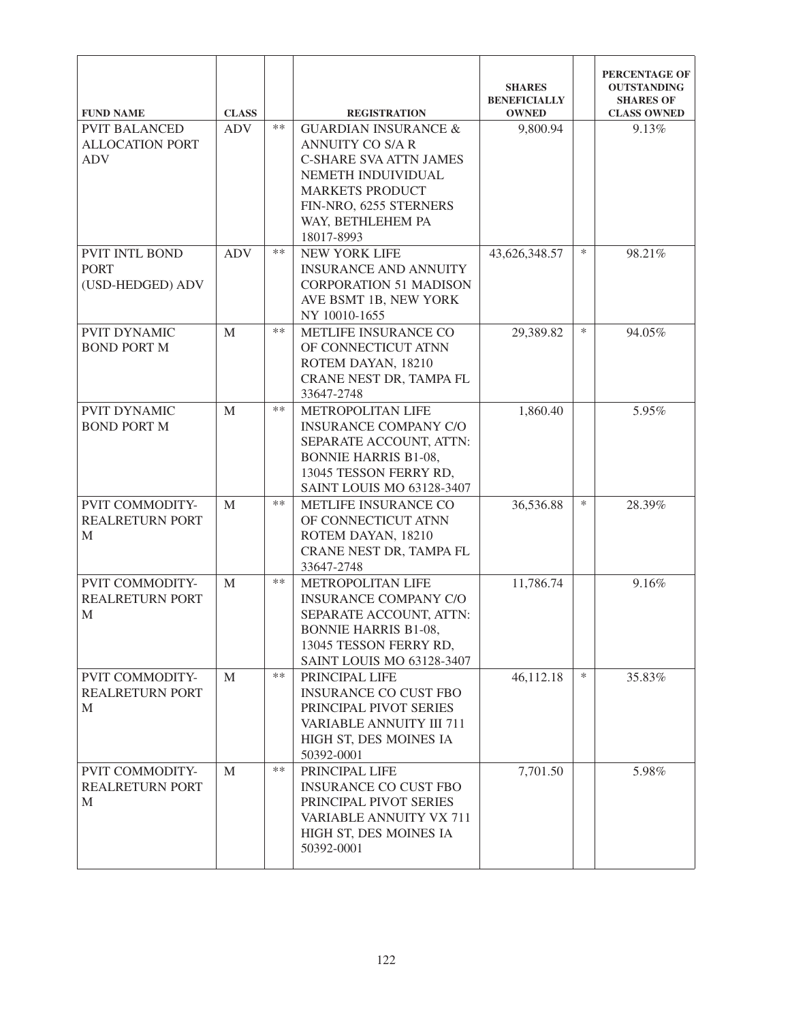| <b>FUND NAME</b>                                             | <b>CLASS</b> |       | <b>REGISTRATION</b>                                                                                                                                                                               | <b>SHARES</b><br><b>BENEFICIALLY</b><br><b>OWNED</b> |        | PERCENTAGE OF<br><b>OUTSTANDING</b><br><b>SHARES OF</b><br><b>CLASS OWNED</b> |
|--------------------------------------------------------------|--------------|-------|---------------------------------------------------------------------------------------------------------------------------------------------------------------------------------------------------|------------------------------------------------------|--------|-------------------------------------------------------------------------------|
| <b>PVIT BALANCED</b><br><b>ALLOCATION PORT</b><br><b>ADV</b> | <b>ADV</b>   | $**$  | <b>GUARDIAN INSURANCE &amp;</b><br>ANNUITY CO S/A R<br><b>C-SHARE SVA ATTN JAMES</b><br>NEMETH INDUIVIDUAL<br><b>MARKETS PRODUCT</b><br>FIN-NRO, 6255 STERNERS<br>WAY, BETHLEHEM PA<br>18017-8993 | 9,800.94                                             |        | 9.13%                                                                         |
| PVIT INTL BOND<br><b>PORT</b><br>(USD-HEDGED) ADV            | <b>ADV</b>   | $**$  | <b>NEW YORK LIFE</b><br><b>INSURANCE AND ANNUITY</b><br><b>CORPORATION 51 MADISON</b><br>AVE BSMT 1B, NEW YORK<br>NY 10010-1655                                                                   | 43,626,348.57                                        | $\ast$ | 98.21%                                                                        |
| <b>PVIT DYNAMIC</b><br><b>BOND PORT M</b>                    | M            | $**$  | METLIFE INSURANCE CO<br>OF CONNECTICUT ATNN<br>ROTEM DAYAN, 18210<br>CRANE NEST DR, TAMPA FL<br>33647-2748                                                                                        | 29,389.82                                            | $\ast$ | 94.05%                                                                        |
| <b>PVIT DYNAMIC</b><br><b>BOND PORT M</b>                    | M            | $**$  | METROPOLITAN LIFE<br><b>INSURANCE COMPANY C/O</b><br>SEPARATE ACCOUNT, ATTN:<br><b>BONNIE HARRIS B1-08,</b><br>13045 TESSON FERRY RD,<br><b>SAINT LOUIS MO 63128-3407</b>                         | 1,860.40                                             |        | 5.95%                                                                         |
| PVIT COMMODITY-<br><b>REALRETURN PORT</b><br>M               | M            | $***$ | METLIFE INSURANCE CO<br>OF CONNECTICUT ATNN<br>ROTEM DAYAN, 18210<br>CRANE NEST DR, TAMPA FL<br>33647-2748                                                                                        | 36,536.88                                            | $\ast$ | 28.39%                                                                        |
| PVIT COMMODITY-<br><b>REALRETURN PORT</b><br>M               | M            | $***$ | METROPOLITAN LIFE<br><b>INSURANCE COMPANY C/O</b><br>SEPARATE ACCOUNT, ATTN:<br><b>BONNIE HARRIS B1-08,</b><br>13045 TESSON FERRY RD,<br>SAINT LOUIS MO 63128-3407                                | 11,786.74                                            |        | 9.16%                                                                         |
| PVIT COMMODITY-<br><b>REALRETURN PORT</b><br>M               | M            | $**$  | PRINCIPAL LIFE<br><b>INSURANCE CO CUST FBO</b><br>PRINCIPAL PIVOT SERIES<br><b>VARIABLE ANNUITY III 711</b><br>HIGH ST, DES MOINES IA<br>50392-0001                                               | 46,112.18                                            | $\ast$ | 35.83%                                                                        |
| PVIT COMMODITY-<br><b>REALRETURN PORT</b><br>M               | M            | $**$  | PRINCIPAL LIFE<br><b>INSURANCE CO CUST FBO</b><br>PRINCIPAL PIVOT SERIES<br>VARIABLE ANNUITY VX 711<br>HIGH ST, DES MOINES IA<br>50392-0001                                                       | 7,701.50                                             |        | 5.98%                                                                         |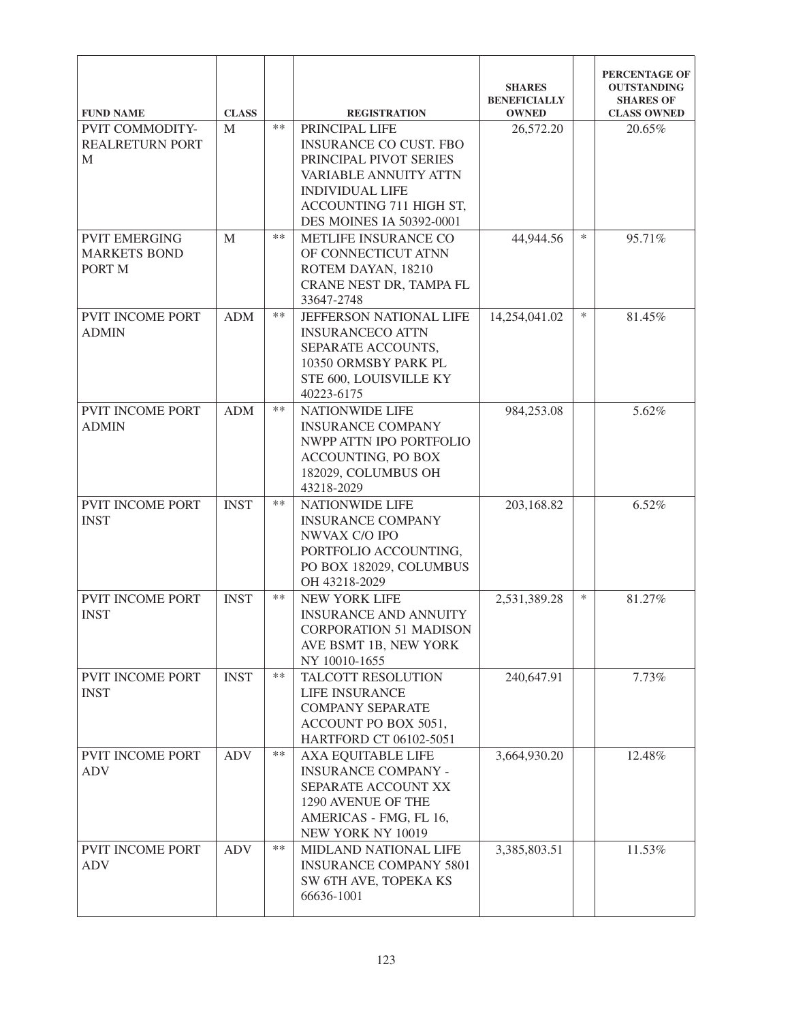| <b>FUND NAME</b>              | <b>CLASS</b> |       | <b>REGISTRATION</b>                                    | <b>SHARES</b><br><b>BENEFICIALLY</b><br><b>OWNED</b> |        | PERCENTAGE OF<br><b>OUTSTANDING</b><br><b>SHARES OF</b><br><b>CLASS OWNED</b> |
|-------------------------------|--------------|-------|--------------------------------------------------------|------------------------------------------------------|--------|-------------------------------------------------------------------------------|
| <b>PVIT COMMODITY-</b>        | M            | $**$  | PRINCIPAL LIFE                                         | 26,572.20                                            |        | 20.65%                                                                        |
| REALRETURN PORT               |              |       | <b>INSURANCE CO CUST. FBO</b>                          |                                                      |        |                                                                               |
| M                             |              |       | PRINCIPAL PIVOT SERIES<br><b>VARIABLE ANNUITY ATTN</b> |                                                      |        |                                                                               |
|                               |              |       | <b>INDIVIDUAL LIFE</b>                                 |                                                      |        |                                                                               |
|                               |              |       | ACCOUNTING 711 HIGH ST,                                |                                                      |        |                                                                               |
|                               |              |       | DES MOINES IA 50392-0001                               |                                                      |        |                                                                               |
| <b>PVIT EMERGING</b>          | M            | $**$  | METLIFE INSURANCE CO                                   | 44,944.56                                            | $\ast$ | 95.71%                                                                        |
| <b>MARKETS BOND</b><br>PORT M |              |       | OF CONNECTICUT ATNN<br>ROTEM DAYAN, 18210              |                                                      |        |                                                                               |
|                               |              |       | CRANE NEST DR, TAMPA FL                                |                                                      |        |                                                                               |
|                               |              |       | 33647-2748                                             |                                                      |        |                                                                               |
| <b>PVIT INCOME PORT</b>       | <b>ADM</b>   | $***$ | JEFFERSON NATIONAL LIFE                                | 14,254,041.02                                        | $\ast$ | 81.45%                                                                        |
| <b>ADMIN</b>                  |              |       | <b>INSURANCECO ATTN</b>                                |                                                      |        |                                                                               |
|                               |              |       | SEPARATE ACCOUNTS,                                     |                                                      |        |                                                                               |
|                               |              |       | 10350 ORMSBY PARK PL<br>STE 600, LOUISVILLE KY         |                                                      |        |                                                                               |
|                               |              |       | 40223-6175                                             |                                                      |        |                                                                               |
| PVIT INCOME PORT              | <b>ADM</b>   | $***$ | <b>NATIONWIDE LIFE</b>                                 | 984,253.08                                           |        | 5.62%                                                                         |
| <b>ADMIN</b>                  |              |       | <b>INSURANCE COMPANY</b>                               |                                                      |        |                                                                               |
|                               |              |       | NWPP ATTN IPO PORTFOLIO                                |                                                      |        |                                                                               |
|                               |              |       | ACCOUNTING, PO BOX                                     |                                                      |        |                                                                               |
|                               |              |       | 182029, COLUMBUS OH<br>43218-2029                      |                                                      |        |                                                                               |
| <b>PVIT INCOME PORT</b>       | <b>INST</b>  | $***$ | <b>NATIONWIDE LIFE</b>                                 | 203,168.82                                           |        | 6.52%                                                                         |
| <b>INST</b>                   |              |       | <b>INSURANCE COMPANY</b>                               |                                                      |        |                                                                               |
|                               |              |       | NWVAX C/O IPO                                          |                                                      |        |                                                                               |
|                               |              |       | PORTFOLIO ACCOUNTING,                                  |                                                      |        |                                                                               |
|                               |              |       | PO BOX 182029, COLUMBUS                                |                                                      |        |                                                                               |
| <b>PVIT INCOME PORT</b>       | <b>INST</b>  | $**$  | OH 43218-2029<br><b>NEW YORK LIFE</b>                  | 2,531,389.28                                         | $\ast$ | 81.27%                                                                        |
| <b>INST</b>                   |              |       | <b>INSURANCE AND ANNUITY</b>                           |                                                      |        |                                                                               |
|                               |              |       | <b>CORPORATION 51 MADISON</b>                          |                                                      |        |                                                                               |
|                               |              |       | AVE BSMT 1B, NEW YORK                                  |                                                      |        |                                                                               |
|                               |              |       | NY 10010-1655                                          |                                                      |        |                                                                               |
| PVIT INCOME PORT              | <b>INST</b>  | $**$  | TALCOTT RESOLUTION                                     | 240,647.91                                           |        | 7.73%                                                                         |
| <b>INST</b>                   |              |       | <b>LIFE INSURANCE</b><br><b>COMPANY SEPARATE</b>       |                                                      |        |                                                                               |
|                               |              |       | ACCOUNT PO BOX 5051,                                   |                                                      |        |                                                                               |
|                               |              |       | HARTFORD CT 06102-5051                                 |                                                      |        |                                                                               |
| PVIT INCOME PORT              | <b>ADV</b>   | **    | AXA EQUITABLE LIFE                                     | 3,664,930.20                                         |        | 12.48%                                                                        |
| <b>ADV</b>                    |              |       | <b>INSURANCE COMPANY -</b>                             |                                                      |        |                                                                               |
|                               |              |       | SEPARATE ACCOUNT XX<br>1290 AVENUE OF THE              |                                                      |        |                                                                               |
|                               |              |       | AMERICAS - FMG, FL 16,                                 |                                                      |        |                                                                               |
|                               |              |       | NEW YORK NY 10019                                      |                                                      |        |                                                                               |
| PVIT INCOME PORT              | <b>ADV</b>   | $**$  | MIDLAND NATIONAL LIFE                                  | 3,385,803.51                                         |        | 11.53%                                                                        |
| <b>ADV</b>                    |              |       | <b>INSURANCE COMPANY 5801</b>                          |                                                      |        |                                                                               |
|                               |              |       | SW 6TH AVE, TOPEKA KS                                  |                                                      |        |                                                                               |
|                               |              |       | 66636-1001                                             |                                                      |        |                                                                               |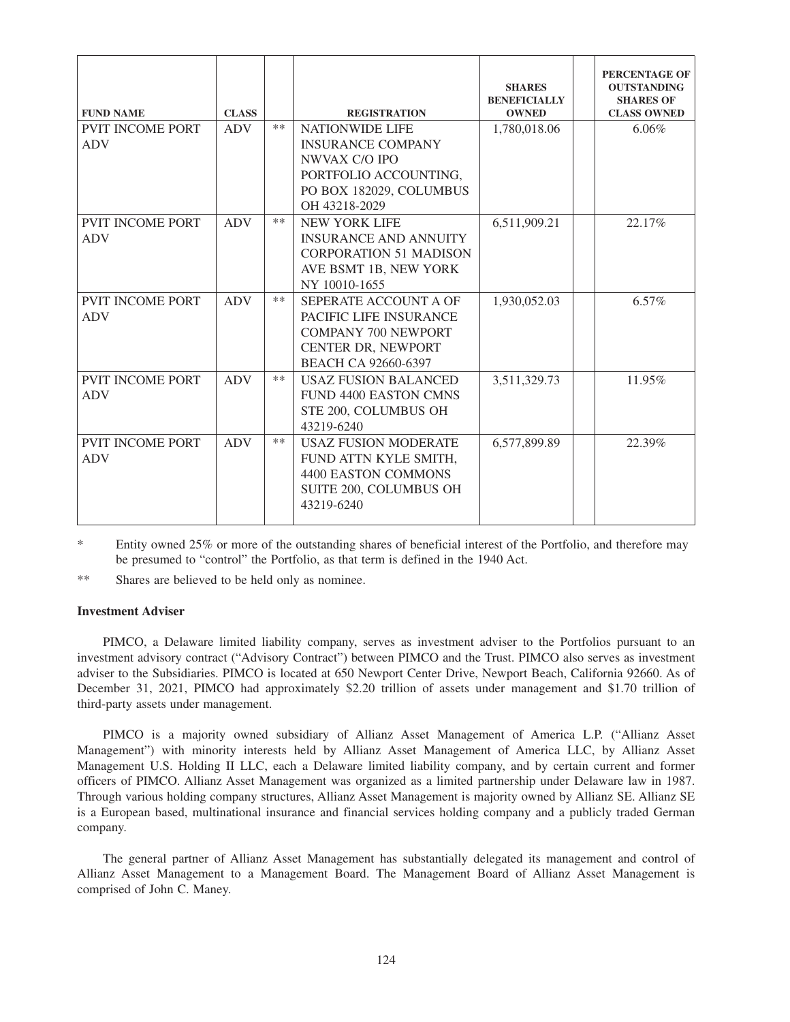| <b>FUND NAME</b>        | <b>CLASS</b> |       | <b>REGISTRATION</b>           | <b>SHARES</b><br><b>BENEFICIALLY</b><br><b>OWNED</b> | <b>PERCENTAGE OF</b><br><b>OUTSTANDING</b><br><b>SHARES OF</b><br><b>CLASS OWNED</b> |
|-------------------------|--------------|-------|-------------------------------|------------------------------------------------------|--------------------------------------------------------------------------------------|
| <b>PVIT INCOME PORT</b> | <b>ADV</b>   | $***$ | <b>NATIONWIDE LIFE</b>        | 1,780,018.06                                         | 6.06%                                                                                |
| <b>ADV</b>              |              |       | <b>INSURANCE COMPANY</b>      |                                                      |                                                                                      |
|                         |              |       | NWVAX C/O IPO                 |                                                      |                                                                                      |
|                         |              |       | PORTFOLIO ACCOUNTING,         |                                                      |                                                                                      |
|                         |              |       | PO BOX 182029, COLUMBUS       |                                                      |                                                                                      |
|                         |              |       | OH 43218-2029                 |                                                      |                                                                                      |
| <b>PVIT INCOME PORT</b> | <b>ADV</b>   | $***$ | <b>NEW YORK LIFE</b>          | 6,511,909.21                                         | 22.17%                                                                               |
| <b>ADV</b>              |              |       | <b>INSURANCE AND ANNUITY</b>  |                                                      |                                                                                      |
|                         |              |       | <b>CORPORATION 51 MADISON</b> |                                                      |                                                                                      |
|                         |              |       | AVE BSMT 1B, NEW YORK         |                                                      |                                                                                      |
|                         |              |       | NY 10010-1655                 |                                                      |                                                                                      |
| <b>PVIT INCOME PORT</b> | <b>ADV</b>   | $***$ | SEPERATE ACCOUNT A OF         | 1,930,052.03                                         | $6.57\%$                                                                             |
| <b>ADV</b>              |              |       | PACIFIC LIFE INSURANCE        |                                                      |                                                                                      |
|                         |              |       | <b>COMPANY 700 NEWPORT</b>    |                                                      |                                                                                      |
|                         |              |       | CENTER DR, NEWPORT            |                                                      |                                                                                      |
|                         |              |       | BEACH CA 92660-6397           |                                                      |                                                                                      |
| <b>PVIT INCOME PORT</b> | <b>ADV</b>   | $***$ | <b>USAZ FUSION BALANCED</b>   | 3,511,329.73                                         | 11.95%                                                                               |
| <b>ADV</b>              |              |       | <b>FUND 4400 EASTON CMNS</b>  |                                                      |                                                                                      |
|                         |              |       | STE 200, COLUMBUS OH          |                                                      |                                                                                      |
|                         |              |       | 43219-6240                    |                                                      |                                                                                      |
| <b>PVIT INCOME PORT</b> | <b>ADV</b>   | $**$  | <b>USAZ FUSION MODERATE</b>   | 6,577,899.89                                         | 22.39%                                                                               |
| <b>ADV</b>              |              |       | FUND ATTN KYLE SMITH,         |                                                      |                                                                                      |
|                         |              |       | 4400 EASTON COMMONS           |                                                      |                                                                                      |
|                         |              |       | SUITE 200, COLUMBUS OH        |                                                      |                                                                                      |
|                         |              |       | 43219-6240                    |                                                      |                                                                                      |
|                         |              |       |                               |                                                      |                                                                                      |

\* Entity owned 25% or more of the outstanding shares of beneficial interest of the Portfolio, and therefore may be presumed to "control" the Portfolio, as that term is defined in the 1940 Act.

\*\* Shares are believed to be held only as nominee.

# **Investment Adviser**

PIMCO, a Delaware limited liability company, serves as investment adviser to the Portfolios pursuant to an investment advisory contract ("Advisory Contract") between PIMCO and the Trust. PIMCO also serves as investment adviser to the Subsidiaries. PIMCO is located at 650 Newport Center Drive, Newport Beach, California 92660. As of December 31, 2021, PIMCO had approximately \$2.20 trillion of assets under management and \$1.70 trillion of third-party assets under management.

PIMCO is a majority owned subsidiary of Allianz Asset Management of America L.P. ("Allianz Asset Management") with minority interests held by Allianz Asset Management of America LLC, by Allianz Asset Management U.S. Holding II LLC, each a Delaware limited liability company, and by certain current and former officers of PIMCO. Allianz Asset Management was organized as a limited partnership under Delaware law in 1987. Through various holding company structures, Allianz Asset Management is majority owned by Allianz SE. Allianz SE is a European based, multinational insurance and financial services holding company and a publicly traded German company.

The general partner of Allianz Asset Management has substantially delegated its management and control of Allianz Asset Management to a Management Board. The Management Board of Allianz Asset Management is comprised of John C. Maney.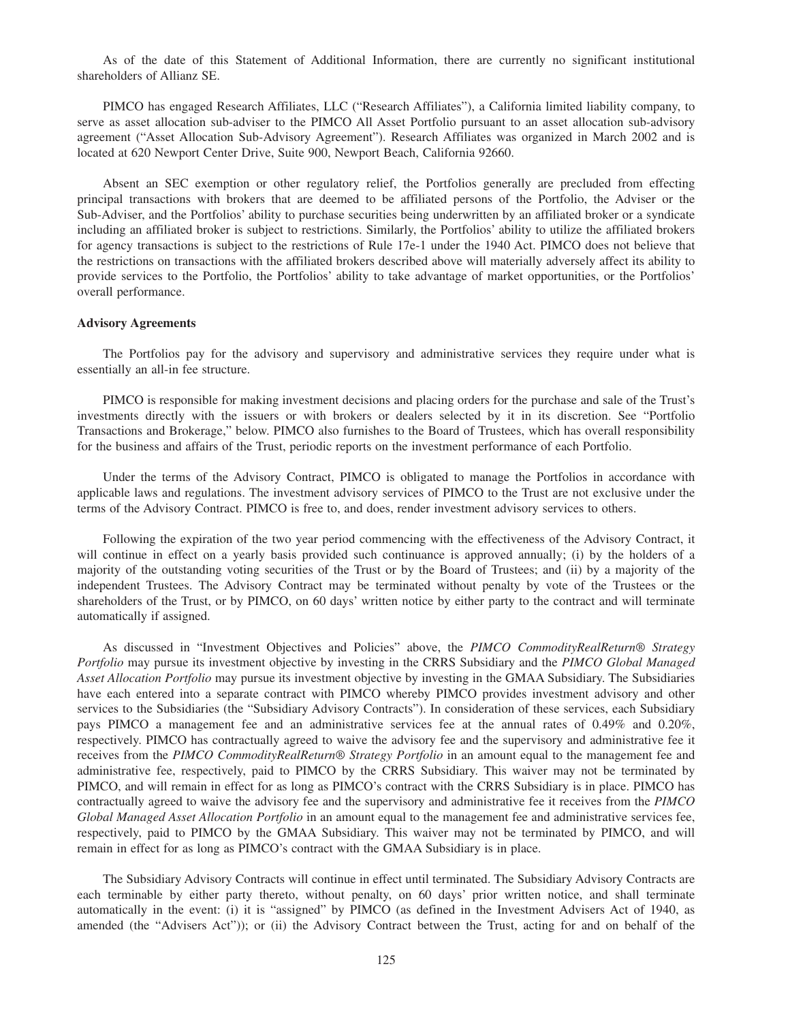As of the date of this Statement of Additional Information, there are currently no significant institutional shareholders of Allianz SE.

PIMCO has engaged Research Affiliates, LLC ("Research Affiliates"), a California limited liability company, to serve as asset allocation sub-adviser to the PIMCO All Asset Portfolio pursuant to an asset allocation sub-advisory agreement ("Asset Allocation Sub-Advisory Agreement"). Research Affiliates was organized in March 2002 and is located at 620 Newport Center Drive, Suite 900, Newport Beach, California 92660.

Absent an SEC exemption or other regulatory relief, the Portfolios generally are precluded from effecting principal transactions with brokers that are deemed to be affiliated persons of the Portfolio, the Adviser or the Sub-Adviser, and the Portfolios' ability to purchase securities being underwritten by an affiliated broker or a syndicate including an affiliated broker is subject to restrictions. Similarly, the Portfolios' ability to utilize the affiliated brokers for agency transactions is subject to the restrictions of Rule 17e-1 under the 1940 Act. PIMCO does not believe that the restrictions on transactions with the affiliated brokers described above will materially adversely affect its ability to provide services to the Portfolio, the Portfolios' ability to take advantage of market opportunities, or the Portfolios' overall performance.

#### **Advisory Agreements**

The Portfolios pay for the advisory and supervisory and administrative services they require under what is essentially an all-in fee structure.

PIMCO is responsible for making investment decisions and placing orders for the purchase and sale of the Trust's investments directly with the issuers or with brokers or dealers selected by it in its discretion. See "Portfolio Transactions and Brokerage," below. PIMCO also furnishes to the Board of Trustees, which has overall responsibility for the business and affairs of the Trust, periodic reports on the investment performance of each Portfolio.

Under the terms of the Advisory Contract, PIMCO is obligated to manage the Portfolios in accordance with applicable laws and regulations. The investment advisory services of PIMCO to the Trust are not exclusive under the terms of the Advisory Contract. PIMCO is free to, and does, render investment advisory services to others.

Following the expiration of the two year period commencing with the effectiveness of the Advisory Contract, it will continue in effect on a yearly basis provided such continuance is approved annually; (i) by the holders of a majority of the outstanding voting securities of the Trust or by the Board of Trustees; and (ii) by a majority of the independent Trustees. The Advisory Contract may be terminated without penalty by vote of the Trustees or the shareholders of the Trust, or by PIMCO, on 60 days' written notice by either party to the contract and will terminate automatically if assigned.

As discussed in "Investment Objectives and Policies" above, the *PIMCO CommodityRealReturn® Strategy Portfolio* may pursue its investment objective by investing in the CRRS Subsidiary and the *PIMCO Global Managed Asset Allocation Portfolio* may pursue its investment objective by investing in the GMAA Subsidiary. The Subsidiaries have each entered into a separate contract with PIMCO whereby PIMCO provides investment advisory and other services to the Subsidiaries (the "Subsidiary Advisory Contracts"). In consideration of these services, each Subsidiary pays PIMCO a management fee and an administrative services fee at the annual rates of 0.49% and 0.20%, respectively. PIMCO has contractually agreed to waive the advisory fee and the supervisory and administrative fee it receives from the *PIMCO CommodityRealReturn® Strategy Portfolio* in an amount equal to the management fee and administrative fee, respectively, paid to PIMCO by the CRRS Subsidiary. This waiver may not be terminated by PIMCO, and will remain in effect for as long as PIMCO's contract with the CRRS Subsidiary is in place. PIMCO has contractually agreed to waive the advisory fee and the supervisory and administrative fee it receives from the *PIMCO Global Managed Asset Allocation Portfolio* in an amount equal to the management fee and administrative services fee, respectively, paid to PIMCO by the GMAA Subsidiary. This waiver may not be terminated by PIMCO, and will remain in effect for as long as PIMCO's contract with the GMAA Subsidiary is in place.

The Subsidiary Advisory Contracts will continue in effect until terminated. The Subsidiary Advisory Contracts are each terminable by either party thereto, without penalty, on 60 days' prior written notice, and shall terminate automatically in the event: (i) it is "assigned" by PIMCO (as defined in the Investment Advisers Act of 1940, as amended (the "Advisers Act")); or (ii) the Advisory Contract between the Trust, acting for and on behalf of the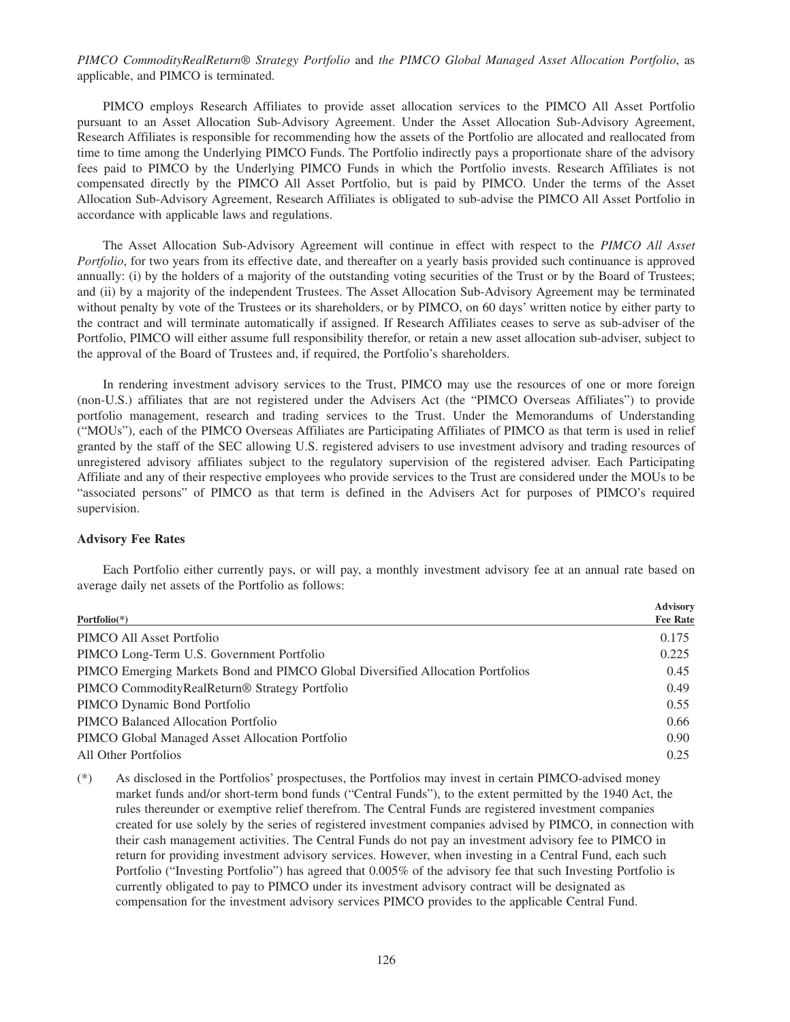# *PIMCO CommodityRealReturn® Strategy Portfolio* and *the PIMCO Global Managed Asset Allocation Portfolio*, as applicable, and PIMCO is terminated.

PIMCO employs Research Affiliates to provide asset allocation services to the PIMCO All Asset Portfolio pursuant to an Asset Allocation Sub-Advisory Agreement. Under the Asset Allocation Sub-Advisory Agreement, Research Affiliates is responsible for recommending how the assets of the Portfolio are allocated and reallocated from time to time among the Underlying PIMCO Funds. The Portfolio indirectly pays a proportionate share of the advisory fees paid to PIMCO by the Underlying PIMCO Funds in which the Portfolio invests. Research Affiliates is not compensated directly by the PIMCO All Asset Portfolio, but is paid by PIMCO. Under the terms of the Asset Allocation Sub-Advisory Agreement, Research Affiliates is obligated to sub-advise the PIMCO All Asset Portfolio in accordance with applicable laws and regulations.

The Asset Allocation Sub-Advisory Agreement will continue in effect with respect to the *PIMCO All Asset Portfolio*, for two years from its effective date, and thereafter on a yearly basis provided such continuance is approved annually: (i) by the holders of a majority of the outstanding voting securities of the Trust or by the Board of Trustees; and (ii) by a majority of the independent Trustees. The Asset Allocation Sub-Advisory Agreement may be terminated without penalty by vote of the Trustees or its shareholders, or by PIMCO, on 60 days' written notice by either party to the contract and will terminate automatically if assigned. If Research Affiliates ceases to serve as sub-adviser of the Portfolio, PIMCO will either assume full responsibility therefor, or retain a new asset allocation sub-adviser, subject to the approval of the Board of Trustees and, if required, the Portfolio's shareholders.

In rendering investment advisory services to the Trust, PIMCO may use the resources of one or more foreign (non-U.S.) affiliates that are not registered under the Advisers Act (the "PIMCO Overseas Affiliates") to provide portfolio management, research and trading services to the Trust. Under the Memorandums of Understanding ("MOUs"), each of the PIMCO Overseas Affiliates are Participating Affiliates of PIMCO as that term is used in relief granted by the staff of the SEC allowing U.S. registered advisers to use investment advisory and trading resources of unregistered advisory affiliates subject to the regulatory supervision of the registered adviser. Each Participating Affiliate and any of their respective employees who provide services to the Trust are considered under the MOUs to be "associated persons" of PIMCO as that term is defined in the Advisers Act for purposes of PIMCO's required supervision.

# **Advisory Fee Rates**

Each Portfolio either currently pays, or will pay, a monthly investment advisory fee at an annual rate based on average daily net assets of the Portfolio as follows:

| Portfolio $(*)$                                                                | <b>Advisory</b><br><b>Fee Rate</b> |
|--------------------------------------------------------------------------------|------------------------------------|
|                                                                                |                                    |
| PIMCO All Asset Portfolio                                                      | 0.175                              |
| PIMCO Long-Term U.S. Government Portfolio                                      | 0.225                              |
| PIMCO Emerging Markets Bond and PIMCO Global Diversified Allocation Portfolios | 0.45                               |
| PIMCO Commodity Real Return <sup>®</sup> Strategy Portfolio                    | 0.49                               |
| PIMCO Dynamic Bond Portfolio                                                   | 0.55                               |
| PIMCO Balanced Allocation Portfolio                                            | 0.66                               |
| PIMCO Global Managed Asset Allocation Portfolio                                | 0.90                               |
| All Other Portfolios                                                           | 0.25                               |

(\*) As disclosed in the Portfolios' prospectuses, the Portfolios may invest in certain PIMCO-advised money market funds and/or short-term bond funds ("Central Funds"), to the extent permitted by the 1940 Act, the rules thereunder or exemptive relief therefrom. The Central Funds are registered investment companies created for use solely by the series of registered investment companies advised by PIMCO, in connection with their cash management activities. The Central Funds do not pay an investment advisory fee to PIMCO in return for providing investment advisory services. However, when investing in a Central Fund, each such Portfolio ("Investing Portfolio") has agreed that 0.005% of the advisory fee that such Investing Portfolio is currently obligated to pay to PIMCO under its investment advisory contract will be designated as compensation for the investment advisory services PIMCO provides to the applicable Central Fund.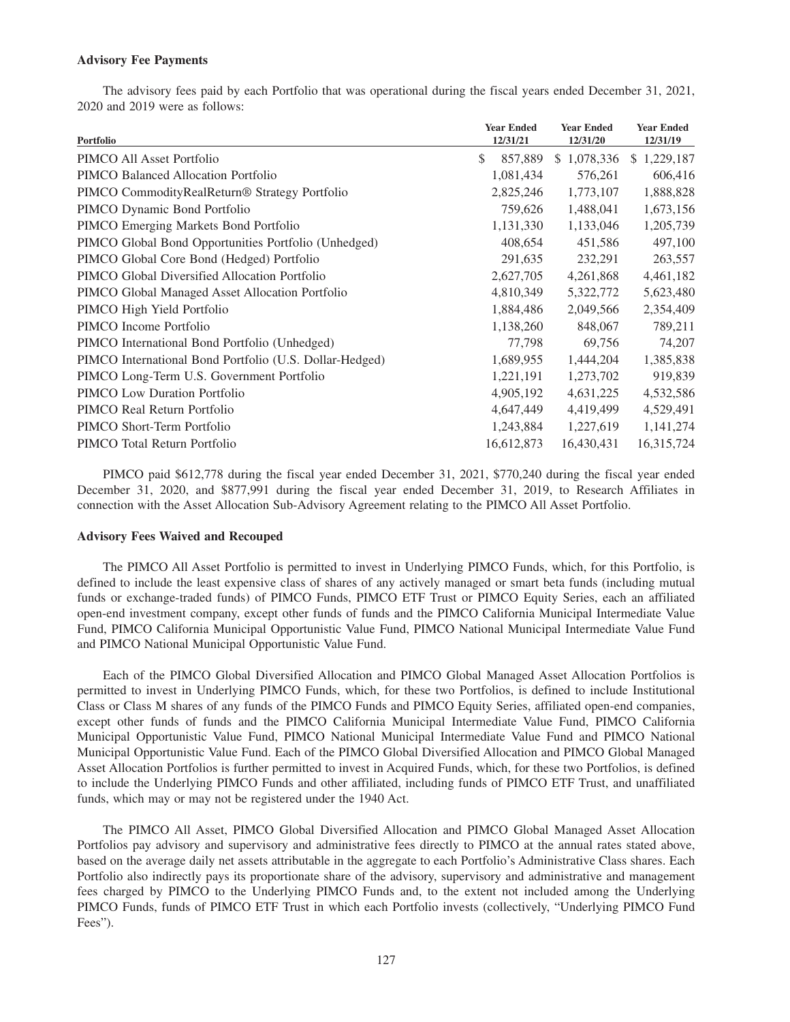## **Advisory Fee Payments**

The advisory fees paid by each Portfolio that was operational during the fiscal years ended December 31, 2021, 2020 and 2019 were as follows:

| Portfolio                                                   | <b>Year Ended</b><br>12/31/21 | <b>Year Ended</b> | <b>Year Ended</b> |
|-------------------------------------------------------------|-------------------------------|-------------------|-------------------|
|                                                             |                               | 12/31/20          | 12/31/19          |
| PIMCO All Asset Portfolio                                   | \$<br>857,889                 | \$1,078,336       | 1,229,187<br>\$   |
| PIMCO Balanced Allocation Portfolio                         | 1,081,434                     | 576,261           | 606,416           |
| PIMCO Commodity Real Return <sup>®</sup> Strategy Portfolio | 2,825,246                     | 1,773,107         | 1,888,828         |
| PIMCO Dynamic Bond Portfolio                                | 759,626                       | 1,488,041         | 1,673,156         |
| PIMCO Emerging Markets Bond Portfolio                       | 1,131,330                     | 1,133,046         | 1,205,739         |
| PIMCO Global Bond Opportunities Portfolio (Unhedged)        | 408,654                       | 451,586           | 497,100           |
| PIMCO Global Core Bond (Hedged) Portfolio                   | 291,635                       | 232,291           | 263,557           |
| PIMCO Global Diversified Allocation Portfolio               | 2,627,705                     | 4,261,868         | 4,461,182         |
| PIMCO Global Managed Asset Allocation Portfolio             | 4,810,349                     | 5,322,772         | 5,623,480         |
| PIMCO High Yield Portfolio                                  | 1,884,486                     | 2,049,566         | 2,354,409         |
| PIMCO Income Portfolio                                      | 1,138,260                     | 848,067           | 789,211           |
| PIMCO International Bond Portfolio (Unhedged)               | 77,798                        | 69.756            | 74,207            |
| PIMCO International Bond Portfolio (U.S. Dollar-Hedged)     | 1,689,955                     | 1,444,204         | 1,385,838         |
| PIMCO Long-Term U.S. Government Portfolio                   | 1,221,191                     | 1,273,702         | 919,839           |
| <b>PIMCO</b> Low Duration Portfolio                         | 4,905,192                     | 4,631,225         | 4,532,586         |
| PIMCO Real Return Portfolio                                 | 4,647,449                     | 4,419,499         | 4,529,491         |
| PIMCO Short-Term Portfolio                                  | 1,243,884                     | 1,227,619         | 1,141,274         |
| PIMCO Total Return Portfolio                                | 16,612,873                    | 16,430,431        | 16,315,724        |
|                                                             |                               |                   |                   |

PIMCO paid \$612,778 during the fiscal year ended December 31, 2021, \$770,240 during the fiscal year ended December 31, 2020, and \$877,991 during the fiscal year ended December 31, 2019, to Research Affiliates in connection with the Asset Allocation Sub-Advisory Agreement relating to the PIMCO All Asset Portfolio.

#### **Advisory Fees Waived and Recouped**

The PIMCO All Asset Portfolio is permitted to invest in Underlying PIMCO Funds, which, for this Portfolio, is defined to include the least expensive class of shares of any actively managed or smart beta funds (including mutual funds or exchange-traded funds) of PIMCO Funds, PIMCO ETF Trust or PIMCO Equity Series, each an affiliated open-end investment company, except other funds of funds and the PIMCO California Municipal Intermediate Value Fund, PIMCO California Municipal Opportunistic Value Fund, PIMCO National Municipal Intermediate Value Fund and PIMCO National Municipal Opportunistic Value Fund.

Each of the PIMCO Global Diversified Allocation and PIMCO Global Managed Asset Allocation Portfolios is permitted to invest in Underlying PIMCO Funds, which, for these two Portfolios, is defined to include Institutional Class or Class M shares of any funds of the PIMCO Funds and PIMCO Equity Series, affiliated open-end companies, except other funds of funds and the PIMCO California Municipal Intermediate Value Fund, PIMCO California Municipal Opportunistic Value Fund, PIMCO National Municipal Intermediate Value Fund and PIMCO National Municipal Opportunistic Value Fund. Each of the PIMCO Global Diversified Allocation and PIMCO Global Managed Asset Allocation Portfolios is further permitted to invest in Acquired Funds, which, for these two Portfolios, is defined to include the Underlying PIMCO Funds and other affiliated, including funds of PIMCO ETF Trust, and unaffiliated funds, which may or may not be registered under the 1940 Act.

The PIMCO All Asset, PIMCO Global Diversified Allocation and PIMCO Global Managed Asset Allocation Portfolios pay advisory and supervisory and administrative fees directly to PIMCO at the annual rates stated above, based on the average daily net assets attributable in the aggregate to each Portfolio's Administrative Class shares. Each Portfolio also indirectly pays its proportionate share of the advisory, supervisory and administrative and management fees charged by PIMCO to the Underlying PIMCO Funds and, to the extent not included among the Underlying PIMCO Funds, funds of PIMCO ETF Trust in which each Portfolio invests (collectively, "Underlying PIMCO Fund Fees").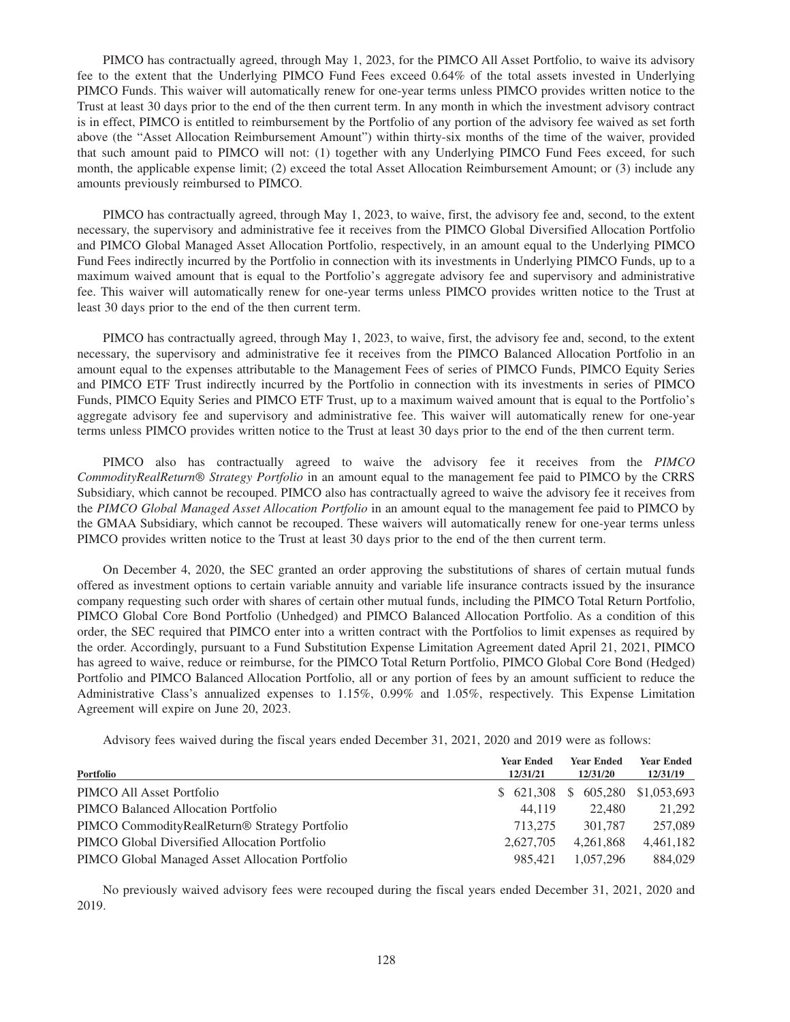PIMCO has contractually agreed, through May 1, 2023, for the PIMCO All Asset Portfolio, to waive its advisory fee to the extent that the Underlying PIMCO Fund Fees exceed 0.64% of the total assets invested in Underlying PIMCO Funds. This waiver will automatically renew for one-year terms unless PIMCO provides written notice to the Trust at least 30 days prior to the end of the then current term. In any month in which the investment advisory contract is in effect, PIMCO is entitled to reimbursement by the Portfolio of any portion of the advisory fee waived as set forth above (the "Asset Allocation Reimbursement Amount") within thirty-six months of the time of the waiver, provided that such amount paid to PIMCO will not: (1) together with any Underlying PIMCO Fund Fees exceed, for such month, the applicable expense limit; (2) exceed the total Asset Allocation Reimbursement Amount; or (3) include any amounts previously reimbursed to PIMCO.

PIMCO has contractually agreed, through May 1, 2023, to waive, first, the advisory fee and, second, to the extent necessary, the supervisory and administrative fee it receives from the PIMCO Global Diversified Allocation Portfolio and PIMCO Global Managed Asset Allocation Portfolio, respectively, in an amount equal to the Underlying PIMCO Fund Fees indirectly incurred by the Portfolio in connection with its investments in Underlying PIMCO Funds, up to a maximum waived amount that is equal to the Portfolio's aggregate advisory fee and supervisory and administrative fee. This waiver will automatically renew for one-year terms unless PIMCO provides written notice to the Trust at least 30 days prior to the end of the then current term.

PIMCO has contractually agreed, through May 1, 2023, to waive, first, the advisory fee and, second, to the extent necessary, the supervisory and administrative fee it receives from the PIMCO Balanced Allocation Portfolio in an amount equal to the expenses attributable to the Management Fees of series of PIMCO Funds, PIMCO Equity Series and PIMCO ETF Trust indirectly incurred by the Portfolio in connection with its investments in series of PIMCO Funds, PIMCO Equity Series and PIMCO ETF Trust, up to a maximum waived amount that is equal to the Portfolio's aggregate advisory fee and supervisory and administrative fee. This waiver will automatically renew for one-year terms unless PIMCO provides written notice to the Trust at least 30 days prior to the end of the then current term.

PIMCO also has contractually agreed to waive the advisory fee it receives from the *PIMCO CommodityRealReturn® Strategy Portfolio* in an amount equal to the management fee paid to PIMCO by the CRRS Subsidiary, which cannot be recouped. PIMCO also has contractually agreed to waive the advisory fee it receives from the *PIMCO Global Managed Asset Allocation Portfolio* in an amount equal to the management fee paid to PIMCO by the GMAA Subsidiary, which cannot be recouped. These waivers will automatically renew for one-year terms unless PIMCO provides written notice to the Trust at least 30 days prior to the end of the then current term.

On December 4, 2020, the SEC granted an order approving the substitutions of shares of certain mutual funds offered as investment options to certain variable annuity and variable life insurance contracts issued by the insurance company requesting such order with shares of certain other mutual funds, including the PIMCO Total Return Portfolio, PIMCO Global Core Bond Portfolio (Unhedged) and PIMCO Balanced Allocation Portfolio. As a condition of this order, the SEC required that PIMCO enter into a written contract with the Portfolios to limit expenses as required by the order. Accordingly, pursuant to a Fund Substitution Expense Limitation Agreement dated April 21, 2021, PIMCO has agreed to waive, reduce or reimburse, for the PIMCO Total Return Portfolio, PIMCO Global Core Bond (Hedged) Portfolio and PIMCO Balanced Allocation Portfolio, all or any portion of fees by an amount sufficient to reduce the Administrative Class's annualized expenses to 1.15%, 0.99% and 1.05%, respectively. This Expense Limitation Agreement will expire on June 20, 2023.

Advisory fees waived during the fiscal years ended December 31, 2021, 2020 and 2019 were as follows:

| Portfolio                                                   | <b>Year Ended</b><br>12/31/21 | <b>Year Ended</b><br>12/31/20 | <b>Year Ended</b><br>12/31/19 |
|-------------------------------------------------------------|-------------------------------|-------------------------------|-------------------------------|
| PIMCO All Asset Portfolio                                   |                               | \$621,308\$605,280            | \$1,053,693                   |
| PIMCO Balanced Allocation Portfolio                         | 44.119                        | 22.480                        | 21.292                        |
| PIMCO Commodity Real Return <sup>®</sup> Strategy Portfolio | 713,275                       | 301,787                       | 257,089                       |
| PIMCO Global Diversified Allocation Portfolio               | 2.627.705                     | 4.261.868                     | 4,461,182                     |
| PIMCO Global Managed Asset Allocation Portfolio             | 985.421                       | 1.057.296                     | 884,029                       |

No previously waived advisory fees were recouped during the fiscal years ended December 31, 2021, 2020 and 2019.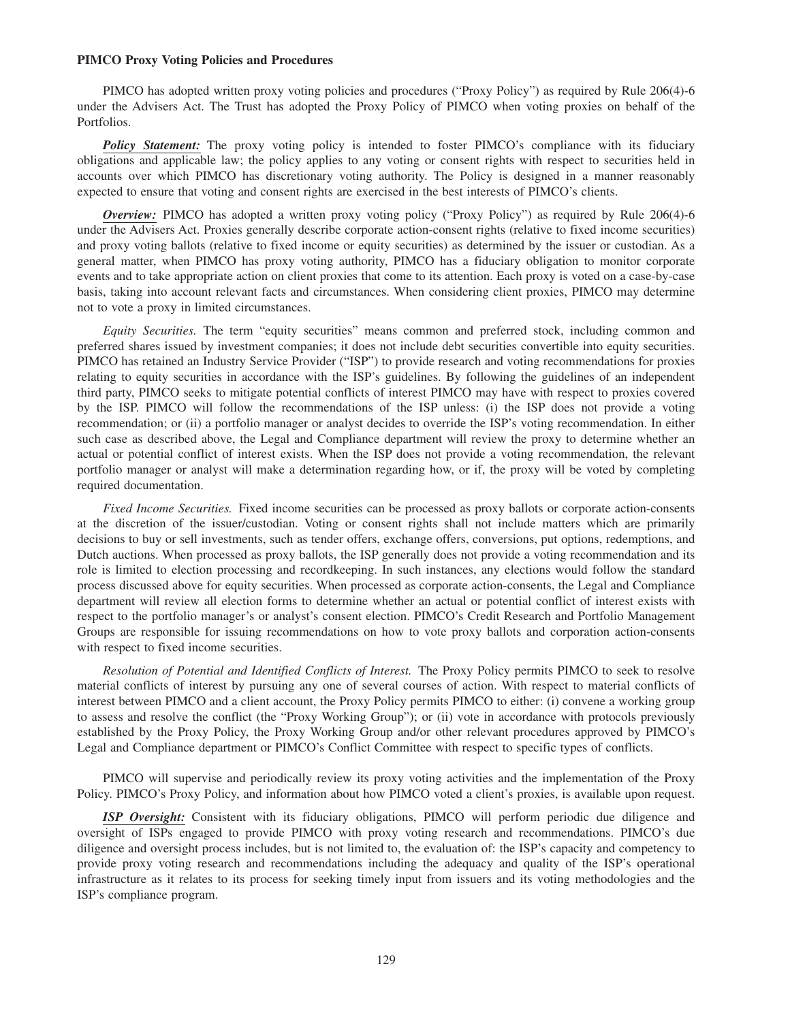#### **PIMCO Proxy Voting Policies and Procedures**

PIMCO has adopted written proxy voting policies and procedures ("Proxy Policy") as required by Rule 206(4)-6 under the Advisers Act. The Trust has adopted the Proxy Policy of PIMCO when voting proxies on behalf of the Portfolios.

**Policy Statement:** The proxy voting policy is intended to foster PIMCO's compliance with its fiduciary obligations and applicable law; the policy applies to any voting or consent rights with respect to securities held in accounts over which PIMCO has discretionary voting authority. The Policy is designed in a manner reasonably expected to ensure that voting and consent rights are exercised in the best interests of PIMCO's clients.

*Overview:* PIMCO has adopted a written proxy voting policy ("Proxy Policy") as required by Rule 206(4)-6 under the Advisers Act. Proxies generally describe corporate action-consent rights (relative to fixed income securities) and proxy voting ballots (relative to fixed income or equity securities) as determined by the issuer or custodian. As a general matter, when PIMCO has proxy voting authority, PIMCO has a fiduciary obligation to monitor corporate events and to take appropriate action on client proxies that come to its attention. Each proxy is voted on a case-by-case basis, taking into account relevant facts and circumstances. When considering client proxies, PIMCO may determine not to vote a proxy in limited circumstances.

*Equity Securities.* The term "equity securities" means common and preferred stock, including common and preferred shares issued by investment companies; it does not include debt securities convertible into equity securities. PIMCO has retained an Industry Service Provider ("ISP") to provide research and voting recommendations for proxies relating to equity securities in accordance with the ISP's guidelines. By following the guidelines of an independent third party, PIMCO seeks to mitigate potential conflicts of interest PIMCO may have with respect to proxies covered by the ISP. PIMCO will follow the recommendations of the ISP unless: (i) the ISP does not provide a voting recommendation; or (ii) a portfolio manager or analyst decides to override the ISP's voting recommendation. In either such case as described above, the Legal and Compliance department will review the proxy to determine whether an actual or potential conflict of interest exists. When the ISP does not provide a voting recommendation, the relevant portfolio manager or analyst will make a determination regarding how, or if, the proxy will be voted by completing required documentation.

*Fixed Income Securities.* Fixed income securities can be processed as proxy ballots or corporate action-consents at the discretion of the issuer/custodian. Voting or consent rights shall not include matters which are primarily decisions to buy or sell investments, such as tender offers, exchange offers, conversions, put options, redemptions, and Dutch auctions. When processed as proxy ballots, the ISP generally does not provide a voting recommendation and its role is limited to election processing and recordkeeping. In such instances, any elections would follow the standard process discussed above for equity securities. When processed as corporate action-consents, the Legal and Compliance department will review all election forms to determine whether an actual or potential conflict of interest exists with respect to the portfolio manager's or analyst's consent election. PIMCO's Credit Research and Portfolio Management Groups are responsible for issuing recommendations on how to vote proxy ballots and corporation action-consents with respect to fixed income securities.

*Resolution of Potential and Identified Conflicts of Interest.* The Proxy Policy permits PIMCO to seek to resolve material conflicts of interest by pursuing any one of several courses of action. With respect to material conflicts of interest between PIMCO and a client account, the Proxy Policy permits PIMCO to either: (i) convene a working group to assess and resolve the conflict (the "Proxy Working Group"); or (ii) vote in accordance with protocols previously established by the Proxy Policy, the Proxy Working Group and/or other relevant procedures approved by PIMCO's Legal and Compliance department or PIMCO's Conflict Committee with respect to specific types of conflicts.

PIMCO will supervise and periodically review its proxy voting activities and the implementation of the Proxy Policy. PIMCO's Proxy Policy, and information about how PIMCO voted a client's proxies, is available upon request.

*ISP Oversight:* Consistent with its fiduciary obligations, PIMCO will perform periodic due diligence and oversight of ISPs engaged to provide PIMCO with proxy voting research and recommendations. PIMCO's due diligence and oversight process includes, but is not limited to, the evaluation of: the ISP's capacity and competency to provide proxy voting research and recommendations including the adequacy and quality of the ISP's operational infrastructure as it relates to its process for seeking timely input from issuers and its voting methodologies and the ISP's compliance program.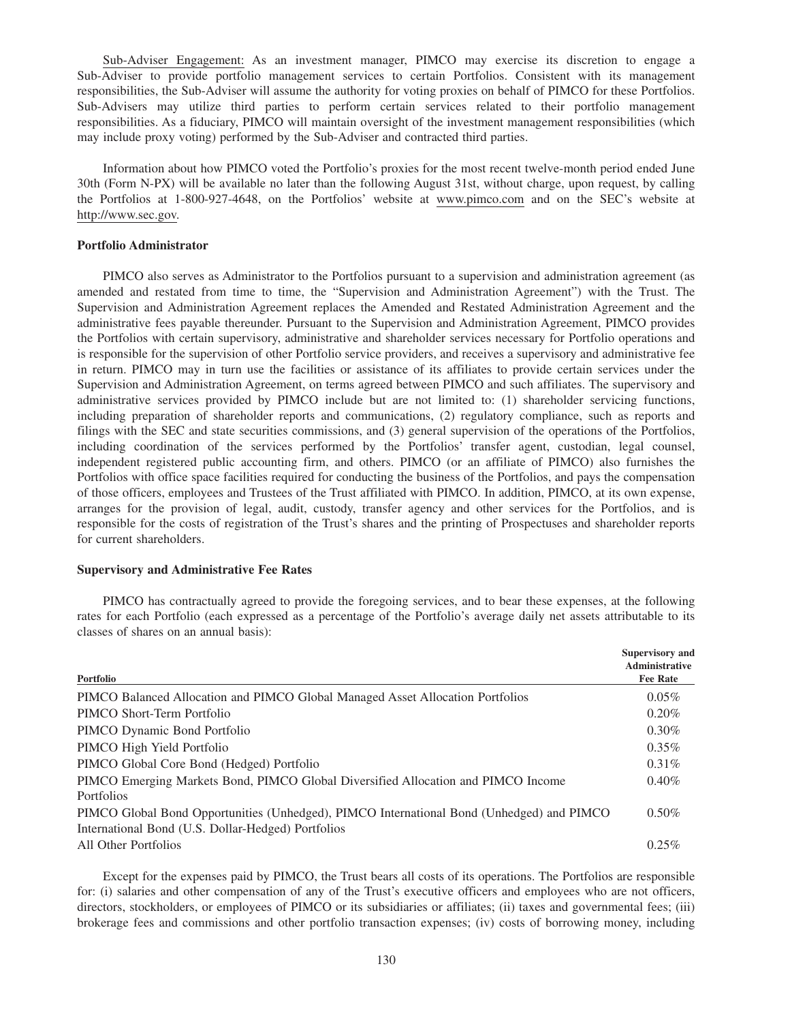Sub-Adviser Engagement: As an investment manager, PIMCO may exercise its discretion to engage a Sub-Adviser to provide portfolio management services to certain Portfolios. Consistent with its management responsibilities, the Sub-Adviser will assume the authority for voting proxies on behalf of PIMCO for these Portfolios. Sub-Advisers may utilize third parties to perform certain services related to their portfolio management responsibilities. As a fiduciary, PIMCO will maintain oversight of the investment management responsibilities (which may include proxy voting) performed by the Sub-Adviser and contracted third parties.

Information about how PIMCO voted the Portfolio's proxies for the most recent twelve-month period ended June 30th (Form N-PX) will be available no later than the following August 31st, without charge, upon request, by calling the Portfolios at 1-800-927-4648, on the Portfolios' website at www.pimco.com and on the SEC's website at http://www.sec.gov.

### **Portfolio Administrator**

PIMCO also serves as Administrator to the Portfolios pursuant to a supervision and administration agreement (as amended and restated from time to time, the "Supervision and Administration Agreement") with the Trust. The Supervision and Administration Agreement replaces the Amended and Restated Administration Agreement and the administrative fees payable thereunder. Pursuant to the Supervision and Administration Agreement, PIMCO provides the Portfolios with certain supervisory, administrative and shareholder services necessary for Portfolio operations and is responsible for the supervision of other Portfolio service providers, and receives a supervisory and administrative fee in return. PIMCO may in turn use the facilities or assistance of its affiliates to provide certain services under the Supervision and Administration Agreement, on terms agreed between PIMCO and such affiliates. The supervisory and administrative services provided by PIMCO include but are not limited to: (1) shareholder servicing functions, including preparation of shareholder reports and communications, (2) regulatory compliance, such as reports and filings with the SEC and state securities commissions, and (3) general supervision of the operations of the Portfolios, including coordination of the services performed by the Portfolios' transfer agent, custodian, legal counsel, independent registered public accounting firm, and others. PIMCO (or an affiliate of PIMCO) also furnishes the Portfolios with office space facilities required for conducting the business of the Portfolios, and pays the compensation of those officers, employees and Trustees of the Trust affiliated with PIMCO. In addition, PIMCO, at its own expense, arranges for the provision of legal, audit, custody, transfer agency and other services for the Portfolios, and is responsible for the costs of registration of the Trust's shares and the printing of Prospectuses and shareholder reports for current shareholders.

### **Supervisory and Administrative Fee Rates**

rates for each Portfolio (each expressed as a percentage of the Portfolio's average daily net assets attributable to its classes of shares on an annual basis): **Supervisory and**

PIMCO has contractually agreed to provide the foregoing services, and to bear these expenses, at the following

| Portfolio                                                                                                                                       | $U$ uper 11501 1 and<br>Administrative<br><b>Fee Rate</b> |
|-------------------------------------------------------------------------------------------------------------------------------------------------|-----------------------------------------------------------|
| PIMCO Balanced Allocation and PIMCO Global Managed Asset Allocation Portfolios                                                                  | $0.05\%$                                                  |
| PIMCO Short-Term Portfolio                                                                                                                      | 0.20%                                                     |
| PIMCO Dynamic Bond Portfolio                                                                                                                    | $0.30\%$                                                  |
| PIMCO High Yield Portfolio                                                                                                                      | $0.35\%$                                                  |
| PIMCO Global Core Bond (Hedged) Portfolio                                                                                                       | $0.31\%$                                                  |
| PIMCO Emerging Markets Bond, PIMCO Global Diversified Allocation and PIMCO Income<br>Portfolios                                                 | 0.40%                                                     |
| PIMCO Global Bond Opportunities (Unhedged), PIMCO International Bond (Unhedged) and PIMCO<br>International Bond (U.S. Dollar-Hedged) Portfolios | $0.50\%$                                                  |
| All Other Portfolios                                                                                                                            | 0.25%                                                     |

Except for the expenses paid by PIMCO, the Trust bears all costs of its operations. The Portfolios are responsible for: (i) salaries and other compensation of any of the Trust's executive officers and employees who are not officers, directors, stockholders, or employees of PIMCO or its subsidiaries or affiliates; (ii) taxes and governmental fees; (iii) brokerage fees and commissions and other portfolio transaction expenses; (iv) costs of borrowing money, including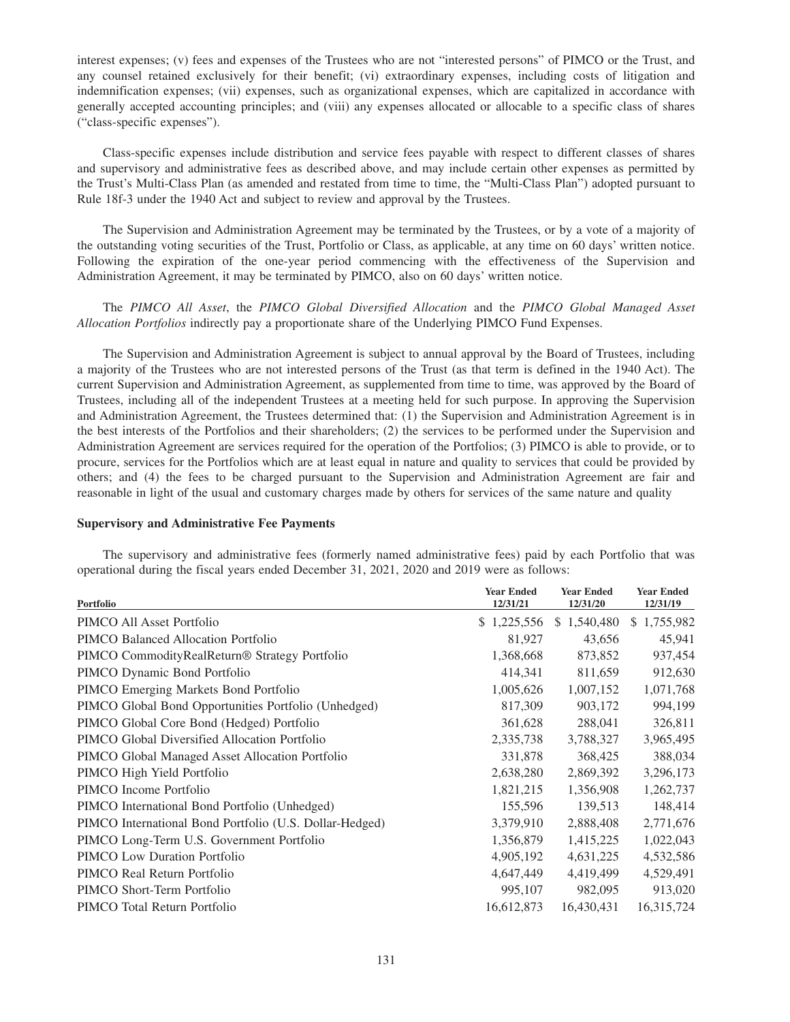interest expenses; (v) fees and expenses of the Trustees who are not "interested persons" of PIMCO or the Trust, and any counsel retained exclusively for their benefit; (vi) extraordinary expenses, including costs of litigation and indemnification expenses; (vii) expenses, such as organizational expenses, which are capitalized in accordance with generally accepted accounting principles; and (viii) any expenses allocated or allocable to a specific class of shares ("class-specific expenses").

Class-specific expenses include distribution and service fees payable with respect to different classes of shares and supervisory and administrative fees as described above, and may include certain other expenses as permitted by the Trust's Multi-Class Plan (as amended and restated from time to time, the "Multi-Class Plan") adopted pursuant to Rule 18f-3 under the 1940 Act and subject to review and approval by the Trustees.

The Supervision and Administration Agreement may be terminated by the Trustees, or by a vote of a majority of the outstanding voting securities of the Trust, Portfolio or Class, as applicable, at any time on 60 days' written notice. Following the expiration of the one-year period commencing with the effectiveness of the Supervision and Administration Agreement, it may be terminated by PIMCO, also on 60 days' written notice.

The *PIMCO All Asset*, the *PIMCO Global Diversified Allocation* and the *PIMCO Global Managed Asset Allocation Portfolios* indirectly pay a proportionate share of the Underlying PIMCO Fund Expenses.

The Supervision and Administration Agreement is subject to annual approval by the Board of Trustees, including a majority of the Trustees who are not interested persons of the Trust (as that term is defined in the 1940 Act). The current Supervision and Administration Agreement, as supplemented from time to time, was approved by the Board of Trustees, including all of the independent Trustees at a meeting held for such purpose. In approving the Supervision and Administration Agreement, the Trustees determined that: (1) the Supervision and Administration Agreement is in the best interests of the Portfolios and their shareholders; (2) the services to be performed under the Supervision and Administration Agreement are services required for the operation of the Portfolios; (3) PIMCO is able to provide, or to procure, services for the Portfolios which are at least equal in nature and quality to services that could be provided by others; and (4) the fees to be charged pursuant to the Supervision and Administration Agreement are fair and reasonable in light of the usual and customary charges made by others for services of the same nature and quality

### **Supervisory and Administrative Fee Payments**

The supervisory and administrative fees (formerly named administrative fees) paid by each Portfolio that was operational during the fiscal years ended December 31, 2021, 2020 and 2019 were as follows:

|                                                         | <b>Year Ended</b> | <b>Year Ended</b> | <b>Year Ended</b> |
|---------------------------------------------------------|-------------------|-------------------|-------------------|
| Portfolio                                               | 12/31/21          | 12/31/20          | 12/31/19          |
| PIMCO All Asset Portfolio                               | \$1,225,556       | \$1,540,480       | 1,755,982<br>S.   |
| PIMCO Balanced Allocation Portfolio                     | 81,927            | 43,656            | 45,941            |
| PIMCO CommodityRealReturn® Strategy Portfolio           | 1,368,668         | 873,852           | 937,454           |
| PIMCO Dynamic Bond Portfolio                            | 414,341           | 811,659           | 912,630           |
| PIMCO Emerging Markets Bond Portfolio                   | 1,005,626         | 1,007,152         | 1,071,768         |
| PIMCO Global Bond Opportunities Portfolio (Unhedged)    | 817,309           | 903,172           | 994,199           |
| PIMCO Global Core Bond (Hedged) Portfolio               | 361,628           | 288,041           | 326,811           |
| PIMCO Global Diversified Allocation Portfolio           | 2,335,738         | 3,788,327         | 3,965,495         |
| PIMCO Global Managed Asset Allocation Portfolio         | 331,878           | 368,425           | 388,034           |
| PIMCO High Yield Portfolio                              | 2,638,280         | 2,869,392         | 3,296,173         |
| PIMCO Income Portfolio                                  | 1,821,215         | 1,356,908         | 1,262,737         |
| PIMCO International Bond Portfolio (Unhedged)           | 155,596           | 139,513           | 148,414           |
| PIMCO International Bond Portfolio (U.S. Dollar-Hedged) | 3,379,910         | 2,888,408         | 2,771,676         |
| PIMCO Long-Term U.S. Government Portfolio               | 1,356,879         | 1,415,225         | 1,022,043         |
| <b>PIMCO</b> Low Duration Portfolio                     | 4,905,192         | 4,631,225         | 4,532,586         |
| PIMCO Real Return Portfolio                             | 4,647,449         | 4,419,499         | 4,529,491         |
| PIMCO Short-Term Portfolio                              | 995,107           | 982,095           | 913,020           |
| PIMCO Total Return Portfolio                            | 16,612,873        | 16,430,431        | 16,315,724        |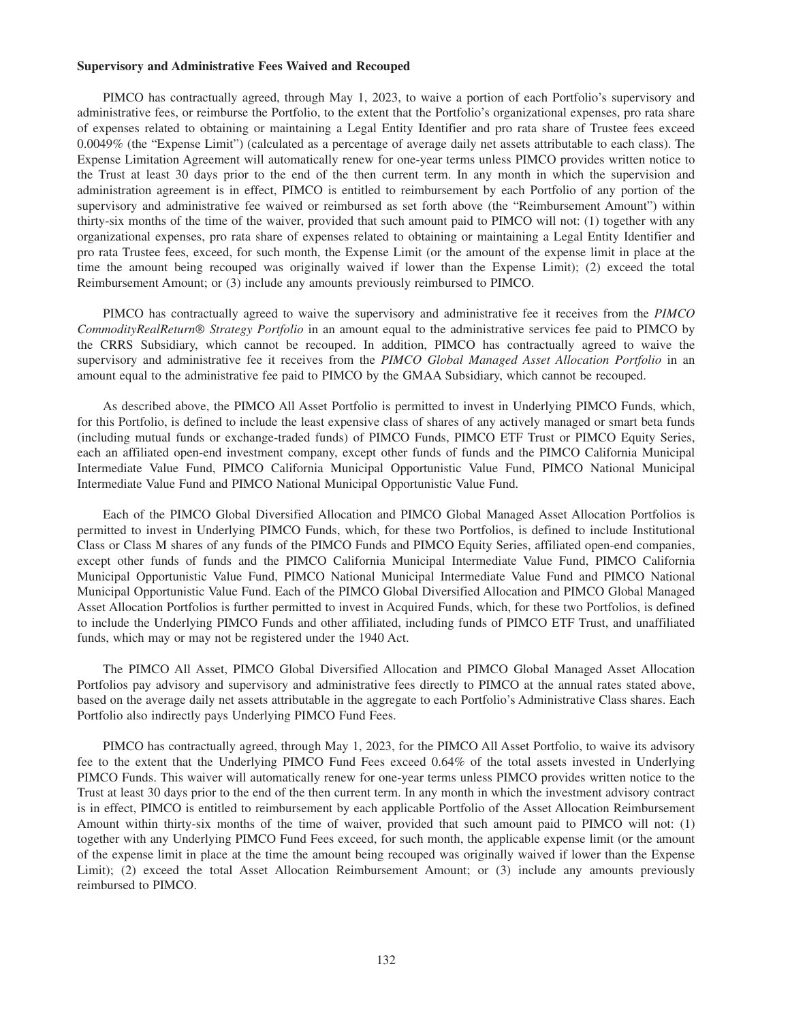#### **Supervisory and Administrative Fees Waived and Recouped**

PIMCO has contractually agreed, through May 1, 2023, to waive a portion of each Portfolio's supervisory and administrative fees, or reimburse the Portfolio, to the extent that the Portfolio's organizational expenses, pro rata share of expenses related to obtaining or maintaining a Legal Entity Identifier and pro rata share of Trustee fees exceed 0.0049% (the "Expense Limit") (calculated as a percentage of average daily net assets attributable to each class). The Expense Limitation Agreement will automatically renew for one-year terms unless PIMCO provides written notice to the Trust at least 30 days prior to the end of the then current term. In any month in which the supervision and administration agreement is in effect, PIMCO is entitled to reimbursement by each Portfolio of any portion of the supervisory and administrative fee waived or reimbursed as set forth above (the "Reimbursement Amount") within thirty-six months of the time of the waiver, provided that such amount paid to PIMCO will not: (1) together with any organizational expenses, pro rata share of expenses related to obtaining or maintaining a Legal Entity Identifier and pro rata Trustee fees, exceed, for such month, the Expense Limit (or the amount of the expense limit in place at the time the amount being recouped was originally waived if lower than the Expense Limit); (2) exceed the total Reimbursement Amount; or (3) include any amounts previously reimbursed to PIMCO.

PIMCO has contractually agreed to waive the supervisory and administrative fee it receives from the *PIMCO CommodityRealReturn® Strategy Portfolio* in an amount equal to the administrative services fee paid to PIMCO by the CRRS Subsidiary, which cannot be recouped. In addition, PIMCO has contractually agreed to waive the supervisory and administrative fee it receives from the *PIMCO Global Managed Asset Allocation Portfolio* in an amount equal to the administrative fee paid to PIMCO by the GMAA Subsidiary, which cannot be recouped.

As described above, the PIMCO All Asset Portfolio is permitted to invest in Underlying PIMCO Funds, which, for this Portfolio, is defined to include the least expensive class of shares of any actively managed or smart beta funds (including mutual funds or exchange-traded funds) of PIMCO Funds, PIMCO ETF Trust or PIMCO Equity Series, each an affiliated open-end investment company, except other funds of funds and the PIMCO California Municipal Intermediate Value Fund, PIMCO California Municipal Opportunistic Value Fund, PIMCO National Municipal Intermediate Value Fund and PIMCO National Municipal Opportunistic Value Fund.

Each of the PIMCO Global Diversified Allocation and PIMCO Global Managed Asset Allocation Portfolios is permitted to invest in Underlying PIMCO Funds, which, for these two Portfolios, is defined to include Institutional Class or Class M shares of any funds of the PIMCO Funds and PIMCO Equity Series, affiliated open-end companies, except other funds of funds and the PIMCO California Municipal Intermediate Value Fund, PIMCO California Municipal Opportunistic Value Fund, PIMCO National Municipal Intermediate Value Fund and PIMCO National Municipal Opportunistic Value Fund. Each of the PIMCO Global Diversified Allocation and PIMCO Global Managed Asset Allocation Portfolios is further permitted to invest in Acquired Funds, which, for these two Portfolios, is defined to include the Underlying PIMCO Funds and other affiliated, including funds of PIMCO ETF Trust, and unaffiliated funds, which may or may not be registered under the 1940 Act.

The PIMCO All Asset, PIMCO Global Diversified Allocation and PIMCO Global Managed Asset Allocation Portfolios pay advisory and supervisory and administrative fees directly to PIMCO at the annual rates stated above, based on the average daily net assets attributable in the aggregate to each Portfolio's Administrative Class shares. Each Portfolio also indirectly pays Underlying PIMCO Fund Fees.

PIMCO has contractually agreed, through May 1, 2023, for the PIMCO All Asset Portfolio, to waive its advisory fee to the extent that the Underlying PIMCO Fund Fees exceed 0.64% of the total assets invested in Underlying PIMCO Funds. This waiver will automatically renew for one-year terms unless PIMCO provides written notice to the Trust at least 30 days prior to the end of the then current term. In any month in which the investment advisory contract is in effect, PIMCO is entitled to reimbursement by each applicable Portfolio of the Asset Allocation Reimbursement Amount within thirty-six months of the time of waiver, provided that such amount paid to PIMCO will not: (1) together with any Underlying PIMCO Fund Fees exceed, for such month, the applicable expense limit (or the amount of the expense limit in place at the time the amount being recouped was originally waived if lower than the Expense Limit); (2) exceed the total Asset Allocation Reimbursement Amount; or (3) include any amounts previously reimbursed to PIMCO.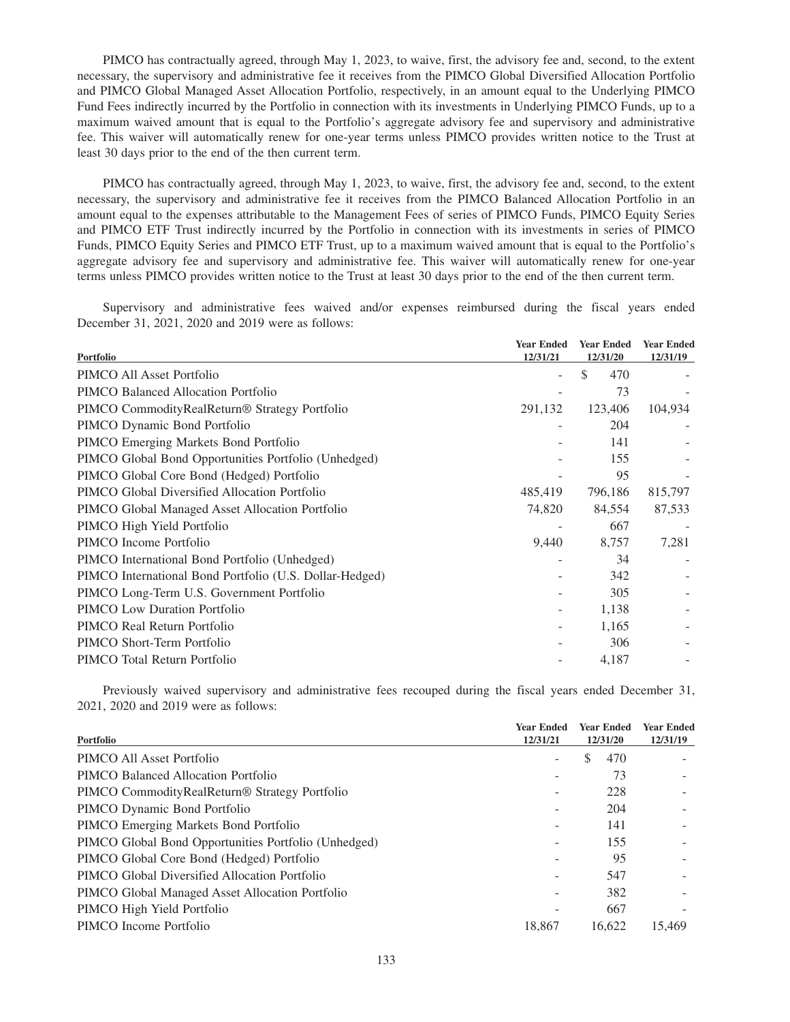PIMCO has contractually agreed, through May 1, 2023, to waive, first, the advisory fee and, second, to the extent necessary, the supervisory and administrative fee it receives from the PIMCO Global Diversified Allocation Portfolio and PIMCO Global Managed Asset Allocation Portfolio, respectively, in an amount equal to the Underlying PIMCO Fund Fees indirectly incurred by the Portfolio in connection with its investments in Underlying PIMCO Funds, up to a maximum waived amount that is equal to the Portfolio's aggregate advisory fee and supervisory and administrative fee. This waiver will automatically renew for one-year terms unless PIMCO provides written notice to the Trust at least 30 days prior to the end of the then current term.

PIMCO has contractually agreed, through May 1, 2023, to waive, first, the advisory fee and, second, to the extent necessary, the supervisory and administrative fee it receives from the PIMCO Balanced Allocation Portfolio in an amount equal to the expenses attributable to the Management Fees of series of PIMCO Funds, PIMCO Equity Series and PIMCO ETF Trust indirectly incurred by the Portfolio in connection with its investments in series of PIMCO Funds, PIMCO Equity Series and PIMCO ETF Trust, up to a maximum waived amount that is equal to the Portfolio's aggregate advisory fee and supervisory and administrative fee. This waiver will automatically renew for one-year terms unless PIMCO provides written notice to the Trust at least 30 days prior to the end of the then current term.

Supervisory and administrative fees waived and/or expenses reimbursed during the fiscal years ended December 31, 2021, 2020 and 2019 were as follows:

| Portfolio                                               | <b>Year Ended</b><br>12/31/21 | <b>Year Ended</b><br>12/31/20 | <b>Year Ended</b><br>12/31/19 |
|---------------------------------------------------------|-------------------------------|-------------------------------|-------------------------------|
| PIMCO All Asset Portfolio                               | ۰                             | \$<br>470                     |                               |
| PIMCO Balanced Allocation Portfolio                     |                               | 73                            |                               |
| PIMCO CommodityRealReturn® Strategy Portfolio           | 291,132                       | 123,406                       | 104,934                       |
| PIMCO Dynamic Bond Portfolio                            |                               | 204                           |                               |
| PIMCO Emerging Markets Bond Portfolio                   |                               | 141                           |                               |
| PIMCO Global Bond Opportunities Portfolio (Unhedged)    |                               | 155                           |                               |
| PIMCO Global Core Bond (Hedged) Portfolio               |                               | 95                            |                               |
| PIMCO Global Diversified Allocation Portfolio           | 485,419                       | 796,186                       | 815,797                       |
| PIMCO Global Managed Asset Allocation Portfolio         | 74,820                        | 84,554                        | 87,533                        |
| PIMCO High Yield Portfolio                              |                               | 667                           |                               |
| PIMCO Income Portfolio                                  | 9,440                         | 8,757                         | 7,281                         |
| PIMCO International Bond Portfolio (Unhedged)           | -                             | 34                            |                               |
| PIMCO International Bond Portfolio (U.S. Dollar-Hedged) |                               | 342                           |                               |
| PIMCO Long-Term U.S. Government Portfolio               |                               | 305                           |                               |
| <b>PIMCO Low Duration Portfolio</b>                     | ۰                             | 1,138                         |                               |
| PIMCO Real Return Portfolio                             | $\overline{\phantom{a}}$      | 1,165                         |                               |
| PIMCO Short-Term Portfolio                              |                               | 306                           |                               |
| PIMCO Total Return Portfolio                            |                               | 4,187                         |                               |
|                                                         |                               |                               |                               |

Previously waived supervisory and administrative fees recouped during the fiscal years ended December 31, 2021, 2020 and 2019 were as follows:

| Portfolio                                                 | <b>Year Ended</b><br>12/31/21 | <b>Year Ended</b><br>12/31/20 | <b>Year Ended</b><br>12/31/19 |  |
|-----------------------------------------------------------|-------------------------------|-------------------------------|-------------------------------|--|
| PIMCO All Asset Portfolio                                 |                               | S<br>470                      |                               |  |
| PIMCO Balanced Allocation Portfolio                       |                               | 73                            |                               |  |
| PIMCO CommodityRealReturn <sup>®</sup> Strategy Portfolio |                               | 228                           |                               |  |
| PIMCO Dynamic Bond Portfolio                              |                               | 204                           |                               |  |
| PIMCO Emerging Markets Bond Portfolio                     |                               | 141                           |                               |  |
| PIMCO Global Bond Opportunities Portfolio (Unhedged)      |                               | 155                           |                               |  |
| PIMCO Global Core Bond (Hedged) Portfolio                 |                               | 95                            |                               |  |
| PIMCO Global Diversified Allocation Portfolio             |                               | 547                           |                               |  |
| PIMCO Global Managed Asset Allocation Portfolio           |                               | 382                           |                               |  |
| PIMCO High Yield Portfolio                                |                               | 667                           |                               |  |
| PIMCO Income Portfolio                                    | 18.867                        | 16.622                        | 15.469                        |  |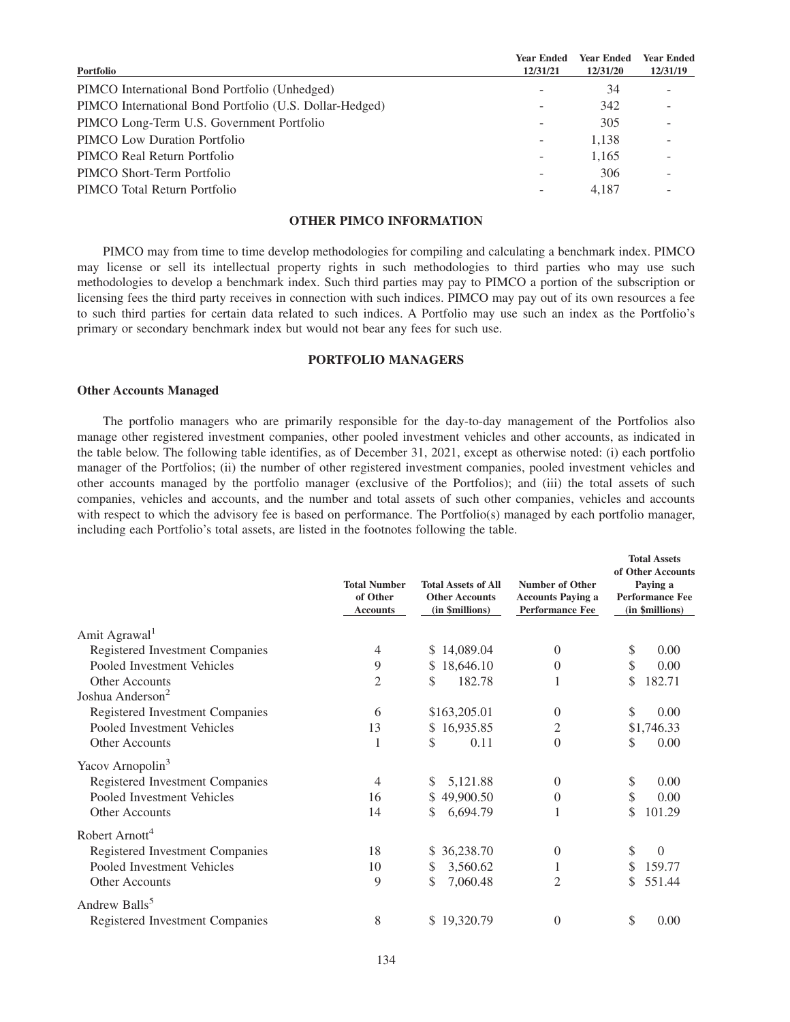| Portfolio                                               | <b>Year Ended</b><br>12/31/21 | <b>Year Ended</b><br>12/31/20 | <b>Year Ended</b><br>12/31/19 |
|---------------------------------------------------------|-------------------------------|-------------------------------|-------------------------------|
| PIMCO International Bond Portfolio (Unhedged)           |                               | 34                            |                               |
| PIMCO International Bond Portfolio (U.S. Dollar-Hedged) |                               | 342                           |                               |
| PIMCO Long-Term U.S. Government Portfolio               |                               | 305                           |                               |
| <b>PIMCO</b> Low Duration Portfolio                     | $\overline{\phantom{a}}$      | 1,138                         |                               |
| PIMCO Real Return Portfolio                             | ۰                             | 1,165                         |                               |
| PIMCO Short-Term Portfolio                              |                               | 306                           |                               |
| PIMCO Total Return Portfolio                            |                               | 4.187                         |                               |

# **OTHER PIMCO INFORMATION**

PIMCO may from time to time develop methodologies for compiling and calculating a benchmark index. PIMCO may license or sell its intellectual property rights in such methodologies to third parties who may use such methodologies to develop a benchmark index. Such third parties may pay to PIMCO a portion of the subscription or licensing fees the third party receives in connection with such indices. PIMCO may pay out of its own resources a fee to such third parties for certain data related to such indices. A Portfolio may use such an index as the Portfolio's primary or secondary benchmark index but would not bear any fees for such use.

## **PORTFOLIO MANAGERS**

## **Other Accounts Managed**

The portfolio managers who are primarily responsible for the day-to-day management of the Portfolios also manage other registered investment companies, other pooled investment vehicles and other accounts, as indicated in the table below. The following table identifies, as of December 31, 2021, except as otherwise noted: (i) each portfolio manager of the Portfolios; (ii) the number of other registered investment companies, pooled investment vehicles and other accounts managed by the portfolio manager (exclusive of the Portfolios); and (iii) the total assets of such companies, vehicles and accounts, and the number and total assets of such other companies, vehicles and accounts with respect to which the advisory fee is based on performance. The Portfolio(s) managed by each portfolio manager, including each Portfolio's total assets, are listed in the footnotes following the table.

|                                 | <b>Total Number</b><br>of Other<br><b>Accounts</b> | <b>Total Assets of All</b><br><b>Other Accounts</b><br>(in \$millions) | <b>Number of Other</b><br><b>Accounts Paying a</b><br><b>Performance Fee</b> | <b>Total Assets</b><br>of Other Accounts<br>Paying a<br><b>Performance Fee</b><br>(in \$millions) |  |
|---------------------------------|----------------------------------------------------|------------------------------------------------------------------------|------------------------------------------------------------------------------|---------------------------------------------------------------------------------------------------|--|
| Amit Agrawal <sup>1</sup>       |                                                    |                                                                        |                                                                              |                                                                                                   |  |
| Registered Investment Companies | 4                                                  | \$14,089.04                                                            | 0                                                                            | \$<br>0.00                                                                                        |  |
| Pooled Investment Vehicles      | 9                                                  | 18,646.10<br>S.                                                        | 0                                                                            | \$<br>0.00                                                                                        |  |
| <b>Other Accounts</b>           | 2                                                  | \$<br>182.78                                                           |                                                                              | \$<br>182.71                                                                                      |  |
| Joshua Anderson <sup>2</sup>    |                                                    |                                                                        |                                                                              |                                                                                                   |  |
| Registered Investment Companies | 6                                                  | \$163,205.01                                                           | 0                                                                            | \$<br>0.00                                                                                        |  |
| Pooled Investment Vehicles      | 13                                                 | \$16,935.85                                                            | 2                                                                            | \$1,746.33                                                                                        |  |
| Other Accounts                  | 1                                                  | \$<br>0.11                                                             | 0                                                                            | 0.00<br>\$                                                                                        |  |
| Yacov Arnopolin <sup>3</sup>    |                                                    |                                                                        |                                                                              |                                                                                                   |  |
| Registered Investment Companies | 4                                                  | 5,121.88<br>\$                                                         | 0                                                                            | \$<br>0.00                                                                                        |  |
| Pooled Investment Vehicles      | 16                                                 | \$49,900.50                                                            | 0                                                                            | \$<br>0.00                                                                                        |  |
| Other Accounts                  | 14                                                 | 6,694.79<br>S                                                          |                                                                              | 101.29<br>\$                                                                                      |  |
| Robert Arnott <sup>4</sup>      |                                                    |                                                                        |                                                                              |                                                                                                   |  |
| Registered Investment Companies | 18                                                 | \$36,238.70                                                            | 0                                                                            | \$<br>$\Omega$                                                                                    |  |
| Pooled Investment Vehicles      | 10                                                 | \$<br>3,560.62                                                         | 1                                                                            | 159.77<br>\$                                                                                      |  |
| Other Accounts                  | 9                                                  | \$<br>7,060.48                                                         | 2                                                                            | 551.44<br>\$                                                                                      |  |
| Andrew Balls <sup>5</sup>       |                                                    |                                                                        |                                                                              |                                                                                                   |  |
| Registered Investment Companies | 8                                                  | \$19,320.79                                                            | 0                                                                            | \$<br>0.00                                                                                        |  |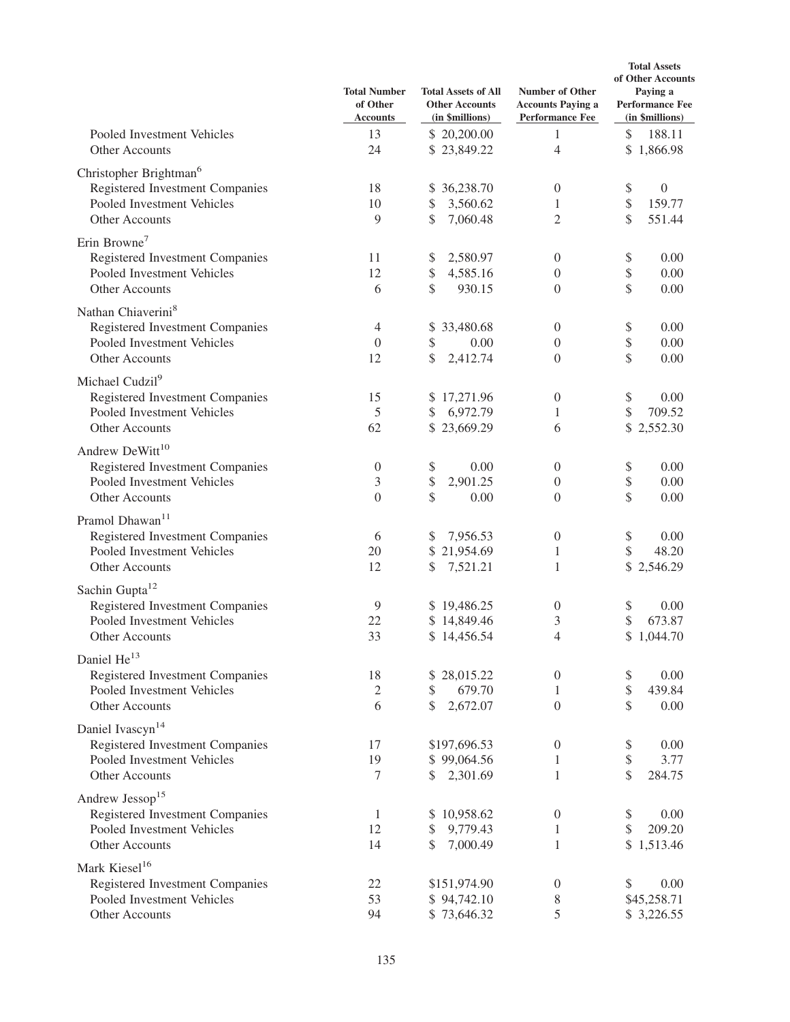|                                                                                                                       | <b>Total Number</b><br>of Other<br><b>Accounts</b> | <b>Total Assets of All</b><br><b>Other Accounts</b><br>(in \$millions) | <b>Number of Other</b><br><b>Accounts Paying a</b><br><b>Performance Fee</b> | <b>Total Assets</b><br>of Other Accounts<br>Paying a<br><b>Performance Fee</b><br>(in \$millions) |  |
|-----------------------------------------------------------------------------------------------------------------------|----------------------------------------------------|------------------------------------------------------------------------|------------------------------------------------------------------------------|---------------------------------------------------------------------------------------------------|--|
| Pooled Investment Vehicles<br>Other Accounts                                                                          | 13<br>24                                           | \$20,200.00<br>\$23,849.22                                             | 1<br>4                                                                       | \$<br>188.11<br>\$1,866.98                                                                        |  |
| Christopher Brightman <sup>6</sup><br>Registered Investment Companies<br>Pooled Investment Vehicles<br>Other Accounts | 18<br>10<br>9                                      | \$36,238.70<br>\$<br>3,560.62<br>\$<br>7,060.48                        | $\boldsymbol{0}$<br>1<br>2                                                   | \$<br>$\mathbf{0}$<br>\$<br>159.77<br>\$<br>551.44                                                |  |
| Erin Browne <sup>7</sup><br>Registered Investment Companies<br>Pooled Investment Vehicles<br>Other Accounts           | 11<br>12<br>6                                      | 2,580.97<br>\$<br>\$<br>4,585.16<br>\$<br>930.15                       | $\boldsymbol{0}$<br>$\boldsymbol{0}$<br>$\boldsymbol{0}$                     | \$<br>0.00<br>\$<br>0.00<br>\$<br>0.00                                                            |  |
| Nathan Chiaverini <sup>8</sup><br>Registered Investment Companies<br>Pooled Investment Vehicles<br>Other Accounts     | $\overline{4}$<br>$\boldsymbol{0}$<br>12           | \$33,480.68<br>\$<br>0.00<br>\$<br>2,412.74                            | $\boldsymbol{0}$<br>$\boldsymbol{0}$<br>$\boldsymbol{0}$                     | \$<br>0.00<br>\$<br>0.00<br>\$<br>0.00                                                            |  |
| Michael Cudzil <sup>9</sup><br>Registered Investment Companies<br>Pooled Investment Vehicles<br>Other Accounts        | 15<br>5<br>62                                      | \$17,271.96<br>\$<br>6,972.79<br>\$23,669.29                           | $\boldsymbol{0}$<br>1<br>6                                                   | \$<br>0.00<br>\$<br>709.52<br>\$2,552.30                                                          |  |
| Andrew DeWitt <sup>10</sup><br>Registered Investment Companies<br>Pooled Investment Vehicles<br>Other Accounts        | $\boldsymbol{0}$<br>3<br>$\overline{0}$            | \$<br>0.00<br>\$<br>2,901.25<br>\$<br>0.00                             | $\overline{0}$<br>$\boldsymbol{0}$<br>$\theta$                               | \$<br>0.00<br>\$<br>0.00<br>\$<br>0.00                                                            |  |
| Pramol Dhawan <sup>11</sup><br>Registered Investment Companies<br>Pooled Investment Vehicles<br>Other Accounts        | 6<br>20<br>12                                      | 7,956.53<br>\$<br>\$21,954.69<br>\$<br>7,521.21                        | $\boldsymbol{0}$<br>$\mathbf{1}$<br>1                                        | \$<br>0.00<br>\$<br>48.20<br>\$2,546.29                                                           |  |
| Sachin Gupta <sup>12</sup><br>Registered Investment Companies<br>Pooled Investment Vehicles<br>Other Accounts         | 9<br>22<br>33                                      | \$19,486.25<br>\$14,849.46<br>\$14,456.54                              | $\boldsymbol{0}$<br>3<br>4                                                   | \$<br>0.00<br>\$<br>673.87<br>\$1,044.70                                                          |  |
| Daniel He <sup>13</sup><br>Registered Investment Companies<br>Pooled Investment Vehicles<br>Other Accounts            | 18<br>$\sqrt{2}$<br>6                              | 28,015.22<br>\$<br>679.70<br>\$<br>\$<br>2,672.07                      | $\boldsymbol{0}$<br>1<br>$\boldsymbol{0}$                                    | 0.00<br>\$<br>\$<br>439.84<br>\$<br>0.00                                                          |  |
| Daniel Ivascyn <sup>14</sup><br>Registered Investment Companies<br>Pooled Investment Vehicles<br>Other Accounts       | 17<br>19<br>7                                      | \$197,696.53<br>\$99,064.56<br>\$<br>2,301.69                          | $\boldsymbol{0}$<br>1<br>1                                                   | \$<br>0.00<br>\$<br>3.77<br>\$<br>284.75                                                          |  |
| Andrew Jessop <sup>15</sup><br>Registered Investment Companies<br>Pooled Investment Vehicles<br>Other Accounts        | 1<br>12<br>14                                      | \$10,958.62<br>9,779.43<br>\$<br>\$<br>7,000.49                        | $\boldsymbol{0}$<br>1<br>1                                                   | 0.00<br>\$<br>\$<br>209.20<br>\$1,513.46                                                          |  |
| Mark Kiesel <sup>16</sup><br>Registered Investment Companies<br>Pooled Investment Vehicles<br>Other Accounts          | 22<br>53<br>94                                     | \$151,974.90<br>\$94,742.10<br>\$73,646.32                             | $\boldsymbol{0}$<br>8<br>5                                                   | 0.00<br>\$<br>\$45,258.71<br>\$ 3,226.55                                                          |  |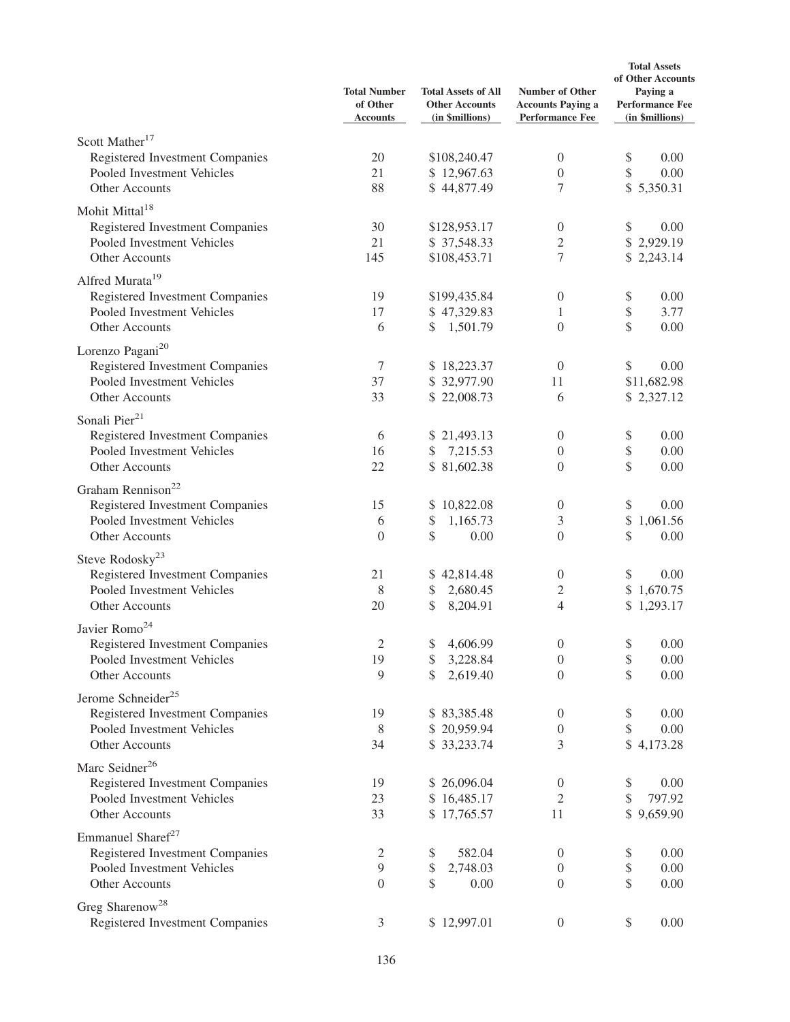|                                                               | <b>Total Number</b><br>of Other<br><b>Accounts</b> | <b>Total Assets of All</b><br><b>Other Accounts</b><br>(in \$millions) | Number of Other<br><b>Accounts Paying a</b><br><b>Performance Fee</b> | <b>Total Assets</b><br>of Other Accounts<br>Paying a<br><b>Performance Fee</b><br>(in \$millions) |  |
|---------------------------------------------------------------|----------------------------------------------------|------------------------------------------------------------------------|-----------------------------------------------------------------------|---------------------------------------------------------------------------------------------------|--|
| Scott Mather <sup>17</sup>                                    |                                                    |                                                                        |                                                                       |                                                                                                   |  |
| Registered Investment Companies                               | 20                                                 | \$108,240.47                                                           | $\boldsymbol{0}$                                                      | \$<br>0.00                                                                                        |  |
| Pooled Investment Vehicles                                    | 21                                                 | \$12,967.63                                                            | $\boldsymbol{0}$                                                      | \$<br>0.00                                                                                        |  |
| Other Accounts                                                | 88                                                 | \$44,877.49                                                            | 7                                                                     | \$5,350.31                                                                                        |  |
| Mohit Mittal <sup>18</sup>                                    |                                                    |                                                                        |                                                                       |                                                                                                   |  |
| Registered Investment Companies                               | 30                                                 | \$128,953.17                                                           | $\boldsymbol{0}$                                                      | \$<br>0.00                                                                                        |  |
| Pooled Investment Vehicles                                    | 21                                                 | \$37,548.33                                                            | $\overline{c}$                                                        | \$2,929.19                                                                                        |  |
| Other Accounts                                                | 145                                                | \$108,453.71                                                           | 7                                                                     | \$2,243.14                                                                                        |  |
| Alfred Murata <sup>19</sup>                                   |                                                    |                                                                        |                                                                       |                                                                                                   |  |
| Registered Investment Companies                               | 19                                                 | \$199,435.84                                                           | $\boldsymbol{0}$                                                      | \$<br>0.00                                                                                        |  |
| Pooled Investment Vehicles                                    | 17                                                 | \$47,329.83                                                            | 1                                                                     | \$<br>3.77                                                                                        |  |
| Other Accounts                                                | 6                                                  | 1,501.79<br>\$                                                         | $\overline{0}$                                                        | \$<br>0.00                                                                                        |  |
| Lorenzo Pagani <sup>20</sup>                                  |                                                    |                                                                        |                                                                       |                                                                                                   |  |
| Registered Investment Companies                               | $\tau$                                             | \$18,223.37                                                            | $\boldsymbol{0}$                                                      | \$<br>0.00                                                                                        |  |
| Pooled Investment Vehicles                                    | 37                                                 | \$32,977.90                                                            | 11                                                                    | \$11,682.98                                                                                       |  |
| Other Accounts                                                | 33                                                 | \$22,008.73                                                            | 6                                                                     | \$2,327.12                                                                                        |  |
| Sonali Pier <sup>21</sup>                                     |                                                    |                                                                        |                                                                       |                                                                                                   |  |
|                                                               | 6                                                  | \$21,493.13                                                            | $\overline{0}$                                                        | 0.00                                                                                              |  |
| Registered Investment Companies<br>Pooled Investment Vehicles | 16                                                 | 7,215.53<br>\$                                                         | $\boldsymbol{0}$                                                      | \$<br>\$<br>0.00                                                                                  |  |
| Other Accounts                                                | 22                                                 | \$81,602.38                                                            | $\overline{0}$                                                        | \$<br>0.00                                                                                        |  |
|                                                               |                                                    |                                                                        |                                                                       |                                                                                                   |  |
| Graham Rennison <sup>22</sup>                                 |                                                    |                                                                        |                                                                       |                                                                                                   |  |
| Registered Investment Companies                               | 15                                                 | \$10,822.08                                                            | $\boldsymbol{0}$                                                      | \$<br>0.00                                                                                        |  |
| Pooled Investment Vehicles                                    | 6<br>$\overline{0}$                                | \$<br>1,165.73<br>\$                                                   | 3<br>$\overline{0}$                                                   | \$<br>1,061.56<br>\$                                                                              |  |
| Other Accounts                                                |                                                    | 0.00                                                                   |                                                                       | 0.00                                                                                              |  |
| Steve Rodosky <sup>23</sup>                                   |                                                    |                                                                        |                                                                       |                                                                                                   |  |
| Registered Investment Companies                               | 21                                                 | \$42,814.48                                                            | $\overline{0}$                                                        | 0.00<br>S                                                                                         |  |
| Pooled Investment Vehicles                                    | 8                                                  | 2,680.45<br>\$                                                         | $\overline{\mathbf{c}}$                                               | \$1,670.75                                                                                        |  |
| Other Accounts                                                | 20                                                 | \$<br>8,204.91                                                         | 4                                                                     | \$1,293.17                                                                                        |  |
| Javier Romo <sup>24</sup>                                     |                                                    |                                                                        |                                                                       |                                                                                                   |  |
| Registered Investment Companies                               | $\overline{c}$                                     | \$<br>4,606.99                                                         | $\boldsymbol{0}$                                                      | \$<br>0.00                                                                                        |  |
| Pooled Investment Vehicles                                    | 19                                                 | \$<br>3,228.84                                                         | $\boldsymbol{0}$                                                      | \$<br>0.00                                                                                        |  |
| Other Accounts                                                | 9                                                  | \$<br>2,619.40                                                         | $\boldsymbol{0}$                                                      | \$<br>0.00                                                                                        |  |
| Jerome Schneider <sup>25</sup>                                |                                                    |                                                                        |                                                                       |                                                                                                   |  |
| Registered Investment Companies                               | 19                                                 | \$83,385.48                                                            | $\theta$                                                              | \$<br>0.00                                                                                        |  |
| Pooled Investment Vehicles                                    | 8                                                  | \$20,959.94                                                            | $\boldsymbol{0}$                                                      | \$<br>0.00                                                                                        |  |
| Other Accounts                                                | 34                                                 | \$33,233.74                                                            | 3                                                                     | \$<br>4,173.28                                                                                    |  |
| Marc Seidner <sup>26</sup>                                    |                                                    |                                                                        |                                                                       |                                                                                                   |  |
| Registered Investment Companies                               | 19                                                 | \$26,096.04                                                            | $\boldsymbol{0}$                                                      | 0.00<br>\$                                                                                        |  |
| Pooled Investment Vehicles                                    | 23                                                 | \$16,485.17                                                            | $\overline{c}$                                                        | \$<br>797.92                                                                                      |  |
| Other Accounts                                                | 33                                                 | \$17,765.57                                                            | 11                                                                    | \$<br>9,659.90                                                                                    |  |
| Emmanuel Sharef <sup>27</sup>                                 |                                                    |                                                                        |                                                                       |                                                                                                   |  |
| Registered Investment Companies                               | $\mathfrak{2}$                                     | 582.04<br>\$                                                           | $\overline{0}$                                                        | 0.00<br>\$                                                                                        |  |
| Pooled Investment Vehicles                                    | $\overline{9}$                                     | 2,748.03<br>\$                                                         | $\theta$                                                              | \$<br>0.00                                                                                        |  |
| Other Accounts                                                | $\theta$                                           | \$<br>0.00                                                             | $\theta$                                                              | \$<br>0.00                                                                                        |  |
| Greg Sharenow <sup>28</sup>                                   |                                                    |                                                                        |                                                                       |                                                                                                   |  |
| Registered Investment Companies                               | 3                                                  | \$12,997.01                                                            | $\boldsymbol{0}$                                                      | 0.00<br>\$                                                                                        |  |
|                                                               |                                                    |                                                                        |                                                                       |                                                                                                   |  |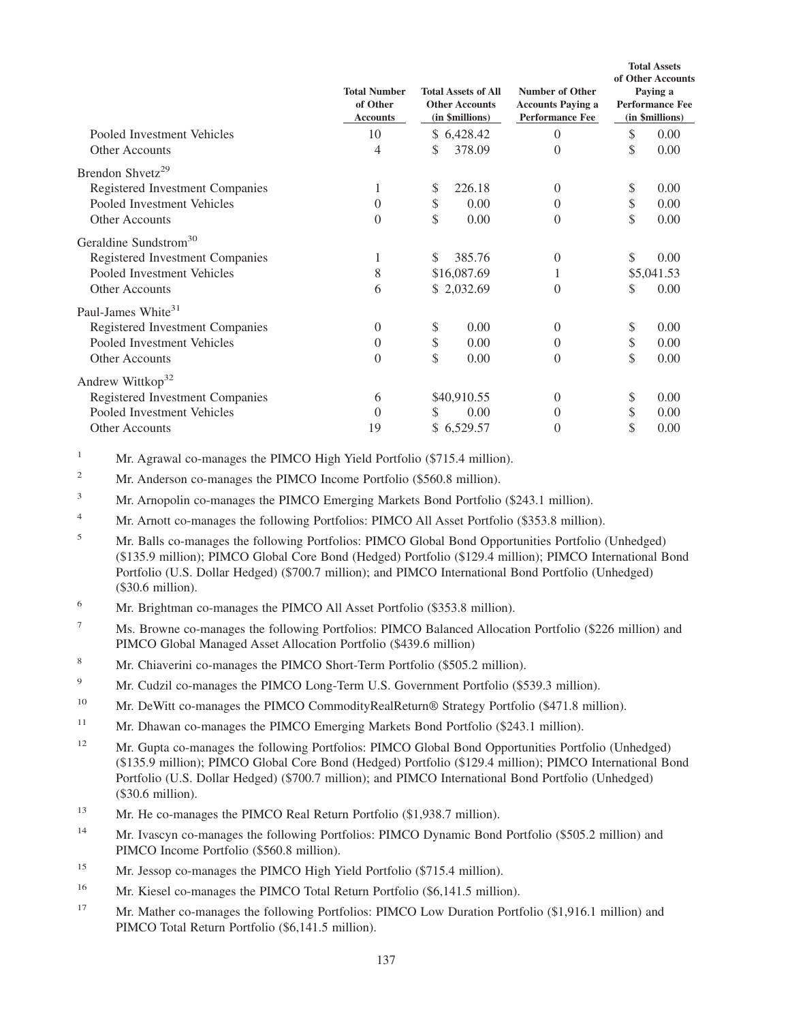|                                   | <b>Total Number</b><br>of Other<br><b>Accounts</b> | <b>Total Assets of All</b><br><b>Other Accounts</b><br>(in \$millions) |             | <b>Number of Other</b><br><b>Accounts Paying a</b><br><b>Performance Fee</b> | <b>Total Assets</b><br>of Other Accounts<br>Paying a<br><b>Performance Fee</b><br>(in \$millions) |            |
|-----------------------------------|----------------------------------------------------|------------------------------------------------------------------------|-------------|------------------------------------------------------------------------------|---------------------------------------------------------------------------------------------------|------------|
| Pooled Investment Vehicles        | 10                                                 | \$                                                                     | 6,428.42    | $\theta$                                                                     | \$                                                                                                | 0.00       |
| <b>Other Accounts</b>             | 4                                                  | \$                                                                     | 378.09      | $\theta$                                                                     | \$                                                                                                | 0.00       |
| Brendon Shvetz <sup>29</sup>      |                                                    |                                                                        |             |                                                                              |                                                                                                   |            |
| Registered Investment Companies   | 1                                                  | \$                                                                     | 226.18      | $\overline{0}$                                                               | \$                                                                                                | 0.00       |
| Pooled Investment Vehicles        | $\overline{0}$                                     | \$                                                                     | 0.00        | $\overline{0}$                                                               | \$                                                                                                | 0.00       |
| Other Accounts                    | $\boldsymbol{0}$                                   | \$                                                                     | 0.00        | $\overline{0}$                                                               | \$                                                                                                | 0.00       |
| Geraldine Sundstrom <sup>30</sup> |                                                    |                                                                        |             |                                                                              |                                                                                                   |            |
| Registered Investment Companies   | 1                                                  | \$                                                                     | 385.76      | 0                                                                            | \$                                                                                                | 0.00       |
| Pooled Investment Vehicles        | 8                                                  |                                                                        | \$16,087.69 |                                                                              |                                                                                                   | \$5,041.53 |
| Other Accounts                    | 6                                                  |                                                                        | \$2,032.69  | $\overline{0}$                                                               | \$                                                                                                | 0.00       |
| Paul-James White <sup>31</sup>    |                                                    |                                                                        |             |                                                                              |                                                                                                   |            |
| Registered Investment Companies   | $\theta$                                           | \$                                                                     | 0.00        | $\theta$                                                                     | \$                                                                                                | 0.00       |
| Pooled Investment Vehicles        | $\theta$                                           | \$                                                                     | 0.00        | $\Omega$                                                                     | \$                                                                                                | 0.00       |
| <b>Other Accounts</b>             | $\theta$                                           | \$                                                                     | 0.00        | $\overline{0}$                                                               | \$                                                                                                | 0.00       |
| Andrew Wittkop <sup>32</sup>      |                                                    |                                                                        |             |                                                                              |                                                                                                   |            |
| Registered Investment Companies   | 6                                                  |                                                                        | \$40,910.55 | $\overline{0}$                                                               | \$                                                                                                | 0.00       |
| Pooled Investment Vehicles        | $\overline{0}$                                     | S                                                                      | 0.00        | $\theta$                                                                     | \$                                                                                                | 0.00       |
| <b>Other Accounts</b>             | 19                                                 |                                                                        | \$6,529.57  | 0                                                                            |                                                                                                   | 0.00       |

<sup>1</sup> Mr. Agrawal co-manages the PIMCO High Yield Portfolio (\$715.4 million).

<sup>2</sup> Mr. Anderson co-manages the PIMCO Income Portfolio (\$560.8 million).

<sup>3</sup> Mr. Arnopolin co-manages the PIMCO Emerging Markets Bond Portfolio (\$243.1 million).

<sup>4</sup> Mr. Arnott co-manages the following Portfolios: PIMCO All Asset Portfolio (\$353.8 million).

<sup>5</sup> Mr. Balls co-manages the following Portfolios: PIMCO Global Bond Opportunities Portfolio (Unhedged) (\$135.9 million); PIMCO Global Core Bond (Hedged) Portfolio (\$129.4 million); PIMCO International Bond Portfolio (U.S. Dollar Hedged) (\$700.7 million); and PIMCO International Bond Portfolio (Unhedged) (\$30.6 million).

- <sup>6</sup> Mr. Brightman co-manages the PIMCO All Asset Portfolio (\$353.8 million).
- <sup>7</sup> Ms. Browne co-manages the following Portfolios: PIMCO Balanced Allocation Portfolio (\$226 million) and PIMCO Global Managed Asset Allocation Portfolio (\$439.6 million)
- <sup>8</sup> Mr. Chiaverini co-manages the PIMCO Short-Term Portfolio (\$505.2 million).
- <sup>9</sup> Mr. Cudzil co-manages the PIMCO Long-Term U.S. Government Portfolio (\$539.3 million).
- <sup>10</sup> Mr. DeWitt co-manages the PIMCO CommodityRealReturn<sup>®</sup> Strategy Portfolio (\$471.8 million).
- <sup>11</sup> Mr. Dhawan co-manages the PIMCO Emerging Markets Bond Portfolio (\$243.1 million).
- <sup>12</sup> Mr. Gupta co-manages the following Portfolios: PIMCO Global Bond Opportunities Portfolio (Unhedged) (\$135.9 million); PIMCO Global Core Bond (Hedged) Portfolio (\$129.4 million); PIMCO International Bond Portfolio (U.S. Dollar Hedged) (\$700.7 million); and PIMCO International Bond Portfolio (Unhedged) (\$30.6 million).
- <sup>13</sup> Mr. He co-manages the PIMCO Real Return Portfolio (\$1,938.7 million).
- <sup>14</sup> Mr. Ivascyn co-manages the following Portfolios: PIMCO Dynamic Bond Portfolio (\$505.2 million) and PIMCO Income Portfolio (\$560.8 million).
- <sup>15</sup> Mr. Jessop co-manages the PIMCO High Yield Portfolio (\$715.4 million).
- <sup>16</sup> Mr. Kiesel co-manages the PIMCO Total Return Portfolio (\$6,141.5 million).
- <sup>17</sup> Mr. Mather co-manages the following Portfolios: PIMCO Low Duration Portfolio (\$1,916.1 million) and PIMCO Total Return Portfolio (\$6,141.5 million).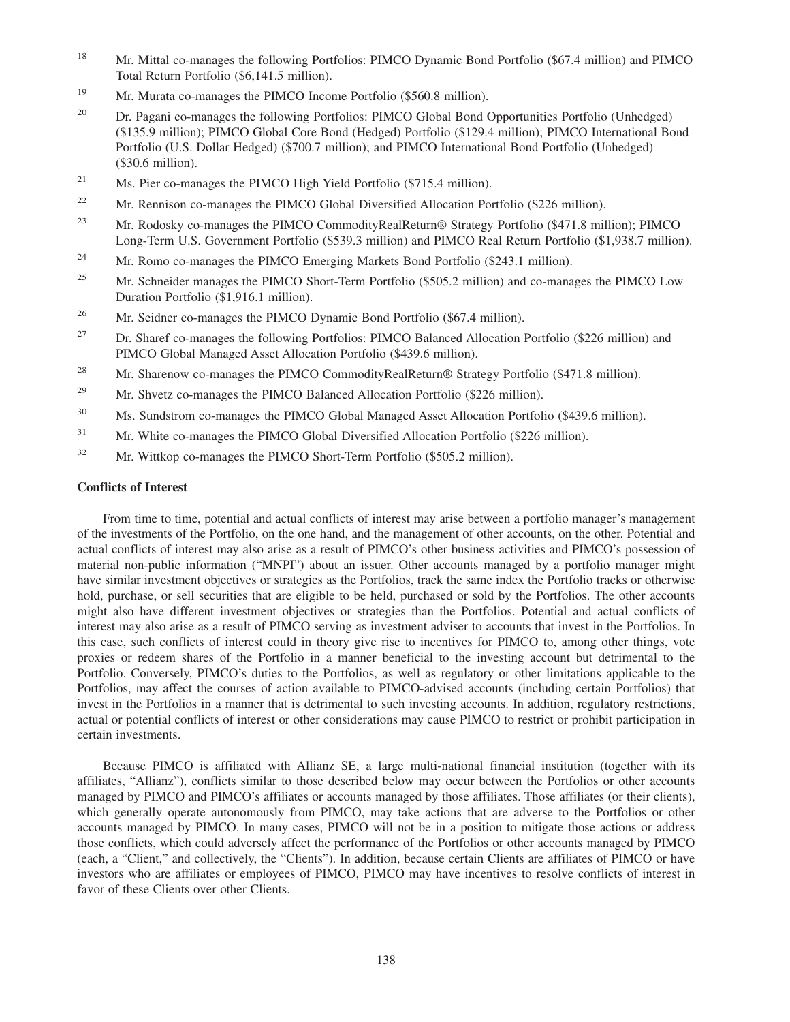- <sup>18</sup> Mr. Mittal co-manages the following Portfolios: PIMCO Dynamic Bond Portfolio (\$67.4 million) and PIMCO Total Return Portfolio (\$6,141.5 million).
- <sup>19</sup> Mr. Murata co-manages the PIMCO Income Portfolio (\$560.8 million).
- <sup>20</sup> Dr. Pagani co-manages the following Portfolios: PIMCO Global Bond Opportunities Portfolio (Unhedged) (\$135.9 million); PIMCO Global Core Bond (Hedged) Portfolio (\$129.4 million); PIMCO International Bond Portfolio (U.S. Dollar Hedged) (\$700.7 million); and PIMCO International Bond Portfolio (Unhedged) (\$30.6 million).
- <sup>21</sup> Ms. Pier co-manages the PIMCO High Yield Portfolio (\$715.4 million).
- <sup>22</sup> Mr. Rennison co-manages the PIMCO Global Diversified Allocation Portfolio (\$226 million).
- <sup>23</sup> Mr. Rodosky co-manages the PIMCO CommodityRealReturn® Strategy Portfolio (\$471.8 million); PIMCO Long-Term U.S. Government Portfolio (\$539.3 million) and PIMCO Real Return Portfolio (\$1,938.7 million).
- <sup>24</sup> Mr. Romo co-manages the PIMCO Emerging Markets Bond Portfolio (\$243.1 million).
- <sup>25</sup> Mr. Schneider manages the PIMCO Short-Term Portfolio (\$505.2 million) and co-manages the PIMCO Low Duration Portfolio (\$1,916.1 million).
- <sup>26</sup> Mr. Seidner co-manages the PIMCO Dynamic Bond Portfolio (\$67.4 million).
- <sup>27</sup> Dr. Sharef co-manages the following Portfolios: PIMCO Balanced Allocation Portfolio (\$226 million) and PIMCO Global Managed Asset Allocation Portfolio (\$439.6 million).
- <sup>28</sup> Mr. Sharenow co-manages the PIMCO CommodityRealReturn<sup>®</sup> Strategy Portfolio (\$471.8 million).
- <sup>29</sup> Mr. Shvetz co-manages the PIMCO Balanced Allocation Portfolio (\$226 million).
- <sup>30</sup> Ms. Sundstrom co-manages the PIMCO Global Managed Asset Allocation Portfolio (\$439.6 million).
- <sup>31</sup> Mr. White co-manages the PIMCO Global Diversified Allocation Portfolio (\$226 million).
- <sup>32</sup> Mr. Wittkop co-manages the PIMCO Short-Term Portfolio (\$505.2 million).

### **Conflicts of Interest**

From time to time, potential and actual conflicts of interest may arise between a portfolio manager's management of the investments of the Portfolio, on the one hand, and the management of other accounts, on the other. Potential and actual conflicts of interest may also arise as a result of PIMCO's other business activities and PIMCO's possession of material non-public information ("MNPI") about an issuer. Other accounts managed by a portfolio manager might have similar investment objectives or strategies as the Portfolios, track the same index the Portfolio tracks or otherwise hold, purchase, or sell securities that are eligible to be held, purchased or sold by the Portfolios. The other accounts might also have different investment objectives or strategies than the Portfolios. Potential and actual conflicts of interest may also arise as a result of PIMCO serving as investment adviser to accounts that invest in the Portfolios. In this case, such conflicts of interest could in theory give rise to incentives for PIMCO to, among other things, vote proxies or redeem shares of the Portfolio in a manner beneficial to the investing account but detrimental to the Portfolio. Conversely, PIMCO's duties to the Portfolios, as well as regulatory or other limitations applicable to the Portfolios, may affect the courses of action available to PIMCO-advised accounts (including certain Portfolios) that invest in the Portfolios in a manner that is detrimental to such investing accounts. In addition, regulatory restrictions, actual or potential conflicts of interest or other considerations may cause PIMCO to restrict or prohibit participation in certain investments.

Because PIMCO is affiliated with Allianz SE, a large multi-national financial institution (together with its affiliates, "Allianz"), conflicts similar to those described below may occur between the Portfolios or other accounts managed by PIMCO and PIMCO's affiliates or accounts managed by those affiliates. Those affiliates (or their clients), which generally operate autonomously from PIMCO, may take actions that are adverse to the Portfolios or other accounts managed by PIMCO. In many cases, PIMCO will not be in a position to mitigate those actions or address those conflicts, which could adversely affect the performance of the Portfolios or other accounts managed by PIMCO (each, a "Client," and collectively, the "Clients"). In addition, because certain Clients are affiliates of PIMCO or have investors who are affiliates or employees of PIMCO, PIMCO may have incentives to resolve conflicts of interest in favor of these Clients over other Clients.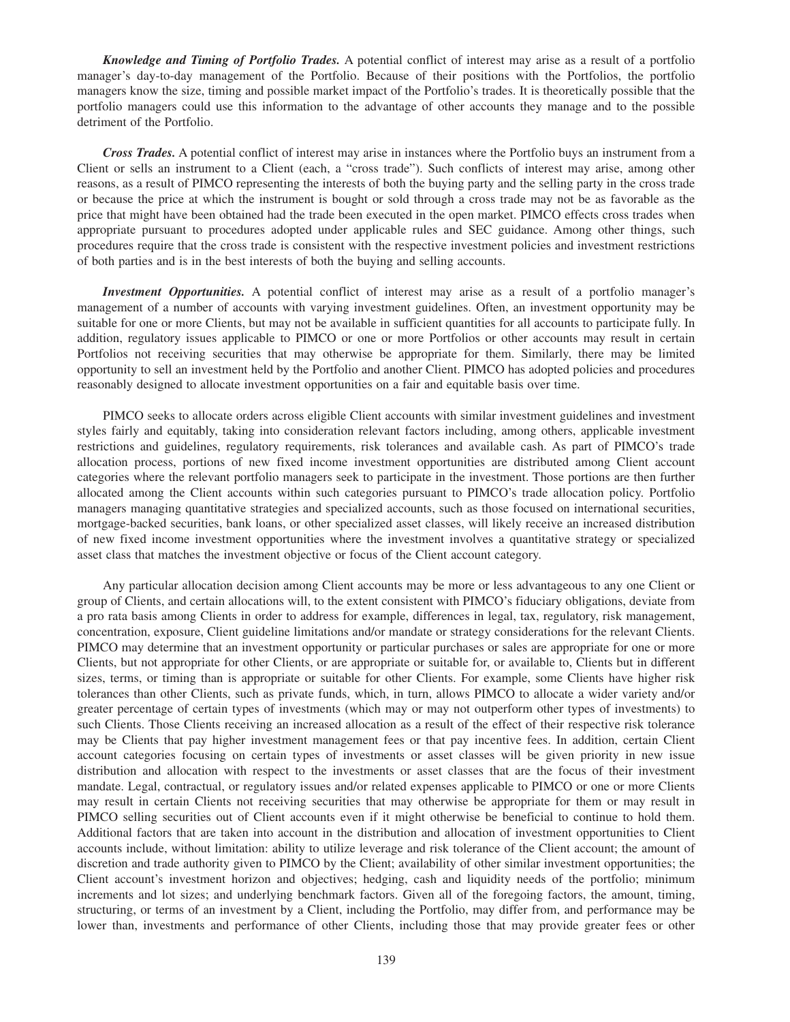*Knowledge and Timing of Portfolio Trades.* A potential conflict of interest may arise as a result of a portfolio manager's day-to-day management of the Portfolio. Because of their positions with the Portfolios, the portfolio managers know the size, timing and possible market impact of the Portfolio's trades. It is theoretically possible that the portfolio managers could use this information to the advantage of other accounts they manage and to the possible detriment of the Portfolio.

*Cross Trades.* A potential conflict of interest may arise in instances where the Portfolio buys an instrument from a Client or sells an instrument to a Client (each, a "cross trade"). Such conflicts of interest may arise, among other reasons, as a result of PIMCO representing the interests of both the buying party and the selling party in the cross trade or because the price at which the instrument is bought or sold through a cross trade may not be as favorable as the price that might have been obtained had the trade been executed in the open market. PIMCO effects cross trades when appropriate pursuant to procedures adopted under applicable rules and SEC guidance. Among other things, such procedures require that the cross trade is consistent with the respective investment policies and investment restrictions of both parties and is in the best interests of both the buying and selling accounts.

*Investment Opportunities.* A potential conflict of interest may arise as a result of a portfolio manager's management of a number of accounts with varying investment guidelines. Often, an investment opportunity may be suitable for one or more Clients, but may not be available in sufficient quantities for all accounts to participate fully. In addition, regulatory issues applicable to PIMCO or one or more Portfolios or other accounts may result in certain Portfolios not receiving securities that may otherwise be appropriate for them. Similarly, there may be limited opportunity to sell an investment held by the Portfolio and another Client. PIMCO has adopted policies and procedures reasonably designed to allocate investment opportunities on a fair and equitable basis over time.

PIMCO seeks to allocate orders across eligible Client accounts with similar investment guidelines and investment styles fairly and equitably, taking into consideration relevant factors including, among others, applicable investment restrictions and guidelines, regulatory requirements, risk tolerances and available cash. As part of PIMCO's trade allocation process, portions of new fixed income investment opportunities are distributed among Client account categories where the relevant portfolio managers seek to participate in the investment. Those portions are then further allocated among the Client accounts within such categories pursuant to PIMCO's trade allocation policy. Portfolio managers managing quantitative strategies and specialized accounts, such as those focused on international securities, mortgage-backed securities, bank loans, or other specialized asset classes, will likely receive an increased distribution of new fixed income investment opportunities where the investment involves a quantitative strategy or specialized asset class that matches the investment objective or focus of the Client account category.

Any particular allocation decision among Client accounts may be more or less advantageous to any one Client or group of Clients, and certain allocations will, to the extent consistent with PIMCO's fiduciary obligations, deviate from a pro rata basis among Clients in order to address for example, differences in legal, tax, regulatory, risk management, concentration, exposure, Client guideline limitations and/or mandate or strategy considerations for the relevant Clients. PIMCO may determine that an investment opportunity or particular purchases or sales are appropriate for one or more Clients, but not appropriate for other Clients, or are appropriate or suitable for, or available to, Clients but in different sizes, terms, or timing than is appropriate or suitable for other Clients. For example, some Clients have higher risk tolerances than other Clients, such as private funds, which, in turn, allows PIMCO to allocate a wider variety and/or greater percentage of certain types of investments (which may or may not outperform other types of investments) to such Clients. Those Clients receiving an increased allocation as a result of the effect of their respective risk tolerance may be Clients that pay higher investment management fees or that pay incentive fees. In addition, certain Client account categories focusing on certain types of investments or asset classes will be given priority in new issue distribution and allocation with respect to the investments or asset classes that are the focus of their investment mandate. Legal, contractual, or regulatory issues and/or related expenses applicable to PIMCO or one or more Clients may result in certain Clients not receiving securities that may otherwise be appropriate for them or may result in PIMCO selling securities out of Client accounts even if it might otherwise be beneficial to continue to hold them. Additional factors that are taken into account in the distribution and allocation of investment opportunities to Client accounts include, without limitation: ability to utilize leverage and risk tolerance of the Client account; the amount of discretion and trade authority given to PIMCO by the Client; availability of other similar investment opportunities; the Client account's investment horizon and objectives; hedging, cash and liquidity needs of the portfolio; minimum increments and lot sizes; and underlying benchmark factors. Given all of the foregoing factors, the amount, timing, structuring, or terms of an investment by a Client, including the Portfolio, may differ from, and performance may be lower than, investments and performance of other Clients, including those that may provide greater fees or other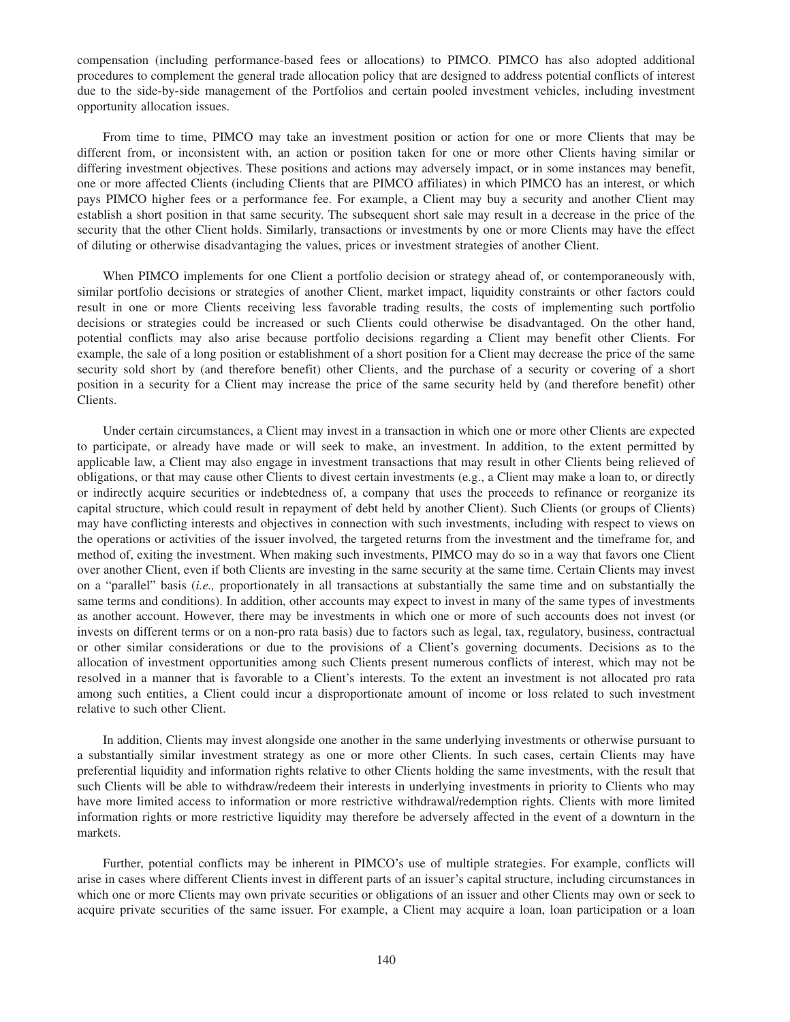compensation (including performance-based fees or allocations) to PIMCO. PIMCO has also adopted additional procedures to complement the general trade allocation policy that are designed to address potential conflicts of interest due to the side-by-side management of the Portfolios and certain pooled investment vehicles, including investment opportunity allocation issues.

From time to time, PIMCO may take an investment position or action for one or more Clients that may be different from, or inconsistent with, an action or position taken for one or more other Clients having similar or differing investment objectives. These positions and actions may adversely impact, or in some instances may benefit, one or more affected Clients (including Clients that are PIMCO affiliates) in which PIMCO has an interest, or which pays PIMCO higher fees or a performance fee. For example, a Client may buy a security and another Client may establish a short position in that same security. The subsequent short sale may result in a decrease in the price of the security that the other Client holds. Similarly, transactions or investments by one or more Clients may have the effect of diluting or otherwise disadvantaging the values, prices or investment strategies of another Client.

When PIMCO implements for one Client a portfolio decision or strategy ahead of, or contemporaneously with, similar portfolio decisions or strategies of another Client, market impact, liquidity constraints or other factors could result in one or more Clients receiving less favorable trading results, the costs of implementing such portfolio decisions or strategies could be increased or such Clients could otherwise be disadvantaged. On the other hand, potential conflicts may also arise because portfolio decisions regarding a Client may benefit other Clients. For example, the sale of a long position or establishment of a short position for a Client may decrease the price of the same security sold short by (and therefore benefit) other Clients, and the purchase of a security or covering of a short position in a security for a Client may increase the price of the same security held by (and therefore benefit) other Clients.

Under certain circumstances, a Client may invest in a transaction in which one or more other Clients are expected to participate, or already have made or will seek to make, an investment. In addition, to the extent permitted by applicable law, a Client may also engage in investment transactions that may result in other Clients being relieved of obligations, or that may cause other Clients to divest certain investments (e.g., a Client may make a loan to, or directly or indirectly acquire securities or indebtedness of, a company that uses the proceeds to refinance or reorganize its capital structure, which could result in repayment of debt held by another Client). Such Clients (or groups of Clients) may have conflicting interests and objectives in connection with such investments, including with respect to views on the operations or activities of the issuer involved, the targeted returns from the investment and the timeframe for, and method of, exiting the investment. When making such investments, PIMCO may do so in a way that favors one Client over another Client, even if both Clients are investing in the same security at the same time. Certain Clients may invest on a "parallel" basis (*i.e.,* proportionately in all transactions at substantially the same time and on substantially the same terms and conditions). In addition, other accounts may expect to invest in many of the same types of investments as another account. However, there may be investments in which one or more of such accounts does not invest (or invests on different terms or on a non-pro rata basis) due to factors such as legal, tax, regulatory, business, contractual or other similar considerations or due to the provisions of a Client's governing documents. Decisions as to the allocation of investment opportunities among such Clients present numerous conflicts of interest, which may not be resolved in a manner that is favorable to a Client's interests. To the extent an investment is not allocated pro rata among such entities, a Client could incur a disproportionate amount of income or loss related to such investment relative to such other Client.

In addition, Clients may invest alongside one another in the same underlying investments or otherwise pursuant to a substantially similar investment strategy as one or more other Clients. In such cases, certain Clients may have preferential liquidity and information rights relative to other Clients holding the same investments, with the result that such Clients will be able to withdraw/redeem their interests in underlying investments in priority to Clients who may have more limited access to information or more restrictive withdrawal/redemption rights. Clients with more limited information rights or more restrictive liquidity may therefore be adversely affected in the event of a downturn in the markets.

Further, potential conflicts may be inherent in PIMCO's use of multiple strategies. For example, conflicts will arise in cases where different Clients invest in different parts of an issuer's capital structure, including circumstances in which one or more Clients may own private securities or obligations of an issuer and other Clients may own or seek to acquire private securities of the same issuer. For example, a Client may acquire a loan, loan participation or a loan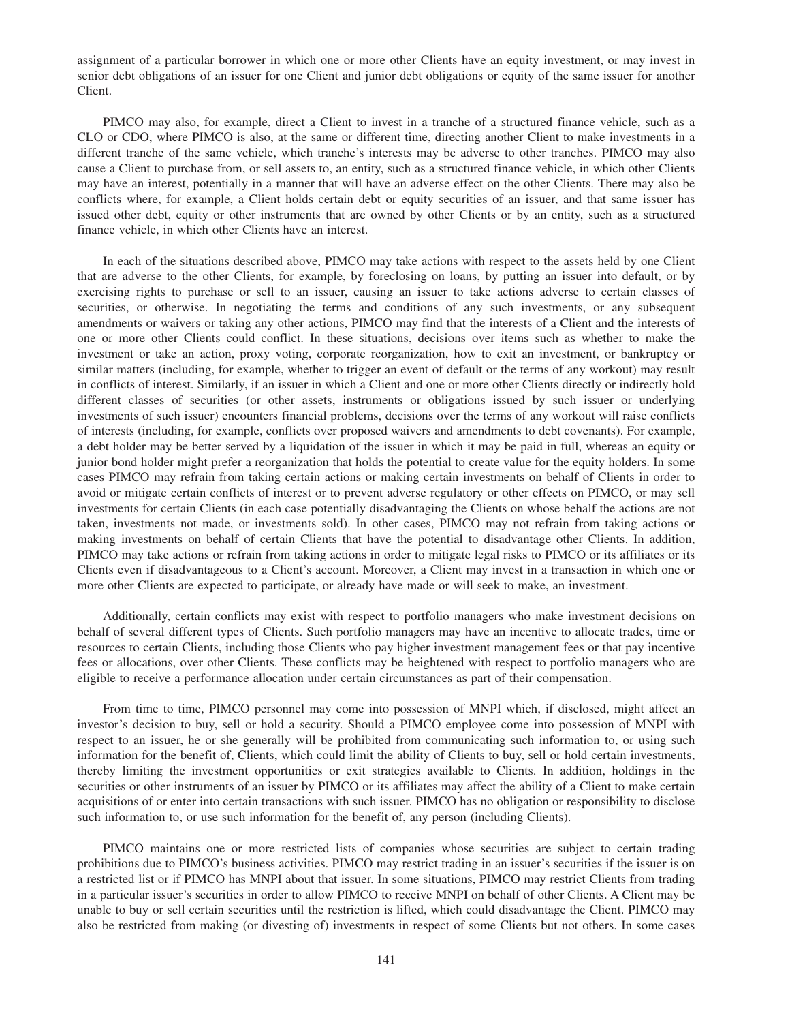assignment of a particular borrower in which one or more other Clients have an equity investment, or may invest in senior debt obligations of an issuer for one Client and junior debt obligations or equity of the same issuer for another Client.

PIMCO may also, for example, direct a Client to invest in a tranche of a structured finance vehicle, such as a CLO or CDO, where PIMCO is also, at the same or different time, directing another Client to make investments in a different tranche of the same vehicle, which tranche's interests may be adverse to other tranches. PIMCO may also cause a Client to purchase from, or sell assets to, an entity, such as a structured finance vehicle, in which other Clients may have an interest, potentially in a manner that will have an adverse effect on the other Clients. There may also be conflicts where, for example, a Client holds certain debt or equity securities of an issuer, and that same issuer has issued other debt, equity or other instruments that are owned by other Clients or by an entity, such as a structured finance vehicle, in which other Clients have an interest.

In each of the situations described above, PIMCO may take actions with respect to the assets held by one Client that are adverse to the other Clients, for example, by foreclosing on loans, by putting an issuer into default, or by exercising rights to purchase or sell to an issuer, causing an issuer to take actions adverse to certain classes of securities, or otherwise. In negotiating the terms and conditions of any such investments, or any subsequent amendments or waivers or taking any other actions, PIMCO may find that the interests of a Client and the interests of one or more other Clients could conflict. In these situations, decisions over items such as whether to make the investment or take an action, proxy voting, corporate reorganization, how to exit an investment, or bankruptcy or similar matters (including, for example, whether to trigger an event of default or the terms of any workout) may result in conflicts of interest. Similarly, if an issuer in which a Client and one or more other Clients directly or indirectly hold different classes of securities (or other assets, instruments or obligations issued by such issuer or underlying investments of such issuer) encounters financial problems, decisions over the terms of any workout will raise conflicts of interests (including, for example, conflicts over proposed waivers and amendments to debt covenants). For example, a debt holder may be better served by a liquidation of the issuer in which it may be paid in full, whereas an equity or junior bond holder might prefer a reorganization that holds the potential to create value for the equity holders. In some cases PIMCO may refrain from taking certain actions or making certain investments on behalf of Clients in order to avoid or mitigate certain conflicts of interest or to prevent adverse regulatory or other effects on PIMCO, or may sell investments for certain Clients (in each case potentially disadvantaging the Clients on whose behalf the actions are not taken, investments not made, or investments sold). In other cases, PIMCO may not refrain from taking actions or making investments on behalf of certain Clients that have the potential to disadvantage other Clients. In addition, PIMCO may take actions or refrain from taking actions in order to mitigate legal risks to PIMCO or its affiliates or its Clients even if disadvantageous to a Client's account. Moreover, a Client may invest in a transaction in which one or more other Clients are expected to participate, or already have made or will seek to make, an investment.

Additionally, certain conflicts may exist with respect to portfolio managers who make investment decisions on behalf of several different types of Clients. Such portfolio managers may have an incentive to allocate trades, time or resources to certain Clients, including those Clients who pay higher investment management fees or that pay incentive fees or allocations, over other Clients. These conflicts may be heightened with respect to portfolio managers who are eligible to receive a performance allocation under certain circumstances as part of their compensation.

From time to time, PIMCO personnel may come into possession of MNPI which, if disclosed, might affect an investor's decision to buy, sell or hold a security. Should a PIMCO employee come into possession of MNPI with respect to an issuer, he or she generally will be prohibited from communicating such information to, or using such information for the benefit of, Clients, which could limit the ability of Clients to buy, sell or hold certain investments, thereby limiting the investment opportunities or exit strategies available to Clients. In addition, holdings in the securities or other instruments of an issuer by PIMCO or its affiliates may affect the ability of a Client to make certain acquisitions of or enter into certain transactions with such issuer. PIMCO has no obligation or responsibility to disclose such information to, or use such information for the benefit of, any person (including Clients).

PIMCO maintains one or more restricted lists of companies whose securities are subject to certain trading prohibitions due to PIMCO's business activities. PIMCO may restrict trading in an issuer's securities if the issuer is on a restricted list or if PIMCO has MNPI about that issuer. In some situations, PIMCO may restrict Clients from trading in a particular issuer's securities in order to allow PIMCO to receive MNPI on behalf of other Clients. A Client may be unable to buy or sell certain securities until the restriction is lifted, which could disadvantage the Client. PIMCO may also be restricted from making (or divesting of) investments in respect of some Clients but not others. In some cases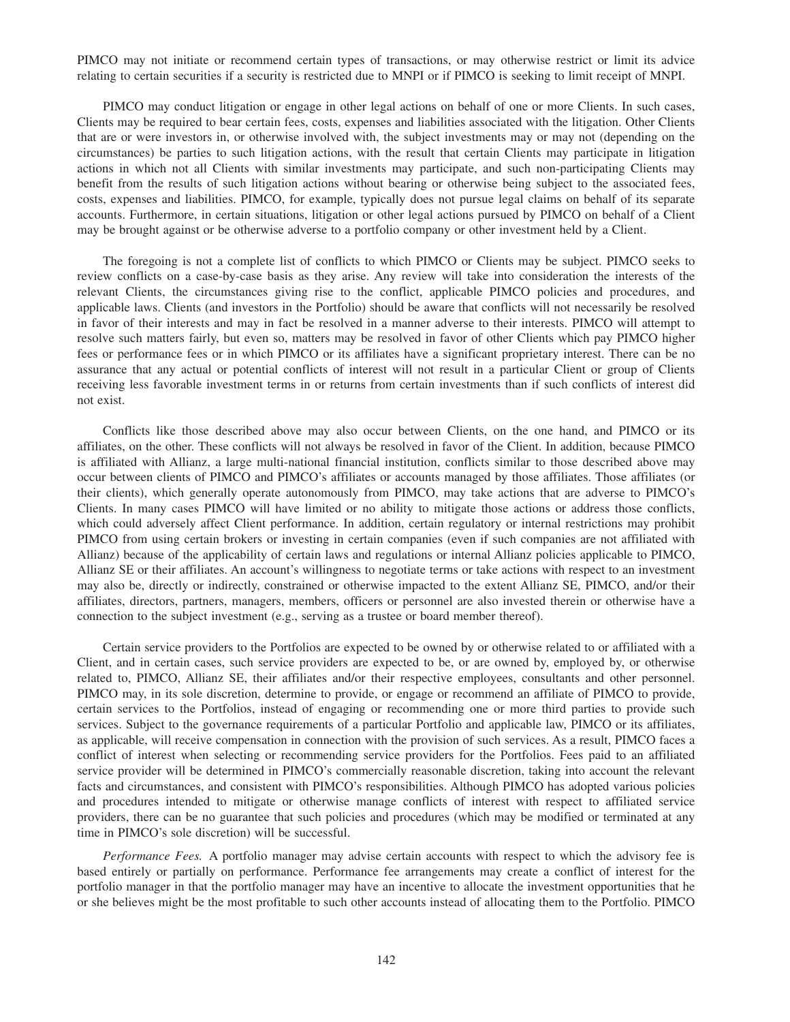PIMCO may not initiate or recommend certain types of transactions, or may otherwise restrict or limit its advice relating to certain securities if a security is restricted due to MNPI or if PIMCO is seeking to limit receipt of MNPI.

PIMCO may conduct litigation or engage in other legal actions on behalf of one or more Clients. In such cases, Clients may be required to bear certain fees, costs, expenses and liabilities associated with the litigation. Other Clients that are or were investors in, or otherwise involved with, the subject investments may or may not (depending on the circumstances) be parties to such litigation actions, with the result that certain Clients may participate in litigation actions in which not all Clients with similar investments may participate, and such non-participating Clients may benefit from the results of such litigation actions without bearing or otherwise being subject to the associated fees, costs, expenses and liabilities. PIMCO, for example, typically does not pursue legal claims on behalf of its separate accounts. Furthermore, in certain situations, litigation or other legal actions pursued by PIMCO on behalf of a Client may be brought against or be otherwise adverse to a portfolio company or other investment held by a Client.

The foregoing is not a complete list of conflicts to which PIMCO or Clients may be subject. PIMCO seeks to review conflicts on a case-by-case basis as they arise. Any review will take into consideration the interests of the relevant Clients, the circumstances giving rise to the conflict, applicable PIMCO policies and procedures, and applicable laws. Clients (and investors in the Portfolio) should be aware that conflicts will not necessarily be resolved in favor of their interests and may in fact be resolved in a manner adverse to their interests. PIMCO will attempt to resolve such matters fairly, but even so, matters may be resolved in favor of other Clients which pay PIMCO higher fees or performance fees or in which PIMCO or its affiliates have a significant proprietary interest. There can be no assurance that any actual or potential conflicts of interest will not result in a particular Client or group of Clients receiving less favorable investment terms in or returns from certain investments than if such conflicts of interest did not exist.

Conflicts like those described above may also occur between Clients, on the one hand, and PIMCO or its affiliates, on the other. These conflicts will not always be resolved in favor of the Client. In addition, because PIMCO is affiliated with Allianz, a large multi-national financial institution, conflicts similar to those described above may occur between clients of PIMCO and PIMCO's affiliates or accounts managed by those affiliates. Those affiliates (or their clients), which generally operate autonomously from PIMCO, may take actions that are adverse to PIMCO's Clients. In many cases PIMCO will have limited or no ability to mitigate those actions or address those conflicts, which could adversely affect Client performance. In addition, certain regulatory or internal restrictions may prohibit PIMCO from using certain brokers or investing in certain companies (even if such companies are not affiliated with Allianz) because of the applicability of certain laws and regulations or internal Allianz policies applicable to PIMCO, Allianz SE or their affiliates. An account's willingness to negotiate terms or take actions with respect to an investment may also be, directly or indirectly, constrained or otherwise impacted to the extent Allianz SE, PIMCO, and/or their affiliates, directors, partners, managers, members, officers or personnel are also invested therein or otherwise have a connection to the subject investment (e.g., serving as a trustee or board member thereof).

Certain service providers to the Portfolios are expected to be owned by or otherwise related to or affiliated with a Client, and in certain cases, such service providers are expected to be, or are owned by, employed by, or otherwise related to, PIMCO, Allianz SE, their affiliates and/or their respective employees, consultants and other personnel. PIMCO may, in its sole discretion, determine to provide, or engage or recommend an affiliate of PIMCO to provide, certain services to the Portfolios, instead of engaging or recommending one or more third parties to provide such services. Subject to the governance requirements of a particular Portfolio and applicable law, PIMCO or its affiliates, as applicable, will receive compensation in connection with the provision of such services. As a result, PIMCO faces a conflict of interest when selecting or recommending service providers for the Portfolios. Fees paid to an affiliated service provider will be determined in PIMCO's commercially reasonable discretion, taking into account the relevant facts and circumstances, and consistent with PIMCO's responsibilities. Although PIMCO has adopted various policies and procedures intended to mitigate or otherwise manage conflicts of interest with respect to affiliated service providers, there can be no guarantee that such policies and procedures (which may be modified or terminated at any time in PIMCO's sole discretion) will be successful.

*Performance Fees.* A portfolio manager may advise certain accounts with respect to which the advisory fee is based entirely or partially on performance. Performance fee arrangements may create a conflict of interest for the portfolio manager in that the portfolio manager may have an incentive to allocate the investment opportunities that he or she believes might be the most profitable to such other accounts instead of allocating them to the Portfolio. PIMCO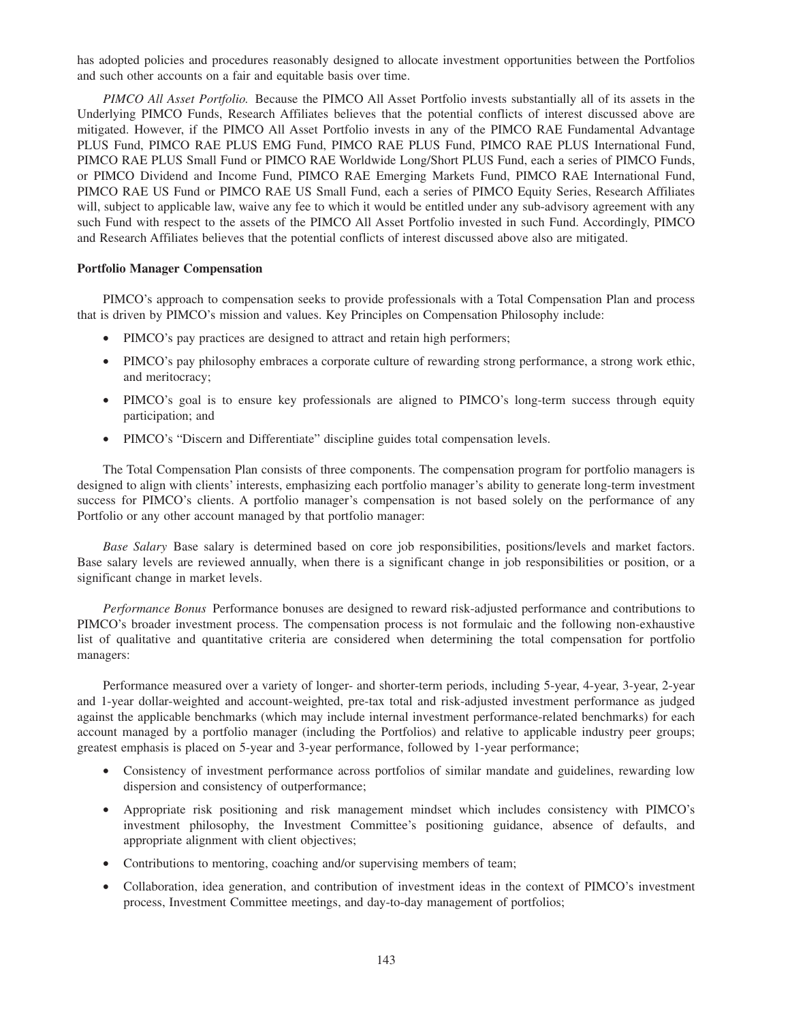has adopted policies and procedures reasonably designed to allocate investment opportunities between the Portfolios and such other accounts on a fair and equitable basis over time.

*PIMCO All Asset Portfolio.* Because the PIMCO All Asset Portfolio invests substantially all of its assets in the Underlying PIMCO Funds, Research Affiliates believes that the potential conflicts of interest discussed above are mitigated. However, if the PIMCO All Asset Portfolio invests in any of the PIMCO RAE Fundamental Advantage PLUS Fund, PIMCO RAE PLUS EMG Fund, PIMCO RAE PLUS Fund, PIMCO RAE PLUS International Fund, PIMCO RAE PLUS Small Fund or PIMCO RAE Worldwide Long/Short PLUS Fund, each a series of PIMCO Funds, or PIMCO Dividend and Income Fund, PIMCO RAE Emerging Markets Fund, PIMCO RAE International Fund, PIMCO RAE US Fund or PIMCO RAE US Small Fund, each a series of PIMCO Equity Series, Research Affiliates will, subject to applicable law, waive any fee to which it would be entitled under any sub-advisory agreement with any such Fund with respect to the assets of the PIMCO All Asset Portfolio invested in such Fund. Accordingly, PIMCO and Research Affiliates believes that the potential conflicts of interest discussed above also are mitigated.

## **Portfolio Manager Compensation**

PIMCO's approach to compensation seeks to provide professionals with a Total Compensation Plan and process that is driven by PIMCO's mission and values. Key Principles on Compensation Philosophy include:

- PIMCO's pay practices are designed to attract and retain high performers;
- PIMCO's pay philosophy embraces a corporate culture of rewarding strong performance, a strong work ethic, and meritocracy;
- PIMCO's goal is to ensure key professionals are aligned to PIMCO's long-term success through equity participation; and
- PIMCO's "Discern and Differentiate" discipline guides total compensation levels.

The Total Compensation Plan consists of three components. The compensation program for portfolio managers is designed to align with clients' interests, emphasizing each portfolio manager's ability to generate long-term investment success for PIMCO's clients. A portfolio manager's compensation is not based solely on the performance of any Portfolio or any other account managed by that portfolio manager:

*Base Salary* Base salary is determined based on core job responsibilities, positions/levels and market factors. Base salary levels are reviewed annually, when there is a significant change in job responsibilities or position, or a significant change in market levels.

*Performance Bonus* Performance bonuses are designed to reward risk-adjusted performance and contributions to PIMCO's broader investment process. The compensation process is not formulaic and the following non-exhaustive list of qualitative and quantitative criteria are considered when determining the total compensation for portfolio managers:

Performance measured over a variety of longer- and shorter-term periods, including 5-year, 4-year, 3-year, 2-year and 1-year dollar-weighted and account-weighted, pre-tax total and risk-adjusted investment performance as judged against the applicable benchmarks (which may include internal investment performance-related benchmarks) for each account managed by a portfolio manager (including the Portfolios) and relative to applicable industry peer groups; greatest emphasis is placed on 5-year and 3-year performance, followed by 1-year performance;

- Consistency of investment performance across portfolios of similar mandate and guidelines, rewarding low dispersion and consistency of outperformance;
- Appropriate risk positioning and risk management mindset which includes consistency with PIMCO's investment philosophy, the Investment Committee's positioning guidance, absence of defaults, and appropriate alignment with client objectives;
- Contributions to mentoring, coaching and/or supervising members of team;
- Collaboration, idea generation, and contribution of investment ideas in the context of PIMCO's investment process, Investment Committee meetings, and day-to-day management of portfolios;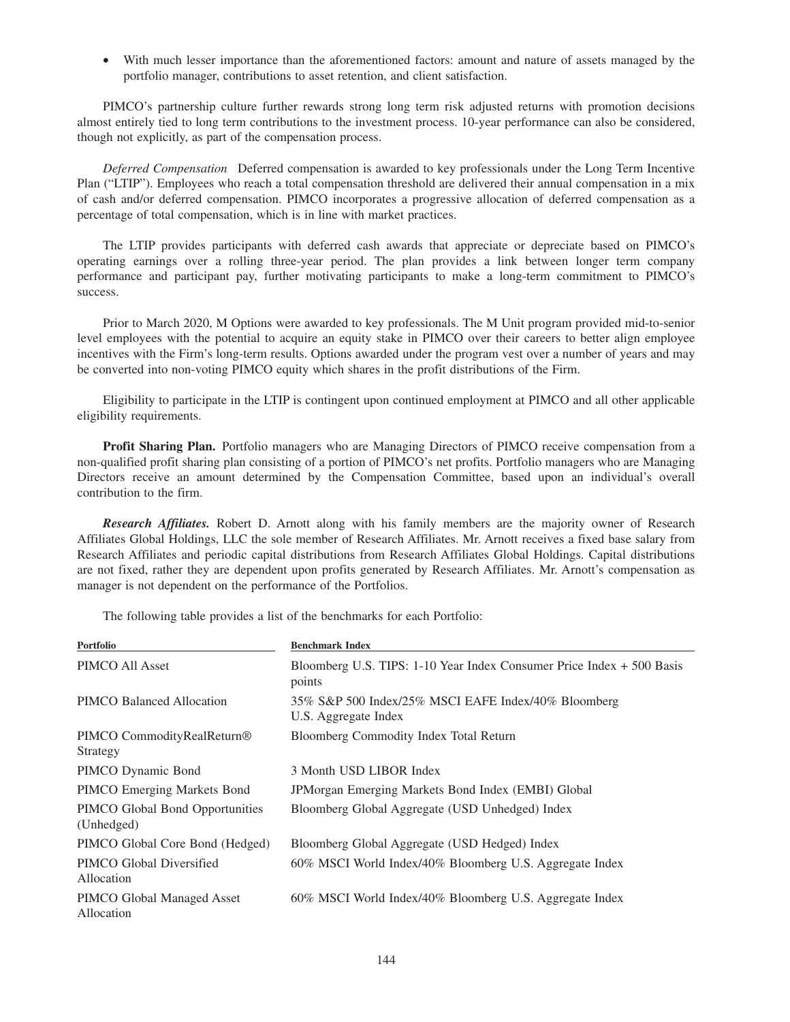• With much lesser importance than the aforementioned factors: amount and nature of assets managed by the portfolio manager, contributions to asset retention, and client satisfaction.

PIMCO's partnership culture further rewards strong long term risk adjusted returns with promotion decisions almost entirely tied to long term contributions to the investment process. 10-year performance can also be considered, though not explicitly, as part of the compensation process.

*Deferred Compensation* Deferred compensation is awarded to key professionals under the Long Term Incentive Plan ("LTIP"). Employees who reach a total compensation threshold are delivered their annual compensation in a mix of cash and/or deferred compensation. PIMCO incorporates a progressive allocation of deferred compensation as a percentage of total compensation, which is in line with market practices.

The LTIP provides participants with deferred cash awards that appreciate or depreciate based on PIMCO's operating earnings over a rolling three-year period. The plan provides a link between longer term company performance and participant pay, further motivating participants to make a long-term commitment to PIMCO's success.

Prior to March 2020, M Options were awarded to key professionals. The M Unit program provided mid-to-senior level employees with the potential to acquire an equity stake in PIMCO over their careers to better align employee incentives with the Firm's long-term results. Options awarded under the program vest over a number of years and may be converted into non-voting PIMCO equity which shares in the profit distributions of the Firm.

Eligibility to participate in the LTIP is contingent upon continued employment at PIMCO and all other applicable eligibility requirements.

**Profit Sharing Plan.** Portfolio managers who are Managing Directors of PIMCO receive compensation from a non-qualified profit sharing plan consisting of a portion of PIMCO's net profits. Portfolio managers who are Managing Directors receive an amount determined by the Compensation Committee, based upon an individual's overall contribution to the firm.

*Research Affiliates.* Robert D. Arnott along with his family members are the majority owner of Research Affiliates Global Holdings, LLC the sole member of Research Affiliates. Mr. Arnott receives a fixed base salary from Research Affiliates and periodic capital distributions from Research Affiliates Global Holdings. Capital distributions are not fixed, rather they are dependent upon profits generated by Research Affiliates. Mr. Arnott's compensation as manager is not dependent on the performance of the Portfolios.

The following table provides a list of the benchmarks for each Portfolio:

| Portfolio                                          | <b>Benchmark Index</b>                                                          |
|----------------------------------------------------|---------------------------------------------------------------------------------|
| PIMCO All Asset                                    | Bloomberg U.S. TIPS: 1-10 Year Index Consumer Price Index + 500 Basis<br>points |
| PIMCO Balanced Allocation                          | 35% S&P 500 Index/25% MSCI EAFE Index/40% Bloomberg<br>U.S. Aggregate Index     |
| PIMCO CommodityRealReturn <sup>®</sup><br>Strategy | Bloomberg Commodity Index Total Return                                          |
| PIMCO Dynamic Bond                                 | 3 Month USD LIBOR Index                                                         |
| <b>PIMCO</b> Emerging Markets Bond                 | <b>JPMorgan Emerging Markets Bond Index (EMBI) Global</b>                       |
| PIMCO Global Bond Opportunities<br>(Unhedged)      | Bloomberg Global Aggregate (USD Unhedged) Index                                 |
| PIMCO Global Core Bond (Hedged)                    | Bloomberg Global Aggregate (USD Hedged) Index                                   |
| PIMCO Global Diversified<br>Allocation             | 60% MSCI World Index/40% Bloomberg U.S. Aggregate Index                         |
| PIMCO Global Managed Asset<br>Allocation           | 60% MSCI World Index/40% Bloomberg U.S. Aggregate Index                         |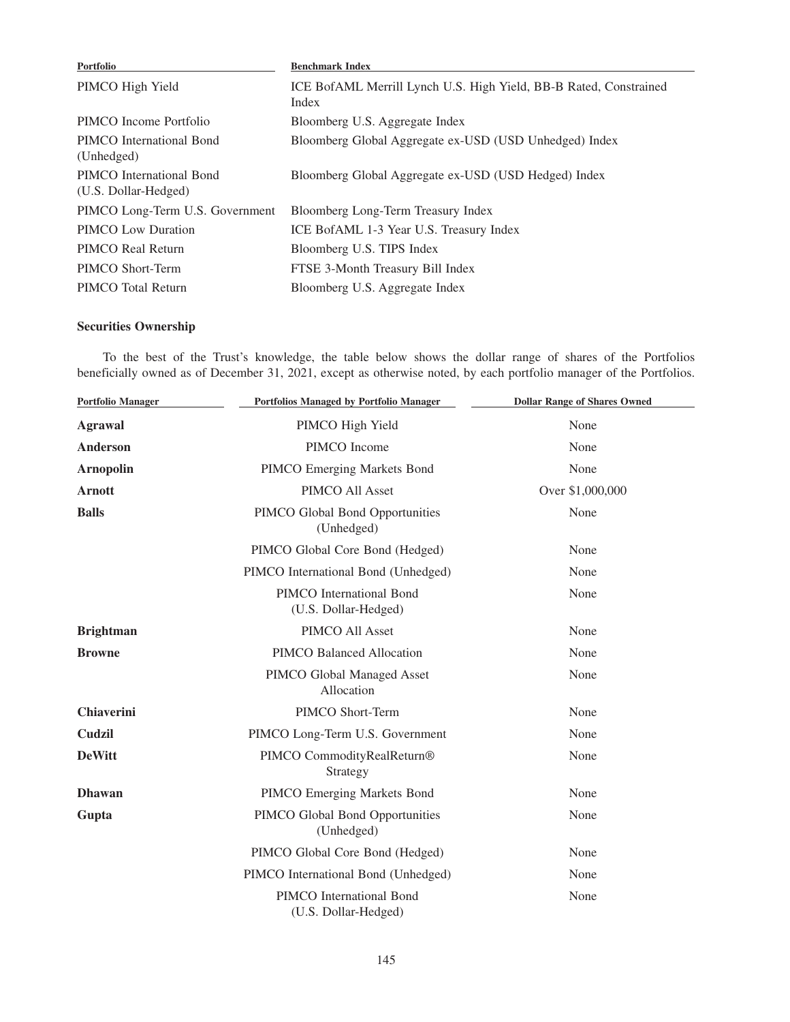| Portfolio                                        | <b>Benchmark Index</b>                                                     |
|--------------------------------------------------|----------------------------------------------------------------------------|
| PIMCO High Yield                                 | ICE BofAML Merrill Lynch U.S. High Yield, BB-B Rated, Constrained<br>Index |
| PIMCO Income Portfolio                           | Bloomberg U.S. Aggregate Index                                             |
| PIMCO International Bond<br>(Unhedged)           | Bloomberg Global Aggregate ex-USD (USD Unhedged) Index                     |
| PIMCO International Bond<br>(U.S. Dollar-Hedged) | Bloomberg Global Aggregate ex-USD (USD Hedged) Index                       |
| PIMCO Long-Term U.S. Government                  | Bloomberg Long-Term Treasury Index                                         |
| <b>PIMCO</b> Low Duration                        | ICE BofAML 1-3 Year U.S. Treasury Index                                    |
| PIMCO Real Return                                | Bloomberg U.S. TIPS Index                                                  |
| PIMCO Short-Term                                 | FTSE 3-Month Treasury Bill Index                                           |
| PIMCO Total Return                               | Bloomberg U.S. Aggregate Index                                             |

# **Securities Ownership**

To the best of the Trust's knowledge, the table below shows the dollar range of shares of the Portfolios beneficially owned as of December 31, 2021, except as otherwise noted, by each portfolio manager of the Portfolios.

| <b>Portfolio Manager</b> | Portfolios Managed by Portfolio Manager          | <b>Dollar Range of Shares Owned</b> |
|--------------------------|--------------------------------------------------|-------------------------------------|
| <b>Agrawal</b>           | PIMCO High Yield                                 | None                                |
| <b>Anderson</b>          | PIMCO Income                                     | None                                |
| <b>Arnopolin</b>         | PIMCO Emerging Markets Bond                      | None                                |
| <b>Arnott</b>            | PIMCO All Asset                                  | Over \$1,000,000                    |
| <b>Balls</b>             | PIMCO Global Bond Opportunities<br>(Unhedged)    | None                                |
|                          | PIMCO Global Core Bond (Hedged)                  | None                                |
|                          | PIMCO International Bond (Unhedged)              | None                                |
|                          | PIMCO International Bond<br>(U.S. Dollar-Hedged) | None                                |
| <b>Brightman</b>         | PIMCO All Asset                                  | None                                |
| <b>Browne</b>            | PIMCO Balanced Allocation                        | None                                |
|                          | PIMCO Global Managed Asset<br>Allocation         | None                                |
| <b>Chiaverini</b>        | PIMCO Short-Term                                 | None                                |
| Cudzil                   | PIMCO Long-Term U.S. Government                  | None                                |
| <b>DeWitt</b>            | PIMCO CommodityRealReturn®<br>Strategy           | None                                |
| <b>Dhawan</b>            | PIMCO Emerging Markets Bond                      | None                                |
| Gupta                    | PIMCO Global Bond Opportunities<br>(Unhedged)    | None                                |
|                          | PIMCO Global Core Bond (Hedged)                  | None                                |
|                          | PIMCO International Bond (Unhedged)              | None                                |
|                          | PIMCO International Bond<br>(U.S. Dollar-Hedged) | None                                |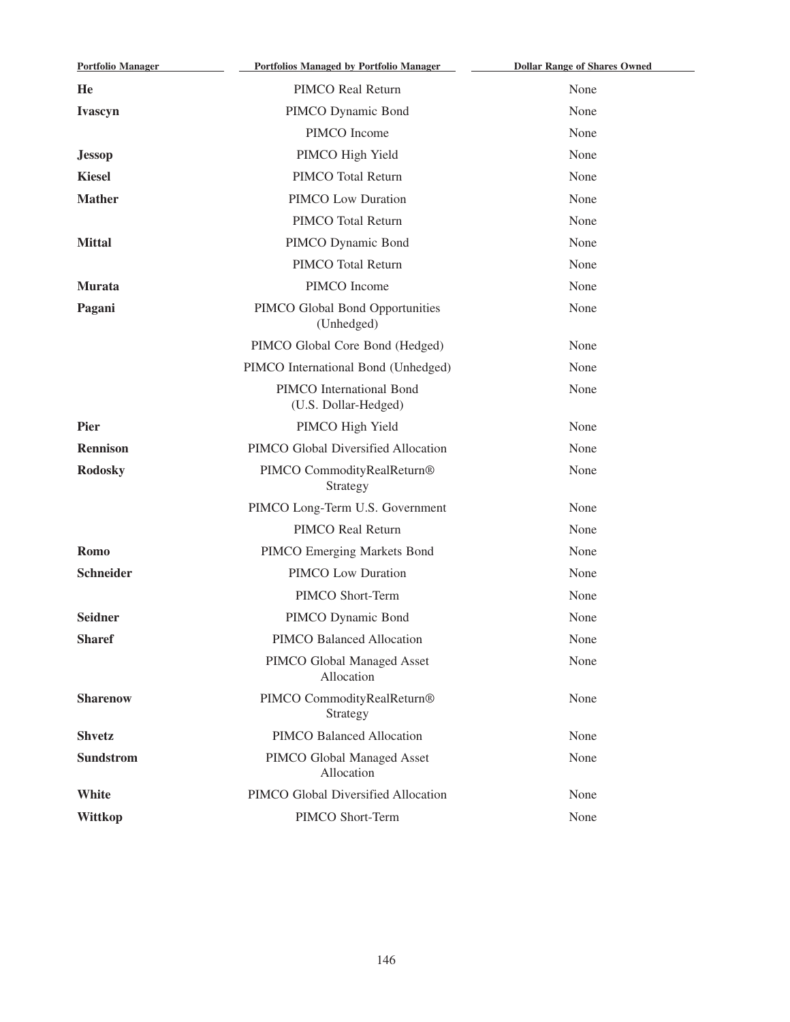| <b>Portfolio Manager</b> | <b>Portfolios Managed by Portfolio Manager</b>   | <b>Dollar Range of Shares Owned</b> |
|--------------------------|--------------------------------------------------|-------------------------------------|
| He                       | PIMCO Real Return                                | None                                |
| Ivascyn                  | PIMCO Dynamic Bond                               | None                                |
|                          | PIMCO Income                                     | None                                |
| <b>Jessop</b>            | PIMCO High Yield                                 | None                                |
| <b>Kiesel</b>            | PIMCO Total Return                               | None                                |
| <b>Mather</b>            | <b>PIMCO Low Duration</b>                        | None                                |
|                          | PIMCO Total Return                               | None                                |
| <b>Mittal</b>            | PIMCO Dynamic Bond                               | None                                |
|                          | PIMCO Total Return                               | None                                |
| <b>Murata</b>            | PIMCO Income                                     | None                                |
| Pagani                   | PIMCO Global Bond Opportunities<br>(Unhedged)    | None                                |
|                          | PIMCO Global Core Bond (Hedged)                  | None                                |
|                          | PIMCO International Bond (Unhedged)              | None                                |
|                          | PIMCO International Bond<br>(U.S. Dollar-Hedged) | None                                |
| <b>Pier</b>              | PIMCO High Yield                                 | None                                |
| <b>Rennison</b>          | PIMCO Global Diversified Allocation              | None                                |
| <b>Rodosky</b>           | PIMCO CommodityRealReturn®<br>Strategy           | None                                |
|                          | PIMCO Long-Term U.S. Government                  | None                                |
|                          | PIMCO Real Return                                | None                                |
| <b>Romo</b>              | PIMCO Emerging Markets Bond                      | None                                |
| <b>Schneider</b>         | PIMCO Low Duration                               | None                                |
|                          | PIMCO Short-Term                                 | None                                |
| <b>Seidner</b>           | PIMCO Dynamic Bond                               | None                                |
| <b>Sharef</b>            | PIMCO Balanced Allocation                        | None                                |
|                          | PIMCO Global Managed Asset<br>Allocation         | None                                |
| <b>Sharenow</b>          | PIMCO CommodityRealReturn®<br>Strategy           | None                                |
| <b>Shvetz</b>            | PIMCO Balanced Allocation                        | None                                |
| <b>Sundstrom</b>         | PIMCO Global Managed Asset<br>Allocation         | None                                |
| White                    | PIMCO Global Diversified Allocation              | None                                |
| <b>Wittkop</b>           | PIMCO Short-Term                                 | None                                |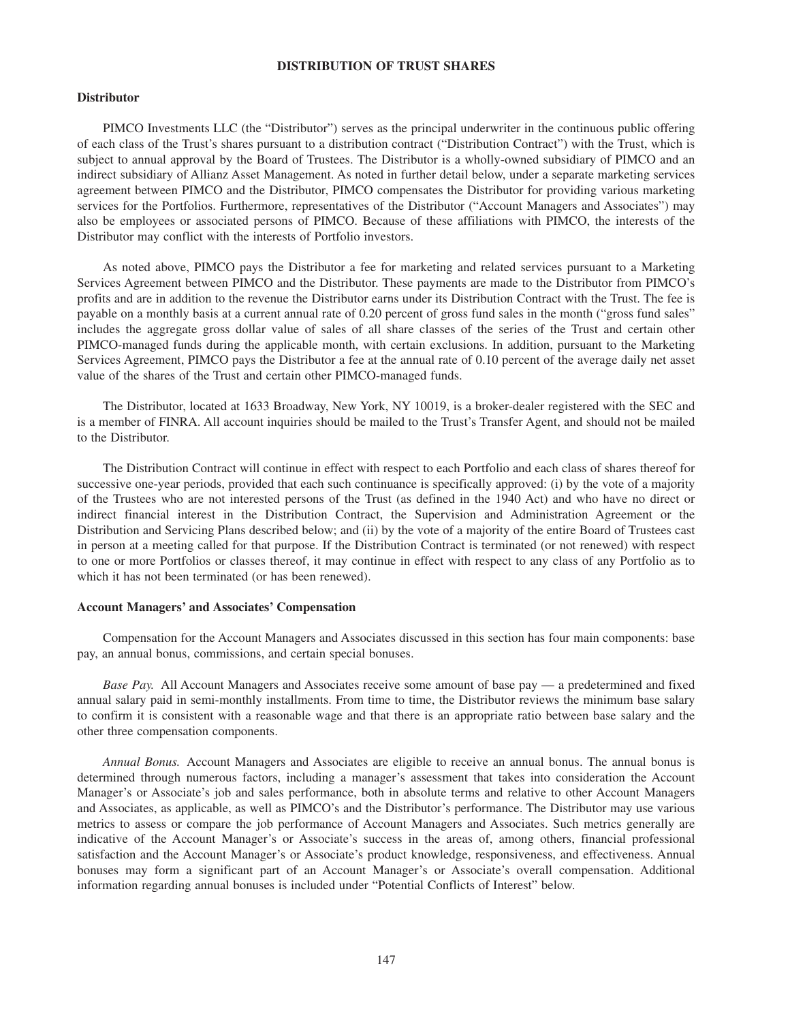# **DISTRIBUTION OF TRUST SHARES**

#### **Distributor**

PIMCO Investments LLC (the "Distributor") serves as the principal underwriter in the continuous public offering of each class of the Trust's shares pursuant to a distribution contract ("Distribution Contract") with the Trust, which is subject to annual approval by the Board of Trustees. The Distributor is a wholly-owned subsidiary of PIMCO and an indirect subsidiary of Allianz Asset Management. As noted in further detail below, under a separate marketing services agreement between PIMCO and the Distributor, PIMCO compensates the Distributor for providing various marketing services for the Portfolios. Furthermore, representatives of the Distributor ("Account Managers and Associates") may also be employees or associated persons of PIMCO. Because of these affiliations with PIMCO, the interests of the Distributor may conflict with the interests of Portfolio investors.

As noted above, PIMCO pays the Distributor a fee for marketing and related services pursuant to a Marketing Services Agreement between PIMCO and the Distributor. These payments are made to the Distributor from PIMCO's profits and are in addition to the revenue the Distributor earns under its Distribution Contract with the Trust. The fee is payable on a monthly basis at a current annual rate of 0.20 percent of gross fund sales in the month ("gross fund sales" includes the aggregate gross dollar value of sales of all share classes of the series of the Trust and certain other PIMCO-managed funds during the applicable month, with certain exclusions. In addition, pursuant to the Marketing Services Agreement, PIMCO pays the Distributor a fee at the annual rate of 0.10 percent of the average daily net asset value of the shares of the Trust and certain other PIMCO-managed funds.

The Distributor, located at 1633 Broadway, New York, NY 10019, is a broker-dealer registered with the SEC and is a member of FINRA. All account inquiries should be mailed to the Trust's Transfer Agent, and should not be mailed to the Distributor.

The Distribution Contract will continue in effect with respect to each Portfolio and each class of shares thereof for successive one-year periods, provided that each such continuance is specifically approved: (i) by the vote of a majority of the Trustees who are not interested persons of the Trust (as defined in the 1940 Act) and who have no direct or indirect financial interest in the Distribution Contract, the Supervision and Administration Agreement or the Distribution and Servicing Plans described below; and (ii) by the vote of a majority of the entire Board of Trustees cast in person at a meeting called for that purpose. If the Distribution Contract is terminated (or not renewed) with respect to one or more Portfolios or classes thereof, it may continue in effect with respect to any class of any Portfolio as to which it has not been terminated (or has been renewed).

## **Account Managers' and Associates' Compensation**

Compensation for the Account Managers and Associates discussed in this section has four main components: base pay, an annual bonus, commissions, and certain special bonuses.

*Base Pay.* All Account Managers and Associates receive some amount of base pay — a predetermined and fixed annual salary paid in semi-monthly installments. From time to time, the Distributor reviews the minimum base salary to confirm it is consistent with a reasonable wage and that there is an appropriate ratio between base salary and the other three compensation components.

*Annual Bonus.* Account Managers and Associates are eligible to receive an annual bonus. The annual bonus is determined through numerous factors, including a manager's assessment that takes into consideration the Account Manager's or Associate's job and sales performance, both in absolute terms and relative to other Account Managers and Associates, as applicable, as well as PIMCO's and the Distributor's performance. The Distributor may use various metrics to assess or compare the job performance of Account Managers and Associates. Such metrics generally are indicative of the Account Manager's or Associate's success in the areas of, among others, financial professional satisfaction and the Account Manager's or Associate's product knowledge, responsiveness, and effectiveness. Annual bonuses may form a significant part of an Account Manager's or Associate's overall compensation. Additional information regarding annual bonuses is included under "Potential Conflicts of Interest" below.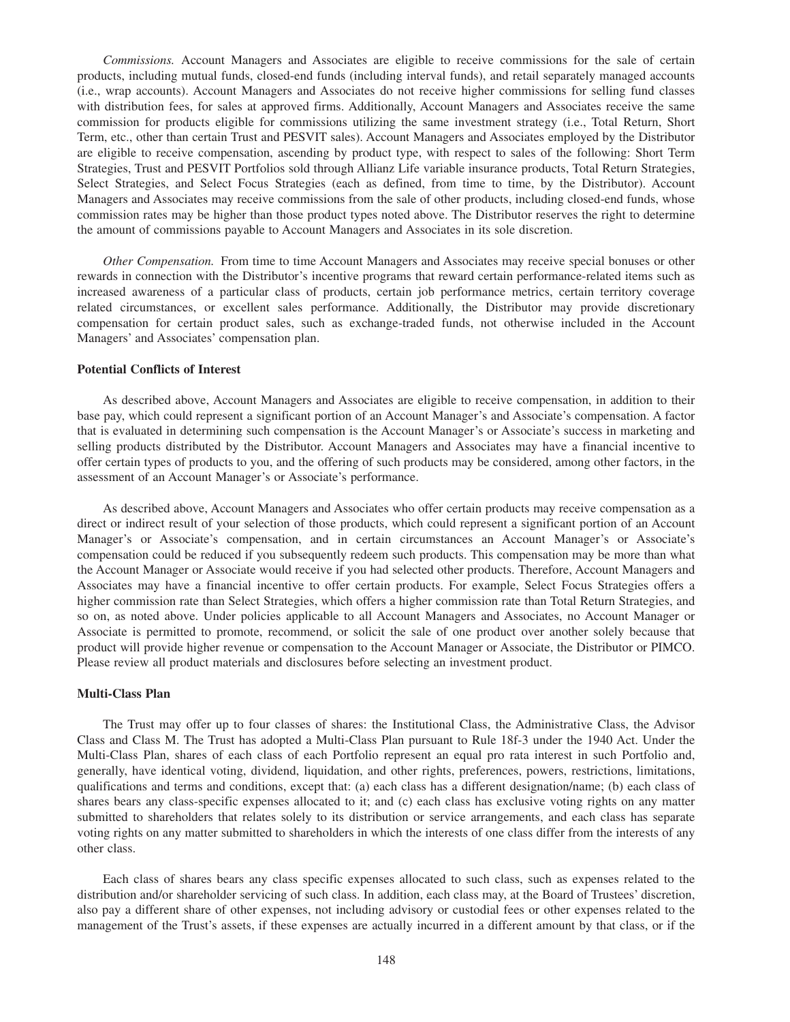*Commissions.* Account Managers and Associates are eligible to receive commissions for the sale of certain products, including mutual funds, closed-end funds (including interval funds), and retail separately managed accounts (i.e., wrap accounts). Account Managers and Associates do not receive higher commissions for selling fund classes with distribution fees, for sales at approved firms. Additionally, Account Managers and Associates receive the same commission for products eligible for commissions utilizing the same investment strategy (i.e., Total Return, Short Term, etc., other than certain Trust and PESVIT sales). Account Managers and Associates employed by the Distributor are eligible to receive compensation, ascending by product type, with respect to sales of the following: Short Term Strategies, Trust and PESVIT Portfolios sold through Allianz Life variable insurance products, Total Return Strategies, Select Strategies, and Select Focus Strategies (each as defined, from time to time, by the Distributor). Account Managers and Associates may receive commissions from the sale of other products, including closed-end funds, whose commission rates may be higher than those product types noted above. The Distributor reserves the right to determine the amount of commissions payable to Account Managers and Associates in its sole discretion.

*Other Compensation.* From time to time Account Managers and Associates may receive special bonuses or other rewards in connection with the Distributor's incentive programs that reward certain performance-related items such as increased awareness of a particular class of products, certain job performance metrics, certain territory coverage related circumstances, or excellent sales performance. Additionally, the Distributor may provide discretionary compensation for certain product sales, such as exchange-traded funds, not otherwise included in the Account Managers' and Associates' compensation plan.

# **Potential Conflicts of Interest**

As described above, Account Managers and Associates are eligible to receive compensation, in addition to their base pay, which could represent a significant portion of an Account Manager's and Associate's compensation. A factor that is evaluated in determining such compensation is the Account Manager's or Associate's success in marketing and selling products distributed by the Distributor. Account Managers and Associates may have a financial incentive to offer certain types of products to you, and the offering of such products may be considered, among other factors, in the assessment of an Account Manager's or Associate's performance.

As described above, Account Managers and Associates who offer certain products may receive compensation as a direct or indirect result of your selection of those products, which could represent a significant portion of an Account Manager's or Associate's compensation, and in certain circumstances an Account Manager's or Associate's compensation could be reduced if you subsequently redeem such products. This compensation may be more than what the Account Manager or Associate would receive if you had selected other products. Therefore, Account Managers and Associates may have a financial incentive to offer certain products. For example, Select Focus Strategies offers a higher commission rate than Select Strategies, which offers a higher commission rate than Total Return Strategies, and so on, as noted above. Under policies applicable to all Account Managers and Associates, no Account Manager or Associate is permitted to promote, recommend, or solicit the sale of one product over another solely because that product will provide higher revenue or compensation to the Account Manager or Associate, the Distributor or PIMCO. Please review all product materials and disclosures before selecting an investment product.

#### **Multi-Class Plan**

The Trust may offer up to four classes of shares: the Institutional Class, the Administrative Class, the Advisor Class and Class M. The Trust has adopted a Multi-Class Plan pursuant to Rule 18f-3 under the 1940 Act. Under the Multi-Class Plan, shares of each class of each Portfolio represent an equal pro rata interest in such Portfolio and, generally, have identical voting, dividend, liquidation, and other rights, preferences, powers, restrictions, limitations, qualifications and terms and conditions, except that: (a) each class has a different designation/name; (b) each class of shares bears any class-specific expenses allocated to it; and (c) each class has exclusive voting rights on any matter submitted to shareholders that relates solely to its distribution or service arrangements, and each class has separate voting rights on any matter submitted to shareholders in which the interests of one class differ from the interests of any other class.

Each class of shares bears any class specific expenses allocated to such class, such as expenses related to the distribution and/or shareholder servicing of such class. In addition, each class may, at the Board of Trustees' discretion, also pay a different share of other expenses, not including advisory or custodial fees or other expenses related to the management of the Trust's assets, if these expenses are actually incurred in a different amount by that class, or if the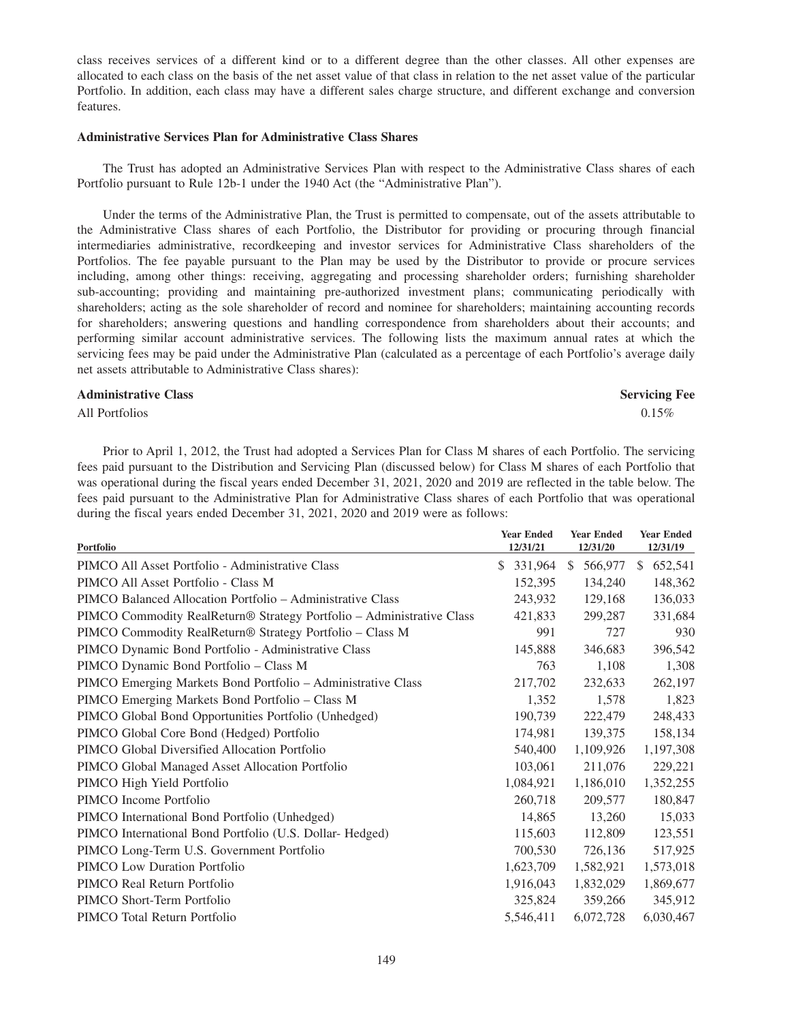class receives services of a different kind or to a different degree than the other classes. All other expenses are allocated to each class on the basis of the net asset value of that class in relation to the net asset value of the particular Portfolio. In addition, each class may have a different sales charge structure, and different exchange and conversion features.

# **Administrative Services Plan for Administrative Class Shares**

The Trust has adopted an Administrative Services Plan with respect to the Administrative Class shares of each Portfolio pursuant to Rule 12b-1 under the 1940 Act (the "Administrative Plan").

Under the terms of the Administrative Plan, the Trust is permitted to compensate, out of the assets attributable to the Administrative Class shares of each Portfolio, the Distributor for providing or procuring through financial intermediaries administrative, recordkeeping and investor services for Administrative Class shareholders of the Portfolios. The fee payable pursuant to the Plan may be used by the Distributor to provide or procure services including, among other things: receiving, aggregating and processing shareholder orders; furnishing shareholder sub-accounting; providing and maintaining pre-authorized investment plans; communicating periodically with shareholders; acting as the sole shareholder of record and nominee for shareholders; maintaining accounting records for shareholders; answering questions and handling correspondence from shareholders about their accounts; and performing similar account administrative services. The following lists the maximum annual rates at which the servicing fees may be paid under the Administrative Plan (calculated as a percentage of each Portfolio's average daily net assets attributable to Administrative Class shares):

#### **Administrative Class Servicing Fee**

All Portfolios  $0.15\%$ 

Prior to April 1, 2012, the Trust had adopted a Services Plan for Class M shares of each Portfolio. The servicing fees paid pursuant to the Distribution and Servicing Plan (discussed below) for Class M shares of each Portfolio that was operational during the fiscal years ended December 31, 2021, 2020 and 2019 are reflected in the table below. The fees paid pursuant to the Administrative Plan for Administrative Class shares of each Portfolio that was operational during the fiscal years ended December 31, 2021, 2020 and 2019 were as follows:

| Portfolio                                                             | <b>Year Ended</b><br>12/31/21 | <b>Year Ended</b><br>12/31/20 | <b>Year Ended</b><br>12/31/19 |
|-----------------------------------------------------------------------|-------------------------------|-------------------------------|-------------------------------|
| PIMCO All Asset Portfolio - Administrative Class                      | \$<br>331,964                 | <sup>\$</sup><br>566,977      | 652,541<br><sup>\$</sup>      |
| PIMCO All Asset Portfolio - Class M                                   | 152,395                       | 134,240                       | 148,362                       |
| PIMCO Balanced Allocation Portfolio – Administrative Class            | 243,932                       | 129,168                       | 136,033                       |
| PIMCO Commodity RealReturn® Strategy Portfolio - Administrative Class | 421.833                       | 299,287                       | 331,684                       |
| PIMCO Commodity RealReturn® Strategy Portfolio - Class M              | 991                           | 727                           | 930                           |
| PIMCO Dynamic Bond Portfolio - Administrative Class                   | 145,888                       | 346,683                       | 396,542                       |
| PIMCO Dynamic Bond Portfolio - Class M                                | 763                           | 1,108                         | 1,308                         |
| PIMCO Emerging Markets Bond Portfolio - Administrative Class          | 217,702                       | 232,633                       | 262,197                       |
| PIMCO Emerging Markets Bond Portfolio - Class M                       | 1,352                         | 1,578                         | 1,823                         |
| PIMCO Global Bond Opportunities Portfolio (Unhedged)                  | 190,739                       | 222,479                       | 248,433                       |
| PIMCO Global Core Bond (Hedged) Portfolio                             | 174,981                       | 139,375                       | 158,134                       |
| PIMCO Global Diversified Allocation Portfolio                         | 540,400                       | 1,109,926                     | 1,197,308                     |
| PIMCO Global Managed Asset Allocation Portfolio                       | 103,061                       | 211,076                       | 229,221                       |
| PIMCO High Yield Portfolio                                            | 1,084,921                     | 1,186,010                     | 1,352,255                     |
| PIMCO Income Portfolio                                                | 260,718                       | 209,577                       | 180,847                       |
| PIMCO International Bond Portfolio (Unhedged)                         | 14,865                        | 13,260                        | 15,033                        |
| PIMCO International Bond Portfolio (U.S. Dollar-Hedged)               | 115,603                       | 112,809                       | 123,551                       |
| PIMCO Long-Term U.S. Government Portfolio                             | 700,530                       | 726,136                       | 517,925                       |
| PIMCO Low Duration Portfolio                                          | 1,623,709                     | 1,582,921                     | 1,573,018                     |
| PIMCO Real Return Portfolio                                           | 1,916,043                     | 1,832,029                     | 1,869,677                     |
| PIMCO Short-Term Portfolio                                            | 325,824                       | 359,266                       | 345,912                       |
| PIMCO Total Return Portfolio                                          | 5,546,411                     | 6,072,728                     | 6,030,467                     |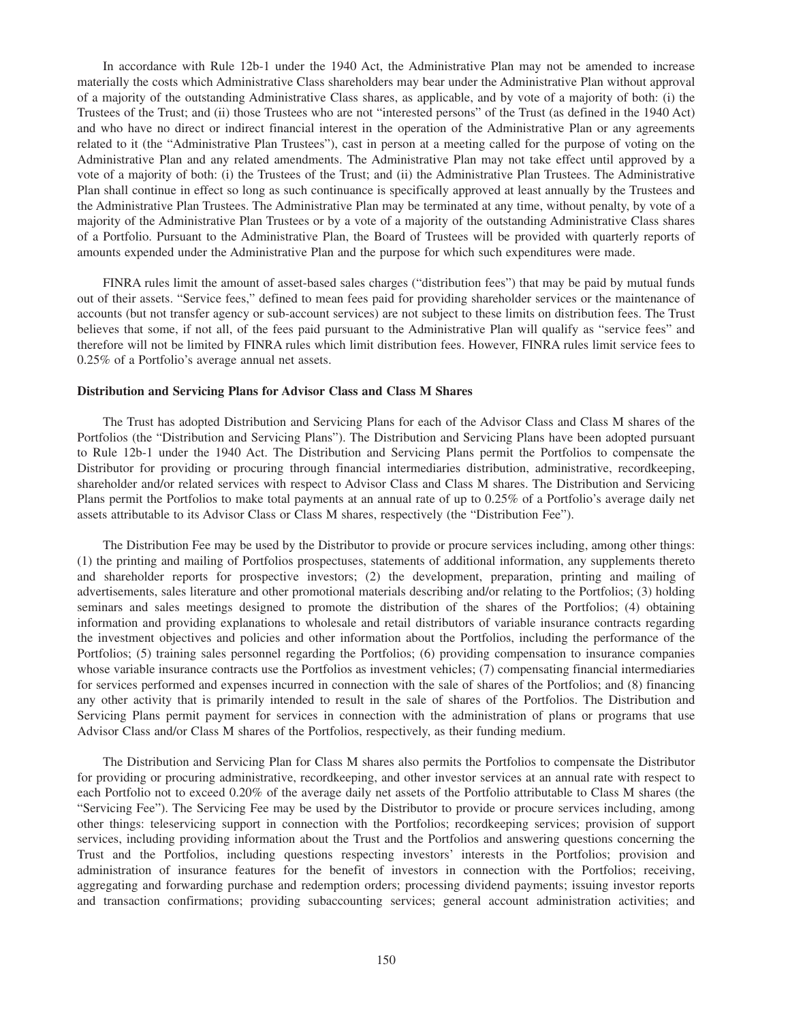In accordance with Rule 12b-1 under the 1940 Act, the Administrative Plan may not be amended to increase materially the costs which Administrative Class shareholders may bear under the Administrative Plan without approval of a majority of the outstanding Administrative Class shares, as applicable, and by vote of a majority of both: (i) the Trustees of the Trust; and (ii) those Trustees who are not "interested persons" of the Trust (as defined in the 1940 Act) and who have no direct or indirect financial interest in the operation of the Administrative Plan or any agreements related to it (the "Administrative Plan Trustees"), cast in person at a meeting called for the purpose of voting on the Administrative Plan and any related amendments. The Administrative Plan may not take effect until approved by a vote of a majority of both: (i) the Trustees of the Trust; and (ii) the Administrative Plan Trustees. The Administrative Plan shall continue in effect so long as such continuance is specifically approved at least annually by the Trustees and the Administrative Plan Trustees. The Administrative Plan may be terminated at any time, without penalty, by vote of a majority of the Administrative Plan Trustees or by a vote of a majority of the outstanding Administrative Class shares of a Portfolio. Pursuant to the Administrative Plan, the Board of Trustees will be provided with quarterly reports of amounts expended under the Administrative Plan and the purpose for which such expenditures were made.

FINRA rules limit the amount of asset-based sales charges ("distribution fees") that may be paid by mutual funds out of their assets. "Service fees," defined to mean fees paid for providing shareholder services or the maintenance of accounts (but not transfer agency or sub-account services) are not subject to these limits on distribution fees. The Trust believes that some, if not all, of the fees paid pursuant to the Administrative Plan will qualify as "service fees" and therefore will not be limited by FINRA rules which limit distribution fees. However, FINRA rules limit service fees to 0.25% of a Portfolio's average annual net assets.

## **Distribution and Servicing Plans for Advisor Class and Class M Shares**

The Trust has adopted Distribution and Servicing Plans for each of the Advisor Class and Class M shares of the Portfolios (the "Distribution and Servicing Plans"). The Distribution and Servicing Plans have been adopted pursuant to Rule 12b-1 under the 1940 Act. The Distribution and Servicing Plans permit the Portfolios to compensate the Distributor for providing or procuring through financial intermediaries distribution, administrative, recordkeeping, shareholder and/or related services with respect to Advisor Class and Class M shares. The Distribution and Servicing Plans permit the Portfolios to make total payments at an annual rate of up to 0.25% of a Portfolio's average daily net assets attributable to its Advisor Class or Class M shares, respectively (the "Distribution Fee").

The Distribution Fee may be used by the Distributor to provide or procure services including, among other things: (1) the printing and mailing of Portfolios prospectuses, statements of additional information, any supplements thereto and shareholder reports for prospective investors; (2) the development, preparation, printing and mailing of advertisements, sales literature and other promotional materials describing and/or relating to the Portfolios; (3) holding seminars and sales meetings designed to promote the distribution of the shares of the Portfolios; (4) obtaining information and providing explanations to wholesale and retail distributors of variable insurance contracts regarding the investment objectives and policies and other information about the Portfolios, including the performance of the Portfolios; (5) training sales personnel regarding the Portfolios; (6) providing compensation to insurance companies whose variable insurance contracts use the Portfolios as investment vehicles; (7) compensating financial intermediaries for services performed and expenses incurred in connection with the sale of shares of the Portfolios; and (8) financing any other activity that is primarily intended to result in the sale of shares of the Portfolios. The Distribution and Servicing Plans permit payment for services in connection with the administration of plans or programs that use Advisor Class and/or Class M shares of the Portfolios, respectively, as their funding medium.

The Distribution and Servicing Plan for Class M shares also permits the Portfolios to compensate the Distributor for providing or procuring administrative, recordkeeping, and other investor services at an annual rate with respect to each Portfolio not to exceed 0.20% of the average daily net assets of the Portfolio attributable to Class M shares (the "Servicing Fee"). The Servicing Fee may be used by the Distributor to provide or procure services including, among other things: teleservicing support in connection with the Portfolios; recordkeeping services; provision of support services, including providing information about the Trust and the Portfolios and answering questions concerning the Trust and the Portfolios, including questions respecting investors' interests in the Portfolios; provision and administration of insurance features for the benefit of investors in connection with the Portfolios; receiving, aggregating and forwarding purchase and redemption orders; processing dividend payments; issuing investor reports and transaction confirmations; providing subaccounting services; general account administration activities; and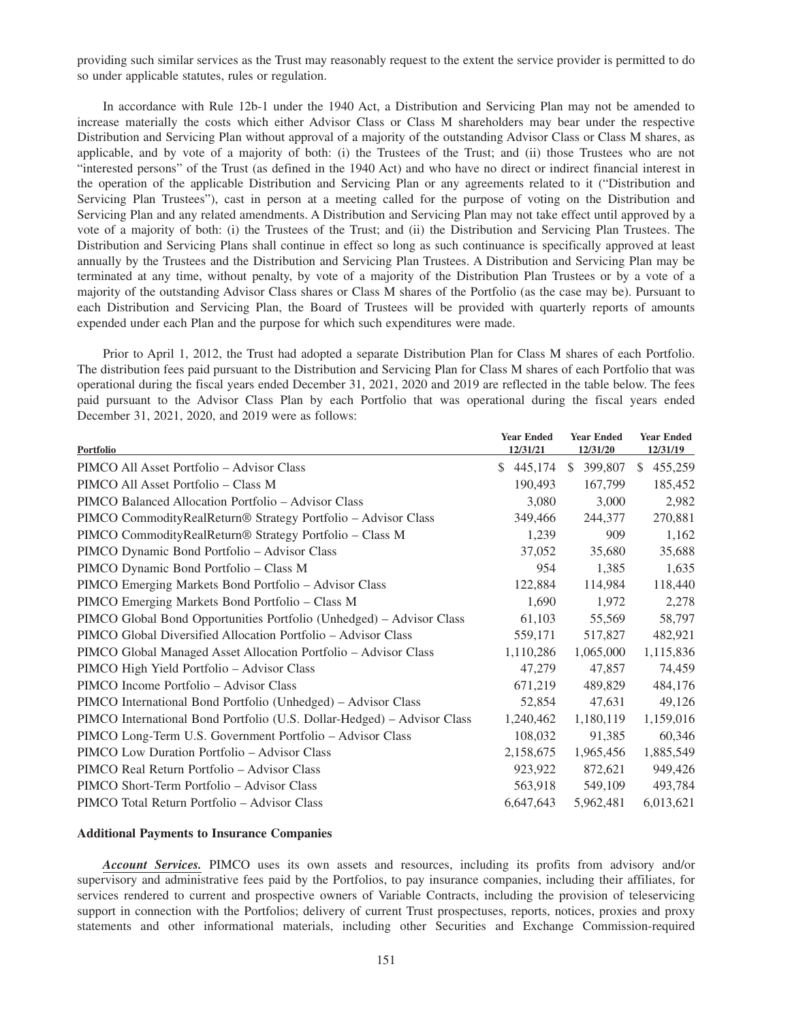providing such similar services as the Trust may reasonably request to the extent the service provider is permitted to do so under applicable statutes, rules or regulation.

In accordance with Rule 12b-1 under the 1940 Act, a Distribution and Servicing Plan may not be amended to increase materially the costs which either Advisor Class or Class M shareholders may bear under the respective Distribution and Servicing Plan without approval of a majority of the outstanding Advisor Class or Class M shares, as applicable, and by vote of a majority of both: (i) the Trustees of the Trust; and (ii) those Trustees who are not "interested persons" of the Trust (as defined in the 1940 Act) and who have no direct or indirect financial interest in the operation of the applicable Distribution and Servicing Plan or any agreements related to it ("Distribution and Servicing Plan Trustees"), cast in person at a meeting called for the purpose of voting on the Distribution and Servicing Plan and any related amendments. A Distribution and Servicing Plan may not take effect until approved by a vote of a majority of both: (i) the Trustees of the Trust; and (ii) the Distribution and Servicing Plan Trustees. The Distribution and Servicing Plans shall continue in effect so long as such continuance is specifically approved at least annually by the Trustees and the Distribution and Servicing Plan Trustees. A Distribution and Servicing Plan may be terminated at any time, without penalty, by vote of a majority of the Distribution Plan Trustees or by a vote of a majority of the outstanding Advisor Class shares or Class M shares of the Portfolio (as the case may be). Pursuant to each Distribution and Servicing Plan, the Board of Trustees will be provided with quarterly reports of amounts expended under each Plan and the purpose for which such expenditures were made.

Prior to April 1, 2012, the Trust had adopted a separate Distribution Plan for Class M shares of each Portfolio. The distribution fees paid pursuant to the Distribution and Servicing Plan for Class M shares of each Portfolio that was operational during the fiscal years ended December 31, 2021, 2020 and 2019 are reflected in the table below. The fees paid pursuant to the Advisor Class Plan by each Portfolio that was operational during the fiscal years ended December 31, 2021, 2020, and 2019 were as follows:

| Portfolio                                                               | <b>Year Ended</b><br>12/31/21 | <b>Year Ended</b><br>12/31/20 | <b>Year Ended</b><br>12/31/19 |
|-------------------------------------------------------------------------|-------------------------------|-------------------------------|-------------------------------|
| PIMCO All Asset Portfolio - Advisor Class                               | \$445,174                     | 399,807<br><sup>\$</sup>      | 455,259<br>S.                 |
| PIMCO All Asset Portfolio – Class M                                     | 190,493                       | 167,799                       | 185,452                       |
| PIMCO Balanced Allocation Portfolio – Advisor Class                     | 3,080                         | 3,000                         | 2,982                         |
| PIMCO CommodityRealReturn® Strategy Portfolio - Advisor Class           | 349,466                       | 244,377                       | 270,881                       |
| PIMCO CommodityRealReturn® Strategy Portfolio - Class M                 | 1,239                         | 909                           | 1,162                         |
| PIMCO Dynamic Bond Portfolio - Advisor Class                            | 37,052                        | 35,680                        | 35,688                        |
| PIMCO Dynamic Bond Portfolio - Class M                                  | 954                           | 1,385                         | 1,635                         |
| PIMCO Emerging Markets Bond Portfolio - Advisor Class                   | 122,884                       | 114,984                       | 118,440                       |
| PIMCO Emerging Markets Bond Portfolio - Class M                         | 1,690                         | 1,972                         | 2,278                         |
| PIMCO Global Bond Opportunities Portfolio (Unhedged) – Advisor Class    | 61,103                        | 55,569                        | 58,797                        |
| PIMCO Global Diversified Allocation Portfolio – Advisor Class           | 559,171                       | 517,827                       | 482,921                       |
| PIMCO Global Managed Asset Allocation Portfolio - Advisor Class         | 1,110,286                     | 1,065,000                     | 1,115,836                     |
| PIMCO High Yield Portfolio - Advisor Class                              | 47,279                        | 47,857                        | 74,459                        |
| PIMCO Income Portfolio – Advisor Class                                  | 671,219                       | 489,829                       | 484,176                       |
| PIMCO International Bond Portfolio (Unhedged) - Advisor Class           | 52,854                        | 47,631                        | 49,126                        |
| PIMCO International Bond Portfolio (U.S. Dollar-Hedged) - Advisor Class | 1,240,462                     | 1,180,119                     | 1,159,016                     |
| PIMCO Long-Term U.S. Government Portfolio - Advisor Class               | 108,032                       | 91,385                        | 60,346                        |
| PIMCO Low Duration Portfolio - Advisor Class                            | 2,158,675                     | 1,965,456                     | 1,885,549                     |
| PIMCO Real Return Portfolio - Advisor Class                             | 923,922                       | 872,621                       | 949,426                       |
| PIMCO Short-Term Portfolio – Advisor Class                              | 563,918                       | 549,109                       | 493,784                       |
| PIMCO Total Return Portfolio – Advisor Class                            | 6,647,643                     | 5,962,481                     | 6,013,621                     |

#### **Additional Payments to Insurance Companies**

*Account Services.* PIMCO uses its own assets and resources, including its profits from advisory and/or supervisory and administrative fees paid by the Portfolios, to pay insurance companies, including their affiliates, for services rendered to current and prospective owners of Variable Contracts, including the provision of teleservicing support in connection with the Portfolios; delivery of current Trust prospectuses, reports, notices, proxies and proxy statements and other informational materials, including other Securities and Exchange Commission-required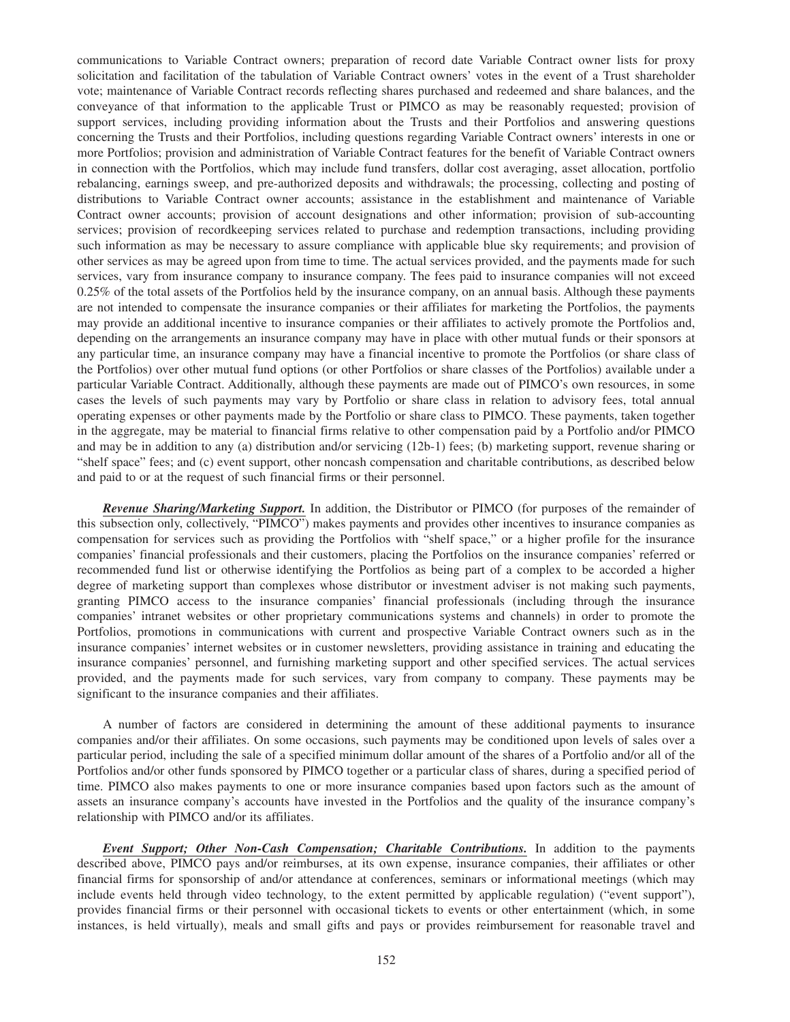communications to Variable Contract owners; preparation of record date Variable Contract owner lists for proxy solicitation and facilitation of the tabulation of Variable Contract owners' votes in the event of a Trust shareholder vote; maintenance of Variable Contract records reflecting shares purchased and redeemed and share balances, and the conveyance of that information to the applicable Trust or PIMCO as may be reasonably requested; provision of support services, including providing information about the Trusts and their Portfolios and answering questions concerning the Trusts and their Portfolios, including questions regarding Variable Contract owners' interests in one or more Portfolios; provision and administration of Variable Contract features for the benefit of Variable Contract owners in connection with the Portfolios, which may include fund transfers, dollar cost averaging, asset allocation, portfolio rebalancing, earnings sweep, and pre-authorized deposits and withdrawals; the processing, collecting and posting of distributions to Variable Contract owner accounts; assistance in the establishment and maintenance of Variable Contract owner accounts; provision of account designations and other information; provision of sub-accounting services; provision of recordkeeping services related to purchase and redemption transactions, including providing such information as may be necessary to assure compliance with applicable blue sky requirements; and provision of other services as may be agreed upon from time to time. The actual services provided, and the payments made for such services, vary from insurance company to insurance company. The fees paid to insurance companies will not exceed 0.25% of the total assets of the Portfolios held by the insurance company, on an annual basis. Although these payments are not intended to compensate the insurance companies or their affiliates for marketing the Portfolios, the payments may provide an additional incentive to insurance companies or their affiliates to actively promote the Portfolios and, depending on the arrangements an insurance company may have in place with other mutual funds or their sponsors at any particular time, an insurance company may have a financial incentive to promote the Portfolios (or share class of the Portfolios) over other mutual fund options (or other Portfolios or share classes of the Portfolios) available under a particular Variable Contract. Additionally, although these payments are made out of PIMCO's own resources, in some cases the levels of such payments may vary by Portfolio or share class in relation to advisory fees, total annual operating expenses or other payments made by the Portfolio or share class to PIMCO. These payments, taken together in the aggregate, may be material to financial firms relative to other compensation paid by a Portfolio and/or PIMCO and may be in addition to any (a) distribution and/or servicing (12b-1) fees; (b) marketing support, revenue sharing or "shelf space" fees; and (c) event support, other noncash compensation and charitable contributions, as described below and paid to or at the request of such financial firms or their personnel.

*Revenue Sharing/Marketing Support.* In addition, the Distributor or PIMCO (for purposes of the remainder of this subsection only, collectively, "PIMCO") makes payments and provides other incentives to insurance companies as compensation for services such as providing the Portfolios with "shelf space," or a higher profile for the insurance companies' financial professionals and their customers, placing the Portfolios on the insurance companies' referred or recommended fund list or otherwise identifying the Portfolios as being part of a complex to be accorded a higher degree of marketing support than complexes whose distributor or investment adviser is not making such payments, granting PIMCO access to the insurance companies' financial professionals (including through the insurance companies' intranet websites or other proprietary communications systems and channels) in order to promote the Portfolios, promotions in communications with current and prospective Variable Contract owners such as in the insurance companies' internet websites or in customer newsletters, providing assistance in training and educating the insurance companies' personnel, and furnishing marketing support and other specified services. The actual services provided, and the payments made for such services, vary from company to company. These payments may be significant to the insurance companies and their affiliates.

A number of factors are considered in determining the amount of these additional payments to insurance companies and/or their affiliates. On some occasions, such payments may be conditioned upon levels of sales over a particular period, including the sale of a specified minimum dollar amount of the shares of a Portfolio and/or all of the Portfolios and/or other funds sponsored by PIMCO together or a particular class of shares, during a specified period of time. PIMCO also makes payments to one or more insurance companies based upon factors such as the amount of assets an insurance company's accounts have invested in the Portfolios and the quality of the insurance company's relationship with PIMCO and/or its affiliates.

*Event Support; Other Non-Cash Compensation; Charitable Contributions.* In addition to the payments described above, PIMCO pays and/or reimburses, at its own expense, insurance companies, their affiliates or other financial firms for sponsorship of and/or attendance at conferences, seminars or informational meetings (which may include events held through video technology, to the extent permitted by applicable regulation) ("event support"), provides financial firms or their personnel with occasional tickets to events or other entertainment (which, in some instances, is held virtually), meals and small gifts and pays or provides reimbursement for reasonable travel and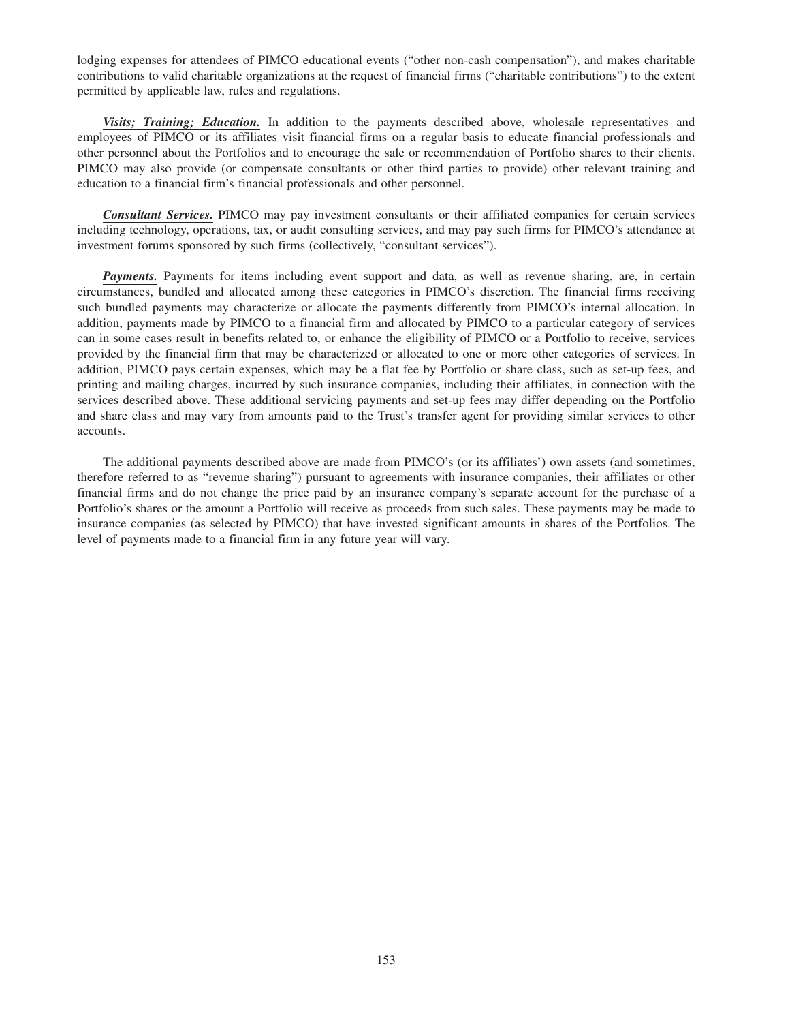lodging expenses for attendees of PIMCO educational events ("other non-cash compensation"), and makes charitable contributions to valid charitable organizations at the request of financial firms ("charitable contributions") to the extent permitted by applicable law, rules and regulations.

*Visits; Training; Education.* In addition to the payments described above, wholesale representatives and employees of PIMCO or its affiliates visit financial firms on a regular basis to educate financial professionals and other personnel about the Portfolios and to encourage the sale or recommendation of Portfolio shares to their clients. PIMCO may also provide (or compensate consultants or other third parties to provide) other relevant training and education to a financial firm's financial professionals and other personnel.

*Consultant Services.* PIMCO may pay investment consultants or their affiliated companies for certain services including technology, operations, tax, or audit consulting services, and may pay such firms for PIMCO's attendance at investment forums sponsored by such firms (collectively, "consultant services").

**Payments.** Payments for items including event support and data, as well as revenue sharing, are, in certain circumstances, bundled and allocated among these categories in PIMCO's discretion. The financial firms receiving such bundled payments may characterize or allocate the payments differently from PIMCO's internal allocation. In addition, payments made by PIMCO to a financial firm and allocated by PIMCO to a particular category of services can in some cases result in benefits related to, or enhance the eligibility of PIMCO or a Portfolio to receive, services provided by the financial firm that may be characterized or allocated to one or more other categories of services. In addition, PIMCO pays certain expenses, which may be a flat fee by Portfolio or share class, such as set-up fees, and printing and mailing charges, incurred by such insurance companies, including their affiliates, in connection with the services described above. These additional servicing payments and set-up fees may differ depending on the Portfolio and share class and may vary from amounts paid to the Trust's transfer agent for providing similar services to other accounts.

The additional payments described above are made from PIMCO's (or its affiliates') own assets (and sometimes, therefore referred to as "revenue sharing") pursuant to agreements with insurance companies, their affiliates or other financial firms and do not change the price paid by an insurance company's separate account for the purchase of a Portfolio's shares or the amount a Portfolio will receive as proceeds from such sales. These payments may be made to insurance companies (as selected by PIMCO) that have invested significant amounts in shares of the Portfolios. The level of payments made to a financial firm in any future year will vary.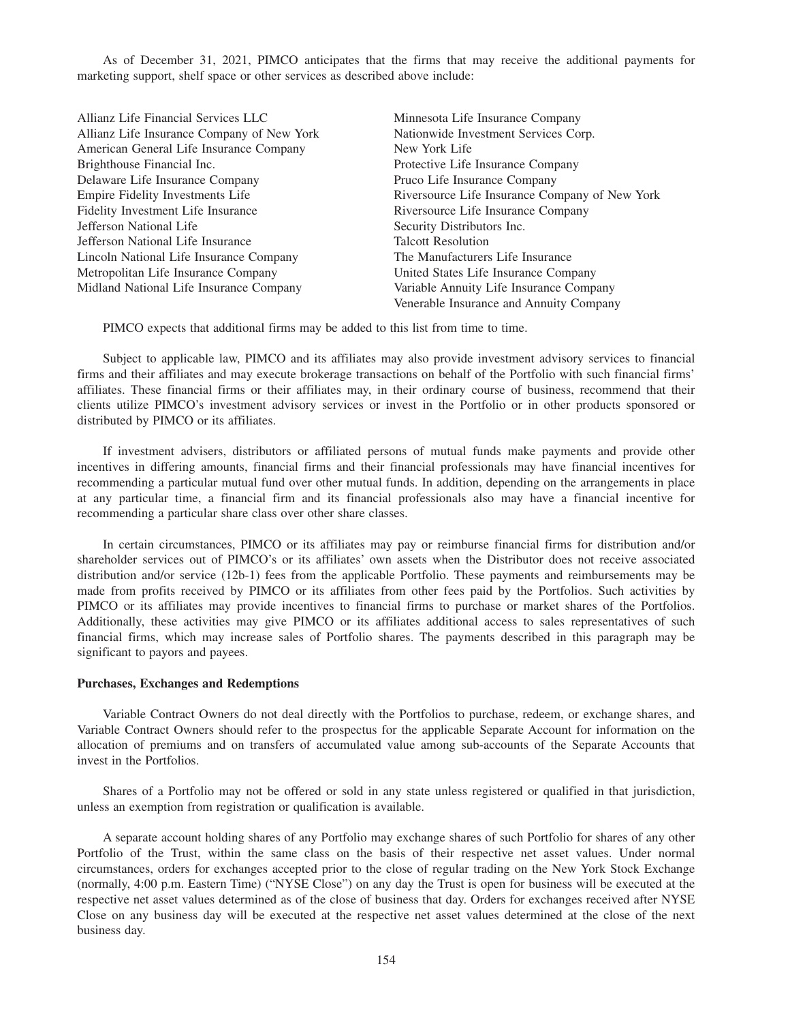As of December 31, 2021, PIMCO anticipates that the firms that may receive the additional payments for marketing support, shelf space or other services as described above include:

| Allianz Life Financial Services LLC        | Minnesota Life Insurance Company               |
|--------------------------------------------|------------------------------------------------|
| Allianz Life Insurance Company of New York | Nationwide Investment Services Corp.           |
| American General Life Insurance Company    | New York Life                                  |
| Brighthouse Financial Inc.                 | Protective Life Insurance Company              |
| Delaware Life Insurance Company            | Pruco Life Insurance Company                   |
| Empire Fidelity Investments Life           | Riversource Life Insurance Company of New York |
| Fidelity Investment Life Insurance         | Riversource Life Insurance Company             |
| Jefferson National Life                    | Security Distributors Inc.                     |
| Jefferson National Life Insurance          | <b>Talcott Resolution</b>                      |
| Lincoln National Life Insurance Company    | The Manufacturers Life Insurance               |
| Metropolitan Life Insurance Company        | United States Life Insurance Company           |
| Midland National Life Insurance Company    | Variable Annuity Life Insurance Company        |
|                                            | Venerable Insurance and Annuity Company        |

PIMCO expects that additional firms may be added to this list from time to time.

Subject to applicable law, PIMCO and its affiliates may also provide investment advisory services to financial firms and their affiliates and may execute brokerage transactions on behalf of the Portfolio with such financial firms' affiliates. These financial firms or their affiliates may, in their ordinary course of business, recommend that their clients utilize PIMCO's investment advisory services or invest in the Portfolio or in other products sponsored or distributed by PIMCO or its affiliates.

If investment advisers, distributors or affiliated persons of mutual funds make payments and provide other incentives in differing amounts, financial firms and their financial professionals may have financial incentives for recommending a particular mutual fund over other mutual funds. In addition, depending on the arrangements in place at any particular time, a financial firm and its financial professionals also may have a financial incentive for recommending a particular share class over other share classes.

In certain circumstances, PIMCO or its affiliates may pay or reimburse financial firms for distribution and/or shareholder services out of PIMCO's or its affiliates' own assets when the Distributor does not receive associated distribution and/or service (12b-1) fees from the applicable Portfolio. These payments and reimbursements may be made from profits received by PIMCO or its affiliates from other fees paid by the Portfolios. Such activities by PIMCO or its affiliates may provide incentives to financial firms to purchase or market shares of the Portfolios. Additionally, these activities may give PIMCO or its affiliates additional access to sales representatives of such financial firms, which may increase sales of Portfolio shares. The payments described in this paragraph may be significant to payors and payees.

## **Purchases, Exchanges and Redemptions**

Variable Contract Owners do not deal directly with the Portfolios to purchase, redeem, or exchange shares, and Variable Contract Owners should refer to the prospectus for the applicable Separate Account for information on the allocation of premiums and on transfers of accumulated value among sub-accounts of the Separate Accounts that invest in the Portfolios.

Shares of a Portfolio may not be offered or sold in any state unless registered or qualified in that jurisdiction, unless an exemption from registration or qualification is available.

A separate account holding shares of any Portfolio may exchange shares of such Portfolio for shares of any other Portfolio of the Trust, within the same class on the basis of their respective net asset values. Under normal circumstances, orders for exchanges accepted prior to the close of regular trading on the New York Stock Exchange (normally, 4:00 p.m. Eastern Time) ("NYSE Close") on any day the Trust is open for business will be executed at the respective net asset values determined as of the close of business that day. Orders for exchanges received after NYSE Close on any business day will be executed at the respective net asset values determined at the close of the next business day.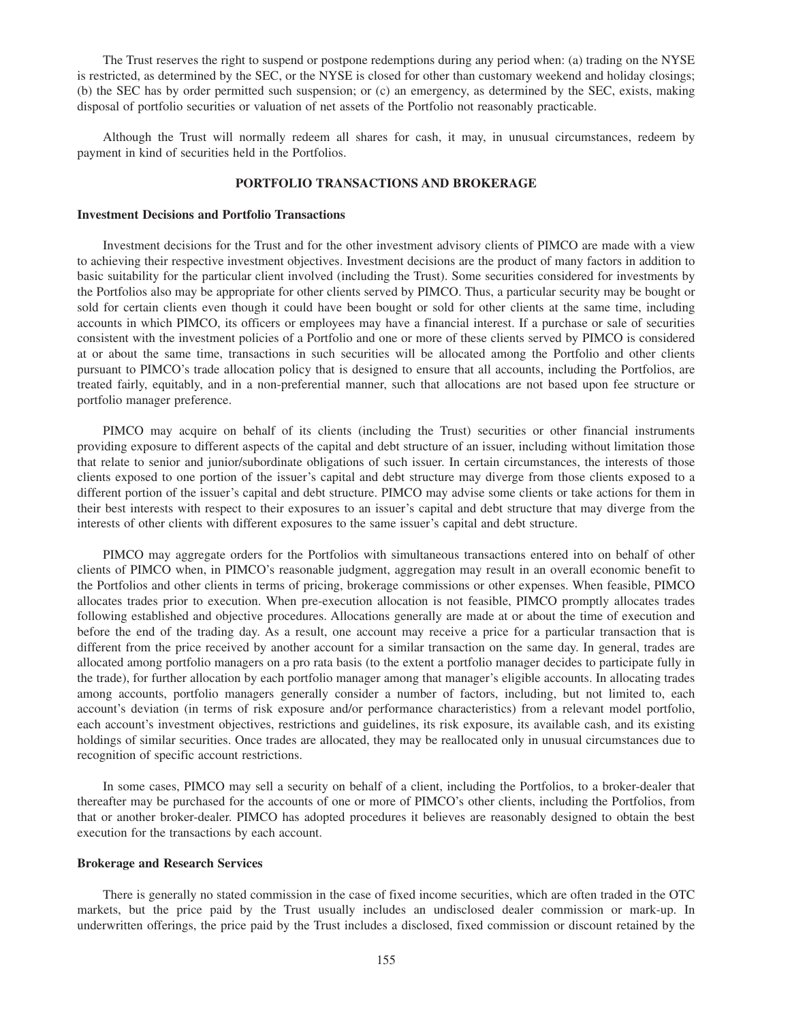The Trust reserves the right to suspend or postpone redemptions during any period when: (a) trading on the NYSE is restricted, as determined by the SEC, or the NYSE is closed for other than customary weekend and holiday closings; (b) the SEC has by order permitted such suspension; or (c) an emergency, as determined by the SEC, exists, making disposal of portfolio securities or valuation of net assets of the Portfolio not reasonably practicable.

Although the Trust will normally redeem all shares for cash, it may, in unusual circumstances, redeem by payment in kind of securities held in the Portfolios.

# **PORTFOLIO TRANSACTIONS AND BROKERAGE**

#### **Investment Decisions and Portfolio Transactions**

Investment decisions for the Trust and for the other investment advisory clients of PIMCO are made with a view to achieving their respective investment objectives. Investment decisions are the product of many factors in addition to basic suitability for the particular client involved (including the Trust). Some securities considered for investments by the Portfolios also may be appropriate for other clients served by PIMCO. Thus, a particular security may be bought or sold for certain clients even though it could have been bought or sold for other clients at the same time, including accounts in which PIMCO, its officers or employees may have a financial interest. If a purchase or sale of securities consistent with the investment policies of a Portfolio and one or more of these clients served by PIMCO is considered at or about the same time, transactions in such securities will be allocated among the Portfolio and other clients pursuant to PIMCO's trade allocation policy that is designed to ensure that all accounts, including the Portfolios, are treated fairly, equitably, and in a non-preferential manner, such that allocations are not based upon fee structure or portfolio manager preference.

PIMCO may acquire on behalf of its clients (including the Trust) securities or other financial instruments providing exposure to different aspects of the capital and debt structure of an issuer, including without limitation those that relate to senior and junior/subordinate obligations of such issuer. In certain circumstances, the interests of those clients exposed to one portion of the issuer's capital and debt structure may diverge from those clients exposed to a different portion of the issuer's capital and debt structure. PIMCO may advise some clients or take actions for them in their best interests with respect to their exposures to an issuer's capital and debt structure that may diverge from the interests of other clients with different exposures to the same issuer's capital and debt structure.

PIMCO may aggregate orders for the Portfolios with simultaneous transactions entered into on behalf of other clients of PIMCO when, in PIMCO's reasonable judgment, aggregation may result in an overall economic benefit to the Portfolios and other clients in terms of pricing, brokerage commissions or other expenses. When feasible, PIMCO allocates trades prior to execution. When pre-execution allocation is not feasible, PIMCO promptly allocates trades following established and objective procedures. Allocations generally are made at or about the time of execution and before the end of the trading day. As a result, one account may receive a price for a particular transaction that is different from the price received by another account for a similar transaction on the same day. In general, trades are allocated among portfolio managers on a pro rata basis (to the extent a portfolio manager decides to participate fully in the trade), for further allocation by each portfolio manager among that manager's eligible accounts. In allocating trades among accounts, portfolio managers generally consider a number of factors, including, but not limited to, each account's deviation (in terms of risk exposure and/or performance characteristics) from a relevant model portfolio, each account's investment objectives, restrictions and guidelines, its risk exposure, its available cash, and its existing holdings of similar securities. Once trades are allocated, they may be reallocated only in unusual circumstances due to recognition of specific account restrictions.

In some cases, PIMCO may sell a security on behalf of a client, including the Portfolios, to a broker-dealer that thereafter may be purchased for the accounts of one or more of PIMCO's other clients, including the Portfolios, from that or another broker-dealer. PIMCO has adopted procedures it believes are reasonably designed to obtain the best execution for the transactions by each account.

#### **Brokerage and Research Services**

There is generally no stated commission in the case of fixed income securities, which are often traded in the OTC markets, but the price paid by the Trust usually includes an undisclosed dealer commission or mark-up. In underwritten offerings, the price paid by the Trust includes a disclosed, fixed commission or discount retained by the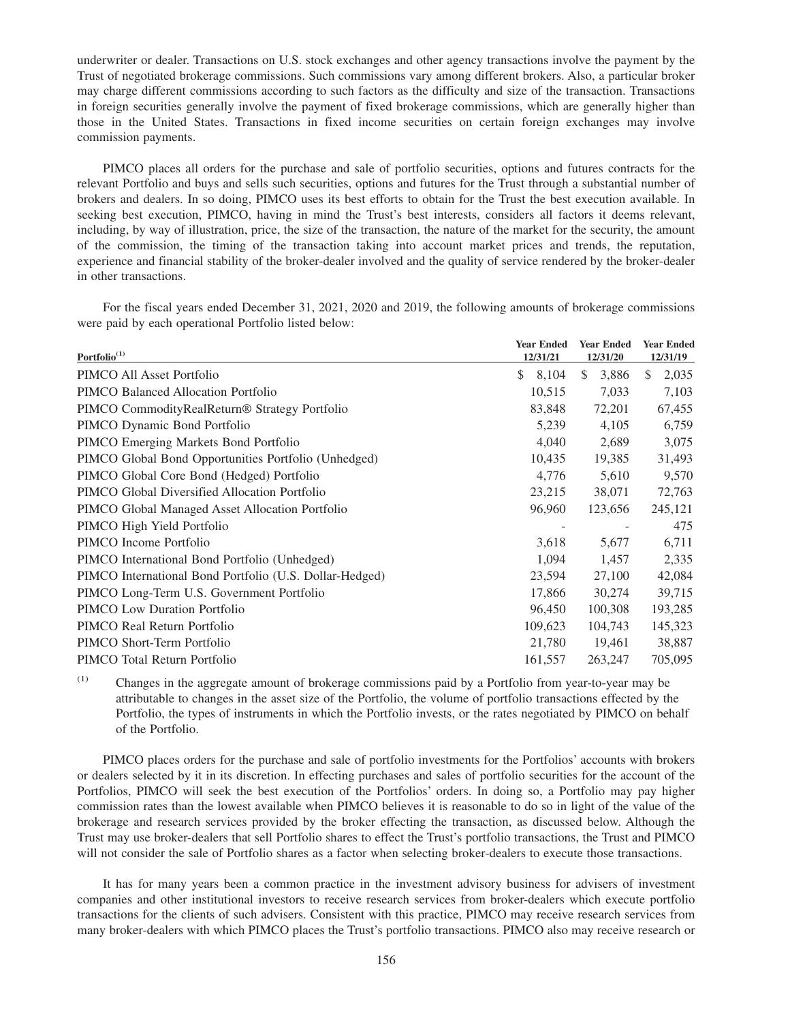underwriter or dealer. Transactions on U.S. stock exchanges and other agency transactions involve the payment by the Trust of negotiated brokerage commissions. Such commissions vary among different brokers. Also, a particular broker may charge different commissions according to such factors as the difficulty and size of the transaction. Transactions in foreign securities generally involve the payment of fixed brokerage commissions, which are generally higher than those in the United States. Transactions in fixed income securities on certain foreign exchanges may involve commission payments.

PIMCO places all orders for the purchase and sale of portfolio securities, options and futures contracts for the relevant Portfolio and buys and sells such securities, options and futures for the Trust through a substantial number of brokers and dealers. In so doing, PIMCO uses its best efforts to obtain for the Trust the best execution available. In seeking best execution, PIMCO, having in mind the Trust's best interests, considers all factors it deems relevant, including, by way of illustration, price, the size of the transaction, the nature of the market for the security, the amount of the commission, the timing of the transaction taking into account market prices and trends, the reputation, experience and financial stability of the broker-dealer involved and the quality of service rendered by the broker-dealer in other transactions.

For the fiscal years ended December 31, 2021, 2020 and 2019, the following amounts of brokerage commissions were paid by each operational Portfolio listed below:

| Portfolio <sup>(1)</sup>                                | <b>Year Ended</b><br>12/31/21 | <b>Year Ended</b><br>12/31/20 | <b>Year Ended</b><br>12/31/19 |
|---------------------------------------------------------|-------------------------------|-------------------------------|-------------------------------|
| PIMCO All Asset Portfolio                               | \$.<br>8,104                  | <sup>\$</sup><br>3,886        | <sup>\$</sup><br>2,035        |
| PIMCO Balanced Allocation Portfolio                     | 10,515                        | 7,033                         | 7,103                         |
| PIMCO CommodityRealReturn® Strategy Portfolio           | 83,848                        | 72,201                        | 67,455                        |
| PIMCO Dynamic Bond Portfolio                            | 5,239                         | 4,105                         | 6,759                         |
| PIMCO Emerging Markets Bond Portfolio                   | 4,040                         | 2,689                         | 3,075                         |
| PIMCO Global Bond Opportunities Portfolio (Unhedged)    | 10,435                        | 19,385                        | 31,493                        |
| PIMCO Global Core Bond (Hedged) Portfolio               | 4,776                         | 5,610                         | 9,570                         |
| PIMCO Global Diversified Allocation Portfolio           | 23,215                        | 38,071                        | 72,763                        |
| PIMCO Global Managed Asset Allocation Portfolio         | 96,960                        | 123,656                       | 245,121                       |
| PIMCO High Yield Portfolio                              |                               |                               | 475                           |
| PIMCO Income Portfolio                                  | 3,618                         | 5,677                         | 6,711                         |
| PIMCO International Bond Portfolio (Unhedged)           | 1,094                         | 1,457                         | 2,335                         |
| PIMCO International Bond Portfolio (U.S. Dollar-Hedged) | 23,594                        | 27,100                        | 42,084                        |
| PIMCO Long-Term U.S. Government Portfolio               | 17,866                        | 30,274                        | 39,715                        |
| PIMCO Low Duration Portfolio                            | 96,450                        | 100,308                       | 193,285                       |
| PIMCO Real Return Portfolio                             | 109,623                       | 104,743                       | 145,323                       |
| PIMCO Short-Term Portfolio                              | 21,780                        | 19,461                        | 38,887                        |
| PIMCO Total Return Portfolio                            | 161,557                       | 263,247                       | 705,095                       |

(1) Changes in the aggregate amount of brokerage commissions paid by a Portfolio from year-to-year may be attributable to changes in the asset size of the Portfolio, the volume of portfolio transactions effected by the Portfolio, the types of instruments in which the Portfolio invests, or the rates negotiated by PIMCO on behalf of the Portfolio.

PIMCO places orders for the purchase and sale of portfolio investments for the Portfolios' accounts with brokers or dealers selected by it in its discretion. In effecting purchases and sales of portfolio securities for the account of the Portfolios, PIMCO will seek the best execution of the Portfolios' orders. In doing so, a Portfolio may pay higher commission rates than the lowest available when PIMCO believes it is reasonable to do so in light of the value of the brokerage and research services provided by the broker effecting the transaction, as discussed below. Although the Trust may use broker-dealers that sell Portfolio shares to effect the Trust's portfolio transactions, the Trust and PIMCO will not consider the sale of Portfolio shares as a factor when selecting broker-dealers to execute those transactions.

It has for many years been a common practice in the investment advisory business for advisers of investment companies and other institutional investors to receive research services from broker-dealers which execute portfolio transactions for the clients of such advisers. Consistent with this practice, PIMCO may receive research services from many broker-dealers with which PIMCO places the Trust's portfolio transactions. PIMCO also may receive research or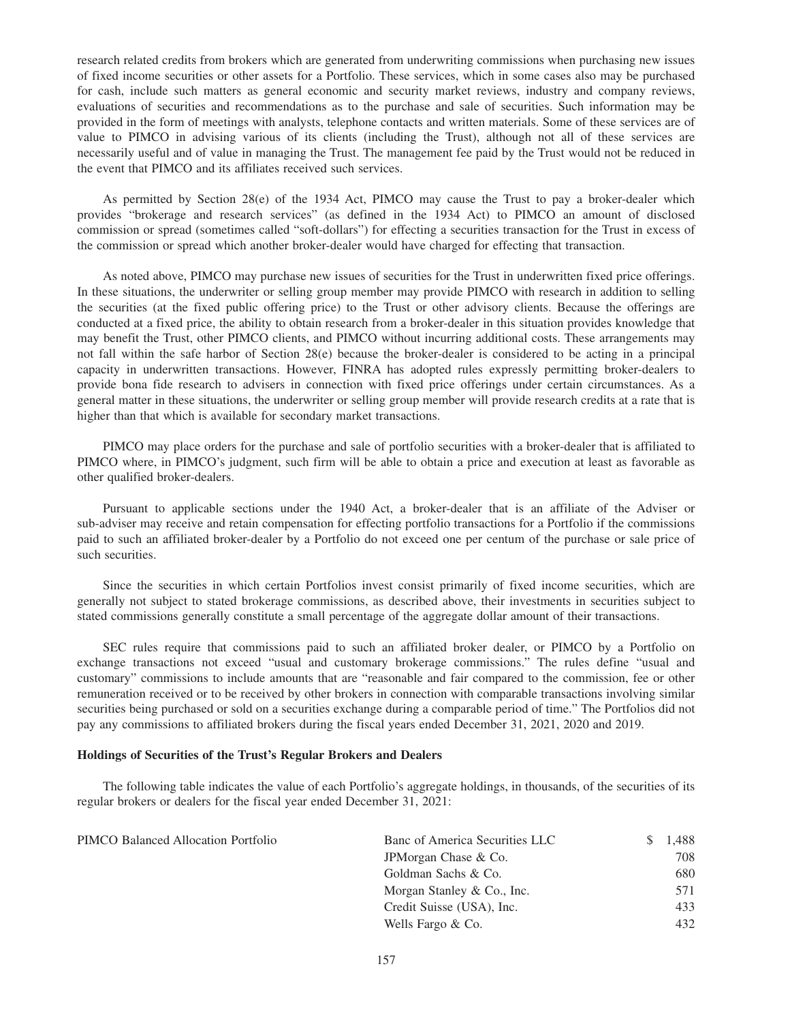research related credits from brokers which are generated from underwriting commissions when purchasing new issues of fixed income securities or other assets for a Portfolio. These services, which in some cases also may be purchased for cash, include such matters as general economic and security market reviews, industry and company reviews, evaluations of securities and recommendations as to the purchase and sale of securities. Such information may be provided in the form of meetings with analysts, telephone contacts and written materials. Some of these services are of value to PIMCO in advising various of its clients (including the Trust), although not all of these services are necessarily useful and of value in managing the Trust. The management fee paid by the Trust would not be reduced in the event that PIMCO and its affiliates received such services.

As permitted by Section 28(e) of the 1934 Act, PIMCO may cause the Trust to pay a broker-dealer which provides "brokerage and research services" (as defined in the 1934 Act) to PIMCO an amount of disclosed commission or spread (sometimes called "soft-dollars") for effecting a securities transaction for the Trust in excess of the commission or spread which another broker-dealer would have charged for effecting that transaction.

As noted above, PIMCO may purchase new issues of securities for the Trust in underwritten fixed price offerings. In these situations, the underwriter or selling group member may provide PIMCO with research in addition to selling the securities (at the fixed public offering price) to the Trust or other advisory clients. Because the offerings are conducted at a fixed price, the ability to obtain research from a broker-dealer in this situation provides knowledge that may benefit the Trust, other PIMCO clients, and PIMCO without incurring additional costs. These arrangements may not fall within the safe harbor of Section 28(e) because the broker-dealer is considered to be acting in a principal capacity in underwritten transactions. However, FINRA has adopted rules expressly permitting broker-dealers to provide bona fide research to advisers in connection with fixed price offerings under certain circumstances. As a general matter in these situations, the underwriter or selling group member will provide research credits at a rate that is higher than that which is available for secondary market transactions.

PIMCO may place orders for the purchase and sale of portfolio securities with a broker-dealer that is affiliated to PIMCO where, in PIMCO's judgment, such firm will be able to obtain a price and execution at least as favorable as other qualified broker-dealers.

Pursuant to applicable sections under the 1940 Act, a broker-dealer that is an affiliate of the Adviser or sub-adviser may receive and retain compensation for effecting portfolio transactions for a Portfolio if the commissions paid to such an affiliated broker-dealer by a Portfolio do not exceed one per centum of the purchase or sale price of such securities.

Since the securities in which certain Portfolios invest consist primarily of fixed income securities, which are generally not subject to stated brokerage commissions, as described above, their investments in securities subject to stated commissions generally constitute a small percentage of the aggregate dollar amount of their transactions.

SEC rules require that commissions paid to such an affiliated broker dealer, or PIMCO by a Portfolio on exchange transactions not exceed "usual and customary brokerage commissions." The rules define "usual and customary" commissions to include amounts that are "reasonable and fair compared to the commission, fee or other remuneration received or to be received by other brokers in connection with comparable transactions involving similar securities being purchased or sold on a securities exchange during a comparable period of time." The Portfolios did not pay any commissions to affiliated brokers during the fiscal years ended December 31, 2021, 2020 and 2019.

#### **Holdings of Securities of the Trust's Regular Brokers and Dealers**

The following table indicates the value of each Portfolio's aggregate holdings, in thousands, of the securities of its regular brokers or dealers for the fiscal year ended December 31, 2021:

| PIMCO Balanced Allocation Portfolio | Banc of America Securities LLC | 1.488 |
|-------------------------------------|--------------------------------|-------|
|                                     | JPM organ Chase & Co.          | 708   |
|                                     | Goldman Sachs & Co.            | 680   |
|                                     | Morgan Stanley & Co., Inc.     | 571   |
|                                     | Credit Suisse (USA), Inc.      | 433   |
|                                     | Wells Fargo & Co.              | 432   |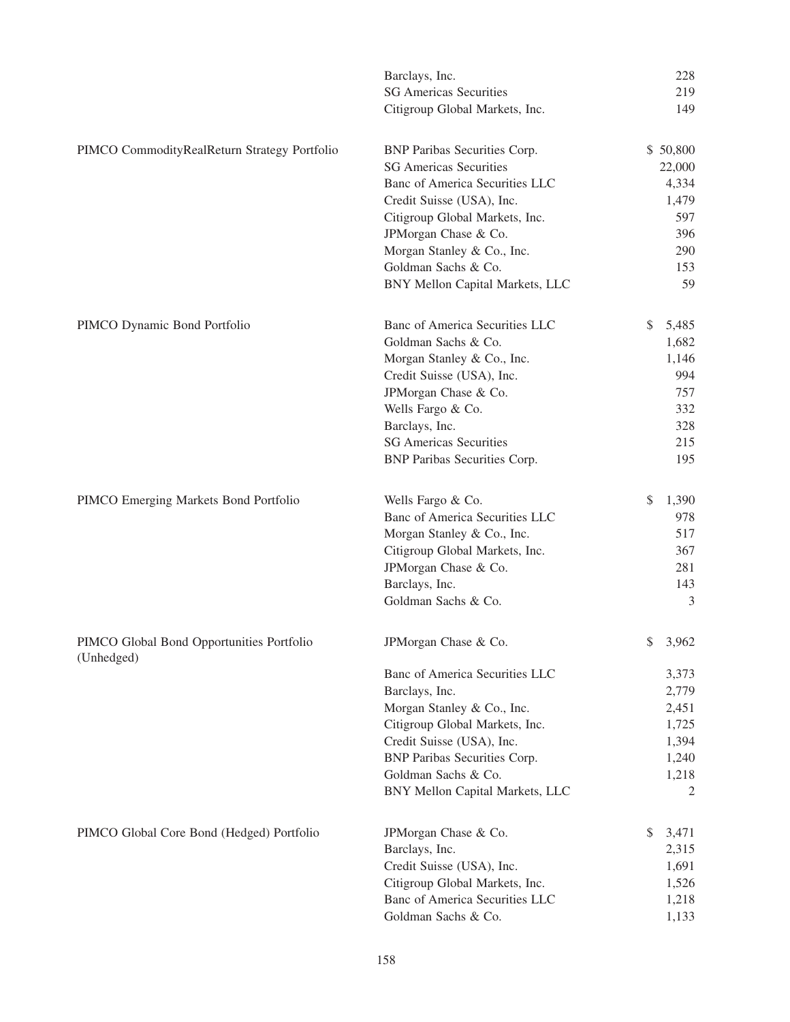|                                                         | Barclays, Inc.                      | 228         |
|---------------------------------------------------------|-------------------------------------|-------------|
|                                                         | <b>SG Americas Securities</b>       | 219         |
|                                                         | Citigroup Global Markets, Inc.      | 149         |
| PIMCO CommodityRealReturn Strategy Portfolio            | BNP Paribas Securities Corp.        | \$50,800    |
|                                                         | <b>SG Americas Securities</b>       | 22,000      |
|                                                         | Banc of America Securities LLC      | 4,334       |
|                                                         | Credit Suisse (USA), Inc.           | 1,479       |
|                                                         | Citigroup Global Markets, Inc.      | 597         |
|                                                         | JPMorgan Chase & Co.                | 396         |
|                                                         | Morgan Stanley & Co., Inc.          | 290         |
|                                                         | Goldman Sachs & Co.                 | 153         |
|                                                         | BNY Mellon Capital Markets, LLC     | 59          |
| PIMCO Dynamic Bond Portfolio                            | Banc of America Securities LLC      | \$<br>5,485 |
|                                                         | Goldman Sachs & Co.                 | 1,682       |
|                                                         | Morgan Stanley & Co., Inc.          | 1,146       |
|                                                         | Credit Suisse (USA), Inc.           | 994         |
|                                                         | JPMorgan Chase & Co.                | 757         |
|                                                         | Wells Fargo & Co.                   | 332         |
|                                                         | Barclays, Inc.                      | 328         |
|                                                         | <b>SG Americas Securities</b>       | 215         |
|                                                         | <b>BNP Paribas Securities Corp.</b> | 195         |
| PIMCO Emerging Markets Bond Portfolio                   | Wells Fargo & Co.                   | \$<br>1,390 |
|                                                         | Banc of America Securities LLC      | 978         |
|                                                         | Morgan Stanley & Co., Inc.          | 517         |
|                                                         | Citigroup Global Markets, Inc.      | 367         |
|                                                         | JPMorgan Chase & Co.                | 281         |
|                                                         | Barclays, Inc.                      | 143         |
|                                                         | Goldman Sachs & Co.                 | 3           |
| PIMCO Global Bond Opportunities Portfolio<br>(Unhedged) | JPMorgan Chase & Co.                | \$3,962     |
|                                                         | Banc of America Securities LLC      | 3,373       |
|                                                         | Barclays, Inc.                      | 2,779       |
|                                                         | Morgan Stanley & Co., Inc.          | 2,451       |
|                                                         | Citigroup Global Markets, Inc.      | 1,725       |
|                                                         | Credit Suisse (USA), Inc.           | 1,394       |
|                                                         | <b>BNP Paribas Securities Corp.</b> | 1,240       |
|                                                         | Goldman Sachs & Co.                 | 1,218       |
|                                                         | BNY Mellon Capital Markets, LLC     | 2           |
| PIMCO Global Core Bond (Hedged) Portfolio               | JPMorgan Chase & Co.                | \$<br>3,471 |
|                                                         | Barclays, Inc.                      | 2,315       |
|                                                         | Credit Suisse (USA), Inc.           | 1,691       |
|                                                         | Citigroup Global Markets, Inc.      | 1,526       |
|                                                         | Banc of America Securities LLC      | 1,218       |
|                                                         | Goldman Sachs & Co.                 | 1,133       |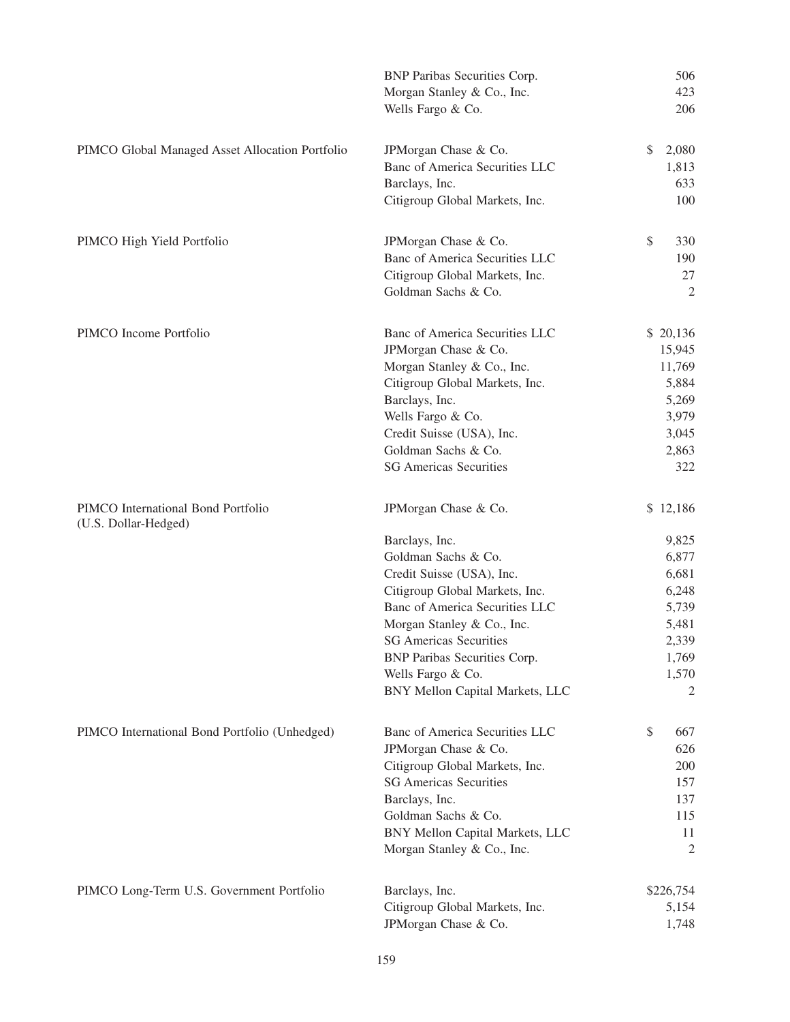|                                                            | <b>BNP Paribas Securities Corp.</b><br>Morgan Stanley & Co., Inc.<br>Wells Fargo & Co.                                                                                                                                                                                                                                       | 506<br>423<br>206                                                                              |
|------------------------------------------------------------|------------------------------------------------------------------------------------------------------------------------------------------------------------------------------------------------------------------------------------------------------------------------------------------------------------------------------|------------------------------------------------------------------------------------------------|
| PIMCO Global Managed Asset Allocation Portfolio            | JPMorgan Chase & Co.<br>Banc of America Securities LLC<br>Barclays, Inc.<br>Citigroup Global Markets, Inc.                                                                                                                                                                                                                   | \$<br>2,080<br>1,813<br>633<br>100                                                             |
| PIMCO High Yield Portfolio                                 | JPMorgan Chase & Co.<br>Banc of America Securities LLC<br>Citigroup Global Markets, Inc.<br>Goldman Sachs & Co.                                                                                                                                                                                                              | \$<br>330<br>190<br>27<br>2                                                                    |
| PIMCO Income Portfolio                                     | Banc of America Securities LLC<br>JPMorgan Chase & Co.<br>Morgan Stanley & Co., Inc.<br>Citigroup Global Markets, Inc.<br>Barclays, Inc.<br>Wells Fargo & Co.<br>Credit Suisse (USA), Inc.<br>Goldman Sachs & Co.<br><b>SG Americas Securities</b>                                                                           | \$20,136<br>15,945<br>11,769<br>5,884<br>5,269<br>3,979<br>3,045<br>2,863<br>322               |
| PIMCO International Bond Portfolio<br>(U.S. Dollar-Hedged) | JPMorgan Chase & Co.<br>Barclays, Inc.<br>Goldman Sachs & Co.<br>Credit Suisse (USA), Inc.<br>Citigroup Global Markets, Inc.<br>Banc of America Securities LLC<br>Morgan Stanley & Co., Inc.<br><b>SG</b> Americas Securities<br><b>BNP Paribas Securities Corp.</b><br>Wells Fargo & Co.<br>BNY Mellon Capital Markets, LLC | \$12,186<br>9,825<br>6,877<br>6,681<br>6,248<br>5,739<br>5,481<br>2,339<br>1,769<br>1,570<br>2 |
| PIMCO International Bond Portfolio (Unhedged)              | Banc of America Securities LLC<br>JPMorgan Chase & Co.<br>Citigroup Global Markets, Inc.<br><b>SG Americas Securities</b><br>Barclays, Inc.<br>Goldman Sachs & Co.<br>BNY Mellon Capital Markets, LLC<br>Morgan Stanley & Co., Inc.                                                                                          | \$<br>667<br>626<br>200<br>157<br>137<br>115<br>11<br>$\overline{2}$                           |
| PIMCO Long-Term U.S. Government Portfolio                  | Barclays, Inc.<br>Citigroup Global Markets, Inc.<br>JPMorgan Chase & Co.                                                                                                                                                                                                                                                     | \$226,754<br>5,154<br>1,748                                                                    |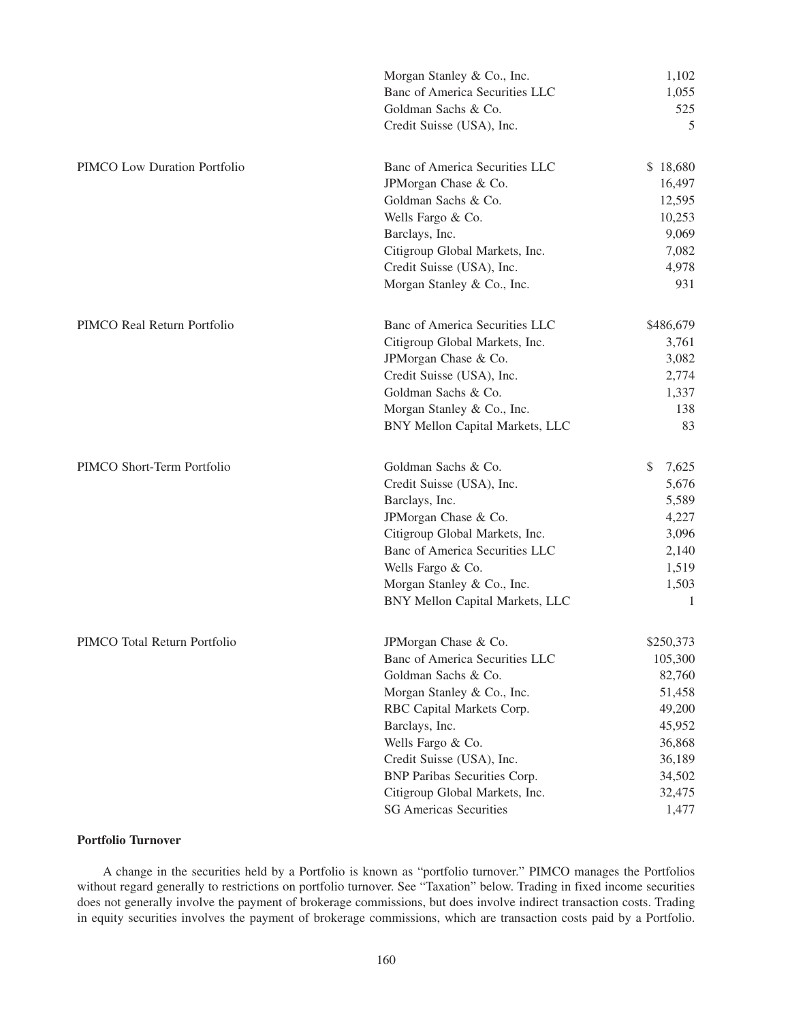|                              | Morgan Stanley & Co., Inc.          | 1,102       |
|------------------------------|-------------------------------------|-------------|
|                              | Banc of America Securities LLC      | 1,055       |
|                              | Goldman Sachs & Co.                 | 525         |
|                              | Credit Suisse (USA), Inc.           | 5           |
| PIMCO Low Duration Portfolio | Banc of America Securities LLC      | \$18,680    |
|                              | JPMorgan Chase & Co.                | 16,497      |
|                              | Goldman Sachs & Co.                 | 12,595      |
|                              | Wells Fargo & Co.                   | 10,253      |
|                              | Barclays, Inc.                      | 9,069       |
|                              | Citigroup Global Markets, Inc.      | 7,082       |
|                              | Credit Suisse (USA), Inc.           | 4,978       |
|                              | Morgan Stanley & Co., Inc.          | 931         |
| PIMCO Real Return Portfolio  | Banc of America Securities LLC      | \$486,679   |
|                              | Citigroup Global Markets, Inc.      | 3,761       |
|                              | JPMorgan Chase & Co.                | 3,082       |
|                              | Credit Suisse (USA), Inc.           | 2,774       |
|                              | Goldman Sachs & Co.                 | 1,337       |
|                              | Morgan Stanley & Co., Inc.          | 138         |
|                              | BNY Mellon Capital Markets, LLC     | 83          |
| PIMCO Short-Term Portfolio   | Goldman Sachs & Co.                 | \$<br>7,625 |
|                              | Credit Suisse (USA), Inc.           | 5,676       |
|                              | Barclays, Inc.                      | 5,589       |
|                              | JPMorgan Chase & Co.                | 4,227       |
|                              | Citigroup Global Markets, Inc.      | 3,096       |
|                              | Banc of America Securities LLC      | 2,140       |
|                              | Wells Fargo & Co.                   | 1,519       |
|                              | Morgan Stanley & Co., Inc.          | 1,503       |
|                              | BNY Mellon Capital Markets, LLC     | 1           |
| PIMCO Total Return Portfolio | JPMorgan Chase & Co.                | \$250,373   |
|                              | Banc of America Securities LLC      | 105,300     |
|                              | Goldman Sachs & Co.                 | 82,760      |
|                              | Morgan Stanley & Co., Inc.          | 51,458      |
|                              | RBC Capital Markets Corp.           | 49,200      |
|                              | Barclays, Inc.                      | 45,952      |
|                              | Wells Fargo & Co.                   | 36,868      |
|                              | Credit Suisse (USA), Inc.           | 36,189      |
|                              | <b>BNP Paribas Securities Corp.</b> | 34,502      |
|                              | Citigroup Global Markets, Inc.      | 32,475      |
|                              | <b>SG Americas Securities</b>       | 1,477       |

# **Portfolio Turnover**

A change in the securities held by a Portfolio is known as "portfolio turnover." PIMCO manages the Portfolios without regard generally to restrictions on portfolio turnover. See "Taxation" below. Trading in fixed income securities does not generally involve the payment of brokerage commissions, but does involve indirect transaction costs. Trading in equity securities involves the payment of brokerage commissions, which are transaction costs paid by a Portfolio.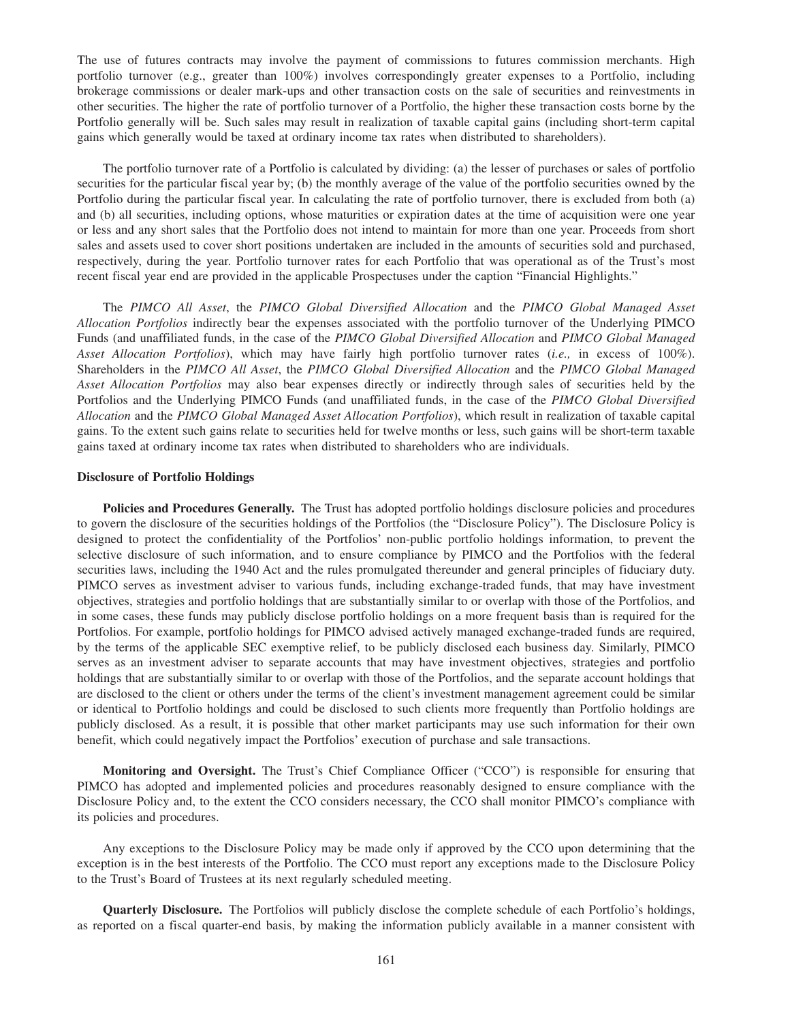The use of futures contracts may involve the payment of commissions to futures commission merchants. High portfolio turnover (e.g., greater than 100%) involves correspondingly greater expenses to a Portfolio, including brokerage commissions or dealer mark-ups and other transaction costs on the sale of securities and reinvestments in other securities. The higher the rate of portfolio turnover of a Portfolio, the higher these transaction costs borne by the Portfolio generally will be. Such sales may result in realization of taxable capital gains (including short-term capital gains which generally would be taxed at ordinary income tax rates when distributed to shareholders).

The portfolio turnover rate of a Portfolio is calculated by dividing: (a) the lesser of purchases or sales of portfolio securities for the particular fiscal year by; (b) the monthly average of the value of the portfolio securities owned by the Portfolio during the particular fiscal year. In calculating the rate of portfolio turnover, there is excluded from both (a) and (b) all securities, including options, whose maturities or expiration dates at the time of acquisition were one year or less and any short sales that the Portfolio does not intend to maintain for more than one year. Proceeds from short sales and assets used to cover short positions undertaken are included in the amounts of securities sold and purchased, respectively, during the year. Portfolio turnover rates for each Portfolio that was operational as of the Trust's most recent fiscal year end are provided in the applicable Prospectuses under the caption "Financial Highlights."

The *PIMCO All Asset*, the *PIMCO Global Diversified Allocation* and the *PIMCO Global Managed Asset Allocation Portfolios* indirectly bear the expenses associated with the portfolio turnover of the Underlying PIMCO Funds (and unaffiliated funds, in the case of the *PIMCO Global Diversified Allocation* and *PIMCO Global Managed Asset Allocation Portfolios*), which may have fairly high portfolio turnover rates (*i.e.,* in excess of 100%). Shareholders in the *PIMCO All Asset*, the *PIMCO Global Diversified Allocation* and the *PIMCO Global Managed Asset Allocation Portfolios* may also bear expenses directly or indirectly through sales of securities held by the Portfolios and the Underlying PIMCO Funds (and unaffiliated funds, in the case of the *PIMCO Global Diversified Allocation* and the *PIMCO Global Managed Asset Allocation Portfolios*), which result in realization of taxable capital gains. To the extent such gains relate to securities held for twelve months or less, such gains will be short-term taxable gains taxed at ordinary income tax rates when distributed to shareholders who are individuals.

#### **Disclosure of Portfolio Holdings**

**Policies and Procedures Generally.** The Trust has adopted portfolio holdings disclosure policies and procedures to govern the disclosure of the securities holdings of the Portfolios (the "Disclosure Policy"). The Disclosure Policy is designed to protect the confidentiality of the Portfolios' non-public portfolio holdings information, to prevent the selective disclosure of such information, and to ensure compliance by PIMCO and the Portfolios with the federal securities laws, including the 1940 Act and the rules promulgated thereunder and general principles of fiduciary duty. PIMCO serves as investment adviser to various funds, including exchange-traded funds, that may have investment objectives, strategies and portfolio holdings that are substantially similar to or overlap with those of the Portfolios, and in some cases, these funds may publicly disclose portfolio holdings on a more frequent basis than is required for the Portfolios. For example, portfolio holdings for PIMCO advised actively managed exchange-traded funds are required, by the terms of the applicable SEC exemptive relief, to be publicly disclosed each business day. Similarly, PIMCO serves as an investment adviser to separate accounts that may have investment objectives, strategies and portfolio holdings that are substantially similar to or overlap with those of the Portfolios, and the separate account holdings that are disclosed to the client or others under the terms of the client's investment management agreement could be similar or identical to Portfolio holdings and could be disclosed to such clients more frequently than Portfolio holdings are publicly disclosed. As a result, it is possible that other market participants may use such information for their own benefit, which could negatively impact the Portfolios' execution of purchase and sale transactions.

**Monitoring and Oversight.** The Trust's Chief Compliance Officer ("CCO") is responsible for ensuring that PIMCO has adopted and implemented policies and procedures reasonably designed to ensure compliance with the Disclosure Policy and, to the extent the CCO considers necessary, the CCO shall monitor PIMCO's compliance with its policies and procedures.

Any exceptions to the Disclosure Policy may be made only if approved by the CCO upon determining that the exception is in the best interests of the Portfolio. The CCO must report any exceptions made to the Disclosure Policy to the Trust's Board of Trustees at its next regularly scheduled meeting.

**Quarterly Disclosure.** The Portfolios will publicly disclose the complete schedule of each Portfolio's holdings, as reported on a fiscal quarter-end basis, by making the information publicly available in a manner consistent with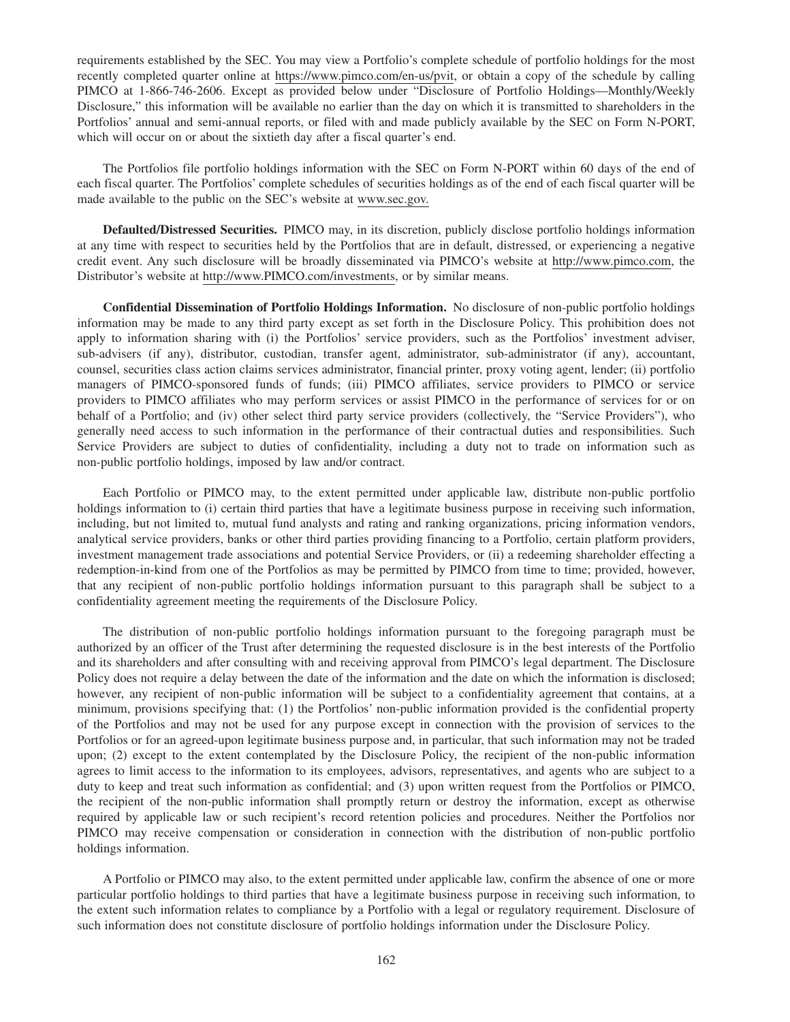requirements established by the SEC. You may view a Portfolio's complete schedule of portfolio holdings for the most recently completed quarter online at https://www.pimco.com/en-us/pvit, or obtain a copy of the schedule by calling PIMCO at 1-866-746-2606. Except as provided below under "Disclosure of Portfolio Holdings—Monthly/Weekly Disclosure," this information will be available no earlier than the day on which it is transmitted to shareholders in the Portfolios' annual and semi-annual reports, or filed with and made publicly available by the SEC on Form N-PORT, which will occur on or about the sixtieth day after a fiscal quarter's end.

The Portfolios file portfolio holdings information with the SEC on Form N-PORT within 60 days of the end of each fiscal quarter. The Portfolios' complete schedules of securities holdings as of the end of each fiscal quarter will be made available to the public on the SEC's website at www.sec.gov.

**Defaulted/Distressed Securities.** PIMCO may, in its discretion, publicly disclose portfolio holdings information at any time with respect to securities held by the Portfolios that are in default, distressed, or experiencing a negative credit event. Any such disclosure will be broadly disseminated via PIMCO's website at http://www.pimco.com, the Distributor's website at http://www.PIMCO.com/investments, or by similar means.

**Confidential Dissemination of Portfolio Holdings Information.** No disclosure of non-public portfolio holdings information may be made to any third party except as set forth in the Disclosure Policy. This prohibition does not apply to information sharing with (i) the Portfolios' service providers, such as the Portfolios' investment adviser, sub-advisers (if any), distributor, custodian, transfer agent, administrator, sub-administrator (if any), accountant, counsel, securities class action claims services administrator, financial printer, proxy voting agent, lender; (ii) portfolio managers of PIMCO-sponsored funds of funds; (iii) PIMCO affiliates, service providers to PIMCO or service providers to PIMCO affiliates who may perform services or assist PIMCO in the performance of services for or on behalf of a Portfolio; and (iv) other select third party service providers (collectively, the "Service Providers"), who generally need access to such information in the performance of their contractual duties and responsibilities. Such Service Providers are subject to duties of confidentiality, including a duty not to trade on information such as non-public portfolio holdings, imposed by law and/or contract.

Each Portfolio or PIMCO may, to the extent permitted under applicable law, distribute non-public portfolio holdings information to (i) certain third parties that have a legitimate business purpose in receiving such information, including, but not limited to, mutual fund analysts and rating and ranking organizations, pricing information vendors, analytical service providers, banks or other third parties providing financing to a Portfolio, certain platform providers, investment management trade associations and potential Service Providers, or (ii) a redeeming shareholder effecting a redemption-in-kind from one of the Portfolios as may be permitted by PIMCO from time to time; provided, however, that any recipient of non-public portfolio holdings information pursuant to this paragraph shall be subject to a confidentiality agreement meeting the requirements of the Disclosure Policy.

The distribution of non-public portfolio holdings information pursuant to the foregoing paragraph must be authorized by an officer of the Trust after determining the requested disclosure is in the best interests of the Portfolio and its shareholders and after consulting with and receiving approval from PIMCO's legal department. The Disclosure Policy does not require a delay between the date of the information and the date on which the information is disclosed; however, any recipient of non-public information will be subject to a confidentiality agreement that contains, at a minimum, provisions specifying that: (1) the Portfolios' non-public information provided is the confidential property of the Portfolios and may not be used for any purpose except in connection with the provision of services to the Portfolios or for an agreed-upon legitimate business purpose and, in particular, that such information may not be traded upon; (2) except to the extent contemplated by the Disclosure Policy, the recipient of the non-public information agrees to limit access to the information to its employees, advisors, representatives, and agents who are subject to a duty to keep and treat such information as confidential; and (3) upon written request from the Portfolios or PIMCO, the recipient of the non-public information shall promptly return or destroy the information, except as otherwise required by applicable law or such recipient's record retention policies and procedures. Neither the Portfolios nor PIMCO may receive compensation or consideration in connection with the distribution of non-public portfolio holdings information.

A Portfolio or PIMCO may also, to the extent permitted under applicable law, confirm the absence of one or more particular portfolio holdings to third parties that have a legitimate business purpose in receiving such information, to the extent such information relates to compliance by a Portfolio with a legal or regulatory requirement. Disclosure of such information does not constitute disclosure of portfolio holdings information under the Disclosure Policy.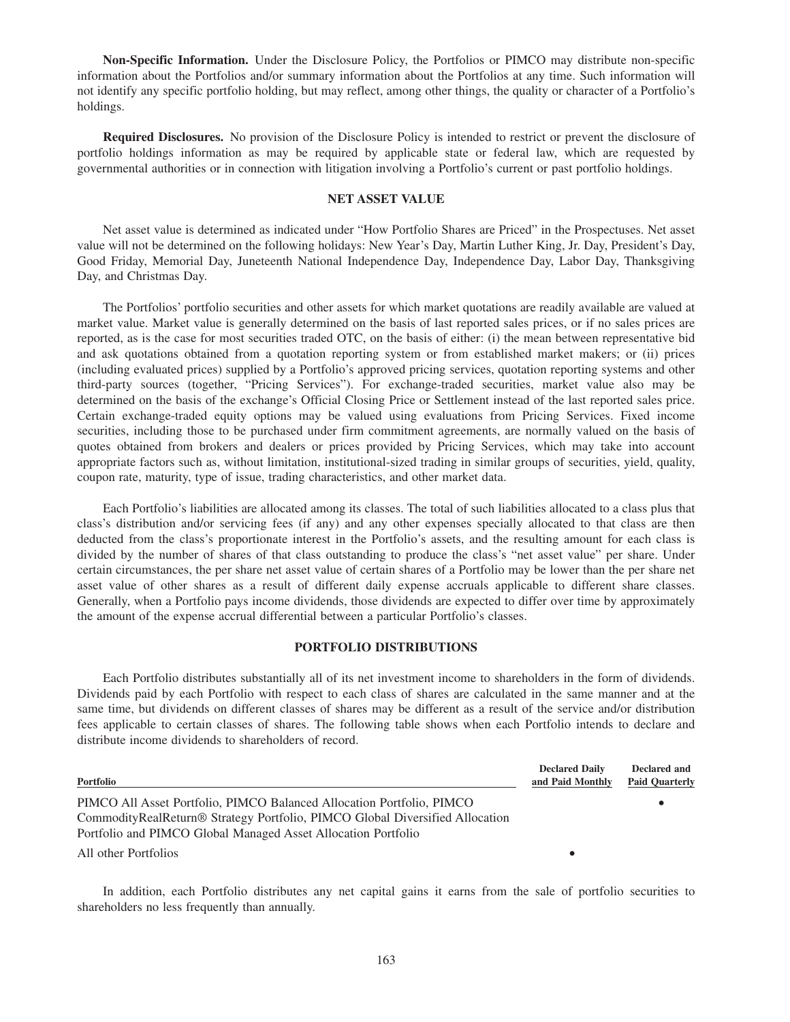**Non-Specific Information.** Under the Disclosure Policy, the Portfolios or PIMCO may distribute non-specific information about the Portfolios and/or summary information about the Portfolios at any time. Such information will not identify any specific portfolio holding, but may reflect, among other things, the quality or character of a Portfolio's holdings.

**Required Disclosures.** No provision of the Disclosure Policy is intended to restrict or prevent the disclosure of portfolio holdings information as may be required by applicable state or federal law, which are requested by governmental authorities or in connection with litigation involving a Portfolio's current or past portfolio holdings.

# **NET ASSET VALUE**

Net asset value is determined as indicated under "How Portfolio Shares are Priced" in the Prospectuses. Net asset value will not be determined on the following holidays: New Year's Day, Martin Luther King, Jr. Day, President's Day, Good Friday, Memorial Day, Juneteenth National Independence Day, Independence Day, Labor Day, Thanksgiving Day, and Christmas Day.

The Portfolios' portfolio securities and other assets for which market quotations are readily available are valued at market value. Market value is generally determined on the basis of last reported sales prices, or if no sales prices are reported, as is the case for most securities traded OTC, on the basis of either: (i) the mean between representative bid and ask quotations obtained from a quotation reporting system or from established market makers; or (ii) prices (including evaluated prices) supplied by a Portfolio's approved pricing services, quotation reporting systems and other third-party sources (together, "Pricing Services"). For exchange-traded securities, market value also may be determined on the basis of the exchange's Official Closing Price or Settlement instead of the last reported sales price. Certain exchange-traded equity options may be valued using evaluations from Pricing Services. Fixed income securities, including those to be purchased under firm commitment agreements, are normally valued on the basis of quotes obtained from brokers and dealers or prices provided by Pricing Services, which may take into account appropriate factors such as, without limitation, institutional-sized trading in similar groups of securities, yield, quality, coupon rate, maturity, type of issue, trading characteristics, and other market data.

Each Portfolio's liabilities are allocated among its classes. The total of such liabilities allocated to a class plus that class's distribution and/or servicing fees (if any) and any other expenses specially allocated to that class are then deducted from the class's proportionate interest in the Portfolio's assets, and the resulting amount for each class is divided by the number of shares of that class outstanding to produce the class's "net asset value" per share. Under certain circumstances, the per share net asset value of certain shares of a Portfolio may be lower than the per share net asset value of other shares as a result of different daily expense accruals applicable to different share classes. Generally, when a Portfolio pays income dividends, those dividends are expected to differ over time by approximately the amount of the expense accrual differential between a particular Portfolio's classes.

#### **PORTFOLIO DISTRIBUTIONS**

Each Portfolio distributes substantially all of its net investment income to shareholders in the form of dividends. Dividends paid by each Portfolio with respect to each class of shares are calculated in the same manner and at the same time, but dividends on different classes of shares may be different as a result of the service and/or distribution fees applicable to certain classes of shares. The following table shows when each Portfolio intends to declare and distribute income dividends to shareholders of record.

| Portfolio                                                                                | <b>Declared Daily</b><br>and Paid Monthly | Declared and<br><b>Paid Quarterly</b> |
|------------------------------------------------------------------------------------------|-------------------------------------------|---------------------------------------|
| PIMCO All Asset Portfolio, PIMCO Balanced Allocation Portfolio, PIMCO                    |                                           |                                       |
| CommodityRealReturn <sup>®</sup> Strategy Portfolio, PIMCO Global Diversified Allocation |                                           |                                       |
| Portfolio and PIMCO Global Managed Asset Allocation Portfolio                            |                                           |                                       |
| All other Portfolios                                                                     |                                           |                                       |

In addition, each Portfolio distributes any net capital gains it earns from the sale of portfolio securities to shareholders no less frequently than annually.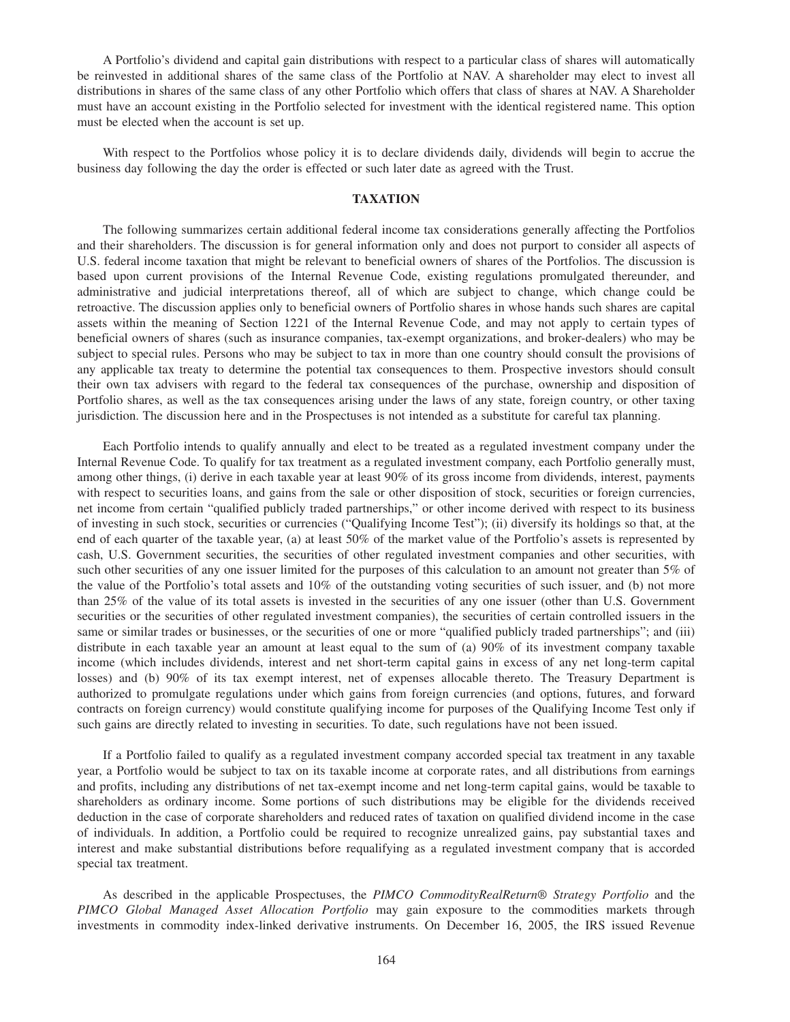A Portfolio's dividend and capital gain distributions with respect to a particular class of shares will automatically be reinvested in additional shares of the same class of the Portfolio at NAV. A shareholder may elect to invest all distributions in shares of the same class of any other Portfolio which offers that class of shares at NAV. A Shareholder must have an account existing in the Portfolio selected for investment with the identical registered name. This option must be elected when the account is set up.

With respect to the Portfolios whose policy it is to declare dividends daily, dividends will begin to accrue the business day following the day the order is effected or such later date as agreed with the Trust.

# **TAXATION**

The following summarizes certain additional federal income tax considerations generally affecting the Portfolios and their shareholders. The discussion is for general information only and does not purport to consider all aspects of U.S. federal income taxation that might be relevant to beneficial owners of shares of the Portfolios. The discussion is based upon current provisions of the Internal Revenue Code, existing regulations promulgated thereunder, and administrative and judicial interpretations thereof, all of which are subject to change, which change could be retroactive. The discussion applies only to beneficial owners of Portfolio shares in whose hands such shares are capital assets within the meaning of Section 1221 of the Internal Revenue Code, and may not apply to certain types of beneficial owners of shares (such as insurance companies, tax-exempt organizations, and broker-dealers) who may be subject to special rules. Persons who may be subject to tax in more than one country should consult the provisions of any applicable tax treaty to determine the potential tax consequences to them. Prospective investors should consult their own tax advisers with regard to the federal tax consequences of the purchase, ownership and disposition of Portfolio shares, as well as the tax consequences arising under the laws of any state, foreign country, or other taxing jurisdiction. The discussion here and in the Prospectuses is not intended as a substitute for careful tax planning.

Each Portfolio intends to qualify annually and elect to be treated as a regulated investment company under the Internal Revenue Code. To qualify for tax treatment as a regulated investment company, each Portfolio generally must, among other things, (i) derive in each taxable year at least 90% of its gross income from dividends, interest, payments with respect to securities loans, and gains from the sale or other disposition of stock, securities or foreign currencies, net income from certain "qualified publicly traded partnerships," or other income derived with respect to its business of investing in such stock, securities or currencies ("Qualifying Income Test"); (ii) diversify its holdings so that, at the end of each quarter of the taxable year, (a) at least 50% of the market value of the Portfolio's assets is represented by cash, U.S. Government securities, the securities of other regulated investment companies and other securities, with such other securities of any one issuer limited for the purposes of this calculation to an amount not greater than 5% of the value of the Portfolio's total assets and 10% of the outstanding voting securities of such issuer, and (b) not more than 25% of the value of its total assets is invested in the securities of any one issuer (other than U.S. Government securities or the securities of other regulated investment companies), the securities of certain controlled issuers in the same or similar trades or businesses, or the securities of one or more "qualified publicly traded partnerships"; and (iii) distribute in each taxable year an amount at least equal to the sum of (a) 90% of its investment company taxable income (which includes dividends, interest and net short-term capital gains in excess of any net long-term capital losses) and (b) 90% of its tax exempt interest, net of expenses allocable thereto. The Treasury Department is authorized to promulgate regulations under which gains from foreign currencies (and options, futures, and forward contracts on foreign currency) would constitute qualifying income for purposes of the Qualifying Income Test only if such gains are directly related to investing in securities. To date, such regulations have not been issued.

If a Portfolio failed to qualify as a regulated investment company accorded special tax treatment in any taxable year, a Portfolio would be subject to tax on its taxable income at corporate rates, and all distributions from earnings and profits, including any distributions of net tax-exempt income and net long-term capital gains, would be taxable to shareholders as ordinary income. Some portions of such distributions may be eligible for the dividends received deduction in the case of corporate shareholders and reduced rates of taxation on qualified dividend income in the case of individuals. In addition, a Portfolio could be required to recognize unrealized gains, pay substantial taxes and interest and make substantial distributions before requalifying as a regulated investment company that is accorded special tax treatment.

As described in the applicable Prospectuses, the *PIMCO CommodityRealReturn® Strategy Portfolio* and the *PIMCO Global Managed Asset Allocation Portfolio* may gain exposure to the commodities markets through investments in commodity index-linked derivative instruments. On December 16, 2005, the IRS issued Revenue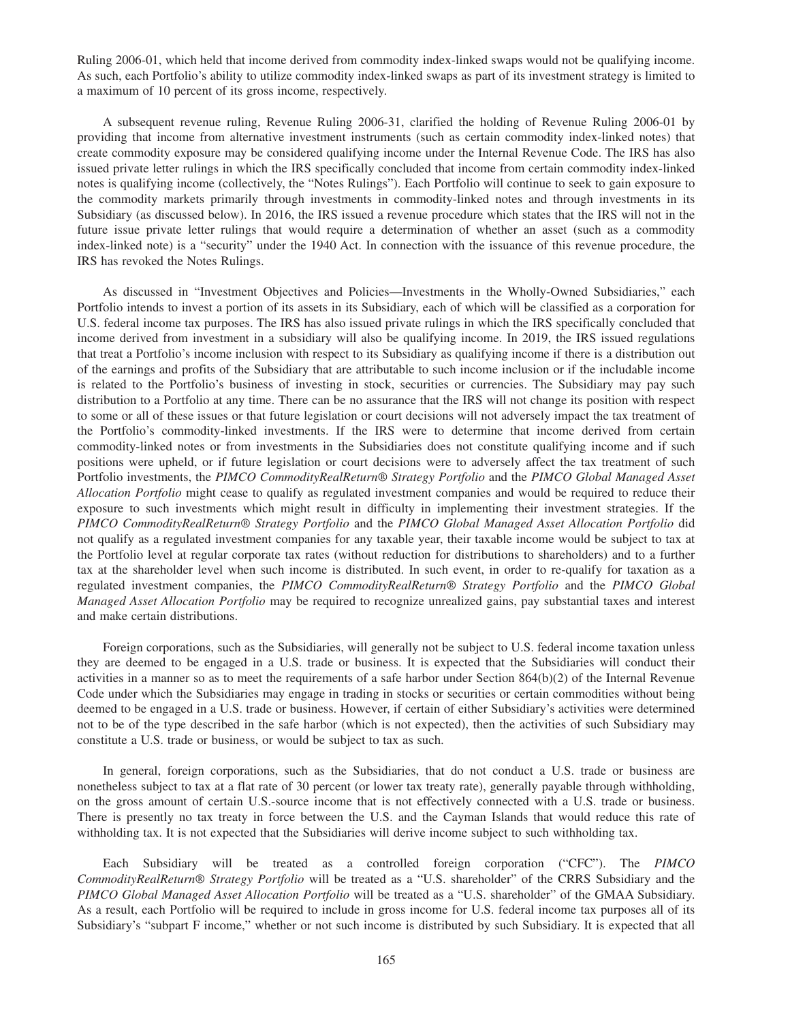Ruling 2006-01, which held that income derived from commodity index-linked swaps would not be qualifying income. As such, each Portfolio's ability to utilize commodity index-linked swaps as part of its investment strategy is limited to a maximum of 10 percent of its gross income, respectively.

A subsequent revenue ruling, Revenue Ruling 2006-31, clarified the holding of Revenue Ruling 2006-01 by providing that income from alternative investment instruments (such as certain commodity index-linked notes) that create commodity exposure may be considered qualifying income under the Internal Revenue Code. The IRS has also issued private letter rulings in which the IRS specifically concluded that income from certain commodity index-linked notes is qualifying income (collectively, the "Notes Rulings"). Each Portfolio will continue to seek to gain exposure to the commodity markets primarily through investments in commodity-linked notes and through investments in its Subsidiary (as discussed below). In 2016, the IRS issued a revenue procedure which states that the IRS will not in the future issue private letter rulings that would require a determination of whether an asset (such as a commodity index-linked note) is a "security" under the 1940 Act. In connection with the issuance of this revenue procedure, the IRS has revoked the Notes Rulings.

As discussed in "Investment Objectives and Policies—Investments in the Wholly-Owned Subsidiaries," each Portfolio intends to invest a portion of its assets in its Subsidiary, each of which will be classified as a corporation for U.S. federal income tax purposes. The IRS has also issued private rulings in which the IRS specifically concluded that income derived from investment in a subsidiary will also be qualifying income. In 2019, the IRS issued regulations that treat a Portfolio's income inclusion with respect to its Subsidiary as qualifying income if there is a distribution out of the earnings and profits of the Subsidiary that are attributable to such income inclusion or if the includable income is related to the Portfolio's business of investing in stock, securities or currencies. The Subsidiary may pay such distribution to a Portfolio at any time. There can be no assurance that the IRS will not change its position with respect to some or all of these issues or that future legislation or court decisions will not adversely impact the tax treatment of the Portfolio's commodity-linked investments. If the IRS were to determine that income derived from certain commodity-linked notes or from investments in the Subsidiaries does not constitute qualifying income and if such positions were upheld, or if future legislation or court decisions were to adversely affect the tax treatment of such Portfolio investments, the *PIMCO CommodityRealReturn® Strategy Portfolio* and the *PIMCO Global Managed Asset Allocation Portfolio* might cease to qualify as regulated investment companies and would be required to reduce their exposure to such investments which might result in difficulty in implementing their investment strategies. If the *PIMCO CommodityRealReturn® Strategy Portfolio* and the *PIMCO Global Managed Asset Allocation Portfolio* did not qualify as a regulated investment companies for any taxable year, their taxable income would be subject to tax at the Portfolio level at regular corporate tax rates (without reduction for distributions to shareholders) and to a further tax at the shareholder level when such income is distributed. In such event, in order to re-qualify for taxation as a regulated investment companies, the *PIMCO CommodityRealReturn® Strategy Portfolio* and the *PIMCO Global Managed Asset Allocation Portfolio* may be required to recognize unrealized gains, pay substantial taxes and interest and make certain distributions.

Foreign corporations, such as the Subsidiaries, will generally not be subject to U.S. federal income taxation unless they are deemed to be engaged in a U.S. trade or business. It is expected that the Subsidiaries will conduct their activities in a manner so as to meet the requirements of a safe harbor under Section  $864(b)(2)$  of the Internal Revenue Code under which the Subsidiaries may engage in trading in stocks or securities or certain commodities without being deemed to be engaged in a U.S. trade or business. However, if certain of either Subsidiary's activities were determined not to be of the type described in the safe harbor (which is not expected), then the activities of such Subsidiary may constitute a U.S. trade or business, or would be subject to tax as such.

In general, foreign corporations, such as the Subsidiaries, that do not conduct a U.S. trade or business are nonetheless subject to tax at a flat rate of 30 percent (or lower tax treaty rate), generally payable through withholding, on the gross amount of certain U.S.-source income that is not effectively connected with a U.S. trade or business. There is presently no tax treaty in force between the U.S. and the Cayman Islands that would reduce this rate of withholding tax. It is not expected that the Subsidiaries will derive income subject to such withholding tax.

Each Subsidiary will be treated as a controlled foreign corporation ("CFC"). The *PIMCO CommodityRealReturn® Strategy Portfolio* will be treated as a "U.S. shareholder" of the CRRS Subsidiary and the *PIMCO Global Managed Asset Allocation Portfolio* will be treated as a "U.S. shareholder" of the GMAA Subsidiary. As a result, each Portfolio will be required to include in gross income for U.S. federal income tax purposes all of its Subsidiary's "subpart F income," whether or not such income is distributed by such Subsidiary. It is expected that all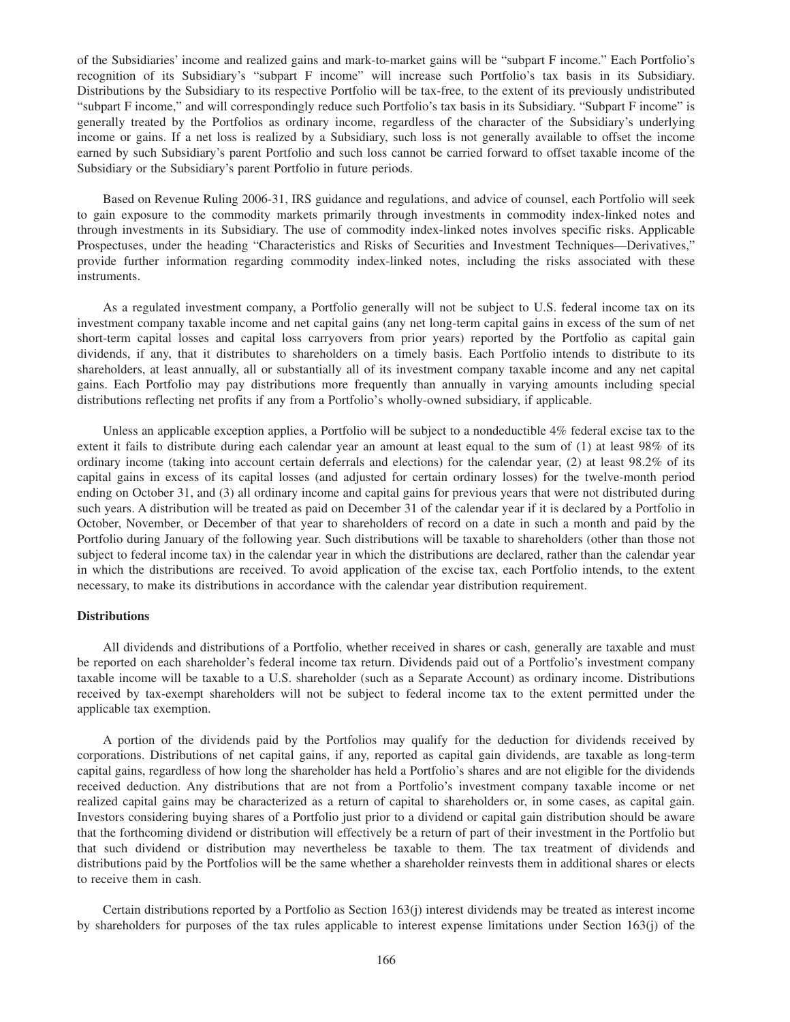of the Subsidiaries' income and realized gains and mark-to-market gains will be "subpart F income." Each Portfolio's recognition of its Subsidiary's "subpart F income" will increase such Portfolio's tax basis in its Subsidiary. Distributions by the Subsidiary to its respective Portfolio will be tax-free, to the extent of its previously undistributed "subpart F income," and will correspondingly reduce such Portfolio's tax basis in its Subsidiary. "Subpart F income" is generally treated by the Portfolios as ordinary income, regardless of the character of the Subsidiary's underlying income or gains. If a net loss is realized by a Subsidiary, such loss is not generally available to offset the income earned by such Subsidiary's parent Portfolio and such loss cannot be carried forward to offset taxable income of the Subsidiary or the Subsidiary's parent Portfolio in future periods.

Based on Revenue Ruling 2006-31, IRS guidance and regulations, and advice of counsel, each Portfolio will seek to gain exposure to the commodity markets primarily through investments in commodity index-linked notes and through investments in its Subsidiary. The use of commodity index-linked notes involves specific risks. Applicable Prospectuses, under the heading "Characteristics and Risks of Securities and Investment Techniques—Derivatives," provide further information regarding commodity index-linked notes, including the risks associated with these instruments.

As a regulated investment company, a Portfolio generally will not be subject to U.S. federal income tax on its investment company taxable income and net capital gains (any net long-term capital gains in excess of the sum of net short-term capital losses and capital loss carryovers from prior years) reported by the Portfolio as capital gain dividends, if any, that it distributes to shareholders on a timely basis. Each Portfolio intends to distribute to its shareholders, at least annually, all or substantially all of its investment company taxable income and any net capital gains. Each Portfolio may pay distributions more frequently than annually in varying amounts including special distributions reflecting net profits if any from a Portfolio's wholly-owned subsidiary, if applicable.

Unless an applicable exception applies, a Portfolio will be subject to a nondeductible 4% federal excise tax to the extent it fails to distribute during each calendar year an amount at least equal to the sum of (1) at least 98% of its ordinary income (taking into account certain deferrals and elections) for the calendar year, (2) at least 98.2% of its capital gains in excess of its capital losses (and adjusted for certain ordinary losses) for the twelve-month period ending on October 31, and (3) all ordinary income and capital gains for previous years that were not distributed during such years. A distribution will be treated as paid on December 31 of the calendar year if it is declared by a Portfolio in October, November, or December of that year to shareholders of record on a date in such a month and paid by the Portfolio during January of the following year. Such distributions will be taxable to shareholders (other than those not subject to federal income tax) in the calendar year in which the distributions are declared, rather than the calendar year in which the distributions are received. To avoid application of the excise tax, each Portfolio intends, to the extent necessary, to make its distributions in accordance with the calendar year distribution requirement.

# **Distributions**

All dividends and distributions of a Portfolio, whether received in shares or cash, generally are taxable and must be reported on each shareholder's federal income tax return. Dividends paid out of a Portfolio's investment company taxable income will be taxable to a U.S. shareholder (such as a Separate Account) as ordinary income. Distributions received by tax-exempt shareholders will not be subject to federal income tax to the extent permitted under the applicable tax exemption.

A portion of the dividends paid by the Portfolios may qualify for the deduction for dividends received by corporations. Distributions of net capital gains, if any, reported as capital gain dividends, are taxable as long-term capital gains, regardless of how long the shareholder has held a Portfolio's shares and are not eligible for the dividends received deduction. Any distributions that are not from a Portfolio's investment company taxable income or net realized capital gains may be characterized as a return of capital to shareholders or, in some cases, as capital gain. Investors considering buying shares of a Portfolio just prior to a dividend or capital gain distribution should be aware that the forthcoming dividend or distribution will effectively be a return of part of their investment in the Portfolio but that such dividend or distribution may nevertheless be taxable to them. The tax treatment of dividends and distributions paid by the Portfolios will be the same whether a shareholder reinvests them in additional shares or elects to receive them in cash.

Certain distributions reported by a Portfolio as Section 163(j) interest dividends may be treated as interest income by shareholders for purposes of the tax rules applicable to interest expense limitations under Section 163(j) of the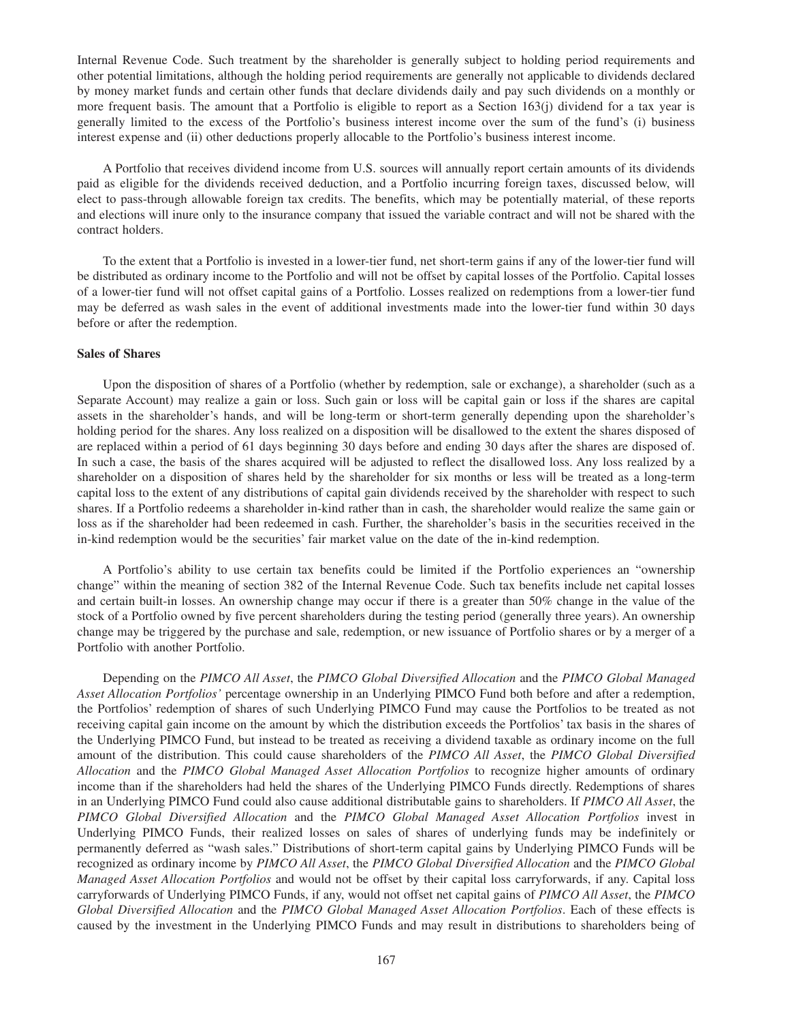Internal Revenue Code. Such treatment by the shareholder is generally subject to holding period requirements and other potential limitations, although the holding period requirements are generally not applicable to dividends declared by money market funds and certain other funds that declare dividends daily and pay such dividends on a monthly or more frequent basis. The amount that a Portfolio is eligible to report as a Section 163(j) dividend for a tax year is generally limited to the excess of the Portfolio's business interest income over the sum of the fund's (i) business interest expense and (ii) other deductions properly allocable to the Portfolio's business interest income.

A Portfolio that receives dividend income from U.S. sources will annually report certain amounts of its dividends paid as eligible for the dividends received deduction, and a Portfolio incurring foreign taxes, discussed below, will elect to pass-through allowable foreign tax credits. The benefits, which may be potentially material, of these reports and elections will inure only to the insurance company that issued the variable contract and will not be shared with the contract holders.

To the extent that a Portfolio is invested in a lower-tier fund, net short-term gains if any of the lower-tier fund will be distributed as ordinary income to the Portfolio and will not be offset by capital losses of the Portfolio. Capital losses of a lower-tier fund will not offset capital gains of a Portfolio. Losses realized on redemptions from a lower-tier fund may be deferred as wash sales in the event of additional investments made into the lower-tier fund within 30 days before or after the redemption.

## **Sales of Shares**

Upon the disposition of shares of a Portfolio (whether by redemption, sale or exchange), a shareholder (such as a Separate Account) may realize a gain or loss. Such gain or loss will be capital gain or loss if the shares are capital assets in the shareholder's hands, and will be long-term or short-term generally depending upon the shareholder's holding period for the shares. Any loss realized on a disposition will be disallowed to the extent the shares disposed of are replaced within a period of 61 days beginning 30 days before and ending 30 days after the shares are disposed of. In such a case, the basis of the shares acquired will be adjusted to reflect the disallowed loss. Any loss realized by a shareholder on a disposition of shares held by the shareholder for six months or less will be treated as a long-term capital loss to the extent of any distributions of capital gain dividends received by the shareholder with respect to such shares. If a Portfolio redeems a shareholder in-kind rather than in cash, the shareholder would realize the same gain or loss as if the shareholder had been redeemed in cash. Further, the shareholder's basis in the securities received in the in-kind redemption would be the securities' fair market value on the date of the in-kind redemption.

A Portfolio's ability to use certain tax benefits could be limited if the Portfolio experiences an "ownership change" within the meaning of section 382 of the Internal Revenue Code. Such tax benefits include net capital losses and certain built-in losses. An ownership change may occur if there is a greater than 50% change in the value of the stock of a Portfolio owned by five percent shareholders during the testing period (generally three years). An ownership change may be triggered by the purchase and sale, redemption, or new issuance of Portfolio shares or by a merger of a Portfolio with another Portfolio.

Depending on the *PIMCO All Asset*, the *PIMCO Global Diversified Allocation* and the *PIMCO Global Managed Asset Allocation Portfolios'* percentage ownership in an Underlying PIMCO Fund both before and after a redemption, the Portfolios' redemption of shares of such Underlying PIMCO Fund may cause the Portfolios to be treated as not receiving capital gain income on the amount by which the distribution exceeds the Portfolios' tax basis in the shares of the Underlying PIMCO Fund, but instead to be treated as receiving a dividend taxable as ordinary income on the full amount of the distribution. This could cause shareholders of the *PIMCO All Asset*, the *PIMCO Global Diversified Allocation* and the *PIMCO Global Managed Asset Allocation Portfolios* to recognize higher amounts of ordinary income than if the shareholders had held the shares of the Underlying PIMCO Funds directly. Redemptions of shares in an Underlying PIMCO Fund could also cause additional distributable gains to shareholders. If *PIMCO All Asset*, the *PIMCO Global Diversified Allocation* and the *PIMCO Global Managed Asset Allocation Portfolios* invest in Underlying PIMCO Funds, their realized losses on sales of shares of underlying funds may be indefinitely or permanently deferred as "wash sales." Distributions of short-term capital gains by Underlying PIMCO Funds will be recognized as ordinary income by *PIMCO All Asset*, the *PIMCO Global Diversified Allocation* and the *PIMCO Global Managed Asset Allocation Portfolios* and would not be offset by their capital loss carryforwards, if any. Capital loss carryforwards of Underlying PIMCO Funds, if any, would not offset net capital gains of *PIMCO All Asset*, the *PIMCO Global Diversified Allocation* and the *PIMCO Global Managed Asset Allocation Portfolios*. Each of these effects is caused by the investment in the Underlying PIMCO Funds and may result in distributions to shareholders being of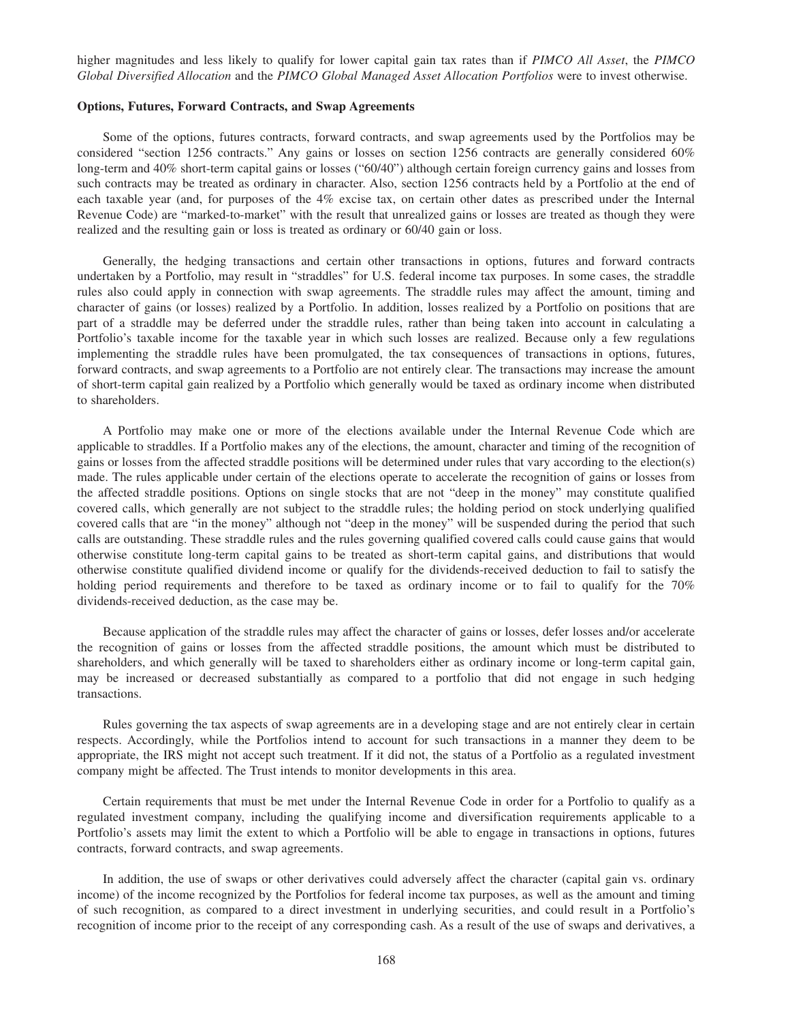higher magnitudes and less likely to qualify for lower capital gain tax rates than if *PIMCO All Asset*, the *PIMCO Global Diversified Allocation* and the *PIMCO Global Managed Asset Allocation Portfolios* were to invest otherwise.

## **Options, Futures, Forward Contracts, and Swap Agreements**

Some of the options, futures contracts, forward contracts, and swap agreements used by the Portfolios may be considered "section 1256 contracts." Any gains or losses on section 1256 contracts are generally considered 60% long-term and 40% short-term capital gains or losses ("60/40") although certain foreign currency gains and losses from such contracts may be treated as ordinary in character. Also, section 1256 contracts held by a Portfolio at the end of each taxable year (and, for purposes of the 4% excise tax, on certain other dates as prescribed under the Internal Revenue Code) are "marked-to-market" with the result that unrealized gains or losses are treated as though they were realized and the resulting gain or loss is treated as ordinary or 60/40 gain or loss.

Generally, the hedging transactions and certain other transactions in options, futures and forward contracts undertaken by a Portfolio, may result in "straddles" for U.S. federal income tax purposes. In some cases, the straddle rules also could apply in connection with swap agreements. The straddle rules may affect the amount, timing and character of gains (or losses) realized by a Portfolio. In addition, losses realized by a Portfolio on positions that are part of a straddle may be deferred under the straddle rules, rather than being taken into account in calculating a Portfolio's taxable income for the taxable year in which such losses are realized. Because only a few regulations implementing the straddle rules have been promulgated, the tax consequences of transactions in options, futures, forward contracts, and swap agreements to a Portfolio are not entirely clear. The transactions may increase the amount of short-term capital gain realized by a Portfolio which generally would be taxed as ordinary income when distributed to shareholders.

A Portfolio may make one or more of the elections available under the Internal Revenue Code which are applicable to straddles. If a Portfolio makes any of the elections, the amount, character and timing of the recognition of gains or losses from the affected straddle positions will be determined under rules that vary according to the election(s) made. The rules applicable under certain of the elections operate to accelerate the recognition of gains or losses from the affected straddle positions. Options on single stocks that are not "deep in the money" may constitute qualified covered calls, which generally are not subject to the straddle rules; the holding period on stock underlying qualified covered calls that are "in the money" although not "deep in the money" will be suspended during the period that such calls are outstanding. These straddle rules and the rules governing qualified covered calls could cause gains that would otherwise constitute long-term capital gains to be treated as short-term capital gains, and distributions that would otherwise constitute qualified dividend income or qualify for the dividends-received deduction to fail to satisfy the holding period requirements and therefore to be taxed as ordinary income or to fail to qualify for the 70% dividends-received deduction, as the case may be.

Because application of the straddle rules may affect the character of gains or losses, defer losses and/or accelerate the recognition of gains or losses from the affected straddle positions, the amount which must be distributed to shareholders, and which generally will be taxed to shareholders either as ordinary income or long-term capital gain, may be increased or decreased substantially as compared to a portfolio that did not engage in such hedging transactions.

Rules governing the tax aspects of swap agreements are in a developing stage and are not entirely clear in certain respects. Accordingly, while the Portfolios intend to account for such transactions in a manner they deem to be appropriate, the IRS might not accept such treatment. If it did not, the status of a Portfolio as a regulated investment company might be affected. The Trust intends to monitor developments in this area.

Certain requirements that must be met under the Internal Revenue Code in order for a Portfolio to qualify as a regulated investment company, including the qualifying income and diversification requirements applicable to a Portfolio's assets may limit the extent to which a Portfolio will be able to engage in transactions in options, futures contracts, forward contracts, and swap agreements.

In addition, the use of swaps or other derivatives could adversely affect the character (capital gain vs. ordinary income) of the income recognized by the Portfolios for federal income tax purposes, as well as the amount and timing of such recognition, as compared to a direct investment in underlying securities, and could result in a Portfolio's recognition of income prior to the receipt of any corresponding cash. As a result of the use of swaps and derivatives, a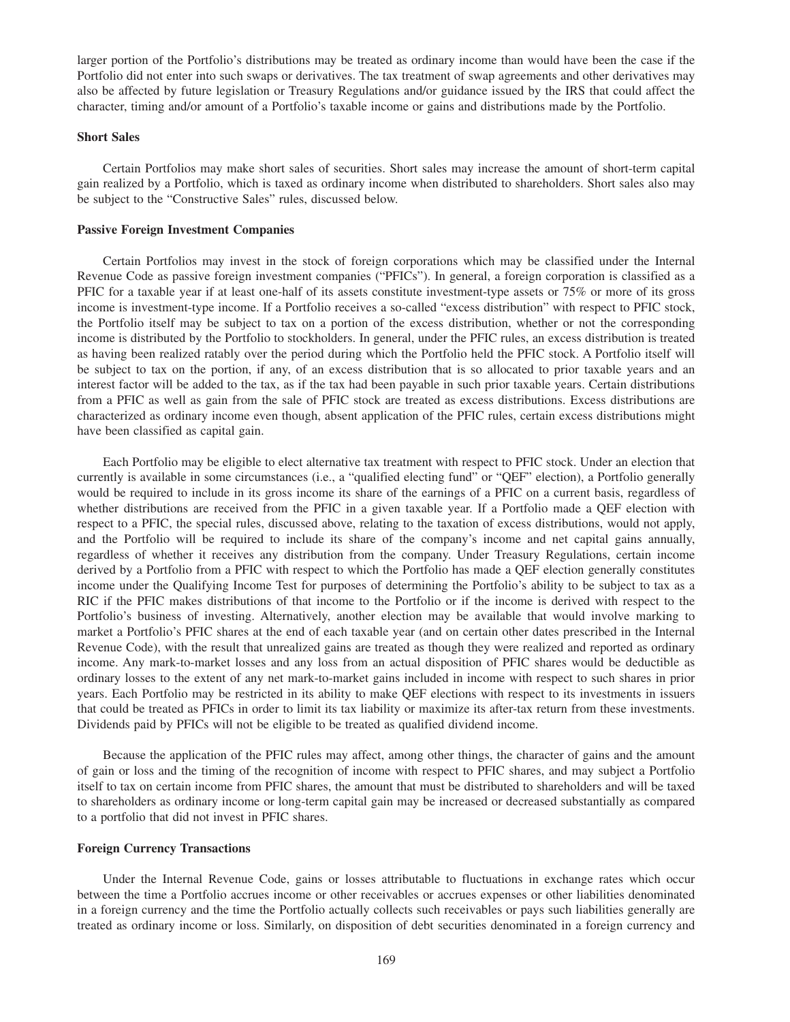larger portion of the Portfolio's distributions may be treated as ordinary income than would have been the case if the Portfolio did not enter into such swaps or derivatives. The tax treatment of swap agreements and other derivatives may also be affected by future legislation or Treasury Regulations and/or guidance issued by the IRS that could affect the character, timing and/or amount of a Portfolio's taxable income or gains and distributions made by the Portfolio.

## **Short Sales**

Certain Portfolios may make short sales of securities. Short sales may increase the amount of short-term capital gain realized by a Portfolio, which is taxed as ordinary income when distributed to shareholders. Short sales also may be subject to the "Constructive Sales" rules, discussed below.

#### **Passive Foreign Investment Companies**

Certain Portfolios may invest in the stock of foreign corporations which may be classified under the Internal Revenue Code as passive foreign investment companies ("PFICs"). In general, a foreign corporation is classified as a PFIC for a taxable year if at least one-half of its assets constitute investment-type assets or 75% or more of its gross income is investment-type income. If a Portfolio receives a so-called "excess distribution" with respect to PFIC stock, the Portfolio itself may be subject to tax on a portion of the excess distribution, whether or not the corresponding income is distributed by the Portfolio to stockholders. In general, under the PFIC rules, an excess distribution is treated as having been realized ratably over the period during which the Portfolio held the PFIC stock. A Portfolio itself will be subject to tax on the portion, if any, of an excess distribution that is so allocated to prior taxable years and an interest factor will be added to the tax, as if the tax had been payable in such prior taxable years. Certain distributions from a PFIC as well as gain from the sale of PFIC stock are treated as excess distributions. Excess distributions are characterized as ordinary income even though, absent application of the PFIC rules, certain excess distributions might have been classified as capital gain.

Each Portfolio may be eligible to elect alternative tax treatment with respect to PFIC stock. Under an election that currently is available in some circumstances (i.e., a "qualified electing fund" or "QEF" election), a Portfolio generally would be required to include in its gross income its share of the earnings of a PFIC on a current basis, regardless of whether distributions are received from the PFIC in a given taxable year. If a Portfolio made a QEF election with respect to a PFIC, the special rules, discussed above, relating to the taxation of excess distributions, would not apply, and the Portfolio will be required to include its share of the company's income and net capital gains annually, regardless of whether it receives any distribution from the company. Under Treasury Regulations, certain income derived by a Portfolio from a PFIC with respect to which the Portfolio has made a QEF election generally constitutes income under the Qualifying Income Test for purposes of determining the Portfolio's ability to be subject to tax as a RIC if the PFIC makes distributions of that income to the Portfolio or if the income is derived with respect to the Portfolio's business of investing. Alternatively, another election may be available that would involve marking to market a Portfolio's PFIC shares at the end of each taxable year (and on certain other dates prescribed in the Internal Revenue Code), with the result that unrealized gains are treated as though they were realized and reported as ordinary income. Any mark-to-market losses and any loss from an actual disposition of PFIC shares would be deductible as ordinary losses to the extent of any net mark-to-market gains included in income with respect to such shares in prior years. Each Portfolio may be restricted in its ability to make QEF elections with respect to its investments in issuers that could be treated as PFICs in order to limit its tax liability or maximize its after-tax return from these investments. Dividends paid by PFICs will not be eligible to be treated as qualified dividend income.

Because the application of the PFIC rules may affect, among other things, the character of gains and the amount of gain or loss and the timing of the recognition of income with respect to PFIC shares, and may subject a Portfolio itself to tax on certain income from PFIC shares, the amount that must be distributed to shareholders and will be taxed to shareholders as ordinary income or long-term capital gain may be increased or decreased substantially as compared to a portfolio that did not invest in PFIC shares.

#### **Foreign Currency Transactions**

Under the Internal Revenue Code, gains or losses attributable to fluctuations in exchange rates which occur between the time a Portfolio accrues income or other receivables or accrues expenses or other liabilities denominated in a foreign currency and the time the Portfolio actually collects such receivables or pays such liabilities generally are treated as ordinary income or loss. Similarly, on disposition of debt securities denominated in a foreign currency and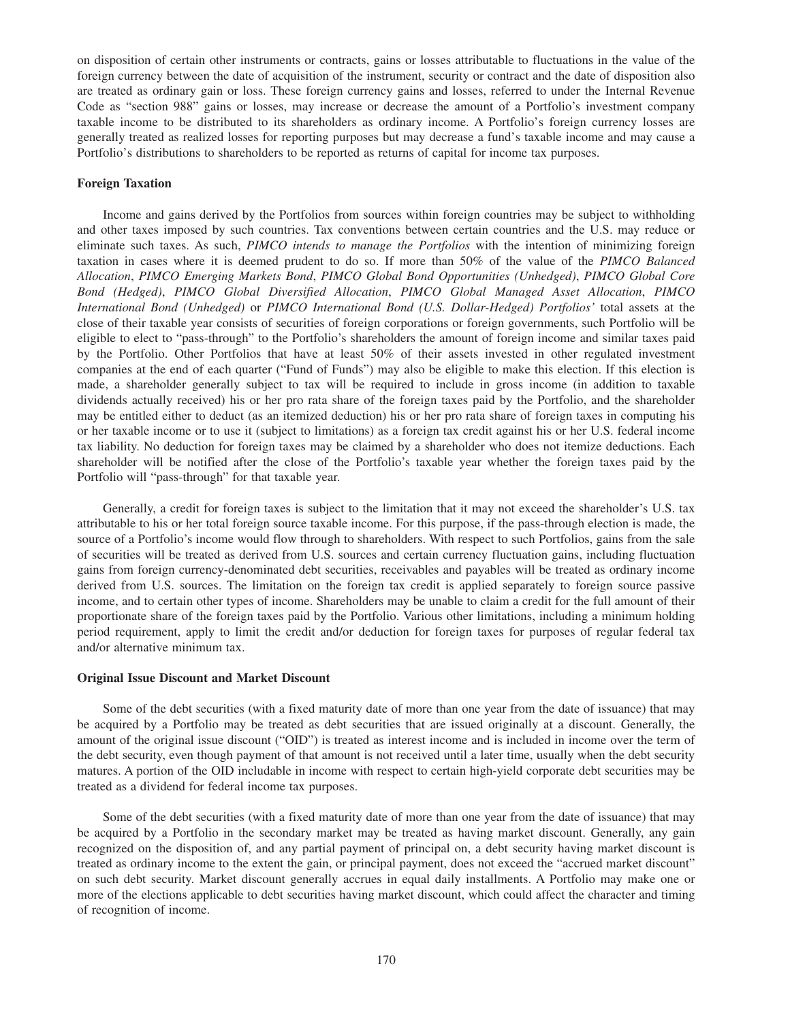on disposition of certain other instruments or contracts, gains or losses attributable to fluctuations in the value of the foreign currency between the date of acquisition of the instrument, security or contract and the date of disposition also are treated as ordinary gain or loss. These foreign currency gains and losses, referred to under the Internal Revenue Code as "section 988" gains or losses, may increase or decrease the amount of a Portfolio's investment company taxable income to be distributed to its shareholders as ordinary income. A Portfolio's foreign currency losses are generally treated as realized losses for reporting purposes but may decrease a fund's taxable income and may cause a Portfolio's distributions to shareholders to be reported as returns of capital for income tax purposes.

## **Foreign Taxation**

Income and gains derived by the Portfolios from sources within foreign countries may be subject to withholding and other taxes imposed by such countries. Tax conventions between certain countries and the U.S. may reduce or eliminate such taxes. As such, *PIMCO intends to manage the Portfolios* with the intention of minimizing foreign taxation in cases where it is deemed prudent to do so. If more than 50% of the value of the *PIMCO Balanced Allocation*, *PIMCO Emerging Markets Bond*, *PIMCO Global Bond Opportunities (Unhedged)*, *PIMCO Global Core Bond (Hedged)*, *PIMCO Global Diversified Allocation*, *PIMCO Global Managed Asset Allocation*, *PIMCO International Bond (Unhedged)* or *PIMCO International Bond (U.S. Dollar-Hedged) Portfolios'* total assets at the close of their taxable year consists of securities of foreign corporations or foreign governments, such Portfolio will be eligible to elect to "pass-through" to the Portfolio's shareholders the amount of foreign income and similar taxes paid by the Portfolio. Other Portfolios that have at least 50% of their assets invested in other regulated investment companies at the end of each quarter ("Fund of Funds") may also be eligible to make this election. If this election is made, a shareholder generally subject to tax will be required to include in gross income (in addition to taxable dividends actually received) his or her pro rata share of the foreign taxes paid by the Portfolio, and the shareholder may be entitled either to deduct (as an itemized deduction) his or her pro rata share of foreign taxes in computing his or her taxable income or to use it (subject to limitations) as a foreign tax credit against his or her U.S. federal income tax liability. No deduction for foreign taxes may be claimed by a shareholder who does not itemize deductions. Each shareholder will be notified after the close of the Portfolio's taxable year whether the foreign taxes paid by the Portfolio will "pass-through" for that taxable year.

Generally, a credit for foreign taxes is subject to the limitation that it may not exceed the shareholder's U.S. tax attributable to his or her total foreign source taxable income. For this purpose, if the pass-through election is made, the source of a Portfolio's income would flow through to shareholders. With respect to such Portfolios, gains from the sale of securities will be treated as derived from U.S. sources and certain currency fluctuation gains, including fluctuation gains from foreign currency-denominated debt securities, receivables and payables will be treated as ordinary income derived from U.S. sources. The limitation on the foreign tax credit is applied separately to foreign source passive income, and to certain other types of income. Shareholders may be unable to claim a credit for the full amount of their proportionate share of the foreign taxes paid by the Portfolio. Various other limitations, including a minimum holding period requirement, apply to limit the credit and/or deduction for foreign taxes for purposes of regular federal tax and/or alternative minimum tax.

# **Original Issue Discount and Market Discount**

Some of the debt securities (with a fixed maturity date of more than one year from the date of issuance) that may be acquired by a Portfolio may be treated as debt securities that are issued originally at a discount. Generally, the amount of the original issue discount ("OID") is treated as interest income and is included in income over the term of the debt security, even though payment of that amount is not received until a later time, usually when the debt security matures. A portion of the OID includable in income with respect to certain high-yield corporate debt securities may be treated as a dividend for federal income tax purposes.

Some of the debt securities (with a fixed maturity date of more than one year from the date of issuance) that may be acquired by a Portfolio in the secondary market may be treated as having market discount. Generally, any gain recognized on the disposition of, and any partial payment of principal on, a debt security having market discount is treated as ordinary income to the extent the gain, or principal payment, does not exceed the "accrued market discount" on such debt security. Market discount generally accrues in equal daily installments. A Portfolio may make one or more of the elections applicable to debt securities having market discount, which could affect the character and timing of recognition of income.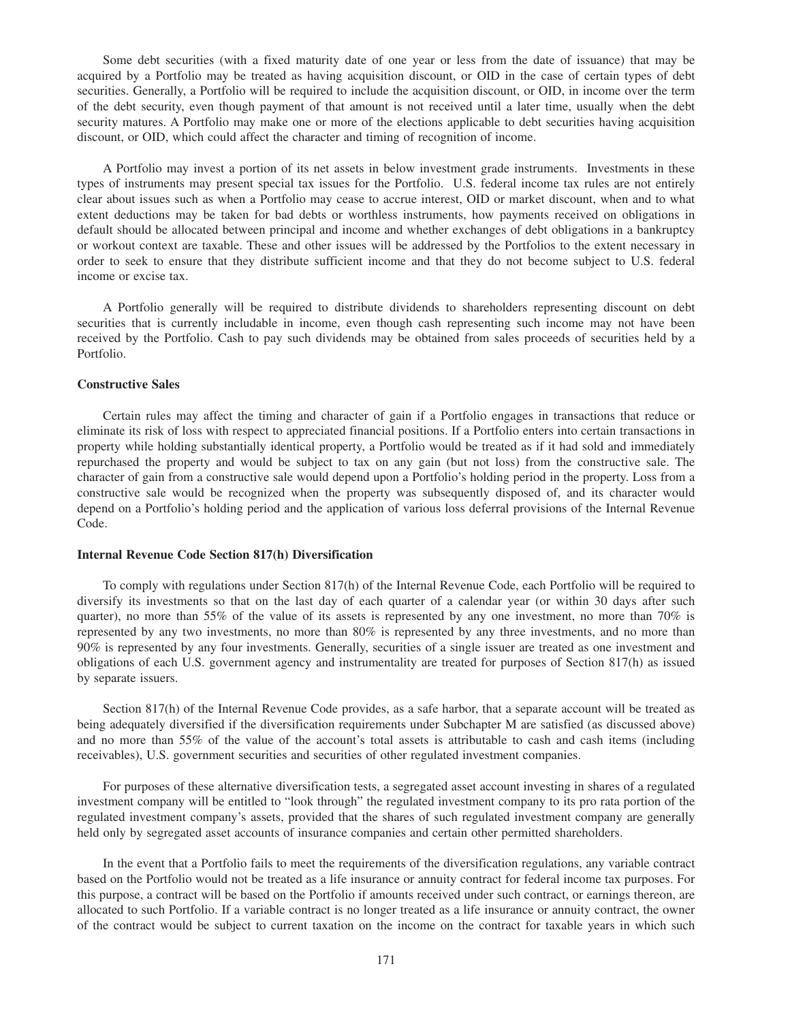Some debt securities (with a fixed maturity date of one year or less from the date of issuance) that may be acquired by a Portfolio may be treated as having acquisition discount, or OID in the case of certain types of debt securities. Generally, a Portfolio will be required to include the acquisition discount, or OID, in income over the term of the debt security, even though payment of that amount is not received until a later time, usually when the debt security matures. A Portfolio may make one or more of the elections applicable to debt securities having acquisition discount, or OID, which could affect the character and timing of recognition of income.

A Portfolio may invest a portion of its net assets in below investment grade instruments. Investments in these types of instruments may present special tax issues for the Portfolio. U.S. federal income tax rules are not entirely clear about issues such as when a Portfolio may cease to accrue interest, OID or market discount, when and to what extent deductions may be taken for bad debts or worthless instruments, how payments received on obligations in default should be allocated between principal and income and whether exchanges of debt obligations in a bankruptcy or workout context are taxable. These and other issues will be addressed by the Portfolios to the extent necessary in order to seek to ensure that they distribute sufficient income and that they do not become subject to U.S. federal income or excise tax.

A Portfolio generally will be required to distribute dividends to shareholders representing discount on debt securities that is currently includable in income, even though cash representing such income may not have been received by the Portfolio. Cash to pay such dividends may be obtained from sales proceeds of securities held by a Portfolio.

#### **Constructive Sales**

Certain rules may affect the timing and character of gain if a Portfolio engages in transactions that reduce or eliminate its risk of loss with respect to appreciated financial positions. If a Portfolio enters into certain transactions in property while holding substantially identical property, a Portfolio would be treated as if it had sold and immediately repurchased the property and would be subject to tax on any gain (but not loss) from the constructive sale. The character of gain from a constructive sale would depend upon a Portfolio's holding period in the property. Loss from a constructive sale would be recognized when the property was subsequently disposed of, and its character would depend on a Portfolio's holding period and the application of various loss deferral provisions of the Internal Revenue Code.

#### **Internal Revenue Code Section 817(h) Diversification**

To comply with regulations under Section 817(h) of the Internal Revenue Code, each Portfolio will be required to diversify its investments so that on the last day of each quarter of a calendar year (or within 30 days after such quarter), no more than 55% of the value of its assets is represented by any one investment, no more than 70% is represented by any two investments, no more than 80% is represented by any three investments, and no more than 90% is represented by any four investments. Generally, securities of a single issuer are treated as one investment and obligations of each U.S. government agency and instrumentality are treated for purposes of Section 817(h) as issued by separate issuers.

Section 817(h) of the Internal Revenue Code provides, as a safe harbor, that a separate account will be treated as being adequately diversified if the diversification requirements under Subchapter M are satisfied (as discussed above) and no more than 55% of the value of the account's total assets is attributable to cash and cash items (including receivables), U.S. government securities and securities of other regulated investment companies.

For purposes of these alternative diversification tests, a segregated asset account investing in shares of a regulated investment company will be entitled to "look through" the regulated investment company to its pro rata portion of the regulated investment company's assets, provided that the shares of such regulated investment company are generally held only by segregated asset accounts of insurance companies and certain other permitted shareholders.

In the event that a Portfolio fails to meet the requirements of the diversification regulations, any variable contract based on the Portfolio would not be treated as a life insurance or annuity contract for federal income tax purposes. For this purpose, a contract will be based on the Portfolio if amounts received under such contract, or earnings thereon, are allocated to such Portfolio. If a variable contract is no longer treated as a life insurance or annuity contract, the owner of the contract would be subject to current taxation on the income on the contract for taxable years in which such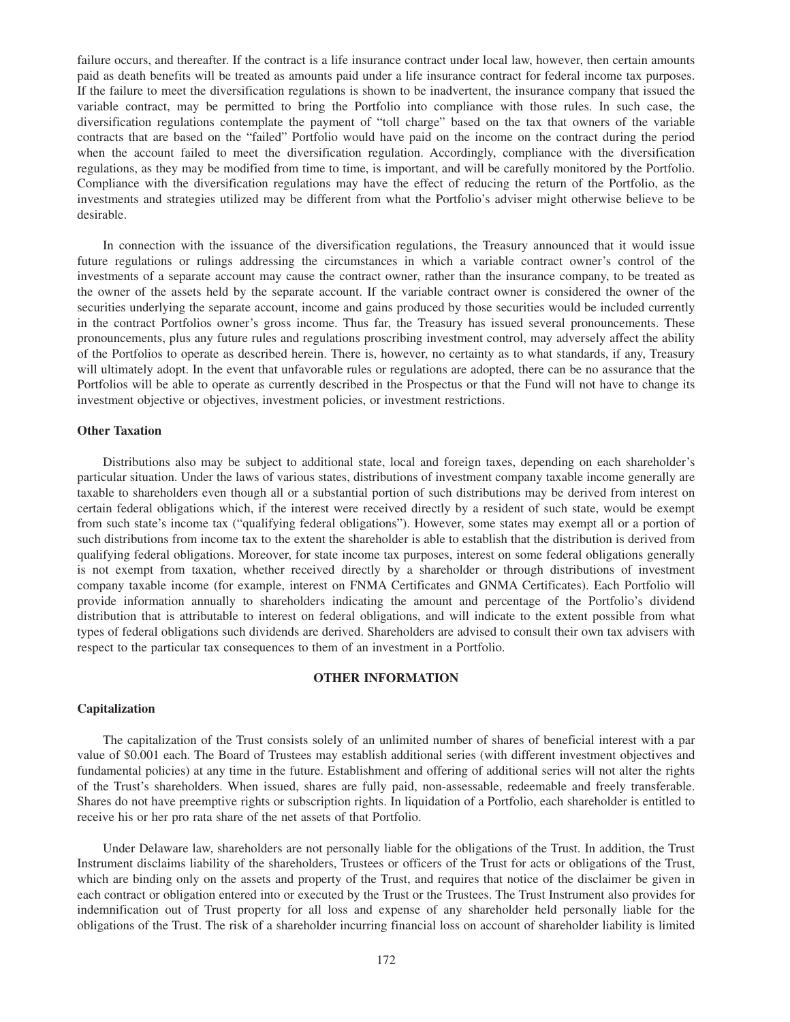failure occurs, and thereafter. If the contract is a life insurance contract under local law, however, then certain amounts paid as death benefits will be treated as amounts paid under a life insurance contract for federal income tax purposes. If the failure to meet the diversification regulations is shown to be inadvertent, the insurance company that issued the variable contract, may be permitted to bring the Portfolio into compliance with those rules. In such case, the diversification regulations contemplate the payment of "toll charge" based on the tax that owners of the variable contracts that are based on the "failed" Portfolio would have paid on the income on the contract during the period when the account failed to meet the diversification regulation. Accordingly, compliance with the diversification regulations, as they may be modified from time to time, is important, and will be carefully monitored by the Portfolio. Compliance with the diversification regulations may have the effect of reducing the return of the Portfolio, as the investments and strategies utilized may be different from what the Portfolio's adviser might otherwise believe to be desirable.

In connection with the issuance of the diversification regulations, the Treasury announced that it would issue future regulations or rulings addressing the circumstances in which a variable contract owner's control of the investments of a separate account may cause the contract owner, rather than the insurance company, to be treated as the owner of the assets held by the separate account. If the variable contract owner is considered the owner of the securities underlying the separate account, income and gains produced by those securities would be included currently in the contract Portfolios owner's gross income. Thus far, the Treasury has issued several pronouncements. These pronouncements, plus any future rules and regulations proscribing investment control, may adversely affect the ability of the Portfolios to operate as described herein. There is, however, no certainty as to what standards, if any, Treasury will ultimately adopt. In the event that unfavorable rules or regulations are adopted, there can be no assurance that the Portfolios will be able to operate as currently described in the Prospectus or that the Fund will not have to change its investment objective or objectives, investment policies, or investment restrictions.

## **Other Taxation**

Distributions also may be subject to additional state, local and foreign taxes, depending on each shareholder's particular situation. Under the laws of various states, distributions of investment company taxable income generally are taxable to shareholders even though all or a substantial portion of such distributions may be derived from interest on certain federal obligations which, if the interest were received directly by a resident of such state, would be exempt from such state's income tax ("qualifying federal obligations"). However, some states may exempt all or a portion of such distributions from income tax to the extent the shareholder is able to establish that the distribution is derived from qualifying federal obligations. Moreover, for state income tax purposes, interest on some federal obligations generally is not exempt from taxation, whether received directly by a shareholder or through distributions of investment company taxable income (for example, interest on FNMA Certificates and GNMA Certificates). Each Portfolio will provide information annually to shareholders indicating the amount and percentage of the Portfolio's dividend distribution that is attributable to interest on federal obligations, and will indicate to the extent possible from what types of federal obligations such dividends are derived. Shareholders are advised to consult their own tax advisers with respect to the particular tax consequences to them of an investment in a Portfolio.

#### **OTHER INFORMATION**

## **Capitalization**

The capitalization of the Trust consists solely of an unlimited number of shares of beneficial interest with a par value of \$0.001 each. The Board of Trustees may establish additional series (with different investment objectives and fundamental policies) at any time in the future. Establishment and offering of additional series will not alter the rights of the Trust's shareholders. When issued, shares are fully paid, non-assessable, redeemable and freely transferable. Shares do not have preemptive rights or subscription rights. In liquidation of a Portfolio, each shareholder is entitled to receive his or her pro rata share of the net assets of that Portfolio.

Under Delaware law, shareholders are not personally liable for the obligations of the Trust. In addition, the Trust Instrument disclaims liability of the shareholders, Trustees or officers of the Trust for acts or obligations of the Trust, which are binding only on the assets and property of the Trust, and requires that notice of the disclaimer be given in each contract or obligation entered into or executed by the Trust or the Trustees. The Trust Instrument also provides for indemnification out of Trust property for all loss and expense of any shareholder held personally liable for the obligations of the Trust. The risk of a shareholder incurring financial loss on account of shareholder liability is limited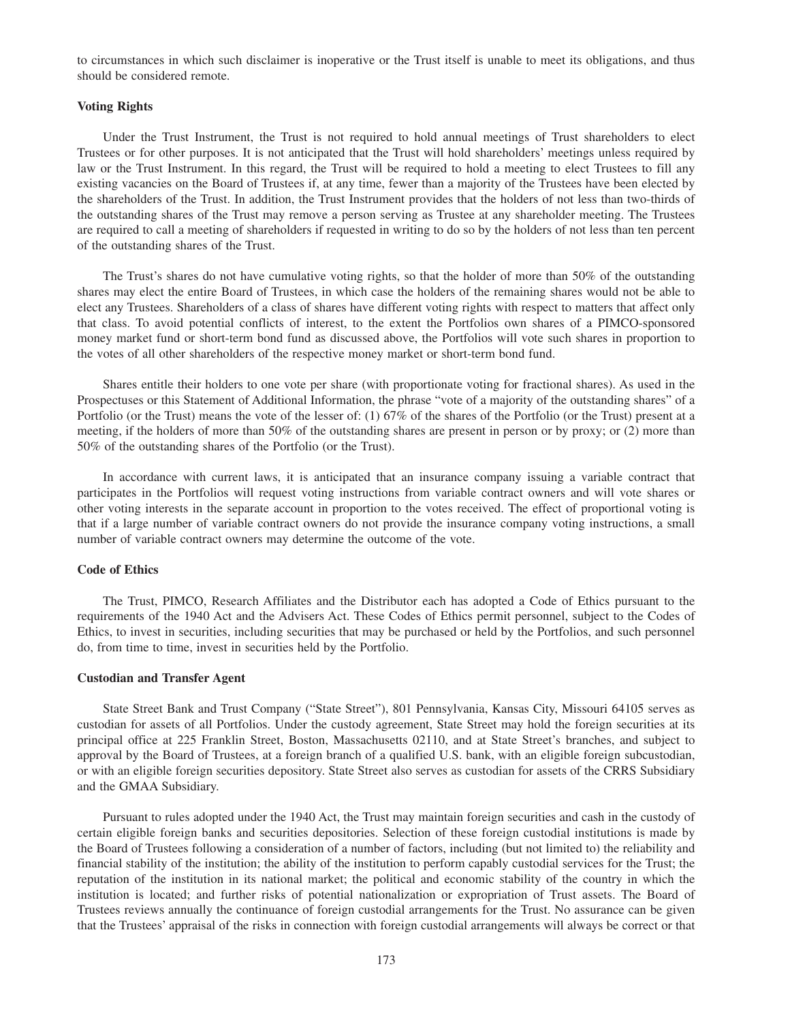to circumstances in which such disclaimer is inoperative or the Trust itself is unable to meet its obligations, and thus should be considered remote.

## **Voting Rights**

Under the Trust Instrument, the Trust is not required to hold annual meetings of Trust shareholders to elect Trustees or for other purposes. It is not anticipated that the Trust will hold shareholders' meetings unless required by law or the Trust Instrument. In this regard, the Trust will be required to hold a meeting to elect Trustees to fill any existing vacancies on the Board of Trustees if, at any time, fewer than a majority of the Trustees have been elected by the shareholders of the Trust. In addition, the Trust Instrument provides that the holders of not less than two-thirds of the outstanding shares of the Trust may remove a person serving as Trustee at any shareholder meeting. The Trustees are required to call a meeting of shareholders if requested in writing to do so by the holders of not less than ten percent of the outstanding shares of the Trust.

The Trust's shares do not have cumulative voting rights, so that the holder of more than 50% of the outstanding shares may elect the entire Board of Trustees, in which case the holders of the remaining shares would not be able to elect any Trustees. Shareholders of a class of shares have different voting rights with respect to matters that affect only that class. To avoid potential conflicts of interest, to the extent the Portfolios own shares of a PIMCO-sponsored money market fund or short-term bond fund as discussed above, the Portfolios will vote such shares in proportion to the votes of all other shareholders of the respective money market or short-term bond fund.

Shares entitle their holders to one vote per share (with proportionate voting for fractional shares). As used in the Prospectuses or this Statement of Additional Information, the phrase "vote of a majority of the outstanding shares" of a Portfolio (or the Trust) means the vote of the lesser of: (1) 67% of the shares of the Portfolio (or the Trust) present at a meeting, if the holders of more than 50% of the outstanding shares are present in person or by proxy; or (2) more than 50% of the outstanding shares of the Portfolio (or the Trust).

In accordance with current laws, it is anticipated that an insurance company issuing a variable contract that participates in the Portfolios will request voting instructions from variable contract owners and will vote shares or other voting interests in the separate account in proportion to the votes received. The effect of proportional voting is that if a large number of variable contract owners do not provide the insurance company voting instructions, a small number of variable contract owners may determine the outcome of the vote.

#### **Code of Ethics**

The Trust, PIMCO, Research Affiliates and the Distributor each has adopted a Code of Ethics pursuant to the requirements of the 1940 Act and the Advisers Act. These Codes of Ethics permit personnel, subject to the Codes of Ethics, to invest in securities, including securities that may be purchased or held by the Portfolios, and such personnel do, from time to time, invest in securities held by the Portfolio.

#### **Custodian and Transfer Agent**

State Street Bank and Trust Company ("State Street"), 801 Pennsylvania, Kansas City, Missouri 64105 serves as custodian for assets of all Portfolios. Under the custody agreement, State Street may hold the foreign securities at its principal office at 225 Franklin Street, Boston, Massachusetts 02110, and at State Street's branches, and subject to approval by the Board of Trustees, at a foreign branch of a qualified U.S. bank, with an eligible foreign subcustodian, or with an eligible foreign securities depository. State Street also serves as custodian for assets of the CRRS Subsidiary and the GMAA Subsidiary.

Pursuant to rules adopted under the 1940 Act, the Trust may maintain foreign securities and cash in the custody of certain eligible foreign banks and securities depositories. Selection of these foreign custodial institutions is made by the Board of Trustees following a consideration of a number of factors, including (but not limited to) the reliability and financial stability of the institution; the ability of the institution to perform capably custodial services for the Trust; the reputation of the institution in its national market; the political and economic stability of the country in which the institution is located; and further risks of potential nationalization or expropriation of Trust assets. The Board of Trustees reviews annually the continuance of foreign custodial arrangements for the Trust. No assurance can be given that the Trustees' appraisal of the risks in connection with foreign custodial arrangements will always be correct or that